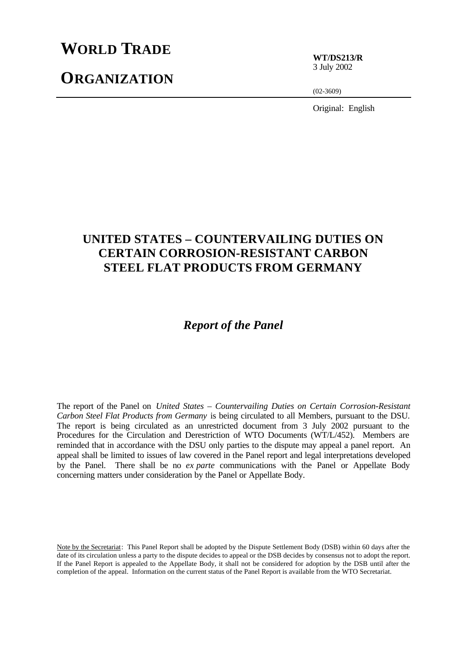# **WORLD TRADE**

# **ORGANIZATION**

**WT/DS213/R** 3 July 2002

(02-3609)

Original: English

# **UNITED STATES – COUNTERVAILING DUTIES ON CERTAIN CORROSION-RESISTANT CARBON STEEL FLAT PRODUCTS FROM GERMANY**

# *Report of the Panel*

The report of the Panel on *United States – Countervailing Duties on Certain Corrosion-Resistant Carbon Steel Flat Products from Germany* is being circulated to all Members, pursuant to the DSU. The report is being circulated as an unrestricted document from 3 July 2002 pursuant to the Procedures for the Circulation and Derestriction of WTO Documents (WT/L/452). Members are reminded that in accordance with the DSU only parties to the dispute may appeal a panel report. An appeal shall be limited to issues of law covered in the Panel report and legal interpretations developed by the Panel. There shall be no *ex parte* communications with the Panel or Appellate Body concerning matters under consideration by the Panel or Appellate Body.

Note by the Secretariat: This Panel Report shall be adopted by the Dispute Settlement Body (DSB) within 60 days after the date of its circulation unless a party to the dispute decides to appeal or the DSB decides by consensus not to adopt the report. If the Panel Report is appealed to the Appellate Body, it shall not be considered for adoption by the DSB until after the completion of the appeal. Information on the current status of the Panel Report is available from the WTO Secretariat.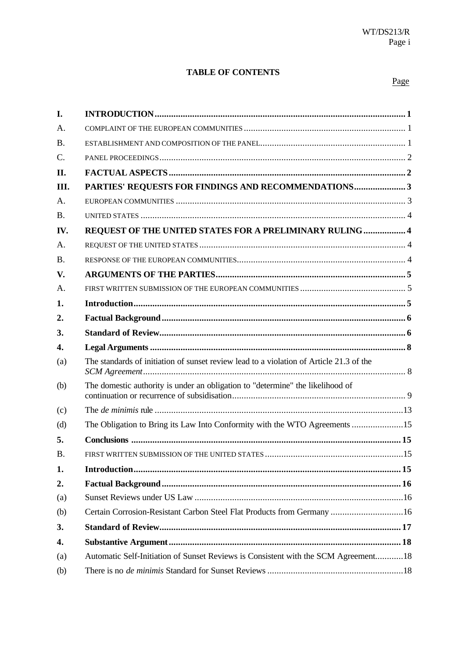# **TABLE OF CONTENTS**

### Page

| I.               |                                                                                         |  |
|------------------|-----------------------------------------------------------------------------------------|--|
| A.               |                                                                                         |  |
| <b>B.</b>        |                                                                                         |  |
| $\mathcal{C}$ .  |                                                                                         |  |
| II.              |                                                                                         |  |
| III.             | PARTIES' REQUESTS FOR FINDINGS AND RECOMMENDATIONS3                                     |  |
| A.               |                                                                                         |  |
| <b>B.</b>        |                                                                                         |  |
| IV.              | REQUEST OF THE UNITED STATES FOR A PRELIMINARY RULING  4                                |  |
| A.               |                                                                                         |  |
| <b>B.</b>        |                                                                                         |  |
| V.               |                                                                                         |  |
| A.               |                                                                                         |  |
| 1.               |                                                                                         |  |
| 2.               |                                                                                         |  |
| 3.               |                                                                                         |  |
|                  |                                                                                         |  |
| $\overline{4}$ . |                                                                                         |  |
| (a)              | The standards of initiation of sunset review lead to a violation of Article 21.3 of the |  |
| (b)              | The domestic authority is under an obligation to "determine" the likelihood of          |  |
| (c)              |                                                                                         |  |
| (d)              | The Obligation to Bring its Law Into Conformity with the WTO Agreements 15              |  |
| 5.               |                                                                                         |  |
| Β.               |                                                                                         |  |
| 1.               |                                                                                         |  |
| 2.               |                                                                                         |  |
| (a)              |                                                                                         |  |
| (b)              | Certain Corrosion-Resistant Carbon Steel Flat Products from Germany  16                 |  |
| 3.               |                                                                                         |  |
| $\overline{4}$ . |                                                                                         |  |
| (a)              | Automatic Self-Initiation of Sunset Reviews is Consistent with the SCM Agreement18      |  |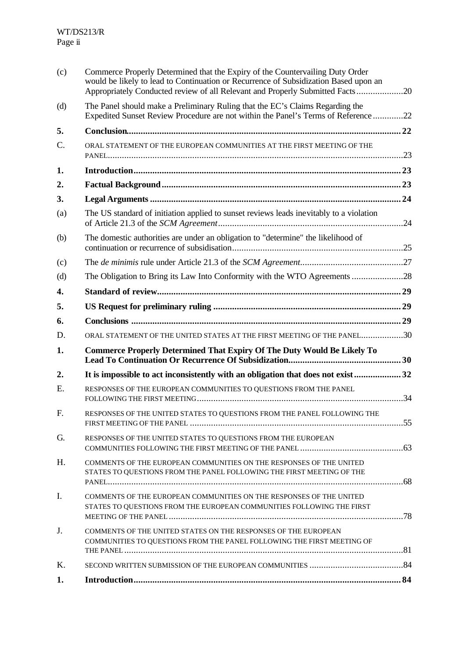| (c)              | Commerce Properly Determined that the Expiry of the Countervailing Duty Order<br>would be likely to lead to Continuation or Recurrence of Subsidization Based upon an<br>Appropriately Conducted review of all Relevant and Properly Submitted Facts20 |  |
|------------------|--------------------------------------------------------------------------------------------------------------------------------------------------------------------------------------------------------------------------------------------------------|--|
| (d)              | The Panel should make a Preliminary Ruling that the EC's Claims Regarding the<br>Expedited Sunset Review Procedure are not within the Panel's Terms of Reference22                                                                                     |  |
| 5.               |                                                                                                                                                                                                                                                        |  |
| $\mathcal{C}$ .  | ORAL STATEMENT OF THE EUROPEAN COMMUNITIES AT THE FIRST MEETING OF THE                                                                                                                                                                                 |  |
| 1.               |                                                                                                                                                                                                                                                        |  |
| 2.               |                                                                                                                                                                                                                                                        |  |
| 3.               |                                                                                                                                                                                                                                                        |  |
| (a)              | The US standard of initiation applied to sunset reviews leads inevitably to a violation                                                                                                                                                                |  |
| (b)              | The domestic authorities are under an obligation to "determine" the likelihood of                                                                                                                                                                      |  |
| (c)              |                                                                                                                                                                                                                                                        |  |
| (d)              |                                                                                                                                                                                                                                                        |  |
| $\overline{4}$ . |                                                                                                                                                                                                                                                        |  |
| 5.               |                                                                                                                                                                                                                                                        |  |
| 6.               |                                                                                                                                                                                                                                                        |  |
| D.               | ORAL STATEMENT OF THE UNITED STATES AT THE FIRST MEETING OF THE PANEL30                                                                                                                                                                                |  |
| 1.               | <b>Commerce Properly Determined That Expiry Of The Duty Would Be Likely To</b>                                                                                                                                                                         |  |
| 2.               | It is impossible to act inconsistently with an obligation that does not exist 32                                                                                                                                                                       |  |
| Ε.               | RESPONSES OF THE EUROPEAN COMMUNITIES TO QUESTIONS FROM THE PANEL                                                                                                                                                                                      |  |
| F.               | RESPONSES OF THE UNITED STATES TO QUESTIONS FROM THE PANEL FOLLOWING THE                                                                                                                                                                               |  |
| G.               | RESPONSES OF THE UNITED STATES TO QUESTIONS FROM THE EUROPEAN                                                                                                                                                                                          |  |
| H.               | COMMENTS OF THE EUROPEAN COMMUNITIES ON THE RESPONSES OF THE UNITED<br>STATES TO QUESTIONS FROM THE PANEL FOLLOWING THE FIRST MEETING OF THE                                                                                                           |  |
| I.               | COMMENTS OF THE EUROPEAN COMMUNITIES ON THE RESPONSES OF THE UNITED<br>STATES TO QUESTIONS FROM THE EUROPEAN COMMUNITIES FOLLOWING THE FIRST                                                                                                           |  |
| J.               | COMMENTS OF THE UNITED STATES ON THE RESPONSES OF THE EUROPEAN<br>COMMUNITIES TO QUESTIONS FROM THE PANEL FOLLOWING THE FIRST MEETING OF                                                                                                               |  |
| Κ.               |                                                                                                                                                                                                                                                        |  |
| 1.               |                                                                                                                                                                                                                                                        |  |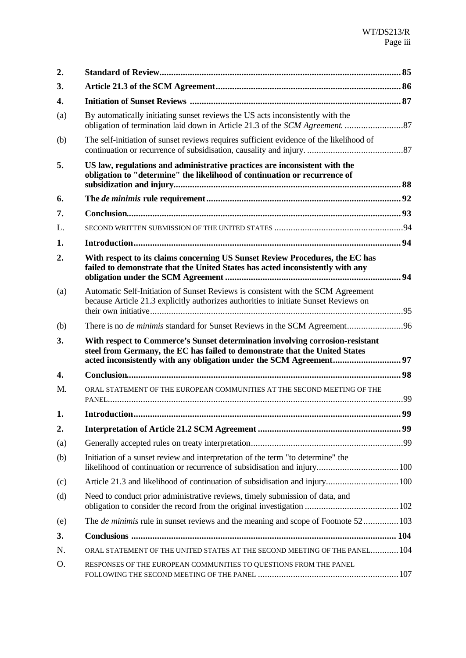| 2.       |                                                                                                                                                                          |     |
|----------|--------------------------------------------------------------------------------------------------------------------------------------------------------------------------|-----|
| 3.       |                                                                                                                                                                          |     |
| 4.       |                                                                                                                                                                          |     |
| (a)      | By automatically initiating sunset reviews the US acts inconsistently with the                                                                                           |     |
| (b)      | The self-initiation of sunset reviews requires sufficient evidence of the likelihood of                                                                                  |     |
| 5.       | US law, regulations and administrative practices are inconsistent with the<br>obligation to "determine" the likelihood of continuation or recurrence of                  |     |
| 6.       |                                                                                                                                                                          |     |
|          |                                                                                                                                                                          |     |
| 7.<br>L. |                                                                                                                                                                          |     |
|          |                                                                                                                                                                          |     |
| 1.       |                                                                                                                                                                          |     |
| 2.       | With respect to its claims concerning US Sunset Review Procedures, the EC has<br>failed to demonstrate that the United States has acted inconsistently with any          |     |
| (a)      | Automatic Self-Initiation of Sunset Reviews is consistent with the SCM Agreement<br>because Article 21.3 explicitly authorizes authorities to initiate Sunset Reviews on |     |
| (b)      | There is no <i>de minimis</i> standard for Sunset Reviews in the SCM Agreement96                                                                                         |     |
| 3.       | With respect to Commerce's Sunset determination involving corrosion-resistant                                                                                            |     |
|          | steel from Germany, the EC has failed to demonstrate that the United States                                                                                              |     |
| 4.       |                                                                                                                                                                          |     |
| M.       | ORAL STATEMENT OF THE EUROPEAN COMMUNITIES AT THE SECOND MEETING OF THE                                                                                                  |     |
| 1.       |                                                                                                                                                                          | .99 |
| 2.       |                                                                                                                                                                          |     |
| (a)      |                                                                                                                                                                          |     |
| (b)      | Initiation of a sunset review and interpretation of the term "to determine" the                                                                                          |     |
| (c)      |                                                                                                                                                                          |     |
| (d)      | Need to conduct prior administrative reviews, timely submission of data, and                                                                                             |     |
| (e)      | The <i>de minimis</i> rule in sunset reviews and the meaning and scope of Footnote 52 103                                                                                |     |
| 3.       |                                                                                                                                                                          |     |
| N.       | ORAL STATEMENT OF THE UNITED STATES AT THE SECOND MEETING OF THE PANEL 104                                                                                               |     |
| 0.       | RESPONSES OF THE EUROPEAN COMMUNITIES TO QUESTIONS FROM THE PANEL                                                                                                        |     |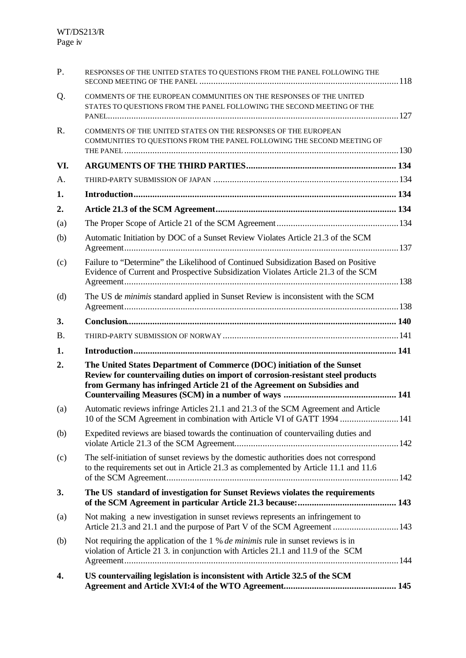| P.             | RESPONSES OF THE UNITED STATES TO QUESTIONS FROM THE PANEL FOLLOWING THE                                                                                                                                                               |  |
|----------------|----------------------------------------------------------------------------------------------------------------------------------------------------------------------------------------------------------------------------------------|--|
| Q.             | COMMENTS OF THE EUROPEAN COMMUNITIES ON THE RESPONSES OF THE UNITED<br>STATES TO QUESTIONS FROM THE PANEL FOLLOWING THE SECOND MEETING OF THE                                                                                          |  |
| $\mathbf{R}$ . | COMMENTS OF THE UNITED STATES ON THE RESPONSES OF THE EUROPEAN<br>COMMUNITIES TO QUESTIONS FROM THE PANEL FOLLOWING THE SECOND MEETING OF                                                                                              |  |
| VI.            |                                                                                                                                                                                                                                        |  |
| А.             |                                                                                                                                                                                                                                        |  |
| 1.             |                                                                                                                                                                                                                                        |  |
| 2.             |                                                                                                                                                                                                                                        |  |
| (a)            |                                                                                                                                                                                                                                        |  |
| (b)            | Automatic Initiation by DOC of a Sunset Review Violates Article 21.3 of the SCM                                                                                                                                                        |  |
| (c)            | Failure to "Determine" the Likelihood of Continued Subsidization Based on Positive<br>Evidence of Current and Prospective Subsidization Violates Article 21.3 of the SCM                                                               |  |
| (d)            | The US de minimis standard applied in Sunset Review is inconsistent with the SCM                                                                                                                                                       |  |
| 3.             |                                                                                                                                                                                                                                        |  |
| <b>B.</b>      |                                                                                                                                                                                                                                        |  |
| 1.             |                                                                                                                                                                                                                                        |  |
| 2.             | The United States Department of Commerce (DOC) initiation of the Sunset<br>Review for countervailing duties on import of corrosion-resistant steel products<br>from Germany has infringed Article 21 of the Agreement on Subsidies and |  |
| (a)            | Automatic reviews infringe Articles 21.1 and 21.3 of the SCM Agreement and Article<br>10 of the SCM Agreement in combination with Article VI of GATT 1994  141                                                                         |  |
| (b)            | Expedited reviews are biased towards the continuation of countervailing duties and                                                                                                                                                     |  |
| (c)            | The self-initiation of sunset reviews by the domestic authorities does not correspond<br>to the requirements set out in Article 21.3 as complemented by Article 11.1 and 11.6                                                          |  |
| 3.             | The US standard of investigation for Sunset Reviews violates the requirements                                                                                                                                                          |  |
| (a)            | Not making a new investigation in sunset reviews represents an infringement to<br>Article 21.3 and 21.1 and the purpose of Part V of the SCM Agreement  143                                                                            |  |
| (b)            | Not requiring the application of the 1 % <i>de minimis</i> rule in sunset reviews is in<br>violation of Article 21 3. in conjunction with Articles 21.1 and 11.9 of the SCM                                                            |  |
| 4.             | US countervailing legislation is inconsistent with Article 32.5 of the SCM                                                                                                                                                             |  |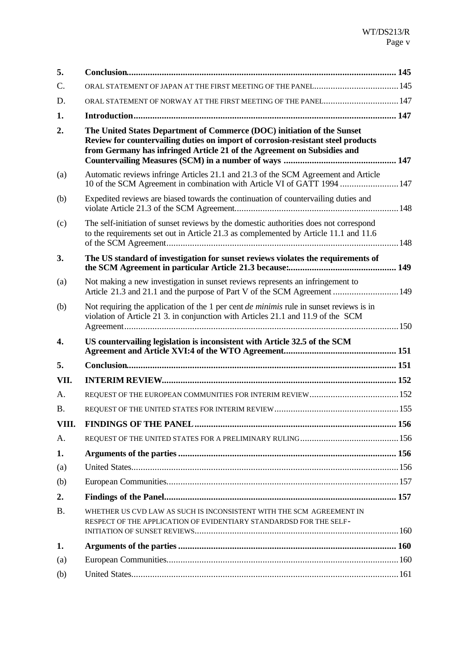| 5.        |                                                                                                                                                                                                                                        |  |
|-----------|----------------------------------------------------------------------------------------------------------------------------------------------------------------------------------------------------------------------------------------|--|
| C.        | ORAL STATEMENT OF JAPAN AT THE FIRST MEETING OF THE PANEL 145                                                                                                                                                                          |  |
| D.        | ORAL STATEMENT OF NORWAY AT THE FIRST MEETING OF THE PANEL 147                                                                                                                                                                         |  |
| 1.        |                                                                                                                                                                                                                                        |  |
| 2.        | The United States Department of Commerce (DOC) initiation of the Sunset<br>Review for countervailing duties on import of corrosion-resistant steel products<br>from Germany has infringed Article 21 of the Agreement on Subsidies and |  |
| (a)       | Automatic reviews infringe Articles 21.1 and 21.3 of the SCM Agreement and Article<br>10 of the SCM Agreement in combination with Article VI of GATT 1994  147                                                                         |  |
| (b)       | Expedited reviews are biased towards the continuation of countervailing duties and                                                                                                                                                     |  |
| (c)       | The self-initiation of sunset reviews by the domestic authorities does not correspond<br>to the requirements set out in Article 21.3 as complemented by Article 11.1 and 11.6                                                          |  |
| 3.        | The US standard of investigation for sunset reviews violates the requirements of                                                                                                                                                       |  |
| (a)       | Not making a new investigation in sunset reviews represents an infringement to<br>Article 21.3 and 21.1 and the purpose of Part V of the SCM Agreement  149                                                                            |  |
| (b)       | Not requiring the application of the 1 per cent <i>de minimis</i> rule in sunset reviews is in<br>violation of Article 21 3. in conjunction with Articles 21.1 and 11.9 of the SCM                                                     |  |
| 4.        | US countervailing legislation is inconsistent with Article 32.5 of the SCM                                                                                                                                                             |  |
| 5.        |                                                                                                                                                                                                                                        |  |
| VII.      |                                                                                                                                                                                                                                        |  |
| A.        |                                                                                                                                                                                                                                        |  |
| <b>B.</b> |                                                                                                                                                                                                                                        |  |
| VIII.     |                                                                                                                                                                                                                                        |  |
| A.        |                                                                                                                                                                                                                                        |  |
| 1.        |                                                                                                                                                                                                                                        |  |
| (a)       |                                                                                                                                                                                                                                        |  |
| (b)       |                                                                                                                                                                                                                                        |  |
| 2.        |                                                                                                                                                                                                                                        |  |
| <b>B.</b> | WHETHER US CVD LAW AS SUCH IS INCONSISTENT WITH THE SCM AGREEMENT IN<br>RESPECT OF THE APPLICATION OF EVIDENTIARY STANDARDSD FOR THE SELF-                                                                                             |  |
| 1.        |                                                                                                                                                                                                                                        |  |
| (a)       |                                                                                                                                                                                                                                        |  |
| (b)       |                                                                                                                                                                                                                                        |  |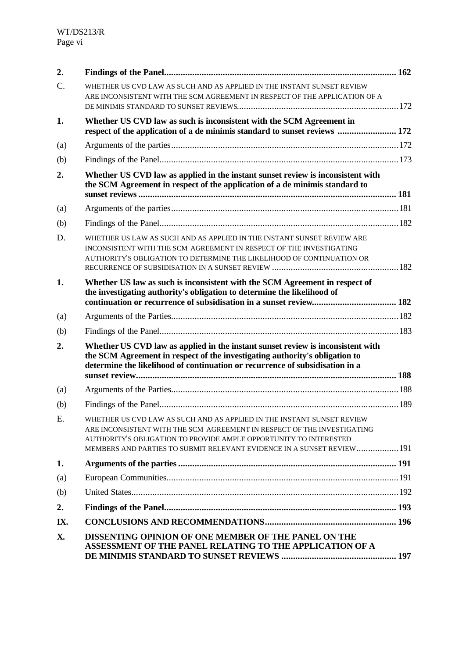| 2.  |                                                                                                                                                                                                                                                                                                  |  |
|-----|--------------------------------------------------------------------------------------------------------------------------------------------------------------------------------------------------------------------------------------------------------------------------------------------------|--|
| C.  | WHETHER US CVD LAW AS SUCH AND AS APPLIED IN THE INSTANT SUNSET REVIEW<br>ARE INCONSISTENT WITH THE SCM AGREEMENT IN RESPECT OF THE APPLICATION OF A                                                                                                                                             |  |
|     |                                                                                                                                                                                                                                                                                                  |  |
| 1.  | Whether US CVD law as such is inconsistent with the SCM Agreement in<br>respect of the application of a de minimis standard to sunset reviews  172                                                                                                                                               |  |
| (a) |                                                                                                                                                                                                                                                                                                  |  |
| (b) |                                                                                                                                                                                                                                                                                                  |  |
| 2.  | Whether US CVD law as applied in the instant sunset review is inconsistent with<br>the SCM Agreement in respect of the application of a de minimis standard to                                                                                                                                   |  |
| (a) |                                                                                                                                                                                                                                                                                                  |  |
| (b) |                                                                                                                                                                                                                                                                                                  |  |
| D.  | WHETHER US LAW AS SUCH AND AS APPLIED IN THE INSTANT SUNSET REVIEW ARE<br>INCONSISTENT WITH THE SCM AGREEMENT IN RESPECT OF THE INVESTIGATING<br>AUTHORITY'S OBLIGATION TO DETERMINE THE LIKELIHOOD OF CONTINUATION OR                                                                           |  |
| 1.  | Whether US law as such is inconsistent with the SCM Agreement in respect of<br>the investigating authority's obligation to determine the likelihood of                                                                                                                                           |  |
| (a) |                                                                                                                                                                                                                                                                                                  |  |
| (b) |                                                                                                                                                                                                                                                                                                  |  |
| 2.  | Whether US CVD law as applied in the instant sunset review is inconsistent with<br>the SCM Agreement in respect of the investigating authority's obligation to<br>determine the likelihood of continuation or recurrence of subsidisation in a                                                   |  |
| (a) |                                                                                                                                                                                                                                                                                                  |  |
| (b) |                                                                                                                                                                                                                                                                                                  |  |
| E.  | WHETHER US CVD LAW AS SUCH AND AS APPLIED IN THE INSTANT SUNSET REVIEW<br>ARE INCONSISTENT WITH THE SCM AGREEMENT IN RESPECT OF THE INVESTIGATING<br>AUTHORITY'S OBLIGATION TO PROVIDE AMPLE OPPORTUNITY TO INTERESTED<br>MEMBERS AND PARTIES TO SUBMIT RELEVANT EVIDENCE IN A SUNSET REVIEW 191 |  |
| 1.  |                                                                                                                                                                                                                                                                                                  |  |
| (a) |                                                                                                                                                                                                                                                                                                  |  |
| (b) |                                                                                                                                                                                                                                                                                                  |  |
| 2.  |                                                                                                                                                                                                                                                                                                  |  |
| IX. |                                                                                                                                                                                                                                                                                                  |  |
| X.  | <b>DISSENTING OPINION OF ONE MEMBER OF THE PANEL ON THE</b><br>ASSESSMENT OF THE PANEL RELATING TO THE APPLICATION OF A                                                                                                                                                                          |  |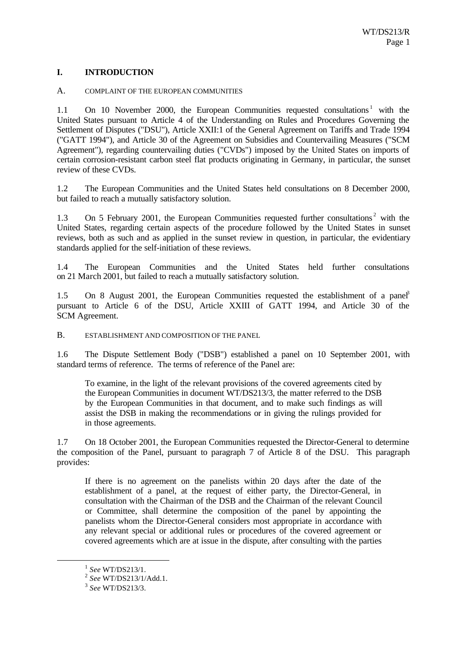# **I. INTRODUCTION**

#### A. COMPLAINT OF THE EUROPEAN COMMUNITIES

1.1 On 10 November 2000, the European Communities requested consultations<sup>1</sup> with the United States pursuant to Article 4 of the Understanding on Rules and Procedures Governing the Settlement of Disputes ("DSU"), Article XXII:1 of the General Agreement on Tariffs and Trade 1994 ("GATT 1994"), and Article 30 of the Agreement on Subsidies and Countervailing Measures ("SCM Agreement"), regarding countervailing duties ("CVDs") imposed by the United States on imports of certain corrosion-resistant carbon steel flat products originating in Germany, in particular, the sunset review of these CVDs.

1.2 The European Communities and the United States held consultations on 8 December 2000, but failed to reach a mutually satisfactory solution.

1.3 On 5 February 2001, the European Communities requested further consultations<sup>2</sup> with the United States, regarding certain aspects of the procedure followed by the United States in sunset reviews, both as such and as applied in the sunset review in question, in particular, the evidentiary standards applied for the self-initiation of these reviews.

1.4 The European Communities and the United States held further consultations on 21 March 2001, but failed to reach a mutually satisfactory solution.

1.5 On 8 August 2001, the European Communities requested the establishment of a panel pursuant to Article 6 of the DSU, Article XXIII of GATT 1994, and Article 30 of the SCM Agreement.

B. ESTABLISHMENT AND COMPOSITION OF THE PANEL

1.6 The Dispute Settlement Body ("DSB") established a panel on 10 September 2001, with standard terms of reference. The terms of reference of the Panel are:

To examine, in the light of the relevant provisions of the covered agreements cited by the European Communities in document WT/DS213/3, the matter referred to the DSB by the European Communities in that document, and to make such findings as will assist the DSB in making the recommendations or in giving the rulings provided for in those agreements.

1.7 On 18 October 2001, the European Communities requested the Director-General to determine the composition of the Panel, pursuant to paragraph 7 of Article 8 of the DSU. This paragraph provides:

If there is no agreement on the panelists within 20 days after the date of the establishment of a panel, at the request of either party, the Director-General, in consultation with the Chairman of the DSB and the Chairman of the relevant Council or Committee, shall determine the composition of the panel by appointing the panelists whom the Director-General considers most appropriate in accordance with any relevant special or additional rules or procedures of the covered agreement or covered agreements which are at issue in the dispute, after consulting with the parties

<sup>1</sup> *See* WT/DS213/1.

<sup>2</sup> *See* WT/DS213/1/Add.1.

<sup>3</sup> *See* WT/DS213/3.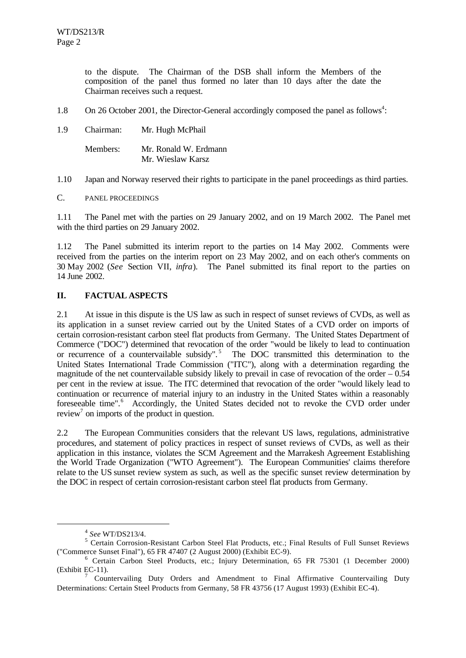to the dispute. The Chairman of the DSB shall inform the Members of the composition of the panel thus formed no later than 10 days after the date the Chairman receives such a request.

- 1.8 On 26 October 2001, the Director-General accordingly composed the panel as follows<sup>4</sup>:
- 1.9 Chairman: Mr. Hugh McPhail

| Members: | Mr. Ronald W. Erdmann |
|----------|-----------------------|
|          | Mr. Wieslaw Karsz     |

1.10 Japan and Norway reserved their rights to participate in the panel proceedings as third parties.

C. PANEL PROCEEDINGS

1.11 The Panel met with the parties on 29 January 2002, and on 19 March 2002. The Panel met with the third parties on 29 January 2002.

1.12 The Panel submitted its interim report to the parties on 14 May 2002. Comments were received from the parties on the interim report on 23 May 2002, and on each other's comments on 30 May 2002 (*See* Section VII, *infra*). The Panel submitted its final report to the parties on 14 June 2002.

# **II. FACTUAL ASPECTS**

2.1 At issue in this dispute is the US law as such in respect of sunset reviews of CVDs, as well as its application in a sunset review carried out by the United States of a CVD order on imports of certain corrosion-resistant carbon steel flat products from Germany. The United States Department of Commerce ("DOC") determined that revocation of the order "would be likely to lead to continuation or recurrence of a countervailable subsidy".<sup>5</sup> The DOC transmitted this determination to the United States International Trade Commission ("ITC"), along with a determination regarding the magnitude of the net countervailable subsidy likely to prevail in case of revocation of the order  $-0.54$ per cent in the review at issue. The ITC determined that revocation of the order "would likely lead to continuation or recurrence of material injury to an industry in the United States within a reasonably foreseeable time".<sup>6</sup> Accordingly, the United States decided not to revoke the CVD order under review<sup>7</sup> on imports of the product in question.

2.2 The European Communities considers that the relevant US laws, regulations, administrative procedures, and statement of policy practices in respect of sunset reviews of CVDs, as well as their application in this instance, violates the SCM Agreement and the Marrakesh Agreement Establishing the World Trade Organization ("WTO Agreement"). The European Communities' claims therefore relate to the US sunset review system as such, as well as the specific sunset review determination by the DOC in respect of certain corrosion-resistant carbon steel flat products from Germany.

<sup>4</sup> *See* WT/DS213/4.

<sup>&</sup>lt;sup>5</sup> Certain Corrosion-Resistant Carbon Steel Flat Products, etc.; Final Results of Full Sunset Reviews ("Commerce Sunset Final"), 65 FR 47407 (2 August 2000) (Exhibit EC-9).

<sup>&</sup>lt;sup>6</sup> Certain Carbon Steel Products, etc.; Injury Determination, 65 FR 75301 (1 December 2000) (Exhibit EC-11).

<sup>7</sup> Countervailing Duty Orders and Amendment to Final Affirmative Countervailing Duty Determinations: Certain Steel Products from Germany, 58 FR 43756 (17 August 1993) (Exhibit EC-4).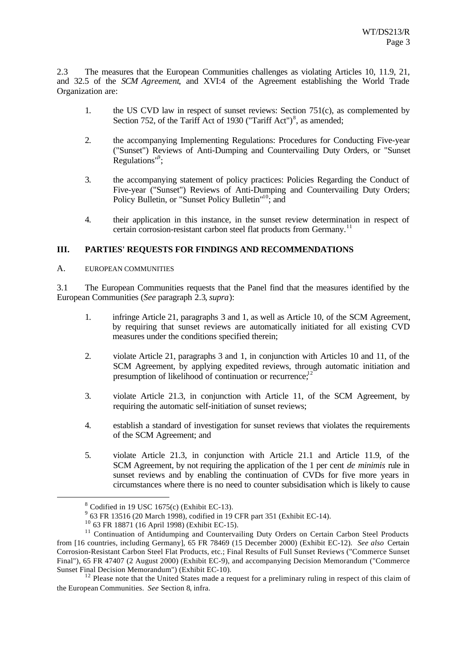2.3 The measures that the European Communities challenges as violating Articles 10, 11.9, 21, and 32.5 of the *SCM Agreement*, and XVI:4 of the Agreement establishing the World Trade Organization are:

- 1. the US CVD law in respect of sunset reviews: Section 751(c), as complemented by Section 752, of the Tariff Act of 1930 ("Tariff Act") $\delta$ , as amended;
- 2. the accompanying Implementing Regulations: Procedures for Conducting Five-year ("Sunset") Reviews of Anti-Dumping and Countervailing Duty Orders, or "Sunset Regulations"<sup>9</sup>;
- 3. the accompanying statement of policy practices: Policies Regarding the Conduct of Five-year ("Sunset") Reviews of Anti-Dumping and Countervailing Duty Orders; Policy Bulletin, or "Sunset Policy Bulletin"<sup>10</sup>; and
- 4. their application in this instance, in the sunset review determination in respect of certain corrosion-resistant carbon steel flat products from Germany.<sup>11</sup>

### **III. PARTIES' REQUESTS FOR FINDINGS AND RECOMMENDATIONS**

A. EUROPEAN COMMUNITIES

3.1 The European Communities requests that the Panel find that the measures identified by the European Communities (*See* paragraph 2.3, *supra*):

- 1. infringe Article 21, paragraphs 3 and 1, as well as Article 10, of the SCM Agreement, by requiring that sunset reviews are automatically initiated for all existing CVD measures under the conditions specified therein;
- 2. violate Article 21, paragraphs 3 and 1, in conjunction with Articles 10 and 11, of the SCM Agreement, by applying expedited reviews, through automatic initiation and presumption of likelihood of continuation or recurrence;<sup>12</sup>
- 3. violate Article 21.3, in conjunction with Article 11, of the SCM Agreement, by requiring the automatic self-initiation of sunset reviews;
- 4. establish a standard of investigation for sunset reviews that violates the requirements of the SCM Agreement; and
- 5. violate Article 21.3, in conjunction with Article 21.1 and Article 11.9, of the SCM Agreement, by not requiring the application of the 1 per cent *de minimis* rule in sunset reviews and by enabling the continuation of CVDs for five more years in circumstances where there is no need to counter subsidisation which is likely to cause

 $8$  Codified in 19 USC 1675(c) (Exhibit EC-13).

<sup>&</sup>lt;sup>9</sup> 63 FR 13516 (20 March 1998), codified in 19 CFR part 351 (Exhibit EC-14).

<sup>10</sup> 63 FR 18871 (16 April 1998) (Exhibit EC-15).

<sup>&</sup>lt;sup>11</sup> Continuation of Antidumping and Countervailing Duty Orders on Certain Carbon Steel Products from [16 countries, including Germany], 65 FR 78469 (15 December 2000) (Exhibit EC-12). *See also* Certain Corrosion-Resistant Carbon Steel Flat Products, etc.; Final Results of Full Sunset Reviews ("Commerce Sunset Final"), 65 FR 47407 (2 August 2000) (Exhibit EC-9), and accompanying Decision Memorandum ("Commerce Sunset Final Decision Memorandum") (Exhibit EC-10).

<sup>&</sup>lt;sup>12</sup> Please note that the United States made a request for a preliminary ruling in respect of this claim of the European Communities. *See* Section 8, infra.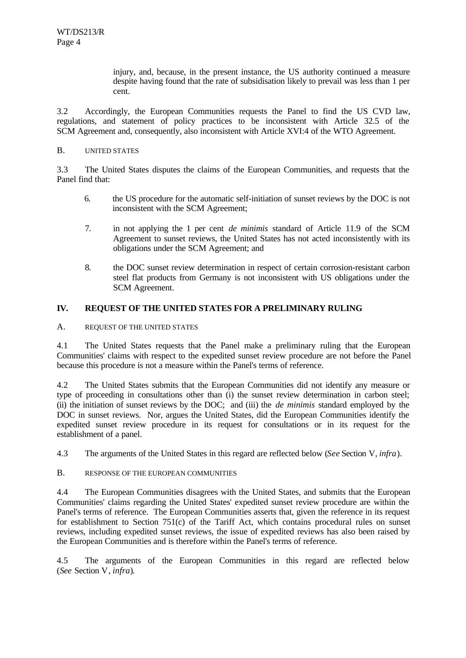injury, and, because, in the present instance, the US authority continued a measure despite having found that the rate of subsidisation likely to prevail was less than 1 per cent.

3.2 Accordingly, the European Communities requests the Panel to find the US CVD law, regulations, and statement of policy practices to be inconsistent with Article 32.5 of the SCM Agreement and, consequently, also inconsistent with Article XVI:4 of the WTO Agreement.

#### B. UNITED STATES

3.3 The United States disputes the claims of the European Communities, and requests that the Panel find that:

- 6. the US procedure for the automatic self-initiation of sunset reviews by the DOC is not inconsistent with the SCM Agreement;
- 7. in not applying the 1 per cent *de minimis* standard of Article 11.9 of the SCM Agreement to sunset reviews, the United States has not acted inconsistently with its obligations under the SCM Agreement; and
- 8. the DOC sunset review determination in respect of certain corrosion-resistant carbon steel flat products from Germany is not inconsistent with US obligations under the SCM Agreement.

### **IV. REQUEST OF THE UNITED STATES FOR A PRELIMINARY RULING**

A. REQUEST OF THE UNITED STATES

4.1 The United States requests that the Panel make a preliminary ruling that the European Communities' claims with respect to the expedited sunset review procedure are not before the Panel because this procedure is not a measure within the Panel's terms of reference.

4.2 The United States submits that the European Communities did not identify any measure or type of proceeding in consultations other than (i) the sunset review determination in carbon steel; (ii) the initiation of sunset reviews by the DOC; and (iii) the *de minimis* standard employed by the DOC in sunset reviews. Nor, argues the United States, did the European Communities identify the expedited sunset review procedure in its request for consultations or in its request for the establishment of a panel.

4.3 The arguments of the United States in this regard are reflected below (*See* Section V, *infra*).

B. RESPONSE OF THE EUROPEAN COMMUNITIES

4.4 The European Communities disagrees with the United States, and submits that the European Communities' claims regarding the United States' expedited sunset review procedure are within the Panel's terms of reference. The European Communities asserts that, given the reference in its request for establishment to Section 751(c) of the Tariff Act, which contains procedural rules on sunset reviews, including expedited sunset reviews, the issue of expedited reviews has also been raised by the European Communities and is therefore within the Panel's terms of reference.

4.5 The arguments of the European Communities in this regard are reflected below (*See* Section V, *infra*).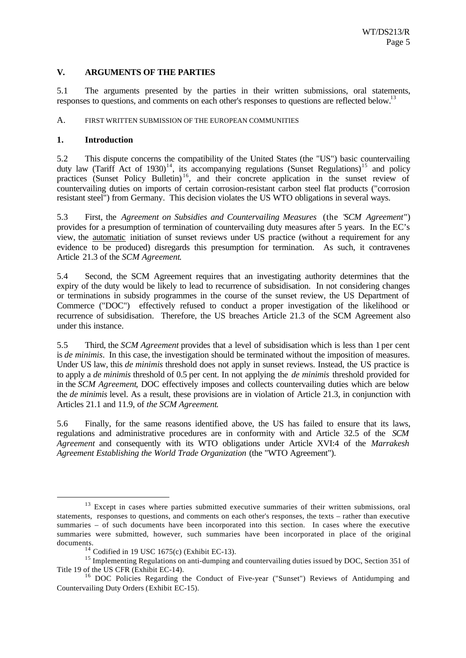#### **V. ARGUMENTS OF THE PARTIES**

5.1 The arguments presented by the parties in their written submissions, oral statements, responses to questions, and comments on each other's responses to questions are reflected below.<sup>13</sup>

#### A. FIRST WRITTEN SUBMISSION OF THE EUROPEAN COMMUNITIES

#### **1. Introduction**

l

5.2 This dispute concerns the compatibility of the United States (the "US") basic countervailing duty law (Tariff Act of 1930)<sup>14</sup>, its accompanying regulations (Sunset Regulations)<sup>15</sup> and policy practices (Sunset Policy Bulletin)<sup>16</sup>, and their concrete application in the sunset review of countervailing duties on imports of certain corrosion-resistant carbon steel flat products ("corrosion resistant steel") from Germany. This decision violates the US WTO obligations in several ways.

5.3 First, the *Agreement on Subsidies and Countervailing Measures* (the "*SCM Agreement"*) provides for a presumption of termination of countervailing duty measures after 5 years. In the EC's view, the automatic initiation of sunset reviews under US practice (without a requirement for any evidence to be produced) disregards this presumption for termination. As such, it contravenes Article 21.3 of the *SCM Agreement*.

5.4 Second, the SCM Agreement requires that an investigating authority determines that the expiry of the duty would be likely to lead to recurrence of subsidisation. In not considering changes or terminations in subsidy programmes in the course of the sunset review, the US Department of Commerce ("DOC") effectively refused to conduct a proper investigation of the likelihood or recurrence of subsidisation. Therefore, the US breaches Article 21.3 of the SCM Agreement also under this instance.

5.5 Third, the *SCM Agreement* provides that a level of subsidisation which is less than 1 per cent is *de minimis*. In this case, the investigation should be terminated without the imposition of measures. Under US law, this *de minimis* threshold does not apply in sunset reviews. Instead, the US practice is to apply a *de minimis* threshold of 0.5 per cent. In not applying the *de minimis* threshold provided for in the *SCM Agreement*, DOC effectively imposes and collects countervailing duties which are below the *de minimis* level. As a result, these provisions are in violation of Article 21.3, in conjunction with Articles 21.1 and 11.9, of *the SCM Agreement*.

5.6 Finally, for the same reasons identified above, the US has failed to ensure that its laws, regulations and administrative procedures are in conformity with and Article 32.5 of the *SCM Agreement* and consequently with its WTO obligations under Article XVI:4 of the *Marrakesh Agreement Establishing the World Trade Organization* (the "WTO Agreement").

<sup>&</sup>lt;sup>13</sup> Except in cases where parties submitted executive summaries of their written submissions, oral statements, responses to questions, and comments on each other's responses, the texts – rather than executive summaries – of such documents have been incorporated into this section. In cases where the executive summaries were submitted, however, such summaries have been incorporated in place of the original documents.

 $14$  Codified in 19 USC 1675(c) (Exhibit EC-13).

<sup>&</sup>lt;sup>15</sup> Implementing Regulations on anti-dumping and countervailing duties issued by DOC, Section 351 of Title 19 of the US CFR (Exhibit EC-14).

<sup>&</sup>lt;sup>16</sup> DOC Policies Regarding the Conduct of Five-year ("Sunset") Reviews of Antidumping and Countervailing Duty Orders (Exhibit EC-15).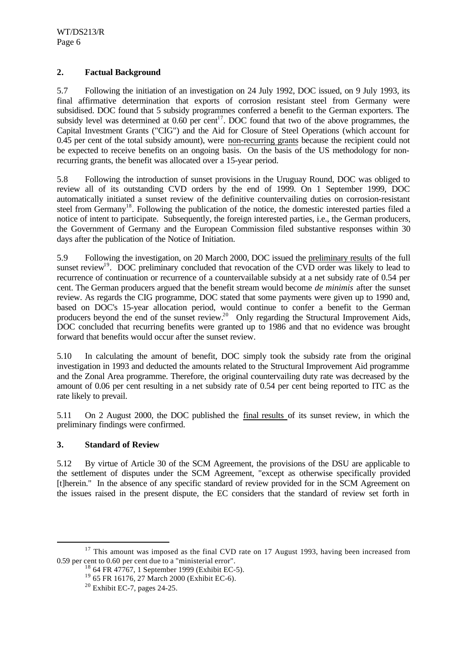# **2. Factual Background**

5.7 Following the initiation of an investigation on 24 July 1992, DOC issued, on 9 July 1993, its final affirmative determination that exports of corrosion resistant steel from Germany were subsidised. DOC found that 5 subsidy programmes conferred a benefit to the German exporters. The subsidy level was determined at  $0.60$  per cent<sup>17</sup>. DOC found that two of the above programmes, the Capital Investment Grants ("CIG") and the Aid for Closure of Steel Operations (which account for 0.45 per cent of the total subsidy amount), were non-recurring grants because the recipient could not be expected to receive benefits on an ongoing basis. On the basis of the US methodology for nonrecurring grants, the benefit was allocated over a 15-year period.

5.8 Following the introduction of sunset provisions in the Uruguay Round, DOC was obliged to review all of its outstanding CVD orders by the end of 1999. On 1 September 1999, DOC automatically initiated a sunset review of the definitive countervailing duties on corrosion-resistant steel from Germany<sup>18</sup>. Following the publication of the notice, the domestic interested parties filed a notice of intent to participate. Subsequently, the foreign interested parties, i.e., the German producers, the Government of Germany and the European Commission filed substantive responses within 30 days after the publication of the Notice of Initiation.

5.9 Following the investigation, on 20 March 2000, DOC issued the preliminary results of the full sunset review<sup>19</sup>. DOC preliminary concluded that revocation of the CVD order was likely to lead to recurrence of continuation or recurrence of a countervailable subsidy at a net subsidy rate of 0.54 per cent. The German producers argued that the benefit stream would become *de minimis* after the sunset review. As regards the CIG programme, DOC stated that some payments were given up to 1990 and, based on DOC's 15-year allocation period, would continue to confer a benefit to the German producers beyond the end of the sunset review.<sup>20</sup> Only regarding the Structural Improvement Aids, DOC concluded that recurring benefits were granted up to 1986 and that no evidence was brought forward that benefits would occur after the sunset review.

5.10 In calculating the amount of benefit, DOC simply took the subsidy rate from the original investigation in 1993 and deducted the amounts related to the Structural Improvement Aid programme and the Zonal Area programme. Therefore, the original countervailing duty rate was decreased by the amount of 0.06 per cent resulting in a net subsidy rate of 0.54 per cent being reported to ITC as the rate likely to prevail.

5.11 On 2 August 2000, the DOC published the final results of its sunset review, in which the preliminary findings were confirmed.

# **3. Standard of Review**

l

5.12 By virtue of Article 30 of the SCM Agreement, the provisions of the DSU are applicable to the settlement of disputes under the SCM Agreement, "except as otherwise specifically provided [t]herein." In the absence of any specific standard of review provided for in the SCM Agreement on the issues raised in the present dispute, the EC considers that the standard of review set forth in

 $17$  This amount was imposed as the final CVD rate on 17 August 1993, having been increased from 0.59 per cent to 0.60 per cent due to a "ministerial error".

 $18$  64 FR 47767, 1 September 1999 (Exhibit EC-5).

<sup>19</sup> 65 FR 16176, 27 March 2000 (Exhibit EC-6).

 $20$  Exhibit EC-7, pages 24-25.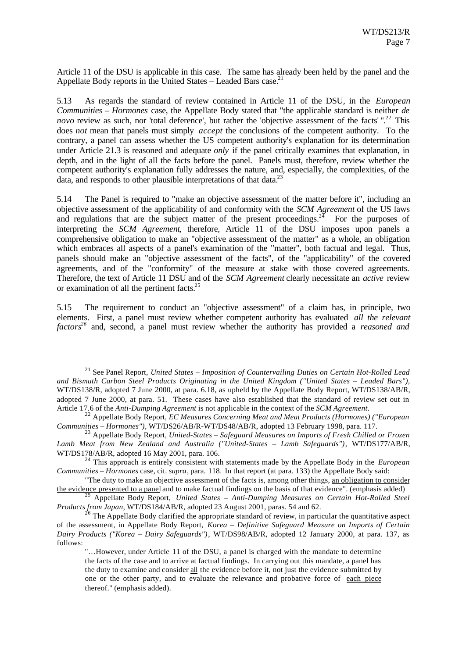Article 11 of the DSU is applicable in this case. The same has already been held by the panel and the Appellate Body reports in the United States – Leaded Bars case.<sup>21</sup>

5.13 As regards the standard of review contained in Article 11 of the DSU, in the *European Communities – Hormones* case, the Appellate Body stated that "the applicable standard is neither *de novo* review as such, nor 'total deference', but rather the 'objective assessment of the facts'".<sup>22</sup> This does *not* mean that panels must simply *accept* the conclusions of the competent authority. To the contrary, a panel can assess whether the US competent authority's explanation for its determination under Article 21.3 is reasoned and adequate *only* if the panel critically examines that explanation, in depth, and in the light of all the facts before the panel. Panels must, therefore, review whether the competent authority's explanation fully addresses the nature, and, especially, the complexities, of the data, and responds to other plausible interpretations of that data.<sup>23</sup>

5.14 The Panel is required to "make an objective assessment of the matter before it", including an objective assessment of the applicability of and conformity with the *SCM Agreement* of the US laws and regulations that are the subject matter of the present proceedings.  $24$  For the purposes of interpreting the *SCM Agreement*, therefore, Article 11 of the DSU imposes upon panels a comprehensive obligation to make an "objective assessment of the matter" as a whole, an obligation which embraces all aspects of a panel's examination of the "matter", both factual and legal. Thus, panels should make an "objective assessment of the facts", of the "applicability" of the covered agreements, and of the "conformity" of the measure at stake with those covered agreements. Therefore, the text of Article 11 DSU and of the *SCM Agreement* clearly necessitate an *active* review or examination of all the pertinent facts.<sup>25</sup>

5.15 The requirement to conduct an "objective assessment" of a claim has, in principle, two elements. First, a panel must review whether competent authority has evaluated *all the relevant factors<sup>26</sup>* and, second, a panel must review whether the authority has provided a *reasoned and*

<sup>21</sup> See Panel Report, *United States – Imposition of Countervailing Duties on Certain Hot-Rolled Lead and Bismuth Carbon Steel Products Originating in the United Kingdom ("United States – Leaded Bars")*, WT/DS138/R, adopted 7 June 2000, at para. 6.18, as upheld by the Appellate Body Report, WT/DS138/AB/R, adopted 7 June 2000, at para. 51. These cases have also established that the standard of review set out in Article 17.6 of the *Anti-Dumping Agreement* is not applicable in the context of the *SCM Agreement*.

<sup>22</sup> Appellate Body Report, *EC Measures Concerning Meat and Meat Products (Hormones) ("European Communities – Hormones")*, WT/DS26/AB/R-WT/DS48/AB/R, adopted 13 February 1998, para. 117.

<sup>23</sup> Appellate Body Report, *United-States – Safeguard Measures on Imports of Fresh Chilled or Frozen Lamb Meat from New Zealand and Australia ("United-States – Lamb Safeguards")*, WT/DS177/AB/R, WT/DS178/AB/R, adopted 16 May 2001, para. 106.

<sup>24</sup> This approach is entirely consistent with statements made by the Appellate Body in the *European Communities – Hormones* case, cit. *supra*, para. 118. In that report (at para. 133) the Appellate Body said:

<sup>&</sup>quot;The duty to make an objective assessment of the facts is, among other things, an obligation to consider the evidence presented to a panel and to make factual findings on the basis of that evidence". (emphasis added)

<sup>25</sup> Appellate Body Report, *United States – Anti-Dumping Measures on Certain Hot-Rolled Steel Products from Japan*, WT/DS184/AB/R, adopted 23 August 2001, paras. 54 and 62.

<sup>&</sup>lt;sup>26</sup> The Appellate Body clarified the appropriate standard of review, in particular the quantitative aspect of the assessment, in Appellate Body Report, *Korea – Definitive Safeguard Measure on Imports of Certain Dairy Products ("Korea – Dairy Safeguards")*, WT/DS98/AB/R, adopted 12 January 2000, at para. 137, as follows:

<sup>&</sup>quot;…However, under Article 11 of the DSU, a panel is charged with the mandate to determine the facts of the case and to arrive at factual findings. In carrying out this mandate, a panel has the duty to examine and consider all the evidence before it, not just the evidence submitted by one or the other party, and to evaluate the relevance and probative force of each piece thereof." (emphasis added).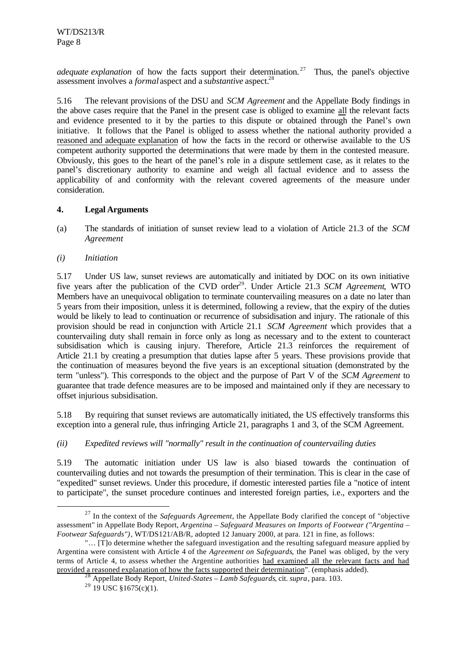*adequate explanation* of how the facts support their determination.<sup>27</sup> Thus, the panel's objective assessment involves a *formal* aspect and a *substantive* aspect.<sup>28</sup>

5.16 The relevant provisions of the DSU and *SCM Agreement* and the Appellate Body findings in the above cases require that the Panel in the present case is obliged to examine all the relevant facts and evidence presented to it by the parties to this dispute or obtained through the Panel's own initiative. It follows that the Panel is obliged to assess whether the national authority provided a reasoned and adequate explanation of how the facts in the record or otherwise available to the US competent authority supported the determinations that were made by them in the contested measure. Obviously, this goes to the heart of the panel's role in a dispute settlement case, as it relates to the panel's discretionary authority to examine and weigh all factual evidence and to assess the applicability of and conformity with the relevant covered agreements of the measure under consideration.

# **4. Legal Arguments**

- (a) The standards of initiation of sunset review lead to a violation of Article 21.3 of the *SCM Agreement*
- *(i) Initiation*

l

5.17 Under US law, sunset reviews are automatically and initiated by DOC on its own initiative five years after the publication of the CVD order<sup>29</sup>. Under Article 21.3 *SCM Agreement*, WTO Members have an unequivocal obligation to terminate countervailing measures on a date no later than 5 years from their imposition, unless it is determined, following a review, that the expiry of the duties would be likely to lead to continuation or recurrence of subsidisation and injury. The rationale of this provision should be read in conjunction with Article 21.1 *SCM Agreement* which provides that a countervailing duty shall remain in force only as long as necessary and to the extent to counteract subsidisation which is causing injury. Therefore, Article 21.3 reinforces the requirement of Article 21.1 by creating a presumption that duties lapse after 5 years. These provisions provide that the continuation of measures beyond the five years is an exceptional situation (demonstrated by the term "unless"). This corresponds to the object and the purpose of Part V of the *SCM Agreement* to guarantee that trade defence measures are to be imposed and maintained only if they are necessary to offset injurious subsidisation.

5.18 By requiring that sunset reviews are automatically initiated, the US effectively transforms this exception into a general rule, thus infringing Article 21, paragraphs 1 and 3, of the SCM Agreement.

# *(ii) Expedited reviews will "normally" result in the continuation of countervailing duties*

5.19 The automatic initiation under US law is also biased towards the continuation of countervailing duties and not towards the presumption of their termination. This is clear in the case of "expedited" sunset reviews. Under this procedure, if domestic interested parties file a "notice of intent to participate", the sunset procedure continues and interested foreign parties, i.e., exporters and the

<sup>27</sup> In the context of the *Safeguards Agreement*, the Appellate Body clarified the concept of "objective assessment" in Appellate Body Report, *Argentina – Safeguard Measures on Imports of Footwear ("Argentina – Footwear Safeguards")*, WT/DS121/AB/R, adopted 12 January 2000, at para. 121 in fine, as follows:

<sup>&</sup>quot;… [T]o determine whether the safeguard investigation and the resulting safeguard measure applied by Argentina were consistent with Article 4 of the *Agreement on Safeguards*, the Panel was obliged, by the very terms of Article 4, to assess whether the Argentine authorities had examined all the relevant facts and had provided a reasoned explanation of how the facts supported their determination". (emphasis added).

<sup>28</sup> Appellate Body Report, *United-States – Lamb Safeguards*, cit. *supra*, para. 103.

 $^{29}$  19 USC §1675(c)(1).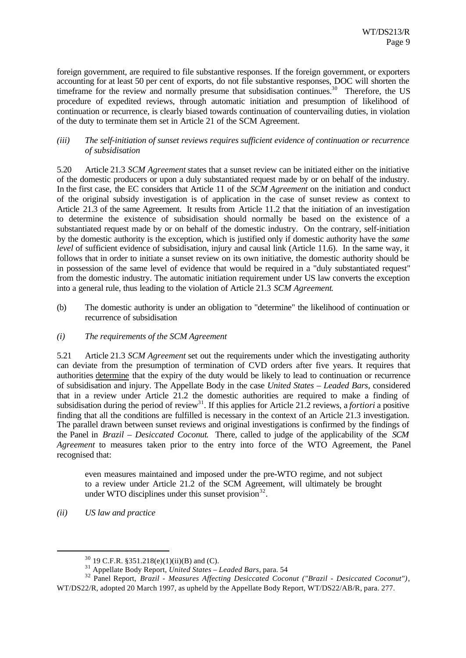foreign government, are required to file substantive responses. If the foreign government, or exporters accounting for at least 50 per cent of exports, do not file substantive responses, DOC will shorten the timeframe for the review and normally presume that subsidisation continues.<sup>30</sup> Therefore, the US procedure of expedited reviews, through automatic initiation and presumption of likelihood of continuation or recurrence, is clearly biased towards continuation of countervailing duties, in violation of the duty to terminate them set in Article 21 of the SCM Agreement.

#### *(iii) The self-initiation of sunset reviews requires sufficient evidence of continuation or recurrence of subsidisation*

5.20 Article 21.3 *SCM Agreement* states that a sunset review can be initiated either on the initiative of the domestic producers or upon a duly substantiated request made by or on behalf of the industry. In the first case, the EC considers that Article 11 of the *SCM Agreement* on the initiation and conduct of the original subsidy investigation is of application in the case of sunset review as context to Article 21.3 of the same Agreement. It results from Article 11.2 that the initiation of an investigation to determine the existence of subsidisation should normally be based on the existence of a substantiated request made by or on behalf of the domestic industry. On the contrary, self-initiation by the domestic authority is the exception, which is justified only if domestic authority have the *same level* of sufficient evidence of subsidisation, injury and causal link (Article 11.6). In the same way, it follows that in order to initiate a sunset review on its own initiative, the domestic authority should be in possession of the same level of evidence that would be required in a "duly substantiated request" from the domestic industry. The automatic initiation requirement under US law converts the exception into a general rule, thus leading to the violation of Article 21.3 *SCM Agreement*.

- (b) The domestic authority is under an obligation to "determine" the likelihood of continuation or recurrence of subsidisation
- *(i) The requirements of the SCM Agreement*

5.21 Article 21.3 *SCM Agreement* set out the requirements under which the investigating authority can deviate from the presumption of termination of CVD orders after five years. It requires that authorities determine that the expiry of the duty would be likely to lead to continuation or recurrence of subsidisation and injury. The Appellate Body in the case *United States – Leaded Bars,* considered that in a review under Article 21.2 the domestic authorities are required to make a finding of subsidisation during the period of review<sup>31</sup>. If this applies for Article 21.2 reviews, a *fortiori* a positive finding that all the conditions are fulfilled is necessary in the context of an Article 21.3 investigation. The parallel drawn between sunset reviews and original investigations is confirmed by the findings of the Panel in *Brazil – Desiccated Coconut*. There, called to judge of the applicability of the *SCM Agreement* to measures taken prior to the entry into force of the WTO Agreement, the Panel recognised that:

even measures maintained and imposed under the pre-WTO regime, and not subject to a review under Article 21.2 of the SCM Agreement, will ultimately be brought under WTO disciplines under this sunset provision $32$ .

*(ii) US law and practice*

 $30$  19 C.F.R. § 351.218(e)(1)(ii)(B) and (C).

<sup>31</sup> Appellate Body Report, *United States – Leaded Bars*, para. 54

<sup>32</sup> Panel Report, *Brazil - Measures Affecting Desiccated Coconut ("Brazil - Desiccated Coconut")*, WT/DS22/R, adopted 20 March 1997, as upheld by the Appellate Body Report, WT/DS22/AB/R, para. 277.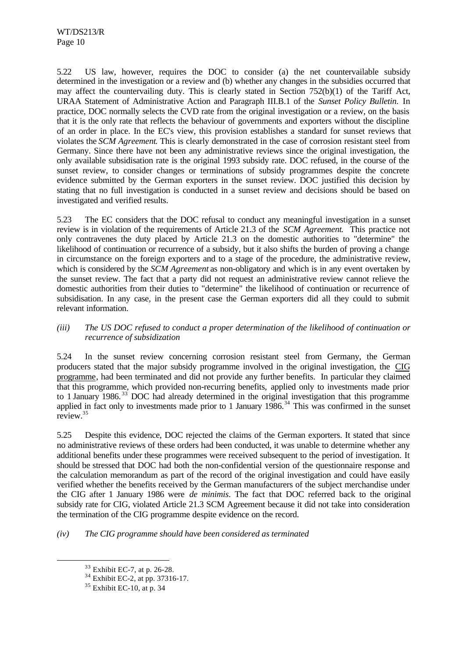5.22 US law, however, requires the DOC to consider (a) the net countervailable subsidy determined in the investigation or a review and (b) whether any changes in the subsidies occurred that may affect the countervailing duty. This is clearly stated in Section 752(b)(1) of the Tariff Act, URAA Statement of Administrative Action and Paragraph III.B.1 of the *Sunset Policy Bulletin.* In practice, DOC normally selects the CVD rate from the original investigation or a review, on the basis that it is the only rate that reflects the behaviour of governments and exporters without the discipline of an order in place. In the EC's view, this provision establishes a standard for sunset reviews that violates the *SCM Agreement*. This is clearly demonstrated in the case of corrosion resistant steel from Germany. Since there have not been any administrative reviews since the original investigation, the only available subsidisation rate is the original 1993 subsidy rate. DOC refused, in the course of the sunset review, to consider changes or terminations of subsidy programmes despite the concrete evidence submitted by the German exporters in the sunset review. DOC justified this decision by stating that no full investigation is conducted in a sunset review and decisions should be based on investigated and verified results.

5.23 The EC considers that the DOC refusal to conduct any meaningful investigation in a sunset review is in violation of the requirements of Article 21.3 of the *SCM Agreement*. This practice not only contravenes the duty placed by Article 21.3 on the domestic authorities to "determine" the likelihood of continuation or recurrence of a subsidy, but it also shifts the burden of proving a change in circumstance on the foreign exporters and to a stage of the procedure, the administrative review, which is considered by the *SCM Agreement* as non-obligatory and which is in any event overtaken by the sunset review. The fact that a party did not request an administrative review cannot relieve the domestic authorities from their duties to "determine" the likelihood of continuation or recurrence of subsidisation. In any case, in the present case the German exporters did all they could to submit relevant information.

### *(iii) The US DOC refused to conduct a proper determination of the likelihood of continuation or recurrence of subsidization*

5.24 In the sunset review concerning corrosion resistant steel from Germany, the German producers stated that the major subsidy programme involved in the original investigation, the CIG programme, had been terminated and did not provide any further benefits. In particular they claimed that this programme, which provided non-recurring benefits, applied only to investments made prior to 1 January 1986. <sup>33</sup> DOC had already determined in the original investigation that this programme applied in fact only to investments made prior to 1 January  $1986$ .<sup>34</sup> This was confirmed in the sunset review.<sup>35</sup>

5.25 Despite this evidence, DOC rejected the claims of the German exporters. It stated that since no administrative reviews of these orders had been conducted, it was unable to determine whether any additional benefits under these programmes were received subsequent to the period of investigation. It should be stressed that DOC had both the non-confidential version of the questionnaire response and the calculation memorandum as part of the record of the original investigation and could have easily verified whether the benefits received by the German manufacturers of the subject merchandise under the CIG after 1 January 1986 were *de minimis*. The fact that DOC referred back to the original subsidy rate for CIG, violated Article 21.3 SCM Agreement because it did not take into consideration the termination of the CIG programme despite evidence on the record.

*(iv) The CIG programme should have been considered as terminated*

<sup>33</sup> Exhibit EC-7, at p. 26-28.

 $34$  Exhibit EC-2, at pp. 37316-17.

 $35$  Exhibit EC-10, at p. 34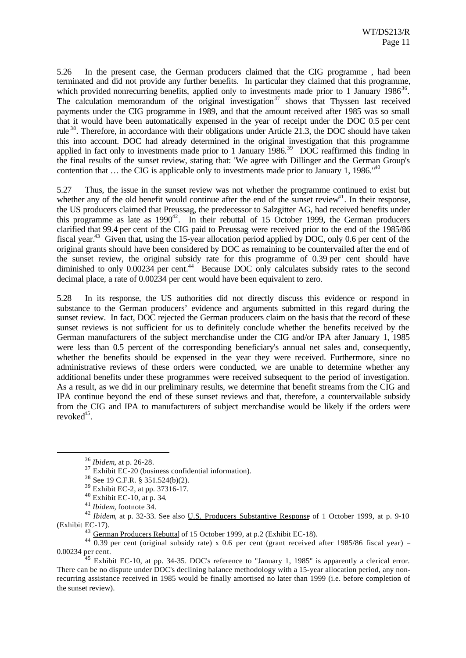5.26 In the present case, the German producers claimed that the CIG programme , had been terminated and did not provide any further benefits. In particular they claimed that this programme, which provided nonrecurring benefits, applied only to investments made prior to 1 January 1986 $36$ . The calculation memorandum of the original investigation<sup>37</sup> shows that Thyssen last received payments under the CIG programme in 1989, and that the amount received after 1985 was so small that it would have been automatically expensed in the year of receipt under the DOC 0.5 per cent rule <sup>38</sup>. Therefore, in accordance with their obligations under Article 21.3, the DOC should have taken this into account. DOC had already determined in the original investigation that this programme applied in fact only to investments made prior to 1 January  $1986$ <sup>39</sup> DOC reaffirmed this finding in the final results of the sunset review, stating that: "We agree with Dillinger and the German Group's contention that  $\ldots$  the CIG is applicable only to investments made prior to January 1, 1986.<sup> $n40$ </sup>

5.27 Thus, the issue in the sunset review was not whether the programme continued to exist but whether any of the old benefit would continue after the end of the sunset review<sup>41</sup>. In their response, the US producers claimed that Preussag, the predecessor to Salzgitter AG, had received benefits under this programme as late as  $1990^{42}$ . In their rebuttal of 15 October 1999, the German producers clarified that 99.4 per cent of the CIG paid to Preussag were received prior to the end of the 1985/86 fiscal year.<sup>43</sup> Given that, using the 15-year allocation period applied by DOC, only 0.6 per cent of the original grants should have been considered by DOC as remaining to be countervailed after the end of the sunset review, the original subsidy rate for this programme of 0.39 per cent should have diminished to only  $0.00234$  per cent.<sup>44</sup> Because DOC only calculates subsidy rates to the second decimal place, a rate of 0.00234 per cent would have been equivalent to zero.

5.28 In its response, the US authorities did not directly discuss this evidence or respond in substance to the German producers' evidence and arguments submitted in this regard during the sunset review. In fact, DOC rejected the German producers claim on the basis that the record of these sunset reviews is not sufficient for us to definitely conclude whether the benefits received by the German manufacturers of the subject merchandise under the CIG and/or IPA after January 1, 1985 were less than 0.5 percent of the corresponding beneficiary's annual net sales and, consequently, whether the benefits should be expensed in the year they were received. Furthermore, since no administrative reviews of these orders were conducted, we are unable to determine whether any additional benefits under these programmes were received subsequent to the period of investigation. As a result, as we did in our preliminary results, we determine that benefit streams from the CIG and IPA continue beyond the end of these sunset reviews and that, therefore, a countervailable subsidy from the CIG and IPA to manufacturers of subject merchandise would be likely if the orders were revoked<sup>45</sup>.

<sup>36</sup> *Ibidem*, at p. 26-28.

 $37$  Exhibit EC-20 (business confidential information).

<sup>38</sup> See 19 C.F.R. § 351.524(b)(2).

<sup>39</sup> Exhibit EC-2, at pp. 37316-17.

<sup>40</sup> Exhibit EC-10, at p. 34.

<sup>41</sup> *Ibidem*, footnote 34.

<sup>42</sup> *Ibidem*, at p. 32-33. See also U.S. Producers Substantive Response of 1 October 1999, at p. 9-10 (Exhibit EC-17).

<sup>&</sup>lt;sup>43</sup> German Producers Rebuttal of 15 October 1999, at p.2 (Exhibit EC-18).

 $44\overline{0.39}$  per cent (original subsidy rate) x 0.6 per cent (grant received after 1985/86 fiscal year) = 0.00234 per cent.

 $45$  Exhibit EC-10, at pp. 34-35. DOC's reference to "January 1, 1985" is apparently a clerical error. There can be no dispute under DOC's declining balance methodology with a 15-year allocation period, any nonrecurring assistance received in 1985 would be finally amortised no later than 1999 (i.e. before completion of the sunset review).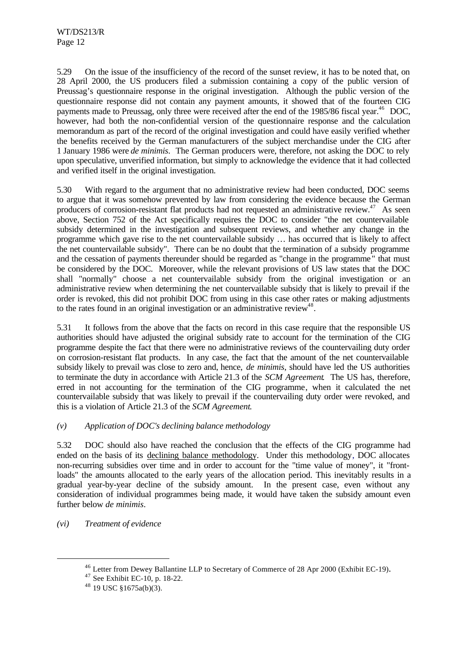5.29 On the issue of the insufficiency of the record of the sunset review, it has to be noted that, on 28 April 2000, the US producers filed a submission containing a copy of the public version of Preussag's questionnaire response in the original investigation. Although the public version of the questionnaire response did not contain any payment amounts, it showed that of the fourteen CIG payments made to Preussag, only three were received after the end of the 1985/86 fiscal year.<sup>46</sup> DOC, however, had both the non-confidential version of the questionnaire response and the calculation memorandum as part of the record of the original investigation and could have easily verified whether the benefits received by the German manufacturers of the subject merchandise under the CIG after 1 January 1986 were *de minimis*. The German producers were, therefore, not asking the DOC to rely upon speculative, unverified information, but simply to acknowledge the evidence that it had collected and verified itself in the original investigation.

5.30 With regard to the argument that no administrative review had been conducted, DOC seems to argue that it was somehow prevented by law from considering the evidence because the German producers of corrosion-resistant flat products had not requested an administrative review.<sup>47</sup> As seen above, Section 752 of the Act specifically requires the DOC to consider "the net countervailable subsidy determined in the investigation and subsequent reviews, and whether any change in the programme which gave rise to the net countervailable subsidy … has occurred that is likely to affect the net countervailable subsidy". There can be no doubt that the termination of a subsidy programme and the cessation of payments thereunder should be regarded as "change in the programme" that must be considered by the DOC. Moreover, while the relevant provisions of US law states that the DOC shall "normally" choose a net countervailable subsidy from the original investigation or an administrative review when determining the net countervailable subsidy that is likely to prevail if the order is revoked, this did not prohibit DOC from using in this case other rates or making adjustments to the rates found in an original investigation or an administrative review<sup>48</sup>.

5.31 It follows from the above that the facts on record in this case require that the responsible US authorities should have adjusted the original subsidy rate to account for the termination of the CIG programme despite the fact that there were no administrative reviews of the countervailing duty order on corrosion-resistant flat products. In any case, the fact that the amount of the net countervailable subsidy likely to prevail was close to zero and, hence, *de minimis*, should have led the US authorities to terminate the duty in accordance with Article 21.3 of the *SCM Agreement*. The US has, therefore, erred in not accounting for the termination of the CIG programme, when it calculated the net countervailable subsidy that was likely to prevail if the countervailing duty order were revoked, and this is a violation of Article 21.3 of the *SCM Agreement*.

# *(v) Application of DOC's declining balance methodology*

5.32 DOC should also have reached the conclusion that the effects of the CIG programme had ended on the basis of its declining balance methodology. Under this methodology, DOC allocates non-recurring subsidies over time and in order to account for the "time value of money", it "frontloads" the amounts allocated to the early years of the allocation period. This inevitably results in a gradual year-by-year decline of the subsidy amount. In the present case, even without any consideration of individual programmes being made, it would have taken the subsidy amount even further below *de minimis*.

*(vi) Treatment of evidence*

<sup>46</sup> Letter from Dewey Ballantine LLP to Secretary of Commerce of 28 Apr 2000 (Exhibit EC-19).

 $47$  See Exhibit EC-10, p. 18-22.

 $48$  19 USC §1675a(b)(3).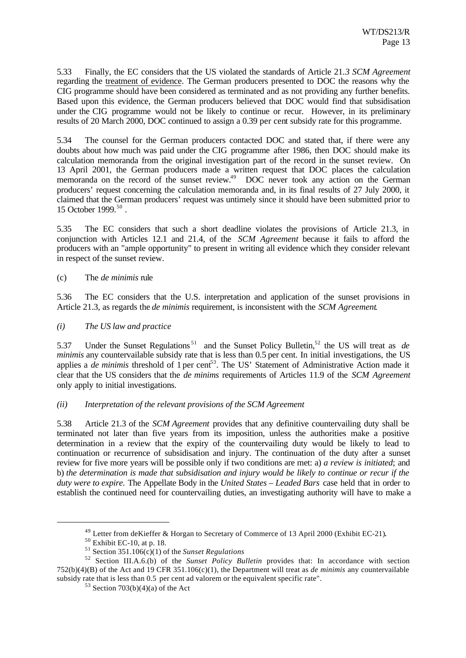5.33 Finally, the EC considers that the US violated the standards of Article 21.*3 SCM Agreement* regarding the treatment of evidence. The German producers presented to DOC the reasons why the CIG programme should have been considered as terminated and as not providing any further benefits. Based upon this evidence, the German producers believed that DOC would find that subsidisation under the CIG programme would not be likely to continue or recur. However, in its preliminary results of 20 March 2000, DOC continued to assign a 0.39 per cent subsidy rate for this programme.

5.34 The counsel for the German producers contacted DOC and stated that, if there were any doubts about how much was paid under the CIG programme after 1986, then DOC should make its calculation memoranda from the original investigation part of the record in the sunset review. On 13 April 2001, the German producers made a written request that DOC places the calculation memoranda on the record of the sunset review.<sup>49</sup> DOC never took any action on the German producers' request concerning the calculation memoranda and, in its final results of 27 July 2000, it claimed that the German producers' request was untimely since it should have been submitted prior to 15 October 1999.<sup>50</sup>.

5.35 The EC considers that such a short deadline violates the provisions of Article 21.3, in conjunction with Articles 12.1 and 21.4, of the *SCM Agreement* because it fails to afford the producers with an "ample opportunity" to present in writing all evidence which they consider relevant in respect of the sunset review.

#### (c) The *de minimis* rule

5.36 The EC considers that the U.S. interpretation and application of the sunset provisions in Article 21.3, as regards the *de minimis* requirement, is inconsistent with the *SCM Agreement*.

## *(i) The US law and practice*

5.37 Under the Sunset Regulations <sup>51</sup> and the Sunset Policy Bulletin,<sup>52</sup> the US will treat as *de minimis* any countervailable subsidy rate that is less than 0.5 per cent. In initial investigations, the US applies a *de minimis* threshold of 1 per cent<sup>53</sup>. The US' Statement of Administrative Action made it clear that the US considers that the *de minims* requirements of Articles 11.9 of the *SCM Agreement* only apply to initial investigations.

#### *(ii) Interpretation of the relevant provisions of the SCM Agreement*

5.38 Article 21.3 of the *SCM Agreement* provides that any definitive countervailing duty shall be terminated not later than five years from its imposition, unless the authorities make a positive determination in a review that the expiry of the countervailing duty would be likely to lead to continuation or recurrence of subsidisation and injury. The continuation of the duty after a sunset review for five more years will be possible only if two conditions are met: a) *a review is initiated*; and b) *the determination is made that subsidisation and injury would be likely to continue or recur if the duty were to expire.* The Appellate Body in the *United States – Leaded Bars* case held that in order to establish the continued need for countervailing duties, an investigating authority will have to make a

 $^{49}$  Letter from deKieffer & Horgan to Secretary of Commerce of 13 April 2000 (Exhibit EC-21).

 $50$  Exhibit EC-10, at p. 18.

<sup>51</sup> Section 351.106(c)(1) of the *Sunset Regulations*

<sup>52</sup> Section III.A.6.(b) of the *Sunset Policy Bulletin* provides that: In accordance with section 752(b)(4)(B) of the Act and 19 CFR 351.106(c)(1), the Department will treat as *de minimis* any countervailable subsidy rate that is less than 0.5 per cent ad valorem or the equivalent specific rate".

<sup>&</sup>lt;sup>53</sup> Section 703(b)(4)(a) of the Act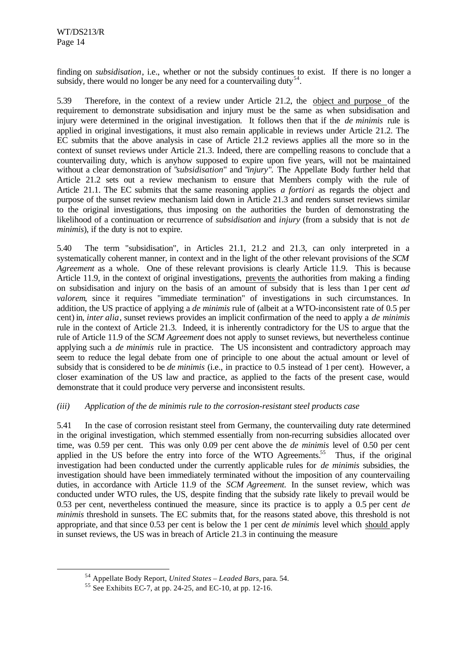finding on *subsidisation*, i.e., whether or not the subsidy continues to exist. If there is no longer a subsidy, there would no longer be any need for a countervailing duty<sup>54</sup>.

5.39 Therefore, in the context of a review under Article 21.2, the object and purpose of the requirement to demonstrate subsidisation and injury must be the same as when subsidisation and injury were determined in the original investigation. It follows then that if the *de minimis* rule is applied in original investigations, it must also remain applicable in reviews under Article 21.2. The EC submits that the above analysis in case of Article 21.2 reviews applies all the more so in the context of sunset reviews under Article 21.3. Indeed, there are compelling reasons to conclude that a countervailing duty, which is anyhow supposed to expire upon five years, will not be maintained without a clear demonstration of "*subsidisation*" and "*injury*"*.* The Appellate Body further held that Article 21.2 sets out a review mechanism to ensure that Members comply with the rule of Article 21.1. The EC submits that the same reasoning applies *a fortiori* as regards the object and purpose of the sunset review mechanism laid down in Article 21.3 and renders sunset reviews similar to the original investigations, thus imposing on the authorities the burden of demonstrating the likelihood of a continuation or recurrence of *subsidisation* and *injury* (from a subsidy that is not *de minimis*), if the duty is not to expire.

5.40 The term "subsidisation", in Articles 21.1, 21.2 and 21.3, can only interpreted in a systematically coherent manner, in context and in the light of the other relevant provisions of the *SCM Agreement* as a whole. One of these relevant provisions is clearly Article 11.9. This is because Article 11.9, in the context of original investigations, prevents the authorities from making a finding on subsidisation and injury on the basis of an amount of subsidy that is less than 1 per cent *ad valorem*, since it requires "immediate termination" of investigations in such circumstances. In addition, the US practice of applying a *de minimis* rule of (albeit at a WTO-inconsistent rate of 0.5 per cent) in, *inter alia*, sunset reviews provides an implicit confirmation of the need to apply a *de minimis* rule in the context of Article 21.3. Indeed, it is inherently contradictory for the US to argue that the rule of Article 11.9 of the *SCM Agreement* does not apply to sunset reviews, but nevertheless continue applying such a *de minimis* rule in practice. The US inconsistent and contradictory approach may seem to reduce the legal debate from one of principle to one about the actual amount or level of subsidy that is considered to be *de minimis* (i.e., in practice to 0.5 instead of 1 per cent). However, a closer examination of the US law and practice, as applied to the facts of the present case, would demonstrate that it could produce very perverse and inconsistent results.

# *(iii) Application of the de minimis rule to the corrosion-resistant steel products case*

5.41 In the case of corrosion resistant steel from Germany, the countervailing duty rate determined in the original investigation, which stemmed essentially from non-recurring subsidies allocated over time, was 0.59 per cent. This was only 0.09 per cent above the *de minimis* level of 0.50 per cent applied in the US before the entry into force of the WTO Agreements.<sup>55</sup> Thus, if the original investigation had been conducted under the currently applicable rules for *de minimis* subsidies, the investigation should have been immediately terminated without the imposition of any countervailing duties, in accordance with Article 11.9 of the *SCM Agreement.* In the sunset review, which was conducted under WTO rules, the US, despite finding that the subsidy rate likely to prevail would be 0.53 per cent, nevertheless continued the measure, since its practice is to apply a 0.5 per cent *de minimis* threshold in sunsets. The EC submits that, for the reasons stated above, this threshold is not appropriate, and that since 0.53 per cent is below the 1 per cent *de minimis* level which should apply in sunset reviews, the US was in breach of Article 21.3 in continuing the measure

<sup>54</sup> Appellate Body Report, *United States – Leaded Bars*, para. 54.

<sup>55</sup> See Exhibits EC**-**7, at pp. 24-25, and EC-10, at pp. 12-16.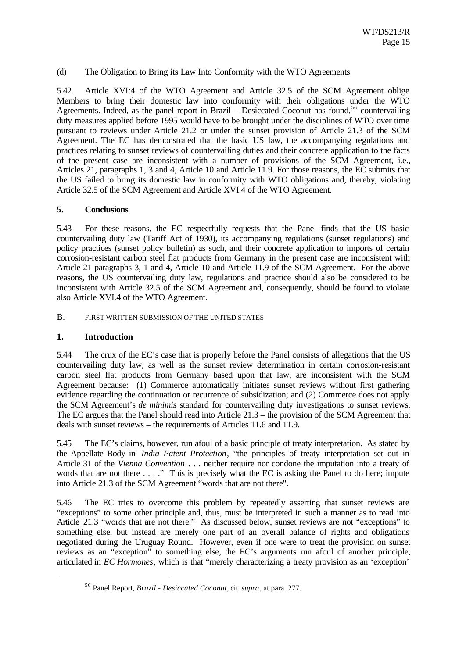#### (d) The Obligation to Bring its Law Into Conformity with the WTO Agreements

5.42 Article XVI:4 of the WTO Agreement and Article 32.5 of the SCM Agreement oblige Members to bring their domestic law into conformity with their obligations under the WTO Agreements. Indeed, as the panel report in Brazil – Desiccated Coconut has found,<sup>56</sup> countervailing duty measures applied before 1995 would have to be brought under the disciplines of WTO over time pursuant to reviews under Article 21.2 or under the sunset provision of Article 21.3 of the SCM Agreement. The EC has demonstrated that the basic US law, the accompanying regulations and practices relating to sunset reviews of countervailing duties and their concrete application to the facts of the present case are inconsistent with a number of provisions of the SCM Agreement, i.e., Articles 21, paragraphs 1, 3 and 4, Article 10 and Article 11.9. For those reasons, the EC submits that the US failed to bring its domestic law in conformity with WTO obligations and, thereby, violating Article 32.5 of the SCM Agreement and Article XVI.4 of the WTO Agreement.

### **5. Conclusions**

5.43 For these reasons, the EC respectfully requests that the Panel finds that the US basic countervailing duty law (Tariff Act of 1930), its accompanying regulations (sunset regulations) and policy practices (sunset policy bulletin) as such, and their concrete application to imports of certain corrosion-resistant carbon steel flat products from Germany in the present case are inconsistent with Article 21 paragraphs 3, 1 and 4, Article 10 and Article 11.9 of the SCM Agreement. For the above reasons, the US countervailing duty law, regulations and practice should also be considered to be inconsistent with Article 32.5 of the SCM Agreement and, consequently, should be found to violate also Article XVI.4 of the WTO Agreement.

B. FIRST WRITTEN SUBMISSION OF THE UNITED STATES

# **1. Introduction**

l

5.44 The crux of the EC's case that is properly before the Panel consists of allegations that the US countervailing duty law, as well as the sunset review determination in certain corrosion-resistant carbon steel flat products from Germany based upon that law, are inconsistent with the SCM Agreement because: (1) Commerce automatically initiates sunset reviews without first gathering evidence regarding the continuation or recurrence of subsidization; and (2) Commerce does not apply the SCM Agreement's *de minimis* standard for countervailing duty investigations to sunset reviews. The EC argues that the Panel should read into Article 21.3 – the provision of the SCM Agreement that deals with sunset reviews – the requirements of Articles 11.6 and 11.9.

5.45 The EC's claims, however, run afoul of a basic principle of treaty interpretation. As stated by the Appellate Body in *India Patent Protection*, "the principles of treaty interpretation set out in Article 31 of the *Vienna Convention* . . . neither require nor condone the imputation into a treaty of words that are not there . . . ." This is precisely what the EC is asking the Panel to do here; impute into Article 21.3 of the SCM Agreement "words that are not there".

5.46 The EC tries to overcome this problem by repeatedly asserting that sunset reviews are "exceptions" to some other principle and, thus, must be interpreted in such a manner as to read into Article 21.3 "words that are not there." As discussed below, sunset reviews are not "exceptions" to something else, but instead are merely one part of an overall balance of rights and obligations negotiated during the Uruguay Round. However, even if one were to treat the provision on sunset reviews as an "exception" to something else, the EC's arguments run afoul of another principle, articulated in *EC Hormones*, which is that "merely characterizing a treaty provision as an 'exception'

<sup>56</sup> Panel Report, *Brazil - Desiccated Coconut*, cit. *supra*, at para. 277.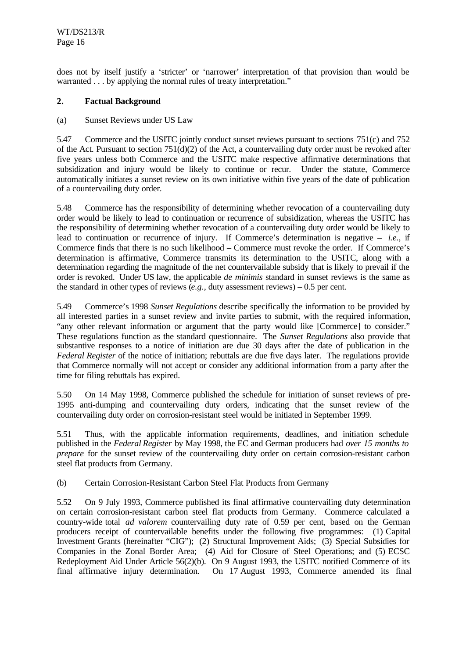does not by itself justify a 'stricter' or 'narrower' interpretation of that provision than would be warranted . . . by applying the normal rules of treaty interpretation."

# **2. Factual Background**

### (a) Sunset Reviews under US Law

5.47 Commerce and the USITC jointly conduct sunset reviews pursuant to sections 751(c) and 752 of the Act. Pursuant to section 751(d)(2) of the Act, a countervailing duty order must be revoked after five years unless both Commerce and the USITC make respective affirmative determinations that subsidization and injury would be likely to continue or recur. Under the statute, Commerce automatically initiates a sunset review on its own initiative within five years of the date of publication of a countervailing duty order.

5.48 Commerce has the responsibility of determining whether revocation of a countervailing duty order would be likely to lead to continuation or recurrence of subsidization, whereas the USITC has the responsibility of determining whether revocation of a countervailing duty order would be likely to lead to continuation or recurrence of injury. If Commerce's determination is negative – *i.e.*, if Commerce finds that there is no such likelihood – Commerce must revoke the order. If Commerce's determination is affirmative, Commerce transmits its determination to the USITC, along with a determination regarding the magnitude of the net countervailable subsidy that is likely to prevail if the order is revoked. Under US law, the applicable *de minimis* standard in sunset reviews is the same as the standard in other types of reviews (*e.g.*, duty assessment reviews) – 0.5 per cent.

5.49 Commerce's 1998 *Sunset Regulations* describe specifically the information to be provided by all interested parties in a sunset review and invite parties to submit, with the required information, "any other relevant information or argument that the party would like [Commerce] to consider." These regulations function as the standard questionnaire. The *Sunset Regulations* also provide that substantive responses to a notice of initiation are due 30 days after the date of publication in the *Federal Register* of the notice of initiation; rebuttals are due five days later. The regulations provide that Commerce normally will not accept or consider any additional information from a party after the time for filing rebuttals has expired.

5.50 On 14 May 1998, Commerce published the schedule for initiation of sunset reviews of pre-1995 anti-dumping and countervailing duty orders, indicating that the sunset review of the countervailing duty order on corrosion-resistant steel would be initiated in September 1999.

5.51 Thus, with the applicable information requirements, deadlines, and initiation schedule published in the *Federal Register* by May 1998, the EC and German producers had *over 15 months to prepare* for the sunset review of the countervailing duty order on certain corrosion-resistant carbon steel flat products from Germany.

(b) Certain Corrosion-Resistant Carbon Steel Flat Products from Germany

5.52 On 9 July 1993, Commerce published its final affirmative countervailing duty determination on certain corrosion-resistant carbon steel flat products from Germany. Commerce calculated a country-wide total *ad valorem* countervailing duty rate of 0.59 per cent, based on the German producers receipt of countervailable benefits under the following five programmes: (1) Capital Investment Grants (hereinafter "CIG"); (2) Structural Improvement Aids; (3) Special Subsidies for Companies in the Zonal Border Area; (4) Aid for Closure of Steel Operations; and (5) ECSC Redeployment Aid Under Article 56(2)(b). On 9 August 1993, the USITC notified Commerce of its final affirmative injury determination. On 17 August 1993, Commerce amended its final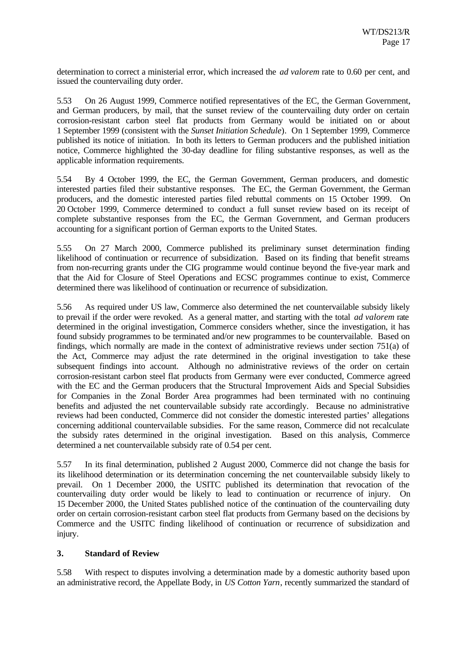determination to correct a ministerial error, which increased the *ad valorem* rate to 0.60 per cent, and issued the countervailing duty order.

5.53 On 26 August 1999, Commerce notified representatives of the EC, the German Government, and German producers, by mail, that the sunset review of the countervailing duty order on certain corrosion-resistant carbon steel flat products from Germany would be initiated on or about 1 September 1999 (consistent with the *Sunset Initiation Schedule*). On 1 September 1999, Commerce published its notice of initiation. In both its letters to German producers and the published initiation notice, Commerce highlighted the 30-day deadline for filing substantive responses, as well as the applicable information requirements.

5.54 By 4 October 1999, the EC, the German Government, German producers, and domestic interested parties filed their substantive responses. The EC, the German Government, the German producers, and the domestic interested parties filed rebuttal comments on 15 October 1999. On 20 October 1999, Commerce determined to conduct a full sunset review based on its receipt of complete substantive responses from the EC, the German Government, and German producers accounting for a significant portion of German exports to the United States.

5.55 On 27 March 2000, Commerce published its preliminary sunset determination finding likelihood of continuation or recurrence of subsidization. Based on its finding that benefit streams from non-recurring grants under the CIG programme would continue beyond the five-year mark and that the Aid for Closure of Steel Operations and ECSC programmes continue to exist, Commerce determined there was likelihood of continuation or recurrence of subsidization.

5.56 As required under US law, Commerce also determined the net countervailable subsidy likely to prevail if the order were revoked. As a general matter, and starting with the total *ad valorem* rate determined in the original investigation, Commerce considers whether, since the investigation, it has found subsidy programmes to be terminated and/or new programmes to be countervailable. Based on findings, which normally are made in the context of administrative reviews under section 751(a) of the Act, Commerce may adjust the rate determined in the original investigation to take these subsequent findings into account. Although no administrative reviews of the order on certain corrosion-resistant carbon steel flat products from Germany were ever conducted, Commerce agreed with the EC and the German producers that the Structural Improvement Aids and Special Subsidies for Companies in the Zonal Border Area programmes had been terminated with no continuing benefits and adjusted the net countervailable subsidy rate accordingly. Because no administrative reviews had been conducted, Commerce did not consider the domestic interested parties' allegations concerning additional countervailable subsidies. For the same reason, Commerce did not recalculate the subsidy rates determined in the original investigation. Based on this analysis, Commerce determined a net countervailable subsidy rate of 0.54 per cent.

5.57 In its final determination, published 2 August 2000, Commerce did not change the basis for its likelihood determination or its determination concerning the net countervailable subsidy likely to prevail. On 1 December 2000, the USITC published its determination that revocation of the countervailing duty order would be likely to lead to continuation or recurrence of injury. On 15 December 2000, the United States published notice of the continuation of the countervailing duty order on certain corrosion-resistant carbon steel flat products from Germany based on the decisions by Commerce and the USITC finding likelihood of continuation or recurrence of subsidization and injury.

# **3. Standard of Review**

5.58 With respect to disputes involving a determination made by a domestic authority based upon an administrative record, the Appellate Body, in *US Cotton Yarn*, recently summarized the standard of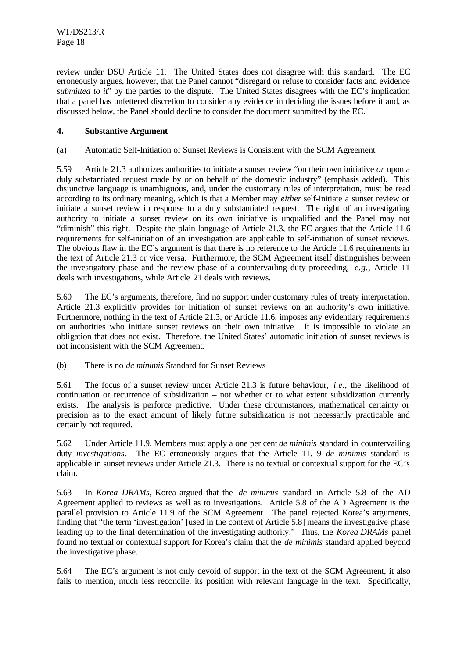review under DSU Article 11. The United States does not disagree with this standard. The EC erroneously argues, however, that the Panel cannot "disregard or refuse to consider facts and evidence *submitted to it*" by the parties to the dispute. The United States disagrees with the EC's implication that a panel has unfettered discretion to consider any evidence in deciding the issues before it and, as discussed below, the Panel should decline to consider the document submitted by the EC.

# **4. Substantive Argument**

### (a) Automatic Self-Initiation of Sunset Reviews is Consistent with the SCM Agreement

5.59 Article 21.3 authorizes authorities to initiate a sunset review "on their own initiative *or* upon a duly substantiated request made by or on behalf of the domestic industry" (emphasis added). This disjunctive language is unambiguous, and, under the customary rules of interpretation, must be read according to its ordinary meaning, which is that a Member may *either* self-initiate a sunset review or initiate a sunset review in response to a duly substantiated request. The right of an investigating authority to initiate a sunset review on its own initiative is unqualified and the Panel may not "diminish" this right. Despite the plain language of Article 21.3, the EC argues that the Article 11.6 requirements for self-initiation of an investigation are applicable to self-initiation of sunset reviews. The obvious flaw in the EC's argument is that there is no reference to the Article 11.6 requirements in the text of Article 21.3 or vice versa. Furthermore, the SCM Agreement itself distinguishes between the investigatory phase and the review phase of a countervailing duty proceeding, *e.g.*, Article 11 deals with investigations, while Article 21 deals with reviews.

5.60 The EC's arguments, therefore, find no support under customary rules of treaty interpretation. Article 21.3 explicitly provides for initiation of sunset reviews on an authority's own initiative. Furthermore, nothing in the text of Article 21.3, or Article 11.6, imposes any evidentiary requirements on authorities who initiate sunset reviews on their own initiative. It is impossible to violate an obligation that does not exist. Therefore, the United States' automatic initiation of sunset reviews is not inconsistent with the SCM Agreement.

(b) There is no *de minimis* Standard for Sunset Reviews

5.61 The focus of a sunset review under Article 21.3 is future behaviour, *i.e.*, the likelihood of continuation or recurrence of subsidization – not whether or to what extent subsidization currently exists. The analysis is perforce predictive. Under these circumstances, mathematical certainty or precision as to the exact amount of likely future subsidization is not necessarily practicable and certainly not required.

5.62 Under Article 11.9, Members must apply a one per cent *de minimis* standard in countervailing duty *investigations*. The EC erroneously argues that the Article 11. 9 *de minimis* standard is applicable in sunset reviews under Article 21.3. There is no textual or contextual support for the EC's claim.

5.63 In *Korea DRAMs*, Korea argued that the *de minimis* standard in Article 5.8 of the AD Agreement applied to reviews as well as to investigations. Article 5.8 of the AD Agreement is the parallel provision to Article 11.9 of the SCM Agreement. The panel rejected Korea's arguments, finding that "the term 'investigation' [used in the context of Article 5.8] means the investigative phase leading up to the final determination of the investigating authority." Thus, the *Korea DRAMs* panel found no textual or contextual support for Korea's claim that the *de minimis* standard applied beyond the investigative phase.

5.64 The EC's argument is not only devoid of support in the text of the SCM Agreement, it also fails to mention, much less reconcile, its position with relevant language in the text. Specifically,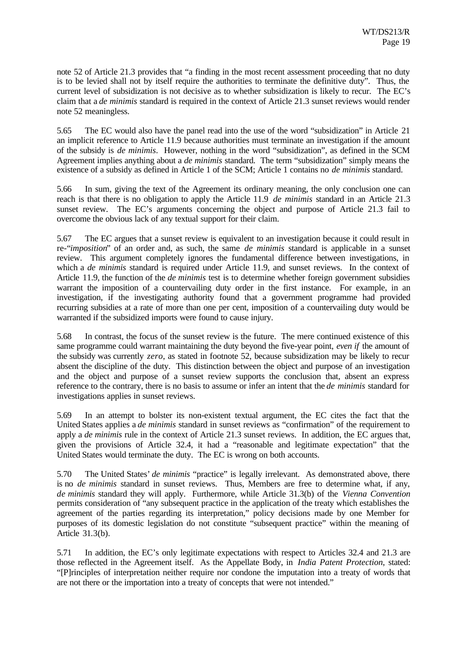note 52 of Article 21.3 provides that "a finding in the most recent assessment proceeding that no duty is to be levied shall not by itself require the authorities to terminate the definitive duty". Thus, the current level of subsidization is not decisive as to whether subsidization is likely to recur. The EC's claim that a *de minimis* standard is required in the context of Article 21.3 sunset reviews would render note 52 meaningless.

5.65 The EC would also have the panel read into the use of the word "subsidization" in Article 21 an implicit reference to Article 11.9 because authorities must terminate an investigation if the amount of the subsidy is *de minimis*. However, nothing in the word "subsidization", as defined in the SCM Agreement implies anything about a *de minimis* standard. The term "subsidization" simply means the existence of a subsidy as defined in Article 1 of the SCM; Article 1 contains no *de minimis* standard.

5.66 In sum, giving the text of the Agreement its ordinary meaning, the only conclusion one can reach is that there is no obligation to apply the Article 11.9 *de minimis* standard in an Article 21.3 sunset review. The EC's arguments concerning the object and purpose of Article 21.3 fail to overcome the obvious lack of any textual support for their claim.

5.67 The EC argues that a sunset review is equivalent to an investigation because it could result in re-"*imposition*" of an order and, as such, the same *de minimis* standard is applicable in a sunset review. This argument completely ignores the fundamental difference between investigations, in which a *de minimis* standard is required under Article 11.9, and sunset reviews. In the context of Article 11.9, the function of the *de minimis* test is to determine whether foreign government subsidies warrant the imposition of a countervailing duty order in the first instance. For example, in an investigation, if the investigating authority found that a government programme had provided recurring subsidies at a rate of more than one per cent, imposition of a countervailing duty would be warranted if the subsidized imports were found to cause injury.

5.68 In contrast, the focus of the sunset review is the future. The mere continued existence of this same programme could warrant maintaining the duty beyond the five-year point, *even if* the amount of the subsidy was currently *zero*, as stated in footnote 52, because subsidization may be likely to recur absent the discipline of the duty. This distinction between the object and purpose of an investigation and the object and purpose of a sunset review supports the conclusion that, absent an express reference to the contrary, there is no basis to assume or infer an intent that the *de minimis* standard for investigations applies in sunset reviews.

5.69 In an attempt to bolster its non-existent textual argument, the EC cites the fact that the United States applies a *de minimis* standard in sunset reviews as "confirmation" of the requirement to apply a *de minimis* rule in the context of Article 21.3 sunset reviews. In addition, the EC argues that, given the provisions of Article 32.4, it had a "reasonable and legitimate expectation" that the United States would terminate the duty. The EC is wrong on both accounts.

5.70 The United States' *de minimis* "practice" is legally irrelevant. As demonstrated above, there is no *de minimis* standard in sunset reviews. Thus, Members are free to determine what, if any, *de minimis* standard they will apply. Furthermore, while Article 31.3(b) of the *Vienna Convention* permits consideration of "any subsequent practice in the application of the treaty which establishes the agreement of the parties regarding its interpretation," policy decisions made by one Member for purposes of its domestic legislation do not constitute "subsequent practice" within the meaning of Article 31.3(b).

5.71 In addition, the EC's only legitimate expectations with respect to Articles 32.4 and 21.3 are those reflected in the Agreement itself. As the Appellate Body, in *India Patent Protection*, stated: "[P]rinciples of interpretation neither require nor condone the imputation into a treaty of words that are not there or the importation into a treaty of concepts that were not intended."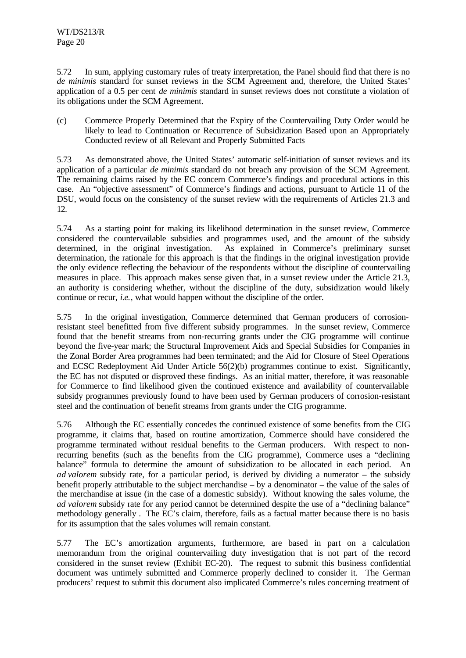5.72 In sum, applying customary rules of treaty interpretation, the Panel should find that there is no *de minimis* standard for sunset reviews in the SCM Agreement and, therefore, the United States' application of a 0.5 per cent *de minimis* standard in sunset reviews does not constitute a violation of its obligations under the SCM Agreement.

(c) Commerce Properly Determined that the Expiry of the Countervailing Duty Order would be likely to lead to Continuation or Recurrence of Subsidization Based upon an Appropriately Conducted review of all Relevant and Properly Submitted Facts

5.73 As demonstrated above, the United States' automatic self-initiation of sunset reviews and its application of a particular *de minimis* standard do not breach any provision of the SCM Agreement. The remaining claims raised by the EC concern Commerce's findings and procedural actions in this case. An "objective assessment" of Commerce's findings and actions, pursuant to Article 11 of the DSU, would focus on the consistency of the sunset review with the requirements of Articles 21.3 and 12.

5.74 As a starting point for making its likelihood determination in the sunset review, Commerce considered the countervailable subsidies and programmes used, and the amount of the subsidy determined, in the original investigation. As explained in Commerce's preliminary sunset determination, the rationale for this approach is that the findings in the original investigation provide the only evidence reflecting the behaviour of the respondents without the discipline of countervailing measures in place. This approach makes sense given that, in a sunset review under the Article 21.3, an authority is considering whether, without the discipline of the duty, subsidization would likely continue or recur, *i.e.*, what would happen without the discipline of the order.

5.75 In the original investigation, Commerce determined that German producers of corrosionresistant steel benefitted from five different subsidy programmes. In the sunset review, Commerce found that the benefit streams from non-recurring grants under the CIG programme will continue beyond the five-year mark; the Structural Improvement Aids and Special Subsidies for Companies in the Zonal Border Area programmes had been terminated; and the Aid for Closure of Steel Operations and ECSC Redeployment Aid Under Article 56(2)(b) programmes continue to exist. Significantly, the EC has not disputed or disproved these findings. As an initial matter, therefore, it was reasonable for Commerce to find likelihood given the continued existence and availability of countervailable subsidy programmes previously found to have been used by German producers of corrosion-resistant steel and the continuation of benefit streams from grants under the CIG programme.

5.76 Although the EC essentially concedes the continued existence of some benefits from the CIG programme, it claims that, based on routine amortization, Commerce should have considered the programme terminated without residual benefits to the German producers. With respect to nonrecurring benefits (such as the benefits from the CIG programme), Commerce uses a "declining balance" formula to determine the amount of subsidization to be allocated in each period. An *ad valorem* subsidy rate, for a particular period, is derived by dividing a numerator – the subsidy benefit properly attributable to the subject merchandise – by a denominator – the value of the sales of the merchandise at issue (in the case of a domestic subsidy). Without knowing the sales volume, the *ad valorem* subsidy rate for any period cannot be determined despite the use of a "declining balance" methodology generally . The EC's claim, therefore, fails as a factual matter because there is no basis for its assumption that the sales volumes will remain constant.

5.77 The EC's amortization arguments, furthermore, are based in part on a calculation memorandum from the original countervailing duty investigation that is not part of the record considered in the sunset review (Exhibit EC-20). The request to submit this business confidential document was untimely submitted and Commerce properly declined to consider it. The German producers' request to submit this document also implicated Commerce's rules concerning treatment of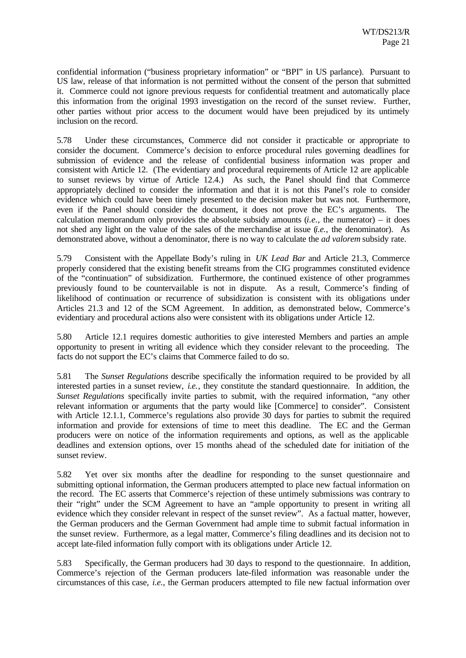confidential information ("business proprietary information" or "BPI" in US parlance). Pursuant to US law, release of that information is not permitted without the consent of the person that submitted it. Commerce could not ignore previous requests for confidential treatment and automatically place this information from the original 1993 investigation on the record of the sunset review. Further, other parties without prior access to the document would have been prejudiced by its untimely inclusion on the record.

5.78 Under these circumstances, Commerce did not consider it practicable or appropriate to consider the document. Commerce's decision to enforce procedural rules governing deadlines for submission of evidence and the release of confidential business information was proper and consistent with Article 12. (The evidentiary and procedural requirements of Article 12 are applicable to sunset reviews by virtue of Article 12.4.) As such, the Panel should find that Commerce appropriately declined to consider the information and that it is not this Panel's role to consider evidence which could have been timely presented to the decision maker but was not. Furthermore, even if the Panel should consider the document, it does not prove the EC's arguments. The calculation memorandum only provides the absolute subsidy amounts  $(i.e.,$  the numerator) – it does not shed any light on the value of the sales of the merchandise at issue (*i.e.*, the denominator). As demonstrated above, without a denominator, there is no way to calculate the *ad valorem* subsidy rate.

5.79 Consistent with the Appellate Body's ruling in *UK Lead Bar* and Article 21.3, Commerce properly considered that the existing benefit streams from the CIG programmes constituted evidence of the "continuation" of subsidization. Furthermore, the continued existence of other programmes previously found to be countervailable is not in dispute. As a result, Commerce's finding of likelihood of continuation or recurrence of subsidization is consistent with its obligations under Articles 21.3 and 12 of the SCM Agreement. In addition, as demonstrated below, Commerce's evidentiary and procedural actions also were consistent with its obligations under Article 12.

5.80 Article 12.1 requires domestic authorities to give interested Members and parties an ample opportunity to present in writing all evidence which they consider relevant to the proceeding. The facts do not support the EC's claims that Commerce failed to do so.

5.81 The *Sunset Regulations* describe specifically the information required to be provided by all interested parties in a sunset review, *i.e.*, they constitute the standard questionnaire. In addition, the *Sunset Regulations* specifically invite parties to submit, with the required information, "any other relevant information or arguments that the party would like [Commerce] to consider". Consistent with Article 12.1.1, Commerce's regulations also provide 30 days for parties to submit the required information and provide for extensions of time to meet this deadline. The EC and the German producers were on notice of the information requirements and options, as well as the applicable deadlines and extension options, over 15 months ahead of the scheduled date for initiation of the sunset review.

5.82 Yet over six months after the deadline for responding to the sunset questionnaire and submitting optional information, the German producers attempted to place new factual information on the record. The EC asserts that Commerce's rejection of these untimely submissions was contrary to their "right" under the SCM Agreement to have an "ample opportunity to present in writing all evidence which they consider relevant in respect of the sunset review". As a factual matter, however, the German producers and the German Government had ample time to submit factual information in the sunset review. Furthermore, as a legal matter, Commerce's filing deadlines and its decision not to accept late-filed information fully comport with its obligations under Article 12.

5.83 Specifically, the German producers had 30 days to respond to the questionnaire. In addition, Commerce's rejection of the German producers late-filed information was reasonable under the circumstances of this case, *i.e.*, the German producers attempted to file new factual information over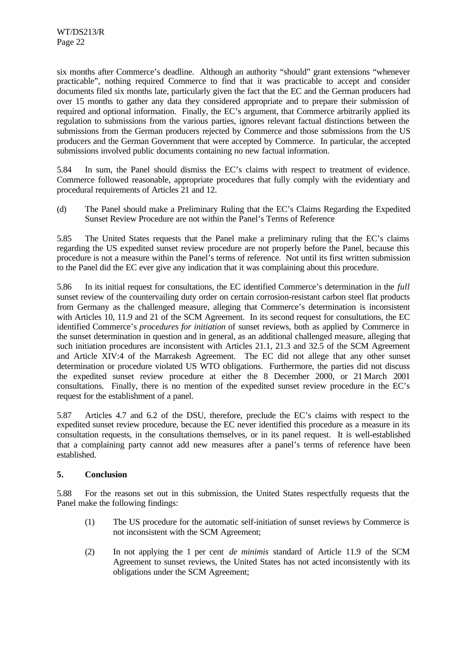six months after Commerce's deadline. Although an authority "should" grant extensions "whenever practicable", nothing required Commerce to find that it was practicable to accept and consider documents filed six months late, particularly given the fact that the EC and the German producers had over 15 months to gather any data they considered appropriate and to prepare their submission of required and optional information. Finally, the EC's argument, that Commerce arbitrarily applied its regulation to submissions from the various parties, ignores relevant factual distinctions between the submissions from the German producers rejected by Commerce and those submissions from the US producers and the German Government that were accepted by Commerce. In particular, the accepted submissions involved public documents containing no new factual information.

5.84 In sum, the Panel should dismiss the EC's claims with respect to treatment of evidence. Commerce followed reasonable, appropriate procedures that fully comply with the evidentiary and procedural requirements of Articles 21 and 12.

(d) The Panel should make a Preliminary Ruling that the EC's Claims Regarding the Expedited Sunset Review Procedure are not within the Panel's Terms of Reference

5.85 The United States requests that the Panel make a preliminary ruling that the EC's claims regarding the US expedited sunset review procedure are not properly before the Panel, because this procedure is not a measure within the Panel's terms of reference. Not until its first written submission to the Panel did the EC ever give any indication that it was complaining about this procedure.

5.86 In its initial request for consultations, the EC identified Commerce's determination in the *full* sunset review of the countervailing duty order on certain corrosion-resistant carbon steel flat products from Germany as the challenged measure, alleging that Commerce's determination is inconsistent with Articles 10, 11.9 and 21 of the SCM Agreement. In its second request for consultations, the EC identified Commerce's *procedures for initiation* of sunset reviews, both as applied by Commerce in the sunset determination in question and in general, as an additional challenged measure, alleging that such initiation procedures are inconsistent with Articles 21.1, 21.3 and 32.5 of the SCM Agreement and Article XIV:4 of the Marrakesh Agreement. The EC did not allege that any other sunset determination or procedure violated US WTO obligations. Furthermore, the parties did not discuss the expedited sunset review procedure at either the 8 December 2000, or 21 March 2001 consultations. Finally, there is no mention of the expedited sunset review procedure in the EC's request for the establishment of a panel.

5.87 Articles 4.7 and 6.2 of the DSU, therefore, preclude the EC's claims with respect to the expedited sunset review procedure, because the EC never identified this procedure as a measure in its consultation requests, in the consultations themselves, or in its panel request. It is well-established that a complaining party cannot add new measures after a panel's terms of reference have been established.

# **5. Conclusion**

5.88 For the reasons set out in this submission, the United States respectfully requests that the Panel make the following findings:

- (1) The US procedure for the automatic self-initiation of sunset reviews by Commerce is not inconsistent with the SCM Agreement;
- (2) In not applying the 1 per cent *de minimis* standard of Article 11.9 of the SCM Agreement to sunset reviews, the United States has not acted inconsistently with its obligations under the SCM Agreement;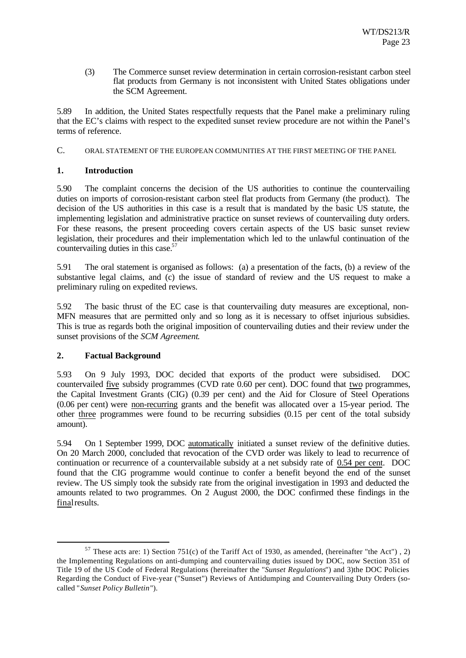(3) The Commerce sunset review determination in certain corrosion-resistant carbon steel flat products from Germany is not inconsistent with United States obligations under the SCM Agreement.

5.89 In addition, the United States respectfully requests that the Panel make a preliminary ruling that the EC's claims with respect to the expedited sunset review procedure are not within the Panel's terms of reference.

C. ORAL STATEMENT OF THE EUROPEAN COMMUNITIES AT THE FIRST MEETING OF THE PANEL

# **1. Introduction**

5.90 The complaint concerns the decision of the US authorities to continue the countervailing duties on imports of corrosion-resistant carbon steel flat products from Germany (the product). The decision of the US authorities in this case is a result that is mandated by the basic US statute, the implementing legislation and administrative practice on sunset reviews of countervailing duty orders. For these reasons, the present proceeding covers certain aspects of the US basic sunset review legislation, their procedures and their implementation which led to the unlawful continuation of the countervailing duties in this case.<sup>57</sup>

5.91 The oral statement is organised as follows: (a) a presentation of the facts, (b) a review of the substantive legal claims, and (c) the issue of standard of review and the US request to make a preliminary ruling on expedited reviews.

5.92 The basic thrust of the EC case is that countervailing duty measures are exceptional, non-MFN measures that are permitted only and so long as it is necessary to offset injurious subsidies. This is true as regards both the original imposition of countervailing duties and their review under the sunset provisions of the *SCM Agreement*.

# **2. Factual Background**

l

5.93 On 9 July 1993, DOC decided that exports of the product were subsidised. DOC countervailed five subsidy programmes (CVD rate 0.60 per cent). DOC found that two programmes, the Capital Investment Grants (CIG) (0.39 per cent) and the Aid for Closure of Steel Operations (0.06 per cent) were non-recurring grants and the benefit was allocated over a 15-year period. The other three programmes were found to be recurring subsidies (0.15 per cent of the total subsidy amount).

5.94 On 1 September 1999, DOC automatically initiated a sunset review of the definitive duties. On 20 March 2000, concluded that revocation of the CVD order was likely to lead to recurrence of continuation or recurrence of a countervailable subsidy at a net subsidy rate of  $0.54$  per cent. DOC found that the CIG programme would continue to confer a benefit beyond the end of the sunset review. The US simply took the subsidy rate from the original investigation in 1993 and deducted the amounts related to two programmes. On 2 August 2000, the DOC confirmed these findings in the final results.

 $57$  These acts are: 1) Section 751(c) of the Tariff Act of 1930, as amended, (hereinafter "the Act"), 2) the Implementing Regulations on anti-dumping and countervailing duties issued by DOC, now Section 351 of Title 19 of the US Code of Federal Regulations (hereinafter the "*Sunset Regulations*") and 3)the DOC Policies Regarding the Conduct of Five-year ("Sunset") Reviews of Antidumping and Countervailing Duty Orders (socalled "*Sunset Policy Bulletin*").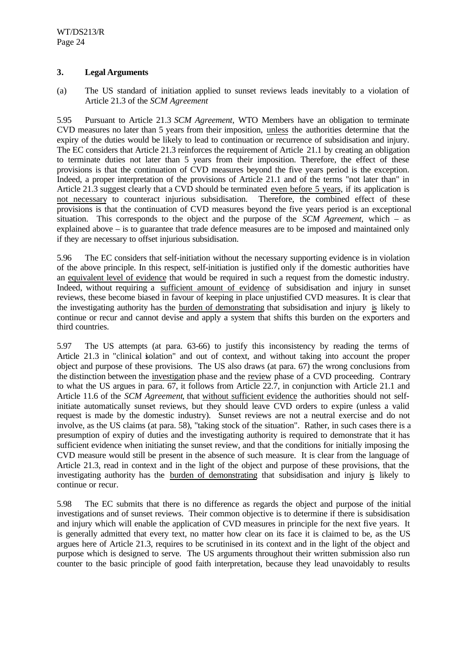# **3. Legal Arguments**

(a) The US standard of initiation applied to sunset reviews leads inevitably to a violation of Article 21.3 of the *SCM Agreement*

5.95 Pursuant to Article 21.3 *SCM Agreement,* WTO Members have an obligation to terminate CVD measures no later than 5 years from their imposition, unless the authorities determine that the expiry of the duties would be likely to lead to continuation or recurrence of subsidisation and injury. The EC considers that Article 21.3 reinforces the requirement of Article 21.1 by creating an obligation to terminate duties not later than 5 years from their imposition. Therefore, the effect of these provisions is that the continuation of CVD measures beyond the five years period is the exception. Indeed, a proper interpretation of the provisions of Article 21.1 and of the terms "not later than" in Article 21.3 suggest clearly that a CVD should be terminated even before 5 years, if its application is not necessary to counteract injurious subsidisation. Therefore, the combined effect of these provisions is that the continuation of CVD measures beyond the five years period is an exceptional situation. This corresponds to the object and the purpose of the *SCM Agreement,* which – as explained above – is to guarantee that trade defence measures are to be imposed and maintained only if they are necessary to offset injurious subsidisation.

5.96 The EC considers that self-initiation without the necessary supporting evidence is in violation of the above principle. In this respect, self-initiation is justified only if the domestic authorities have an equivalent level of evidence that would be required in such a request from the domestic industry. Indeed, without requiring a sufficient amount of evidence of subsidisation and injury in sunset reviews, these become biased in favour of keeping in place unjustified CVD measures. It is clear that the investigating authority has the burden of demonstrating that subsidisation and injury is likely to continue or recur and cannot devise and apply a system that shifts this burden on the exporters and third countries.

5.97 The US attempts (at para. 63-66) to justify this inconsistency by reading the terms of Article 21.3 in "clinical isolation" and out of context, and without taking into account the proper object and purpose of these provisions. The US also draws (at para. 67) the wrong conclusions from the distinction between the investigation phase and the review phase of a CVD proceeding. Contrary to what the US argues in para. 67, it follows from Article 22.7, in conjunction with Article 21.1 and Article 11.6 of the *SCM Agreement*, that without sufficient evidence the authorities should not selfinitiate automatically sunset reviews, but they should leave CVD orders to expire (unless a valid request is made by the domestic industry). Sunset reviews are not a neutral exercise and do not involve, as the US claims (at para. 58), "taking stock of the situation". Rather, in such cases there is a presumption of expiry of duties and the investigating authority is required to demonstrate that it has sufficient evidence when initiating the sunset review, and that the conditions for initially imposing the CVD measure would still be present in the absence of such measure. It is clear from the language of Article 21.3, read in context and in the light of the object and purpose of these provisions, that the investigating authority has the burden of demonstrating that subsidisation and injury is likely to continue or recur.

5.98 The EC submits that there is no difference as regards the object and purpose of the initial investigations and of sunset reviews. Their common objective is to determine if there is subsidisation and injury which will enable the application of CVD measures in principle for the next five years. It is generally admitted that every text, no matter how clear on its face it is claimed to be, as the US argues here of Article 21.3, requires to be scrutinised in its context and in the light of the object and purpose which is designed to serve. The US arguments throughout their written submission also run counter to the basic principle of good faith interpretation, because they lead unavoidably to results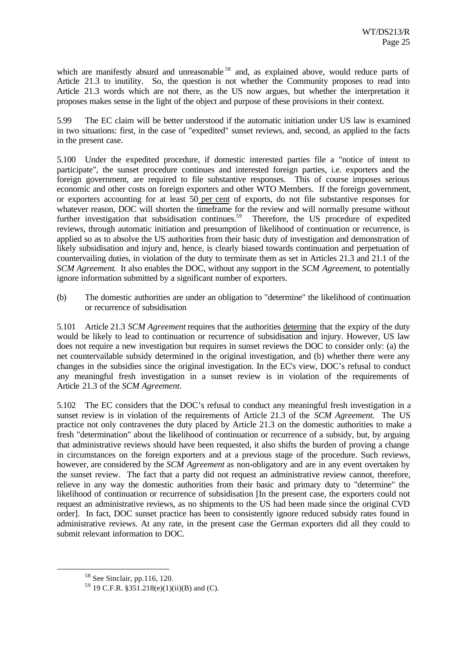which are manifestly absurd and unreasonable<sup>58</sup> and, as explained above, would reduce parts of Article 21.3 to inutility. So, the question is not whether the Community proposes to read into Article 21.3 words which are not there, as the US now argues, but whether the interpretation it proposes makes sense in the light of the object and purpose of these provisions in their context.

5.99 The EC claim will be better understood if the automatic initiation under US law is examined in two situations: first, in the case of "expedited" sunset reviews, and, second, as applied to the facts in the present case.

5.100 Under the expedited procedure, if domestic interested parties file a "notice of intent to participate", the sunset procedure continues and interested foreign parties, i.e. exporters and the foreign government, are required to file substantive responses. This of course imposes serious economic and other costs on foreign exporters and other WTO Members. If the foreign government, or exporters accounting for at least 50 per cent of exports, do not file substantive responses for whatever reason, DOC will shorten the timeframe for the review and will normally presume without further investigation that subsidisation continues.<sup>59</sup> Therefore, the US procedure of expedited reviews, through automatic initiation and presumption of likelihood of continuation or recurrence, is applied so as to absolve the US authorities from their basic duty of investigation and demonstration of likely subsidisation and injury and, hence, is clearly biased towards continuation and perpetuation of countervailing duties, in violation of the duty to terminate them as set in Articles 21.3 and 21.1 of the *SCM Agreement*. It also enables the DOC, without any support in the *SCM Agreement*, to potentially ignore information submitted by a significant number of exporters.

(b) The domestic authorities are under an obligation to "determine" the likelihood of continuation or recurrence of subsidisation

5.101 Article 21.3 *SCM Agreement* requires that the authorities determine that the expiry of the duty would be likely to lead to continuation or recurrence of subsidisation and injury. However, US law does not require a new investigation but requires in sunset reviews the DOC to consider only: (a) the net countervailable subsidy determined in the original investigation, and (b) whether there were any changes in the subsidies since the original investigation. In the EC's view, DOC's refusal to conduct any meaningful fresh investigation in a sunset review is in violation of the requirements of Article 21.3 of the *SCM Agreement.*

5.102 The EC considers that the DOC's refusal to conduct any meaningful fresh investigation in a sunset review is in violation of the requirements of Article 21.3 of the *SCM Agreement.* The US practice not only contravenes the duty placed by Article 21.3 on the domestic authorities to make a fresh "determination" about the likelihood of continuation or recurrence of a subsidy, but, by arguing that administrative reviews should have been requested, it also shifts the burden of proving a change in circumstances on the foreign exporters and at a previous stage of the procedure. Such reviews, however, are considered by the *SCM Agreement* as non-obligatory and are in any event overtaken by the sunset review. The fact that a party did not request an administrative review cannot, therefore, relieve in any way the domestic authorities from their basic and primary duty to "determine" the likelihood of continuation or recurrence of subsidisation [In the present case, the exporters could not request an administrative reviews, as no shipments to the US had been made since the original CVD order]. In fact, DOC sunset practice has been to consistently ignore reduced subsidy rates found in administrative reviews. At any rate, in the present case the German exporters did all they could to submit relevant information to DOC.

<sup>58</sup> See Sinclair, pp.116, 120.

 $59$  19 C.F.R. §351.218(e)(1)(ii)(B) and (C).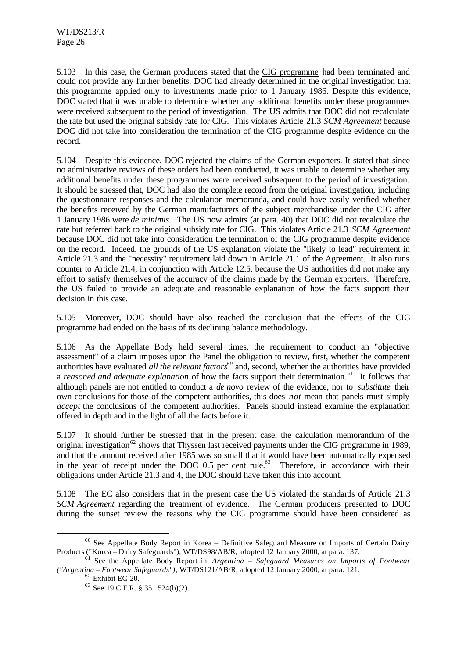5.103 In this case, the German producers stated that the CIG programme had been terminated and could not provide any further benefits. DOC had already determined in the original investigation that this programme applied only to investments made prior to 1 January 1986. Despite this evidence, DOC stated that it was unable to determine whether any additional benefits under these programmes were received subsequent to the period of investigation.The US admits that DOC did not recalculate the rate but used the original subsidy rate for CIG. This violates Article 21.3 *SCM Agreement* because DOC did not take into consideration the termination of the CIG programme despite evidence on the record.

5.104 Despite this evidence, DOC rejected the claims of the German exporters. It stated that since no administrative reviews of these orders had been conducted, it was unable to determine whether any additional benefits under these programmes were received subsequent to the period of investigation. It should be stressed that, DOC had also the complete record from the original investigation, including the questionnaire responses and the calculation memoranda, and could have easily verified whether the benefits received by the German manufacturers of the subject merchandise under the CIG after 1 January 1986 were *de minimis.* The US now admits (at para. 40) that DOC did not recalculate the rate but referred back to the original subsidy rate for CIG. This violates Article 21.3 *SCM Agreement* because DOC did not take into consideration the termination of the CIG programme despite evidence on the record. Indeed, the grounds of the US explanation violate the "likely to lead" requirement in Article 21.3 and the "necessity" requirement laid down in Article 21.1 of the Agreement. It also runs counter to Article 21.4, in conjunction with Article 12.5, because the US authorities did not make any effort to satisfy themselves of the accuracy of the claims made by the German exporters. Therefore, the US failed to provide an adequate and reasonable explanation of how the facts support their decision in this case.

5.105 Moreover, DOC should have also reached the conclusion that the effects of the CIG programme had ended on the basis of its declining balance methodology.

5.106 As the Appellate Body held several times, the requirement to conduct an "objective assessment" of a claim imposes upon the Panel the obligation to review, first, whether the competent authorities have evaluated *all the relevant factors<sup>60</sup>* and, second, whether the authorities have provided a *reasoned and adequate explanation* of how the facts support their determination. <sup>61</sup> It follows that although panels are not entitled to conduct a *de novo* review of the evidence, nor to *substitute* their own conclusions for those of the competent authorities, this does *not* mean that panels must simply *accept* the conclusions of the competent authorities. Panels should instead examine the explanation offered in depth and in the light of all the facts before it.

5.107 It should further be stressed that in the present case, the calculation memorandum of the original investigation<sup>62</sup> shows that Thyssen last received payments under the CIG programme in 1989, and that the amount received after 1985 was so small that it would have been automatically expensed in the year of receipt under the DOC  $0.5$  per cent rule.<sup>63</sup> Therefore, in accordance with their obligations under Article 21.3 and 4, the DOC should have taken this into account.

5.108 The EC also considers that in the present case the US violated the standards of Article 21.3 *SCM Agreement* regarding the treatment of evidence. The German producers presented to DOC during the sunset review the reasons why the CIG programme should have been considered as

<sup>&</sup>lt;sup>60</sup> See Appellate Body Report in Korea – Definitive Safeguard Measure on Imports of Certain Dairy Products ("Korea – Dairy Safeguards"), WT/DS98/AB/R, adopted 12 January 2000, at para. 137.

<sup>61</sup> See the Appellate Body Report in *Argentina – Safeguard Measures on Imports of Footwear ("Argentina – Footwear Safeguards")*, WT/DS121/AB/R, adopted 12 January 2000, at para. 121.

<sup>62</sup> Exhibit EC-20.

<sup>63</sup> See 19 C.F.R. § 351.524(b)(2).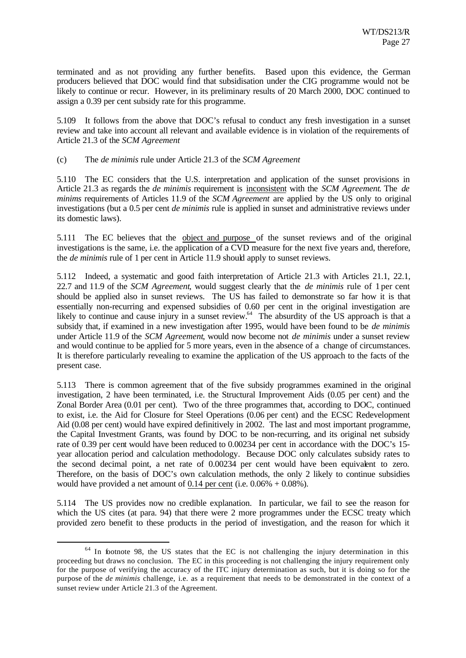terminated and as not providing any further benefits. Based upon this evidence, the German producers believed that DOC would find that subsidisation under the CIG programme would not be likely to continue or recur. However, in its preliminary results of 20 March 2000, DOC continued to assign a 0.39 per cent subsidy rate for this programme.

5.109 It follows from the above that DOC's refusal to conduct any fresh investigation in a sunset review and take into account all relevant and available evidence is in violation of the requirements of Article 21.3 of the *SCM Agreement*

(c) The *de minimis* rule under Article 21.3 of the *SCM Agreement*

5.110 The EC considers that the U.S. interpretation and application of the sunset provisions in Article 21.3 as regards the *de minimis* requirement is inconsistent with the *SCM Agreement*. The *de minims* requirements of Articles 11.9 of the *SCM Agreement* are applied by the US only to original investigations (but a 0.5 per cent *de minimis* rule is applied in sunset and administrative reviews under its domestic laws).

5.111 The EC believes that the object and purpose of the sunset reviews and of the original investigations is the same, i.e. the application of a CVD measure for the next five years and, therefore, the *de minimis* rule of 1 per cent in Article 11.9 should apply to sunset reviews.

5.112 Indeed, a systematic and good faith interpretation of Article 21.3 with Articles 21.1, 22.1, 22.7 and 11.9 of the *SCM Agreement*, would suggest clearly that the *de minimis* rule of 1 per cent should be applied also in sunset reviews. The US has failed to demonstrate so far how it is that essentially non-recurring and expensed subsidies of 0.60 per cent in the original investigation are likely to continue and cause injury in a sunset review.<sup>64</sup> The absurdity of the US approach is that a subsidy that, if examined in a new investigation after 1995, would have been found to be *de minimis* under Article 11.9 of the *SCM Agreement*, would now become not *de minimis* under a sunset review and would continue to be applied for 5 more years, even in the absence of a change of circumstances. It is therefore particularly revealing to examine the application of the US approach to the facts of the present case.

5.113 There is common agreement that of the five subsidy programmes examined in the original investigation, 2 have been terminated, i.e. the Structural Improvement Aids (0.05 per cent) and the Zonal Border Area (0.01 per cent). Two of the three programmes that, according to DOC, continued to exist, i.e. the Aid for Closure for Steel Operations (0.06 per cent) and the ECSC Redevelopment Aid (0.08 per cent) would have expired definitively in 2002. The last and most important programme, the Capital Investment Grants, was found by DOC to be non-recurring, and its original net subsidy rate of 0.39 per cent would have been reduced to 0.00234 per cent in accordance with the DOC's 15 year allocation period and calculation methodology. Because DOC only calculates subsidy rates to the second decimal point, a net rate of 0.00234 per cent would have been equivalent to zero. Therefore, on the basis of DOC's own calculation methods, the only 2 likely to continue subsidies would have provided a net amount of 0.14 per cent (i.e.  $0.06\% + 0.08\%$ ).

5.114 The US provides now no credible explanation. In particular, we fail to see the reason for which the US cites (at para. 94) that there were 2 more programmes under the ECSC treaty which provided zero benefit to these products in the period of investigation, and the reason for which it

<sup>&</sup>lt;sup>64</sup> In footnote 98, the US states that the EC is not challenging the injury determination in this proceeding but draws no conclusion. The EC in this proceeding is not challenging the injury requirement only for the purpose of verifying the accuracy of the ITC injury determination as such, but it is doing so for the purpose of the *de minimis* challenge, i.e. as a requirement that needs to be demonstrated in the context of a sunset review under Article 21.3 of the Agreement.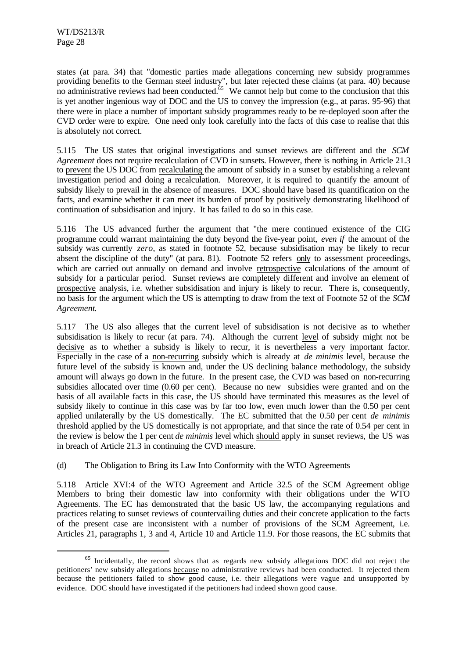l

states (at para. 34) that "domestic parties made allegations concerning new subsidy programmes providing benefits to the German steel industry", but later rejected these claims (at para. 40) because no administrative reviews had been conducted.<sup>65</sup> We cannot help but come to the conclusion that this no administrative reviews had been conducted.<sup>65</sup> is yet another ingenious way of DOC and the US to convey the impression (e.g., at paras. 95-96) that there were in place a number of important subsidy programmes ready to be re-deployed soon after the CVD order were to expire. One need only look carefully into the facts of this case to realise that this is absolutely not correct.

5.115 The US states that original investigations and sunset reviews are different and the *SCM Agreement* does not require recalculation of CVD in sunsets. However, there is nothing in Article 21.3 to prevent the US DOC from recalculating the amount of subsidy in a sunset by establishing a relevant investigation period and doing a recalculation. Moreover, it is required to quantify the amount of subsidy likely to prevail in the absence of measures. DOC should have based its quantification on the facts, and examine whether it can meet its burden of proof by positively demonstrating likelihood of continuation of subsidisation and injury. It has failed to do so in this case.

5.116 The US advanced further the argument that "the mere continued existence of the CIG programme could warrant maintaining the duty beyond the five-year point, *even if* the amount of the subsidy was currently *zero*, as stated in footnote 52, because subsidisation may be likely to recur absent the discipline of the duty" (at para. 81). Footnote 52 refers only to assessment proceedings, which are carried out annually on demand and involve retrospective calculations of the amount of subsidy for a particular period. Sunset reviews are completely different and involve an element of prospective analysis, i.e. whether subsidisation and injury is likely to recur. There is, consequently, no basis for the argument which the US is attempting to draw from the text of Footnote 52 of the *SCM Agreement*.

5.117 The US also alleges that the current level of subsidisation is not decisive as to whether subsidisation is likely to recur (at para. 74). Although the current level of subsidy might not be decisive as to whether a subsidy is likely to recur, it is nevertheless a very important factor. Especially in the case of a non-recurring subsidy which is already at *de minimis* level, because the future level of the subsidy is known and, under the US declining balance methodology, the subsidy amount will always go down in the future. In the present case, the CVD was based on non-recurring subsidies allocated over time (0.60 per cent). Because no new subsidies were granted and on the basis of all available facts in this case, the US should have terminated this measures as the level of subsidy likely to continue in this case was by far too low, even much lower than the 0.50 per cent applied unilaterally by the US domestically. The EC submitted that the 0.50 per cent *de minimis* threshold applied by the US domestically is not appropriate, and that since the rate of 0.54 per cent in the review is below the 1 per cent *de minimis* level which should apply in sunset reviews, the US was in breach of Article 21.3 in continuing the CVD measure.

(d) The Obligation to Bring its Law Into Conformity with the WTO Agreements

5.118 Article XVI:4 of the WTO Agreement and Article 32.5 of the SCM Agreement oblige Members to bring their domestic law into conformity with their obligations under the WTO Agreements. The EC has demonstrated that the basic US law, the accompanying regulations and practices relating to sunset reviews of countervailing duties and their concrete application to the facts of the present case are inconsistent with a number of provisions of the SCM Agreement, i.e. Articles 21, paragraphs 1, 3 and 4, Article 10 and Article 11.9. For those reasons, the EC submits that

<sup>&</sup>lt;sup>65</sup> Incidentally, the record shows that as regards new subsidy allegations DOC did not reject the petitioners' new subsidy allegations because no administrative reviews had been conducted. It rejected them because the petitioners failed to show good cause, i.e. their allegations were vague and unsupported by evidence. DOC should have investigated if the petitioners had indeed shown good cause.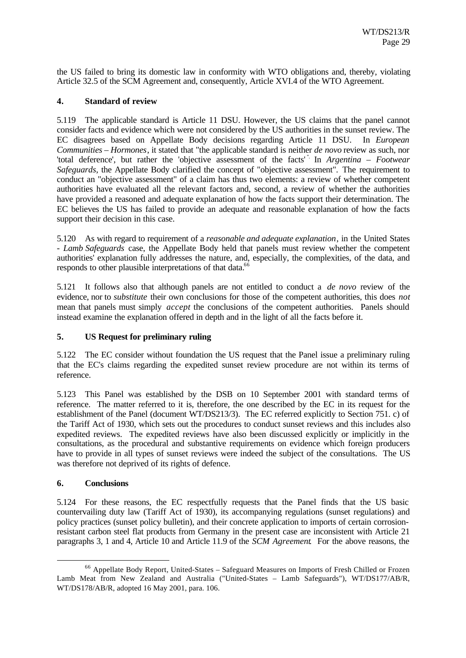the US failed to bring its domestic law in conformity with WTO obligations and, thereby, violating Article 32.5 of the SCM Agreement and, consequently, Article XVI.4 of the WTO Agreement.

## **4. Standard of review**

5.119 The applicable standard is Article 11 DSU. However, the US claims that the panel cannot consider facts and evidence which were not considered by the US authorities in the sunset review. The EC disagrees based on Appellate Body decisions regarding Article 11 DSU. In *European Communities – Hormones*, it stated that "the applicable standard is neither *de novo* review as such, nor 'total deference', but rather the 'objective assessment of the facts' ". In *Argentina – Footwear Safeguards*, the Appellate Body clarified the concept of "objective assessment". The requirement to conduct an "objective assessment" of a claim has thus two elements: a review of whether competent authorities have evaluated all the relevant factors and, second, a review of whether the authorities have provided a reasoned and adequate explanation of how the facts support their determination. The EC believes the US has failed to provide an adequate and reasonable explanation of how the facts support their decision in this case.

5.120 As with regard to requirement of a *reasonable and adequate explanation*, in the United States - *Lamb Safeguards* case, the Appellate Body held that panels must review whether the competent authorities' explanation fully addresses the nature, and, especially, the complexities, of the data, and responds to other plausible interpretations of that data.<sup>66</sup>

5.121 It follows also that although panels are not entitled to conduct a *de novo* review of the evidence, nor to *substitute* their own conclusions for those of the competent authorities, this does *not* mean that panels must simply *accept* the conclusions of the competent authorities. Panels should instead examine the explanation offered in depth and in the light of all the facts before it.

# **5. US Request for preliminary ruling**

5.122 The EC consider without foundation the US request that the Panel issue a preliminary ruling that the EC's claims regarding the expedited sunset review procedure are not within its terms of reference.

5.123 This Panel was established by the DSB on 10 September 2001 with standard terms of reference. The matter referred to it is, therefore, the one described by the EC in its request for the establishment of the Panel (document WT/DS213/3). The EC referred explicitly to Section 751. c) of the Tariff Act of 1930, which sets out the procedures to conduct sunset reviews and this includes also expedited reviews. The expedited reviews have also been discussed explicitly or implicitly in the consultations, as the procedural and substantive requirements on evidence which foreign producers have to provide in all types of sunset reviews were indeed the subject of the consultations. The US was therefore not deprived of its rights of defence.

### **6. Conclusions**

l

5.124 For these reasons, the EC respectfully requests that the Panel finds that the US basic countervailing duty law (Tariff Act of 1930), its accompanying regulations (sunset regulations) and policy practices (sunset policy bulletin), and their concrete application to imports of certain corrosionresistant carbon steel flat products from Germany in the present case are inconsistent with Article 21 paragraphs 3, 1 and 4, Article 10 and Article 11.9 of the *SCM Agreement*. For the above reasons, the

<sup>66</sup> Appellate Body Report, United-States – Safeguard Measures on Imports of Fresh Chilled or Frozen Lamb Meat from New Zealand and Australia ("United-States – Lamb Safeguards"), WT/DS177/AB/R, WT/DS178/AB/R, adopted 16 May 2001, para. 106.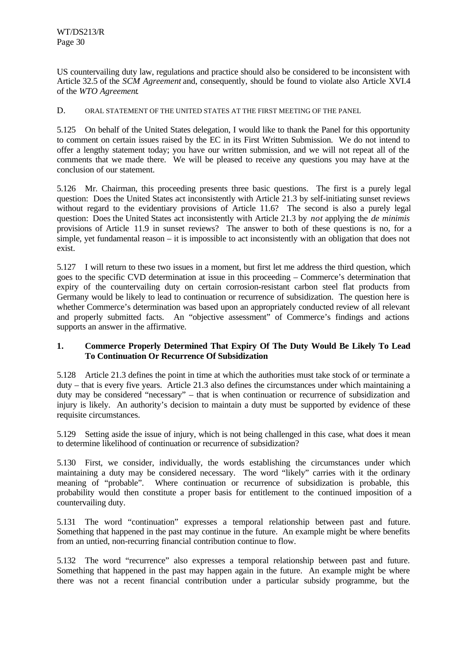US countervailing duty law, regulations and practice should also be considered to be inconsistent with Article 32.5 of the *SCM Agreement* and, consequently, should be found to violate also Article XVI.4 of the *WTO Agreement*.

## D. ORAL STATEMENT OF THE UNITED STATES AT THE FIRST MEETING OF THE PANEL

5.125 On behalf of the United States delegation, I would like to thank the Panel for this opportunity to comment on certain issues raised by the EC in its First Written Submission. We do not intend to offer a lengthy statement today; you have our written submission, and we will not repeat all of the comments that we made there. We will be pleased to receive any questions you may have at the conclusion of our statement.

5.126 Mr. Chairman, this proceeding presents three basic questions. The first is a purely legal question: Does the United States act inconsistently with Article 21.3 by self-initiating sunset reviews without regard to the evidentiary provisions of Article 11.6? The second is also a purely legal question: Does the United States act inconsistently with Article 21.3 by *not* applying the *de minimis* provisions of Article 11.9 in sunset reviews? The answer to both of these questions is no, for a simple, yet fundamental reason – it is impossible to act inconsistently with an obligation that does not exist.

5.127 I will return to these two issues in a moment, but first let me address the third question, which goes to the specific CVD determination at issue in this proceeding – Commerce's determination that expiry of the countervailing duty on certain corrosion-resistant carbon steel flat products from Germany would be likely to lead to continuation or recurrence of subsidization. The question here is whether Commerce's determination was based upon an appropriately conducted review of all relevant and properly submitted facts. An "objective assessment" of Commerce's findings and actions supports an answer in the affirmative.

## **1. Commerce Properly Determined That Expiry Of The Duty Would Be Likely To Lead To Continuation Or Recurrence Of Subsidization**

5.128 Article 21.3 defines the point in time at which the authorities must take stock of or terminate a duty – that is every five years. Article 21.3 also defines the circumstances under which maintaining a duty may be considered "necessary" – that is when continuation or recurrence of subsidization and injury is likely. An authority's decision to maintain a duty must be supported by evidence of these requisite circumstances.

5.129 Setting aside the issue of injury, which is not being challenged in this case, what does it mean to determine likelihood of continuation or recurrence of subsidization?

5.130 First, we consider, individually, the words establishing the circumstances under which maintaining a duty may be considered necessary. The word "likely" carries with it the ordinary meaning of "probable". Where continuation or recurrence of subsidization is probable, this probability would then constitute a proper basis for entitlement to the continued imposition of a countervailing duty.

5.131 The word "continuation" expresses a temporal relationship between past and future. Something that happened in the past may continue in the future. An example might be where benefits from an untied, non-recurring financial contribution continue to flow.

5.132 The word "recurrence" also expresses a temporal relationship between past and future. Something that happened in the past may happen again in the future. An example might be where there was not a recent financial contribution under a particular subsidy programme, but the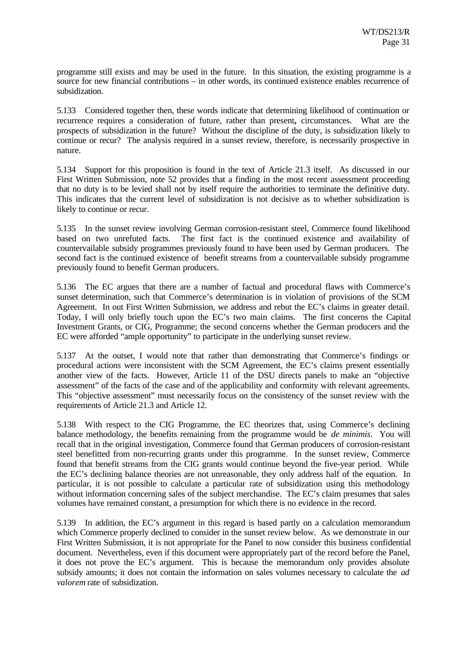programme still exists and may be used in the future. In this situation, the existing programme is a source for new financial contributions – in other words, its continued existence enables recurrence of subsidization.

5.133 Considered together then, these words indicate that determining likelihood of continuation or recurrence requires a consideration of future, rather than present**,** circumstances. What are the prospects of subsidization in the future? Without the discipline of the duty, is subsidization likely to continue or recur? The analysis required in a sunset review, therefore, is necessarily prospective in nature.

5.134 Support for this proposition is found in the text of Article 21.3 itself. As discussed in our First Written Submission, note 52 provides that a finding in the most recent assessment proceeding that no duty is to be levied shall not by itself require the authorities to terminate the definitive duty. This indicates that the current level of subsidization is not decisive as to whether subsidization is likely to continue or recur.

5.135 In the sunset review involving German corrosion-resistant steel, Commerce found likelihood based on two unrefuted facts. The first fact is the continued existence and availability of countervailable subsidy programmes previously found to have been used by German producers. The second fact is the continued existence of benefit streams from a countervailable subsidy programme previously found to benefit German producers.

5.136 The EC argues that there are a number of factual and procedural flaws with Commerce's sunset determination, such that Commerce's determination is in violation of provisions of the SCM Agreement. In out First Written Submission, we address and rebut the EC's claims in greater detail. Today, I will only briefly touch upon the EC's two main claims. The first concerns the Capital Investment Grants, or CIG, Programme; the second concerns whether the German producers and the EC were afforded "ample opportunity" to participate in the underlying sunset review.

5.137 At the outset, I would note that rather than demonstrating that Commerce's findings or procedural actions were inconsistent with the SCM Agreement, the EC's claims present essentially another view of the facts. However, Article 11 of the DSU directs panels to make an "objective assessment" of the facts of the case and of the applicability and conformity with relevant agreements. This "objective assessment" must necessarily focus on the consistency of the sunset review with the requirements of Article 21.3 and Article 12.

5.138 With respect to the CIG Programme, the EC theorizes that, using Commerce's declining balance methodology, the benefits remaining from the programme would be *de minimis*. You will recall that in the original investigation, Commerce found that German producers of corrosion-resistant steel benefitted from non-recurring grants under this programme. In the sunset review, Commerce found that benefit streams from the CIG grants would continue beyond the five-year period. While the EC's declining balance theories are not unreasonable, they only address half of the equation. In particular, it is not possible to calculate a particular rate of subsidization using this methodology without information concerning sales of the subject merchandise. The EC's claim presumes that sales volumes have remained constant, a presumption for which there is no evidence in the record.

5.139 In addition, the EC's argument in this regard is based partly on a calculation memorandum which Commerce properly declined to consider in the sunset review below. As we demonstrate in our First Written Submission, it is not appropriate for the Panel to now consider this business confidential document. Nevertheless, even if this document were appropriately part of the record before the Panel, it does not prove the EC's argument. This is because the memorandum only provides absolute subsidy amounts; it does not contain the information on sales volumes necessary to calculate the *ad valorem* rate of subsidization.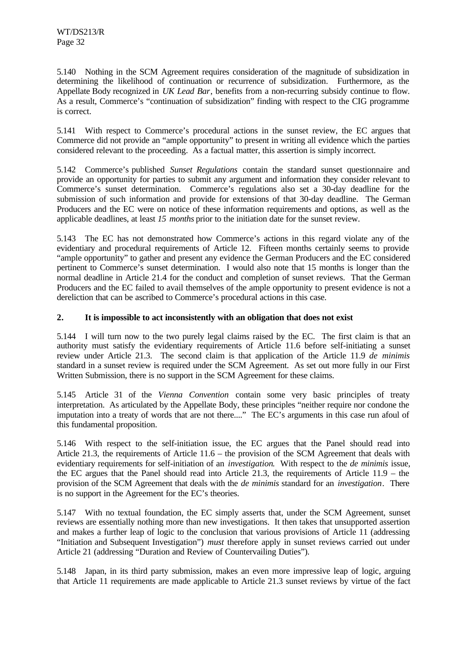5.140 Nothing in the SCM Agreement requires consideration of the magnitude of subsidization in determining the likelihood of continuation or recurrence of subsidization. Furthermore, as the Appellate Body recognized in *UK Lead Bar*, benefits from a non-recurring subsidy continue to flow. As a result, Commerce's "continuation of subsidization" finding with respect to the CIG programme is correct.

5.141 With respect to Commerce's procedural actions in the sunset review, the EC argues that Commerce did not provide an "ample opportunity" to present in writing all evidence which the parties considered relevant to the proceeding. As a factual matter, this assertion is simply incorrect.

5.142 Commerce's published *Sunset Regulations* contain the standard sunset questionnaire and provide an opportunity for parties to submit any argument and information they consider relevant to Commerce's sunset determination. Commerce's regulations also set a 30-day deadline for the submission of such information and provide for extensions of that 30-day deadline. The German Producers and the EC were on notice of these information requirements and options, as well as the applicable deadlines, at least *15 months* prior to the initiation date for the sunset review.

5.143 The EC has not demonstrated how Commerce's actions in this regard violate any of the evidentiary and procedural requirements of Article 12. Fifteen months certainly seems to provide "ample opportunity" to gather and present any evidence the German Producers and the EC considered pertinent to Commerce's sunset determination. I would also note that 15 months is longer than the normal deadline in Article 21.4 for the conduct and completion of sunset reviews. That the German Producers and the EC failed to avail themselves of the ample opportunity to present evidence is not a dereliction that can be ascribed to Commerce's procedural actions in this case.

# **2. It is impossible to act inconsistently with an obligation that does not exist**

5.144 I will turn now to the two purely legal claims raised by the EC. The first claim is that an authority must satisfy the evidentiary requirements of Article 11.6 before self-initiating a sunset review under Article 21.3. The second claim is that application of the Article 11.9 *de minimis* standard in a sunset review is required under the SCM Agreement. As set out more fully in our First Written Submission, there is no support in the SCM Agreement for these claims.

5.145 Article 31 of the *Vienna Convention* contain some very basic principles of treaty interpretation. As articulated by the Appellate Body, these principles "neither require nor condone the imputation into a treaty of words that are not there...." The EC's arguments in this case run afoul of this fundamental proposition.

5.146 With respect to the self-initiation issue, the EC argues that the Panel should read into Article 21.3, the requirements of Article 11.6 – the provision of the SCM Agreement that deals with evidentiary requirements for self-initiation of an *investigation*. With respect to the *de minimis* issue, the EC argues that the Panel should read into Article 21.3, the requirements of Article 11.9 – the provision of the SCM Agreement that deals with the *de minimis* standard for an *investigation*. There is no support in the Agreement for the EC's theories.

5.147 With no textual foundation, the EC simply asserts that, under the SCM Agreement, sunset reviews are essentially nothing more than new investigations. It then takes that unsupported assertion and makes a further leap of logic to the conclusion that various provisions of Article 11 (addressing "Initiation and Subsequent Investigation") *must* therefore apply in sunset reviews carried out under Article 21 (addressing "Duration and Review of Countervailing Duties").

5.148 Japan, in its third party submission, makes an even more impressive leap of logic, arguing that Article 11 requirements are made applicable to Article 21.3 sunset reviews by virtue of the fact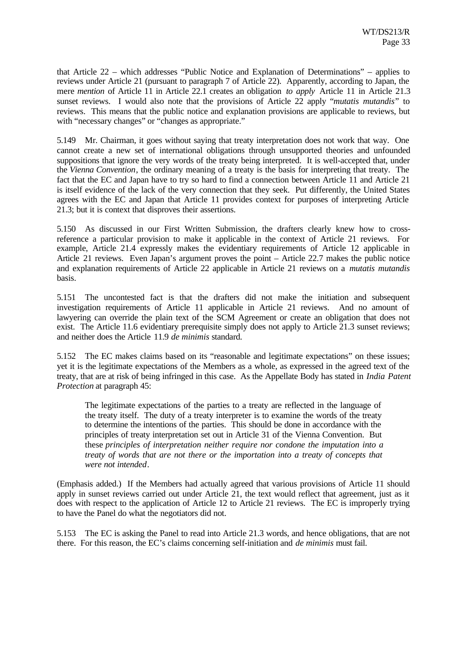that Article 22 – which addresses "Public Notice and Explanation of Determinations" – applies to reviews under Article 21 (pursuant to paragraph 7 of Article 22). Apparently, according to Japan, the mere *mention* of Article 11 in Article 22.1 creates an obligation *to apply* Article 11 in Article 21.3 sunset reviews. I would also note that the provisions of Article 22 apply "*mutatis mutandis*" to reviews. This means that the public notice and explanation provisions are applicable to reviews, but with "necessary changes" or "changes as appropriate."

5.149 Mr. Chairman, it goes without saying that treaty interpretation does not work that way. One cannot create a new set of international obligations through unsupported theories and unfounded suppositions that ignore the very words of the treaty being interpreted. It is well-accepted that, under the *Vienna Convention*, the ordinary meaning of a treaty is the basis for interpreting that treaty. The fact that the EC and Japan have to try so hard to find a connection between Article 11 and Article 21 is itself evidence of the lack of the very connection that they seek. Put differently, the United States agrees with the EC and Japan that Article 11 provides context for purposes of interpreting Article 21.3; but it is context that disproves their assertions.

5.150 As discussed in our First Written Submission, the drafters clearly knew how to crossreference a particular provision to make it applicable in the context of Article 21 reviews. For example, Article 21.4 expressly makes the evidentiary requirements of Article 12 applicable in Article 21 reviews. Even Japan's argument proves the point – Article 22.7 makes the public notice and explanation requirements of Article 22 applicable in Article 21 reviews on a *mutatis mutandis* basis.

5.151 The uncontested fact is that the drafters did not make the initiation and subsequent investigation requirements of Article 11 applicable in Article 21 reviews. And no amount of lawyering can override the plain text of the SCM Agreement or create an obligation that does not exist. The Article 11.6 evidentiary prerequisite simply does not apply to Article 21.3 sunset reviews; and neither does the Article 11.9 *de minimis* standard.

5.152 The EC makes claims based on its "reasonable and legitimate expectations" on these issues; yet it is the legitimate expectations of the Members as a whole, as expressed in the agreed text of the treaty, that are at risk of being infringed in this case. As the Appellate Body has stated in *India Patent Protection* at paragraph 45:

The legitimate expectations of the parties to a treaty are reflected in the language of the treaty itself. The duty of a treaty interpreter is to examine the words of the treaty to determine the intentions of the parties. This should be done in accordance with the principles of treaty interpretation set out in Article 31 of the Vienna Convention. But these *principles of interpretation neither require nor condone the imputation into a treaty of words that are not there or the importation into a treaty of concepts that were not intended*.

(Emphasis added.) If the Members had actually agreed that various provisions of Article 11 should apply in sunset reviews carried out under Article 21, the text would reflect that agreement, just as it does with respect to the application of Article 12 to Article 21 reviews. The EC is improperly trying to have the Panel do what the negotiators did not.

5.153 The EC is asking the Panel to read into Article 21.3 words, and hence obligations, that are not there. For this reason, the EC's claims concerning self-initiation and *de minimis* must fail.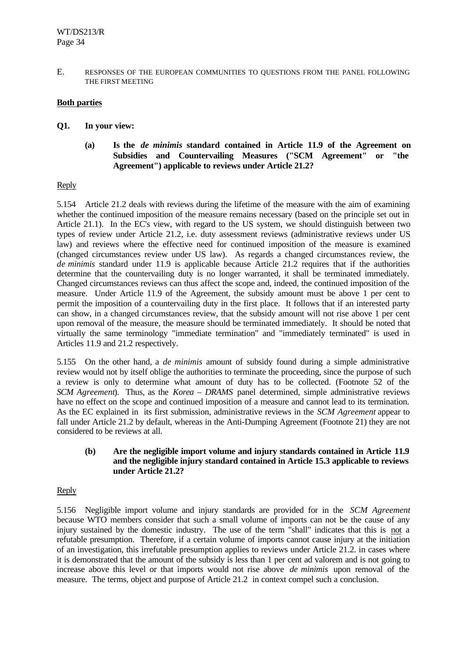E. RESPONSES OF THE EUROPEAN COMMUNITIES TO QUESTIONS FROM THE PANEL FOLLOWING THE FIRST MEETING

## **Both parties**

- **Q1. In your view:**
	- **(a) Is the** *de minimis* **standard contained in Article 11.9 of the Agreement on Subsidies and Countervailing Measures ("SCM Agreement" or "the Agreement") applicable to reviews under Article 21.2?**

### Reply

5.154 Article 21.2 deals with reviews during the lifetime of the measure with the aim of examining whether the continued imposition of the measure remains necessary (based on the principle set out in Article 21.1). In the EC's view, with regard to the US system, we should distinguish between two types of review under Article 21.2, i.e. duty assessment reviews (administrative reviews under US law) and reviews where the effective need for continued imposition of the measure is examined (changed circumstances review under US law). As regards a changed circumstances review, the *de minimis* standard under 11.9 is applicable because Article 21.2 requires that if the authorities determine that the countervailing duty is no longer warranted, it shall be terminated immediately. Changed circumstances reviews can thus affect the scope and, indeed, the continued imposition of the measure. Under Article 11.9 of the Agreement, the subsidy amount must be above 1 per cent to permit the imposition of a countervailing duty in the first place. It follows that if an interested party can show, in a changed circumstances review, that the subsidy amount will not rise above 1 per cent upon removal of the measure, the measure should be terminated immediately. It should be noted that virtually the same terminology "immediate termination" and "immediately terminated" is used in Articles 11.9 and 21.2 respectively.

5.155 On the other hand, a *de minimis* amount of subsidy found during a simple administrative review would not by itself oblige the authorities to terminate the proceeding, since the purpose of such a review is only to determine what amount of duty has to be collected. (Footnote 52 of the *SCM Agreement*). Thus, as the *Korea – DRAMS* panel determined, simple administrative reviews have no effect on the scope and continued imposition of a measure and cannot lead to its termination. As the EC explained in its first submission, administrative reviews in the *SCM Agreement* appear to fall under Article 21.2 by default, whereas in the Anti-Dumping Agreement (Footnote 21) they are not considered to be reviews at all.

#### **(b) Are the negligible import volume and injury standards contained in Article 11.9 and the negligible injury standard contained in Article 15.3 applicable to reviews under Article 21.2?**

### Reply

5.156 Negligible import volume and injury standards are provided for in the *SCM Agreement* because WTO members consider that such a small volume of imports can not be the cause of any injury sustained by the domestic industry. The use of the term "shall" indicates that this is not a refutable presumption. Therefore, if a certain volume of imports cannot cause injury at the initiation of an investigation, this irrefutable presumption applies to reviews under Article 21.2. in cases where it is demonstrated that the amount of the subsidy is less than 1 per cent ad valorem and is not going to increase above this level or that imports would not rise above *de minimis* upon removal of the measure. The terms, object and purpose of Article 21.2 in context compel such a conclusion.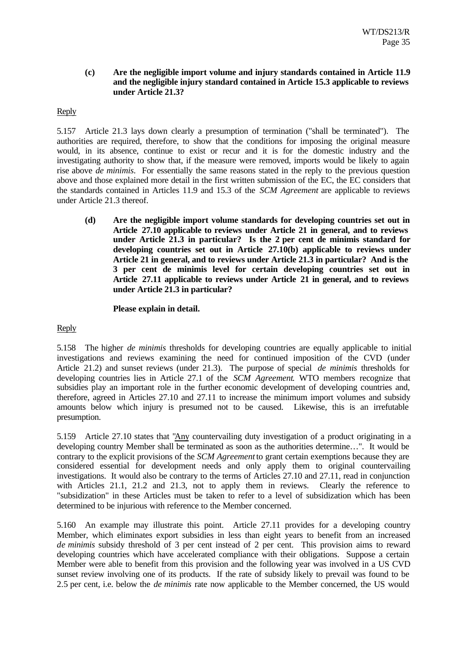### **(c) Are the negligible import volume and injury standards contained in Article 11.9 and the negligible injury standard contained in Article 15.3 applicable to reviews under Article 21.3?**

### Reply

5.157 Article 21.3 lays down clearly a presumption of termination ("shall be terminated"). The authorities are required, therefore, to show that the conditions for imposing the original measure would, in its absence, continue to exist or recur and it is for the domestic industry and the investigating authority to show that, if the measure were removed, imports would be likely to again rise above *de minimis*. For essentially the same reasons stated in the reply to the previous question above and those explained more detail in the first written submission of the EC, the EC considers that the standards contained in Articles 11.9 and 15.3 of the *SCM Agreement* are applicable to reviews under Article 21.3 thereof.

**(d) Are the negligible import volume standards for developing countries set out in Article 27.10 applicable to reviews under Article 21 in general, and to reviews under Article 21.3 in particular? Is the 2 per cent de minimis standard for developing countries set out in Article 27.10(b) applicable to reviews under Article 21 in general, and to reviews under Article 21.3 in particular? And is the 3 per cent de minimis level for certain developing countries set out in Article 27.11 applicable to reviews under Article 21 in general, and to reviews under Article 21.3 in particular?**

### **Please explain in detail.**

## Reply

5.158 The higher *de minimis* thresholds for developing countries are equally applicable to initial investigations and reviews examining the need for continued imposition of the CVD (under Article 21.2) and sunset reviews (under 21.3). The purpose of special *de minimis* thresholds for developing countries lies in Article 27.1 of the *SCM Agreement*. WTO members recognize that subsidies play an important role in the further economic development of developing countries and, therefore, agreed in Articles 27.10 and 27.11 to increase the minimum import volumes and subsidy amounts below which injury is presumed not to be caused. Likewise, this is an irrefutable presumption.

5.159 Article 27.10 states that "Any countervailing duty investigation of a product originating in a developing country Member shall be terminated as soon as the authorities determine…". It would be contrary to the explicit provisions of the *SCM Agreement* to grant certain exemptions because they are considered essential for development needs and only apply them to original countervailing investigations. It would also be contrary to the terms of Articles 27.10 and 27.11, read in conjunction with Articles 21.1, 21.2 and 21.3, not to apply them in reviews. Clearly the reference to "subsidization" in these Articles must be taken to refer to a level of subsidization which has been determined to be injurious with reference to the Member concerned.

5.160 An example may illustrate this point. Article 27.11 provides for a developing country Member, which eliminates export subsidies in less than eight years to benefit from an increased *de minimis* subsidy threshold of 3 per cent instead of 2 per cent. This provision aims to reward developing countries which have accelerated compliance with their obligations. Suppose a certain Member were able to benefit from this provision and the following year was involved in a US CVD sunset review involving one of its products. If the rate of subsidy likely to prevail was found to be 2.5 per cent, i.e. below the *de minimis* rate now applicable to the Member concerned, the US would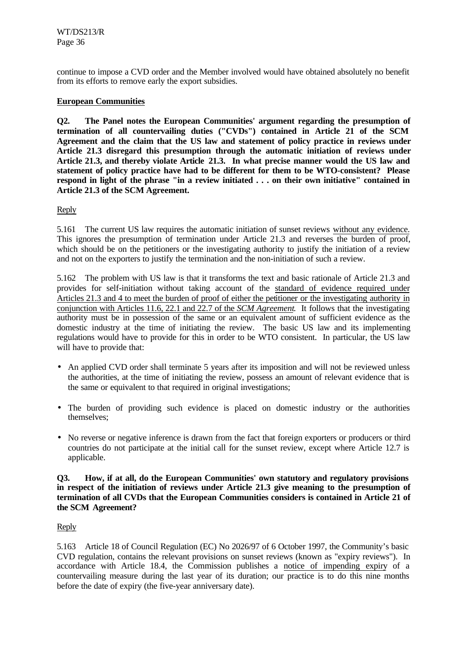continue to impose a CVD order and the Member involved would have obtained absolutely no benefit from its efforts to remove early the export subsidies.

## **European Communities**

**Q2. The Panel notes the European Communities' argument regarding the presumption of termination of all countervailing duties ("CVDs") contained in Article 21 of the SCM Agreement and the claim that the US law and statement of policy practice in reviews under Article 21.3 disregard this presumption through the automatic initiation of reviews under Article 21.3, and thereby violate Article 21.3. In what precise manner would the US law and statement of policy practice have had to be different for them to be WTO-consistent? Please respond in light of the phrase "in a review initiated . . . on their own initiative" contained in Article 21.3 of the SCM Agreement.**

## Reply

5.161 The current US law requires the automatic initiation of sunset reviews without any evidence. This ignores the presumption of termination under Article 21.3 and reverses the burden of proof, which should be on the petitioners or the investigating authority to justify the initiation of a review and not on the exporters to justify the termination and the non-initiation of such a review.

5.162 The problem with US law is that it transforms the text and basic rationale of Article 21.3 and provides for self-initiation without taking account of the standard of evidence required under Articles 21.3 and 4 to meet the burden of proof of either the petitioner or the investigating authority in conjunction with Articles 11.6, 22.1 and 22.7 of the *SCM Agreement*. It follows that the investigating authority must be in possession of the same or an equivalent amount of sufficient evidence as the domestic industry at the time of initiating the review. The basic US law and its implementing regulations would have to provide for this in order to be WTO consistent. In particular, the US law will have to provide that:

- An applied CVD order shall terminate 5 years after its imposition and will not be reviewed unless the authorities, at the time of initiating the review, possess an amount of relevant evidence that is the same or equivalent to that required in original investigations;
- The burden of providing such evidence is placed on domestic industry or the authorities themselves;
- No reverse or negative inference is drawn from the fact that foreign exporters or producers or third countries do not participate at the initial call for the sunset review, except where Article 12.7 is applicable.

### **Q3. How, if at all, do the European Communities' own statutory and regulatory provisions in respect of the initiation of reviews under Article 21.3 give meaning to the presumption of termination of all CVDs that the European Communities considers is contained in Article 21 of the SCM Agreement?**

### Reply

5.163 Article 18 of Council Regulation (EC) No 2026/97 of 6 October 1997, the Community's basic CVD regulation, contains the relevant provisions on sunset reviews (known as "expiry reviews"). In accordance with Article 18.4, the Commission publishes a notice of impending expiry of a countervailing measure during the last year of its duration; our practice is to do this nine months before the date of expiry (the five-year anniversary date).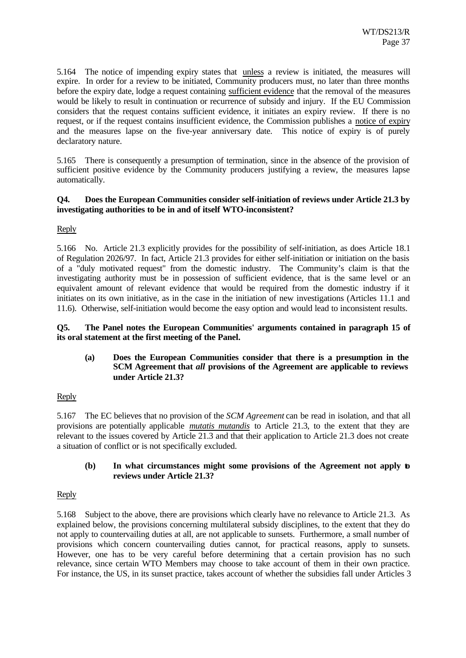5.164 The notice of impending expiry states that unless a review is initiated, the measures will expire. In order for a review to be initiated, Community producers must, no later than three months before the expiry date, lodge a request containing sufficient evidence that the removal of the measures would be likely to result in continuation or recurrence of subsidy and injury. If the EU Commission considers that the request contains sufficient evidence, it initiates an expiry review. If there is no request, or if the request contains insufficient evidence, the Commission publishes a notice of expiry and the measures lapse on the five-year anniversary date. This notice of expiry is of purely declaratory nature.

5.165 There is consequently a presumption of termination, since in the absence of the provision of sufficient positive evidence by the Community producers justifying a review, the measures lapse automatically.

## **Q4. Does the European Communities consider self-initiation of reviews under Article 21.3 by investigating authorities to be in and of itself WTO-inconsistent?**

### Reply

5.166 No. Article 21.3 explicitly provides for the possibility of self-initiation, as does Article 18.1 of Regulation 2026/97. In fact, Article 21.3 provides for either self-initiation or initiation on the basis of a "duly motivated request" from the domestic industry. The Community's claim is that the investigating authority must be in possession of sufficient evidence, that is the same level or an equivalent amount of relevant evidence that would be required from the domestic industry if it initiates on its own initiative, as in the case in the initiation of new investigations (Articles 11.1 and 11.6). Otherwise, self-initiation would become the easy option and would lead to inconsistent results.

### **Q5. The Panel notes the European Communities' arguments contained in paragraph 15 of its oral statement at the first meeting of the Panel.**

## **(a) Does the European Communities consider that there is a presumption in the SCM Agreement that** *all* **provisions of the Agreement are applicable to reviews under Article 21.3?**

### Reply

5.167 The EC believes that no provision of the *SCM Agreement* can be read in isolation, and that all provisions are potentially applicable *mutatis mutandis* to Article 21.3, to the extent that they are relevant to the issues covered by Article 21.3 and that their application to Article 21.3 does not create a situation of conflict or is not specifically excluded.

### **(b) In what circumstances might some provisions of the Agreement not apply to reviews under Article 21.3?**

### Reply

5.168 Subject to the above, there are provisions which clearly have no relevance to Article 21.3. As explained below, the provisions concerning multilateral subsidy disciplines, to the extent that they do not apply to countervailing duties at all, are not applicable to sunsets. Furthermore, a small number of provisions which concern countervailing duties cannot, for practical reasons, apply to sunsets. However, one has to be very careful before determining that a certain provision has no such relevance, since certain WTO Members may choose to take account of them in their own practice. For instance, the US, in its sunset practice, takes account of whether the subsidies fall under Articles 3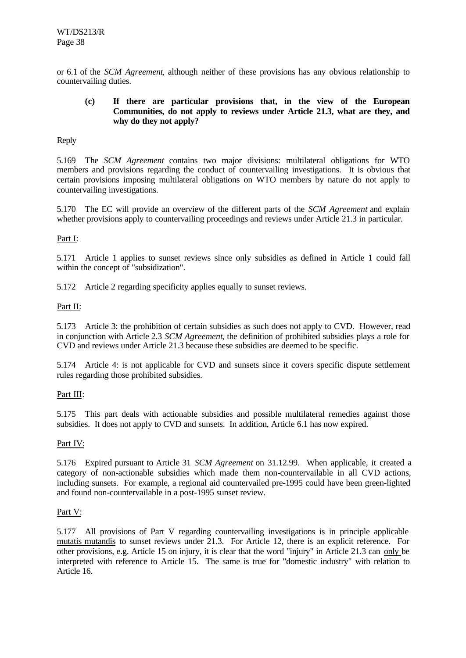or 6.1 of the *SCM Agreement*, although neither of these provisions has any obvious relationship to countervailing duties.

### **(c) If there are particular provisions that, in the view of the European Communities, do not apply to reviews under Article 21.3, what are they, and why do they not apply?**

# Reply

5.169 The *SCM Agreement* contains two major divisions: multilateral obligations for WTO members and provisions regarding the conduct of countervailing investigations. It is obvious that certain provisions imposing multilateral obligations on WTO members by nature do not apply to countervailing investigations.

5.170 The EC will provide an overview of the different parts of the *SCM Agreement* and explain whether provisions apply to countervailing proceedings and reviews under Article 21.3 in particular.

# Part I:

5.171 Article 1 applies to sunset reviews since only subsidies as defined in Article 1 could fall within the concept of "subsidization".

5.172 Article 2 regarding specificity applies equally to sunset reviews.

## Part II:

5.173 Article 3: the prohibition of certain subsidies as such does not apply to CVD. However, read in conjunction with Article 2.3 *SCM Agreement*, the definition of prohibited subsidies plays a role for CVD and reviews under Article 21.3 because these subsidies are deemed to be specific.

5.174 Article 4: is not applicable for CVD and sunsets since it covers specific dispute settlement rules regarding those prohibited subsidies.

### Part III:

5.175 This part deals with actionable subsidies and possible multilateral remedies against those subsidies. It does not apply to CVD and sunsets. In addition, Article 6.1 has now expired.

### Part IV:

5.176 Expired pursuant to Article 31 *SCM Agreement* on 31.12.99. When applicable, it created a category of non-actionable subsidies which made them non-countervailable in all CVD actions, including sunsets. For example, a regional aid countervailed pre-1995 could have been green-lighted and found non-countervailable in a post-1995 sunset review.

## Part V:

5.177 All provisions of Part V regarding countervailing investigations is in principle applicable mutatis mutandis to sunset reviews under 21.3. For Article 12, there is an explicit reference. For other provisions, e.g. Article 15 on injury, it is clear that the word "injury" in Article 21.3 can only be interpreted with reference to Article 15. The same is true for "domestic industry" with relation to Article 16.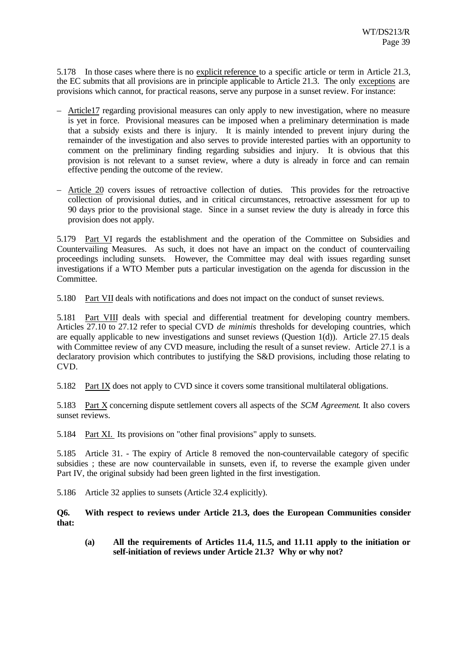5.178 In those cases where there is no explicit reference to a specific article or term in Article 21.3, the EC submits that all provisions are in principle applicable to Article 21.3. The only exceptions are provisions which cannot, for practical reasons, serve any purpose in a sunset review. For instance:

- Article17 regarding provisional measures can only apply to new investigation, where no measure is yet in force. Provisional measures can be imposed when a preliminary determination is made that a subsidy exists and there is injury. It is mainly intended to prevent injury during the remainder of the investigation and also serves to provide interested parties with an opportunity to comment on the preliminary finding regarding subsidies and injury. It is obvious that this provision is not relevant to a sunset review, where a duty is already in force and can remain effective pending the outcome of the review.
- Article 20 covers issues of retroactive collection of duties. This provides for the retroactive collection of provisional duties, and in critical circumstances, retroactive assessment for up to 90 days prior to the provisional stage. Since in a sunset review the duty is already in force this provision does not apply.

5.179 Part VI regards the establishment and the operation of the Committee on Subsidies and Countervailing Measures. As such, it does not have an impact on the conduct of countervailing proceedings including sunsets. However, the Committee may deal with issues regarding sunset investigations if a WTO Member puts a particular investigation on the agenda for discussion in the Committee.

5.180 Part VII deals with notifications and does not impact on the conduct of sunset reviews.

5.181 Part VIII deals with special and differential treatment for developing country members. Articles 27.10 to 27.12 refer to special CVD *de minimis* thresholds for developing countries, which are equally applicable to new investigations and sunset reviews (Question 1(d)). Article 27.15 deals with Committee review of any CVD measure, including the result of a sunset review. Article 27.1 is a declaratory provision which contributes to justifying the S&D provisions, including those relating to CVD.

5.182 Part IX does not apply to CVD since it covers some transitional multilateral obligations.

5.183 Part X concerning dispute settlement covers all aspects of the *SCM Agreement*. It also covers sunset reviews.

5.184 Part XI. Its provisions on "other final provisions" apply to sunsets.

5.185 Article 31. - The expiry of Article 8 removed the non-countervailable category of specific subsidies ; these are now countervailable in sunsets, even if, to reverse the example given under Part IV, the original subsidy had been green lighted in the first investigation.

5.186 Article 32 applies to sunsets (Article 32.4 explicitly).

**Q6. With respect to reviews under Article 21.3, does the European Communities consider that:**

**(a) All the requirements of Articles 11.4, 11.5, and 11.11 apply to the initiation or self-initiation of reviews under Article 21.3? Why or why not?**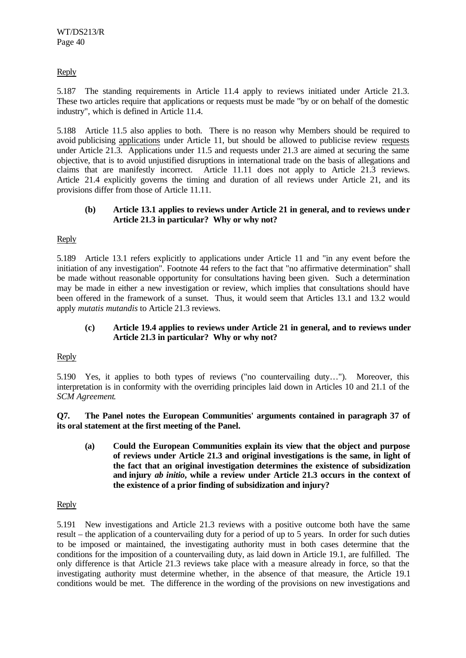# Reply

5.187 The standing requirements in Article 11.4 apply to reviews initiated under Article 21.3. These two articles require that applications or requests must be made "by or on behalf of the domestic industry", which is defined in Article 11.4.

5.188 Article 11.5 also applies to both. There is no reason why Members should be required to avoid publicising applications under Article 11, but should be allowed to publicise review requests under Article 21.3. Applications under 11.5 and requests under 21.3 are aimed at securing the same objective, that is to avoid unjustified disruptions in international trade on the basis of allegations and claims that are manifestly incorrect. Article 11.11 does not apply to Article 21.3 reviews. Article 21.4 explicitly governs the timing and duration of all reviews under Article 21, and its provisions differ from those of Article 11.11.

## **(b) Article 13.1 applies to reviews under Article 21 in general, and to reviews under Article 21.3 in particular? Why or why not?**

Reply

5.189 Article 13.1 refers explicitly to applications under Article 11 and "in any event before the initiation of any investigation". Footnote 44 refers to the fact that "no affirmative determination" shall be made without reasonable opportunity for consultations having been given. Such a determination may be made in either a new investigation or review, which implies that consultations should have been offered in the framework of a sunset. Thus, it would seem that Articles 13.1 and 13.2 would apply *mutatis mutandis* to Article 21.3 reviews.

## **(c) Article 19.4 applies to reviews under Article 21 in general, and to reviews under Article 21.3 in particular? Why or why not?**

### Reply

5.190 Yes, it applies to both types of reviews ("no countervailing duty…"). Moreover, this interpretation is in conformity with the overriding principles laid down in Articles 10 and 21.1 of the *SCM Agreement*.

**Q7. The Panel notes the European Communities' arguments contained in paragraph 37 of its oral statement at the first meeting of the Panel.**

**(a) Could the European Communities explain its view that the object and purpose of reviews under Article 21.3 and original investigations is the same, in light of the fact that an original investigation determines the existence of subsidization and injury** *ab initio***, while a review under Article 21.3 occurs in the context of the existence of a prior finding of subsidization and injury?**

### Reply

5.191 New investigations and Article 21.3 reviews with a positive outcome both have the same result – the application of a countervailing duty for a period of up to 5 years. In order for such duties to be imposed or maintained, the investigating authority must in both cases determine that the conditions for the imposition of a countervailing duty, as laid down in Article 19.1, are fulfilled. The only difference is that Article 21.3 reviews take place with a measure already in force, so that the investigating authority must determine whether, in the absence of that measure, the Article 19.1 conditions would be met. The difference in the wording of the provisions on new investigations and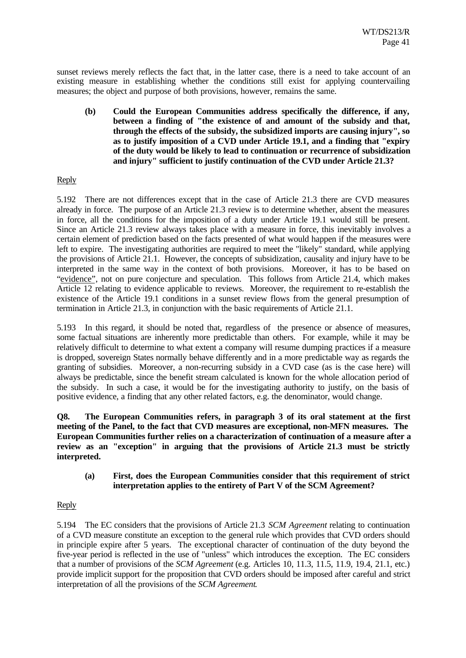sunset reviews merely reflects the fact that, in the latter case, there is a need to take account of an existing measure in establishing whether the conditions still exist for applying countervailing measures; the object and purpose of both provisions, however, remains the same.

**(b) Could the European Communities address specifically the difference, if any, between a finding of "the existence of and amount of the subsidy and that, through the effects of the subsidy, the subsidized imports are causing injury", so as to justify imposition of a CVD under Article 19.1, and a finding that "expiry of the duty would be likely to lead to continuation or recurrence of subsidization and injury" sufficient to justify continuation of the CVD under Article 21.3?**

## Reply

5.192 There are not differences except that in the case of Article 21.3 there are CVD measures already in force. The purpose of an Article 21.3 review is to determine whether, absent the measures in force, all the conditions for the imposition of a duty under Article 19.1 would still be present. Since an Article 21.3 review always takes place with a measure in force, this inevitably involves a certain element of prediction based on the facts presented of what would happen if the measures were left to expire. The investigating authorities are required to meet the "likely" standard, while applying the provisions of Article 21.1. However, the concepts of subsidization, causality and injury have to be interpreted in the same way in the context of both provisions. Moreover, it has to be based on "evidence", not on pure conjecture and speculation. This follows from Article 21.4, which makes Article 12 relating to evidence applicable to reviews. Moreover, the requirement to re-establish the existence of the Article 19.1 conditions in a sunset review flows from the general presumption of termination in Article 21.3, in conjunction with the basic requirements of Article 21.1.

5.193 In this regard, it should be noted that, regardless of the presence or absence of measures, some factual situations are inherently more predictable than others. For example, while it may be relatively difficult to determine to what extent a company will resume dumping practices if a measure is dropped, sovereign States normally behave differently and in a more predictable way as regards the granting of subsidies. Moreover, a non-recurring subsidy in a CVD case (as is the case here) will always be predictable, since the benefit stream calculated is known for the whole allocation period of the subsidy. In such a case, it would be for the investigating authority to justify, on the basis of positive evidence, a finding that any other related factors, e.g. the denominator, would change.

**Q8. The European Communities refers, in paragraph 3 of its oral statement at the first meeting of the Panel, to the fact that CVD measures are exceptional, non-MFN measures. The European Communities further relies on a characterization of continuation of a measure after a review as an "exception" in arguing that the provisions of Article 21.3 must be strictly interpreted.**

**(a) First, does the European Communities consider that this requirement of strict interpretation applies to the entirety of Part V of the SCM Agreement?**

### Reply

5.194 The EC considers that the provisions of Article 21.3 *SCM Agreement* relating to continuation of a CVD measure constitute an exception to the general rule which provides that CVD orders should in principle expire after 5 years. The exceptional character of continuation of the duty beyond the five-year period is reflected in the use of "unless" which introduces the exception. The EC considers that a number of provisions of the *SCM Agreement* (e.g. Articles 10, 11.3, 11.5, 11.9, 19.4, 21.1, etc.) provide implicit support for the proposition that CVD orders should be imposed after careful and strict interpretation of all the provisions of the *SCM Agreement*.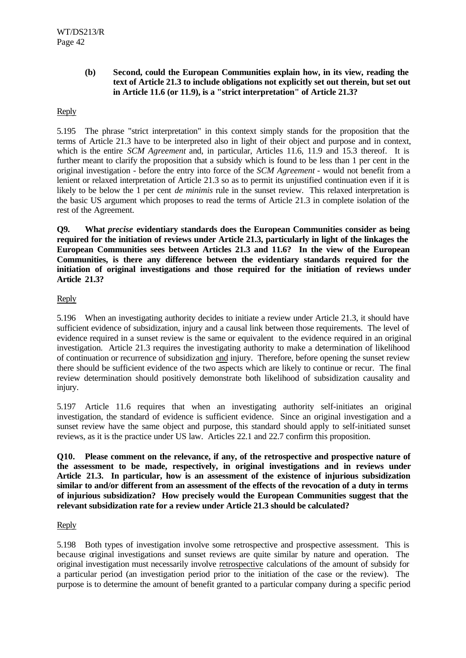## **(b) Second, could the European Communities explain how, in its view, reading the text of Article 21.3 to include obligations not explicitly set out therein, but set out in Article 11.6 (or 11.9), is a "strict interpretation" of Article 21.3?**

# Reply

5.195 The phrase "strict interpretation" in this context simply stands for the proposition that the terms of Article 21.3 have to be interpreted also in light of their object and purpose and in context, which is the entire *SCM Agreement* and, in particular, Articles 11.6, 11.9 and 15.3 thereof. It is further meant to clarify the proposition that a subsidy which is found to be less than 1 per cent in the original investigation - before the entry into force of the *SCM Agreement* - would not benefit from a lenient or relaxed interpretation of Article 21.3 so as to permit its unjustified continuation even if it is likely to be below the 1 per cent *de minimis* rule in the sunset review. This relaxed interpretation is the basic US argument which proposes to read the terms of Article 21.3 in complete isolation of the rest of the Agreement.

**Q9. What** *precise* **evidentiary standards does the European Communities consider as being required for the initiation of reviews under Article 21.3, particularly in light of the linkages the European Communities sees between Articles 21.3 and 11.6? In the view of the European Communities, is there any difference between the evidentiary standards required for the initiation of original investigations and those required for the initiation of reviews under Article 21.3?**

## Reply

5.196 When an investigating authority decides to initiate a review under Article 21.3, it should have sufficient evidence of subsidization, injury and a causal link between those requirements. The level of evidence required in a sunset review is the same or equivalent to the evidence required in an original investigation. Article 21.3 requires the investigating authority to make a determination of likelihood of continuation or recurrence of subsidization and injury. Therefore, before opening the sunset review there should be sufficient evidence of the two aspects which are likely to continue or recur. The final review determination should positively demonstrate both likelihood of subsidization causality and injury.

5.197 Article 11.6 requires that when an investigating authority self-initiates an original investigation, the standard of evidence is sufficient evidence. Since an original investigation and a sunset review have the same object and purpose, this standard should apply to self-initiated sunset reviews, as it is the practice under US law. Articles 22.1 and 22.7 confirm this proposition.

**Q10. Please comment on the relevance, if any, of the retrospective and prospective nature of the assessment to be made, respectively, in original investigations and in reviews under Article 21.3. In particular, how is an assessment of the existence of injurious subsidization similar to and/or different from an assessment of the effects of the revocation of a duty in terms of injurious subsidization? How precisely would the European Communities suggest that the relevant subsidization rate for a review under Article 21.3 should be calculated?**

### Reply

5.198 Both types of investigation involve some retrospective and prospective assessment. This is because original investigations and sunset reviews are quite similar by nature and operation. The original investigation must necessarily involve retrospective calculations of the amount of subsidy for a particular period (an investigation period prior to the initiation of the case or the review). The purpose is to determine the amount of benefit granted to a particular company during a specific period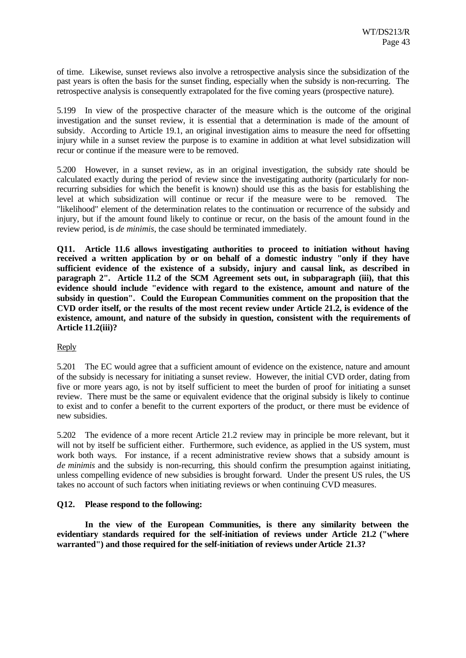of time. Likewise, sunset reviews also involve a retrospective analysis since the subsidization of the past years is often the basis for the sunset finding, especially when the subsidy is non-recurring. The retrospective analysis is consequently extrapolated for the five coming years (prospective nature).

5.199 In view of the prospective character of the measure which is the outcome of the original investigation and the sunset review, it is essential that a determination is made of the amount of subsidy. According to Article 19.1, an original investigation aims to measure the need for offsetting injury while in a sunset review the purpose is to examine in addition at what level subsidization will recur or continue if the measure were to be removed.

5.200 However, in a sunset review, as in an original investigation, the subsidy rate should be calculated exactly during the period of review since the investigating authority (particularly for nonrecurring subsidies for which the benefit is known) should use this as the basis for establishing the level at which subsidization will continue or recur if the measure were to be removed. The "likelihood" element of the determination relates to the continuation or recurrence of the subsidy and injury, but if the amount found likely to continue or recur, on the basis of the amount found in the review period, is *de minimis*, the case should be terminated immediately.

**Q11. Article 11.6 allows investigating authorities to proceed to initiation without having received a written application by or on behalf of a domestic industry "only if they have sufficient evidence of the existence of a subsidy, injury and causal link, as described in paragraph 2". Article 11.2 of the SCM Agreement sets out, in subparagraph (iii), that this evidence should include "evidence with regard to the existence, amount and nature of the subsidy in question". Could the European Communities comment on the proposition that the CVD order itself, or the results of the most recent review under Article 21.2, is evidence of the existence, amount, and nature of the subsidy in question, consistent with the requirements of Article 11.2(iii)?**

### Reply

5.201 The EC would agree that a sufficient amount of evidence on the existence, nature and amount of the subsidy is necessary for initiating a sunset review. However, the initial CVD order, dating from five or more years ago, is not by itself sufficient to meet the burden of proof for initiating a sunset review. There must be the same or equivalent evidence that the original subsidy is likely to continue to exist and to confer a benefit to the current exporters of the product, or there must be evidence of new subsidies.

5.202 The evidence of a more recent Article 21.2 review may in principle be more relevant, but it will not by itself be sufficient either. Furthermore, such evidence, as applied in the US system, must work both ways. For instance, if a recent administrative review shows that a subsidy amount is *de minimis* and the subsidy is non-recurring, this should confirm the presumption against initiating, unless compelling evidence of new subsidies is brought forward. Under the present US rules, the US takes no account of such factors when initiating reviews or when continuing CVD measures.

### **Q12. Please respond to the following:**

**In the view of the European Communities, is there any similarity between the evidentiary standards required for the self-initiation of reviews under Article 21.2 ("where warranted") and those required for the self-initiation of reviews under Article 21.3?**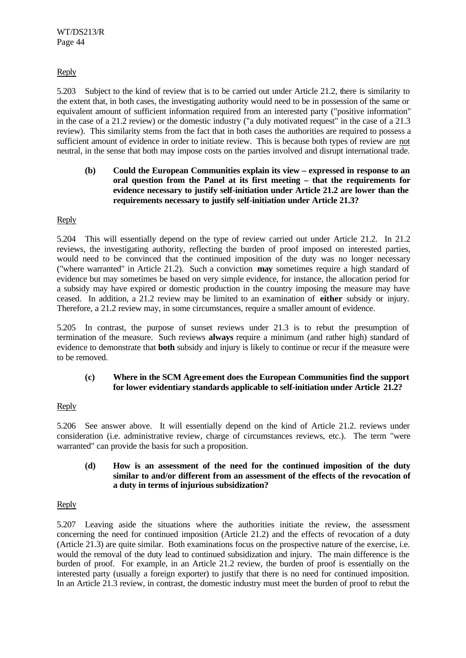# Reply

5.203 Subject to the kind of review that is to be carried out under Article 21.2, there is similarity to the extent that, in both cases, the investigating authority would need to be in possession of the same or equivalent amount of sufficient information required from an interested party ("positive information" in the case of a 21.2 review) or the domestic industry ("a duly motivated request" in the case of a 21.3 review). This similarity stems from the fact that in both cases the authorities are required to possess a sufficient amount of evidence in order to initiate review. This is because both types of review are not neutral, in the sense that both may impose costs on the parties involved and disrupt international trade.

## **(b) Could the European Communities explain its view – expressed in response to an oral question from the Panel at its first meeting – that the requirements for evidence necessary to justify self-initiation under Article 21.2 are lower than the requirements necessary to justify self-initiation under Article 21.3?**

## Reply

5.204 This will essentially depend on the type of review carried out under Article 21.2. In 21.2 reviews, the investigating authority, reflecting the burden of proof imposed on interested parties, would need to be convinced that the continued imposition of the duty was no longer necessary ("where warranted" in Article 21.2). Such a conviction **may** sometimes require a high standard of evidence but may sometimes be based on very simple evidence, for instance, the allocation period for a subsidy may have expired or domestic production in the country imposing the measure may have ceased. In addition, a 21.2 review may be limited to an examination of **either** subsidy or injury. Therefore, a 21.2 review may, in some circumstances, require a smaller amount of evidence.

5.205 In contrast, the purpose of sunset reviews under 21.3 is to rebut the presumption of termination of the measure. Such reviews **always** require a minimum (and rather high) standard of evidence to demonstrate that **both** subsidy and injury is likely to continue or recur if the measure were to be removed.

### **(c) Where in the SCM Agreement does the European Communities find the support for lower evidentiary standards applicable to self-initiation under Article 21.2?**

### Reply

5.206 See answer above. It will essentially depend on the kind of Article 21.2. reviews under consideration (i.e. administrative review, charge of circumstances reviews, etc.). The term "were warranted" can provide the basis for such a proposition.

### **(d) How is an assessment of the need for the continued imposition of the duty similar to and/or different from an assessment of the effects of the revocation of a duty in terms of injurious subsidization?**

### Reply

5.207 Leaving aside the situations where the authorities initiate the review, the assessment concerning the need for continued imposition (Article 21.2) and the effects of revocation of a duty (Article 21.3) are quite similar. Both examinations focus on the prospective nature of the exercise, i.e. would the removal of the duty lead to continued subsidization and injury. The main difference is the burden of proof. For example, in an Article 21.2 review, the burden of proof is essentially on the interested party (usually a foreign exporter) to justify that there is no need for continued imposition. In an Article 21.3 review, in contrast, the domestic industry must meet the burden of proof to rebut the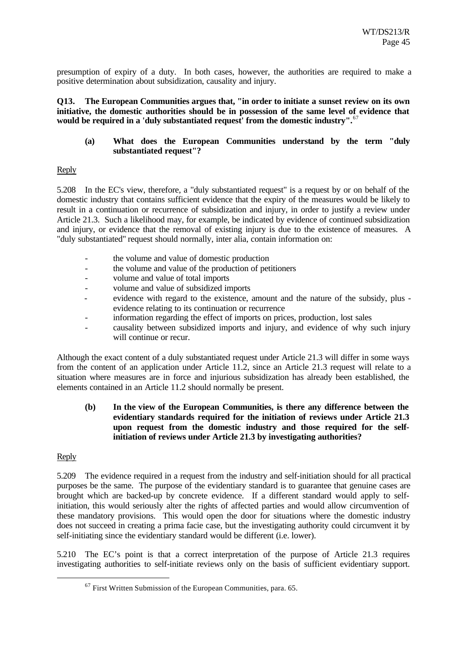presumption of expiry of a duty. In both cases, however, the authorities are required to make a positive determination about subsidization, causality and injury.

**Q13. The European Communities argues that, "in order to initiate a sunset review on its own initiative, the domestic authorities should be in possession of the same level of evidence that would be required in a 'duly substantiated request' from the domestic industry".**<sup>67</sup>

## **(a) What does the European Communities understand by the term "duly substantiated request"?**

## Reply

5.208 In the EC's view, therefore, a "duly substantiated request" is a request by or on behalf of the domestic industry that contains sufficient evidence that the expiry of the measures would be likely to result in a continuation or recurrence of subsidization and injury, in order to justify a review under Article 21.3. Such a likelihood may, for example, be indicated by evidence of continued subsidization and injury, or evidence that the removal of existing injury is due to the existence of measures. A "duly substantiated" request should normally, inter alia, contain information on:

- the volume and value of domestic production
- the volume and value of the production of petitioners
- volume and value of total imports
- volume and value of subsidized imports
- evidence with regard to the existence, amount and the nature of the subsidy, plus evidence relating to its continuation or recurrence
- information regarding the effect of imports on prices, production, lost sales
- causality between subsidized imports and injury, and evidence of why such injury will continue or recur.

Although the exact content of a duly substantiated request under Article 21.3 will differ in some ways from the content of an application under Article 11.2, since an Article 21.3 request will relate to a situation where measures are in force and injurious subsidization has already been established, the elements contained in an Article 11.2 should normally be present.

**(b) In the view of the European Communities, is there any difference between the evidentiary standards required for the initiation of reviews under Article 21.3 upon request from the domestic industry and those required for the selfinitiation of reviews under Article 21.3 by investigating authorities?**

### Reply

l

5.209 The evidence required in a request from the industry and self-initiation should for all practical purposes be the same. The purpose of the evidentiary standard is to guarantee that genuine cases are brought which are backed-up by concrete evidence. If a different standard would apply to selfinitiation, this would seriously alter the rights of affected parties and would allow circumvention of these mandatory provisions. This would open the door for situations where the domestic industry does not succeed in creating a prima facie case, but the investigating authority could circumvent it by self-initiating since the evidentiary standard would be different (i.e. lower).

5.210 The EC's point is that a correct interpretation of the purpose of Article 21.3 requires investigating authorities to self-initiate reviews only on the basis of sufficient evidentiary support.

 $67$  First Written Submission of the European Communities, para. 65.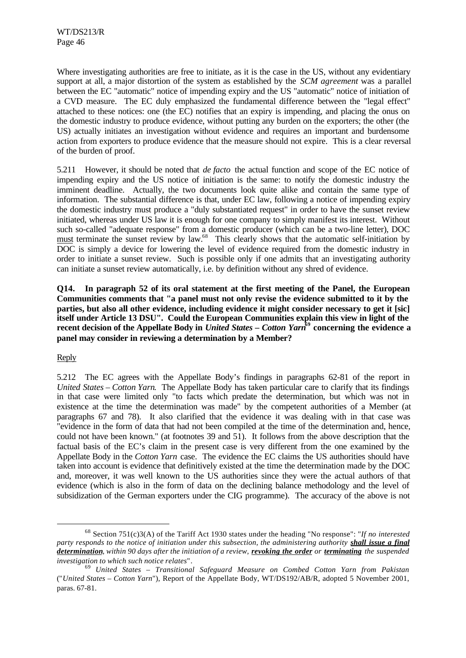Where investigating authorities are free to initiate, as it is the case in the US, without any evidentiary support at all, a major distortion of the system as established by the *SCM agreement* was a parallel between the EC "automatic" notice of impending expiry and the US "automatic" notice of initiation of a CVD measure. The EC duly emphasized the fundamental difference between the "legal effect" attached to these notices: one (the EC) notifies that an expiry is impending, and placing the onus on the domestic industry to produce evidence, without putting any burden on the exporters; the other (the US) actually initiates an investigation without evidence and requires an important and burdensome action from exporters to produce evidence that the measure should not expire. This is a clear reversal of the burden of proof.

5.211 However, it should be noted that *de facto* the actual function and scope of the EC notice of impending expiry and the US notice of initiation is the same: to notify the domestic industry the imminent deadline. Actually, the two documents look quite alike and contain the same type of information. The substantial difference is that, under EC law, following a notice of impending expiry the domestic industry must produce a "duly substantiated request" in order to have the sunset review initiated, whereas under US law it is enough for one company to simply manifest its interest. Without such so-called "adequate response" from a domestic producer (which can be a two-line letter), DOC must terminate the sunset review by law.<sup>68</sup> This clearly shows that the automatic self-initiation by DOC is simply a device for lowering the level of evidence required from the domestic industry in order to initiate a sunset review. Such is possible only if one admits that an investigating authority can initiate a sunset review automatically, i.e. by definition without any shred of evidence.

**Q14. In paragraph 52 of its oral statement at the first meeting of the Panel, the European Communities comments that "a panel must not only revise the evidence submitted to it by the parties, but also all other evidence, including evidence it might consider necessary to get it [sic] itself under Article 13 DSU". Could the European Communities explain this view in light of the recent decision of the Appellate Body in** *United States – Cotton Yarn***<sup>69</sup> concerning the evidence a panel may consider in reviewing a determination by a Member?**

### Reply

l

5.212 The EC agrees with the Appellate Body's findings in paragraphs 62-81 of the report in *United States – Cotton Yarn*. The Appellate Body has taken particular care to clarify that its findings in that case were limited only "to facts which predate the determination, but which was not in existence at the time the determination was made" by the competent authorities of a Member (at paragraphs 67 and 78). It also clarified that the evidence it was dealing with in that case was "evidence in the form of data that had not been compiled at the time of the determination and, hence, could not have been known." (at footnotes 39 and 51). It follows from the above description that the factual basis of the EC's claim in the present case is very different from the one examined by the Appellate Body in the *Cotton Yarn* case. The evidence the EC claims the US authorities should have taken into account is evidence that definitively existed at the time the determination made by the DOC and, moreover, it was well known to the US authorities since they were the actual authors of that evidence (which is also in the form of data on the declining balance methodology and the level of subsidization of the German exporters under the CIG programme). The accuracy of the above is not

<sup>68</sup> Section 751(c)3(A) of the Tariff Act 1930 states under the heading "No response": "*If no interested party responds to the notice of initiation under this subsection, the administering authority <i>shall issue a final determination, within 90 days after the initiation of a review, revoking the order or terminating the suspended investigation to which such notice relates*".

<sup>69</sup> *United States – Transitional Safeguard Measure on Combed Cotton Yarn from Pakistan* ("*United States – Cotton Yarn*"), Report of the Appellate Body, WT/DS192/AB/R, adopted 5 November 2001, paras. 67-81.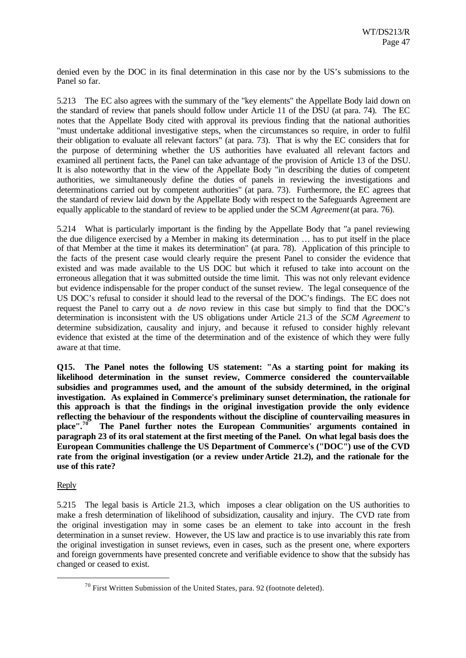denied even by the DOC in its final determination in this case nor by the US's submissions to the Panel so far.

5.213 The EC also agrees with the summary of the "key elements" the Appellate Body laid down on the standard of review that panels should follow under Article 11 of the DSU (at para. 74). The EC notes that the Appellate Body cited with approval its previous finding that the national authorities "must undertake additional investigative steps, when the circumstances so require, in order to fulfil their obligation to evaluate all relevant factors" (at para. 73). That is why the EC considers that for the purpose of determining whether the US authorities have evaluated all relevant factors and examined all pertinent facts, the Panel can take advantage of the provision of Article 13 of the DSU. It is also noteworthy that in the view of the Appellate Body "in describing the duties of competent authorities, we simultaneously define the duties of panels in reviewing the investigations and determinations carried out by competent authorities" (at para. 73). Furthermore, the EC agrees that the standard of review laid down by the Appellate Body with respect to the Safeguards Agreement are equally applicable to the standard of review to be applied under the SCM *Agreement* (at para. 76).

5.214 What is particularly important is the finding by the Appellate Body that "a panel reviewing the due diligence exercised by a Member in making its determination … has to put itself in the place of that Member at the time it makes its determination" (at para. 78). Application of this principle to the facts of the present case would clearly require the present Panel to consider the evidence that existed and was made available to the US DOC but which it refused to take into account on the erroneous allegation that it was submitted outside the time limit. This was not only relevant evidence but evidence indispensable for the proper conduct of the sunset review. The legal consequence of the US DOC's refusal to consider it should lead to the reversal of the DOC's findings. The EC does not request the Panel to carry out a *de novo* review in this case but simply to find that the DOC's determination is inconsistent with the US obligations under Article 21.3 of the *SCM Agreement* to determine subsidization, causality and injury, and because it refused to consider highly relevant evidence that existed at the time of the determination and of the existence of which they were fully aware at that time.

**Q15. The Panel notes the following US statement: "As a starting point for making its likelihood determination in the sunset review, Commerce considered the countervailable subsidies and programmes used, and the amount of the subsidy determined, in the original investigation. As explained in Commerce's preliminary sunset determination, the rationale for this approach is that the findings in the original investigation provide the only evidence reflecting the behaviour of the respondents without the discipline of countervailing measures in place".<sup>70</sup> The Panel further notes the European Communities' arguments contained in paragraph 23 of its oral statement at the first meeting of the Panel. On what legal basis does the European Communities challenge the US Department of Commerce's ("DOC") use of the CVD rate from the original investigation (or a review under Article 21.2), and the rationale for the use of this rate?**

# Reply

l

5.215 The legal basis is Article 21.3, which imposes a clear obligation on the US authorities to make a fresh determination of likelihood of subsidization, causality and injury. The CVD rate from the original investigation may in some cases be an element to take into account in the fresh determination in a sunset review. However, the US law and practice is to use invariably this rate from the original investigation in sunset reviews, even in cases, such as the present one, where exporters and foreign governments have presented concrete and verifiable evidence to show that the subsidy has changed or ceased to exist.

 $70$  First Written Submission of the United States, para. 92 (footnote deleted).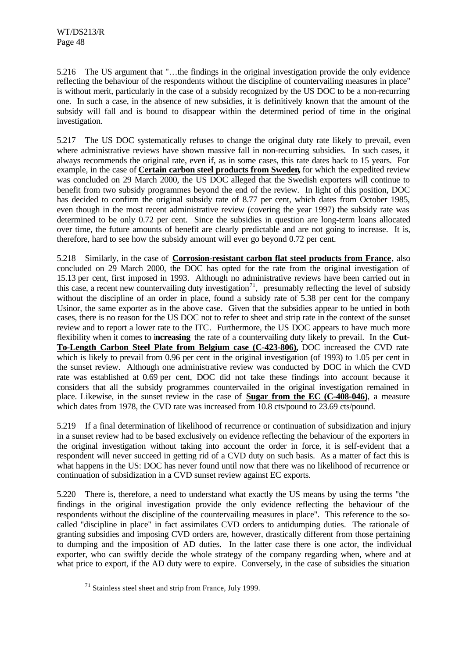5.216 The US argument that "…the findings in the original investigation provide the only evidence reflecting the behaviour of the respondents without the discipline of countervailing measures in place" is without merit, particularly in the case of a subsidy recognized by the US DOC to be a non-recurring one. In such a case, in the absence of new subsidies, it is definitively known that the amount of the subsidy will fall and is bound to disappear within the determined period of time in the original investigation.

5.217 The US DOC systematically refuses to change the original duty rate likely to prevail, even where administrative reviews have shown massive fall in non-recurring subsidies. In such cases, it always recommends the original rate, even if, as in some cases, this rate dates back to 15 years. For example, in the case of **Certain carbon steel products from Sweden,** for which the expedited review was concluded on 29 March 2000, the US DOC alleged that the Swedish exporters will continue to benefit from two subsidy programmes beyond the end of the review. In light of this position, DOC has decided to confirm the original subsidy rate of 8.77 per cent, which dates from October 1985, even though in the most recent administrative review (covering the year 1997) the subsidy rate was determined to be only 0.72 per cent. Since the subsidies in question are long-term loans allocated over time, the future amounts of benefit are clearly predictable and are not going to increase. It is, therefore, hard to see how the subsidy amount will ever go beyond 0.72 per cent.

5.218 Similarly, in the case of **Corrosion-resistant carbon flat steel products from France**, also concluded on 29 March 2000, the DOC has opted for the rate from the original investigation of 15.13 per cent, first imposed in 1993. Although no administrative reviews have been carried out in this case, a recent new countervailing duty investigation<sup>71</sup>, presumably reflecting the level of subsidy without the discipline of an order in place, found a subsidy rate of 5.38 per cent for the company Usinor, the same exporter as in the above case. Given that the subsidies appear to be untied in both cases, there is no reason for the US DOC not to refer to sheet and strip rate in the context of the sunset review and to report a lower rate to the ITC. Furthermore, the US DOC appears to have much more flexibility when it comes to i**ncreasing** the rate of a countervailing duty likely to prevail. In the **Cut-To-Length Carbon Steel Plate from Belgium case (C-423-806),** DOC increased the CVD rate which is likely to prevail from 0.96 per cent in the original investigation (of 1993) to 1.05 per cent in the sunset review. Although one administrative review was conducted by DOC in which the CVD rate was established at 0.69 per cent, DOC did not take these findings into account because it considers that all the subsidy programmes countervailed in the original investigation remained in place. Likewise, in the sunset review in the case of **Sugar from the EC (C-408-046)**, a measure which dates from 1978, the CVD rate was increased from 10.8 cts/pound to 23.69 cts/pound.

5.219 If a final determination of likelihood of recurrence or continuation of subsidization and injury in a sunset review had to be based exclusively on evidence reflecting the behaviour of the exporters in the original investigation without taking into account the order in force, it is self-evident that a respondent will never succeed in getting rid of a CVD duty on such basis. As a matter of fact this is what happens in the US: DOC has never found until now that there was no likelihood of recurrence or continuation of subsidization in a CVD sunset review against EC exports.

5.220 There is, therefore, a need to understand what exactly the US means by using the terms "the findings in the original investigation provide the only evidence reflecting the behaviour of the respondents without the discipline of the countervailing measures in place". This reference to the socalled "discipline in place" in fact assimilates CVD orders to antidumping duties. The rationale of granting subsidies and imposing CVD orders are, however, drastically different from those pertaining to dumping and the imposition of AD duties. In the latter case there is one actor, the individual exporter, who can swiftly decide the whole strategy of the company regarding when, where and at what price to export, if the AD duty were to expire. Conversely, in the case of subsidies the situation

l

<sup>71</sup> Stainless steel sheet and strip from France, July 1999.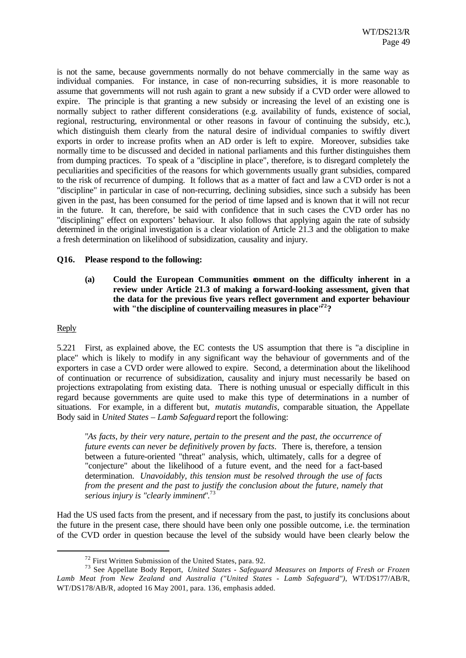is not the same, because governments normally do not behave commercially in the same way as individual companies. For instance, in case of non-recurring subsidies, it is more reasonable to assume that governments will not rush again to grant a new subsidy if a CVD order were allowed to expire. The principle is that granting a new subsidy or increasing the level of an existing one is normally subject to rather different considerations (e.g. availability of funds, existence of social, regional, restructuring, environmental or other reasons in favour of continuing the subsidy, etc.), which distinguish them clearly from the natural desire of individual companies to swiftly divert exports in order to increase profits when an AD order is left to expire. Moreover, subsidies take normally time to be discussed and decided in national parliaments and this further distinguishes them from dumping practices. To speak of a "discipline in place", therefore, is to disregard completely the peculiarities and specificities of the reasons for which governments usually grant subsidies, compared to the risk of recurrence of dumping. It follows that as a matter of fact and law a CVD order is not a "discipline" in particular in case of non-recurring, declining subsidies, since such a subsidy has been given in the past, has been consumed for the period of time lapsed and is known that it will not recur in the future. It can, therefore, be said with confidence that in such cases the CVD order has no "disciplining" effect on exporters' behaviour. It also follows that applying again the rate of subsidy determined in the original investigation is a clear violation of Article 21.3 and the obligation to make a fresh determination on likelihood of subsidization, causality and injury.

#### **Q16. Please respond to the following:**

**(a) Could the European Communities comment on the difficulty inherent in a review under Article 21.3 of making a forward-looking assessment, given that the data for the previous five years reflect government and exporter behaviour with "the discipline of countervailing measures in place"<sup>72</sup>?**

#### Reply

l

5.221 First, as explained above, the EC contests the US assumption that there is "a discipline in place" which is likely to modify in any significant way the behaviour of governments and of the exporters in case a CVD order were allowed to expire. Second, a determination about the likelihood of continuation or recurrence of subsidization, causality and injury must necessarily be based on projections extrapolating from existing data. There is nothing unusual or especially difficult in this regard because governments are quite used to make this type of determinations in a number of situations. For example, in a different but, *mutatis mutandis*, comparable situation, the Appellate Body said in *United States – Lamb Safeguard* report the following:

"*As facts, by their very nature, pertain to the present and the past, the occurrence of future events can never be definitively proven by facts*. There is, therefore, a tension between a future-oriented "threat" analysis, which, ultimately, calls for a degree of "conjecture" about the likelihood of a future event, and the need for a fact-based determination. *Unavoidably, this tension must be resolved through the use of facts from the present and the past to justify the conclusion about the future, namely that serious injury is "clearly imminent*".<sup>73</sup>

Had the US used facts from the present, and if necessary from the past, to justify its conclusions about the future in the present case, there should have been only one possible outcome, i.e. the termination of the CVD order in question because the level of the subsidy would have been clearly below the

<sup>72</sup> First Written Submission of the United States, para. 92.

<sup>73</sup> See Appellate Body Report, *United States - Safeguard Measures on Imports of Fresh or Frozen Lamb Meat from New Zealand and Australia ("United States - Lamb Safeguard")*, WT/DS177/AB/R, WT/DS178/AB/R, adopted 16 May 2001, para. 136, emphasis added.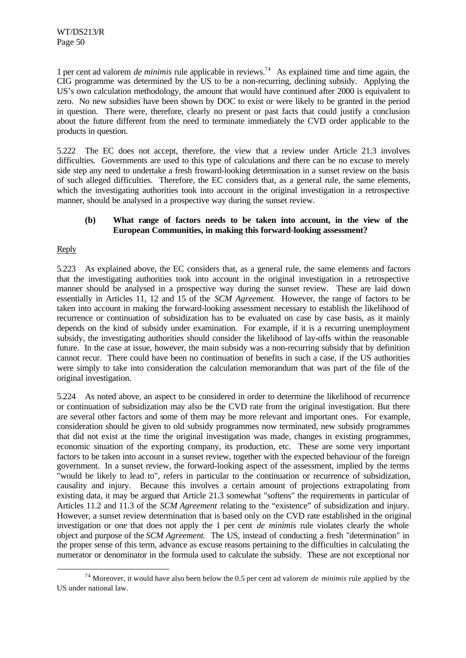1 per cent ad valorem *de minimis* rule applicable in reviews.<sup>74</sup> As explained time and time again, the CIG programme was determined by the US to be a non-recurring, declining subsidy. Applying the US's own calculation methodology, the amount that would have continued after 2000 is equivalent to zero. No new subsidies have been shown by DOC to exist or were likely to be granted in the period in question. There were, therefore, clearly no present or past facts that could justify a conclusion about the future different from the need to terminate immediately the CVD order applicable to the products in question.

5.222 The EC does not accept, therefore, the view that a review under Article 21.3 involves difficulties. Governments are used to this type of calculations and there can be no excuse to merely side step any need to undertake a fresh froward-looking determination in a sunset review on the basis of such alleged difficulties. Therefore, the EC considers that, as a general rule, the same elements, which the investigating authorities took into account in the original investigation in a retrospective manner, should be analysed in a prospective way during the sunset review.

## **(b) What range of factors needs to be taken into account, in the view of the European Communities, in making this forward-looking assessment?**

# Reply

l

5.223 As explained above, the EC considers that, as a general rule, the same elements and factors that the investigating authorities took into account in the original investigation in a retrospective manner should be analysed in a prospective way during the sunset review. These are laid down essentially in Articles 11, 12 and 15 of the *SCM Agreement*. However, the range of factors to be taken into account in making the forward-looking assessment necessary to establish the likelihood of recurrence or continuation of subsidization has to be evaluated on case by case basis, as it mainly depends on the kind of subsidy under examination. For example, if it is a recurring unemployment subsidy, the investigating authorities should consider the likelihood of lay-offs within the reasonable future. In the case at issue, however, the main subsidy was a non-recurring subsidy that by definition cannot recur. There could have been no continuation of benefits in such a case, if the US authorities were simply to take into consideration the calculation memorandum that was part of the file of the original investigation.

5.224 As noted above, an aspect to be considered in order to determine the likelihood of recurrence or continuation of subsidization may also be the CVD rate from the original investigation. But there are several other factors and some of them may be more relevant and important ones. For example, consideration should be given to old subsidy programmes now terminated, new subsidy programmes that did not exist at the time the original investigation was made, changes in existing programmes, economic situation of the exporting company, its production, etc. These are some very important factors to be taken into account in a sunset review, together with the expected behaviour of the foreign government. In a sunset review, the forward-looking aspect of the assessment, implied by the terms "would be likely to lead to", refers in particular to the continuation or recurrence of subsidization, causality and injury. Because this involves a certain amount of projections extrapolating from existing data, it may be argued that Article 21.3 somewhat "softens" the requirements in particular of Articles 11.2 and 11.3 of the *SCM Agreement* relating to the "existence" of subsidization and injury. However, a sunset review determination that is based only on the CVD rate established in the original investigation or one that does not apply the 1 per cent *de minimis* rule violates clearly the whole object and purpose of the *SCM Agreement*. The US, instead of conducting a fresh "determination" in the proper sense of this term, advance as excuse reasons pertaining to the difficulties in calculating the numerator or denominator in the formula used to calculate the subsidy. These are not exceptional nor

<sup>74</sup> Moreover, it would have also been below the 0.5 per cent ad valorem *de minimis* rule applied by the US under national law.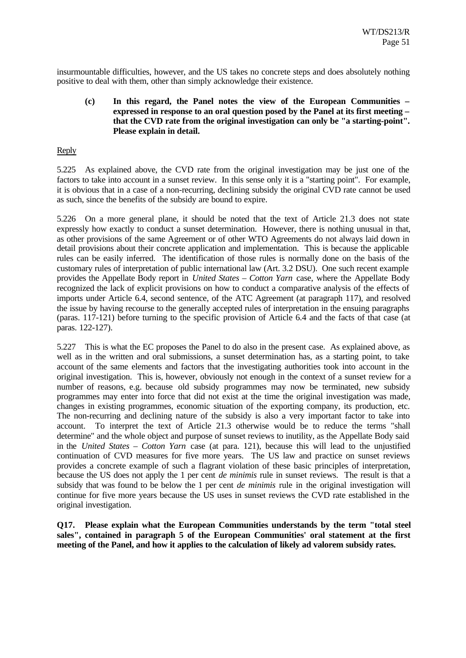insurmountable difficulties, however, and the US takes no concrete steps and does absolutely nothing positive to deal with them, other than simply acknowledge their existence.

## **(c) In this regard, the Panel notes the view of the European Communities – expressed in response to an oral question posed by the Panel at its first meeting – that the CVD rate from the original investigation can only be "a starting-point". Please explain in detail.**

## Reply

5.225 As explained above, the CVD rate from the original investigation may be just one of the factors to take into account in a sunset review. In this sense only it is a "starting point". For example, it is obvious that in a case of a non-recurring, declining subsidy the original CVD rate cannot be used as such, since the benefits of the subsidy are bound to expire.

5.226 On a more general plane, it should be noted that the text of Article 21.3 does not state expressly how exactly to conduct a sunset determination. However, there is nothing unusual in that, as other provisions of the same Agreement or of other WTO Agreements do not always laid down in detail provisions about their concrete application and implementation. This is because the applicable rules can be easily inferred. The identification of those rules is normally done on the basis of the customary rules of interpretation of public international law (Art. 3.2 DSU). One such recent example provides the Appellate Body report in *United States – Cotton Yarn* case, where the Appellate Body recognized the lack of explicit provisions on how to conduct a comparative analysis of the effects of imports under Article 6.4, second sentence, of the ATC Agreement (at paragraph 117), and resolved the issue by having recourse to the generally accepted rules of interpretation in the ensuing paragraphs (paras. 117-121) before turning to the specific provision of Article 6.4 and the facts of that case (at paras. 122-127).

5.227 This is what the EC proposes the Panel to do also in the present case. As explained above, as well as in the written and oral submissions, a sunset determination has, as a starting point, to take account of the same elements and factors that the investigating authorities took into account in the original investigation. This is, however, obviously not enough in the context of a sunset review for a number of reasons, e.g. because old subsidy programmes may now be terminated, new subsidy programmes may enter into force that did not exist at the time the original investigation was made, changes in existing programmes, economic situation of the exporting company, its production, etc. The non-recurring and declining nature of the subsidy is also a very important factor to take into account. To interpret the text of Article 21.3 otherwise would be to reduce the terms "shall determine" and the whole object and purpose of sunset reviews to inutility, as the Appellate Body said in the *United States – Cotton Yarn* case (at para. 121), because this will lead to the unjustified continuation of CVD measures for five more years. The US law and practice on sunset reviews provides a concrete example of such a flagrant violation of these basic principles of interpretation, because the US does not apply the 1 per cent *de minimis* rule in sunset reviews. The result is that a subsidy that was found to be below the 1 per cent *de minimis* rule in the original investigation will continue for five more years because the US uses in sunset reviews the CVD rate established in the original investigation.

**Q17. Please explain what the European Communities understands by the term "total steel sales", contained in paragraph 5 of the European Communities' oral statement at the first meeting of the Panel, and how it applies to the calculation of likely ad valorem subsidy rates.**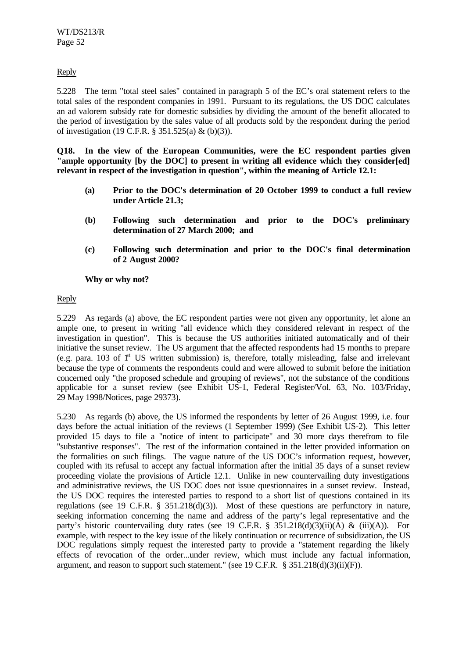Reply

5.228 The term "total steel sales" contained in paragraph 5 of the EC's oral statement refers to the total sales of the respondent companies in 1991. Pursuant to its regulations, the US DOC calculates an ad valorem subsidy rate for domestic subsidies by dividing the amount of the benefit allocated to the period of investigation by the sales value of all products sold by the respondent during the period of investigation (19 C.F.R. § 351.525(a) & (b)(3)).

**Q18. In the view of the European Communities, were the EC respondent parties given "ample opportunity [by the DOC] to present in writing all evidence which they consider[ed] relevant in respect of the investigation in question", within the meaning of Article 12.1:**

- **(a) Prior to the DOC's determination of 20 October 1999 to conduct a full review under Article 21.3;**
- **(b) Following such determination and prior to the DOC's preliminary determination of 27 March 2000; and**
- **(c) Following such determination and prior to the DOC's final determination of 2 August 2000?**

**Why or why not?**

Reply

5.229 As regards (a) above, the EC respondent parties were not given any opportunity, let alone an ample one, to present in writing "all evidence which they considered relevant in respect of the investigation in question". This is because the US authorities initiated automatically and of their initiative the sunset review. The US argument that the affected respondents had 15 months to prepare (e.g. para. 103 of  $\mathbf{f}^{\text{st}}$  US written submission) is, therefore, totally misleading, false and irrelevant because the type of comments the respondents could and were allowed to submit before the initiation concerned only "the proposed schedule and grouping of reviews", not the substance of the conditions applicable for a sunset review (see Exhibit US-1, Federal Register/Vol. 63, No. 103/Friday, 29 May 1998/Notices, page 29373).

5.230 As regards (b) above, the US informed the respondents by letter of 26 August 1999, i.e. four days before the actual initiation of the reviews (1 September 1999) (See Exhibit US-2). This letter provided 15 days to file a "notice of intent to participate" and 30 more days therefrom to file "substantive responses". The rest of the information contained in the letter provided information on the formalities on such filings. The vague nature of the US DOC's information request, however, coupled with its refusal to accept any factual information after the initial 35 days of a sunset review proceeding violate the provisions of Article 12.1. Unlike in new countervailing duty investigations and administrative reviews, the US DOC does not issue questionnaires in a sunset review. Instead, the US DOC requires the interested parties to respond to a short list of questions contained in its regulations (see 19 C.F.R. § 351.218(d)(3)). Most of these questions are perfunctory in nature, seeking information concerning the name and address of the party's legal representative and the party's historic countervailing duty rates (see 19 C.F.R. §  $351.218(d)(3)(ii)(A)$  & (iii)(A)). For example, with respect to the key issue of the likely continuation or recurrence of subsidization, the US DOC regulations simply request the interested party to provide a "statement regarding the likely effects of revocation of the order...under review, which must include any factual information, argument, and reason to support such statement." (see 19 C.F.R. § 351.218(d)(3)(ii)(F)).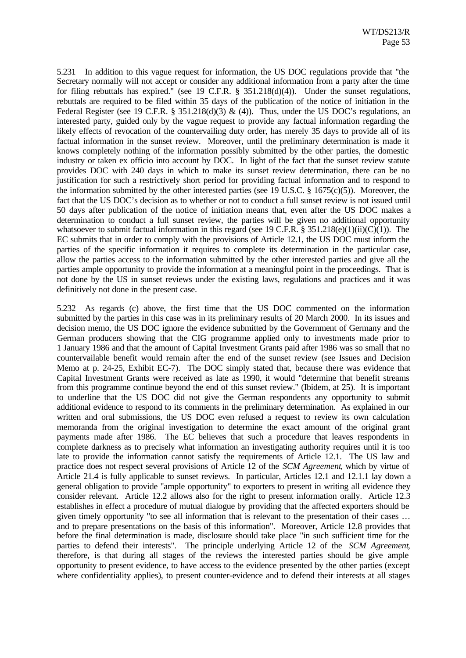5.231 In addition to this vague request for information, the US DOC regulations provide that "the Secretary normally will not accept or consider any additional information from a party after the time for filing rebuttals has expired." (see 19 C.F.R. § 351.218(d)(4)). Under the sunset regulations, rebuttals are required to be filed within 35 days of the publication of the notice of initiation in the Federal Register (see 19 C.F.R. § 351.218(d)(3) & (4)). Thus, under the US DOC's regulations, an interested party, guided only by the vague request to provide any factual information regarding the likely effects of revocation of the countervailing duty order, has merely 35 days to provide all of its factual information in the sunset review. Moreover, until the preliminary determination is made it knows completely nothing of the information possibly submitted by the other parties, the domestic industry or taken ex officio into account by DOC. In light of the fact that the sunset review statute provides DOC with 240 days in which to make its sunset review determination, there can be no justification for such a restrictively short period for providing factual information and to respond to the information submitted by the other interested parties (see 19 U.S.C.  $\S$  1675(c)(5)). Moreover, the fact that the US DOC's decision as to whether or not to conduct a full sunset review is not issued until 50 days after publication of the notice of initiation means that, even after the US DOC makes a determination to conduct a full sunset review, the parties will be given no additional opportunity whatsoever to submit factual information in this regard (see 19 C.F.R. § 351.218(e)(1)(ii)(C)(1)). The EC submits that in order to comply with the provisions of Article 12.1, the US DOC must inform the parties of the specific information it requires to complete its determination in the particular case, allow the parties access to the information submitted by the other interested parties and give all the parties ample opportunity to provide the information at a meaningful point in the proceedings. That is not done by the US in sunset reviews under the existing laws, regulations and practices and it was definitively not done in the present case.

5.232 As regards (c) above, the first time that the US DOC commented on the information submitted by the parties in this case was in its preliminary results of 20 March 2000. In its issues and decision memo, the US DOC ignore the evidence submitted by the Government of Germany and the German producers showing that the CIG programme applied only to investments made prior to 1 January 1986 and that the amount of Capital Investment Grants paid after 1986 was so small that no countervailable benefit would remain after the end of the sunset review (see Issues and Decision Memo at p. 24-25, Exhibit EC-7). The DOC simply stated that, because there was evidence that Capital Investment Grants were received as late as 1990, it would "determine that benefit streams from this programme continue beyond the end of this sunset review." (Ibidem, at 25). It is important to underline that the US DOC did not give the German respondents any opportunity to submit additional evidence to respond to its comments in the preliminary determination. As explained in our written and oral submissions, the US DOC even refused a request to review its own calculation memoranda from the original investigation to determine the exact amount of the original grant payments made after 1986. The EC believes that such a procedure that leaves respondents in complete darkness as to precisely what information an investigating authority requires until it is too late to provide the information cannot satisfy the requirements of Article 12.1. The US law and practice does not respect several provisions of Article 12 of the *SCM Agreement*, which by virtue of Article 21.4 is fully applicable to sunset reviews. In particular, Articles 12.1 and 12.1.1 lay down a general obligation to provide "ample opportunity" to exporters to present in writing all evidence they consider relevant. Article 12.2 allows also for the right to present information orally. Article 12.3 establishes in effect a procedure of mutual dialogue by providing that the affected exporters should be given timely opportunity "to see all information that is relevant to the presentation of their cases … and to prepare presentations on the basis of this information". Moreover, Article 12.8 provides that before the final determination is made, disclosure should take place "in such sufficient time for the parties to defend their interests". The principle underlying Article 12 of the *SCM Agreement*, therefore, is that during all stages of the reviews the interested parties should be give ample opportunity to present evidence, to have access to the evidence presented by the other parties (except where confidentiality applies), to present counter-evidence and to defend their interests at all stages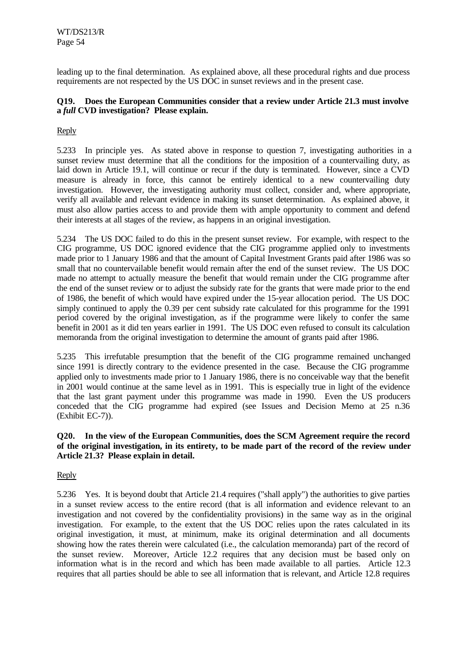leading up to the final determination. As explained above, all these procedural rights and due process requirements are not respected by the US DOC in sunset reviews and in the present case.

## **Q19. Does the European Communities consider that a review under Article 21.3 must involve a** *full* **CVD investigation? Please explain.**

# Reply

5.233 In principle yes. As stated above in response to question 7, investigating authorities in a sunset review must determine that all the conditions for the imposition of a countervailing duty, as laid down in Article 19.1, will continue or recur if the duty is terminated. However, since a CVD measure is already in force, this cannot be entirely identical to a new countervailing duty investigation. However, the investigating authority must collect, consider and, where appropriate, verify all available and relevant evidence in making its sunset determination. As explained above, it must also allow parties access to and provide them with ample opportunity to comment and defend their interests at all stages of the review, as happens in an original investigation.

5.234 The US DOC failed to do this in the present sunset review. For example, with respect to the CIG programme, US DOC ignored evidence that the CIG programme applied only to investments made prior to 1 January 1986 and that the amount of Capital Investment Grants paid after 1986 was so small that no countervailable benefit would remain after the end of the sunset review. The US DOC made no attempt to actually measure the benefit that would remain under the CIG programme after the end of the sunset review or to adjust the subsidy rate for the grants that were made prior to the end of 1986, the benefit of which would have expired under the 15-year allocation period. The US DOC simply continued to apply the 0.39 per cent subsidy rate calculated for this programme for the 1991 period covered by the original investigation, as if the programme were likely to confer the same benefit in 2001 as it did ten years earlier in 1991. The US DOC even refused to consult its calculation memoranda from the original investigation to determine the amount of grants paid after 1986.

5.235 This irrefutable presumption that the benefit of the CIG programme remained unchanged since 1991 is directly contrary to the evidence presented in the case. Because the CIG programme applied only to investments made prior to 1 January 1986, there is no conceivable way that the benefit in 2001 would continue at the same level as in 1991. This is especially true in light of the evidence that the last grant payment under this programme was made in 1990. Even the US producers conceded that the CIG programme had expired (see Issues and Decision Memo at 25 n.36 (Exhibit EC-7)).

## **Q20. In the view of the European Communities, does the SCM Agreement require the record of the original investigation, in its entirety, to be made part of the record of the review under Article 21.3? Please explain in detail.**

### Reply

5.236 Yes. It is beyond doubt that Article 21.4 requires ("shall apply") the authorities to give parties in a sunset review access to the entire record (that is all information and evidence relevant to an investigation and not covered by the confidentiality provisions) in the same way as in the original investigation. For example, to the extent that the US DOC relies upon the rates calculated in its original investigation, it must, at minimum, make its original determination and all documents showing how the rates therein were calculated (i.e., the calculation memoranda) part of the record of the sunset review. Moreover, Article 12.2 requires that any decision must be based only on information what is in the record and which has been made available to all parties. Article 12.3 requires that all parties should be able to see all information that is relevant, and Article 12.8 requires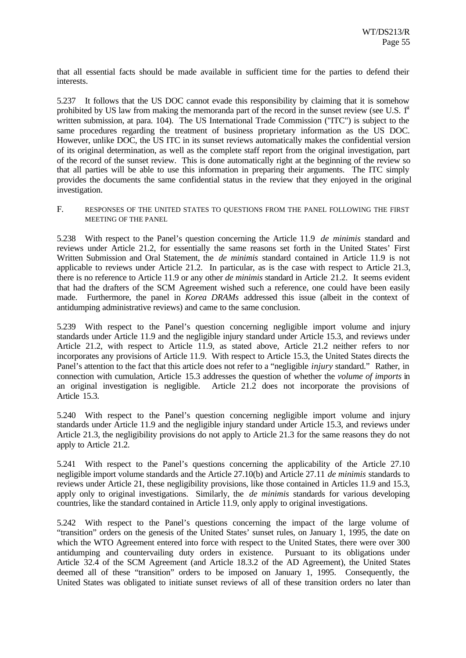that all essential facts should be made available in sufficient time for the parties to defend their interests.

5.237 It follows that the US DOC cannot evade this responsibility by claiming that it is somehow prohibited by US law from making the memoranda part of the record in the sunset review (see U.S.  $1<sup>st</sup>$ written submission, at para. 104). The US International Trade Commission ("ITC") is subject to the same procedures regarding the treatment of business proprietary information as the US DOC. However, unlike DOC, the US ITC in its sunset reviews automatically makes the confidential version of its original determination, as well as the complete staff report from the original investigation, part of the record of the sunset review. This is done automatically right at the beginning of the review so that all parties will be able to use this information in preparing their arguments. The ITC simply provides the documents the same confidential status in the review that they enjoyed in the original investigation.

F. RESPONSES OF THE UNITED STATES TO QUESTIONS FROM THE PANEL FOLLOWING THE FIRST MEETING OF THE PANEL

5.238 With respect to the Panel's question concerning the Article 11.9 *de minimis* standard and reviews under Article 21.2, for essentially the same reasons set forth in the United States' First Written Submission and Oral Statement, the *de minimis* standard contained in Article 11.9 is not applicable to reviews under Article 21.2. In particular, as is the case with respect to Article 21.3, there is no reference to Article 11.9 or any other *de minimis* standard in Article 21.2. It seems evident that had the drafters of the SCM Agreement wished such a reference, one could have been easily made. Furthermore, the panel in *Korea DRAMs* addressed this issue (albeit in the context of antidumping administrative reviews) and came to the same conclusion.

5.239 With respect to the Panel's question concerning negligible import volume and injury standards under Article 11.9 and the negligible injury standard under Article 15.3, and reviews under Article 21.2, with respect to Article 11.9, as stated above, Article 21.2 neither refers to nor incorporates any provisions of Article 11.9. With respect to Article 15.3, the United States directs the Panel's attention to the fact that this article does not refer to a "negligible *injury* standard." Rather, in connection with cumulation, Article 15.3 addresses the question of whether the *volume of imports* in an original investigation is negligible. Article 21.2 does not incorporate the provisions of Article 15.3.

5.240 With respect to the Panel's question concerning negligible import volume and injury standards under Article 11.9 and the negligible injury standard under Article 15.3, and reviews under Article 21.3, the negligibility provisions do not apply to Article 21.3 for the same reasons they do not apply to Article 21.2.

5.241 With respect to the Panel's questions concerning the applicability of the Article 27.10 negligible import volume standards and the Article 27.10(b) and Article 27.11 *de minimis* standards to reviews under Article 21, these negligibility provisions, like those contained in Articles 11.9 and 15.3, apply only to original investigations. Similarly, the *de minimis* standards for various developing countries, like the standard contained in Article 11.9, only apply to original investigations.

5.242 With respect to the Panel's questions concerning the impact of the large volume of "transition" orders on the genesis of the United States' sunset rules, on January 1, 1995, the date on which the WTO Agreement entered into force with respect to the United States, there were over 300 antidumping and countervailing duty orders in existence. Pursuant to its obligations under Article 32.4 of the SCM Agreement (and Article 18.3.2 of the AD Agreement), the United States deemed all of these "transition" orders to be imposed on January 1, 1995. Consequently, the United States was obligated to initiate sunset reviews of all of these transition orders no later than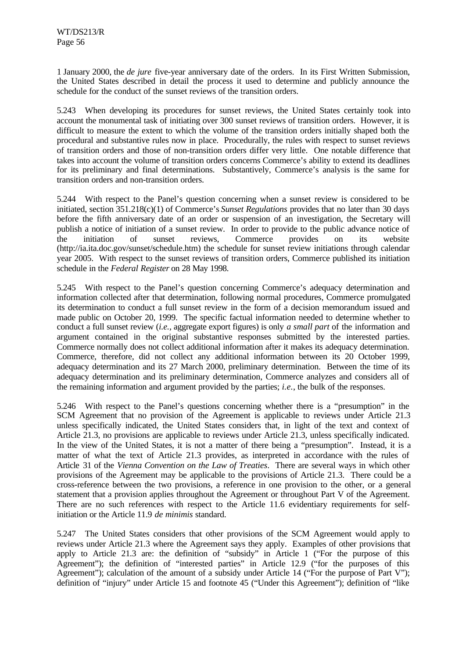1 January 2000, the *de jure* five-year anniversary date of the orders. In its First Written Submission, the United States described in detail the process it used to determine and publicly announce the schedule for the conduct of the sunset reviews of the transition orders.

5.243 When developing its procedures for sunset reviews, the United States certainly took into account the monumental task of initiating over 300 sunset reviews of transition orders. However, it is difficult to measure the extent to which the volume of the transition orders initially shaped both the procedural and substantive rules now in place. Procedurally, the rules with respect to sunset reviews of transition orders and those of non-transition orders differ very little. One notable difference that takes into account the volume of transition orders concerns Commerce's ability to extend its deadlines for its preliminary and final determinations. Substantively, Commerce's analysis is the same for transition orders and non-transition orders.

5.244 With respect to the Panel's question concerning when a sunset review is considered to be initiated, section 351.218(c)(1) of Commerce's *Sunset Regulations* provides that no later than 30 days before the fifth anniversary date of an order or suspension of an investigation, the Secretary will publish a notice of initiation of a sunset review. In order to provide to the public advance notice of the initiation of sunset reviews, Commerce provides on its website (http://ia.ita.doc.gov/sunset/schedule.htm) the schedule for sunset review initiations through calendar year 2005. With respect to the sunset reviews of transition orders, Commerce published its initiation schedule in the *Federal Register* on 28 May 1998.

5.245 With respect to the Panel's question concerning Commerce's adequacy determination and information collected after that determination, following normal procedures, Commerce promulgated its determination to conduct a full sunset review in the form of a decision memorandum issued and made public on October 20, 1999. The specific factual information needed to determine whether to conduct a full sunset review (*i.e.*, aggregate export figures) is only *a small part* of the information and argument contained in the original substantive responses submitted by the interested parties. Commerce normally does not collect additional information after it makes its adequacy determination. Commerce, therefore, did not collect any additional information between its 20 October 1999, adequacy determination and its 27 March 2000, preliminary determination. Between the time of its adequacy determination and its preliminary determination, Commerce analyzes and considers all of the remaining information and argument provided by the parties; *i.e.*, the bulk of the responses.

5.246 With respect to the Panel's questions concerning whether there is a "presumption" in the SCM Agreement that no provision of the Agreement is applicable to reviews under Article 21.3 unless specifically indicated, the United States considers that, in light of the text and context of Article 21.3, no provisions are applicable to reviews under Article 21.3, unless specifically indicated. In the view of the United States, it is not a matter of there being a "presumption". Instead, it is a matter of what the text of Article 21.3 provides, as interpreted in accordance with the rules of Article 31 of the *Vienna Convention on the Law of Treaties*. There are several ways in which other provisions of the Agreement may be applicable to the provisions of Article 21.3. There could be a cross-reference between the two provisions, a reference in one provision to the other, or a general statement that a provision applies throughout the Agreement or throughout Part V of the Agreement. There are no such references with respect to the Article 11.6 evidentiary requirements for selfinitiation or the Article 11.9 *de minimis* standard.

5.247 The United States considers that other provisions of the SCM Agreement would apply to reviews under Article 21.3 where the Agreement says they apply. Examples of other provisions that apply to Article 21.3 are: the definition of "subsidy" in Article 1 ("For the purpose of this Agreement"); the definition of "interested parties" in Article 12.9 ("for the purposes of this Agreement"); calculation of the amount of a subsidy under Article 14 ("For the purpose of Part V"); definition of "injury" under Article 15 and footnote 45 ("Under this Agreement"); definition of "like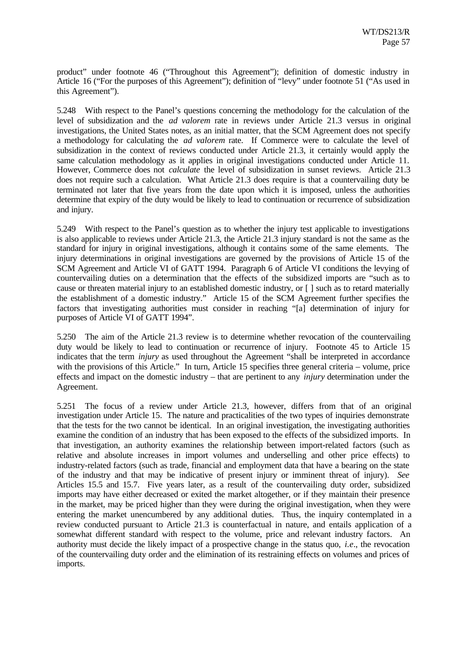product" under footnote 46 ("Throughout this Agreement"); definition of domestic industry in Article 16 ("For the purposes of this Agreement"); definition of "levy" under footnote 51 ("As used in this Agreement").

5.248 With respect to the Panel's questions concerning the methodology for the calculation of the level of subsidization and the *ad valorem* rate in reviews under Article 21.3 versus in original investigations, the United States notes, as an initial matter, that the SCM Agreement does not specify a methodology for calculating the *ad valorem* rate. If Commerce were to calculate the level of subsidization in the context of reviews conducted under Article 21.3, it certainly would apply the same calculation methodology as it applies in original investigations conducted under Article 11. However, Commerce does not *calculate* the level of subsidization in sunset reviews. Article 21.3 does not require such a calculation. What Article 21.3 does require is that a countervailing duty be terminated not later that five years from the date upon which it is imposed, unless the authorities determine that expiry of the duty would be likely to lead to continuation or recurrence of subsidization and injury.

5.249 With respect to the Panel's question as to whether the injury test applicable to investigations is also applicable to reviews under Article 21.3, the Article 21.3 injury standard is not the same as the standard for injury in original investigations, although it contains some of the same elements. The injury determinations in original investigations are governed by the provisions of Article 15 of the SCM Agreement and Article VI of GATT 1994. Paragraph 6 of Article VI conditions the levying of countervailing duties on a determination that the effects of the subsidized imports are "such as to cause or threaten material injury to an established domestic industry, or [ ] such as to retard materially the establishment of a domestic industry." Article 15 of the SCM Agreement further specifies the factors that investigating authorities must consider in reaching "[a] determination of injury for purposes of Article VI of GATT 1994".

5.250 The aim of the Article 21.3 review is to determine whether revocation of the countervailing duty would be likely to lead to continuation or recurrence of injury. Footnote 45 to Article 15 indicates that the term *injury* as used throughout the Agreement "shall be interpreted in accordance with the provisions of this Article." In turn, Article 15 specifies three general criteria – volume, price effects and impact on the domestic industry – that are pertinent to any *injury* determination under the Agreement.

5.251 The focus of a review under Article 21.3, however, differs from that of an original investigation under Article 15. The nature and practicalities of the two types of inquiries demonstrate that the tests for the two cannot be identical. In an original investigation, the investigating authorities examine the condition of an industry that has been exposed to the effects of the subsidized imports. In that investigation, an authority examines the relationship between import-related factors (such as relative and absolute increases in import volumes and underselling and other price effects) to industry-related factors (such as trade, financial and employment data that have a bearing on the state of the industry and that may be indicative of present injury or imminent threat of injury). *See* Articles 15.5 and 15.7. Five years later, as a result of the countervailing duty order, subsidized imports may have either decreased or exited the market altogether, or if they maintain their presence in the market, may be priced higher than they were during the original investigation, when they were entering the market unencumbered by any additional duties. Thus, the inquiry contemplated in a review conducted pursuant to Article 21.3 is counterfactual in nature, and entails application of a somewhat different standard with respect to the volume, price and relevant industry factors. An authority must decide the likely impact of a prospective change in the status quo, *i.e*., the revocation of the countervailing duty order and the elimination of its restraining effects on volumes and prices of imports.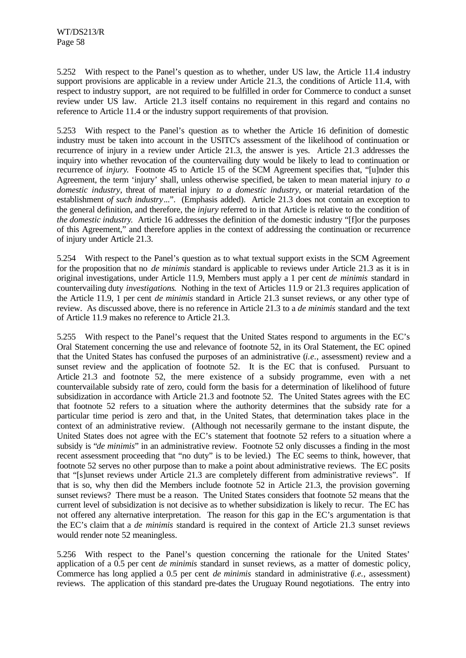5.252 With respect to the Panel's question as to whether, under US law, the Article 11.4 industry support provisions are applicable in a review under Article 21.3, the conditions of Article 11.4, with respect to industry support, are not required to be fulfilled in order for Commerce to conduct a sunset review under US law. Article 21.3 itself contains no requirement in this regard and contains no reference to Article 11.4 or the industry support requirements of that provision.

5.253 With respect to the Panel's question as to whether the Article 16 definition of domestic industry must be taken into account in the USITC's assessment of the likelihood of continuation or recurrence of injury in a review under Article 21.3, the answer is yes. Article 21.3 addresses the inquiry into whether revocation of the countervailing duty would be likely to lead to continuation or recurrence of *injury*. Footnote 45 to Article 15 of the SCM Agreement specifies that, "[u]nder this Agreement, the term 'injury' shall, unless otherwise specified, be taken to mean material injury *to a domestic industry*, threat of material injury *to a domestic industry*, or material retardation of the establishment *of such industry*...". (Emphasis added). Article 21.3 does not contain an exception to the general definition, and therefore, the *injury* referred to in that Article is relative to the condition of *the domestic industry.* Article 16 addresses the definition of the domestic industry "[flor the purposes of this Agreement," and therefore applies in the context of addressing the continuation or recurrence of injury under Article 21.3.

5.254 With respect to the Panel's question as to what textual support exists in the SCM Agreement for the proposition that no *de minimis* standard is applicable to reviews under Article 21.3 as it is in original investigations, under Article 11.9, Members must apply a 1 per cent *de minimis* standard in countervailing duty *investigations*. Nothing in the text of Articles 11.9 or 21.3 requires application of the Article 11.9, 1 per cent *de minimis* standard in Article 21.3 sunset reviews, or any other type of review. As discussed above, there is no reference in Article 21.3 to a *de minimis* standard and the text of Article 11.9 makes no reference to Article 21.3.

5.255 With respect to the Panel's request that the United States respond to arguments in the EC's Oral Statement concerning the use and relevance of footnote 52, in its Oral Statement, the EC opined that the United States has confused the purposes of an administrative (*i.e.*, assessment) review and a sunset review and the application of footnote 52. It is the EC that is confused. Pursuant to Article 21.3 and footnote 52, the mere existence of a subsidy programme, even with a net countervailable subsidy rate of zero, could form the basis for a determination of likelihood of future subsidization in accordance with Article 21.3 and footnote 52. The United States agrees with the EC that footnote 52 refers to a situation where the authority determines that the subsidy rate for a particular time period is zero and that, in the United States, that determination takes place in the context of an administrative review. (Although not necessarily germane to the instant dispute, the United States does not agree with the EC's statement that footnote 52 refers to a situation where a subsidy is "*de minimis*" in an administrative review. Footnote 52 only discusses a finding in the most recent assessment proceeding that "no duty" is to be levied.) The EC seems to think, however, that footnote 52 serves no other purpose than to make a point about administrative reviews. The EC posits that "[s]unset reviews under Article 21.3 are completely different from administrative reviews". If that is so, why then did the Members include footnote 52 in Article 21.3, the provision governing sunset reviews? There must be a reason. The United States considers that footnote 52 means that the current level of subsidization is not decisive as to whether subsidization is likely to recur. The EC has not offered any alternative interpretation. The reason for this gap in the EC's argumentation is that the EC's claim that a *de minimis* standard is required in the context of Article 21.3 sunset reviews would render note 52 meaningless.

5.256 With respect to the Panel's question concerning the rationale for the United States' application of a 0.5 per cent *de minimis* standard in sunset reviews, as a matter of domestic policy, Commerce has long applied a 0.5 per cent *de minimis* standard in administrative (*i.e.*, assessment) reviews. The application of this standard pre-dates the Uruguay Round negotiations. The entry into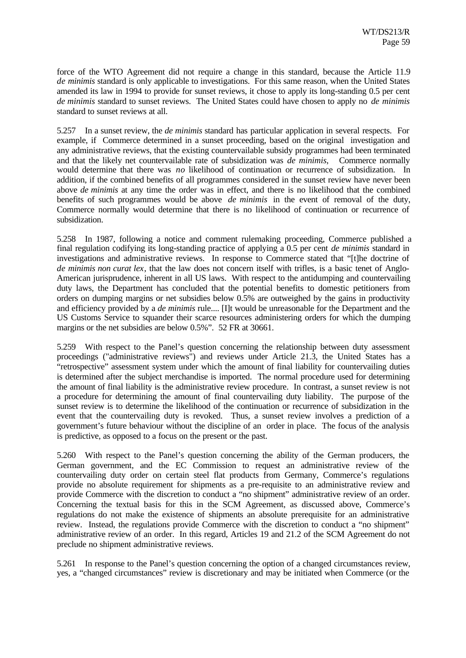force of the WTO Agreement did not require a change in this standard, because the Article 11.9 *de minimis* standard is only applicable to investigations. For this same reason, when the United States amended its law in 1994 to provide for sunset reviews, it chose to apply its long-standing 0.5 per cent *de minimis* standard to sunset reviews. The United States could have chosen to apply no *de minimis* standard to sunset reviews at all.

5.257 In a sunset review, the *de minimis* standard has particular application in several respects. For example, if Commerce determined in a sunset proceeding, based on the original investigation and any administrative reviews, that the existing countervailable subsidy programmes had been terminated and that the likely net countervailable rate of subsidization was *de minimis*, Commerce normally would determine that there was *no* likelihood of continuation or recurrence of subsidization. In addition, if the combined benefits of all programmes considered in the sunset review have never been above *de minimis* at any time the order was in effect, and there is no likelihood that the combined benefits of such programmes would be above *de minimis* in the event of removal of the duty, Commerce normally would determine that there is no likelihood of continuation or recurrence of subsidization.

5.258 In 1987, following a notice and comment rulemaking proceeding, Commerce published a final regulation codifying its long-standing practice of applying a 0.5 per cent *de minimis* standard in investigations and administrative reviews. In response to Commerce stated that "[t]he doctrine of *de minimis non curat lex*, that the law does not concern itself with trifles, is a basic tenet of Anglo-American jurisprudence, inherent in all US laws. With respect to the antidumping and countervailing duty laws, the Department has concluded that the potential benefits to domestic petitioners from orders on dumping margins or net subsidies below 0.5% are outweighed by the gains in productivity and efficiency provided by a *de minimis* rule.... [I]t would be unreasonable for the Department and the US Customs Service to squander their scarce resources administering orders for which the dumping margins or the net subsidies are below 0.5%". 52 FR at 30661.

5.259 With respect to the Panel's question concerning the relationship between duty assessment proceedings ("administrative reviews") and reviews under Article 21.3, the United States has a "retrospective" assessment system under which the amount of final liability for countervailing duties is determined after the subject merchandise is imported. The normal procedure used for determining the amount of final liability is the administrative review procedure. In contrast, a sunset review is not a procedure for determining the amount of final countervailing duty liability. The purpose of the sunset review is to determine the likelihood of the continuation or recurrence of subsidization in the event that the countervailing duty is revoked. Thus, a sunset review involves a prediction of a government's future behaviour without the discipline of an order in place. The focus of the analysis is predictive, as opposed to a focus on the present or the past.

5.260 With respect to the Panel's question concerning the ability of the German producers, the German government, and the EC Commission to request an administrative review of the countervailing duty order on certain steel flat products from Germany, Commerce's regulations provide no absolute requirement for shipments as a pre-requisite to an administrative review and provide Commerce with the discretion to conduct a "no shipment" administrative review of an order. Concerning the textual basis for this in the SCM Agreement, as discussed above, Commerce's regulations do not make the existence of shipments an absolute prerequisite for an administrative review. Instead, the regulations provide Commerce with the discretion to conduct a "no shipment" administrative review of an order. In this regard, Articles 19 and 21.2 of the SCM Agreement do not preclude no shipment administrative reviews.

5.261 In response to the Panel's question concerning the option of a changed circumstances review, yes, a "changed circumstances" review is discretionary and may be initiated when Commerce (or the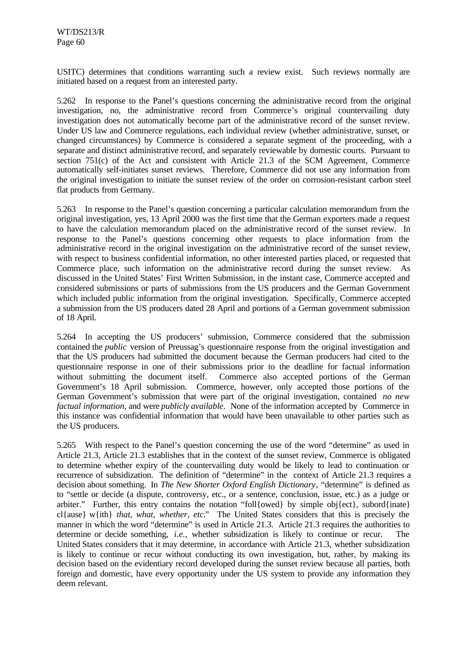USITC) determines that conditions warranting such a review exist. Such reviews normally are initiated based on a request from an interested party.

5.262 In response to the Panel's questions concerning the administrative record from the original investigation, no, the administrative record from Commerce's original countervailing duty investigation does not automatically become part of the administrative record of the sunset review. Under US law and Commerce regulations, each individual review (whether administrative, sunset, or changed circumstances) by Commerce is considered a separate segment of the proceeding, with a separate and distinct administrative record, and separately reviewable by domestic courts. Pursuant to section 751(c) of the Act and consistent with Article 21.3 of the SCM Agreement, Commerce automatically self-initiates sunset reviews. Therefore, Commerce did not use any information from the original investigation to initiate the sunset review of the order on corrosion-resistant carbon steel flat products from Germany.

5.263 In response to the Panel's question concerning a particular calculation memorandum from the original investigation, yes, 13 April 2000 was the first time that the German exporters made a request to have the calculation memorandum placed on the administrative record of the sunset review. In response to the Panel's questions concerning other requests to place information from the administrative record in the original investigation on the administrative record of the sunset review, with respect to business confidential information, no other interested parties placed, or requested that Commerce place, such information on the administrative record during the sunset review. As discussed in the United States' First Written Submission, in the instant case, Commerce accepted and considered submissions or parts of submissions from the US producers and the German Government which included public information from the original investigation. Specifically, Commerce accepted a submission from the US producers dated 28 April and portions of a German government submission of 18 April.

5.264 In accepting the US producers' submission, Commerce considered that the submission contained the *public* version of Preussag's questionnaire response from the original investigation and that the US producers had submitted the document because the German producers had cited to the questionnaire response in one of their submissions prior to the deadline for factual information without submitting the document itself. Commerce also accepted portions of the German Government's 18 April submission. Commerce, however, only accepted those portions of the German Government's submission that were part of the original investigation, contained *no new factual information*, and were *publicly available*. None of the information accepted by Commerce in this instance was confidential information that would have been unavailable to other parties such as the US producers.

5.265 With respect to the Panel's question concerning the use of the word "determine" as used in Article 21.3, Article 21.3 establishes that in the context of the sunset review, Commerce is obligated to determine whether expiry of the countervailing duty would be likely to lead to continuation or recurrence of subsidization. The definition of "determine" in the context of Article 21.3 requires a decision about something. In *The New Shorter Oxford English Dictionary*, "determine" is defined as to "settle or decide (a dispute, controversy, etc., or a sentence, conclusion, issue, etc.) as a judge or arbiter." Further, this entry contains the notation "foll{owed} by simple obj{ect}, subord{inate} cl{ause} w{ith} *that, what, whether, etc.*" The United States considers that this is precisely the manner in which the word "determine" is used in Article 21.3. Article 21.3 requires the authorities to determine or decide something, *i.e.*, whether subsidization is likely to continue or recur. The United States considers that it may determine, in accordance with Article 21.3, whether subsidization is likely to continue or recur without conducting its own investigation, but, rather, by making its decision based on the evidentiary record developed during the sunset review because all parties, both foreign and domestic, have every opportunity under the US system to provide any information they deem relevant.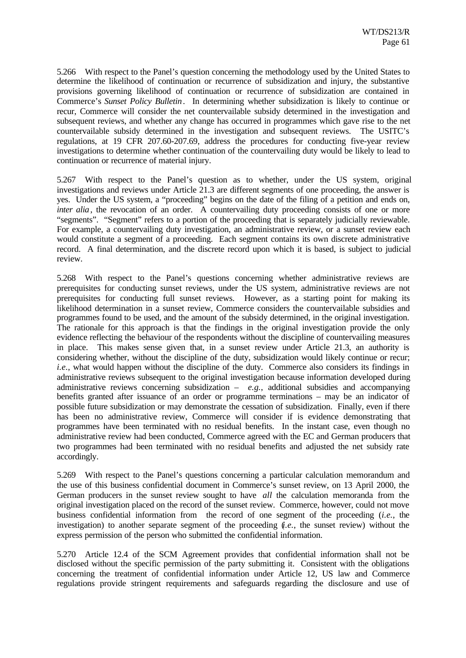5.266 With respect to the Panel's question concerning the methodology used by the United States to determine the likelihood of continuation or recurrence of subsidization and injury, the substantive provisions governing likelihood of continuation or recurrence of subsidization are contained in Commerce's *Sunset Policy Bulletin*. In determining whether subsidization is likely to continue or recur, Commerce will consider the net countervailable subsidy determined in the investigation and subsequent reviews, and whether any change has occurred in programmes which gave rise to the net countervailable subsidy determined in the investigation and subsequent reviews. The USITC's regulations, at 19 CFR 207.60-207.69, address the procedures for conducting five-year review investigations to determine whether continuation of the countervailing duty would be likely to lead to continuation or recurrence of material injury.

5.267 With respect to the Panel's question as to whether, under the US system, original investigations and reviews under Article 21.3 are different segments of one proceeding, the answer is yes. Under the US system, a "proceeding" begins on the date of the filing of a petition and ends on, *inter alia*, the revocation of an order. A countervailing duty proceeding consists of one or more "segments". "Segment" refers to a portion of the proceeding that is separately judicially reviewable. For example, a countervailing duty investigation, an administrative review, or a sunset review each would constitute a segment of a proceeding. Each segment contains its own discrete administrative record. A final determination, and the discrete record upon which it is based, is subject to judicial review.

5.268 With respect to the Panel's questions concerning whether administrative reviews are prerequisites for conducting sunset reviews, under the US system, administrative reviews are not prerequisites for conducting full sunset reviews. However, as a starting point for making its likelihood determination in a sunset review, Commerce considers the countervailable subsidies and programmes found to be used, and the amount of the subsidy determined, in the original investigation. The rationale for this approach is that the findings in the original investigation provide the only evidence reflecting the behaviour of the respondents without the discipline of countervailing measures in place. This makes sense given that, in a sunset review under Article 21.3, an authority is considering whether, without the discipline of the duty, subsidization would likely continue or recur; *i.e.*, what would happen without the discipline of the duty. Commerce also considers its findings in administrative reviews subsequent to the original investigation because information developed during administrative reviews concerning subsidization – *e.g.*, additional subsidies and accompanying benefits granted after issuance of an order or programme terminations – may be an indicator of possible future subsidization or may demonstrate the cessation of subsidization. Finally, even if there has been no administrative review, Commerce will consider if is evidence demonstrating that programmes have been terminated with no residual benefits. In the instant case, even though no administrative review had been conducted, Commerce agreed with the EC and German producers that two programmes had been terminated with no residual benefits and adjusted the net subsidy rate accordingly.

5.269 With respect to the Panel's questions concerning a particular calculation memorandum and the use of this business confidential document in Commerce's sunset review, on 13 April 2000, the German producers in the sunset review sought to have *all* the calculation memoranda from the original investigation placed on the record of the sunset review. Commerce, however, could not move business confidential information from the record of one segment of the proceeding (*i.e.*, the investigation) to another separate segment of the proceeding (*i.e.*, the sunset review) without the express permission of the person who submitted the confidential information.

5.270 Article 12.4 of the SCM Agreement provides that confidential information shall not be disclosed without the specific permission of the party submitting it. Consistent with the obligations concerning the treatment of confidential information under Article 12, US law and Commerce regulations provide stringent requirements and safeguards regarding the disclosure and use of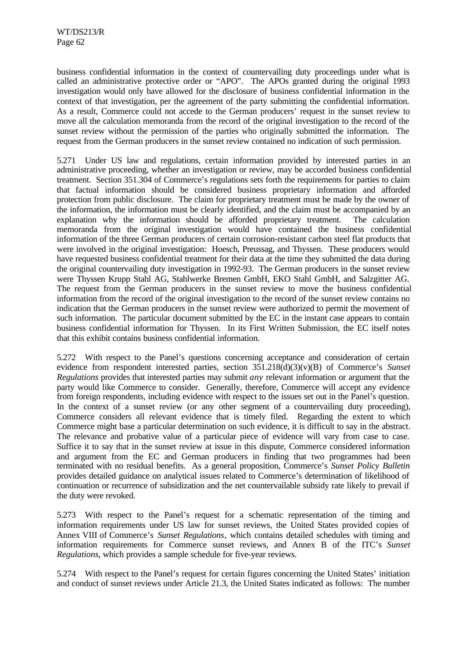business confidential information in the context of countervailing duty proceedings under what is called an administrative protective order or "APO". The APOs granted during the original 1993 investigation would only have allowed for the disclosure of business confidential information in the context of that investigation, per the agreement of the party submitting the confidential information. As a result, Commerce could not accede to the German producers' request in the sunset review to move all the calculation memoranda from the record of the original investigation to the record of the sunset review without the permission of the parties who originally submitted the information. The request from the German producers in the sunset review contained no indication of such permission.

5.271 Under US law and regulations, certain information provided by interested parties in an administrative proceeding, whether an investigation or review, may be accorded business confidential treatment. Section 351.304 of Commerce's regulations sets forth the requirements for parties to claim that factual information should be considered business proprietary information and afforded protection from public disclosure. The claim for proprietary treatment must be made by the owner of the information, the information must be clearly identified, and the claim must be accompanied by an explanation why the information should be afforded proprietary treatment. The calculation memoranda from the original investigation would have contained the business confidential information of the three German producers of certain corrosion-resistant carbon steel flat products that were involved in the original investigation: Hoesch, Preussag, and Thyssen. These producers would have requested business confidential treatment for their data at the time they submitted the data during the original countervailing duty investigation in 1992-93. The German producers in the sunset review were Thyssen Krupp Stahl AG, Stahlwerke Bremen GmbH, EKO Stahl GmbH, and Salzgitter AG. The request from the German producers in the sunset review to move the business confidential information from the record of the original investigation to the record of the sunset review contains no indication that the German producers in the sunset review were authorized to permit the movement of such information. The particular document submitted by the EC in the instant case appears to contain business confidential information for Thyssen. In its First Written Submission, the EC itself notes that this exhibit contains business confidential information.

5.272 With respect to the Panel's questions concerning acceptance and consideration of certain evidence from respondent interested parties, section 351.218(d)(3)(v)(B) of Commerce's *Sunset Regulations* provides that interested parties may submit *any* relevant information or argument that the party would like Commerce to consider. Generally, therefore, Commerce will accept any evidence from foreign respondents, including evidence with respect to the issues set out in the Panel's question. In the context of a sunset review (or any other segment of a countervailing duty proceeding), Commerce considers all relevant evidence that is timely filed. Regarding the extent to which Commerce might base a particular determination on such evidence, it is difficult to say in the abstract. The relevance and probative value of a particular piece of evidence will vary from case to case. Suffice it to say that in the sunset review at issue in this dispute, Commerce considered information and argument from the EC and German producers in finding that two programmes had been terminated with no residual benefits. As a general proposition, Commerce's *Sunset Policy Bulletin* provides detailed guidance on analytical issues related to Commerce's determination of likelihood of continuation or recurrence of subsidization and the net countervailable subsidy rate likely to prevail if the duty were revoked.

5.273 With respect to the Panel's request for a schematic representation of the timing and information requirements under US law for sunset reviews, the United States provided copies of Annex VIII of Commerce's *Sunset Regulations*, which contains detailed schedules with timing and information requirements for Commerce sunset reviews, and Annex B of the ITC's *Sunset Regulations*, which provides a sample schedule for five-year reviews.

5.274 With respect to the Panel's request for certain figures concerning the United States' initiation and conduct of sunset reviews under Article 21.3, the United States indicated as follows: The number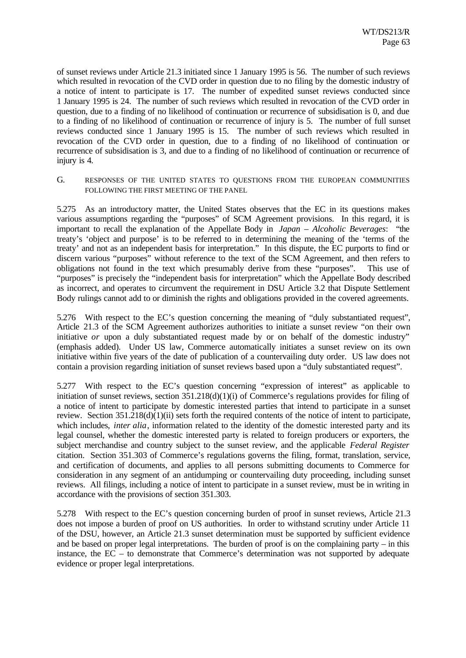of sunset reviews under Article 21.3 initiated since 1 January 1995 is 56. The number of such reviews which resulted in revocation of the CVD order in question due to no filing by the domestic industry of a notice of intent to participate is 17. The number of expedited sunset reviews conducted since 1 January 1995 is 24. The number of such reviews which resulted in revocation of the CVD order in question, due to a finding of no likelihood of continuation or recurrence of subsidisation is 0, and due to a finding of no likelihood of continuation or recurrence of injury is 5. The number of full sunset reviews conducted since 1 January 1995 is 15. The number of such reviews which resulted in revocation of the CVD order in question, due to a finding of no likelihood of continuation or recurrence of subsidisation is 3, and due to a finding of no likelihood of continuation or recurrence of injury is 4.

G. RESPONSES OF THE UNITED STATES TO QUESTIONS FROM THE EUROPEAN COMMUNITIES FOLLOWING THE FIRST MEETING OF THE PANEL

5.275 As an introductory matter, the United States observes that the EC in its questions makes various assumptions regarding the "purposes" of SCM Agreement provisions. In this regard, it is important to recall the explanation of the Appellate Body in *Japan – Alcoholic Beverages*: "the treaty's 'object and purpose' is to be referred to in determining the meaning of the 'terms of the treaty' and not as an independent basis for interpretation." In this dispute, the EC purports to find or discern various "purposes" without reference to the text of the SCM Agreement, and then refers to obligations not found in the text which presumably derive from these "purposes". This use of "purposes" is precisely the "independent basis for interpretation" which the Appellate Body described as incorrect, and operates to circumvent the requirement in DSU Article 3.2 that Dispute Settlement Body rulings cannot add to or diminish the rights and obligations provided in the covered agreements.

5.276 With respect to the EC's question concerning the meaning of "duly substantiated request", Article 21.3 of the SCM Agreement authorizes authorities to initiate a sunset review "on their own initiative *or* upon a duly substantiated request made by or on behalf of the domestic industry" (emphasis added). Under US law, Commerce automatically initiates a sunset review on its own initiative within five years of the date of publication of a countervailing duty order. US law does not contain a provision regarding initiation of sunset reviews based upon a "duly substantiated request".

5.277 With respect to the EC's question concerning "expression of interest" as applicable to initiation of sunset reviews, section 351.218(d)(1)(i) of Commerce's regulations provides for filing of a notice of intent to participate by domestic interested parties that intend to participate in a sunset review. Section 351.218(d)(1)(ii) sets forth the required contents of the notice of intent to participate, which includes, *inter alia*, information related to the identity of the domestic interested party and its legal counsel, whether the domestic interested party is related to foreign producers or exporters, the subject merchandise and country subject to the sunset review, and the applicable *Federal Register* citation. Section 351.303 of Commerce's regulations governs the filing, format, translation, service, and certification of documents, and applies to all persons submitting documents to Commerce for consideration in any segment of an antidumping or countervailing duty proceeding, including sunset reviews. All filings, including a notice of intent to participate in a sunset review, must be in writing in accordance with the provisions of section 351.303.

5.278 With respect to the EC's question concerning burden of proof in sunset reviews, Article 21.3 does not impose a burden of proof on US authorities. In order to withstand scrutiny under Article 11 of the DSU, however, an Article 21.3 sunset determination must be supported by sufficient evidence and be based on proper legal interpretations. The burden of proof is on the complaining party – in this instance, the EC – to demonstrate that Commerce's determination was not supported by adequate evidence or proper legal interpretations.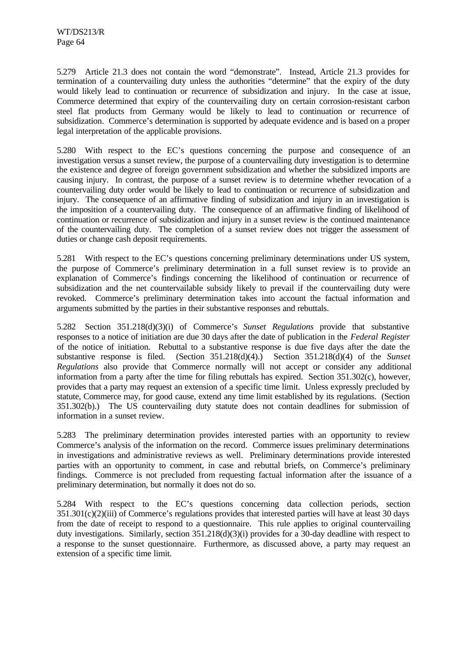5.279 Article 21.3 does not contain the word "demonstrate". Instead, Article 21.3 provides for termination of a countervailing duty unless the authorities "determine" that the expiry of the duty would likely lead to continuation or recurrence of subsidization and injury. In the case at issue, Commerce determined that expiry of the countervailing duty on certain corrosion-resistant carbon steel flat products from Germany would be likely to lead to continuation or recurrence of subsidization. Commerce's determination is supported by adequate evidence and is based on a proper legal interpretation of the applicable provisions.

5.280 With respect to the EC's questions concerning the purpose and consequence of an investigation versus a sunset review, the purpose of a countervailing duty investigation is to determine the existence and degree of foreign government subsidization and whether the subsidized imports are causing injury. In contrast, the purpose of a sunset review is to determine whether revocation of a countervailing duty order would be likely to lead to continuation or recurrence of subsidization and injury. The consequence of an affirmative finding of subsidization and injury in an investigation is the imposition of a countervailing duty. The consequence of an affirmative finding of likelihood of continuation or recurrence of subsidization and injury in a sunset review is the continued maintenance of the countervailing duty. The completion of a sunset review does not trigger the assessment of duties or change cash deposit requirements.

5.281 With respect to the EC's questions concerning preliminary determinations under US system, the purpose of Commerce's preliminary determination in a full sunset review is to provide an explanation of Commerce's findings concerning the likelihood of continuation or recurrence of subsidization and the net countervailable subsidy likely to prevail if the countervailing duty were revoked. Commerce's preliminary determination takes into account the factual information and arguments submitted by the parties in their substantive responses and rebuttals.

5.282 Section 351.218(d)(3)(i) of Commerce's *Sunset Regulations* provide that substantive responses to a notice of initiation are due 30 days after the date of publication in the *Federal Register* of the notice of initiation. Rebuttal to a substantive response is due five days after the date the substantive response is filed. (Section 351.218(d)(4).) Section 351.218(d)(4) of the *Sunset Regulations* also provide that Commerce normally will not accept or consider any additional information from a party after the time for filing rebuttals has expired. Section 351.302(c), however, provides that a party may request an extension of a specific time limit. Unless expressly precluded by statute, Commerce may, for good cause, extend any time limit established by its regulations. (Section 351.302(b).) The US countervailing duty statute does not contain deadlines for submission of information in a sunset review.

5.283 The preliminary determination provides interested parties with an opportunity to review Commerce's analysis of the information on the record. Commerce issues preliminary determinations in investigations and administrative reviews as well. Preliminary determinations provide interested parties with an opportunity to comment, in case and rebuttal briefs, on Commerce's preliminary findings. Commerce is not precluded from requesting factual information after the issuance of a preliminary determination, but normally it does not do so.

5.284 With respect to the EC's questions concerning data collection periods, section 351.301(c)(2)(iii) of Commerce's regulations provides that interested parties will have at least 30 days from the date of receipt to respond to a questionnaire. This rule applies to original countervailing duty investigations. Similarly, section 351.218(d)(3)(i) provides for a 30-day deadline with respect to a response to the sunset questionnaire. Furthermore, as discussed above, a party may request an extension of a specific time limit.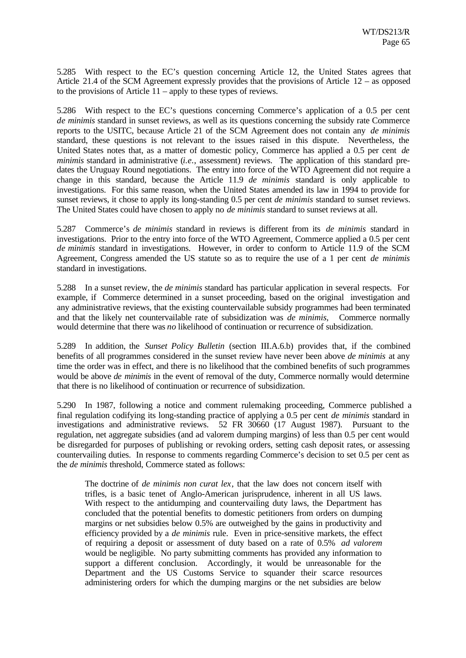5.285 With respect to the EC's question concerning Article 12, the United States agrees that Article 21.4 of the SCM Agreement expressly provides that the provisions of Article 12 – as opposed to the provisions of Article 11 – apply to these types of reviews.

5.286 With respect to the EC's questions concerning Commerce's application of a 0.5 per cent *de minimis* standard in sunset reviews, as well as its questions concerning the subsidy rate Commerce reports to the USITC, because Article 21 of the SCM Agreement does not contain any *de minimis* standard, these questions is not relevant to the issues raised in this dispute. Nevertheless, the United States notes that, as a matter of domestic policy, Commerce has applied a 0.5 per cent *de minimis* standard in administrative (*i.e.*, assessment) reviews. The application of this standard predates the Uruguay Round negotiations. The entry into force of the WTO Agreement did not require a change in this standard, because the Article 11.9 *de minimis* standard is only applicable to investigations. For this same reason, when the United States amended its law in 1994 to provide for sunset reviews, it chose to apply its long-standing 0.5 per cent *de minimis* standard to sunset reviews. The United States could have chosen to apply no *de minimis* standard to sunset reviews at all.

5.287 Commerce's *de minimis* standard in reviews is different from its *de minimis* standard in investigations. Prior to the entry into force of the WTO Agreement, Commerce applied a 0.5 per cent *de minimis* standard in investigations. However, in order to conform to Article 11.9 of the SCM Agreement, Congress amended the US statute so as to require the use of a 1 per cent *de minimis* standard in investigations.

5.288 In a sunset review, the *de minimis* standard has particular application in several respects. For example, if Commerce determined in a sunset proceeding, based on the original investigation and any administrative reviews, that the existing countervailable subsidy programmes had been terminated and that the likely net countervailable rate of subsidization was *de minimis*, Commerce normally would determine that there was *no* likelihood of continuation or recurrence of subsidization.

5.289 In addition, the *Sunset Policy Bulletin* (section III.A.6.b) provides that, if the combined benefits of all programmes considered in the sunset review have never been above *de minimis* at any time the order was in effect, and there is no likelihood that the combined benefits of such programmes would be above *de minimis* in the event of removal of the duty, Commerce normally would determine that there is no likelihood of continuation or recurrence of subsidization.

5.290 In 1987, following a notice and comment rulemaking proceeding, Commerce published a final regulation codifying its long-standing practice of applying a 0.5 per cent *de minimis* standard in investigations and administrative reviews. 52 FR 30660 (17 August 1987). Pursuant to the regulation, net aggregate subsidies (and ad valorem dumping margins) of less than 0.5 per cent would be disregarded for purposes of publishing or revoking orders, setting cash deposit rates, or assessing countervailing duties. In response to comments regarding Commerce's decision to set 0.5 per cent as the *de minimis* threshold, Commerce stated as follows:

The doctrine of *de minimis non curat lex*, that the law does not concern itself with trifles, is a basic tenet of Anglo-American jurisprudence, inherent in all US laws. With respect to the antidumping and countervailing duty laws, the Department has concluded that the potential benefits to domestic petitioners from orders on dumping margins or net subsidies below 0.5% are outweighed by the gains in productivity and efficiency provided by a *de minimis* rule. Even in price-sensitive markets, the effect of requiring a deposit or assessment of duty based on a rate of 0.5% *ad valorem* would be negligible. No party submitting comments has provided any information to support a different conclusion. Accordingly, it would be unreasonable for the Department and the US Customs Service to squander their scarce resources administering orders for which the dumping margins or the net subsidies are below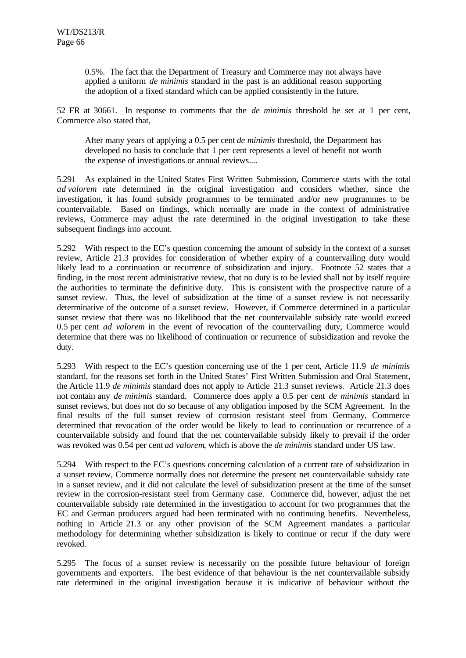0.5%. The fact that the Department of Treasury and Commerce may not always have applied a uniform *de minimis* standard in the past is an additional reason supporting the adoption of a fixed standard which can be applied consistently in the future.

52 FR at 30661. In response to comments that the *de minimis* threshold be set at 1 per cent, Commerce also stated that,

After many years of applying a 0.5 per cent *de minimis* threshold, the Department has developed no basis to conclude that 1 per cent represents a level of benefit not worth the expense of investigations or annual reviews....

5.291 As explained in the United States First Written Submission, Commerce starts with the total *ad valorem* rate determined in the original investigation and considers whether, since the investigation, it has found subsidy programmes to be terminated and/or new programmes to be countervailable. Based on findings, which normally are made in the context of administrative reviews, Commerce may adjust the rate determined in the original investigation to take these subsequent findings into account.

5.292 With respect to the EC's question concerning the amount of subsidy in the context of a sunset review, Article 21.3 provides for consideration of whether expiry of a countervailing duty would likely lead to a continuation or recurrence of subsidization and injury. Footnote 52 states that a finding, in the most recent administrative review, that no duty is to be levied shall not by itself require the authorities to terminate the definitive duty. This is consistent with the prospective nature of a sunset review. Thus, the level of subsidization at the time of a sunset review is not necessarily determinative of the outcome of a sunset review. However, if Commerce determined in a particular sunset review that there was no likelihood that the net countervailable subsidy rate would exceed 0.5 per cent *ad valorem* in the event of revocation of the countervailing duty, Commerce would determine that there was no likelihood of continuation or recurrence of subsidization and revoke the duty.

5.293 With respect to the EC's question concerning use of the 1 per cent, Article 11.9 *de minimis* standard, for the reasons set forth in the United States' First Written Submission and Oral Statement, the Article 11.9 *de minimis* standard does not apply to Article 21.3 sunset reviews. Article 21.3 does not contain any *de minimis* standard. Commerce does apply a 0.5 per cent *de minimis* standard in sunset reviews, but does not do so because of any obligation imposed by the SCM Agreement. In the final results of the full sunset review of corrosion resistant steel from Germany, Commerce determined that revocation of the order would be likely to lead to continuation or recurrence of a countervailable subsidy and found that the net countervailable subsidy likely to prevail if the order was revoked was 0.54 per cent *ad valorem*, which is above the *de minimis* standard under US law.

5.294 With respect to the EC's questions concerning calculation of a current rate of subsidization in a sunset review, Commerce normally does not determine the present net countervailable subsidy rate in a sunset review, and it did not calculate the level of subsidization present at the time of the sunset review in the corrosion-resistant steel from Germany case. Commerce did, however, adjust the net countervailable subsidy rate determined in the investigation to account for two programmes that the EC and German producers argued had been terminated with no continuing benefits. Nevertheless, nothing in Article 21.3 or any other provision of the SCM Agreement mandates a particular methodology for determining whether subsidization is likely to continue or recur if the duty were revoked.

5.295 The focus of a sunset review is necessarily on the possible future behaviour of foreign governments and exporters. The best evidence of that behaviour is the net countervailable subsidy rate determined in the original investigation because it is indicative of behaviour without the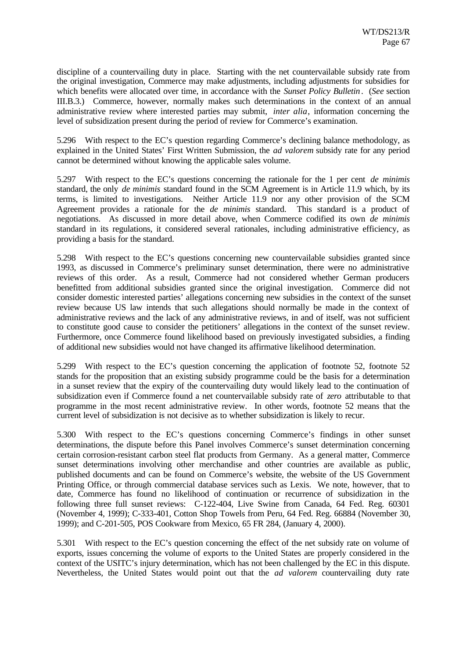discipline of a countervailing duty in place. Starting with the net countervailable subsidy rate from the original investigation, Commerce may make adjustments, including adjustments for subsidies for which benefits were allocated over time, in accordance with the *Sunset Policy Bulletin*. (*See* section III.B.3.) Commerce, however, normally makes such determinations in the context of an annual administrative review where interested parties may submit, *inter alia*, information concerning the level of subsidization present during the period of review for Commerce's examination.

5.296 With respect to the EC's question regarding Commerce's declining balance methodology, as explained in the United States' First Written Submission, the *ad valorem* subsidy rate for any period cannot be determined without knowing the applicable sales volume.

5.297 With respect to the EC's questions concerning the rationale for the 1 per cent *de minimis* standard, the only *de minimis* standard found in the SCM Agreement is in Article 11.9 which, by its terms, is limited to investigations. Neither Article 11.9 nor any other provision of the SCM Agreement provides a rationale for the *de minimis* standard. This standard is a product of negotiations. As discussed in more detail above, when Commerce codified its own *de minimis* standard in its regulations, it considered several rationales, including administrative efficiency, as providing a basis for the standard.

5.298 With respect to the EC's questions concerning new countervailable subsidies granted since 1993, as discussed in Commerce's preliminary sunset determination, there were no administrative reviews of this order. As a result, Commerce had not considered whether German producers benefitted from additional subsidies granted since the original investigation. Commerce did not consider domestic interested parties' allegations concerning new subsidies in the context of the sunset review because US law intends that such allegations should normally be made in the context of administrative reviews and the lack of any administrative reviews, in and of itself, was not sufficient to constitute good cause to consider the petitioners' allegations in the context of the sunset review. Furthermore, once Commerce found likelihood based on previously investigated subsidies, a finding of additional new subsidies would not have changed its affirmative likelihood determination.

5.299 With respect to the EC's question concerning the application of footnote 52, footnote 52 stands for the proposition that an existing subsidy programme could be the basis for a determination in a sunset review that the expiry of the countervailing duty would likely lead to the continuation of subsidization even if Commerce found a net countervailable subsidy rate of *zero* attributable to that programme in the most recent administrative review. In other words, footnote 52 means that the current level of subsidization is not decisive as to whether subsidization is likely to recur.

5.300 With respect to the EC's questions concerning Commerce's findings in other sunset determinations, the dispute before this Panel involves Commerce's sunset determination concerning certain corrosion-resistant carbon steel flat products from Germany. As a general matter, Commerce sunset determinations involving other merchandise and other countries are available as public, published documents and can be found on Commerce's website, the website of the US Government Printing Office, or through commercial database services such as Lexis. We note, however, that to date, Commerce has found no likelihood of continuation or recurrence of subsidization in the following three full sunset reviews: C-122-404, Live Swine from Canada, 64 Fed. Reg. 60301 (November 4, 1999); C-333-401, Cotton Shop Towels from Peru, 64 Fed. Reg. 66884 (November 30, 1999); and C-201-505, POS Cookware from Mexico, 65 FR 284, (January 4, 2000).

5.301 With respect to the EC's question concerning the effect of the net subsidy rate on volume of exports, issues concerning the volume of exports to the United States are properly considered in the context of the USITC's injury determination, which has not been challenged by the EC in this dispute. Nevertheless, the United States would point out that the *ad valorem* countervailing duty rate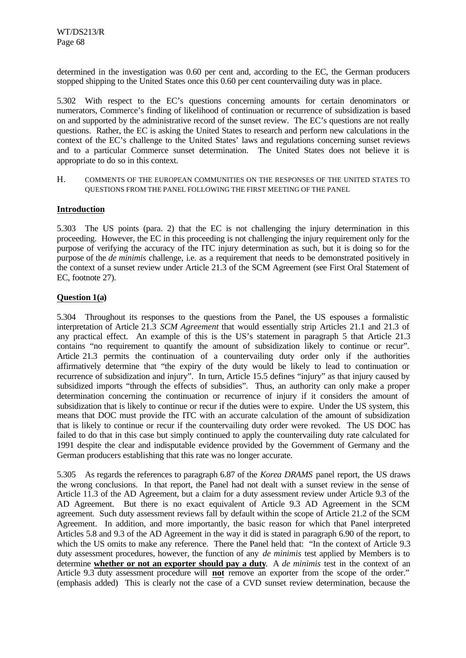determined in the investigation was 0.60 per cent and, according to the EC, the German producers stopped shipping to the United States once this 0.60 per cent countervailing duty was in place.

5.302 With respect to the EC's questions concerning amounts for certain denominators or numerators, Commerce's finding of likelihood of continuation or recurrence of subsidization is based on and supported by the administrative record of the sunset review. The EC's questions are not really questions. Rather, the EC is asking the United States to research and perform new calculations in the context of the EC's challenge to the United States' laws and regulations concerning sunset reviews and to a particular Commerce sunset determination. The United States does not believe it is appropriate to do so in this context.

H. COMMENTS OF THE EUROPEAN COMMUNITIES ON THE RESPONSES OF THE UNITED STATES TO QUESTIONS FROM THE PANEL FOLLOWING THE FIRST MEETING OF THE PANEL

## **Introduction**

5.303 The US points (para. 2) that the EC is not challenging the injury determination in this proceeding. However, the EC in this proceeding is not challenging the injury requirement only for the purpose of verifying the accuracy of the ITC injury determination as such, but it is doing so for the purpose of the *de minimis* challenge, i.e. as a requirement that needs to be demonstrated positively in the context of a sunset review under Article 21.3 of the SCM Agreement (see First Oral Statement of EC, footnote 27).

## **Question 1(a)**

5.304 Throughout its responses to the questions from the Panel, the US espouses a formalistic interpretation of Article 21.3 *SCM Agreement* that would essentially strip Articles 21.1 and 21.3 of any practical effect. An example of this is the US's statement in paragraph 5 that Article 21.3 contains "no requirement to quantify the amount of subsidization likely to continue or recur". Article 21.3 permits the continuation of a countervailing duty order only if the authorities affirmatively determine that "the expiry of the duty would be likely to lead to continuation or recurrence of subsidization and injury". In turn, Article 15.5 defines "injury" as that injury caused by subsidized imports "through the effects of subsidies". Thus, an authority can only make a proper determination concerning the continuation or recurrence of injury if it considers the amount of subsidization that is likely to continue or recur if the duties were to expire. Under the US system, this means that DOC must provide the ITC with an accurate calculation of the amount of subsidization that is likely to continue or recur if the countervailing duty order were revoked. The US DOC has failed to do that in this case but simply continued to apply the countervailing duty rate calculated for 1991 despite the clear and indisputable evidence provided by the Government of Germany and the German producers establishing that this rate was no longer accurate.

5.305 As regards the references to paragraph 6.87 of the *Korea DRAMS* panel report, the US draws the wrong conclusions. In that report, the Panel had not dealt with a sunset review in the sense of Article 11.3 of the AD Agreement, but a claim for a duty assessment review under Article 9.3 of the AD Agreement. But there is no exact equivalent of Article 9.3 AD Agreement in the SCM agreement. Such duty assessment reviews fall by default within the scope of Article 21.2 of the SCM Agreement. In addition, and more importantly, the basic reason for which that Panel interpreted Articles 5.8 and 9.3 of the AD Agreement in the way it did is stated in paragraph 6.90 of the report, to which the US omits to make any reference. There the Panel held that: "In the context of Article 9.3 duty assessment procedures, however, the function of any *de minimis* test applied by Members is to determine **whether or not an exporter should pay a duty**. A *de minimis* test in the context of an Article 9.3 duty assessment procedure will **not** remove an exporter from the scope of the order." (emphasis added) This is clearly not the case of a CVD sunset review determination, because the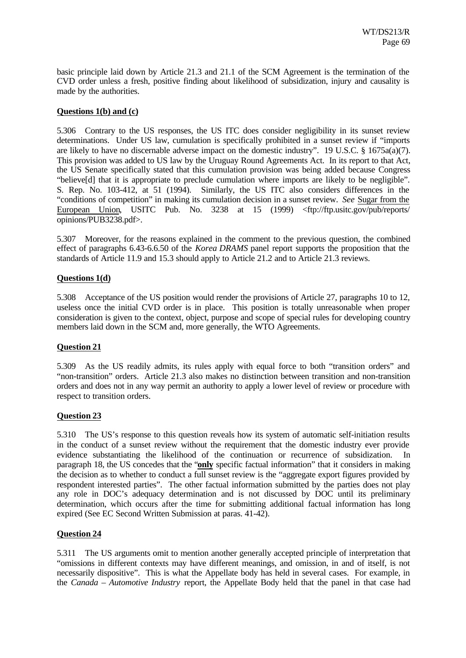basic principle laid down by Article 21.3 and 21.1 of the SCM Agreement is the termination of the CVD order unless a fresh, positive finding about likelihood of subsidization, injury and causality is made by the authorities.

## **Questions 1(b) and (c)**

5.306 Contrary to the US responses, the US ITC does consider negligibility in its sunset review determinations. Under US law, cumulation is specifically prohibited in a sunset review if "imports are likely to have no discernable adverse impact on the domestic industry". 19 U.S.C. § 1675a(a)(7). This provision was added to US law by the Uruguay Round Agreements Act. In its report to that Act, the US Senate specifically stated that this cumulation provision was being added because Congress "believe[d] that it is appropriate to preclude cumulation where imports are likely to be negligible". S. Rep. No. 103-412, at 51 (1994). Similarly, the US ITC also considers differences in the "conditions of competition" in making its cumulation decision in a sunset review. *See* Sugar from the European Union, USITC Pub. No. 3238 at 15 (1999) <ftp://ftp.usitc.gov/pub/reports/ opinions/PUB3238.pdf>.

5.307 Moreover, for the reasons explained in the comment to the previous question, the combined effect of paragraphs 6.43-6.6.50 of the *Korea DRAMS* panel report supports the proposition that the standards of Article 11.9 and 15.3 should apply to Article 21.2 and to Article 21.3 reviews.

## **Questions 1(d)**

5.308 Acceptance of the US position would render the provisions of Article 27, paragraphs 10 to 12, useless once the initial CVD order is in place. This position is totally unreasonable when proper consideration is given to the context, object, purpose and scope of special rules for developing country members laid down in the SCM and, more generally, the WTO Agreements.

#### **Question 21**

5.309 As the US readily admits, its rules apply with equal force to both "transition orders" and "non-transition" orders. Article 21.3 also makes no distinction between transition and non-transition orders and does not in any way permit an authority to apply a lower level of review or procedure with respect to transition orders.

#### **Question 23**

5.310 The US's response to this question reveals how its system of automatic self-initiation results in the conduct of a sunset review without the requirement that the domestic industry ever provide evidence substantiating the likelihood of the continuation or recurrence of subsidization. In paragraph 18, the US concedes that the "**only** specific factual information" that it considers in making the decision as to whether to conduct a full sunset review is the "aggregate export figures provided by respondent interested parties". The other factual information submitted by the parties does not play any role in DOC's adequacy determination and is not discussed by DOC until its preliminary determination, which occurs after the time for submitting additional factual information has long expired (See EC Second Written Submission at paras. 41-42).

### **Question 24**

5.311 The US arguments omit to mention another generally accepted principle of interpretation that "omissions in different contexts may have different meanings, and omission, in and of itself, is not necessarily dispositive". This is what the Appellate body has held in several cases. For example, in the *Canada – Automotive Industry* report, the Appellate Body held that the panel in that case had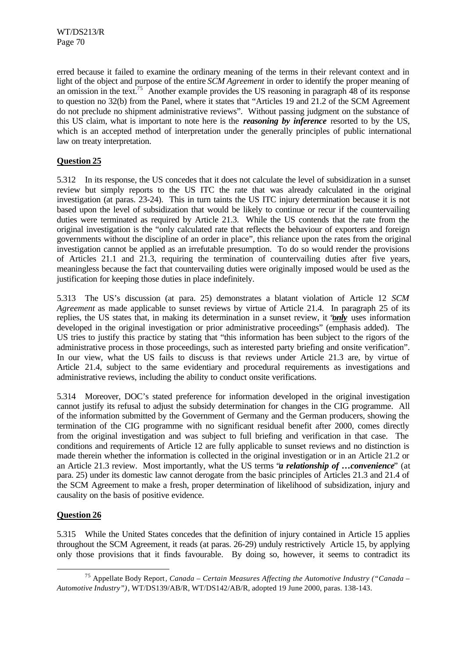erred because it failed to examine the ordinary meaning of the terms in their relevant context and in light of the object and purpose of the entire *SCM Agreement* in order to identify the proper meaning of an omission in the text.<sup>75</sup> Another example provides the US reasoning in paragraph 48 of its response to question no 32(b) from the Panel, where it states that "Articles 19 and 21.2 of the SCM Agreement do not preclude no shipment administrative reviews". Without passing judgment on the substance of this US claim, what is important to note here is the *reasoning by inference* resorted to by the US, which is an accepted method of interpretation under the generally principles of public international law on treaty interpretation.

## **Question 25**

5.312 In its response, the US concedes that it does not calculate the level of subsidization in a sunset review but simply reports to the US ITC the rate that was already calculated in the original investigation (at paras. 23-24). This in turn taints the US ITC injury determination because it is not based upon the level of subsidization that would be likely to continue or recur if the countervailing duties were terminated as required by Article 21.3. While the US contends that the rate from the original investigation is the "only calculated rate that reflects the behaviour of exporters and foreign governments without the discipline of an order in place", this reliance upon the rates from the original investigation cannot be applied as an irrefutable presumption. To do so would render the provisions of Articles 21.1 and 21.3, requiring the termination of countervailing duties after five years, meaningless because the fact that countervailing duties were originally imposed would be used as the justification for keeping those duties in place indefinitely.

5.313 The US's discussion (at para. 25) demonstrates a blatant violation of Article 12 *SCM Agreement* as made applicable to sunset reviews by virtue of Article 21.4. In paragraph 25 of its replies, the US states that, in making its determination in a sunset review, it "*only* uses information developed in the original investigation or prior administrative proceedings" (emphasis added). The US tries to justify this practice by stating that "this information has been subject to the rigors of the administrative process in those proceedings, such as interested party briefing and onsite verification". In our view, what the US fails to discuss is that reviews under Article 21.3 are, by virtue of Article 21.4, subject to the same evidentiary and procedural requirements as investigations and administrative reviews, including the ability to conduct onsite verifications.

5.314 Moreover, DOC's stated preference for information developed in the original investigation cannot justify its refusal to adjust the subsidy determination for changes in the CIG programme. All of the information submitted by the Government of Germany and the German producers, showing the termination of the CIG programme with no significant residual benefit after 2000, comes directly from the original investigation and was subject to full briefing and verification in that case. The conditions and requirements of Article 12 are fully applicable to sunset reviews and no distinction is made therein whether the information is collected in the original investigation or in an Article 21.2 or an Article 21.3 review. Most importantly, what the US terms "*a relationship of …convenience*" (at para. 25) under its domestic law cannot derogate from the basic principles of Articles 21.3 and 21.4 of the SCM Agreement to make a fresh, proper determination of likelihood of subsidization, injury and causality on the basis of positive evidence.

#### **Question 26**

l

5.315 While the United States concedes that the definition of injury contained in Article 15 applies throughout the SCM Agreement, it reads (at paras. 26-29) unduly restrictively Article 15, by applying only those provisions that it finds favourable. By doing so, however, it seems to contradict its

<sup>75</sup> Appellate Body Report*, Canada – Certain Measures Affecting the Automotive Industry ("Canada – Automotive Industry")*, WT/DS139/AB/R, WT/DS142/AB/R, adopted 19 June 2000, paras. 138-143.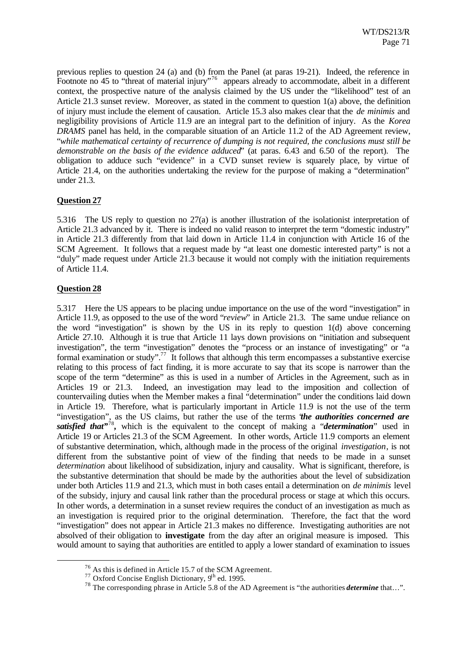previous replies to question 24 (a) and (b) from the Panel (at paras 19-21). Indeed, the reference in Footnote no 45 to "threat of material injury"<sup>76</sup> appears already to accommodate, albeit in a different context, the prospective nature of the analysis claimed by the US under the "likelihood" test of an Article 21.3 sunset review. Moreover, as stated in the comment to question 1(a) above, the definition of injury must include the element of causation. Article 15.3 also makes clear that the *de minimis* and negligibility provisions of Article 11.9 are an integral part to the definition of injury. As the *Korea DRAMS* panel has held, in the comparable situation of an Article 11.2 of the AD Agreement review, "*while mathematical certainty of recurrence of dumping is not required, the conclusions must still be demonstrable on the basis of the evidence adduced*" (at paras. 6.43 and 6.50 of the report). The obligation to adduce such "evidence" in a CVD sunset review is squarely place, by virtue of Article 21.4, on the authorities undertaking the review for the purpose of making a "determination" under 21.3.

## **Question 27**

5.316 The US reply to question no 27(a) is another illustration of the isolationist interpretation of Article 21.3 advanced by it. There is indeed no valid reason to interpret the term "domestic industry" in Article 21.3 differently from that laid down in Article 11.4 in conjunction with Article 16 of the SCM Agreement. It follows that a request made by "at least one domestic interested party" is not a "duly" made request under Article 21.3 because it would not comply with the initiation requirements of Article 11.4.

## **Question 28**

l

5.317 Here the US appears to be placing undue importance on the use of the word "investigation" in Article 11.9, as opposed to the use of the word "*review*" in Article 21.3. The same undue reliance on the word "investigation" is shown by the US in its reply to question 1(d) above concerning Article 27.10. Although it is true that Article 11 lays down provisions on "initiation and subsequent investigation", the term "investigation" denotes the "process or an instance of investigating" or "a formal examination or study".<sup>77</sup> It follows that although this term encompasses a substantive exercise relating to this process of fact finding, it is more accurate to say that its scope is narrower than the scope of the term "determine" as this is used in a number of Articles in the Agreement, such as in Articles 19 or 21.3. Indeed, an investigation may lead to the imposition and collection of countervailing duties when the Member makes a final "determination" under the conditions laid down in Article 19. Therefore, what is particularly important in Article 11.9 is not the use of the term "investigation", as the US claims, but rather the use of the terms "*the authorities concerned are satisfied that"*<sup>78</sup> *,* which is the equivalent to the concept of making a "*determination*" used in Article 19 or Articles 21.3 of the SCM Agreement. In other words, Article 11.9 comports an element of substantive determination, which, although made in the process of the original *investigation*, is not different from the substantive point of view of the finding that needs to be made in a sunset *determination* about likelihood of subsidization, injury and causality. What is significant, therefore, is the substantive determination that should be made by the authorities about the level of subsidization under both Articles 11.9 and 21.3, which must in both cases entail a determination on *de minimis* level of the subsidy, injury and causal link rather than the procedural process or stage at which this occurs. In other words, a determination in a sunset review requires the conduct of an investigation as much as an investigation is required prior to the original determination. Therefore, the fact that the word "investigation" does not appear in Article 21.3 makes no difference. Investigating authorities are not absolved of their obligation to **investigate** from the day after an original measure is imposed. This would amount to saying that authorities are entitled to apply a lower standard of examination to issues

<sup>76</sup> As this is defined in Article 15.7 of the SCM Agreement.

 $^{77}$  Oxford Concise English Dictionary,  $9^{\text{th}}$  ed. 1995.

<sup>78</sup> The corresponding phrase in Article 5.8 of the AD Agreement is "the authorities *determine* that…".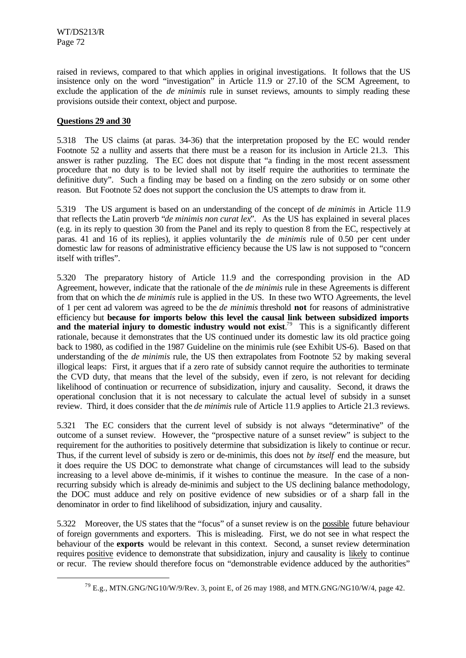raised in reviews, compared to that which applies in original investigations. It follows that the US insistence only on the word "investigation" in Article 11.9 or 27.10 of the SCM Agreement, to exclude the application of the *de minimis* rule in sunset reviews, amounts to simply reading these provisions outside their context, object and purpose.

## **Questions 29 and 30**

l

5.318 The US claims (at paras. 34-36) that the interpretation proposed by the EC would render Footnote 52 a nullity and asserts that there must be a reason for its inclusion in Article 21.3. This answer is rather puzzling. The EC does not dispute that "a finding in the most recent assessment procedure that no duty is to be levied shall not by itself require the authorities to terminate the definitive duty". Such a finding may be based on a finding on the zero subsidy or on some other reason. But Footnote 52 does not support the conclusion the US attempts to draw from it.

5.319 The US argument is based on an understanding of the concept of *de minimis* in Article 11.9 that reflects the Latin proverb "*de minimis non curat lex*". As the US has explained in several places (e.g. in its reply to question 30 from the Panel and its reply to question 8 from the EC, respectively at paras. 41 and 16 of its replies), it applies voluntarily the *de minimis* rule of 0.50 per cent under domestic law for reasons of administrative efficiency because the US law is not supposed to "concern itself with trifles".

5.320 The preparatory history of Article 11.9 and the corresponding provision in the AD Agreement, however, indicate that the rationale of the *de minimis* rule in these Agreements is different from that on which the *de minimis* rule is applied in the US. In these two WTO Agreements, the level of 1 per cent ad valorem was agreed to be the *de minimis* threshold **not** for reasons of administrative efficiency but **because for imports below this level the causal link between subsidized imports** and the material injury to domestic industry would not exist.<sup>79</sup> This is a significantly different rationale, because it demonstrates that the US continued under its domestic law its old practice going back to 1980, as codified in the 1987 Guideline on the minimis rule (see Exhibit US-6). Based on that understanding of the *de minimis* rule, the US then extrapolates from Footnote 52 by making several illogical leaps: First, it argues that if a zero rate of subsidy cannot require the authorities to terminate the CVD duty, that means that the level of the subsidy, even if zero, is not relevant for deciding likelihood of continuation or recurrence of subsidization, injury and causality. Second, it draws the operational conclusion that it is not necessary to calculate the actual level of subsidy in a sunset review. Third, it does consider that the *de minimis* rule of Article 11.9 applies to Article 21.3 reviews.

5.321 The EC considers that the current level of subsidy is not always "determinative" of the outcome of a sunset review. However, the "prospective nature of a sunset review" is subject to the requirement for the authorities to positively determine that subsidization is likely to continue or recur. Thus, if the current level of subsidy is zero or de-minimis, this does not *by itself* end the measure, but it does require the US DOC to demonstrate what change of circumstances will lead to the subsidy increasing to a level above de-minimis, if it wishes to continue the measure. In the case of a nonrecurring subsidy which is already de-minimis and subject to the US declining balance methodology, the DOC must adduce and rely on positive evidence of new subsidies or of a sharp fall in the denominator in order to find likelihood of subsidization, injury and causality.

5.322 Moreover, the US states that the "focus" of a sunset review is on the possible future behaviour of foreign governments and exporters. This is misleading. First, we do not see in what respect the behaviour of the **exports** would be relevant in this context. Second, a sunset review determination requires positive evidence to demonstrate that subsidization, injury and causality is likely to continue or recur. The review should therefore focus on "demonstrable evidence adduced by the authorities"

 $^{79}$  E.g., MTN.GNG/NG10/W/9/Rev. 3, point E, of 26 may 1988, and MTN.GNG/NG10/W/4, page 42.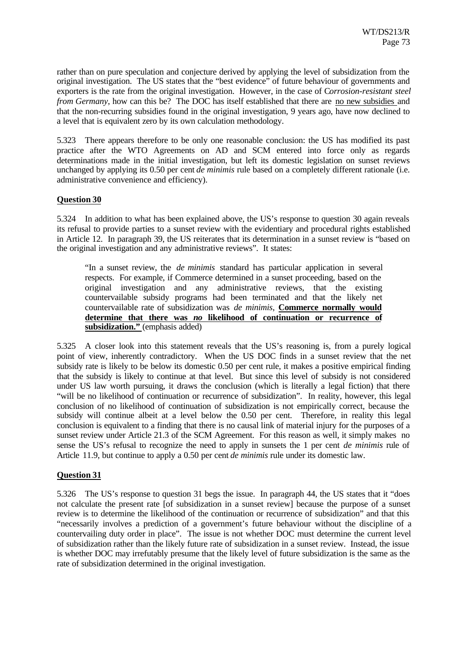rather than on pure speculation and conjecture derived by applying the level of subsidization from the original investigation. The US states that the "best evidence" of future behaviour of governments and exporters is the rate from the original investigation. However, in the case of C*orrosion-resistant steel from Germany*, how can this be? The DOC has itself established that there are no new subsidies and that the non-recurring subsidies found in the original investigation, 9 years ago, have now declined to a level that is equivalent zero by its own calculation methodology.

5.323 There appears therefore to be only one reasonable conclusion: the US has modified its past practice after the WTO Agreements on AD and SCM entered into force only as regards determinations made in the initial investigation, but left its domestic legislation on sunset reviews unchanged by applying its 0.50 per cent *de minimis* rule based on a completely different rationale (i.e. administrative convenience and efficiency).

## **Question 30**

5.324 In addition to what has been explained above, the US's response to question 30 again reveals its refusal to provide parties to a sunset review with the evidentiary and procedural rights established in Article 12. In paragraph 39, the US reiterates that its determination in a sunset review is "based on the original investigation and any administrative reviews". It states:

"In a sunset review, the *de minimis* standard has particular application in several respects. For example, if Commerce determined in a sunset proceeding, based on the original investigation and any administrative reviews, that the existing countervailable subsidy programs had been terminated and that the likely net countervailable rate of subsidization was *de minimis*, **Commerce normally would determine that there was** *no* **likelihood of continuation or recurrence of** subsidization." (emphasis added)

5.325 A closer look into this statement reveals that the US's reasoning is, from a purely logical point of view, inherently contradictory. When the US DOC finds in a sunset review that the net subsidy rate is likely to be below its domestic 0.50 per cent rule, it makes a positive empirical finding that the subsidy is likely to continue at that level. But since this level of subsidy is not considered under US law worth pursuing, it draws the conclusion (which is literally a legal fiction) that there "will be no likelihood of continuation or recurrence of subsidization". In reality, however, this legal conclusion of no likelihood of continuation of subsidization is not empirically correct, because the subsidy will continue albeit at a level below the 0.50 per cent. Therefore, in reality this legal conclusion is equivalent to a finding that there is no causal link of material injury for the purposes of a sunset review under Article 21.3 of the SCM Agreement. For this reason as well, it simply makes no sense the US's refusal to recognize the need to apply in sunsets the 1 per cent *de minimis* rule of Article 11.9, but continue to apply a 0.50 per cent *de minimis* rule under its domestic law.

#### **Question 31**

5.326 The US's response to question 31 begs the issue. In paragraph 44, the US states that it "does not calculate the present rate [of subsidization in a sunset review] because the purpose of a sunset review is to determine the likelihood of the continuation or recurrence of subsidization" and that this "necessarily involves a prediction of a government's future behaviour without the discipline of a countervailing duty order in place". The issue is not whether DOC must determine the current level of subsidization rather than the likely future rate of subsidization in a sunset review. Instead, the issue is whether DOC may irrefutably presume that the likely level of future subsidization is the same as the rate of subsidization determined in the original investigation.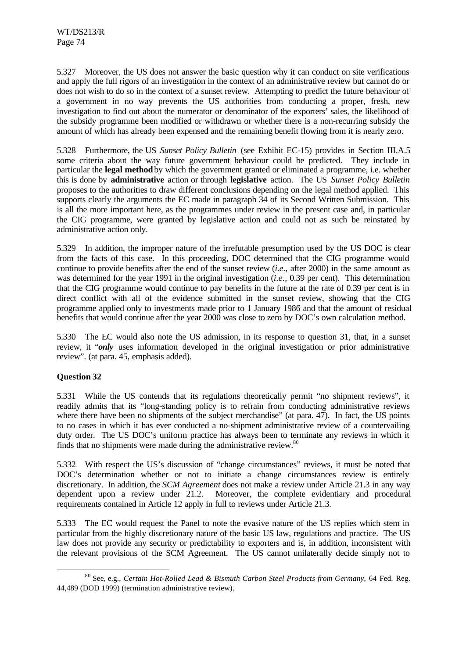5.327 Moreover, the US does not answer the basic question why it can conduct on site verifications and apply the full rigors of an investigation in the context of an administrative review but cannot do or does not wish to do so in the context of a sunset review. Attempting to predict the future behaviour of a government in no way prevents the US authorities from conducting a proper, fresh, new investigation to find out about the numerator or denominator of the exporters' sales, the likelihood of the subsidy programme been modified or withdrawn or whether there is a non-recurring subsidy the amount of which has already been expensed and the remaining benefit flowing from it is nearly zero.

5.328 Furthermore, the US *Sunset Policy Bulletin* (see Exhibit EC-15) provides in Section III.A.5 some criteria about the way future government behaviour could be predicted. They include in particular the **legal method** by which the government granted or eliminated a programme, i.e. whether this is done by **administrative** action or through **legislative** action. The US *Sunset Policy Bulletin* proposes to the authorities to draw different conclusions depending on the legal method applied. This supports clearly the arguments the EC made in paragraph 34 of its Second Written Submission. This is all the more important here, as the programmes under review in the present case and, in particular the CIG programme, were granted by legislative action and could not as such be reinstated by administrative action only.

5.329 In addition, the improper nature of the irrefutable presumption used by the US DOC is clear from the facts of this case. In this proceeding, DOC determined that the CIG programme would continue to provide benefits after the end of the sunset review (*i.e.*, after 2000) in the same amount as was determined for the year 1991 in the original investigation (*i.e.*, 0.39 per cent). This determination that the CIG programme would continue to pay benefits in the future at the rate of 0.39 per cent is in direct conflict with all of the evidence submitted in the sunset review, showing that the CIG programme applied only to investments made prior to 1 January 1986 and that the amount of residual benefits that would continue after the year 2000 was close to zero by DOC's own calculation method.

5.330 The EC would also note the US admission, in its response to question 31, that, in a sunset review, it "*only* uses information developed in the original investigation or prior administrative review". (at para. 45, emphasis added).

## **Question 32**

l

5.331 While the US contends that its regulations theoretically permit "no shipment reviews", it readily admits that its "long-standing policy is to refrain from conducting administrative reviews where there have been no shipments of the subject merchandise" (at para. 47). In fact, the US points to no cases in which it has ever conducted a no-shipment administrative review of a countervailing duty order. The US DOC's uniform practice has always been to terminate any reviews in which it finds that no shipments were made during the administrative review.<sup>80</sup>

5.332 With respect the US's discussion of "change circumstances" reviews, it must be noted that DOC's determination whether or not to initiate a change circumstances review is entirely discretionary. In addition, the *SCM Agreement* does not make a review under Article 21.3 in any way dependent upon a review under 21.2. Moreover, the complete evidentiary and procedural requirements contained in Article 12 apply in full to reviews under Article 21.3.

5.333 The EC would request the Panel to note the evasive nature of the US replies which stem in particular from the highly discretionary nature of the basic US law, regulations and practice. The US law does not provide any security or predictability to exporters and is, in addition, inconsistent with the relevant provisions of the SCM Agreement. The US cannot unilaterally decide simply not to

<sup>80</sup> See, e.g., *Certain Hot-Rolled Lead & Bismuth Carbon Steel Products from Germany*, 64 Fed. Reg. 44,489 (DOD 1999) (termination administrative review).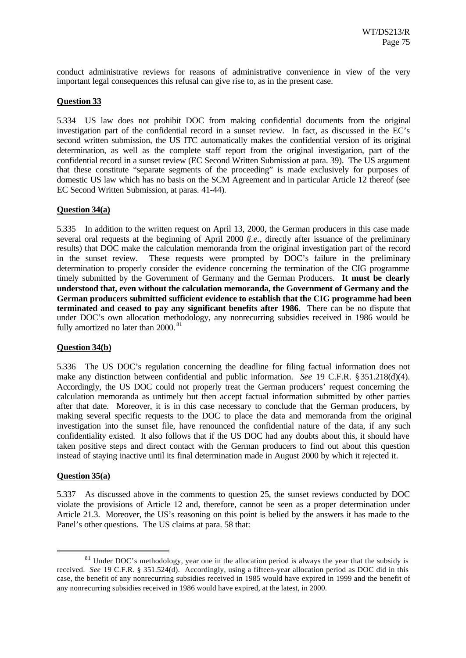conduct administrative reviews for reasons of administrative convenience in view of the very important legal consequences this refusal can give rise to, as in the present case.

## **Question 33**

5.334 US law does not prohibit DOC from making confidential documents from the original investigation part of the confidential record in a sunset review. In fact, as discussed in the EC's second written submission, the US ITC automatically makes the confidential version of its original determination, as well as the complete staff report from the original investigation, part of the confidential record in a sunset review (EC Second Written Submission at para. 39). The US argument that these constitute "separate segments of the proceeding" is made exclusively for purposes of domestic US law which has no basis on the SCM Agreement and in particular Article 12 thereof (see EC Second Written Submission, at paras. 41-44).

#### **Question 34(a)**

5.335 In addition to the written request on April 13, 2000, the German producers in this case made several oral requests at the beginning of April 2000 (*i.e.*, directly after issuance of the preliminary results) that DOC make the calculation memoranda from the original investigation part of the record in the sunset review. These requests were prompted by DOC's failure in the preliminary determination to properly consider the evidence concerning the termination of the CIG programme timely submitted by the Government of Germany and the German Producers. **It must be clearly understood that, even without the calculation memoranda, the Government of Germany and the German producers submitted sufficient evidence to establish that the CIG programme had been terminated and ceased to pay any significant benefits after 1986.** There can be no dispute that under DOC's own allocation methodology, any nonrecurring subsidies received in 1986 would be fully amortized no later than 2000.<sup>81</sup>

#### **Question 34(b)**

5.336 The US DOC's regulation concerning the deadline for filing factual information does not make any distinction between confidential and public information. *See* 19 C.F.R. § 351.218(d)(4). Accordingly, the US DOC could not properly treat the German producers' request concerning the calculation memoranda as untimely but then accept factual information submitted by other parties after that date. Moreover, it is in this case necessary to conclude that the German producers, by making several specific requests to the DOC to place the data and memoranda from the original investigation into the sunset file, have renounced the confidential nature of the data, if any such confidentiality existed. It also follows that if the US DOC had any doubts about this, it should have taken positive steps and direct contact with the German producers to find out about this question instead of staying inactive until its final determination made in August 2000 by which it rejected it.

#### **Question 35(a)**

l

5.337 As discussed above in the comments to question 25, the sunset reviews conducted by DOC violate the provisions of Article 12 and, therefore, cannot be seen as a proper determination under Article 21.3. Moreover, the US's reasoning on this point is belied by the answers it has made to the Panel's other questions. The US claims at para. 58 that:

 $81$  Under DOC's methodology, year one in the allocation period is always the year that the subsidy is received. *See* 19 C.F.R. § 351.524(d). Accordingly, using a fifteen-year allocation period as DOC did in this case, the benefit of any nonrecurring subsidies received in 1985 would have expired in 1999 and the benefit of any nonrecurring subsidies received in 1986 would have expired, at the latest, in 2000.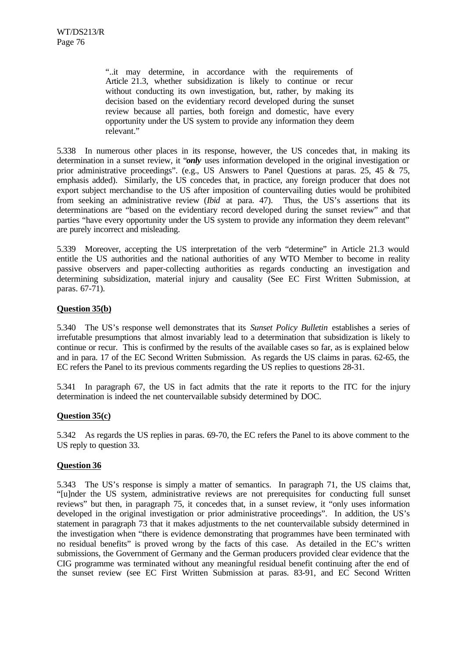"..it may determine, in accordance with the requirements of Article 21.3, whether subsidization is likely to continue or recur without conducting its own investigation, but, rather, by making its decision based on the evidentiary record developed during the sunset review because all parties, both foreign and domestic, have every opportunity under the US system to provide any information they deem relevant."

5.338 In numerous other places in its response, however, the US concedes that, in making its determination in a sunset review, it "*only* uses information developed in the original investigation or prior administrative proceedings". (e.g., US Answers to Panel Questions at paras. 25, 45 & 75, emphasis added). Similarly, the US concedes that, in practice, any foreign producer that does not export subject merchandise to the US after imposition of countervailing duties would be prohibited from seeking an administrative review (*Ibid* at para. 47). Thus, the US's assertions that its determinations are "based on the evidentiary record developed during the sunset review" and that parties "have every opportunity under the US system to provide any information they deem relevant" are purely incorrect and misleading.

5.339 Moreover, accepting the US interpretation of the verb "determine" in Article 21.3 would entitle the US authorities and the national authorities of any WTO Member to become in reality passive observers and paper-collecting authorities as regards conducting an investigation and determining subsidization, material injury and causality (See EC First Written Submission, at paras. 67-71).

## **Question 35(b)**

5.340 The US's response well demonstrates that its *Sunset Policy Bulletin* establishes a series of irrefutable presumptions that almost invariably lead to a determination that subsidization is likely to continue or recur. This is confirmed by the results of the available cases so far, as is explained below and in para. 17 of the EC Second Written Submission. As regards the US claims in paras. 62-65, the EC refers the Panel to its previous comments regarding the US replies to questions 28-31.

5.341 In paragraph 67, the US in fact admits that the rate it reports to the ITC for the injury determination is indeed the net countervailable subsidy determined by DOC.

#### **Question 35(c)**

5.342 As regards the US replies in paras. 69-70, the EC refers the Panel to its above comment to the US reply to question 33.

#### **Question 36**

5.343 The US's response is simply a matter of semantics. In paragraph 71, the US claims that, "[u]nder the US system, administrative reviews are not prerequisites for conducting full sunset reviews" but then, in paragraph 75, it concedes that, in a sunset review, it "only uses information developed in the original investigation or prior administrative proceedings". In addition, the US's statement in paragraph 73 that it makes adjustments to the net countervailable subsidy determined in the investigation when "there is evidence demonstrating that programmes have been terminated with no residual benefits" is proved wrong by the facts of this case. As detailed in the EC's written submissions, the Government of Germany and the German producers provided clear evidence that the CIG programme was terminated without any meaningful residual benefit continuing after the end of the sunset review (see EC First Written Submission at paras. 83-91, and EC Second Written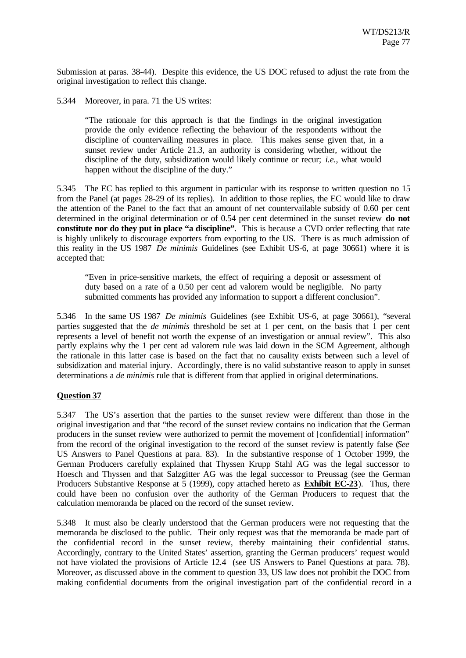Submission at paras. 38-44). Despite this evidence, the US DOC refused to adjust the rate from the original investigation to reflect this change.

5.344 Moreover, in para. 71 the US writes:

"The rationale for this approach is that the findings in the original investigation provide the only evidence reflecting the behaviour of the respondents without the discipline of countervailing measures in place. This makes sense given that, in a sunset review under Article 21.3, an authority is considering whether, without the discipline of the duty, subsidization would likely continue or recur; *i.e.*, what would happen without the discipline of the duty."

5.345 The EC has replied to this argument in particular with its response to written question no 15 from the Panel (at pages 28-29 of its replies). In addition to those replies, the EC would like to draw the attention of the Panel to the fact that an amount of net countervailable subsidy of 0.60 per cent determined in the original determination or of 0.54 per cent determined in the sunset review **do not constitute nor do they put in place "a discipline"**. This is because a CVD order reflecting that rate is highly unlikely to discourage exporters from exporting to the US. There is as much admission of this reality in the US 1987 *De minimis* Guidelines (see Exhibit US-6, at page 30661) where it is accepted that:

"Even in price-sensitive markets, the effect of requiring a deposit or assessment of duty based on a rate of a 0.50 per cent ad valorem would be negligible. No party submitted comments has provided any information to support a different conclusion".

5.346 In the same US 1987 *De minimis* Guidelines (see Exhibit US-6, at page 30661), "several parties suggested that the *de minimis* threshold be set at 1 per cent, on the basis that 1 per cent represents a level of benefit not worth the expense of an investigation or annual review". This also partly explains why the 1 per cent ad valorem rule was laid down in the SCM Agreement, although the rationale in this latter case is based on the fact that no causality exists between such a level of subsidization and material injury. Accordingly, there is no valid substantive reason to apply in sunset determinations a *de minimis* rule that is different from that applied in original determinations.

## **Question 37**

5.347 The US's assertion that the parties to the sunset review were different than those in the original investigation and that "the record of the sunset review contains no indication that the German producers in the sunset review were authorized to permit the movement of [confidential] information" from the record of the original investigation to the record of the sunset review is patently false (*See* US Answers to Panel Questions at para. 83). In the substantive response of 1 October 1999, the German Producers carefully explained that Thyssen Krupp Stahl AG was the legal successor to Hoesch and Thyssen and that Salzgitter AG was the legal successor to Preussag (see the German Producers Substantive Response at 5 (1999), copy attached hereto as **Exhibit EC-23**). Thus, there could have been no confusion over the authority of the German Producers to request that the calculation memoranda be placed on the record of the sunset review.

5.348 It must also be clearly understood that the German producers were not requesting that the memoranda be disclosed to the public. Their only request was that the memoranda be made part of the confidential record in the sunset review, thereby maintaining their confidential status. Accordingly, contrary to the United States' assertion, granting the German producers' request would not have violated the provisions of Article 12.4 (see US Answers to Panel Questions at para. 78). Moreover, as discussed above in the comment to question 33, US law does not prohibit the DOC from making confidential documents from the original investigation part of the confidential record in a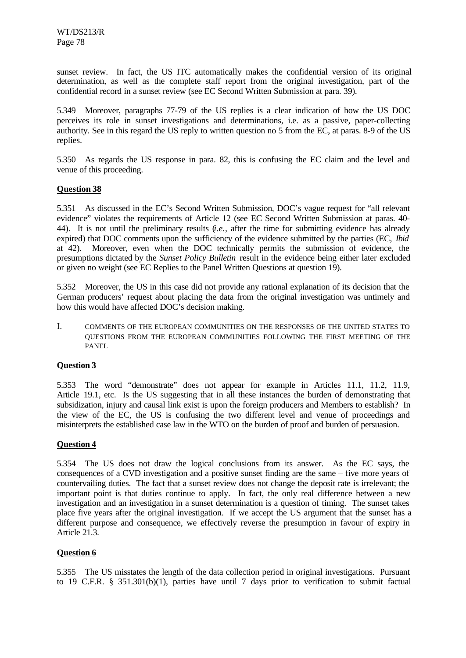sunset review. In fact, the US ITC automatically makes the confidential version of its original determination, as well as the complete staff report from the original investigation, part of the confidential record in a sunset review (see EC Second Written Submission at para. 39).

5.349 Moreover, paragraphs 77-79 of the US replies is a clear indication of how the US DOC perceives its role in sunset investigations and determinations, i.e. as a passive, paper-collecting authority. See in this regard the US reply to written question no 5 from the EC, at paras. 8-9 of the US replies.

5.350 As regards the US response in para. 82, this is confusing the EC claim and the level and venue of this proceeding.

## **Question 38**

5.351 As discussed in the EC's Second Written Submission, DOC's vague request for "all relevant evidence" violates the requirements of Article 12 (see EC Second Written Submission at paras. 40- 44). It is not until the preliminary results (*i.e.*, after the time for submitting evidence has already expired) that DOC comments upon the sufficiency of the evidence submitted by the parties (EC, *Ibid* at 42). Moreover, even when the DOC technically permits the submission of evidence, the presumptions dictated by the *Sunset Policy Bulletin* result in the evidence being either later excluded or given no weight (see EC Replies to the Panel Written Questions at question 19).

5.352 Moreover, the US in this case did not provide any rational explanation of its decision that the German producers' request about placing the data from the original investigation was untimely and how this would have affected DOC's decision making.

I. COMMENTS OF THE EUROPEAN COMMUNITIES ON THE RESPONSES OF THE UNITED STATES TO QUESTIONS FROM THE EUROPEAN COMMUNITIES FOLLOWING THE FIRST MEETING OF THE PANEL

## **Question 3**

5.353 The word "demonstrate" does not appear for example in Articles 11.1, 11.2, 11.9, Article 19.1, etc. Is the US suggesting that in all these instances the burden of demonstrating that subsidization, injury and causal link exist is upon the foreign producers and Members to establish? In the view of the EC, the US is confusing the two different level and venue of proceedings and misinterprets the established case law in the WTO on the burden of proof and burden of persuasion.

## **Question 4**

5.354 The US does not draw the logical conclusions from its answer. As the EC says, the consequences of a CVD investigation and a positive sunset finding are the same – five more years of countervailing duties. The fact that a sunset review does not change the deposit rate is irrelevant; the important point is that duties continue to apply. In fact, the only real difference between a new investigation and an investigation in a sunset determination is a question of timing. The sunset takes place five years after the original investigation. If we accept the US argument that the sunset has a different purpose and consequence, we effectively reverse the presumption in favour of expiry in Article 21.3.

#### **Question 6**

5.355 The US misstates the length of the data collection period in original investigations. Pursuant to 19 C.F.R. § 351.301(b)(1), parties have until 7 days prior to verification to submit factual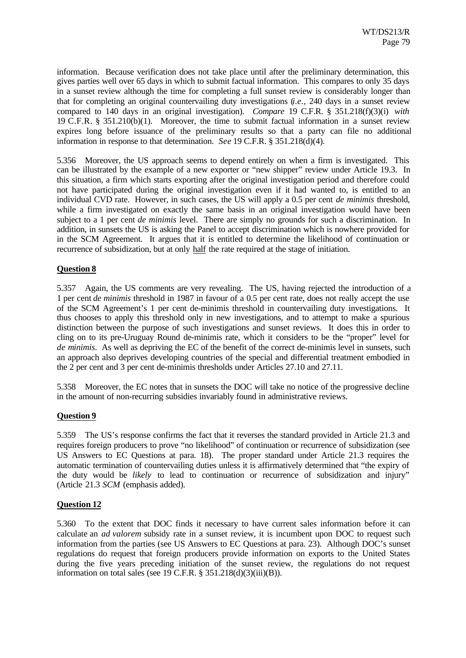information. Because verification does not take place until after the preliminary determination, this gives parties well over 65 days in which to submit factual information. This compares to only 35 days in a sunset review although the time for completing a full sunset review is considerably longer than that for completing an original countervailing duty investigations (*i.e.*, 240 days in a sunset review compared to 140 days in an original investigation). *Compare* 19 C.F.R. § 351.218(f)(3)(i) *with* 19 C.F.R. § 351.210(b)(1). Moreover, the time to submit factual information in a sunset review expires long before issuance of the preliminary results so that a party can file no additional information in response to that determination. *See* 19 C.F.R. § 351.218(d)(4).

5.356 Moreover, the US approach seems to depend entirely on when a firm is investigated. This can be illustrated by the example of a new exporter or "new shipper" review under Article 19.3. In this situation, a firm which starts exporting after the original investigation period and therefore could not have participated during the original investigation even if it had wanted to, is entitled to an individual CVD rate. However, in such cases, the US will apply a 0.5 per cent *de minimis* threshold, while a firm investigated on exactly the same basis in an original investigation would have been subject to a 1 per cent *de minimis* level. There are simply no grounds for such a discrimination. In addition, in sunsets the US is asking the Panel to accept discrimination which is nowhere provided for in the SCM Agreement. It argues that it is entitled to determine the likelihood of continuation or recurrence of subsidization, but at only half the rate required at the stage of initiation.

#### **Question 8**

5.357 Again, the US comments are very revealing. The US, having rejected the introduction of a 1 per cent *de minimis* threshold in 1987 in favour of a 0.5 per cent rate, does not really accept the use of the SCM Agreement's 1 per cent de-minimis threshold in countervailing duty investigations. It thus chooses to apply this threshold only in new investigations, and to attempt to make a spurious distinction between the purpose of such investigations and sunset reviews. It does this in order to cling on to its pre-Uruguay Round de-minimis rate, which it considers to be the "proper" level for *de minimis*. As well as depriving the EC of the benefit of the correct de-minimis level in sunsets, such an approach also deprives developing countries of the special and differential treatment embodied in the 2 per cent and 3 per cent de-minimis thresholds under Articles 27.10 and 27.11.

5.358 Moreover, the EC notes that in sunsets the DOC will take no notice of the progressive decline in the amount of non-recurring subsidies invariably found in administrative reviews.

#### **Question 9**

5.359 The US's response confirms the fact that it reverses the standard provided in Article 21.3 and requires foreign producers to prove "no likelihood" of continuation or recurrence of subsidization (see US Answers to EC Questions at para. 18). The proper standard under Article 21.3 requires the automatic termination of countervailing duties unless it is affirmatively determined that "the expiry of the duty would be *likely* to lead to continuation or recurrence of subsidization and injury" (Article 21.3 *SCM* (emphasis added).

#### **Question 12**

5.360 To the extent that DOC finds it necessary to have current sales information before it can calculate an *ad valorem* subsidy rate in a sunset review, it is incumbent upon DOC to request such information from the parties (see US Answers to EC Questions at para. 23). Although DOC's sunset regulations do request that foreign producers provide information on exports to the United States during the five years preceding initiation of the sunset review, the regulations do not request information on total sales (see  $19$  C.F.R. § 351.218(d)(3)(iii)(B)).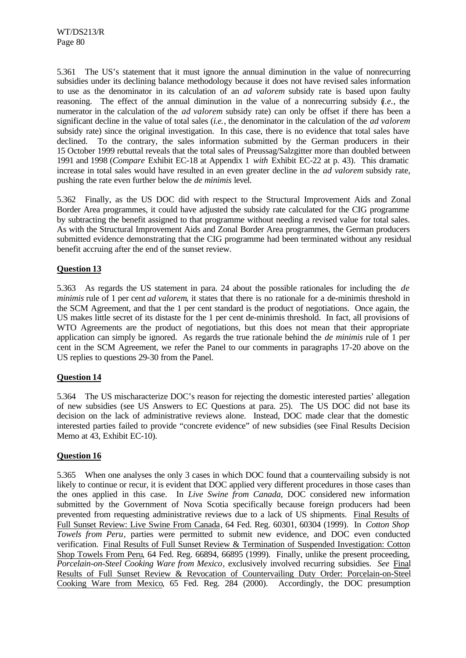5.361 The US's statement that it must ignore the annual diminution in the value of nonrecurring subsidies under its declining balance methodology because it does not have revised sales information to use as the denominator in its calculation of an *ad valorem* subsidy rate is based upon faulty reasoning. The effect of the annual diminution in the value of a nonrecurring subsidy (*i.e.*, the numerator in the calculation of the *ad valorem* subsidy rate) can only be offset if there has been a significant decline in the value of total sales (*i.e.*, the denominator in the calculation of the *ad valorem* subsidy rate) since the original investigation. In this case, there is no evidence that total sales have declined. To the contrary, the sales information submitted by the German producers in their 15 October 1999 rebuttal reveals that the total sales of Preussag/Salzgitter more than doubled between 1991 and 1998 (*Compare* Exhibit EC-18 at Appendix 1 *with* Exhibit EC-22 at p. 43). This dramatic increase in total sales would have resulted in an even greater decline in the *ad valorem* subsidy rate, pushing the rate even further below the *de minimis* level.

5.362 Finally, as the US DOC did with respect to the Structural Improvement Aids and Zonal Border Area programmes, it could have adjusted the subsidy rate calculated for the CIG programme by subtracting the benefit assigned to that programme without needing a revised value for total sales. As with the Structural Improvement Aids and Zonal Border Area programmes, the German producers submitted evidence demonstrating that the CIG programme had been terminated without any residual benefit accruing after the end of the sunset review.

# **Question 13**

5.363 As regards the US statement in para. 24 about the possible rationales for including the *de minimis* rule of 1 per cent *ad valorem*, it states that there is no rationale for a de-minimis threshold in the SCM Agreement, and that the 1 per cent standard is the product of negotiations. Once again, the US makes little secret of its distaste for the 1 per cent de-minimis threshold. In fact, all provisions of WTO Agreements are the product of negotiations, but this does not mean that their appropriate application can simply be ignored. As regards the true rationale behind the *de minimis* rule of 1 per cent in the SCM Agreement, we refer the Panel to our comments in paragraphs 17-20 above on the US replies to questions 29-30 from the Panel.

## **Question 14**

5.364 The US mischaracterize DOC's reason for rejecting the domestic interested parties' allegation of new subsidies (see US Answers to EC Questions at para. 25). The US DOC did not base its decision on the lack of administrative reviews alone. Instead, DOC made clear that the domestic interested parties failed to provide "concrete evidence" of new subsidies (see Final Results Decision Memo at 43, Exhibit EC-10).

## **Question 16**

5.365 When one analyses the only 3 cases in which DOC found that a countervailing subsidy is not likely to continue or recur, it is evident that DOC applied very different procedures in those cases than the ones applied in this case. In *Live Swine from Canada*, DOC considered new information submitted by the Government of Nova Scotia specifically because foreign producers had been prevented from requesting administrative reviews due to a lack of US shipments. Final Results of Full Sunset Review: Live Swine From Canada, 64 Fed. Reg. 60301, 60304 (1999). In *Cotton Shop Towels from Peru*, parties were permitted to submit new evidence, and DOC even conducted verification. Final Results of Full Sunset Review & Termination of Suspended Investigation: Cotton Shop Towels From Peru, 64 Fed. Reg. 66894, 66895 (1999). Finally, unlike the present proceeding, *Porcelain-on-Steel Cooking Ware from Mexico*, exclusively involved recurring subsidies. *See* Final Results of Full Sunset Review & Revocation of Countervailing Duty Order: Porcelain-on-Steel Cooking Ware from Mexico, 65 Fed. Reg. 284 (2000). Accordingly, the DOC presumption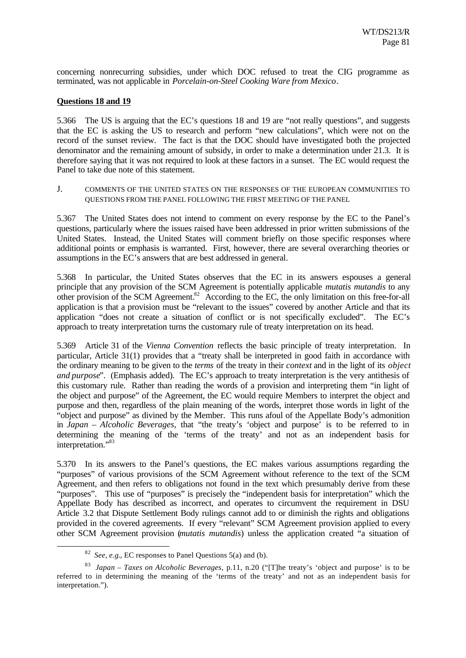concerning nonrecurring subsidies, under which DOC refused to treat the CIG programme as terminated, was not applicable in *Porcelain-on-Steel Cooking Ware from Mexico*.

### **Questions 18 and 19**

5.366 The US is arguing that the EC's questions 18 and 19 are "not really questions", and suggests that the EC is asking the US to research and perform "new calculations", which were not on the record of the sunset review. The fact is that the DOC should have investigated both the projected denominator and the remaining amount of subsidy, in order to make a determination under 21.3. It is therefore saying that it was not required to look at these factors in a sunset. The EC would request the Panel to take due note of this statement.

J. COMMENTS OF THE UNITED STATES ON THE RESPONSES OF THE EUROPEAN COMMUNITIES TO QUESTIONS FROM THE PANEL FOLLOWING THE FIRST MEETING OF THE PANEL

5.367 The United States does not intend to comment on every response by the EC to the Panel's questions, particularly where the issues raised have been addressed in prior written submissions of the United States. Instead, the United States will comment briefly on those specific responses where additional points or emphasis is warranted. First, however, there are several overarching theories or assumptions in the EC's answers that are best addressed in general.

5.368 In particular, the United States observes that the EC in its answers espouses a general principle that any provision of the SCM Agreement is potentially applicable *mutatis mutandis* to any other provision of the SCM Agreement.<sup>82</sup> According to the EC, the only limitation on this free-for-all application is that a provision must be "relevant to the issues" covered by another Article and that its application "does not create a situation of conflict or is not specifically excluded". The EC's approach to treaty interpretation turns the customary rule of treaty interpretation on its head.

5.369 Article 31 of the *Vienna Convention* reflects the basic principle of treaty interpretation. In particular, Article 31(1) provides that a "treaty shall be interpreted in good faith in accordance with the ordinary meaning to be given to the *terms* of the treaty in their *context* and in the light of its *object and purpose*". (Emphasis added). The EC's approach to treaty interpretation is the very antithesis of this customary rule. Rather than reading the words of a provision and interpreting them "in light of the object and purpose" of the Agreement, the EC would require Members to interpret the object and purpose and then, regardless of the plain meaning of the words, interpret those words in light of the "object and purpose" as divined by the Member. This runs afoul of the Appellate Body's admonition in *Japan – Alcoholic Beverages*, that "the treaty's 'object and purpose' is to be referred to in determining the meaning of the 'terms of the treaty' and not as an independent basis for interpretation."<sup>83</sup>

5.370 In its answers to the Panel's questions, the EC makes various assumptions regarding the "purposes" of various provisions of the SCM Agreement without reference to the text of the SCM Agreement, and then refers to obligations not found in the text which presumably derive from these "purposes". This use of "purposes" is precisely the "independent basis for interpretation" which the Appellate Body has described as incorrect, and operates to circumvent the requirement in DSU Article 3.2 that Dispute Settlement Body rulings cannot add to or diminish the rights and obligations provided in the covered agreements. If every "relevant" SCM Agreement provision applied to every other SCM Agreement provision (*mutatis mutandis*) unless the application created "a situation of

<sup>&</sup>lt;sup>82</sup> *See, e.g.*, EC responses to Panel Questions 5(a) and (b).

<sup>83</sup> *Japan – Taxes on Alcoholic Beverages*, p.11, n.20 ("[T]he treaty's 'object and purpose' is to be referred to in determining the meaning of the 'terms of the treaty' and not as an independent basis for interpretation.").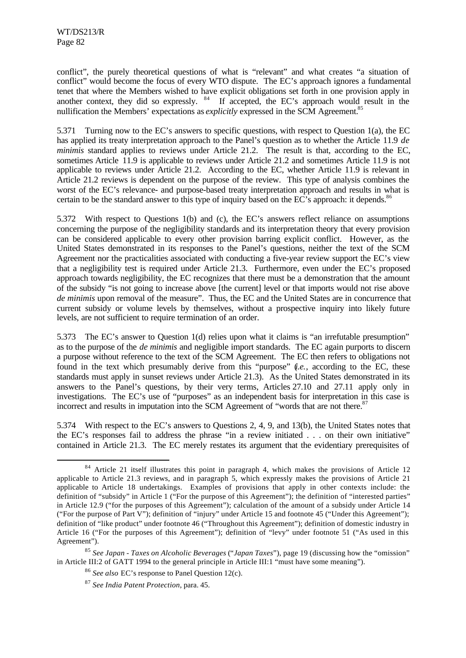l

conflict", the purely theoretical questions of what is "relevant" and what creates "a situation of conflict" would become the focus of every WTO dispute. The EC's approach ignores a fundamental tenet that where the Members wished to have explicit obligations set forth in one provision apply in another context, they did so expressly. <sup>84</sup> If accepted, the EC's approach would result in the nullification the Members' expectations as *explicitly* expressed in the SCM Agreement.<sup>85</sup>

5.371 Turning now to the EC's answers to specific questions, with respect to Question 1(a), the EC has applied its treaty interpretation approach to the Panel's question as to whether the Article 11.9 *de minimis* standard applies to reviews under Article 21.2. The result is that, according to the EC, sometimes Article 11.9 is applicable to reviews under Article 21.2 and sometimes Article 11.9 is not applicable to reviews under Article 21.2. According to the EC, whether Article 11.9 is relevant in Article 21.2 reviews is dependent on the purpose of the review. This type of analysis combines the worst of the EC's relevance- and purpose-based treaty interpretation approach and results in what is certain to be the standard answer to this type of inquiry based on the  $EC$ 's approach: it depends.<sup>86</sup>

5.372 With respect to Questions 1(b) and (c), the EC's answers reflect reliance on assumptions concerning the purpose of the negligibility standards and its interpretation theory that every provision can be considered applicable to every other provision barring explicit conflict. However, as the United States demonstrated in its responses to the Panel's questions, neither the text of the SCM Agreement nor the practicalities associated with conducting a five-year review support the EC's view that a negligibility test is required under Article 21.3. Furthermore, even under the EC's proposed approach towards negligibility, the EC recognizes that there must be a demonstration that the amount of the subsidy "is not going to increase above [the current] level or that imports would not rise above *de minimis* upon removal of the measure". Thus, the EC and the United States are in concurrence that current subsidy or volume levels by themselves, without a prospective inquiry into likely future levels, are not sufficient to require termination of an order.

5.373 The EC's answer to Question 1(d) relies upon what it claims is "an irrefutable presumption" as to the purpose of the *de minimis* and negligible import standards. The EC again purports to discern a purpose without reference to the text of the SCM Agreement. The EC then refers to obligations not found in the text which presumably derive from this "purpose" (*i.e.*, according to the EC, these standards must apply in sunset reviews under Article 21.3). As the United States demonstrated in its answers to the Panel's questions, by their very terms, Articles 27.10 and 27.11 apply only in investigations. The EC's use of "purposes" as an independent basis for interpretation in this case is incorrect and results in imputation into the SCM Agreement of "words that are not there.<sup>87</sup>

5.374 With respect to the EC's answers to Questions 2, 4, 9, and 13(b), the United States notes that the EC's responses fail to address the phrase "in a review initiated . . . on their own initiative" contained in Article 21.3. The EC merely restates its argument that the evidentiary prerequisites of

<sup>&</sup>lt;sup>84</sup> Article 21 itself illustrates this point in paragraph 4, which makes the provisions of Article 12 applicable to Article 21.3 reviews, and in paragraph 5, which expressly makes the provisions of Article 21 applicable to Article 18 undertakings. Examples of provisions that apply in other contexts include: the definition of "subsidy" in Article 1 ("For the purpose of this Agreement"); the definition of "interested parties" in Article 12.9 ("for the purposes of this Agreement"); calculation of the amount of a subsidy under Article 14 ("For the purpose of Part V"); definition of "injury" under Article 15 and footnote 45 ("Under this Agreement"); definition of "like product" under footnote 46 ("Throughout this Agreement"); definition of domestic industry in Article 16 ("For the purposes of this Agreement"); definition of "levy" under footnote 51 ("As used in this Agreement").

<sup>85</sup> *See Japan - Taxes on Alcoholic Beverages* ("*Japan Taxes*"), page 19 (discussing how the "omission" in Article III:2 of GATT 1994 to the general principle in Article III:1 "must have some meaning").

<sup>86</sup> *See also* EC's response to Panel Question 12(c).

<sup>87</sup> *See India Patent Protection*, para. 45.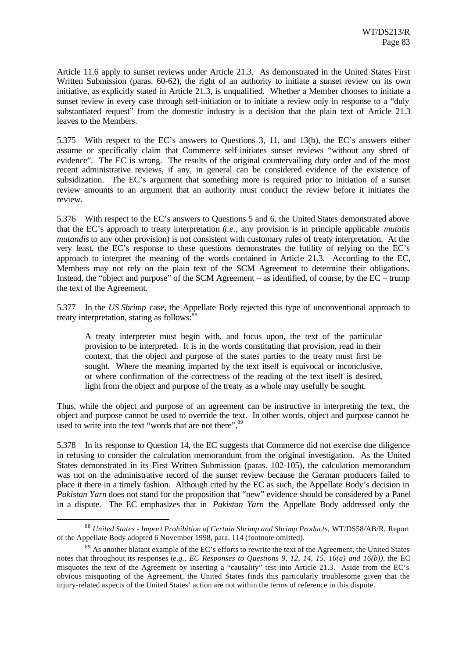Article 11.6 apply to sunset reviews under Article 21.3. As demonstrated in the United States First Written Submission (paras. 60-62), the right of an authority to initiate a sunset review on its own initiative, as explicitly stated in Article 21.3, is unqualified. Whether a Member chooses to initiate a sunset review in every case through self-initiation or to initiate a review only in response to a "duly substantiated request" from the domestic industry is a decision that the plain text of Article 21.3 leaves to the Members.

5.375 With respect to the EC's answers to Questions 3, 11, and 13(b), the EC's answers either assume or specifically claim that Commerce self-initiates sunset reviews "without any shred of evidence". The EC is wrong. The results of the original countervailing duty order and of the most recent administrative reviews, if any, in general can be considered evidence of the existence of subsidization. The EC's argument that something more is required prior to initiation of a sunset review amounts to an argument that an authority must conduct the review before it initiates the review.

5.376 With respect to the EC's answers to Questions 5 and 6, the United States demonstrated above that the EC's approach to treaty interpretation (*i.e.*, any provision is in principle applicable *mutatis mutandis* to any other provision) is not consistent with customary rules of treaty interpretation. At the very least, the EC's response to these questions demonstrates the futility of relying on the EC's approach to interpret the meaning of the words contained in Article 21.3. According to the EC, Members may not rely on the plain text of the SCM Agreement to determine their obligations. Instead, the "object and purpose" of the SCM Agreement – as identified, of course, by the EC – trump the text of the Agreement.

5.377 In the *US Shrimp* case, the Appellate Body rejected this type of unconventional approach to treaty interpretation, stating as follows:<sup>8</sup>

A treaty interpreter must begin with, and focus upon, the text of the particular provision to be interpreted. It is in the words constituting that provision, read in their context, that the object and purpose of the states parties to the treaty must first be sought. Where the meaning imparted by the text itself is equivocal or inconclusive, or where confirmation of the correctness of the reading of the text itself is desired, light from the object and purpose of the treaty as a whole may usefully be sought.

Thus, while the object and purpose of an agreement can be instructive in interpreting the text, the object and purpose cannot be used to override the text. In other words, object and purpose cannot be used to write into the text "words that are not there".<sup>89</sup>

5.378 In its response to Question 14, the EC suggests that Commerce did not exercise due diligence in refusing to consider the calculation memorandum from the original investigation. As the United States demonstrated in its First Written Submission (paras. 102-105), the calculation memorandum was not on the administrative record of the sunset review because the German producers failed to place it there in a timely fashion. Although cited by the EC as such, the Appellate Body's decision in *Pakistan Yarn* does not stand for the proposition that "new" evidence should be considered by a Panel in a dispute. The EC emphasizes that in *Pakistan Yarn* the Appellate Body addressed only the

<sup>88</sup> *United States - Import Prohibition of Certain Shrimp and Shrimp Products*, WT/DS58/AB/R, Report of the Appellate Body adopted 6 November 1998, para. 114 (footnote omitted).

 $89$  As another blatant example of the EC's efforts to rewrite the text of the Agreement, the United States notes that throughout its responses (*e.g., EC Responses to Questions 9, 12, 14, 15, 16(a) and 16(b)),* the EC misquotes the text of the Agreement by inserting a "causality" test into Article 21.3. Aside from the EC's obvious misquoting of the Agreement, the United States finds this particularly troublesome given that the injury-related aspects of the United States' action are not within the terms of reference in this dispute.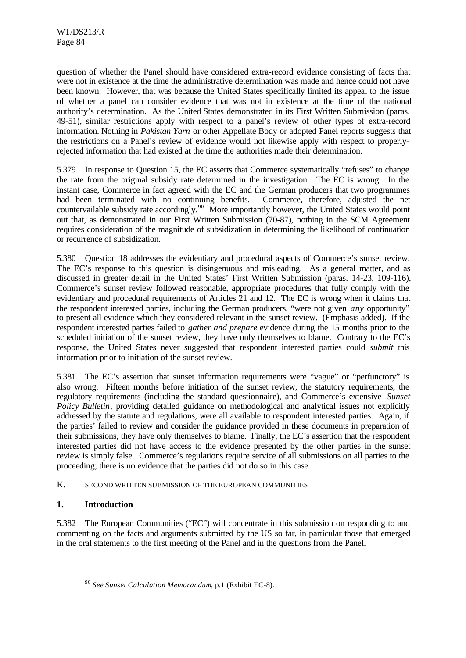question of whether the Panel should have considered extra-record evidence consisting of facts that were not in existence at the time the administrative determination was made and hence could not have been known. However, that was because the United States specifically limited its appeal to the issue of whether a panel can consider evidence that was not in existence at the time of the national authority's determination. As the United States demonstrated in its First Written Submission (paras. 49-51), similar restrictions apply with respect to a panel's review of other types of extra-record information. Nothing in *Pakistan Yarn* or other Appellate Body or adopted Panel reports suggests that the restrictions on a Panel's review of evidence would not likewise apply with respect to properlyrejected information that had existed at the time the authorities made their determination.

5.379 In response to Question 15, the EC asserts that Commerce systematically "refuses" to change the rate from the original subsidy rate determined in the investigation. The EC is wrong. In the instant case, Commerce in fact agreed with the EC and the German producers that two programmes had been terminated with no continuing benefits. Commerce, therefore, adjusted the net countervailable subsidy rate accordingly.<sup>90</sup> More importantly however, the United States would point out that, as demonstrated in our First Written Submission (70-87), nothing in the SCM Agreement requires consideration of the magnitude of subsidization in determining the likelihood of continuation or recurrence of subsidization.

5.380 Question 18 addresses the evidentiary and procedural aspects of Commerce's sunset review. The EC's response to this question is disingenuous and misleading. As a general matter, and as discussed in greater detail in the United States' First Written Submission (paras. 14-23, 109-116), Commerce's sunset review followed reasonable, appropriate procedures that fully comply with the evidentiary and procedural requirements of Articles 21 and 12. The EC is wrong when it claims that the respondent interested parties, including the German producers, "were not given *any* opportunity" to present all evidence which they considered relevant in the sunset review. (Emphasis added). If the respondent interested parties failed to *gather and prepare* evidence during the 15 months prior to the scheduled initiation of the sunset review, they have only themselves to blame. Contrary to the EC's response, the United States never suggested that respondent interested parties could *submit* this information prior to initiation of the sunset review.

5.381 The EC's assertion that sunset information requirements were "vague" or "perfunctory" is also wrong. Fifteen months before initiation of the sunset review, the statutory requirements, the regulatory requirements (including the standard questionnaire), and Commerce's extensive *Sunset Policy Bulletin*, providing detailed guidance on methodological and analytical issues not explicitly addressed by the statute and regulations, were all available to respondent interested parties. Again, if the parties' failed to review and consider the guidance provided in these documents in preparation of their submissions, they have only themselves to blame. Finally, the EC's assertion that the respondent interested parties did not have access to the evidence presented by the other parties in the sunset review is simply false. Commerce's regulations require service of all submissions on all parties to the proceeding; there is no evidence that the parties did not do so in this case.

### K. SECOND WRITTEN SUBMISSION OF THE EUROPEAN COMMUNITIES

## **1. Introduction**

l

5.382 The European Communities ("EC") will concentrate in this submission on responding to and commenting on the facts and arguments submitted by the US so far, in particular those that emerged in the oral statements to the first meeting of the Panel and in the questions from the Panel.

<sup>90</sup> *See Sunset Calculation Memorandum*, p.1 (Exhibit EC-8).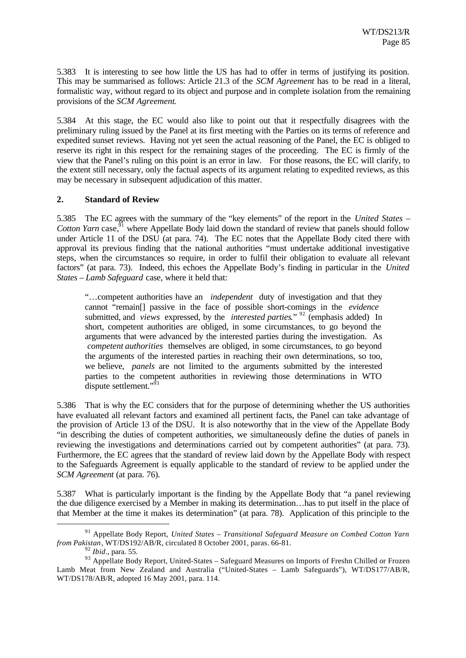5.383 It is interesting to see how little the US has had to offer in terms of justifying its position. This may be summarised as follows: Article 21.3 of the *SCM Agreement* has to be read in a literal, formalistic way, without regard to its object and purpose and in complete isolation from the remaining provisions of the *SCM Agreement*.

5.384 At this stage, the EC would also like to point out that it respectfully disagrees with the preliminary ruling issued by the Panel at its first meeting with the Parties on its terms of reference and expedited sunset reviews. Having not yet seen the actual reasoning of the Panel, the EC is obliged to reserve its right in this respect for the remaining stages of the proceeding. The EC is firmly of the view that the Panel's ruling on this point is an error in law. For those reasons, the EC will clarify, to the extent still necessary, only the factual aspects of its argument relating to expedited reviews, as this may be necessary in subsequent adjudication of this matter.

## **2. Standard of Review**

5.385 The EC agrees with the summary of the "key elements" of the report in the *United States –* Cotton Yarn case,  $\bar{y}^1$  where Appellate Body laid down the standard of review that panels should follow under Article 11 of the DSU (at para. 74). The EC notes that the Appellate Body cited there with approval its previous finding that the national authorities "must undertake additional investigative steps, when the circumstances so require, in order to fulfil their obligation to evaluate all relevant factors" (at para. 73). Indeed, this echoes the Appellate Body's finding in particular in the *United States – Lamb Safeguard* case, where it held that:

"…competent authorities have an *independent* duty of investigation and that they cannot "remain[] passive in the face of possible short-comings in the *evidence* submitted, and *views* expressed, by the *interested parties*." <sup>92</sup> (emphasis added) In short, competent authorities are obliged, in some circumstances, to go beyond the arguments that were advanced by the interested parties during the investigation. As *competent authorities* themselves are obliged, in some circumstances, to go beyond the arguments of the interested parties in reaching their own determinations, so too, we believe, *panels* are not limited to the arguments submitted by the interested parties to the competent authorities in reviewing those determinations in WTO dispute settlement."<sup>93</sup>

5.386 That is why the EC considers that for the purpose of determining whether the US authorities have evaluated all relevant factors and examined all pertinent facts, the Panel can take advantage of the provision of Article 13 of the DSU. It is also noteworthy that in the view of the Appellate Body "in describing the duties of competent authorities, we simultaneously define the duties of panels in reviewing the investigations and determinations carried out by competent authorities" (at para. 73). Furthermore, the EC agrees that the standard of review laid down by the Appellate Body with respect to the Safeguards Agreement is equally applicable to the standard of review to be applied under the *SCM Agreement* (at para. 76).

5.387 What is particularly important is the finding by the Appellate Body that "a panel reviewing the due diligence exercised by a Member in making its determination…has to put itself in the place of that Member at the time it makes its determination" (at para. 78). Application of this principle to the

<sup>92</sup> *Ibid*., para. 55.

<sup>91</sup> Appellate Body Report, *United States – Transitional Safeguard Measure on Combed Cotton Yarn from Pakistan*, WT/DS192/AB/R, circulated 8 October 2001, paras. 66-81.

<sup>93</sup> Appellate Body Report, United-States – Safeguard Measures on Imports of Freshn Chilled or Frozen Lamb Meat from New Zealand and Australia ("United-States – Lamb Safeguards"), WT/DS177/AB/R, WT/DS178/AB/R, adopted 16 May 2001, para. 114.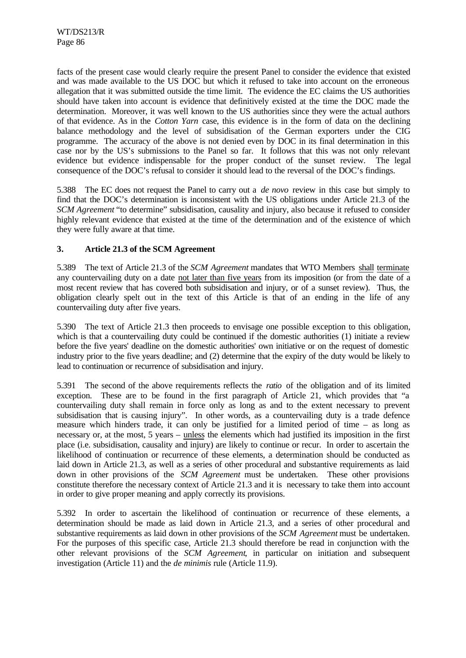facts of the present case would clearly require the present Panel to consider the evidence that existed and was made available to the US DOC but which it refused to take into account on the erroneous allegation that it was submitted outside the time limit. The evidence the EC claims the US authorities should have taken into account is evidence that definitively existed at the time the DOC made the determination. Moreover, it was well known to the US authorities since they were the actual authors of that evidence. As in the *Cotton Yarn* case, this evidence is in the form of data on the declining balance methodology and the level of subsidisation of the German exporters under the CIG programme. The accuracy of the above is not denied even by DOC in its final determination in this case nor by the US's submissions to the Panel so far. It follows that this was not only relevant evidence but evidence indispensable for the proper conduct of the sunset review. The legal consequence of the DOC's refusal to consider it should lead to the reversal of the DOC's findings.

5.388 The EC does not request the Panel to carry out a *de novo* review in this case but simply to find that the DOC's determination is inconsistent with the US obligations under Article 21.3 of the *SCM Agreement* "to determine" subsidisation, causality and injury, also because it refused to consider highly relevant evidence that existed at the time of the determination and of the existence of which they were fully aware at that time.

## **3. Article 21.3 of the SCM Agreement**

5.389 The text of Article 21.3 of the *SCM Agreement* mandates that WTO Members shall terminate any countervailing duty on a date not later than five years from its imposition (or from the date of a most recent review that has covered both subsidisation and injury, or of a sunset review). Thus, the obligation clearly spelt out in the text of this Article is that of an ending in the life of any countervailing duty after five years.

5.390 The text of Article 21.3 then proceeds to envisage one possible exception to this obligation, which is that a countervailing duty could be continued if the domestic authorities (1) initiate a review before the five years' deadline on the domestic authorities' own initiative or on the request of domestic industry prior to the five years deadline; and (2) determine that the expiry of the duty would be likely to lead to continuation or recurrence of subsidisation and injury.

5.391 The second of the above requirements reflects the *ratio* of the obligation and of its limited exception. These are to be found in the first paragraph of Article 21, which provides that "a countervailing duty shall remain in force only as long as and to the extent necessary to prevent subsidisation that is causing injury". In other words, as a countervailing duty is a trade defence measure which hinders trade, it can only be justified for a limited period of time – as long as necessary or, at the most, 5 years – unless the elements which had justified its imposition in the first place (i.e. subsidisation, causality and injury) are likely to continue or recur. In order to ascertain the likelihood of continuation or recurrence of these elements, a determination should be conducted as laid down in Article 21.3, as well as a series of other procedural and substantive requirements as laid down in other provisions of the *SCM Agreement* must be undertaken. These other provisions constitute therefore the necessary context of Article 21.3 and it is necessary to take them into account in order to give proper meaning and apply correctly its provisions.

5.392 In order to ascertain the likelihood of continuation or recurrence of these elements, a determination should be made as laid down in Article 21.3, and a series of other procedural and substantive requirements as laid down in other provisions of the *SCM Agreement* must be undertaken. For the purposes of this specific case, Article 21.3 should therefore be read in conjunction with the other relevant provisions of the *SCM Agreement*, in particular on initiation and subsequent investigation (Article 11) and the *de minimis* rule (Article 11.9).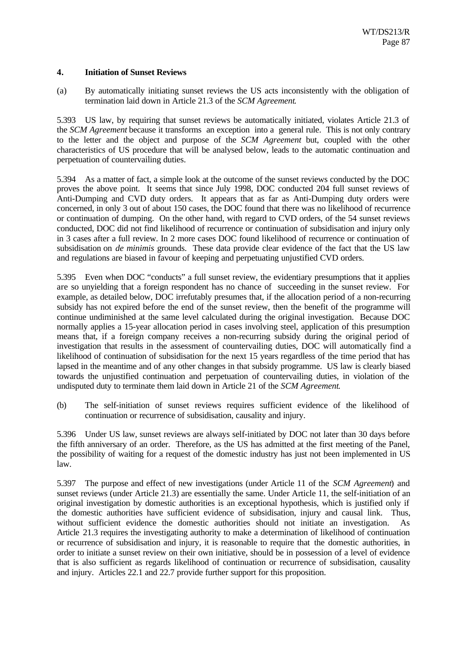### **4. Initiation of Sunset Reviews**

(a) By automatically initiating sunset reviews the US acts inconsistently with the obligation of termination laid down in Article 21.3 of the *SCM Agreement*.

5.393 US law, by requiring that sunset reviews be automatically initiated, violates Article 21.3 of the *SCM Agreement* because it transforms an exception into a general rule. This is not only contrary to the letter and the object and purpose of the *SCM Agreement* but, coupled with the other characteristics of US procedure that will be analysed below, leads to the automatic continuation and perpetuation of countervailing duties.

5.394 As a matter of fact, a simple look at the outcome of the sunset reviews conducted by the DOC proves the above point. It seems that since July 1998, DOC conducted 204 full sunset reviews of Anti-Dumping and CVD duty orders. It appears that as far as Anti-Dumping duty orders were concerned, in only 3 out of about 150 cases, the DOC found that there was no likelihood of recurrence or continuation of dumping. On the other hand, with regard to CVD orders, of the 54 sunset reviews conducted, DOC did not find likelihood of recurrence or continuation of subsidisation and injury only in 3 cases after a full review. In 2 more cases DOC found likelihood of recurrence or continuation of subsidisation on *de minimis* grounds. These data provide clear evidence of the fact that the US law and regulations are biased in favour of keeping and perpetuating unjustified CVD orders.

5.395 Even when DOC "conducts" a full sunset review, the evidentiary presumptions that it applies are so unyielding that a foreign respondent has no chance of succeeding in the sunset review. For example, as detailed below, DOC irrefutably presumes that, if the allocation period of a non-recurring subsidy has not expired before the end of the sunset review, then the benefit of the programme will continue undiminished at the same level calculated during the original investigation. Because DOC normally applies a 15-year allocation period in cases involving steel, application of this presumption means that, if a foreign company receives a non-recurring subsidy during the original period of investigation that results in the assessment of countervailing duties, DOC will automatically find a likelihood of continuation of subsidisation for the next 15 years regardless of the time period that has lapsed in the meantime and of any other changes in that subsidy programme. US law is clearly biased towards the unjustified continuation and perpetuation of countervailing duties, in violation of the undisputed duty to terminate them laid down in Article 21 of the *SCM Agreement*.

(b) The self-initiation of sunset reviews requires sufficient evidence of the likelihood of continuation or recurrence of subsidisation, causality and injury.

5.396 Under US law, sunset reviews are always self-initiated by DOC not later than 30 days before the fifth anniversary of an order. Therefore, as the US has admitted at the first meeting of the Panel, the possibility of waiting for a request of the domestic industry has just not been implemented in US law.

5.397 The purpose and effect of new investigations (under Article 11 of the *SCM Agreement*) and sunset reviews (under Article 21.3) are essentially the same. Under Article 11, the self-initiation of an original investigation by domestic authorities is an exceptional hypothesis, which is justified only if the domestic authorities have sufficient evidence of subsidisation, injury and causal link. Thus, without sufficient evidence the domestic authorities should not initiate an investigation. As Article 21.3 requires the investigating authority to make a determination of likelihood of continuation or recurrence of subsidisation and injury, it is reasonable to require that the domestic authorities, in order to initiate a sunset review on their own initiative, should be in possession of a level of evidence that is also sufficient as regards likelihood of continuation or recurrence of subsidisation, causality and injury. Articles 22.1 and 22.7 provide further support for this proposition.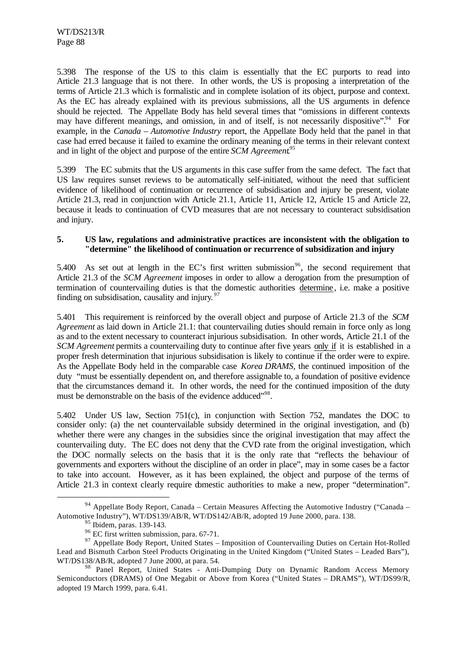5.398 The response of the US to this claim is essentially that the EC purports to read into Article 21.3 language that is not there. In other words, the US is proposing a interpretation of the terms of Article 21.3 which is formalistic and in complete isolation of its object, purpose and context. As the EC has already explained with its previous submissions, all the US arguments in defence should be rejected. The Appellate Body has held several times that "omissions in different contexts may have different meanings, and omission, in and of itself, is not necessarily dispositive". For example, in the *Canada – Automotive Industry* report, the Appellate Body held that the panel in that case had erred because it failed to examine the ordinary meaning of the terms in their relevant context and in light of the object and purpose of the entire *SCM Agreement*. 95

5.399 The EC submits that the US arguments in this case suffer from the same defect. The fact that US law requires sunset reviews to be automatically self-initiated, without the need that sufficient evidence of likelihood of continuation or recurrence of subsidisation and injury be present, violate Article 21.3, read in conjunction with Article 21.1, Article 11, Article 12, Article 15 and Article 22, because it leads to continuation of CVD measures that are not necessary to counteract subsidisation and injury.

### **5. US law, regulations and administrative practices are inconsistent with the obligation to "determine" the likelihood of continuation or recurrence of subsidization and injury**

5.400 As set out at length in the EC's first written submission<sup>96</sup>, the second requirement that Article 21.3 of the *SCM Agreement* imposes in order to allow a derogation from the presumption of termination of countervailing duties is that the domestic authorities determine , i.e. make a positive finding on subsidisation, causality and injury*. 97*

5.401 This requirement is reinforced by the overall object and purpose of Article 21.3 of the *SCM Agreement* as laid down in Article 21.1: that countervailing duties should remain in force only as long as and to the extent necessary to counteract injurious subsidisation. In other words, Article 21.1 of the *SCM Agreement* permits a countervailing duty to continue after five years only if it is established in a proper fresh determination that injurious subsidisation is likely to continue if the order were to expire. As the Appellate Body held in the comparable case *Korea DRAMS,* the continued imposition of the duty "must be essentially dependent on, and therefore assignable to, a foundation of positive evidence that the circumstances demand it. In other words, the need for the continued imposition of the duty must be demonstrable on the basis of the evidence adduced"<sup>98</sup>.

5.402 Under US law, Section 751(c), in conjunction with Section 752, mandates the DOC to consider only: (a) the net countervailable subsidy determined in the original investigation, and (b) whether there were any changes in the subsidies since the original investigation that may affect the countervailing duty. The EC does not deny that the CVD rate from the original investigation, which the DOC normally selects on the basis that it is the only rate that "reflects the behaviour of governments and exporters without the discipline of an order in place", may in some cases be a factor to take into account. However, as it has been explained, the object and purpose of the terms of Article 21.3 in context clearly require domestic authorities to make a new, proper "determination".

<sup>94</sup> Appellate Body Report, Canada – Certain Measures Affecting the Automotive Industry ("Canada – Automotive Industry"), WT/DS139/AB/R, WT/DS142/AB/R, adopted 19 June 2000, para. 138.

 $95$  Ibidem, paras. 139-143.

<sup>96</sup> EC first written submission, para. 67-71.

<sup>&</sup>lt;sup>97</sup> Appellate Body Report, United States – Imposition of Countervailing Duties on Certain Hot-Rolled Lead and Bismuth Carbon Steel Products Originating in the United Kingdom ("United States – Leaded Bars"), WT/DS138/AB/R, adopted 7 June 2000, at para. 54.

<sup>&</sup>lt;sup>98</sup> Panel Report, United States - Anti-Dumping Duty on Dynamic Random Access Memory Semiconductors (DRAMS) of One Megabit or Above from Korea ("United States – DRAMS"), WT/DS99/R, adopted 19 March 1999, para. 6.41.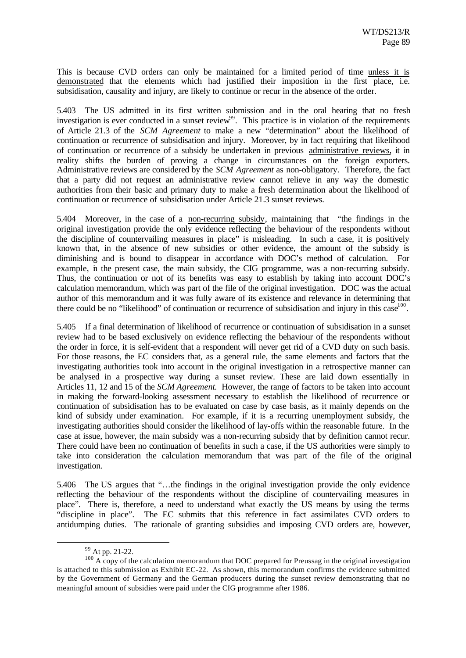This is because CVD orders can only be maintained for a limited period of time unless it is demonstrated that the elements which had justified their imposition in the first place, i.e. subsidisation, causality and injury, are likely to continue or recur in the absence of the order.

5.403 The US admitted in its first written submission and in the oral hearing that no fresh investigation is ever conducted in a sunset review<sup>99</sup>. This practice is in violation of the requirements of Article 21.3 of the *SCM Agreement* to make a new "determination" about the likelihood of continuation or recurrence of subsidisation and injury. Moreover, by in fact requiring that likelihood of continuation or recurrence of a subsidy be undertaken in previous administrative reviews, it in reality shifts the burden of proving a change in circumstances on the foreign exporters. Administrative reviews are considered by the *SCM Agreement* as non-obligatory. Therefore, the fact that a party did not request an administrative review cannot relieve in any way the domestic authorities from their basic and primary duty to make a fresh determination about the likelihood of continuation or recurrence of subsidisation under Article 21.3 sunset reviews.

5.404 Moreover, in the case of a non-recurring subsidy, maintaining that "the findings in the original investigation provide the only evidence reflecting the behaviour of the respondents without the discipline of countervailing measures in place" is misleading. In such a case, it is positively known that, in the absence of new subsidies or other evidence, the amount of the subsidy is diminishing and is bound to disappear in accordance with DOC's method of calculation. For example, in the present case, the main subsidy, the CIG programme, was a non-recurring subsidy. Thus, the continuation or not of its benefits was easy to establish by taking into account DOC's calculation memorandum, which was part of the file of the original investigation. DOC was the actual author of this memorandum and it was fully aware of its existence and relevance in determining that there could be no "likelihood" of continuation or recurrence of subsidisation and injury in this case<sup>100</sup>.

5.405 If a final determination of likelihood of recurrence or continuation of subsidisation in a sunset review had to be based exclusively on evidence reflecting the behaviour of the respondents without the order in force, it is self-evident that a respondent will never get rid of a CVD duty on such basis. For those reasons, the EC considers that, as a general rule, the same elements and factors that the investigating authorities took into account in the original investigation in a retrospective manner can be analysed in a prospective way during a sunset review. These are laid down essentially in Articles 11, 12 and 15 of the *SCM Agreement*. However, the range of factors to be taken into account in making the forward-looking assessment necessary to establish the likelihood of recurrence or continuation of subsidisation has to be evaluated on case by case basis, as it mainly depends on the kind of subsidy under examination. For example, if it is a recurring unemployment subsidy, the investigating authorities should consider the likelihood of lay-offs within the reasonable future. In the case at issue, however, the main subsidy was a non-recurring subsidy that by definition cannot recur. There could have been no continuation of benefits in such a case, if the US authorities were simply to take into consideration the calculation memorandum that was part of the file of the original investigation.

5.406 The US argues that "…the findings in the original investigation provide the only evidence reflecting the behaviour of the respondents without the discipline of countervailing measures in place". There is, therefore, a need to understand what exactly the US means by using the terms "discipline in place". The EC submits that this reference in fact assimilates CVD orders to antidumping duties. The rationale of granting subsidies and imposing CVD orders are, however,

<sup>99</sup> At pp. 21-22.

 $100$  A copy of the calculation memorandum that DOC prepared for Preussag in the original investigation is attached to this submission as Exhibit EC-22. As shown, this memorandum confirms the evidence submitted by the Government of Germany and the German producers during the sunset review demonstrating that no meaningful amount of subsidies were paid under the CIG programme after 1986.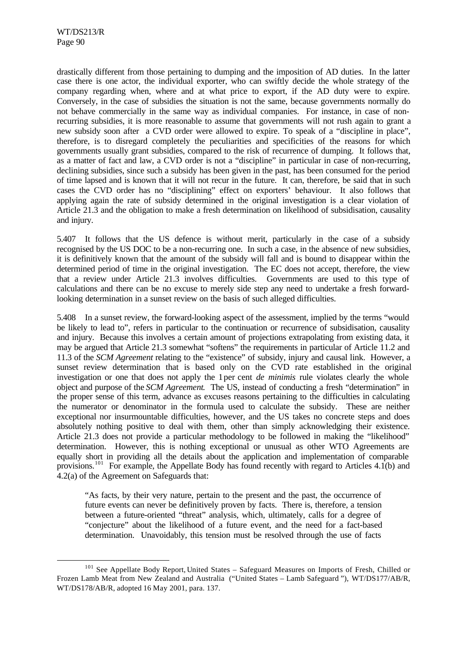l

drastically different from those pertaining to dumping and the imposition of AD duties. In the latter case there is one actor, the individual exporter, who can swiftly decide the whole strategy of the company regarding when, where and at what price to export, if the AD duty were to expire. Conversely, in the case of subsidies the situation is not the same, because governments normally do not behave commercially in the same way as individual companies. For instance, in case of nonrecurring subsidies, it is more reasonable to assume that governments will not rush again to grant a new subsidy soon after a CVD order were allowed to expire. To speak of a "discipline in place", therefore, is to disregard completely the peculiarities and specificities of the reasons for which governments usually grant subsidies, compared to the risk of recurrence of dumping. It follows that, as a matter of fact and law, a CVD order is not a "discipline" in particular in case of non-recurring, declining subsidies, since such a subsidy has been given in the past, has been consumed for the period of time lapsed and is known that it will not recur in the future. It can, therefore, be said that in such cases the CVD order has no "disciplining" effect on exporters' behaviour. It also follows that applying again the rate of subsidy determined in the original investigation is a clear violation of Article 21.3 and the obligation to make a fresh determination on likelihood of subsidisation, causality and injury.

5.407 It follows that the US defence is without merit, particularly in the case of a subsidy recognised by the US DOC to be a non-recurring one. In such a case, in the absence of new subsidies, it is definitively known that the amount of the subsidy will fall and is bound to disappear within the determined period of time in the original investigation. The EC does not accept, therefore, the view that a review under Article 21.3 involves difficulties. Governments are used to this type of calculations and there can be no excuse to merely side step any need to undertake a fresh forwardlooking determination in a sunset review on the basis of such alleged difficulties.

5.408 In a sunset review, the forward-looking aspect of the assessment, implied by the terms "would be likely to lead to", refers in particular to the continuation or recurrence of subsidisation, causality and injury. Because this involves a certain amount of projections extrapolating from existing data, it may be argued that Article 21.3 somewhat "softens" the requirements in particular of Article 11.2 and 11.3 of the *SCM Agreement* relating to the "existence" of subsidy, injury and causal link. However, a sunset review determination that is based only on the CVD rate established in the original investigation or one that does not apply the 1 per cent *de minimis* rule violates clearly the whole object and purpose of the *SCM Agreement*. The US, instead of conducting a fresh "determination" in the proper sense of this term, advance as excuses reasons pertaining to the difficulties in calculating the numerator or denominator in the formula used to calculate the subsidy. These are neither exceptional nor insurmountable difficulties, however, and the US takes no concrete steps and does absolutely nothing positive to deal with them, other than simply acknowledging their existence. Article 21.3 does not provide a particular methodology to be followed in making the "likelihood" determination. However, this is nothing exceptional or unusual as other WTO Agreements are equally short in providing all the details about the application and implementation of comparable provisions.<sup>101</sup> For example, the Appellate Body has found recently with regard to Articles 4.1(b) and 4.2(a) of the Agreement on Safeguards that:

"As facts, by their very nature, pertain to the present and the past, the occurrence of future events can never be definitively proven by facts. There is, therefore, a tension between a future-oriented "threat" analysis, which, ultimately, calls for a degree of "conjecture" about the likelihood of a future event, and the need for a fact-based determination. Unavoidably, this tension must be resolved through the use of facts

<sup>&</sup>lt;sup>101</sup> See Appellate Body Report, United States – Safeguard Measures on Imports of Fresh, Chilled or Frozen Lamb Meat from New Zealand and Australia ("United States – Lamb Safeguard "), WT/DS177/AB/R, WT/DS178/AB/R, adopted 16 May 2001, para. 137.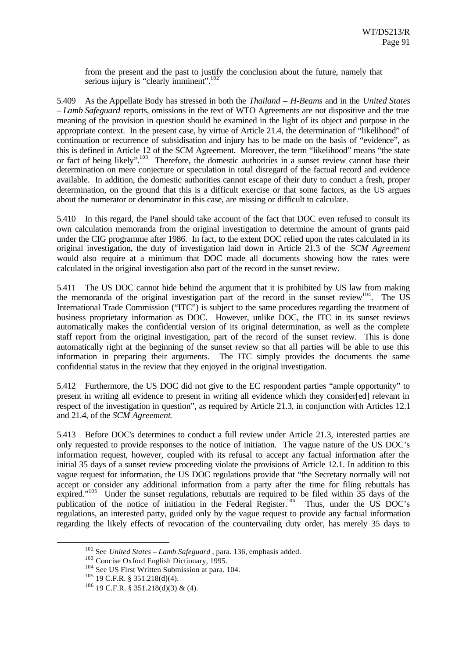from the present and the past to justify the conclusion about the future, namely that serious injury is "clearly imminent".<sup>102</sup>

5.409 As the Appellate Body has stressed in both the *Thailand – H-Beams* and in the *United States – Lamb Safeguard* reports, omissions in the text of WTO Agreements are not dispositive and the true meaning of the provision in question should be examined in the light of its object and purpose in the appropriate context. In the present case, by virtue of Article 21.4, the determination of "likelihood" of continuation or recurrence of subsidisation and injury has to be made on the basis of "evidence", as this is defined in Article 12 of the SCM Agreement. Moreover, the term "likelihood" means "the state or fact of being likely".<sup>103</sup> Therefore, the domestic authorities in a sunset review cannot base their determination on mere conjecture or speculation in total disregard of the factual record and evidence available. In addition, the domestic authorities cannot escape of their duty to conduct a fresh, proper determination, on the ground that this is a difficult exercise or that some factors, as the US argues about the numerator or denominator in this case, are missing or difficult to calculate.

5.410 In this regard, the Panel should take account of the fact that DOC even refused to consult its own calculation memoranda from the original investigation to determine the amount of grants paid under the CIG programme after 1986. In fact, to the extent DOC relied upon the rates calculated in its original investigation, the duty of investigation laid down in Article 21.3 of the *SCM Agreement* would also require at a minimum that DOC made all documents showing how the rates were calculated in the original investigation also part of the record in the sunset review.

5.411 The US DOC cannot hide behind the argument that it is prohibited by US law from making the memoranda of the original investigation part of the record in the sunset review<sup>104</sup>. The US International Trade Commission ("ITC") is subject to the same procedures regarding the treatment of business proprietary information as DOC. However, unlike DOC, the ITC in its sunset reviews automatically makes the confidential version of its original determination, as well as the complete staff report from the original investigation, part of the record of the sunset review. This is done automatically right at the beginning of the sunset review so that all parties will be able to use this information in preparing their arguments. The ITC simply provides the documents the same confidential status in the review that they enjoyed in the original investigation.

5.412 Furthermore, the US DOC did not give to the EC respondent parties "ample opportunity" to present in writing all evidence to present in writing all evidence which they consider[ed] relevant in respect of the investigation in question", as required by Article 21.3, in conjunction with Articles 12.1 and 21.4, of the *SCM Agreement*.

5.413 Before DOC's determines to conduct a full review under Article 21.3, interested parties are only requested to provide responses to the notice of initiation. The vague nature of the US DOC's information request, however, coupled with its refusal to accept any factual information after the initial 35 days of a sunset review proceeding violate the provisions of Article 12.1. In addition to this vague request for information, the US DOC regulations provide that "the Secretary normally will not accept or consider any additional information from a party after the time for filing rebuttals has expired."<sup>105</sup> Under the sunset regulations, rebuttals are required to be filed within  $\frac{35}{15}$  days of the publication of the notice of initiation in the Federal Register.<sup>106</sup> Thus, under the US DOC's regulations, an interested party, guided only by the vague request to provide any factual information regarding the likely effects of revocation of the countervailing duty order, has merely 35 days to

<sup>102</sup> See *United States – Lamb Safeguard* , para. 136, emphasis added.

<sup>103</sup> Concise Oxford English Dictionary, 1995.

<sup>104</sup> See US First Written Submission at para. 104.

<sup>105</sup> 19 C.F.R. § 351.218(d)(4).

 $106$  19 C.F.R. § 351.218(d)(3) & (4).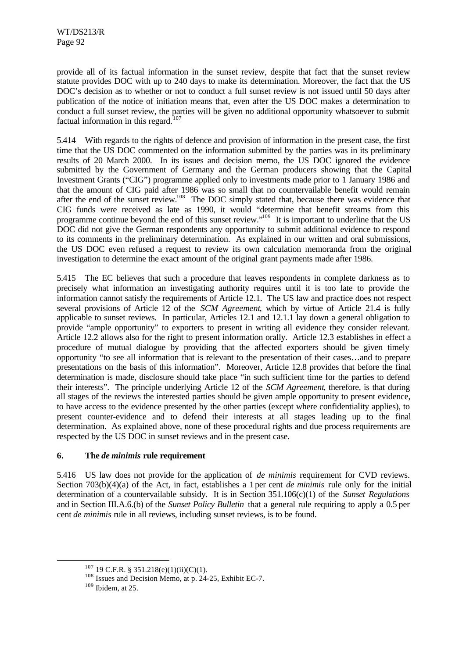provide all of its factual information in the sunset review, despite that fact that the sunset review statute provides DOC with up to 240 days to make its determination. Moreover, the fact that the US DOC's decision as to whether or not to conduct a full sunset review is not issued until 50 days after publication of the notice of initiation means that, even after the US DOC makes a determination to conduct a full sunset review, the parties will be given no additional opportunity whatsoever to submit factual information in this regard.<sup>107</sup>

5.414 With regards to the rights of defence and provision of information in the present case, the first time that the US DOC commented on the information submitted by the parties was in its preliminary results of 20 March 2000. In its issues and decision memo, the US DOC ignored the evidence submitted by the Government of Germany and the German producers showing that the Capital Investment Grants ("CIG") programme applied only to investments made prior to 1 January 1986 and that the amount of CIG paid after 1986 was so small that no countervailable benefit would remain after the end of the sunset review.<sup>108</sup> The DOC simply stated that, because there was evidence that CIG funds were received as late as 1990, it would "determine that benefit streams from this programme continue beyond the end of this sunset review."<sup>109</sup> It is important to underline that the US DOC did not give the German respondents any opportunity to submit additional evidence to respond to its comments in the preliminary determination. As explained in our written and oral submissions, the US DOC even refused a request to review its own calculation memoranda from the original investigation to determine the exact amount of the original grant payments made after 1986.

5.415 The EC believes that such a procedure that leaves respondents in complete darkness as to precisely what information an investigating authority requires until it is too late to provide the information cannot satisfy the requirements of Article 12.1. The US law and practice does not respect several provisions of Article 12 of the *SCM Agreement*, which by virtue of Article 21.4 is fully applicable to sunset reviews. In particular, Articles 12.1 and 12.1.1 lay down a general obligation to provide "ample opportunity" to exporters to present in writing all evidence they consider relevant. Article 12.2 allows also for the right to present information orally. Article 12.3 establishes in effect a procedure of mutual dialogue by providing that the affected exporters should be given timely opportunity "to see all information that is relevant to the presentation of their cases…and to prepare presentations on the basis of this information". Moreover, Article 12.8 provides that before the final determination is made, disclosure should take place "in such sufficient time for the parties to defend their interests". The principle underlying Article 12 of the *SCM Agreement*, therefore, is that during all stages of the reviews the interested parties should be given ample opportunity to present evidence, to have access to the evidence presented by the other parties (except where confidentiality applies), to present counter-evidence and to defend their interests at all stages leading up to the final determination. As explained above, none of these procedural rights and due process requirements are respected by the US DOC in sunset reviews and in the present case.

## **6. The** *de minimis* **rule requirement**

5.416 US law does not provide for the application of *de minimis* requirement for CVD reviews. Section 703(b)(4)(a) of the Act, in fact, establishes a 1 per cent *de minimis* rule only for the initial determination of a countervailable subsidy. It is in Section 351.106(c)(1) of the *Sunset Regulations* and in Section III.A.6.(b) of the *Sunset Policy Bulletin* that a general rule requiring to apply a 0.5 per cent *de minimis* rule in all reviews, including sunset reviews, is to be found.

 $107$  19 C.F.R. § 351.218(e)(1)(ii)(C)(1).

<sup>108</sup> Issues and Decision Memo, at p. 24-25, Exhibit EC-7.

 $109$  Ibidem, at 25.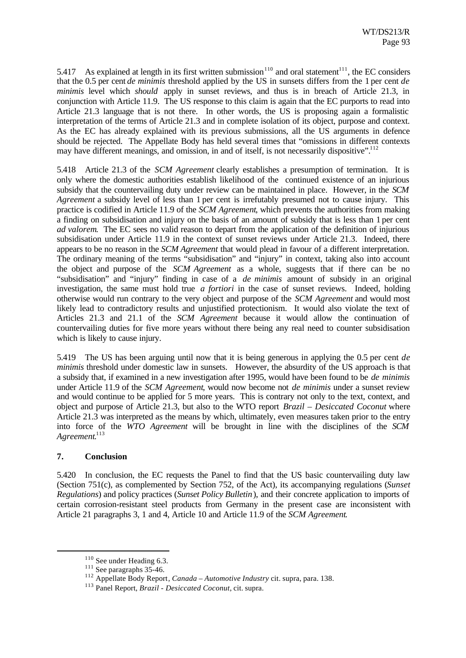5.417 As explained at length in its first written submission<sup>110</sup> and oral statement<sup>111</sup>, the EC considers that the 0.5 per cent *de minimis* threshold applied by the US in sunsets differs from the 1 per cent *de minimis* level which *should* apply in sunset reviews, and thus is in breach of Article 21.3, in conjunction with Article 11.9. The US response to this claim is again that the EC purports to read into Article 21.3 language that is not there. In other words, the US is proposing again a formalistic interpretation of the terms of Article 21.3 and in complete isolation of its object, purpose and context. As the EC has already explained with its previous submissions, all the US arguments in defence should be rejected. The Appellate Body has held several times that "omissions in different contexts may have different meanings, and omission, in and of itself, is not necessarily dispositive".<sup>112</sup>

5.418 Article 21.3 of the *SCM Agreement* clearly establishes a presumption of termination. It is only where the domestic authorities establish likelihood of the continued existence of an injurious subsidy that the countervailing duty under review can be maintained in place. However, in the *SCM Agreement* a subsidy level of less than 1 per cent is irrefutably presumed not to cause injury. This practice is codified in Article 11.9 of the *SCM Agreement*, which prevents the authorities from making a finding on subsidisation and injury on the basis of an amount of subsidy that is less than 1 per cent *ad valorem*. The EC sees no valid reason to depart from the application of the definition of injurious subsidisation under Article 11.9 in the context of sunset reviews under Article 21.3. Indeed, there appears to be no reason in the *SCM Agreement* that would plead in favour of a different interpretation. The ordinary meaning of the terms "subsidisation" and "injury" in context, taking also into account the object and purpose of the *SCM Agreement* as a whole, suggests that if there can be no "subsidisation" and "injury" finding in case of a *de minimis* amount of subsidy in an original investigation, the same must hold true *a fortiori* in the case of sunset reviews. Indeed, holding otherwise would run contrary to the very object and purpose of the *SCM Agreement* and would most likely lead to contradictory results and unjustified protectionism. It would also violate the text of Articles 21.3 and 21.1 of the *SCM Agreement* because it would allow the continuation of countervailing duties for five more years without there being any real need to counter subsidisation which is likely to cause injury.

5.419 The US has been arguing until now that it is being generous in applying the 0.5 per cent *de minimis* threshold under domestic law in sunsets. However, the absurdity of the US approach is that a subsidy that, if examined in a new investigation after 1995, would have been found to be *de minimis* under Article 11.9 of the *SCM Agreement*, would now become not *de minimis* under a sunset review and would continue to be applied for 5 more years. This is contrary not only to the text, context, and object and purpose of Article 21.3, but also to the WTO report *Brazil – Desiccated Coconut* where Article 21.3 was interpreted as the means by which, ultimately, even measures taken prior to the entry into force of the *WTO Agreement* will be brought in line with the disciplines of the *SCM Agreement*. 113

#### **7. Conclusion**

l

5.420 In conclusion, the EC requests the Panel to find that the US basic countervailing duty law (Section 751(c), as complemented by Section 752, of the Act), its accompanying regulations (*Sunset Regulations*) and policy practices (*Sunset Policy Bulletin*), and their concrete application to imports of certain corrosion-resistant steel products from Germany in the present case are inconsistent with Article 21 paragraphs 3, 1 and 4, Article 10 and Article 11.9 of the *SCM Agreement*.

<sup>&</sup>lt;sup>110</sup> See under Heading 6.3.

 $111$  See paragraphs 35-46.

<sup>112</sup> Appellate Body Report*, Canada – Automotive Industry* cit. supra, para. 138.

<sup>113</sup> Panel Report, *Brazil - Desiccated Coconut*, cit. supra.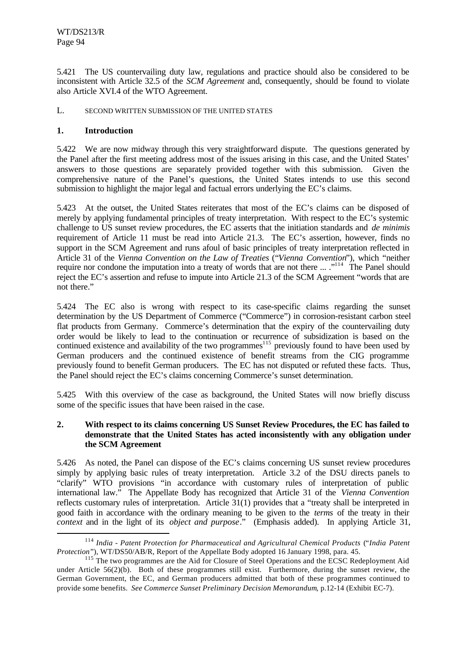5.421 The US countervailing duty law, regulations and practice should also be considered to be inconsistent with Article 32.5 of the *SCM Agreement* and, consequently, should be found to violate also Article XVI.4 of the WTO Agreement.

### L. SECOND WRITTEN SUBMISSION OF THE UNITED STATES

## **1. Introduction**

l

5.422 We are now midway through this very straightforward dispute. The questions generated by the Panel after the first meeting address most of the issues arising in this case, and the United States' answers to those questions are separately provided together with this submission. Given the comprehensive nature of the Panel's questions, the United States intends to use this second submission to highlight the major legal and factual errors underlying the EC's claims.

5.423 At the outset, the United States reiterates that most of the EC's claims can be disposed of merely by applying fundamental principles of treaty interpretation. With respect to the EC's systemic challenge to US sunset review procedures, the EC asserts that the initiation standards and *de minimis* requirement of Article 11 must be read into Article 21.3. The EC's assertion, however, finds no support in the SCM Agreement and runs afoul of basic principles of treaty interpretation reflected in Article 31 of the *Vienna Convention on the Law of Treaties* ("*Vienna Convention*"), which "neither require nor condone the imputation into a treaty of words that are not there ... ."<sup>114</sup> The Panel should reject the EC's assertion and refuse to impute into Article 21.3 of the SCM Agreement "words that are not there."

5.424 The EC also is wrong with respect to its case-specific claims regarding the sunset determination by the US Department of Commerce ("Commerce") in corrosion-resistant carbon steel flat products from Germany. Commerce's determination that the expiry of the countervailing duty order would be likely to lead to the continuation or recurrence of subsidization is based on the continued existence and availability of the two programmes<sup>115</sup> previously found to have been used by German producers and the continued existence of benefit streams from the CIG programme previously found to benefit German producers. The EC has not disputed or refuted these facts. Thus, the Panel should reject the EC's claims concerning Commerce's sunset determination.

5.425 With this overview of the case as background, the United States will now briefly discuss some of the specific issues that have been raised in the case.

## **2. With respect to its claims concerning US Sunset Review Procedures, the EC has failed to demonstrate that the United States has acted inconsistently with any obligation under the SCM Agreement**

5.426 As noted, the Panel can dispose of the EC's claims concerning US sunset review procedures simply by applying basic rules of treaty interpretation. Article 3.2 of the DSU directs panels to "clarify" WTO provisions "in accordance with customary rules of interpretation of public international law." The Appellate Body has recognized that Article 31 of the *Vienna Convention* reflects customary rules of interpretation. Article 31(1) provides that a "treaty shall be interpreted in good faith in accordance with the ordinary meaning to be given to the *terms* of the treaty in their *context* and in the light of its *object and purpose*." (Emphasis added). In applying Article 31,

<sup>114</sup> *India - Patent Protection for Pharmaceutical and Agricultural Chemical Products* ("*India Patent Protection*"), WT/DS50/AB/R, Report of the Appellate Body adopted 16 January 1998, para. 45.

<sup>&</sup>lt;sup>115</sup> The two programmes are the Aid for Closure of Steel Operations and the ECSC Redeployment Aid under Article  $56(2)(b)$ . Both of these programmes still exist. Furthermore, during the sunset review, the German Government, the EC, and German producers admitted that both of these programmes continued to provide some benefits. *See Commerce Sunset Preliminary Decision Memorandum*, p.12-14 (Exhibit EC-7).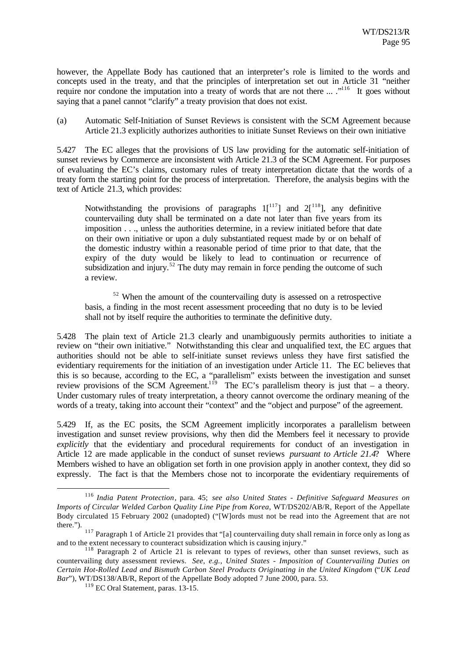however, the Appellate Body has cautioned that an interpreter's role is limited to the words and concepts used in the treaty, and that the principles of interpretation set out in Article 31 "neither require nor condone the imputation into a treaty of words that are not there ... ."<sup>116</sup> It goes without saying that a panel cannot "clarify" a treaty provision that does not exist.

(a) Automatic Self-Initiation of Sunset Reviews is consistent with the SCM Agreement because Article 21.3 explicitly authorizes authorities to initiate Sunset Reviews on their own initiative

5.427 The EC alleges that the provisions of US law providing for the automatic self-initiation of sunset reviews by Commerce are inconsistent with Article 21.3 of the SCM Agreement. For purposes of evaluating the EC's claims, customary rules of treaty interpretation dictate that the words of a treaty form the starting point for the process of interpretation. Therefore, the analysis begins with the text of Article 21.3, which provides:

Notwithstanding the provisions of paragraphs  $1[^{117}]$  and  $2[^{118}]$ , any definitive countervailing duty shall be terminated on a date not later than five years from its imposition . . ., unless the authorities determine, in a review initiated before that date on their own initiative or upon a duly substantiated request made by or on behalf of the domestic industry within a reasonable period of time prior to that date, that the expiry of the duty would be likely to lead to continuation or recurrence of subsidization and injury.<sup>52</sup> The duty may remain in force pending the outcome of such a review.

<sup>52</sup> When the amount of the countervailing duty is assessed on a retrospective basis, a finding in the most recent assessment proceeding that no duty is to be levied shall not by itself require the authorities to terminate the definitive duty.

5.428 The plain text of Article 21.3 clearly and unambiguously permits authorities to initiate a review on "their own initiative." Notwithstanding this clear and unqualified text, the EC argues that authorities should not be able to self-initiate sunset reviews unless they have first satisfied the evidentiary requirements for the initiation of an investigation under Article 11. The EC believes that this is so because, according to the EC, a "parallelism" exists between the investigation and sunset review provisions of the SCM Agreement.<sup>119</sup> The EC's parallelism theory is just that – a theory. Under customary rules of treaty interpretation, a theory cannot overcome the ordinary meaning of the words of a treaty, taking into account their "context" and the "object and purpose" of the agreement.

5.429 If, as the EC posits, the SCM Agreement implicitly incorporates a parallelism between investigation and sunset review provisions, why then did the Members feel it necessary to provide *explicitly* that the evidentiary and procedural requirements for conduct of an investigation in Article 12 are made applicable in the conduct of sunset reviews *pursuant to Article 21.4*? Where Members wished to have an obligation set forth in one provision apply in another context, they did so expressly. The fact is that the Members chose not to incorporate the evidentiary requirements of

<sup>116</sup> *India Patent Protection*, para. 45; *see also United States - Definitive Safeguard Measures on Imports of Circular Welded Carbon Quality Line Pipe from Korea*, WT/DS202/AB/R, Report of the Appellate Body circulated 15 February 2002 (unadopted) ("[W]ords must not be read into the Agreement that are not there.").

<sup>&</sup>lt;sup>117</sup> Paragraph 1 of Article 21 provides that "[a] countervailing duty shall remain in force only as long as and to the extent necessary to counteract subsidization which is causing injury."

<sup>&</sup>lt;sup>118</sup> Paragraph 2 of Article 21 is relevant to types of reviews, other than sunset reviews, such as countervailing duty assessment reviews. *See, e.g., United States - Imposition of Countervailing Duties on Certain Hot-Rolled Lead and Bismuth Carbon Steel Products Originating in the United Kingdom* ("*UK Lead Bar*"), WT/DS138/AB/R, Report of the Appellate Body adopted 7 June 2000, para. 53.

<sup>119</sup> EC Oral Statement, paras. 13-15.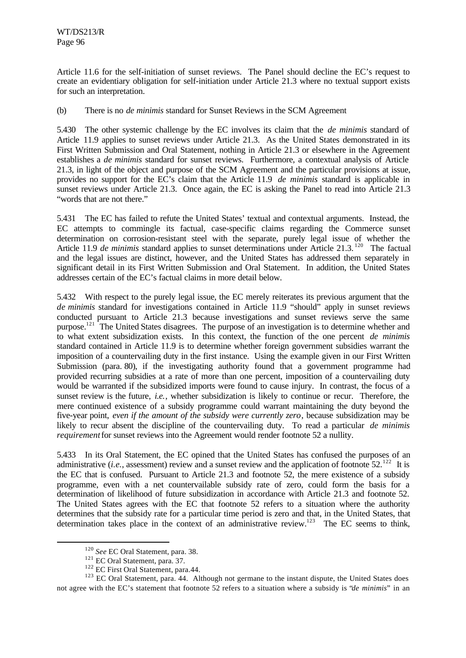Article 11.6 for the self-initiation of sunset reviews. The Panel should decline the EC's request to create an evidentiary obligation for self-initiation under Article 21.3 where no textual support exists for such an interpretation.

(b) There is no *de minimis* standard for Sunset Reviews in the SCM Agreement

5.430 The other systemic challenge by the EC involves its claim that the *de minimis* standard of Article 11.9 applies to sunset reviews under Article 21.3. As the United States demonstrated in its First Written Submission and Oral Statement, nothing in Article 21.3 or elsewhere in the Agreement establishes a *de minimis* standard for sunset reviews. Furthermore, a contextual analysis of Article 21.3, in light of the object and purpose of the SCM Agreement and the particular provisions at issue, provides no support for the EC's claim that the Article 11.9 *de minimis* standard is applicable in sunset reviews under Article 21.3. Once again, the EC is asking the Panel to read into Article 21.3 "words that are not there."

5.431 The EC has failed to refute the United States' textual and contextual arguments. Instead, the EC attempts to commingle its factual, case-specific claims regarding the Commerce sunset determination on corrosion-resistant steel with the separate, purely legal issue of whether the Article 11.9 *de minimis* standard applies to sunset determinations under Article 21.3.<sup>120</sup> The factual and the legal issues are distinct, however, and the United States has addressed them separately in significant detail in its First Written Submission and Oral Statement. In addition, the United States addresses certain of the EC's factual claims in more detail below.

5.432 With respect to the purely legal issue, the EC merely reiterates its previous argument that the *de minimis* standard for investigations contained in Article 11.9 "should" apply in sunset reviews conducted pursuant to Article 21.3 because investigations and sunset reviews serve the same purpose.<sup>121</sup> The United States disagrees. The purpose of an investigation is to determine whether and to what extent subsidization exists. In this context, the function of the one percent *de minimis* standard contained in Article 11.9 is to determine whether foreign government subsidies warrant the imposition of a countervailing duty in the first instance. Using the example given in our First Written Submission (para. 80), if the investigating authority found that a government programme had provided recurring subsidies at a rate of more than one percent, imposition of a countervailing duty would be warranted if the subsidized imports were found to cause injury. In contrast, the focus of a sunset review is the future, *i.e.*, whether subsidization is likely to continue or recur. Therefore, the mere continued existence of a subsidy programme could warrant maintaining the duty beyond the five-year point, *even if the amount of the subsidy were currently zero*, because subsidization may be likely to recur absent the discipline of the countervailing duty. To read a particular *de minimis requirement* for sunset reviews into the Agreement would render footnote 52 a nullity.

5.433 In its Oral Statement, the EC opined that the United States has confused the purposes of an administrative (*i.e.*, assessment) review and a sunset review and the application of footnote  $52^{122}$ . It is the EC that is confused. Pursuant to Article 21.3 and footnote 52, the mere existence of a subsidy programme, even with a net countervailable subsidy rate of zero, could form the basis for a determination of likelihood of future subsidization in accordance with Article 21.3 and footnote 52. The United States agrees with the EC that footnote 52 refers to a situation where the authority determines that the subsidy rate for a particular time period is zero and that, in the United States, that determination takes place in the context of an administrative review.<sup>123</sup> The EC seems to think,

<sup>120</sup> *See* EC Oral Statement, para. 38.

<sup>121</sup> EC Oral Statement, para. 37.

<sup>&</sup>lt;sup>122</sup> EC First Oral Statement, para.44.

<sup>&</sup>lt;sup>123</sup> EC Oral Statement, para. 44. Although not germane to the instant dispute, the United States does not agree with the EC's statement that footnote 52 refers to a situation where a subsidy is "*de minimis*" in an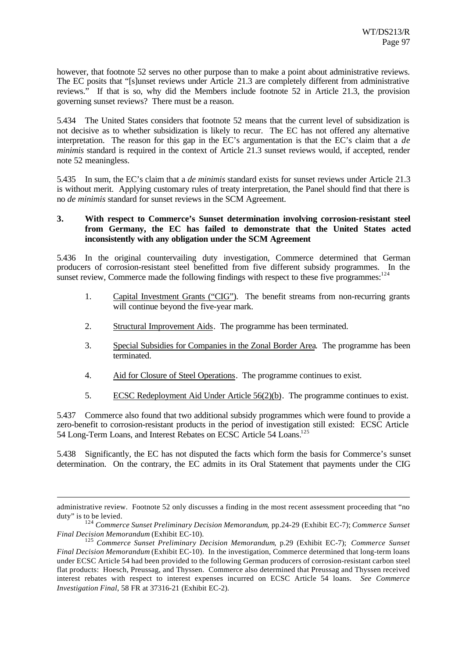however, that footnote 52 serves no other purpose than to make a point about administrative reviews. The EC posits that "[s]unset reviews under Article 21.3 are completely different from administrative reviews." If that is so, why did the Members include footnote 52 in Article 21.3, the provision governing sunset reviews? There must be a reason.

5.434 The United States considers that footnote 52 means that the current level of subsidization is not decisive as to whether subsidization is likely to recur. The EC has not offered any alternative interpretation. The reason for this gap in the EC's argumentation is that the EC's claim that a *de minimis* standard is required in the context of Article 21.3 sunset reviews would, if accepted, render note 52 meaningless.

5.435 In sum, the EC's claim that a *de minimis* standard exists for sunset reviews under Article 21.3 is without merit. Applying customary rules of treaty interpretation, the Panel should find that there is no *de minimis* standard for sunset reviews in the SCM Agreement.

### **3. With respect to Commerce's Sunset determination involving corrosion-resistant steel from Germany, the EC has failed to demonstrate that the United States acted inconsistently with any obligation under the SCM Agreement**

5.436 In the original countervailing duty investigation, Commerce determined that German producers of corrosion-resistant steel benefitted from five different subsidy programmes. In the sunset review, Commerce made the following findings with respect to these five programmes:<sup>124</sup>

- 1. Capital Investment Grants ("CIG"). The benefit streams from non-recurring grants will continue beyond the five-year mark.
- 2. Structural Improvement Aids. The programme has been terminated.
- 3. Special Subsidies for Companies in the Zonal Border Area. The programme has been terminated.
- 4. Aid for Closure of Steel Operations. The programme continues to exist.
- 5. ECSC Redeployment Aid Under Article 56(2)(b). The programme continues to exist.

5.437 Commerce also found that two additional subsidy programmes which were found to provide a zero-benefit to corrosion-resistant products in the period of investigation still existed: ECSC Article 54 Long-Term Loans, and Interest Rebates on ECSC Article 54 Loans.<sup>125</sup>

5.438 Significantly, the EC has not disputed the facts which form the basis for Commerce's sunset determination. On the contrary, the EC admits in its Oral Statement that payments under the CIG

administrative review. Footnote 52 only discusses a finding in the most recent assessment proceeding that "no duty" is to be levied.

<sup>124</sup> *Commerce Sunset Preliminary Decision Memorandum*, pp.24-29 (Exhibit EC-7); *Commerce Sunset Final Decision Memorandum* (Exhibit EC-10).

<sup>125</sup> *Commerce Sunset Preliminary Decision Memorandum*, p.29 (Exhibit EC-7); *Commerce Sunset Final Decision Memorandum* (Exhibit EC-10). In the investigation, Commerce determined that long-term loans under ECSC Article 54 had been provided to the following German producers of corrosion-resistant carbon steel flat products: Hoesch, Preussag, and Thyssen. Commerce also determined that Preussag and Thyssen received interest rebates with respect to interest expenses incurred on ECSC Article 54 loans. *See Commerce Investigation Final*, 58 FR at 37316-21 (Exhibit EC-2).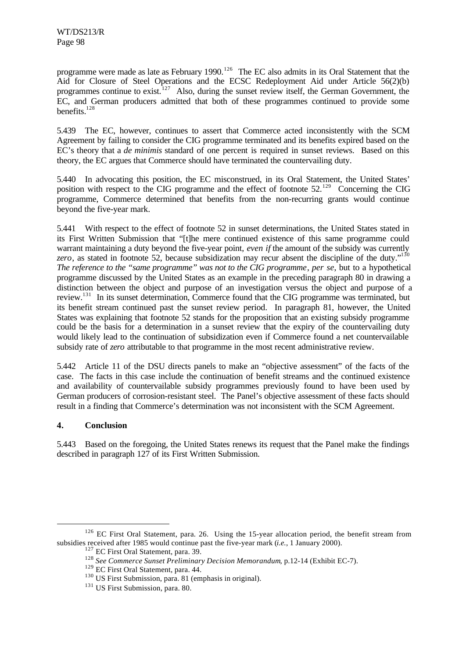programme were made as late as February 1990.<sup>126</sup> The EC also admits in its Oral Statement that the Aid for Closure of Steel Operations and the ECSC Redeployment Aid under Article 56(2)(b) programmes continue to exist.<sup>127</sup> Also, during the sunset review itself, the German Government, the EC, and German producers admitted that both of these programmes continued to provide some benefits. $128$ 

5.439 The EC, however, continues to assert that Commerce acted inconsistently with the SCM Agreement by failing to consider the CIG programme terminated and its benefits expired based on the EC's theory that a *de minimis* standard of one percent is required in sunset reviews. Based on this theory, the EC argues that Commerce should have terminated the countervailing duty.

5.440 In advocating this position, the EC misconstrued, in its Oral Statement, the United States' position with respect to the CIG programme and the effect of footnote 52.<sup>129</sup> Concerning the CIG programme, Commerce determined that benefits from the non-recurring grants would continue beyond the five-year mark.

5.441 With respect to the effect of footnote 52 in sunset determinations, the United States stated in its First Written Submission that "[t]he mere continued existence of this same programme could warrant maintaining a duty beyond the five-year point, *even if* the amount of the subsidy was currently zero, as stated in footnote 52, because subsidization may recur absent the discipline of the duty."<sup>130</sup> *The reference to the "same programme" was not to the CIG programme*, *per se*, but to a hypothetical programme discussed by the United States as an example in the preceding paragraph 80 in drawing a distinction between the object and purpose of an investigation versus the object and purpose of a review.<sup>131</sup> In its sunset determination, Commerce found that the CIG programme was terminated, but its benefit stream continued past the sunset review period. In paragraph 81, however, the United States was explaining that footnote 52 stands for the proposition that an existing subsidy programme could be the basis for a determination in a sunset review that the expiry of the countervailing duty would likely lead to the continuation of subsidization even if Commerce found a net countervailable subsidy rate of *zero* attributable to that programme in the most recent administrative review.

5.442 Article 11 of the DSU directs panels to make an "objective assessment" of the facts of the case. The facts in this case include the continuation of benefit streams and the continued existence and availability of countervailable subsidy programmes previously found to have been used by German producers of corrosion-resistant steel. The Panel's objective assessment of these facts should result in a finding that Commerce's determination was not inconsistent with the SCM Agreement.

## **4. Conclusion**

l

5.443 Based on the foregoing, the United States renews its request that the Panel make the findings described in paragraph 127 of its First Written Submission.

<sup>&</sup>lt;sup>126</sup> EC First Oral Statement, para. 26. Using the 15-year allocation period, the benefit stream from subsidies received after 1985 would continue past the five-year mark (*i.e.*, 1 January 2000).

<sup>&</sup>lt;sup>127</sup> EC First Oral Statement, para. 39.

<sup>128</sup> *See Commerce Sunset Preliminary Decision Memorandum*, p.12-14 (Exhibit EC-7).

<sup>&</sup>lt;sup>129</sup> EC First Oral Statement, para. 44.

<sup>&</sup>lt;sup>130</sup> US First Submission, para. 81 (emphasis in original).

<sup>&</sup>lt;sup>131</sup> US First Submission, para. 80.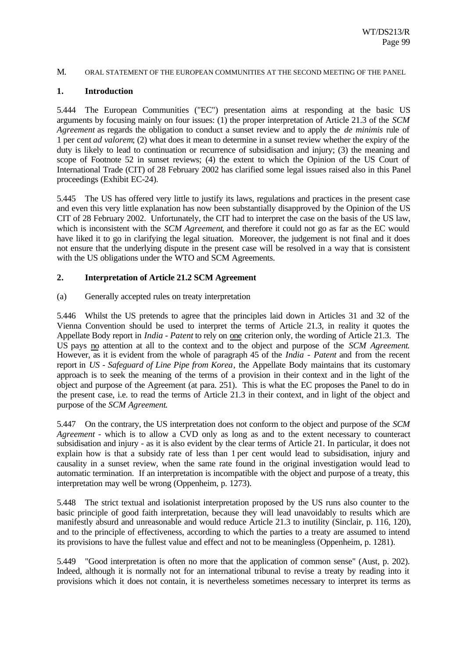#### M. ORAL STATEMENT OF THE EUROPEAN COMMUNITIES AT THE SECOND MEETING OF THE PANEL

#### **1. Introduction**

5.444 The European Communities ("EC") presentation aims at responding at the basic US arguments by focusing mainly on four issues: (1) the proper interpretation of Article 21.3 of the *SCM Agreement* as regards the obligation to conduct a sunset review and to apply the *de minimis* rule of 1 per cent *ad valorem*; (2) what does it mean to determine in a sunset review whether the expiry of the duty is likely to lead to continuation or recurrence of subsidisation and injury; (3) the meaning and scope of Footnote 52 in sunset reviews; (4) the extent to which the Opinion of the US Court of International Trade (CIT) of 28 February 2002 has clarified some legal issues raised also in this Panel proceedings (Exhibit EC-24).

5.445 The US has offered very little to justify its laws, regulations and practices in the present case and even this very little explanation has now been substantially disapproved by the Opinion of the US CIT of 28 February 2002. Unfortunately, the CIT had to interpret the case on the basis of the US law, which is inconsistent with the *SCM Agreement*, and therefore it could not go as far as the EC would have liked it to go in clarifying the legal situation. Moreover, the judgement is not final and it does not ensure that the underlying dispute in the present case will be resolved in a way that is consistent with the US obligations under the WTO and SCM Agreements.

#### **2. Interpretation of Article 21.2 SCM Agreement**

(a) Generally accepted rules on treaty interpretation

5.446 Whilst the US pretends to agree that the principles laid down in Articles 31 and 32 of the Vienna Convention should be used to interpret the terms of Article 21.3, in reality it quotes the Appellate Body report in *India - Patent* to rely on one criterion only, the wording of Article 21.3. The US pays no attention at all to the context and to the object and purpose of the *SCM Agreement*. However, as it is evident from the whole of paragraph 45 of the *India - Patent* and from the recent report in *US - Safeguard of Line Pipe from Korea*, the Appellate Body maintains that its customary approach is to seek the meaning of the terms of a provision in their context and in the light of the object and purpose of the Agreement (at para. 251). This is what the EC proposes the Panel to do in the present case, i.e. to read the terms of Article 21.3 in their context, and in light of the object and purpose of the *SCM Agreement*.

5.447 On the contrary, the US interpretation does not conform to the object and purpose of the *SCM Agreement* - which is to allow a CVD only as long as and to the extent necessary to counteract subsidisation and injury - as it is also evident by the clear terms of Article 21. In particular, it does not explain how is that a subsidy rate of less than 1 per cent would lead to subsidisation, injury and causality in a sunset review, when the same rate found in the original investigation would lead to automatic termination. If an interpretation is incompatible with the object and purpose of a treaty, this interpretation may well be wrong (Oppenheim, p. 1273).

5.448 The strict textual and isolationist interpretation proposed by the US runs also counter to the basic principle of good faith interpretation, because they will lead unavoidably to results which are manifestly absurd and unreasonable and would reduce Article 21.3 to inutility (Sinclair, p. 116, 120), and to the principle of effectiveness, according to which the parties to a treaty are assumed to intend its provisions to have the fullest value and effect and not to be meaningless (Oppenheim, p. 1281).

5.449 "Good interpretation is often no more that the application of common sense" (Aust, p. 202). Indeed, although it is normally not for an international tribunal to revise a treaty by reading into it provisions which it does not contain, it is nevertheless sometimes necessary to interpret its terms as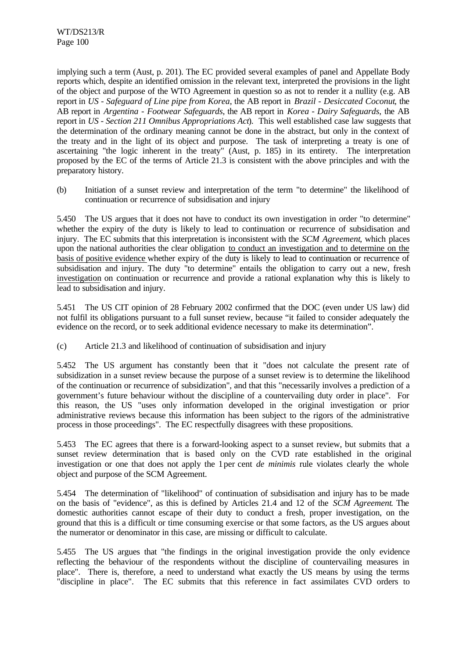implying such a term (Aust, p. 201). The EC provided several examples of panel and Appellate Body reports which, despite an identified omission in the relevant text, interpreted the provisions in the light of the object and purpose of the WTO Agreement in question so as not to render it a nullity (e.g. AB report in *US - Safeguard of Line pipe from Korea*, the AB report in *Brazil - Desiccated Coconut*, the AB report in *Argentina - Footwear Safeguards*, the AB report in *Korea - Dairy Safeguards*, the AB report in *US - Section 211 Omnibus Appropriations Act*). This well established case law suggests that the determination of the ordinary meaning cannot be done in the abstract, but only in the context of the treaty and in the light of its object and purpose. The task of interpreting a treaty is one of ascertaining "the logic inherent in the treaty" (Aust, p. 185) in its entirety. The interpretation proposed by the EC of the terms of Article 21.3 is consistent with the above principles and with the preparatory history.

(b) Initiation of a sunset review and interpretation of the term "to determine" the likelihood of continuation or recurrence of subsidisation and injury

5.450 The US argues that it does not have to conduct its own investigation in order "to determine" whether the expiry of the duty is likely to lead to continuation or recurrence of subsidisation and injury. The EC submits that this interpretation is inconsistent with the *SCM Agreement*, which places upon the national authorities the clear obligation to conduct an investigation and to determine on the basis of positive evidence whether expiry of the duty is likely to lead to continuation or recurrence of subsidisation and injury. The duty "to determine" entails the obligation to carry out a new, fresh investigation on continuation or recurrence and provide a rational explanation why this is likely to lead to subsidisation and injury.

5.451 The US CIT opinion of 28 February 2002 confirmed that the DOC (even under US law) did not fulfil its obligations pursuant to a full sunset review, because "it failed to consider adequately the evidence on the record, or to seek additional evidence necessary to make its determination".

(c) Article 21.3 and likelihood of continuation of subsidisation and injury

5.452 The US argument has constantly been that it "does not calculate the present rate of subsidization in a sunset review because the purpose of a sunset review is to determine the likelihood of the continuation or recurrence of subsidization", and that this "necessarily involves a prediction of a government's future behaviour without the discipline of a countervailing duty order in place". For this reason, the US "uses only information developed in the original investigation or prior administrative reviews because this information has been subject to the rigors of the administrative process in those proceedings". The EC respectfully disagrees with these propositions.

5.453 The EC agrees that there is a forward-looking aspect to a sunset review, but submits that a sunset review determination that is based only on the CVD rate established in the original investigation or one that does not apply the 1 per cent *de minimis* rule violates clearly the whole object and purpose of the SCM Agreement.

5.454 The determination of "likelihood" of continuation of subsidisation and injury has to be made on the basis of "evidence", as this is defined by Articles 21.4 and 12 of the *SCM Agreement*. The domestic authorities cannot escape of their duty to conduct a fresh, proper investigation, on the ground that this is a difficult or time consuming exercise or that some factors, as the US argues about the numerator or denominator in this case, are missing or difficult to calculate.

5.455 The US argues that "the findings in the original investigation provide the only evidence reflecting the behaviour of the respondents without the discipline of countervailing measures in place". There is, therefore, a need to understand what exactly the US means by using the terms "discipline in place". The EC submits that this reference in fact assimilates CVD orders to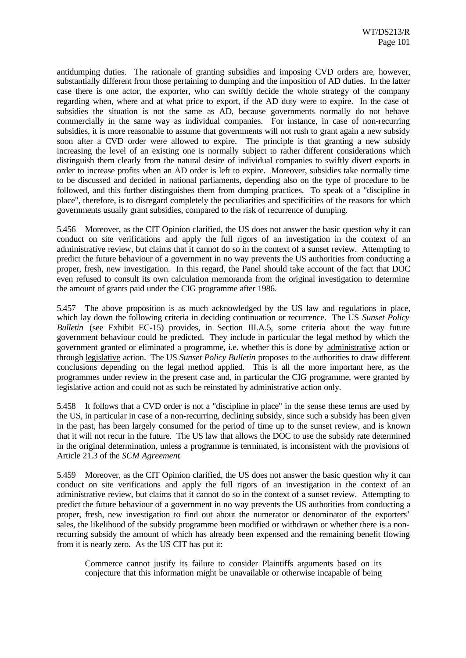antidumping duties. The rationale of granting subsidies and imposing CVD orders are, however, substantially different from those pertaining to dumping and the imposition of AD duties. In the latter case there is one actor, the exporter, who can swiftly decide the whole strategy of the company regarding when, where and at what price to export, if the AD duty were to expire. In the case of subsidies the situation is not the same as AD, because governments normally do not behave commercially in the same way as individual companies. For instance, in case of non-recurring subsidies, it is more reasonable to assume that governments will not rush to grant again a new subsidy soon after a CVD order were allowed to expire. The principle is that granting a new subsidy increasing the level of an existing one is normally subject to rather different considerations which distinguish them clearly from the natural desire of individual companies to swiftly divert exports in order to increase profits when an AD order is left to expire. Moreover, subsidies take normally time to be discussed and decided in national parliaments, depending also on the type of procedure to be followed, and this further distinguishes them from dumping practices. To speak of a "discipline in place", therefore, is to disregard completely the peculiarities and specificities of the reasons for which governments usually grant subsidies, compared to the risk of recurrence of dumping.

5.456 Moreover, as the CIT Opinion clarified, the US does not answer the basic question why it can conduct on site verifications and apply the full rigors of an investigation in the context of an administrative review, but claims that it cannot do so in the context of a sunset review. Attempting to predict the future behaviour of a government in no way prevents the US authorities from conducting a proper, fresh, new investigation. In this regard, the Panel should take account of the fact that DOC even refused to consult its own calculation memoranda from the original investigation to determine the amount of grants paid under the CIG programme after 1986.

5.457 The above proposition is as much acknowledged by the US law and regulations in place, which lay down the following criteria in deciding continuation or recurrence. The US *Sunset Policy Bulletin* (see Exhibit EC-15) provides, in Section III.A.5, some criteria about the way future government behaviour could be predicted. They include in particular the legal method by which the government granted or eliminated a programme, i.e. whether this is done by administrative action or through legislative action. The US *Sunset Policy Bulletin* proposes to the authorities to draw different conclusions depending on the legal method applied. This is all the more important here, as the programmes under review in the present case and, in particular the CIG programme, were granted by legislative action and could not as such be reinstated by administrative action only.

5.458 It follows that a CVD order is not a "discipline in place" in the sense these terms are used by the US, in particular in case of a non-recurring, declining subsidy, since such a subsidy has been given in the past, has been largely consumed for the period of time up to the sunset review, and is known that it will not recur in the future. The US law that allows the DOC to use the subsidy rate determined in the original determination, unless a programme is terminated, is inconsistent with the provisions of Article 21.3 of the *SCM Agreement*.

5.459 Moreover, as the CIT Opinion clarified, the US does not answer the basic question why it can conduct on site verifications and apply the full rigors of an investigation in the context of an administrative review, but claims that it cannot do so in the context of a sunset review. Attempting to predict the future behaviour of a government in no way prevents the US authorities from conducting a proper, fresh, new investigation to find out about the numerator or denominator of the exporters' sales, the likelihood of the subsidy programme been modified or withdrawn or whether there is a nonrecurring subsidy the amount of which has already been expensed and the remaining benefit flowing from it is nearly zero. As the US CIT has put it:

Commerce cannot justify its failure to consider Plaintiffs arguments based on its conjecture that this information might be unavailable or otherwise incapable of being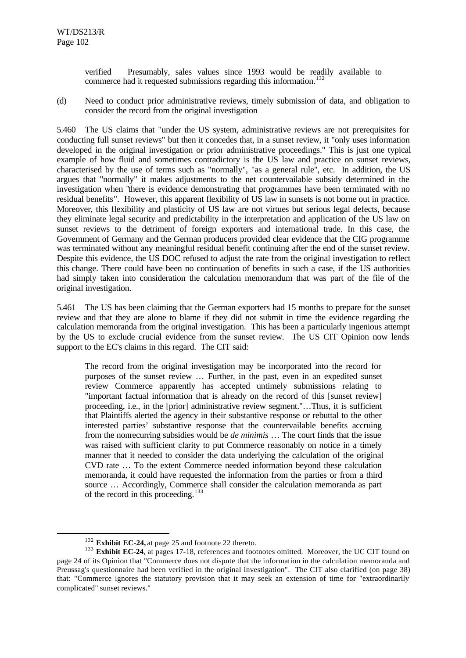verified Presumably, sales values since 1993 would be readily available to commerce had it requested submissions regarding this information.<sup>132</sup>

(d) Need to conduct prior administrative reviews, timely submission of data, and obligation to consider the record from the original investigation

5.460 The US claims that "under the US system, administrative reviews are not prerequisites for conducting full sunset reviews" but then it concedes that, in a sunset review, it "only uses information developed in the original investigation or prior administrative proceedings." This is just one typical example of how fluid and sometimes contradictory is the US law and practice on sunset reviews, characterised by the use of terms such as "normally", "as a general rule", etc. In addition, the US argues that "normally" it makes adjustments to the net countervailable subsidy determined in the investigation when "there is evidence demonstrating that programmes have been terminated with no residual benefits". However, this apparent flexibility of US law in sunsets is not borne out in practice. Moreover, this flexibility and plasticity of US law are not virtues but serious legal defects, because they eliminate legal security and predictability in the interpretation and application of the US law on sunset reviews to the detriment of foreign exporters and international trade. In this case, the Government of Germany and the German producers provided clear evidence that the CIG programme was terminated without any meaningful residual benefit continuing after the end of the sunset review. Despite this evidence, the US DOC refused to adjust the rate from the original investigation to reflect this change. There could have been no continuation of benefits in such a case, if the US authorities had simply taken into consideration the calculation memorandum that was part of the file of the original investigation.

5.461 The US has been claiming that the German exporters had 15 months to prepare for the sunset review and that they are alone to blame if they did not submit in time the evidence regarding the calculation memoranda from the original investigation. This has been a particularly ingenious attempt by the US to exclude crucial evidence from the sunset review. The US CIT Opinion now lends support to the EC's claims in this regard. The CIT said:

The record from the original investigation may be incorporated into the record for purposes of the sunset review … Further, in the past, even in an expedited sunset review Commerce apparently has accepted untimely submissions relating to "important factual information that is already on the record of this [sunset review] proceeding, i.e., in the [prior] administrative review segment."…Thus, it is sufficient that Plaintiffs alerted the agency in their substantive response or rebuttal to the other interested parties' substantive response that the countervailable benefits accruing from the nonrecurring subsidies would be *de minimis* … The court finds that the issue was raised with sufficient clarity to put Commerce reasonably on notice in a timely manner that it needed to consider the data underlying the calculation of the original CVD rate … To the extent Commerce needed information beyond these calculation memoranda, it could have requested the information from the parties or from a third source … Accordingly, Commerce shall consider the calculation memoranda as part of the record in this proceeding. $133$ 

<sup>132</sup> **Exhibit EC-24,** at page 25 and footnote 22 thereto.

<sup>&</sup>lt;sup>133</sup> **Exhibit EC-24**, at pages 17-18, references and footnotes omitted. Moreover, the UC CIT found on page 24 of its Opinion that "Commerce does not dispute that the information in the calculation memoranda and Preussag's questionnaire had been verified in the original investigation". The CIT also clarified (on page 38) that: "Commerce ignores the statutory provision that it may seek an extension of time for "extraordinarily complicated" sunset reviews."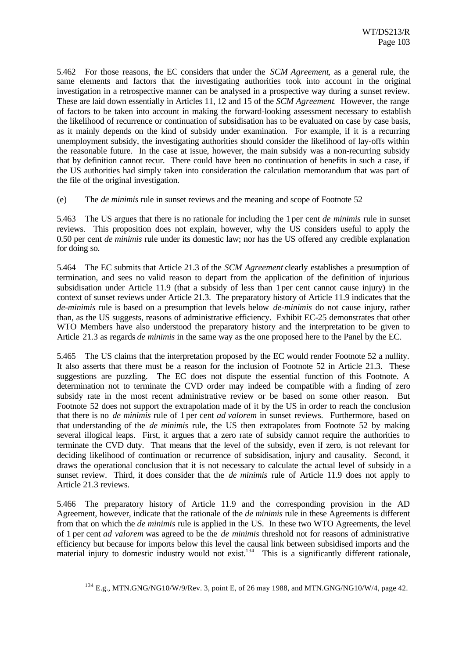5.462 For those reasons, the EC considers that under the *SCM Agreement*, as a general rule, the same elements and factors that the investigating authorities took into account in the original investigation in a retrospective manner can be analysed in a prospective way during a sunset review. These are laid down essentially in Articles 11, 12 and 15 of the *SCM Agreement*. However, the range of factors to be taken into account in making the forward-looking assessment necessary to establish the likelihood of recurrence or continuation of subsidisation has to be evaluated on case by case basis, as it mainly depends on the kind of subsidy under examination. For example, if it is a recurring unemployment subsidy, the investigating authorities should consider the likelihood of lay-offs within the reasonable future. In the case at issue, however, the main subsidy was a non-recurring subsidy that by definition cannot recur. There could have been no continuation of benefits in such a case, if the US authorities had simply taken into consideration the calculation memorandum that was part of the file of the original investigation.

(e) The *de minimis* rule in sunset reviews and the meaning and scope of Footnote 52

5.463 The US argues that there is no rationale for including the 1 per cent *de minimis* rule in sunset reviews. This proposition does not explain, however, why the US considers useful to apply the 0.50 per cent *de minimis* rule under its domestic law; nor has the US offered any credible explanation for doing so.

5.464 The EC submits that Article 21.3 of the *SCM Agreement* clearly establishes a presumption of termination, and sees no valid reason to depart from the application of the definition of injurious subsidisation under Article 11.9 (that a subsidy of less than 1 per cent cannot cause injury) in the context of sunset reviews under Article 21.3. The preparatory history of Article 11.9 indicates that the *de-minimis* rule is based on a presumption that levels below *de-minimis* do not cause injury, rather than, as the US suggests, reasons of administrative efficiency. Exhibit EC-25 demonstrates that other WTO Members have also understood the preparatory history and the interpretation to be given to Article 21.3 as regards *de minimis* in the same way as the one proposed here to the Panel by the EC.

5.465 The US claims that the interpretation proposed by the EC would render Footnote 52 a nullity. It also asserts that there must be a reason for the inclusion of Footnote 52 in Article 21.3. These suggestions are puzzling. The EC does not dispute the essential function of this Footnote. A determination not to terminate the CVD order may indeed be compatible with a finding of zero subsidy rate in the most recent administrative review or be based on some other reason. But Footnote 52 does not support the extrapolation made of it by the US in order to reach the conclusion that there is no *de minimis* rule of 1 per cent *ad valorem* in sunset reviews. Furthermore, based on that understanding of the *de minimis* rule, the US then extrapolates from Footnote 52 by making several illogical leaps. First, it argues that a zero rate of subsidy cannot require the authorities to terminate the CVD duty. That means that the level of the subsidy, even if zero, is not relevant for deciding likelihood of continuation or recurrence of subsidisation, injury and causality. Second, it draws the operational conclusion that it is not necessary to calculate the actual level of subsidy in a sunset review. Third, it does consider that the *de minimis* rule of Article 11.9 does not apply to Article 21.3 reviews.

5.466 The preparatory history of Article 11.9 and the corresponding provision in the AD Agreement, however, indicate that the rationale of the *de minimis* rule in these Agreements is different from that on which the *de minimis* rule is applied in the US. In these two WTO Agreements, the level of 1 per cent *ad valorem* was agreed to be the *de minimis* threshold not for reasons of administrative efficiency but because for imports below this level the causal link between subsidised imports and the material injury to domestic industry would not exist.<sup>134</sup> This is a significantly different rationale,

<sup>134</sup> E.g., MTN.GNG/NG10/W/9/Rev. 3, point E, of 26 may 1988, and MTN.GNG/NG10/W/4, page 42.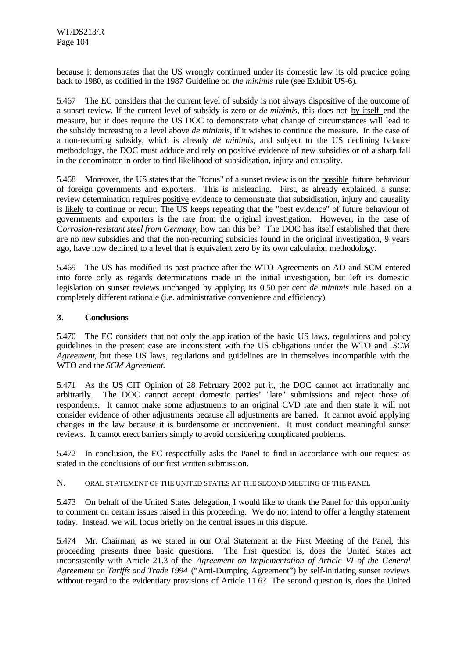because it demonstrates that the US wrongly continued under its domestic law its old practice going back to 1980, as codified in the 1987 Guideline on *the minimis* rule (see Exhibit US-6).

5.467 The EC considers that the current level of subsidy is not always dispositive of the outcome of a sunset review. If the current level of subsidy is zero or *de minimis*, this does not by itself end the measure, but it does require the US DOC to demonstrate what change of circumstances will lead to the subsidy increasing to a level above *de minimis*, if it wishes to continue the measure. In the case of a non-recurring subsidy, which is already *de minimis*, and subject to the US declining balance methodology, the DOC must adduce and rely on positive evidence of new subsidies or of a sharp fall in the denominator in order to find likelihood of subsidisation, injury and causality.

5.468 Moreover, the US states that the "focus" of a sunset review is on the possible future behaviour of foreign governments and exporters. This is misleading. First, as already explained, a sunset review determination requires positive evidence to demonstrate that subsidisation, injury and causality is likely to continue or recur. The US keeps repeating that the "best evidence" of future behaviour of governments and exporters is the rate from the original investigation. However, in the case of C*orrosion-resistant steel from Germany*, how can this be? The DOC has itself established that there are no new subsidies and that the non-recurring subsidies found in the original investigation, 9 years ago, have now declined to a level that is equivalent zero by its own calculation methodology.

5.469 The US has modified its past practice after the WTO Agreements on AD and SCM entered into force only as regards determinations made in the initial investigation, but left its domestic legislation on sunset reviews unchanged by applying its 0.50 per cent *de minimis* rule based on a completely different rationale (i.e. administrative convenience and efficiency).

# **3. Conclusions**

5.470 The EC considers that not only the application of the basic US laws, regulations and policy guidelines in the present case are inconsistent with the US obligations under the WTO and *SCM Agreement*, but these US laws, regulations and guidelines are in themselves incompatible with the WTO and the *SCM Agreement.*

5.471 As the US CIT Opinion of 28 February 2002 put it, the DOC cannot act irrationally and arbitrarily. The DOC cannot accept domestic parties' "late" submissions and reject those of respondents. It cannot make some adjustments to an original CVD rate and then state it will not consider evidence of other adjustments because all adjustments are barred. It cannot avoid applying changes in the law because it is burdensome or inconvenient. It must conduct meaningful sunset reviews. It cannot erect barriers simply to avoid considering complicated problems.

5.472 In conclusion, the EC respectfully asks the Panel to find in accordance with our request as stated in the conclusions of our first written submission.

N. ORAL STATEMENT OF THE UNITED STATES AT THE SECOND MEETING OF THE PANEL

5.473 On behalf of the United States delegation, I would like to thank the Panel for this opportunity to comment on certain issues raised in this proceeding. We do not intend to offer a lengthy statement today. Instead, we will focus briefly on the central issues in this dispute.

5.474 Mr. Chairman, as we stated in our Oral Statement at the First Meeting of the Panel, this proceeding presents three basic questions. The first question is, does the United States act inconsistently with Article 21.3 of the *Agreement on Implementation of Article VI of the General Agreement on Tariffs and Trade 1994* ("Anti-Dumping Agreement") by self-initiating sunset reviews without regard to the evidentiary provisions of Article 11.6? The second question is, does the United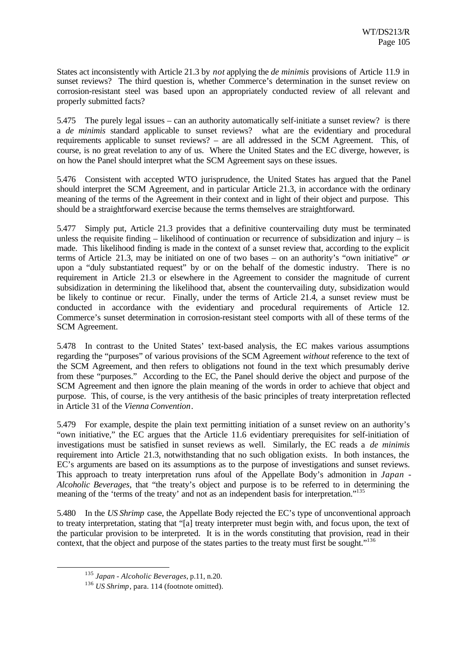States act inconsistently with Article 21.3 by *not* applying the *de minimis* provisions of Article 11.9 in sunset reviews? The third question is, whether Commerce's determination in the sunset review on corrosion-resistant steel was based upon an appropriately conducted review of all relevant and properly submitted facts?

5.475 The purely legal issues – can an authority automatically self-initiate a sunset review? is there a *de minimis* standard applicable to sunset reviews? what are the evidentiary and procedural requirements applicable to sunset reviews? – are all addressed in the SCM Agreement. This, of course, is no great revelation to any of us. Where the United States and the EC diverge, however, is on how the Panel should interpret what the SCM Agreement says on these issues.

5.476 Consistent with accepted WTO jurisprudence, the United States has argued that the Panel should interpret the SCM Agreement, and in particular Article 21.3, in accordance with the ordinary meaning of the terms of the Agreement in their context and in light of their object and purpose. This should be a straightforward exercise because the terms themselves are straightforward.

5.477 Simply put, Article 21.3 provides that a definitive countervailing duty must be terminated unless the requisite finding – likelihood of continuation or recurrence of subsidization and injury – is made. This likelihood finding is made in the context of a sunset review that, according to the explicit terms of Article 21.3, may be initiated on one of two bases – on an authority's "own initiative" *or* upon a "duly substantiated request" by or on the behalf of the domestic industry. There is no requirement in Article 21.3 or elsewhere in the Agreement to consider the magnitude of current subsidization in determining the likelihood that, absent the countervailing duty, subsidization would be likely to continue or recur. Finally, under the terms of Article 21.4, a sunset review must be conducted in accordance with the evidentiary and procedural requirements of Article 12. Commerce's sunset determination in corrosion-resistant steel comports with all of these terms of the SCM Agreement.

5.478 In contrast to the United States' text-based analysis, the EC makes various assumptions regarding the "purposes" of various provisions of the SCM Agreement *without* reference to the text of the SCM Agreement, and then refers to obligations not found in the text which presumably derive from these "purposes." According to the EC, the Panel should derive the object and purpose of the SCM Agreement and then ignore the plain meaning of the words in order to achieve that object and purpose. This, of course, is the very antithesis of the basic principles of treaty interpretation reflected in Article 31 of the *Vienna Convention*.

5.479 For example, despite the plain text permitting initiation of a sunset review on an authority's "own initiative," the EC argues that the Article 11.6 evidentiary prerequisites for self-initiation of investigations must be satisfied in sunset reviews as well. Similarly, the EC reads a *de minimis* requirement into Article 21.3, notwithstanding that no such obligation exists. In both instances, the EC's arguments are based on its assumptions as to the purpose of investigations and sunset reviews. This approach to treaty interpretation runs afoul of the Appellate Body's admonition in *Japan - Alcoholic Beverages*, that "the treaty's object and purpose is to be referred to in determining the meaning of the 'terms of the treaty' and not as an independent basis for interpretation."<sup>135</sup>

5.480 In the *US Shrimp* case, the Appellate Body rejected the EC's type of unconventional approach to treaty interpretation, stating that "[a] treaty interpreter must begin with, and focus upon, the text of the particular provision to be interpreted. It is in the words constituting that provision, read in their context, that the object and purpose of the states parties to the treaty must first be sought."<sup>136</sup>

<sup>135</sup> *Japan - Alcoholic Beverages*, p.11, n.20.

<sup>136</sup> *US Shrimp*, para. 114 (footnote omitted).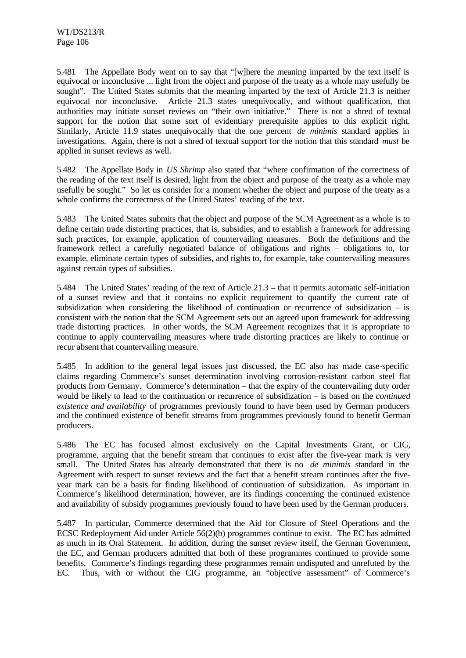5.481 The Appellate Body went on to say that "[w]here the meaning imparted by the text itself is equivocal or inconclusive ... light from the object and purpose of the treaty as a whole may usefully be sought". The United States submits that the meaning imparted by the text of Article 21.3 is neither equivocal nor inconclusive. Article 21.3 states unequivocally, and without qualification, that authorities may initiate sunset reviews on "their own initiative." There is not a shred of textual support for the notion that some sort of evidentiary prerequisite applies to this explicit right. Similarly, Article 11.9 states unequivocally that the one percent *de minimis* standard applies in investigations. Again, there is not a shred of textual support for the notion that this standard *must* be applied in sunset reviews as well.

5.482 The Appellate Body in *US Shrimp* also stated that "where confirmation of the correctness of the reading of the text itself is desired, light from the object and purpose of the treaty as a whole may usefully be sought." So let us consider for a moment whether the object and purpose of the treaty as a whole confirms the correctness of the United States' reading of the text.

5.483 The United States submits that the object and purpose of the SCM Agreement as a whole is to define certain trade distorting practices, that is, subsidies, and to establish a framework for addressing such practices, for example, application of countervailing measures. Both the definitions and the framework reflect a carefully negotiated balance of obligations and rights – obligations to, for example, eliminate certain types of subsidies, and rights to, for example, take countervailing measures against certain types of subsidies.

5.484 The United States' reading of the text of Article 21.3 – that it permits automatic self-initiation of a sunset review and that it contains no explicit requirement to quantify the current rate of subsidization when considering the likelihood of continuation or recurrence of subsidization – is consistent with the notion that the SCM Agreement sets out an agreed upon framework for addressing trade distorting practices. In other words, the SCM Agreement recognizes that it is appropriate to continue to apply countervailing measures where trade distorting practices are likely to continue or recur absent that countervailing measure.

5.485 In addition to the general legal issues just discussed, the EC also has made case-specific claims regarding Commerce's sunset determination involving corrosion-resistant carbon steel flat products from Germany. Commerce's determination – that the expiry of the countervailing duty order would be likely to lead to the continuation or recurrence of subsidization – is based on the *continued existence and availability* of programmes previously found to have been used by German producers and the continued existence of benefit streams from programmes previously found to benefit German producers.

5.486 The EC has focused almost exclusively on the Capital Investments Grant, or CIG, programme, arguing that the benefit stream that continues to exist after the five-year mark is very small. The United States has already demonstrated that there is no *de minimis* standard in the Agreement with respect to sunset reviews and the fact that a benefit stream continues after the fiveyear mark can be a basis for finding likelihood of continuation of subsidization. As important in Commerce's likelihood determination, however, are its findings concerning the continued existence and availability of subsidy programmes previously found to have been used by the German producers.

5.487 In particular, Commerce determined that the Aid for Closure of Steel Operations and the ECSC Redeployment Aid under Article 56(2)(b) programmes continue to exist. The EC has admitted as much in its Oral Statement. In addition, during the sunset review itself, the German Government, the EC, and German producers admitted that both of these programmes continued to provide some benefits. Commerce's findings regarding these programmes remain undisputed and unrefuted by the EC. Thus, with or without the CIG programme, an "objective assessment" of Commerce's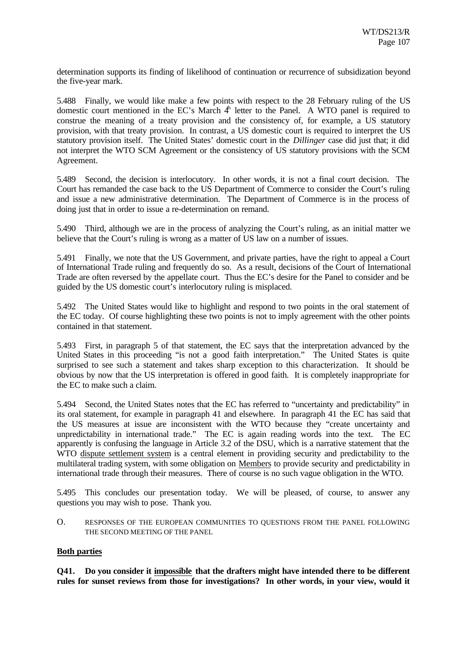determination supports its finding of likelihood of continuation or recurrence of subsidization beyond the five-year mark.

5.488 Finally, we would like make a few points with respect to the 28 February ruling of the US domestic court mentioned in the EC's March  $4<sup>h</sup>$  letter to the Panel. A WTO panel is required to construe the meaning of a treaty provision and the consistency of, for example, a US statutory provision, with that treaty provision. In contrast, a US domestic court is required to interpret the US statutory provision itself. The United States' domestic court in the *Dillinger* case did just that; it did not interpret the WTO SCM Agreement or the consistency of US statutory provisions with the SCM Agreement.

5.489 Second, the decision is interlocutory. In other words, it is not a final court decision. The Court has remanded the case back to the US Department of Commerce to consider the Court's ruling and issue a new administrative determination. The Department of Commerce is in the process of doing just that in order to issue a re-determination on remand.

5.490 Third, although we are in the process of analyzing the Court's ruling, as an initial matter we believe that the Court's ruling is wrong as a matter of US law on a number of issues.

5.491 Finally, we note that the US Government, and private parties, have the right to appeal a Court of International Trade ruling and frequently do so. As a result, decisions of the Court of International Trade are often reversed by the appellate court. Thus the EC's desire for the Panel to consider and be guided by the US domestic court's interlocutory ruling is misplaced.

5.492 The United States would like to highlight and respond to two points in the oral statement of the EC today. Of course highlighting these two points is not to imply agreement with the other points contained in that statement.

5.493 First, in paragraph 5 of that statement, the EC says that the interpretation advanced by the United States in this proceeding "is not a good faith interpretation." The United States is quite surprised to see such a statement and takes sharp exception to this characterization. It should be obvious by now that the US interpretation is offered in good faith. It is completely inappropriate for the EC to make such a claim.

5.494 Second, the United States notes that the EC has referred to "uncertainty and predictability" in its oral statement, for example in paragraph 41 and elsewhere. In paragraph 41 the EC has said that the US measures at issue are inconsistent with the WTO because they "create uncertainty and unpredictability in international trade." The EC is again reading words into the text. The EC apparently is confusing the language in Article 3.2 of the DSU, which is a narrative statement that the WTO dispute settlement system is a central element in providing security and predictability to the multilateral trading system, with some obligation on Members to provide security and predictability in international trade through their measures. There of course is no such vague obligation in the WTO.

5.495 This concludes our presentation today. We will be pleased, of course, to answer any questions you may wish to pose. Thank you.

O. RESPONSES OF THE EUROPEAN COMMUNITIES TO QUESTIONS FROM THE PANEL FOLLOWING THE SECOND MEETING OF THE PANEL

# **Both parties**

**Q41. Do you consider it impossible that the drafters might have intended there to be different rules for sunset reviews from those for investigations? In other words, in your view, would it**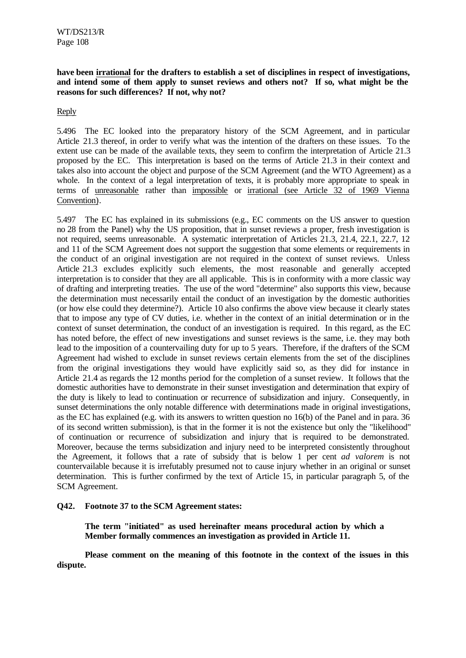**have been irrational for the drafters to establish a set of disciplines in respect of investigations, and intend some of them apply to sunset reviews and others not? If so, what might be the reasons for such differences? If not, why not?**

Reply

5.496 The EC looked into the preparatory history of the SCM Agreement, and in particular Article 21.3 thereof, in order to verify what was the intention of the drafters on these issues. To the extent use can be made of the available texts, they seem to confirm the interpretation of Article 21.3 proposed by the EC. This interpretation is based on the terms of Article 21.3 in their context and takes also into account the object and purpose of the SCM Agreement (and the WTO Agreement) as a whole. In the context of a legal interpretation of texts, it is probably more appropriate to speak in terms of unreasonable rather than impossible or irrational (see Article 32 of 1969 Vienna Convention).

5.497 The EC has explained in its submissions (e.g., EC comments on the US answer to question no 28 from the Panel) why the US proposition, that in sunset reviews a proper, fresh investigation is not required, seems unreasonable. A systematic interpretation of Articles 21.3, 21.4, 22.1, 22.7, 12 and 11 of the SCM Agreement does not support the suggestion that some elements or requirements in the conduct of an original investigation are not required in the context of sunset reviews. Unless Article 21.3 excludes explicitly such elements, the most reasonable and generally accepted interpretation is to consider that they are all applicable. This is in conformity with a more classic way of drafting and interpreting treaties. The use of the word "determine" also supports this view, because the determination must necessarily entail the conduct of an investigation by the domestic authorities (or how else could they determine?). Article 10 also confirms the above view because it clearly states that to impose any type of CV duties, i.e. whether in the context of an initial determination or in the context of sunset determination, the conduct of an investigation is required. In this regard, as the EC has noted before, the effect of new investigations and sunset reviews is the same, i.e. they may both lead to the imposition of a countervailing duty for up to 5 years. Therefore, if the drafters of the SCM Agreement had wished to exclude in sunset reviews certain elements from the set of the disciplines from the original investigations they would have explicitly said so, as they did for instance in Article 21.4 as regards the 12 months period for the completion of a sunset review. It follows that the domestic authorities have to demonstrate in their sunset investigation and determination that expiry of the duty is likely to lead to continuation or recurrence of subsidization and injury. Consequently, in sunset determinations the only notable difference with determinations made in original investigations, as the EC has explained (e.g. with its answers to written question no 16(b) of the Panel and in para. 36 of its second written submission), is that in the former it is not the existence but only the "likelihood" of continuation or recurrence of subsidization and injury that is required to be demonstrated. Moreover, because the terms subsidization and injury need to be interpreted consistently throughout the Agreement, it follows that a rate of subsidy that is below 1 per cent *ad valorem* is not countervailable because it is irrefutably presumed not to cause injury whether in an original or sunset determination. This is further confirmed by the text of Article 15, in particular paragraph 5, of the SCM Agreement.

### **Q42. Footnote 37 to the SCM Agreement states:**

**The term "initiated" as used hereinafter means procedural action by which a Member formally commences an investigation as provided in Article 11.**

**Please comment on the meaning of this footnote in the context of the issues in this dispute.**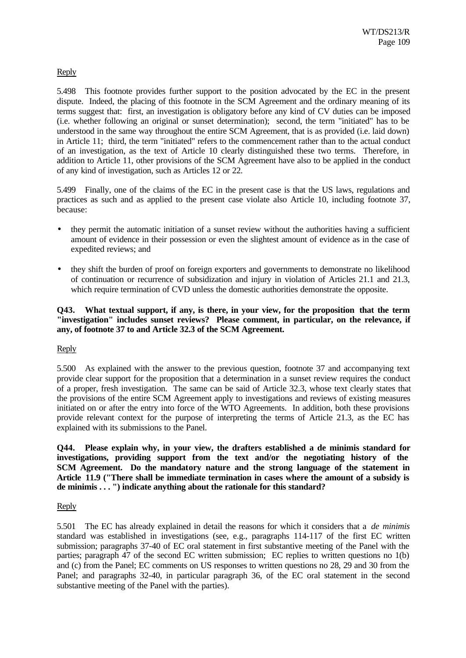# Reply

5.498 This footnote provides further support to the position advocated by the EC in the present dispute. Indeed, the placing of this footnote in the SCM Agreement and the ordinary meaning of its terms suggest that: first, an investigation is obligatory before any kind of CV duties can be imposed (i.e. whether following an original or sunset determination); second, the term "initiated" has to be understood in the same way throughout the entire SCM Agreement, that is as provided (i.e. laid down) in Article 11; third, the term "initiated" refers to the commencement rather than to the actual conduct of an investigation, as the text of Article 10 clearly distinguished these two terms. Therefore, in addition to Article 11, other provisions of the SCM Agreement have also to be applied in the conduct of any kind of investigation, such as Articles 12 or 22.

5.499 Finally, one of the claims of the EC in the present case is that the US laws, regulations and practices as such and as applied to the present case violate also Article 10, including footnote 37, because:

- they permit the automatic initiation of a sunset review without the authorities having a sufficient amount of evidence in their possession or even the slightest amount of evidence as in the case of expedited reviews; and
- they shift the burden of proof on foreign exporters and governments to demonstrate no likelihood of continuation or recurrence of subsidization and injury in violation of Articles 21.1 and 21.3, which require termination of CVD unless the domestic authorities demonstrate the opposite.

# **Q43. What textual support, if any, is there, in your view, for the proposition that the term "investigation" includes sunset reviews? Please comment, in particular, on the relevance, if any, of footnote 37 to and Article 32.3 of the SCM Agreement.**

### Reply

5.500 As explained with the answer to the previous question, footnote 37 and accompanying text provide clear support for the proposition that a determination in a sunset review requires the conduct of a proper, fresh investigation. The same can be said of Article 32.3, whose text clearly states that the provisions of the entire SCM Agreement apply to investigations and reviews of existing measures initiated on or after the entry into force of the WTO Agreements. In addition, both these provisions provide relevant context for the purpose of interpreting the terms of Article 21.3, as the EC has explained with its submissions to the Panel.

**Q44. Please explain why, in your view, the drafters established a de minimis standard for investigations, providing support from the text and/or the negotiating history of the SCM Agreement. Do the mandatory nature and the strong language of the statement in Article 11.9 ("There shall be immediate termination in cases where the amount of a subsidy is de minimis . . . ") indicate anything about the rationale for this standard?**

### Reply

5.501 The EC has already explained in detail the reasons for which it considers that a *de minimis* standard was established in investigations (see, e.g., paragraphs 114-117 of the first EC written submission; paragraphs 37-40 of EC oral statement in first substantive meeting of the Panel with the parties; paragraph 47 of the second EC written submission; EC replies to written questions no 1(b) and (c) from the Panel; EC comments on US responses to written questions no 28, 29 and 30 from the Panel; and paragraphs 32-40, in particular paragraph 36, of the EC oral statement in the second substantive meeting of the Panel with the parties).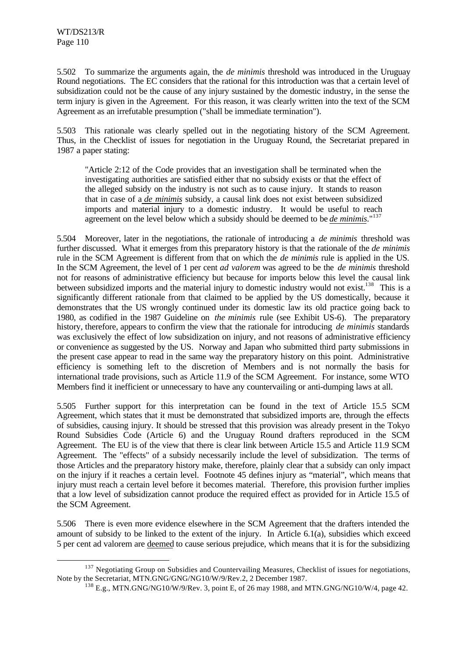l

5.502 To summarize the arguments again, the *de minimis* threshold was introduced in the Uruguay Round negotiations. The EC considers that the rational for this introduction was that a certain level of subsidization could not be the cause of any injury sustained by the domestic industry, in the sense the term injury is given in the Agreement. For this reason, it was clearly written into the text of the SCM Agreement as an irrefutable presumption ("shall be immediate termination").

5.503 This rationale was clearly spelled out in the negotiating history of the SCM Agreement. Thus, in the Checklist of issues for negotiation in the Uruguay Round, the Secretariat prepared in 1987 a paper stating:

"Article 2:12 of the Code provides that an investigation shall be terminated when the investigating authorities are satisfied either that no subsidy exists or that the effect of the alleged subsidy on the industry is not such as to cause injury. It stands to reason that in case of a *de minimis* subsidy, a causal link does not exist between subsidized imports and material injury to a domestic industry. It would be useful to reach agreement on the level below which a subsidy should be deemed to be *de minimis*."<sup>137</sup>

5.504 Moreover, later in the negotiations, the rationale of introducing a *de minimis* threshold was further discussed. What it emerges from this preparatory history is that the rationale of the *de minimis* rule in the SCM Agreement is different from that on which the *de minimis* rule is applied in the US. In the SCM Agreement, the level of 1 per cent *ad valorem* was agreed to be the *de minimis* threshold not for reasons of administrative efficiency but because for imports below this level the causal link between subsidized imports and the material injury to domestic industry would not exist.<sup>138</sup> This is a significantly different rationale from that claimed to be applied by the US domestically, because it demonstrates that the US wrongly continued under its domestic law its old practice going back to 1980, as codified in the 1987 Guideline on *the minimis* rule (see Exhibit US-6). The preparatory history, therefore, appears to confirm the view that the rationale for introducing *de minimis* standards was exclusively the effect of low subsidization on injury, and not reasons of administrative efficiency or convenience as suggested by the US. Norway and Japan who submitted third party submissions in the present case appear to read in the same way the preparatory history on this point. Administrative efficiency is something left to the discretion of Members and is not normally the basis for international trade provisions, such as Article 11.9 of the SCM Agreement. For instance, some WTO Members find it inefficient or unnecessary to have any countervailing or anti-dumping laws at all.

5.505 Further support for this interpretation can be found in the text of Article 15.5 SCM Agreement, which states that it must be demonstrated that subsidized imports are, through the effects of subsidies, causing injury. It should be stressed that this provision was already present in the Tokyo Round Subsidies Code (Article 6) and the Uruguay Round drafters reproduced in the SCM Agreement. The EU is of the view that there is clear link between Article 15.5 and Article 11.9 SCM Agreement. The "effects" of a subsidy necessarily include the level of subsidization. The terms of those Articles and the preparatory history make, therefore, plainly clear that a subsidy can only impact on the injury if it reaches a certain level. Footnote 45 defines injury as "material", which means that injury must reach a certain level before it becomes material. Therefore, this provision further implies that a low level of subsidization cannot produce the required effect as provided for in Article 15.5 of the SCM Agreement.

5.506 There is even more evidence elsewhere in the SCM Agreement that the drafters intended the amount of subsidy to be linked to the extent of the injury. In Article 6.1(a), subsidies which exceed 5 per cent ad valorem are deemed to cause serious prejudice, which means that it is for the subsidizing

<sup>&</sup>lt;sup>137</sup> Negotiating Group on Subsidies and Countervailing Measures, Checklist of issues for negotiations, Note by the Secretariat, MTN.GNG/GNG/NG10/W/9/Rev.2, 2 December 1987.

<sup>138</sup> E.g., MTN.GNG/NG10/W/9/Rev. 3, point E, of 26 may 1988, and MTN.GNG/NG10/W/4, page 42.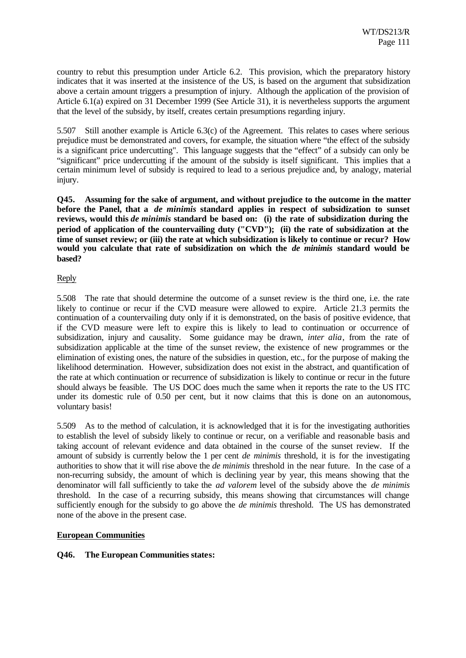country to rebut this presumption under Article 6.2. This provision, which the preparatory history indicates that it was inserted at the insistence of the US, is based on the argument that subsidization above a certain amount triggers a presumption of injury. Although the application of the provision of Article 6.1(a) expired on 31 December 1999 (See Article 31), it is nevertheless supports the argument that the level of the subsidy, by itself, creates certain presumptions regarding injury.

5.507 Still another example is Article 6.3(c) of the Agreement. This relates to cases where serious prejudice must be demonstrated and covers, for example, the situation where "the effect of the subsidy is a significant price undercutting". This language suggests that the "effect" of a subsidy can only be "significant" price undercutting if the amount of the subsidy is itself significant. This implies that a certain minimum level of subsidy is required to lead to a serious prejudice and, by analogy, material injury.

**Q45. Assuming for the sake of argument, and without prejudice to the outcome in the matter before the Panel, that a** *de minimis* **standard applies in respect of subsidization to sunset reviews, would this** *de minimis* **standard be based on: (i) the rate of subsidization during the period of application of the countervailing duty ("CVD"); (ii) the rate of subsidization at the time of sunset review; or (iii) the rate at which subsidization is likely to continue or recur? How would you calculate that rate of subsidization on which the** *de minimis* **standard would be based?**

# Reply

5.508 The rate that should determine the outcome of a sunset review is the third one, i.e. the rate likely to continue or recur if the CVD measure were allowed to expire. Article 21.3 permits the continuation of a countervailing duty only if it is demonstrated, on the basis of positive evidence, that if the CVD measure were left to expire this is likely to lead to continuation or occurrence of subsidization, injury and causality. Some guidance may be drawn, *inter alia*, from the rate of subsidization applicable at the time of the sunset review, the existence of new programmes or the elimination of existing ones, the nature of the subsidies in question, etc., for the purpose of making the likelihood determination. However, subsidization does not exist in the abstract, and quantification of the rate at which continuation or recurrence of subsidization is likely to continue or recur in the future should always be feasible. The US DOC does much the same when it reports the rate to the US ITC under its domestic rule of 0.50 per cent, but it now claims that this is done on an autonomous, voluntary basis!

5.509 As to the method of calculation, it is acknowledged that it is for the investigating authorities to establish the level of subsidy likely to continue or recur, on a verifiable and reasonable basis and taking account of relevant evidence and data obtained in the course of the sunset review. If the amount of subsidy is currently below the 1 per cent *de minimis* threshold, it is for the investigating authorities to show that it will rise above the *de minimis* threshold in the near future. In the case of a non-recurring subsidy, the amount of which is declining year by year, this means showing that the denominator will fall sufficiently to take the *ad valorem* level of the subsidy above the *de minimis* threshold. In the case of a recurring subsidy, this means showing that circumstances will change sufficiently enough for the subsidy to go above the *de minimis* threshold. The US has demonstrated none of the above in the present case.

# **European Communities**

# **Q46. The European Communities states:**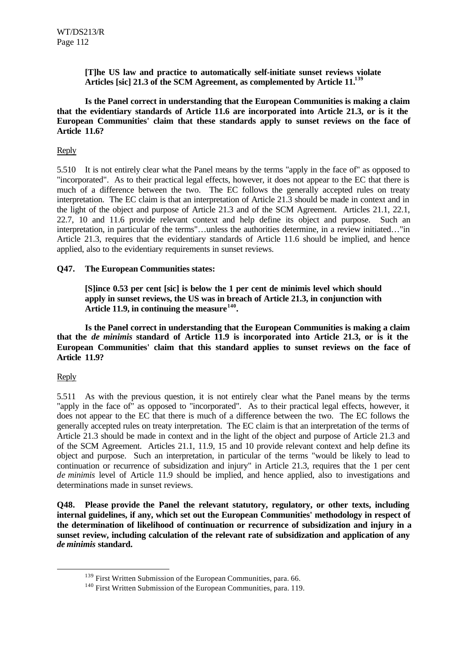**[T]he US law and practice to automatically self-initiate sunset reviews violate Articles [sic] 21.3 of the SCM Agreement, as complemented by Article 11.<sup>139</sup>**

**Is the Panel correct in understanding that the European Communities is making a claim that the evidentiary standards of Article 11.6 are incorporated into Article 21.3, or is it the European Communities' claim that these standards apply to sunset reviews on the face of Article 11.6?**

# Reply

5.510 It is not entirely clear what the Panel means by the terms "apply in the face of" as opposed to "incorporated". As to their practical legal effects, however, it does not appear to the EC that there is much of a difference between the two. The EC follows the generally accepted rules on treaty interpretation. The EC claim is that an interpretation of Article 21.3 should be made in context and in the light of the object and purpose of Article 21.3 and of the SCM Agreement. Articles 21.1, 22.1, 22.7, 10 and 11.6 provide relevant context and help define its object and purpose. Such an interpretation, in particular of the terms"…unless the authorities determine, in a review initiated…"in Article 21.3, requires that the evidentiary standards of Article 11.6 should be implied, and hence applied, also to the evidentiary requirements in sunset reviews.

### **Q47. The European Communities states:**

**[S]ince 0.53 per cent [sic] is below the 1 per cent de minimis level which should apply in sunset reviews, the US was in breach of Article 21.3, in conjunction with Article 11.9, in continuing the measure<sup>140</sup> .**

**Is the Panel correct in understanding that the European Communities is making a claim that the** *de minimis* **standard of Article 11.9 is incorporated into Article 21.3, or is it the European Communities' claim that this standard applies to sunset reviews on the face of Article 11.9?**

### Reply

l

5.511 As with the previous question, it is not entirely clear what the Panel means by the terms "apply in the face of" as opposed to "incorporated". As to their practical legal effects, however, it does not appear to the EC that there is much of a difference between the two. The EC follows the generally accepted rules on treaty interpretation. The EC claim is that an interpretation of the terms of Article 21.3 should be made in context and in the light of the object and purpose of Article 21.3 and of the SCM Agreement. Articles 21.1, 11.9, 15 and 10 provide relevant context and help define its object and purpose. Such an interpretation, in particular of the terms "would be likely to lead to continuation or recurrence of subsidization and injury" in Article 21.3, requires that the 1 per cent *de minimis* level of Article 11.9 should be implied, and hence applied, also to investigations and determinations made in sunset reviews.

**Q48. Please provide the Panel the relevant statutory, regulatory, or other texts, including internal guidelines, if any, which set out the European Communities' methodology in respect of the determination of likelihood of continuation or recurrence of subsidization and injury in a sunset review, including calculation of the relevant rate of subsidization and application of any** *de minimis* **standard.**

<sup>&</sup>lt;sup>139</sup> First Written Submission of the European Communities, para. 66.

<sup>&</sup>lt;sup>140</sup> First Written Submission of the European Communities, para. 119.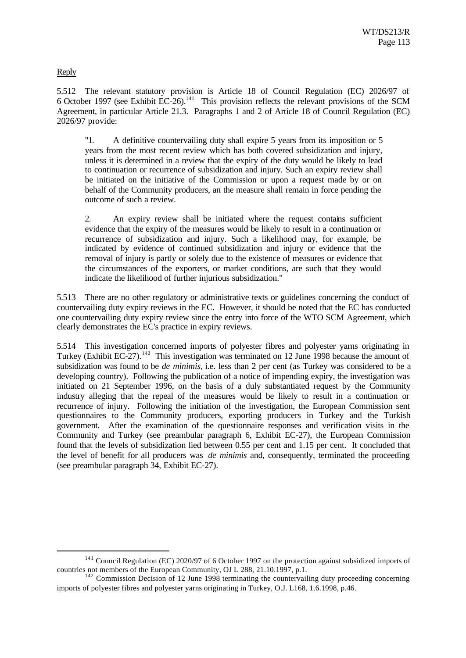Reply

l

5.512 The relevant statutory provision is Article 18 of Council Regulation (EC) 2026/97 of 6 October 1997 (see Exhibit  $\text{EC-26}$ ).<sup>141</sup> This provision reflects the relevant provisions of the SCM Agreement, in particular Article 21.3. Paragraphs 1 and 2 of Article 18 of Council Regulation (EC) 2026/97 provide:

"1. A definitive countervailing duty shall expire 5 years from its imposition or 5 years from the most recent review which has both covered subsidization and injury, unless it is determined in a review that the expiry of the duty would be likely to lead to continuation or recurrence of subsidization and injury. Such an expiry review shall be initiated on the initiative of the Commission or upon a request made by or on behalf of the Community producers, an the measure shall remain in force pending the outcome of such a review.

2. An expiry review shall be initiated where the request contains sufficient evidence that the expiry of the measures would be likely to result in a continuation or recurrence of subsidization and injury. Such a likelihood may, for example, be indicated by evidence of continued subsidization and injury or evidence that the removal of injury is partly or solely due to the existence of measures or evidence that the circumstances of the exporters, or market conditions, are such that they would indicate the likelihood of further injurious subsidization."

5.513 There are no other regulatory or administrative texts or guidelines concerning the conduct of countervailing duty expiry reviews in the EC. However, it should be noted that the EC has conducted one countervailing duty expiry review since the entry into force of the WTO SCM Agreement, which clearly demonstrates the EC's practice in expiry reviews.

5.514 This investigation concerned imports of polyester fibres and polyester yarns originating in Turkey (Exhibit EC-27).<sup>142</sup> This investigation was terminated on 12 June 1998 because the amount of subsidization was found to be *de minimis,* i.e. less than 2 per cent (as Turkey was considered to be a developing country). Following the publication of a notice of impending expiry, the investigation was initiated on 21 September 1996, on the basis of a duly substantiated request by the Community industry alleging that the repeal of the measures would be likely to result in a continuation or recurrence of injury. Following the initiation of the investigation, the European Commission sent questionnaires to the Community producers, exporting producers in Turkey and the Turkish government. After the examination of the questionnaire responses and verification visits in the Community and Turkey (see preambular paragraph 6, Exhibit EC-27), the European Commission found that the levels of subsidization lied between 0.55 per cent and 1.15 per cent. It concluded that the level of benefit for all producers was *de minimis* and, consequently, terminated the proceeding (see preambular paragraph 34, Exhibit EC-27).

<sup>&</sup>lt;sup>141</sup> Council Regulation (EC) 2020/97 of 6 October 1997 on the protection against subsidized imports of countries not members of the European Community, OJ L 288, 21.10.1997, p.1.

 $142$  Commission Decision of 12 June 1998 terminating the countervailing duty proceeding concerning imports of polyester fibres and polyester yarns originating in Turkey, O.J. L168, 1.6.1998, p.46.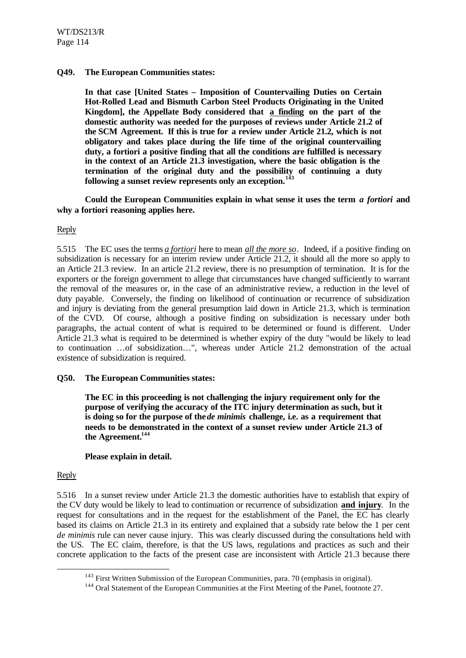## **Q49. The European Communities states:**

**In that case [United States – Imposition of Countervailing Duties on Certain Hot-Rolled Lead and Bismuth Carbon Steel Products Originating in the United Kingdom], the Appellate Body considered that a finding on the part of the domestic authority was needed for the purposes of reviews under Article 21.2 of the SCM Agreement. If this is true for a review under Article 21.2, which is not obligatory and takes place during the life time of the original countervailing duty, a fortiori a positive finding that all the conditions are fulfilled is necessary in the context of an Article 21.3 investigation, where the basic obligation is the termination of the original duty and the possibility of continuing a duty following a sunset review represents only an exception.<sup>143</sup>**

**Could the European Communities explain in what sense it uses the term** *a fortiori* **and why a fortiori reasoning applies here.**

### Reply

5.515 The EC uses the terms *a fortiori* here to mean *all the more so*. Indeed, if a positive finding on subsidization is necessary for an interim review under Article 21.2, it should all the more so apply to an Article 21.3 review. In an article 21.2 review, there is no presumption of termination. It is for the exporters or the foreign government to allege that circumstances have changed sufficiently to warrant the removal of the measures or, in the case of an administrative review, a reduction in the level of duty payable. Conversely, the finding on likelihood of continuation or recurrence of subsidization and injury is deviating from the general presumption laid down in Article 21.3, which is termination of the CVD. Of course, although a positive finding on subsidization is necessary under both paragraphs, the actual content of what is required to be determined or found is different. Under Article 21.3 what is required to be determined is whether expiry of the duty "would be likely to lead to continuation …of subsidization…", whereas under Article 21.2 demonstration of the actual existence of subsidization is required.

### **Q50. The European Communities states:**

**The EC in this proceeding is not challenging the injury requirement only for the purpose of verifying the accuracy of the ITC injury determination as such, but it** is doing so for the purpose of the *de minimis* challenge, i.e. as a requirement that **needs to be demonstrated in the context of a sunset review under Article 21.3 of the Agreement.<sup>144</sup>**

### **Please explain in detail.**

### Reply

l

5.516 In a sunset review under Article 21.3 the domestic authorities have to establish that expiry of the CV duty would be likely to lead to continuation or recurrence of subsidization **and injury**. In the request for consultations and in the request for the establishment of the Panel, the EC has clearly based its claims on Article 21.3 in its entirety and explained that a subsidy rate below the 1 per cent *de minimis* rule can never cause injury. This was clearly discussed during the consultations held with the US. The EC claim, therefore, is that the US laws, regulations and practices as such and their concrete application to the facts of the present case are inconsistent with Article 21.3 because there

<sup>&</sup>lt;sup>143</sup> First Written Submission of the European Communities, para. 70 (emphasis in original).

<sup>&</sup>lt;sup>144</sup> Oral Statement of the European Communities at the First Meeting of the Panel, footnote 27.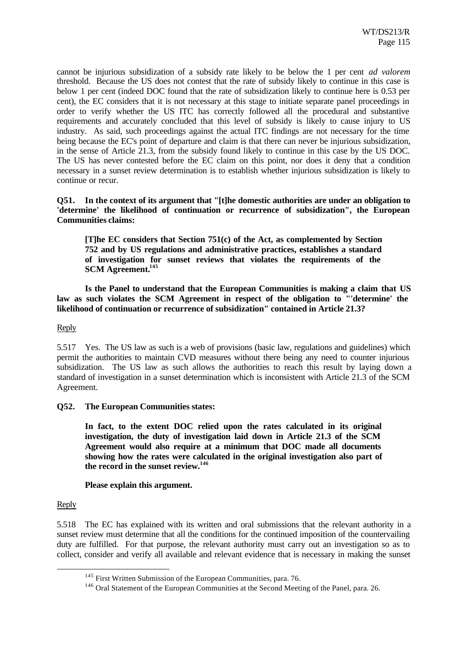cannot be injurious subsidization of a subsidy rate likely to be below the 1 per cent *ad valorem* threshold. Because the US does not contest that the rate of subsidy likely to continue in this case is below 1 per cent (indeed DOC found that the rate of subsidization likely to continue here is 0.53 per cent), the EC considers that it is not necessary at this stage to initiate separate panel proceedings in order to verify whether the US ITC has correctly followed all the procedural and substantive requirements and accurately concluded that this level of subsidy is likely to cause injury to US industry. As said, such proceedings against the actual ITC findings are not necessary for the time being because the EC's point of departure and claim is that there can never be injurious subsidization, in the sense of Article 21.3, from the subsidy found likely to continue in this case by the US DOC. The US has never contested before the EC claim on this point, nor does it deny that a condition necessary in a sunset review determination is to establish whether injurious subsidization is likely to continue or recur.

**Q51. In the context of its argument that "[t]he domestic authorities are under an obligation to 'determine' the likelihood of continuation or recurrence of subsidization", the European Communities claims:**

**[T]he EC considers that Section 751(c) of the Act, as complemented by Section 752 and by US regulations and administrative practices, establishes a standard of investigation for sunset reviews that violates the requirements of the SCM Agreement.<sup>145</sup>**

**Is the Panel to understand that the European Communities is making a claim that US law as such violates the SCM Agreement in respect of the obligation to "'determine' the likelihood of continuation or recurrence of subsidization" contained in Article 21.3?**

### Reply

5.517 Yes. The US law as such is a web of provisions (basic law, regulations and guidelines) which permit the authorities to maintain CVD measures without there being any need to counter injurious subsidization. The US law as such allows the authorities to reach this result by laying down a standard of investigation in a sunset determination which is inconsistent with Article 21.3 of the SCM Agreement.

### **Q52. The European Communities states:**

**In fact, to the extent DOC relied upon the rates calculated in its original investigation, the duty of investigation laid down in Article 21.3 of the SCM Agreement would also require at a minimum that DOC made all documents showing how the rates were calculated in the original investigation also part of the record in the sunset review.<sup>146</sup>**

#### **Please explain this argument.**

#### Reply

l

5.518 The EC has explained with its written and oral submissions that the relevant authority in a sunset review must determine that all the conditions for the continued imposition of the countervailing duty are fulfilled. For that purpose, the relevant authority must carry out an investigation so as to collect, consider and verify all available and relevant evidence that is necessary in making the sunset

<sup>&</sup>lt;sup>145</sup> First Written Submission of the European Communities, para. 76.

<sup>&</sup>lt;sup>146</sup> Oral Statement of the European Communities at the Second Meeting of the Panel, para. 26.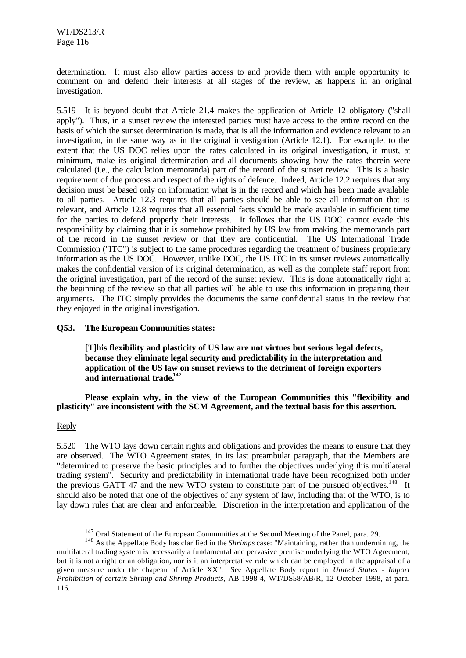determination. It must also allow parties access to and provide them with ample opportunity to comment on and defend their interests at all stages of the review, as happens in an original investigation.

5.519 It is beyond doubt that Article 21.4 makes the application of Article 12 obligatory ("shall apply"). Thus, in a sunset review the interested parties must have access to the entire record on the basis of which the sunset determination is made, that is all the information and evidence relevant to an investigation, in the same way as in the original investigation (Article 12.1). For example, to the extent that the US DOC relies upon the rates calculated in its original investigation, it must, at minimum, make its original determination and all documents showing how the rates therein were calculated (i.e., the calculation memoranda) part of the record of the sunset review. This is a basic requirement of due process and respect of the rights of defence. Indeed, Article 12.2 requires that any decision must be based only on information what is in the record and which has been made available to all parties. Article 12.3 requires that all parties should be able to see all information that is relevant, and Article 12.8 requires that all essential facts should be made available in sufficient time for the parties to defend properly their interests. It follows that the US DOC cannot evade this responsibility by claiming that it is somehow prohibited by US law from making the memoranda part of the record in the sunset review or that they are confidential. The US International Trade Commission ("ITC") is subject to the same procedures regarding the treatment of business proprietary information as the US DOC. However, unlike DOC, the US ITC in its sunset reviews automatically makes the confidential version of its original determination, as well as the complete staff report from the original investigation, part of the record of the sunset review. This is done automatically right at the beginning of the review so that all parties will be able to use this information in preparing their arguments. The ITC simply provides the documents the same confidential status in the review that they enjoyed in the original investigation.

### **Q53. The European Communities states:**

**[T]his flexibility and plasticity of US law are not virtues but serious legal defects, because they eliminate legal security and predictability in the interpretation and application of the US law on sunset reviews to the detriment of foreign exporters and international trade.<sup>147</sup>**

**Please explain why, in the view of the European Communities this "flexibility and plasticity" are inconsistent with the SCM Agreement, and the textual basis for this assertion.**

### Reply

l

5.520 The WTO lays down certain rights and obligations and provides the means to ensure that they are observed. The WTO Agreement states, in its last preambular paragraph, that the Members are "determined to preserve the basic principles and to further the objectives underlying this multilateral trading system". Security and predictability in international trade have been recognized both under the previous GATT 47 and the new WTO system to constitute part of the pursued objectives.<sup>148</sup> It should also be noted that one of the objectives of any system of law, including that of the WTO, is to lay down rules that are clear and enforceable. Discretion in the interpretation and application of the

 $147$  Oral Statement of the European Communities at the Second Meeting of the Panel, para. 29.

<sup>148</sup> As the Appellate Body has clarified in the *Shrimps* case: "Maintaining, rather than undermining, the multilateral trading system is necessarily a fundamental and pervasive premise underlying the WTO Agreement; but it is not a right or an obligation, nor is it an interpretative rule which can be employed in the appraisal of a given measure under the chapeau of Article XX". See Appellate Body report in *United States - Import Prohibition of certain Shrimp and Shrimp Products*, AB-1998-4, WT/DS58/AB/R, 12 October 1998, at para. 116.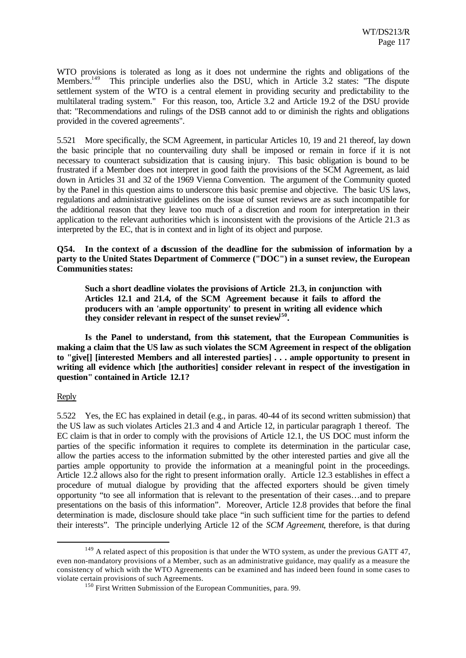WTO provisions is tolerated as long as it does not undermine the rights and obligations of the Members.<sup>149</sup> This principle underlies also the DSU, which in Article 3.2 states: "The dispute settlement system of the WTO is a central element in providing security and predictability to the multilateral trading system." For this reason, too, Article 3.2 and Article 19.2 of the DSU provide that: "Recommendations and rulings of the DSB cannot add to or diminish the rights and obligations provided in the covered agreements".

5.521 More specifically, the SCM Agreement, in particular Articles 10, 19 and 21 thereof, lay down the basic principle that no countervailing duty shall be imposed or remain in force if it is not necessary to counteract subsidization that is causing injury. This basic obligation is bound to be frustrated if a Member does not interpret in good faith the provisions of the SCM Agreement, as laid down in Articles 31 and 32 of the 1969 Vienna Convention. The argument of the Community quoted by the Panel in this question aims to underscore this basic premise and objective. The basic US laws, regulations and administrative guidelines on the issue of sunset reviews are as such incompatible for the additional reason that they leave too much of a discretion and room for interpretation in their application to the relevant authorities which is inconsistent with the provisions of the Article 21.3 as interpreted by the EC, that is in context and in light of its object and purpose.

# **Q54. In the context of a discussion of the deadline for the submission of information by a party to the United States Department of Commerce ("DOC") in a sunset review, the European Communities states:**

**Such a short deadline violates the provisions of Article 21.3, in conjunction with Articles 12.1 and 21.4, of the SCM Agreement because it fails to afford the producers with an 'ample opportunity' to present in writing all evidence which they consider relevant in respect of the sunset review<sup>150</sup> .**

**Is the Panel to understand, from this statement, that the European Communities is making a claim that the US law as such violates the SCM Agreement in respect of the obligation to "give[] [interested Members and all interested parties] . . . ample opportunity to present in writing all evidence which [the authorities] consider relevant in respect of the investigation in question" contained in Article 12.1?**

### Reply

l

5.522 Yes, the EC has explained in detail (e.g., in paras. 40-44 of its second written submission) that the US law as such violates Articles 21.3 and 4 and Article 12, in particular paragraph 1 thereof. The EC claim is that in order to comply with the provisions of Article 12.1, the US DOC must inform the parties of the specific information it requires to complete its determination in the particular case, allow the parties access to the information submitted by the other interested parties and give all the parties ample opportunity to provide the information at a meaningful point in the proceedings. Article 12.2 allows also for the right to present information orally. Article 12.3 establishes in effect a procedure of mutual dialogue by providing that the affected exporters should be given timely opportunity "to see all information that is relevant to the presentation of their cases…and to prepare presentations on the basis of this information". Moreover, Article 12.8 provides that before the final determination is made, disclosure should take place "in such sufficient time for the parties to defend their interests". The principle underlying Article 12 of the *SCM Agreement*, therefore, is that during

<sup>&</sup>lt;sup>149</sup> A related aspect of this proposition is that under the WTO system, as under the previous GATT 47, even non-mandatory provisions of a Member, such as an administrative guidance, may qualify as a measure the consistency of which with the WTO Agreements can be examined and has indeed been found in some cases to violate certain provisions of such Agreements.

<sup>&</sup>lt;sup>150</sup> First Written Submission of the European Communities, para. 99.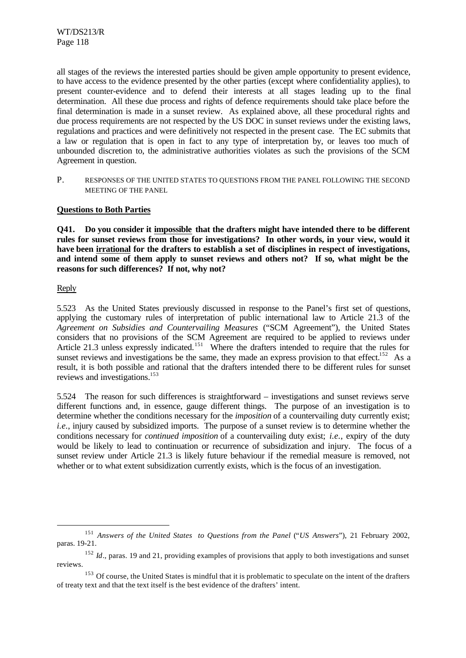all stages of the reviews the interested parties should be given ample opportunity to present evidence, to have access to the evidence presented by the other parties (except where confidentiality applies), to present counter-evidence and to defend their interests at all stages leading up to the final determination. All these due process and rights of defence requirements should take place before the final determination is made in a sunset review. As explained above, all these procedural rights and due process requirements are not respected by the US DOC in sunset reviews under the existing laws, regulations and practices and were definitively not respected in the present case. The EC submits that a law or regulation that is open in fact to any type of interpretation by, or leaves too much of unbounded discretion to, the administrative authorities violates as such the provisions of the SCM Agreement in question.

P. RESPONSES OF THE UNITED STATES TO QUESTIONS FROM THE PANEL FOLLOWING THE SECOND MEETING OF THE PANEL

# **Questions to Both Parties**

**Q41. Do you consider it impossible that the drafters might have intended there to be different rules for sunset reviews from those for investigations? In other words, in your view, would it have been irrational for the drafters to establish a set of disciplines in respect of investigations, and intend some of them apply to sunset reviews and others not? If so, what might be the reasons for such differences? If not, why not?**

# Reply

l

5.523 As the United States previously discussed in response to the Panel's first set of questions, applying the customary rules of interpretation of public international law to Article 21.3 of the *Agreement on Subsidies and Countervailing Measures* ("SCM Agreement"), the United States considers that no provisions of the SCM Agreement are required to be applied to reviews under Article 21.3 unless expressly indicated.<sup>151</sup> Where the drafters intended to require that the rules for sunset reviews and investigations be the same, they made an express provision to that effect.<sup>152</sup> As a result, it is both possible and rational that the drafters intended there to be different rules for sunset reviews and investigations.<sup>153</sup>

5.524 The reason for such differences is straightforward – investigations and sunset reviews serve different functions and, in essence, gauge different things. The purpose of an investigation is to determine whether the conditions necessary for the *imposition* of a countervailing duty currently exist; *i.e.*, injury caused by subsidized imports. The purpose of a sunset review is to determine whether the conditions necessary for *continued imposition* of a countervailing duty exist; *i.e.*, expiry of the duty would be likely to lead to continuation or recurrence of subsidization and injury. The focus of a sunset review under Article 21.3 is likely future behaviour if the remedial measure is removed, not whether or to what extent subsidization currently exists, which is the focus of an investigation.

<sup>151</sup>*Answers of the United States to Questions from the Panel* ("*US Answers*"), 21 February 2002, paras. 19-21.

<sup>&</sup>lt;sup>152</sup> *Id.*, paras. 19 and 21, providing examples of provisions that apply to both investigations and sunset reviews.

<sup>&</sup>lt;sup>153</sup> Of course, the United States is mindful that it is problematic to speculate on the intent of the drafters of treaty text and that the text itself is the best evidence of the drafters' intent.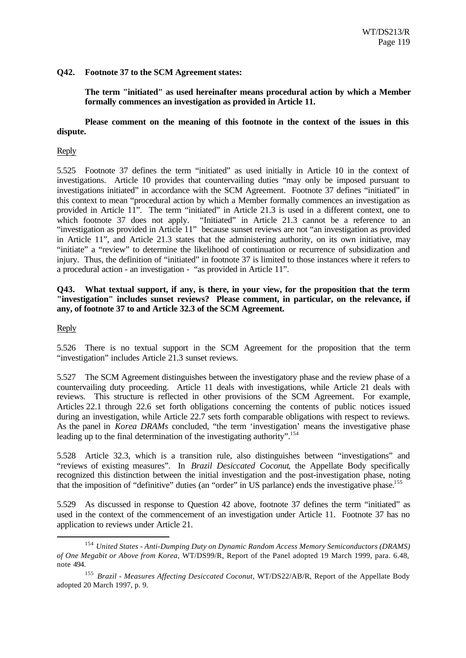# **Q42. Footnote 37 to the SCM Agreement states:**

**The term "initiated" as used hereinafter means procedural action by which a Member formally commences an investigation as provided in Article 11.**

# **Please comment on the meaning of this footnote in the context of the issues in this dispute.**

# Reply

5.525 Footnote 37 defines the term "initiated" as used initially in Article 10 in the context of investigations. Article 10 provides that countervailing duties "may only be imposed pursuant to investigations initiated" in accordance with the SCM Agreement. Footnote 37 defines "initiated" in this context to mean "procedural action by which a Member formally commences an investigation as provided in Article 11". The term "initiated" in Article 21.3 is used in a different context, one to which footnote 37 does not apply. "Initiated" in Article 21.3 cannot be a reference to an "investigation as provided in Article 11" because sunset reviews are not "an investigation as provided in Article 11", and Article 21.3 states that the administering authority, on its own initiative, may "initiate" a "review" to determine the likelihood of continuation or recurrence of subsidization and injury. Thus, the definition of "initiated" in footnote 37 is limited to those instances where it refers to a procedural action - an investigation - "as provided in Article 11".

### **Q43. What textual support, if any, is there, in your view, for the proposition that the term "investigation" includes sunset reviews? Please comment, in particular, on the relevance, if any, of footnote 37 to and Article 32.3 of the SCM Agreement.**

# Reply

l

5.526 There is no textual support in the SCM Agreement for the proposition that the term "investigation" includes Article 21.3 sunset reviews.

5.527 The SCM Agreement distinguishes between the investigatory phase and the review phase of a countervailing duty proceeding. Article 11 deals with investigations, while Article 21 deals with reviews. This structure is reflected in other provisions of the SCM Agreement. For example, Articles 22.1 through 22.6 set forth obligations concerning the contents of public notices issued during an investigation, while Article 22.7 sets forth comparable obligations with respect to reviews. As the panel in *Korea DRAMs* concluded, "the term 'investigation' means the investigative phase leading up to the final determination of the investigating authority".<sup>154</sup>

5.528 Article 32.3, which is a transition rule, also distinguishes between "investigations" and "reviews of existing measures". In *Brazil Desiccated Coconut*, the Appellate Body specifically recognized this distinction between the initial investigation and the post-investigation phase, noting that the imposition of "definitive" duties (an "order" in US parlance) ends the investigative phase.<sup>155</sup>

5.529 As discussed in response to Question 42 above, footnote 37 defines the term "initiated" as used in the context of the commencement of an investigation under Article 11. Footnote 37 has no application to reviews under Article 21.

<sup>154</sup>*United States - Anti-Dumping Duty on Dynamic Random Access Memory Semiconductors (DRAMS) of One Megabit or Above from Korea*, WT/DS99/R, Report of the Panel adopted 19 March 1999, para. 6.48, note 494.

<sup>155</sup>*Brazil - Measures Affecting Desiccated Coconut*, WT/DS22/AB/R, Report of the Appellate Body adopted 20 March 1997, p. 9.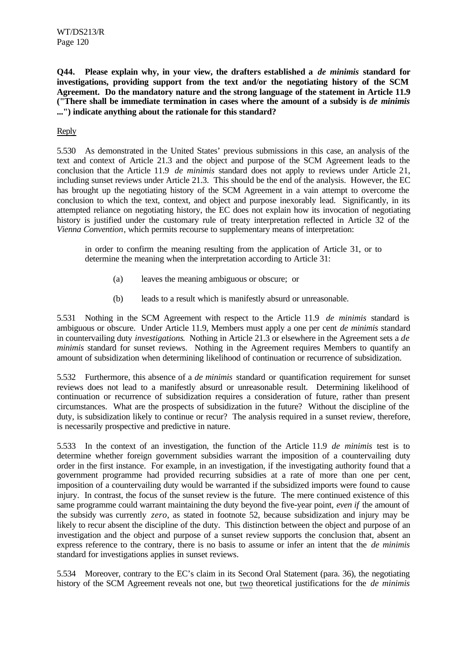**Q44. Please explain why, in your view, the drafters established a** *de minimis* **standard for investigations, providing support from the text and/or the negotiating history of the SCM Agreement. Do the mandatory nature and the strong language of the statement in Article 11.9 ("There shall be immediate termination in cases where the amount of a subsidy is** *de minimis* **...") indicate anything about the rationale for this standard?**

# Reply

5.530 As demonstrated in the United States' previous submissions in this case, an analysis of the text and context of Article 21.3 and the object and purpose of the SCM Agreement leads to the conclusion that the Article 11.9 *de minimis* standard does not apply to reviews under Article 21, including sunset reviews under Article 21.3. This should be the end of the analysis. However, the EC has brought up the negotiating history of the SCM Agreement in a vain attempt to overcome the conclusion to which the text, context, and object and purpose inexorably lead. Significantly, in its attempted reliance on negotiating history, the EC does not explain how its invocation of negotiating history is justified under the customary rule of treaty interpretation reflected in Article 32 of the *Vienna Convention*, which permits recourse to supplementary means of interpretation:

in order to confirm the meaning resulting from the application of Article 31, or to determine the meaning when the interpretation according to Article 31:

- (a) leaves the meaning ambiguous or obscure; or
- (b) leads to a result which is manifestly absurd or unreasonable.

5.531 Nothing in the SCM Agreement with respect to the Article 11.9 *de minimis* standard is ambiguous or obscure. Under Article 11.9, Members must apply a one per cent *de minimis* standard in countervailing duty *investigations*. Nothing in Article 21.3 or elsewhere in the Agreement sets a *de minimis* standard for sunset reviews. Nothing in the Agreement requires Members to quantify an amount of subsidization when determining likelihood of continuation or recurrence of subsidization.

5.532 Furthermore, this absence of a *de minimis* standard or quantification requirement for sunset reviews does not lead to a manifestly absurd or unreasonable result. Determining likelihood of continuation or recurrence of subsidization requires a consideration of future, rather than present circumstances. What are the prospects of subsidization in the future? Without the discipline of the duty, is subsidization likely to continue or recur? The analysis required in a sunset review, therefore, is necessarily prospective and predictive in nature.

5.533 In the context of an investigation, the function of the Article 11.9 *de minimis* test is to determine whether foreign government subsidies warrant the imposition of a countervailing duty order in the first instance. For example, in an investigation, if the investigating authority found that a government programme had provided recurring subsidies at a rate of more than one per cent, imposition of a countervailing duty would be warranted if the subsidized imports were found to cause injury. In contrast, the focus of the sunset review is the future. The mere continued existence of this same programme could warrant maintaining the duty beyond the five-year point, *even if* the amount of the subsidy was currently *zero*, as stated in footnote 52, because subsidization and injury may be likely to recur absent the discipline of the duty. This distinction between the object and purpose of an investigation and the object and purpose of a sunset review supports the conclusion that, absent an express reference to the contrary, there is no basis to assume or infer an intent that the *de minimis* standard for investigations applies in sunset reviews.

5.534 Moreover, contrary to the EC's claim in its Second Oral Statement (para. 36), the negotiating history of the SCM Agreement reveals not one, but two theoretical justifications for the *de minimis*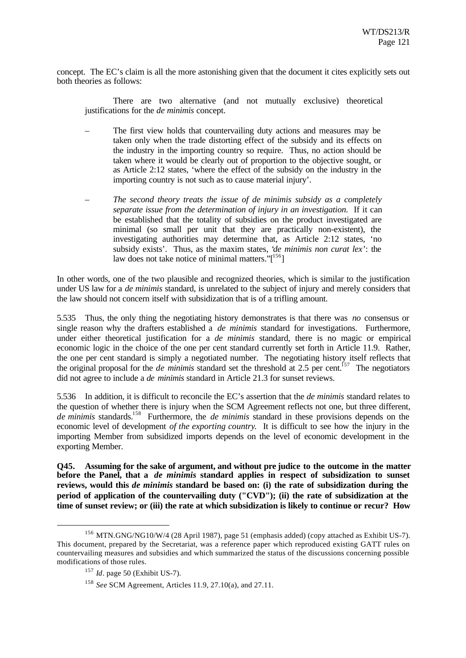concept. The EC's claim is all the more astonishing given that the document it cites explicitly sets out both theories as follows:

There are two alternative (and not mutually exclusive) theoretical justifications for the *de minimis* concept.

- The first view holds that countervailing duty actions and measures may be taken only when the trade distorting effect of the subsidy and its effects on the industry in the importing country so require. Thus, no action should be taken where it would be clearly out of proportion to the objective sought, or as Article 2:12 states, 'where the effect of the subsidy on the industry in the importing country is not such as to cause material injury'.
- *The second theory treats the issue of de minimis subsidy as a completely separate issue from the determination of injury in an investigation.* If it can be established that the totality of subsidies on the product investigated are minimal (so small per unit that they are practically non-existent), the investigating authorities may determine that, as Article 2:12 states, 'no subsidy exists'. Thus, as the maxim states, '*de minimis non curat lex*': the law does not take notice of minimal matters." $[156]$

In other words, one of the two plausible and recognized theories, which is similar to the justification under US law for a *de minimis* standard, is unrelated to the subject of injury and merely considers that the law should not concern itself with subsidization that is of a trifling amount.

5.535 Thus, the only thing the negotiating history demonstrates is that there was *no* consensus or single reason why the drafters established a *de minimis* standard for investigations. Furthermore, under either theoretical justification for a *de minimis* standard, there is no magic or empirical economic logic in the choice of the one per cent standard currently set forth in Article 11.9. Rather, the one per cent standard is simply a negotiated number. The negotiating history itself reflects that the original proposal for the *de minimis* standard set the threshold at 2.5 per cent.<sup>157</sup> The negotiators did not agree to include a *de minimis* standard in Article 21.3 for sunset reviews.

5.536 In addition, it is difficult to reconcile the EC's assertion that the *de minimis* standard relates to the question of whether there is injury when the SCM Agreement reflects not one, but three different, *de minimis* standards.<sup>158</sup> Furthermore, the *de minimis* standard in these provisions depends on the economic level of development *of the exporting country*. It is difficult to see how the injury in the importing Member from subsidized imports depends on the level of economic development in the exporting Member.

**Q45. Assuming for the sake of argument, and without pre judice to the outcome in the matter before the Panel, that a** *de minimis* **standard applies in respect of subsidization to sunset reviews, would this** *de minimis* **standard be based on: (i) the rate of subsidization during the period of application of the countervailing duty ("CVD"); (ii) the rate of subsidization at the time of sunset review; or (iii) the rate at which subsidization is likely to continue or recur? How**

 $156$  MTN.GNG/NG10/W/4 (28 April 1987), page 51 (emphasis added) (copy attached as Exhibit US-7). This document, prepared by the Secretariat, was a reference paper which reproduced existing GATT rules on countervailing measures and subsidies and which summarized the status of the discussions concerning possible modifications of those rules.

<sup>157</sup>*Id*. page 50 (Exhibit US-7).

<sup>158</sup>*See* SCM Agreement, Articles 11.9, 27.10(a), and 27.11.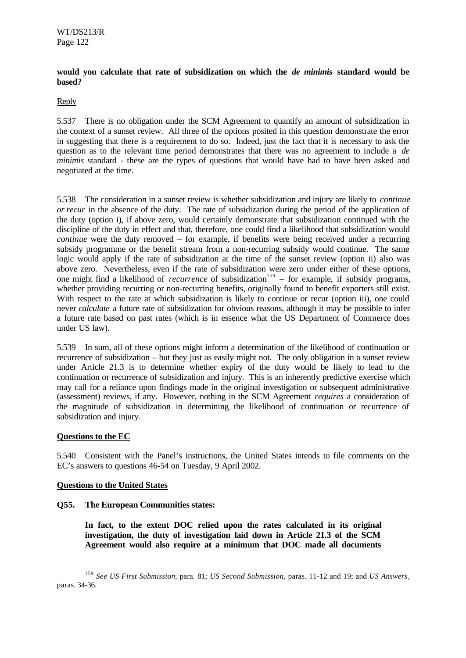### **would you calculate that rate of subsidization on which the** *de minimis* **standard would be based?**

# Reply

5.537 There is no obligation under the SCM Agreement to quantify an amount of subsidization in the context of a sunset review. All three of the options posited in this question demonstrate the error in suggesting that there is a requirement to do so. Indeed, just the fact that it is necessary to ask the question as to the relevant time period demonstrates that there was no agreement to include a *de minimis* standard - these are the types of questions that would have had to have been asked and negotiated at the time.

5.538 The consideration in a sunset review is whether subsidization and injury are likely to *continue or recur* in the absence of the duty. The rate of subsidization during the period of the application of the duty (option i), if above zero, would certainly demonstrate that subsidization continued with the discipline of the duty in effect and that, therefore, one could find a likelihood that subsidization would *continue* were the duty removed – for example, if benefits were being received under a recurring subsidy programme or the benefit stream from a non-recurring subsidy would continue. The same logic would apply if the rate of subsidization at the time of the sunset review (option ii) also was above zero. Nevertheless, even if the rate of subsidization were zero under either of these options, one might find a likelihood of *recurrence* of subsidization<sup>159</sup> – for example, if subsidy programs, whether providing recurring or non-recurring benefits, originally found to benefit exporters still exist. With respect to the rate at which subsidization is likely to continue or recur (option iii), one could never *calculate* a future rate of subsidization for obvious reasons, although it may be possible to infer a future rate based on past rates (which is in essence what the US Department of Commerce does under US law).

5.539 In sum, all of these options might inform a determination of the likelihood of continuation or recurrence of subsidization – but they just as easily might not. The only obligation in a sunset review under Article 21.3 is to determine whether expiry of the duty would be likely to lead to the continuation or recurrence of subsidization and injury. This is an inherently predictive exercise which may call for a reliance upon findings made in the original investigation or subsequent administrative (assessment) reviews, if any. However, nothing in the SCM Agreement *requires* a consideration of the magnitude of subsidization in determining the likelihood of continuation or recurrence of subsidization and injury.

### **Questions to the EC**

l

5.540 Consistent with the Panel's instructions, the United States intends to file comments on the EC's answers to questions 46-54 on Tuesday, 9 April 2002.

# **Questions to the United States**

# **Q55. The European Communities states:**

**In fact, to the extent DOC relied upon the rates calculated in its original investigation, the duty of investigation laid down in Article 21.3 of the SCM Agreement would also require at a minimum that DOC made all documents**

<sup>159</sup>*See US First Submission*, para. 81; *US Second Submission*, paras. 11-12 and 19; and *US Answers*, paras. 34-36.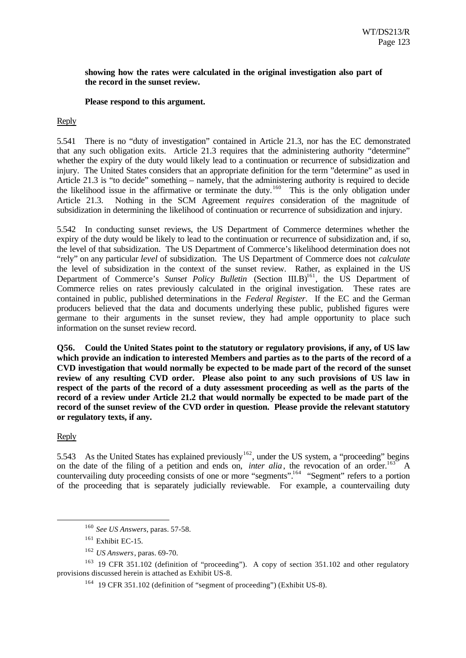#### **showing how the rates were calculated in the original investigation also part of the record in the sunset review.**

#### **Please respond to this argument.**

Reply

5.541 There is no "duty of investigation" contained in Article 21.3, nor has the EC demonstrated that any such obligation exits. Article 21.3 requires that the administering authority "determine" whether the expiry of the duty would likely lead to a continuation or recurrence of subsidization and injury. The United States considers that an appropriate definition for the term "determine" as used in Article 21.3 is "to decide" something – namely, that the administering authority is required to decide the likelihood issue in the affirmative or terminate the duty.<sup>160</sup> This is the only obligation under Article 21.3. Nothing in the SCM Agreement *requires* consideration of the magnitude of subsidization in determining the likelihood of continuation or recurrence of subsidization and injury.

5.542 In conducting sunset reviews, the US Department of Commerce determines whether the expiry of the duty would be likely to lead to the continuation or recurrence of subsidization and, if so, the level of that subsidization. The US Department of Commerce's likelihood determination does not "rely" on any particular *level* of subsidization. The US Department of Commerce does not *calculate* the level of subsidization in the context of the sunset review. Rather, as explained in the US Department of Commerce's *Sunset Policy Bulletin* (Section III.B)<sup>161</sup>, the US Department of Commerce relies on rates previously calculated in the original investigation. These rates are contained in public, published determinations in the *Federal Register*. If the EC and the German producers believed that the data and documents underlying these public, published figures were germane to their arguments in the sunset review, they had ample opportunity to place such information on the sunset review record.

**Q56. Could the United States point to the statutory or regulatory provisions, if any, of US law which provide an indication to interested Members and parties as to the parts of the record of a CVD investigation that would normally be expected to be made part of the record of the sunset review of any resulting CVD order. Please also point to any such provisions of US law in respect of the parts of the record of a duty assessment proceeding as well as the parts of the record of a review under Article 21.2 that would normally be expected to be made part of the record of the sunset review of the CVD order in question. Please provide the relevant statutory or regulatory texts, if any.**

Reply

l

5.543 As the United States has explained previously<sup>162</sup>, under the US system, a "proceeding" begins on the date of the filing of a petition and ends on, *inter alia*, the revocation of an order.<sup>163</sup> A countervailing duty proceeding consists of one or more "segments".<sup>164</sup> "Segment" refers to a portion of the proceeding that is separately judicially reviewable. For example, a countervailing duty

<sup>160</sup>*See US Answers*, paras. 57-58.

 $161$  Exhibit EC-15.

<sup>162</sup>*US Answers*, paras. 69-70.

<sup>&</sup>lt;sup>163</sup> 19 CFR 351.102 (definition of "proceeding"). A copy of section 351.102 and other regulatory provisions discussed herein is attached as Exhibit US-8.

 $164$  19 CFR 351.102 (definition of "segment of proceeding") (Exhibit US-8).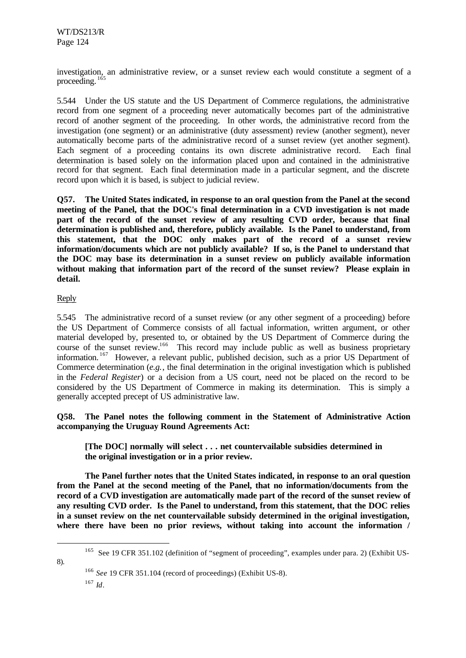investigation, an administrative review, or a sunset review each would constitute a segment of a proceeding. <sup>165</sup>

5.544 Under the US statute and the US Department of Commerce regulations, the administrative record from one segment of a proceeding never automatically becomes part of the administrative record of another segment of the proceeding. In other words, the administrative record from the investigation (one segment) or an administrative (duty assessment) review (another segment), never automatically become parts of the administrative record of a sunset review (yet another segment). Each segment of a proceeding contains its own discrete administrative record. Each final determination is based solely on the information placed upon and contained in the administrative record for that segment. Each final determination made in a particular segment, and the discrete record upon which it is based, is subject to judicial review.

**Q57. The United States indicated, in response to an oral question from the Panel at the second meeting of the Panel, that the DOC's final determination in a CVD investigation is not made part of the record of the sunset review of any resulting CVD order, because that final determination is published and, therefore, publicly available. Is the Panel to understand, from this statement, that the DOC only makes part of the record of a sunset review information/documents which are not publicly available? If so, is the Panel to understand that the DOC may base its determination in a sunset review on publicly available information without making that information part of the record of the sunset review? Please explain in detail.**

# Reply

5.545 The administrative record of a sunset review (or any other segment of a proceeding) before the US Department of Commerce consists of all factual information, written argument, or other material developed by, presented to, or obtained by the US Department of Commerce during the course of the sunset review.<sup>166</sup> This record may include public as well as business proprietary information.<sup>167</sup> However, a relevant public, published decision, such as a prior US Department of Commerce determination (*e.g.*, the final determination in the original investigation which is published in the *Federal Register*) or a decision from a US court, need not be placed on the record to be considered by the US Department of Commerce in making its determination. This is simply a generally accepted precept of US administrative law.

**Q58. The Panel notes the following comment in the Statement of Administrative Action accompanying the Uruguay Round Agreements Act:**

**[The DOC] normally will select . . . net countervailable subsidies determined in the original investigation or in a prior review.**

**The Panel further notes that the United States indicated, in response to an oral question from the Panel at the second meeting of the Panel, that no information/documents from the record of a CVD investigation are automatically made part of the record of the sunset review of any resulting CVD order. Is the Panel to understand, from this statement, that the DOC relies in a sunset review on the net countervailable subsidy determined in the original investigation, where there have been no prior reviews, without taking into account the information /**

<sup>165</sup> See 19 CFR 351.102 (definition of "segment of proceeding", examples under para. 2) (Exhibit US-

<sup>166</sup>*See* 19 CFR 351.104 (record of proceedings) (Exhibit US-8). <sup>167</sup>*Id*.

8).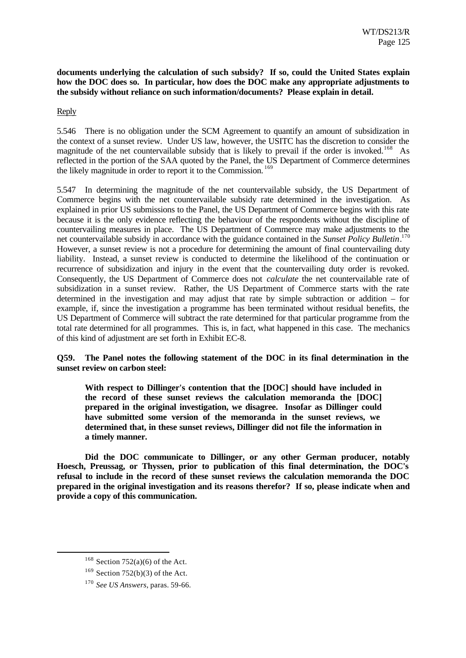**documents underlying the calculation of such subsidy? If so, could the United States explain how the DOC does so. In particular, how does the DOC make any appropriate adjustments to the subsidy without reliance on such information/documents? Please explain in detail.**

# Reply

5.546 There is no obligation under the SCM Agreement to quantify an amount of subsidization in the context of a sunset review. Under US law, however, the USITC has the discretion to consider the magnitude of the net countervailable subsidy that is likely to prevail if the order is invoked.<sup>168</sup> As reflected in the portion of the SAA quoted by the Panel, the US Department of Commerce determines the likely magnitude in order to report it to the Commission.<sup>169</sup>

5.547 In determining the magnitude of the net countervailable subsidy, the US Department of Commerce begins with the net countervailable subsidy rate determined in the investigation. As explained in prior US submissions to the Panel, the US Department of Commerce begins with this rate because it is the only evidence reflecting the behaviour of the respondents without the discipline of countervailing measures in place. The US Department of Commerce may make adjustments to the net countervailable subsidy in accordance with the guidance contained in the *Sunset Policy Bulletin*. 170 However, a sunset review is not a procedure for determining the amount of final countervailing duty liability. Instead, a sunset review is conducted to determine the likelihood of the continuation or recurrence of subsidization and injury in the event that the countervailing duty order is revoked. Consequently, the US Department of Commerce does not *calculate* the net countervailable rate of subsidization in a sunset review. Rather, the US Department of Commerce starts with the rate determined in the investigation and may adjust that rate by simple subtraction or addition – for example, if, since the investigation a programme has been terminated without residual benefits, the US Department of Commerce will subtract the rate determined for that particular programme from the total rate determined for all programmes. This is, in fact, what happened in this case. The mechanics of this kind of adjustment are set forth in Exhibit EC-8.

**Q59. The Panel notes the following statement of the DOC in its final determination in the sunset review on carbon steel:**

**With respect to Dillinger's contention that the [DOC] should have included in the record of these sunset reviews the calculation memoranda the [DOC] prepared in the original investigation, we disagree. Insofar as Dillinger could have submitted some version of the memoranda in the sunset reviews, we determined that, in these sunset reviews, Dillinger did not file the information in a timely manner.**

**Did the DOC communicate to Dillinger, or any other German producer, notably Hoesch, Preussag, or Thyssen, prior to publication of this final determination, the DOC's refusal to include in the record of these sunset reviews the calculation memoranda the DOC prepared in the original investigation and its reasons therefor? If so, please indicate when and provide a copy of this communication.**

 $168$  Section 752(a)(6) of the Act.

 $169$  Section 752(b)(3) of the Act.

<sup>170</sup>*See US Answers*, paras. 59-66.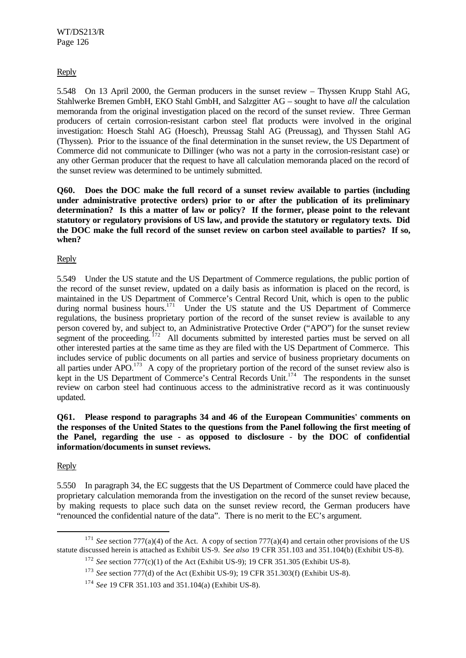Reply

5.548 On 13 April 2000, the German producers in the sunset review – Thyssen Krupp Stahl AG, Stahlwerke Bremen GmbH, EKO Stahl GmbH, and Salzgitter AG – sought to have *all* the calculation memoranda from the original investigation placed on the record of the sunset review. Three German producers of certain corrosion-resistant carbon steel flat products were involved in the original investigation: Hoesch Stahl AG (Hoesch), Preussag Stahl AG (Preussag), and Thyssen Stahl AG (Thyssen). Prior to the issuance of the final determination in the sunset review, the US Department of Commerce did not communicate to Dillinger (who was not a party in the corrosion-resistant case) or any other German producer that the request to have all calculation memoranda placed on the record of the sunset review was determined to be untimely submitted.

**Q60. Does the DOC make the full record of a sunset review available to parties (including under administrative protective orders) prior to or after the publication of its preliminary determination? Is this a matter of law or policy? If the former, please point to the relevant statutory or regulatory provisions of US law, and provide the statutory or regulatory texts. Did the DOC make the full record of the sunset review on carbon steel available to parties? If so, when?**

Reply

5.549 Under the US statute and the US Department of Commerce regulations, the public portion of the record of the sunset review, updated on a daily basis as information is placed on the record, is maintained in the US Department of Commerce's Central Record Unit, which is open to the public during normal business hours.<sup>171</sup> Under the US statute and the US Department of Commerce regulations, the business proprietary portion of the record of the sunset review is available to any person covered by, and subject to, an Administrative Protective Order ("APO") for the sunset review segment of the proceeding.<sup>172</sup> All documents submitted by interested parties must be served on all other interested parties at the same time as they are filed with the US Department of Commerce. This includes service of public documents on all parties and service of business proprietary documents on all parties under  $APO<sup>173</sup>$  A copy of the proprietary portion of the record of the sunset review also is kept in the US Department of Commerce's Central Records Unit.<sup>174</sup> The respondents in the sunset review on carbon steel had continuous access to the administrative record as it was continuously updated.

**Q61. Please respond to paragraphs 34 and 46 of the European Communities' comments on the responses of the United States to the questions from the Panel following the first meeting of the Panel, regarding the use - as opposed to disclosure - by the DOC of confidential information/documents in sunset reviews.**

Reply

l

5.550 In paragraph 34, the EC suggests that the US Department of Commerce could have placed the proprietary calculation memoranda from the investigation on the record of the sunset review because, by making requests to place such data on the sunset review record, the German producers have "renounced the confidential nature of the data". There is no merit to the EC's argument.

<sup>&</sup>lt;sup>171</sup> See section 777(a)(4) of the Act. A copy of section 777(a)(4) and certain other provisions of the US statute discussed herein is attached as Exhibit US-9. *See also* 19 CFR 351.103 and 351.104(b) (Exhibit US-8).

<sup>172</sup>*See* section 777(c)(1) of the Act (Exhibit US-9); 19 CFR 351.305 (Exhibit US-8).

<sup>173</sup>*See* section 777(d) of the Act (Exhibit US-9); 19 CFR 351.303(f) (Exhibit US-8).

<sup>174</sup>*See* 19 CFR 351.103 and 351.104(a) (Exhibit US-8).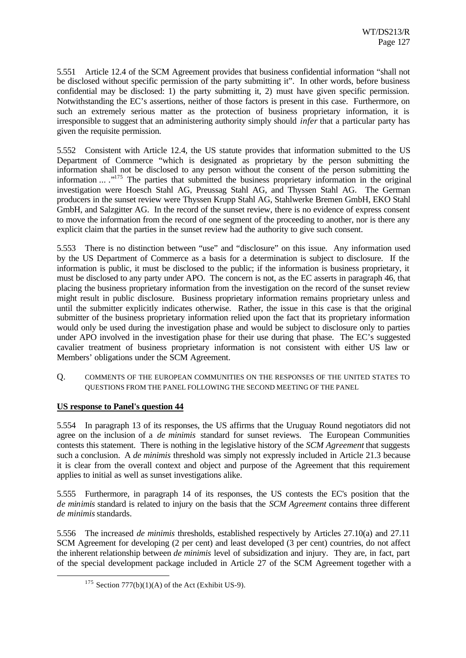5.551 Article 12.4 of the SCM Agreement provides that business confidential information "shall not be disclosed without specific permission of the party submitting it". In other words, before business confidential may be disclosed: 1) the party submitting it, 2) must have given specific permission. Notwithstanding the EC's assertions, neither of those factors is present in this case. Furthermore, on such an extremely serious matter as the protection of business proprietary information, it is irresponsible to suggest that an administering authority simply should *infer* that a particular party has given the requisite permission.

5.552 Consistent with Article 12.4, the US statute provides that information submitted to the US Department of Commerce "which is designated as proprietary by the person submitting the information shall not be disclosed to any person without the consent of the person submitting the information ... .<sup>"175</sup> The parties that submitted the business proprietary information in the original investigation were Hoesch Stahl AG, Preussag Stahl AG, and Thyssen Stahl AG. The German producers in the sunset review were Thyssen Krupp Stahl AG, Stahlwerke Bremen GmbH, EKO Stahl GmbH, and Salzgitter AG. In the record of the sunset review, there is no evidence of express consent to move the information from the record of one segment of the proceeding to another, nor is there any explicit claim that the parties in the sunset review had the authority to give such consent.

5.553 There is no distinction between "use" and "disclosure" on this issue. Any information used by the US Department of Commerce as a basis for a determination is subject to disclosure. If the information is public, it must be disclosed to the public; if the information is business proprietary, it must be disclosed to any party under APO. The concern is not, as the EC asserts in paragraph 46, that placing the business proprietary information from the investigation on the record of the sunset review might result in public disclosure. Business proprietary information remains proprietary unless and until the submitter explicitly indicates otherwise. Rather, the issue in this case is that the original submitter of the business proprietary information relied upon the fact that its proprietary information would only be used during the investigation phase and would be subject to disclosure only to parties under APO involved in the investigation phase for their use during that phase. The EC's suggested cavalier treatment of business proprietary information is not consistent with either US law or Members' obligations under the SCM Agreement.

Q. COMMENTS OF THE EUROPEAN COMMUNITIES ON THE RESPONSES OF THE UNITED STATES TO QUESTIONS FROM THE PANEL FOLLOWING THE SECOND MEETING OF THE PANEL

# **US response to Panel's question 44**

l

5.554 In paragraph 13 of its responses, the US affirms that the Uruguay Round negotiators did not agree on the inclusion of a *de minimis* standard for sunset reviews. The European Communities contests this statement. There is nothing in the legislative history of the *SCM Agreement* that suggests such a conclusion. A *de minimis* threshold was simply not expressly included in Article 21.3 because it is clear from the overall context and object and purpose of the Agreement that this requirement applies to initial as well as sunset investigations alike.

5.555 Furthermore, in paragraph 14 of its responses, the US contests the EC's position that the *de minimis* standard is related to injury on the basis that the *SCM Agreement* contains three different *de minimis* standards.

5.556 The increased *de minimis* thresholds, established respectively by Articles 27.10(a) and 27.11 SCM Agreement for developing (2 per cent) and least developed (3 per cent) countries, do not affect the inherent relationship between *de minimis* level of subsidization and injury. They are, in fact, part of the special development package included in Article 27 of the SCM Agreement together with a

<sup>&</sup>lt;sup>175</sup> Section 777(b)(1)(A) of the Act (Exhibit US-9).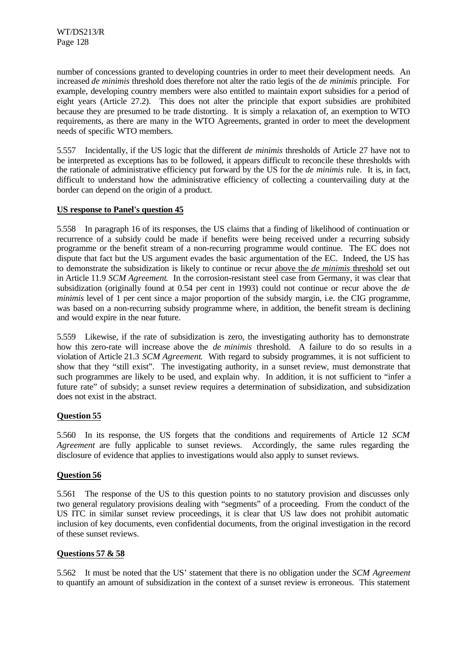number of concessions granted to developing countries in order to meet their development needs. An increased *de minimis* threshold does therefore not alter the ratio legis of the *de minimis* principle. For example, developing country members were also entitled to maintain export subsidies for a period of eight years (Article 27.2). This does not alter the principle that export subsidies are prohibited because they are presumed to be trade distorting. It is simply a relaxation of, an exemption to WTO requirements, as there are many in the WTO Agreements, granted in order to meet the development needs of specific WTO members.

5.557 Incidentally, if the US logic that the different *de minimis* thresholds of Article 27 have not to be interpreted as exceptions has to be followed, it appears difficult to reconcile these thresholds with the rationale of administrative efficiency put forward by the US for the *de minimis* rule. It is, in fact, difficult to understand how the administrative efficiency of collecting a countervailing duty at the border can depend on the origin of a product.

# **US response to Panel's question 45**

5.558 In paragraph 16 of its responses, the US claims that a finding of likelihood of continuation or recurrence of a subsidy could be made if benefits were being received under a recurring subsidy programme or the benefit stream of a non-recurring programme would continue. The EC does not dispute that fact but the US argument evades the basic argumentation of the EC. Indeed, the US has to demonstrate the subsidization is likely to continue or recur above the *de minimis* threshold set out in Article 11.9 *SCM Agreement*. In the corrosion-resistant steel case from Germany, it was clear that subsidization (originally found at 0.54 per cent in 1993) could not continue or recur above the *de minimis* level of 1 per cent since a major proportion of the subsidy margin, i.e. the CIG programme, was based on a non-recurring subsidy programme where, in addition, the benefit stream is declining and would expire in the near future.

5.559 Likewise, if the rate of subsidization is zero, the investigating authority has to demonstrate how this zero-rate will increase above the *de minimis* threshold. A failure to do so results in a violation of Article 21.3 *SCM Agreement*. With regard to subsidy programmes, it is not sufficient to show that they "still exist". The investigating authority, in a sunset review, must demonstrate that such programmes are likely to be used, and explain why. In addition, it is not sufficient to "infer a future rate" of subsidy; a sunset review requires a determination of subsidization, and subsidization does not exist in the abstract.

# **Question 55**

5.560 In its response, the US forgets that the conditions and requirements of Article 12 *SCM Agreement* are fully applicable to sunset reviews. Accordingly, the same rules regarding the disclosure of evidence that applies to investigations would also apply to sunset reviews.

# **Question 56**

5.561 The response of the US to this question points to no statutory provision and discusses only two general regulatory provisions dealing with "segments" of a proceeding. From the conduct of the US ITC in similar sunset review proceedings, it is clear that US law does not prohibit automatic inclusion of key documents, even confidential documents, from the original investigation in the record of these sunset reviews.

# **Questions 57 & 58**

5.562 It must be noted that the US' statement that there is no obligation under the *SCM Agreement* to quantify an amount of subsidization in the context of a sunset review is erroneous. This statement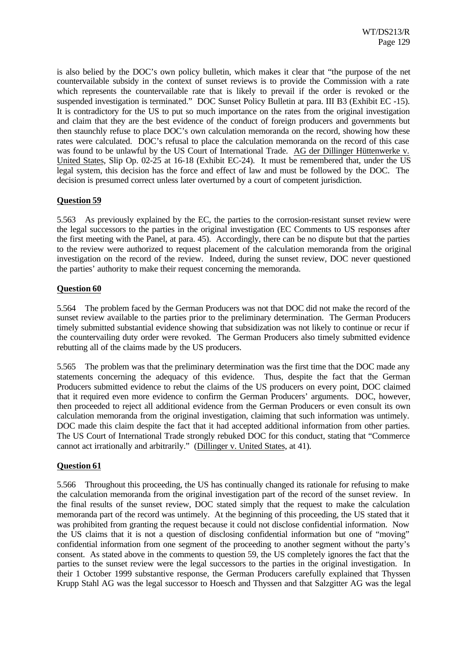is also belied by the DOC's own policy bulletin, which makes it clear that "the purpose of the net countervailable subsidy in the context of sunset reviews is to provide the Commission with a rate which represents the countervailable rate that is likely to prevail if the order is revoked or the suspended investigation is terminated." DOC Sunset Policy Bulletin at para. III B3 (Exhibit EC -15). It is contradictory for the US to put so much importance on the rates from the original investigation and claim that they are the best evidence of the conduct of foreign producers and governments but then staunchly refuse to place DOC's own calculation memoranda on the record, showing how these rates were calculated. DOC's refusal to place the calculation memoranda on the record of this case was found to be unlawful by the US Court of International Trade. AG der Dillinger Hüttenwerke v. United States, Slip Op. 02-25 at 16-18 (Exhibit EC-24). It must be remembered that, under the US legal system, this decision has the force and effect of law and must be followed by the DOC. The decision is presumed correct unless later overturned by a court of competent jurisdiction.

# **Question 59**

5.563 As previously explained by the EC, the parties to the corrosion-resistant sunset review were the legal successors to the parties in the original investigation (EC Comments to US responses after the first meeting with the Panel, at para. 45). Accordingly, there can be no dispute but that the parties to the review were authorized to request placement of the calculation memoranda from the original investigation on the record of the review. Indeed, during the sunset review, DOC never questioned the parties' authority to make their request concerning the memoranda.

# **Question 60**

5.564 The problem faced by the German Producers was not that DOC did not make the record of the sunset review available to the parties prior to the preliminary determination. The German Producers timely submitted substantial evidence showing that subsidization was not likely to continue or recur if the countervailing duty order were revoked. The German Producers also timely submitted evidence rebutting all of the claims made by the US producers.

5.565 The problem was that the preliminary determination was the first time that the DOC made any statements concerning the adequacy of this evidence. Thus, despite the fact that the German Producers submitted evidence to rebut the claims of the US producers on every point, DOC claimed that it required even more evidence to confirm the German Producers' arguments. DOC, however, then proceeded to reject all additional evidence from the German Producers or even consult its own calculation memoranda from the original investigation, claiming that such information was untimely. DOC made this claim despite the fact that it had accepted additional information from other parties. The US Court of International Trade strongly rebuked DOC for this conduct, stating that "Commerce cannot act irrationally and arbitrarily." (Dillinger v. United States, at 41).

# **Question 61**

5.566 Throughout this proceeding, the US has continually changed its rationale for refusing to make the calculation memoranda from the original investigation part of the record of the sunset review. In the final results of the sunset review, DOC stated simply that the request to make the calculation memoranda part of the record was untimely. At the beginning of this proceeding, the US stated that it was prohibited from granting the request because it could not disclose confidential information. Now the US claims that it is not a question of disclosing confidential information but one of "moving" confidential information from one segment of the proceeding to another segment without the party's consent. As stated above in the comments to question 59, the US completely ignores the fact that the parties to the sunset review were the legal successors to the parties in the original investigation. In their 1 October 1999 substantive response, the German Producers carefully explained that Thyssen Krupp Stahl AG was the legal successor to Hoesch and Thyssen and that Salzgitter AG was the legal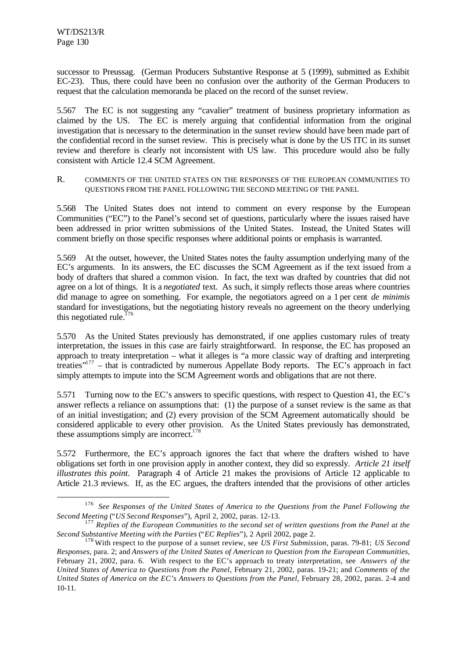l

successor to Preussag. (German Producers Substantive Response at 5 (1999), submitted as Exhibit EC-23). Thus, there could have been no confusion over the authority of the German Producers to request that the calculation memoranda be placed on the record of the sunset review.

5.567 The EC is not suggesting any "cavalier" treatment of business proprietary information as claimed by the US. The EC is merely arguing that confidential information from the original investigation that is necessary to the determination in the sunset review should have been made part of the confidential record in the sunset review. This is precisely what is done by the US ITC in its sunset review and therefore is clearly not inconsistent with US law. This procedure would also be fully consistent with Article 12.4 SCM Agreement.

R. COMMENTS OF THE UNITED STATES ON THE RESPONSES OF THE EUROPEAN COMMUNITIES TO QUESTIONS FROM THE PANEL FOLLOWING THE SECOND MEETING OF THE PANEL

5.568 The United States does not intend to comment on every response by the European Communities ("EC") to the Panel's second set of questions, particularly where the issues raised have been addressed in prior written submissions of the United States. Instead, the United States will comment briefly on those specific responses where additional points or emphasis is warranted.

5.569 At the outset, however, the United States notes the faulty assumption underlying many of the EC's arguments. In its answers, the EC discusses the SCM Agreement as if the text issued from a body of drafters that shared a common vision. In fact, the text was drafted by countries that did not agree on a lot of things. It is a *negotiated* text. As such, it simply reflects those areas where countries did manage to agree on something. For example, the negotiators agreed on a 1 per cent *de minimis* standard for investigations, but the negotiating history reveals no agreement on the theory underlying this negotiated rule. $176$ 

5.570 As the United States previously has demonstrated, if one applies customary rules of treaty interpretation, the issues in this case are fairly straightforward. In response, the EC has proposed an approach to treaty interpretation – what it alleges is "a more classic way of drafting and interpreting treaties"<sup>177</sup> – that is contradicted by numerous Appellate Body reports. The EC's approach in fact simply attempts to impute into the SCM Agreement words and obligations that are not there.

5.571 Turning now to the EC's answers to specific questions, with respect to Question 41, the EC's answer reflects a reliance on assumptions that: (1) the purpose of a sunset review is the same as that of an initial investigation; and (2) every provision of the SCM Agreement automatically should be considered applicable to every other provision. As the United States previously has demonstrated, these assumptions simply are incorrect.<sup>178</sup>

5.572 Furthermore, the EC's approach ignores the fact that where the drafters wished to have obligations set forth in one provision apply in another context, they did so expressly. *Article 21 itself illustrates this point.* Paragraph 4 of Article 21 makes the provisions of Article 12 applicable to Article 21.3 reviews. If, as the EC argues, the drafters intended that the provisions of other articles

<sup>176</sup>*See Responses of the United States of America to the Questions from the Panel Following the Second Meeting* ("*US Second Responses*"), April 2, 2002, paras. 12-13.

<sup>177</sup>*Replies of the European Communities to the second set of written questions from the Panel at the Second Substantive Meeting with the Parties* ("*EC Replies*"), 2 April 2002, page 2.

<sup>178</sup> With respect to the purpose of a sunset review, see *US First Submission*, paras. 79-81; *US Second Responses*, para. 2; and *Answers of the United States of American to Question from the European Communities*, February 21, 2002, para. 6. With respect to the EC's approach to treaty interpretation, see *Answers of the United States of America to Questions from the Panel*, February 21, 2002, paras. 19-21; and *Comments of the United States of America on the EC's Answers to Questions from the Panel*, February 28, 2002, paras. 2-4 and 10-11.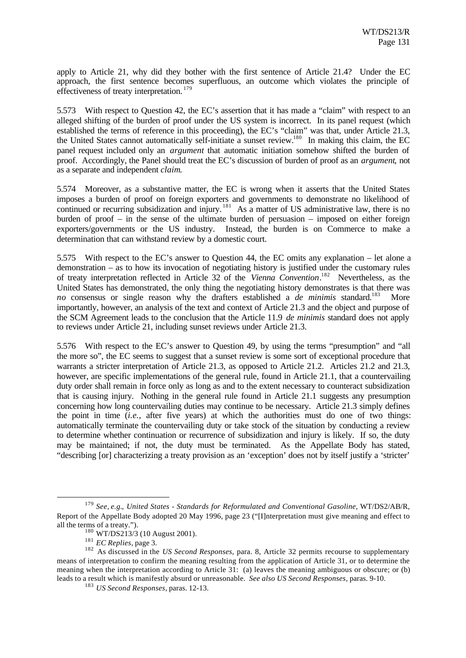apply to Article 21, why did they bother with the first sentence of Article 21.4? Under the EC approach, the first sentence becomes superfluous, an outcome which violates the principle of effectiveness of treaty interpretation. <sup>179</sup>

5.573 With respect to Question 42, the EC's assertion that it has made a "claim" with respect to an alleged shifting of the burden of proof under the US system is incorrect. In its panel request (which established the terms of reference in this proceeding), the EC's "claim" was that, under Article 21.3, the United States cannot automatically self-initiate a sunset review.<sup>180</sup> In making this claim, the EC panel request included only an *argument* that automatic initiation somehow shifted the burden of proof. Accordingly, the Panel should treat the EC's discussion of burden of proof as an *argument*, not as a separate and independent *claim*.

5.574 Moreover, as a substantive matter, the EC is wrong when it asserts that the United States imposes a burden of proof on foreign exporters and governments to demonstrate no likelihood of continued or recurring subsidization and injury.<sup>181</sup> As a matter of US administrative law, there is no burden of proof – in the sense of the ultimate burden of persuasion – imposed on either foreign exporters/governments or the US industry. Instead, the burden is on Commerce to make a determination that can withstand review by a domestic court.

5.575 With respect to the EC's answer to Question 44, the EC omits any explanation – let alone a demonstration – as to how its invocation of negotiating history is justified under the customary rules of treaty interpretation reflected in Article 32 of the *Vienna Convention*. <sup>182</sup> Nevertheless, as the United States has demonstrated, the only thing the negotiating history demonstrates is that there was *no* consensus or single reason why the drafters established a *de minimis* standard.<sup>183</sup> More importantly, however, an analysis of the text and context of Article 21.3 and the object and purpose of the SCM Agreement leads to the conclusion that the Article 11.9 *de minimis* standard does not apply to reviews under Article 21, including sunset reviews under Article 21.3.

5.576 With respect to the EC's answer to Question 49, by using the terms "presumption" and "all the more so", the EC seems to suggest that a sunset review is some sort of exceptional procedure that warrants a stricter interpretation of Article 21.3, as opposed to Article 21.2. Articles 21.2 and 21.3, however, are specific implementations of the general rule, found in Article 21.1, that a countervailing duty order shall remain in force only as long as and to the extent necessary to counteract subsidization that is causing injury. Nothing in the general rule found in Article 21.1 suggests any presumption concerning how long countervailing duties may continue to be necessary. Article 21.3 simply defines the point in time (*i.e.*, after five years) at which the authorities must do one of two things: automatically terminate the countervailing duty or take stock of the situation by conducting a review to determine whether continuation or recurrence of subsidization and injury is likely. If so, the duty may be maintained; if not, the duty must be terminated. As the Appellate Body has stated, "describing [or] characterizing a treaty provision as an 'exception' does not by itself justify a 'stricter'

<sup>179</sup>*See*, *e.g.*, *United States - Standards for Reformulated and Conventional Gasoline*, WT/DS2/AB/R, Report of the Appellate Body adopted 20 May 1996, page 23 ("[I]nterpretation must give meaning and effect to all the terms of a treaty.").

 $180$  WT/DS213/3 (10 August 2001).

<sup>181</sup>*EC Replies*, page 3.

<sup>&</sup>lt;sup>182</sup> As discussed in the *US Second Responses*, para. 8, Article 32 permits recourse to supplementary means of interpretation to confirm the meaning resulting from the application of Article 31, or to determine the meaning when the interpretation according to Article 31: (a) leaves the meaning ambiguous or obscure; or (b) leads to a result which is manifestly absurd or unreasonable. *See also US Second Responses*, paras. 9-10.

<sup>183</sup>*US Second Responses*, paras. 12-13.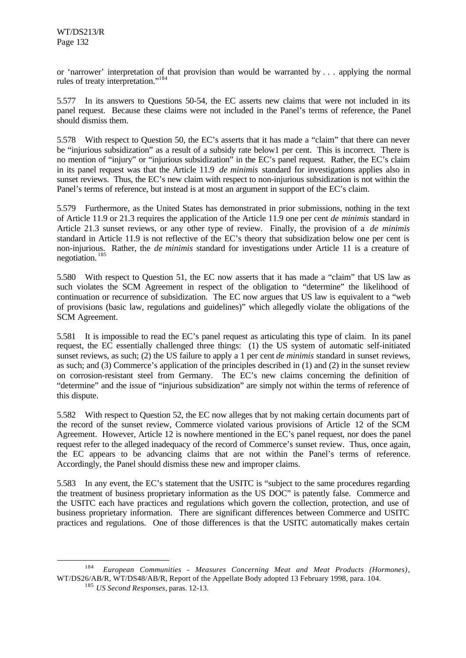or 'narrower' interpretation of that provision than would be warranted by . . . applying the normal rules of treaty interpretation."<sup>184</sup>

5.577 In its answers to Questions 50-54, the EC asserts new claims that were not included in its panel request. Because these claims were not included in the Panel's terms of reference, the Panel should dismiss them.

5.578 With respect to Question 50, the EC's asserts that it has made a "claim" that there can never be "injurious subsidization" as a result of a subsidy rate below1 per cent. This is incorrect. There is no mention of "injury" or "injurious subsidization" in the EC's panel request. Rather, the EC's claim in its panel request was that the Article 11.9 *de minimis* standard for investigations applies also in sunset reviews. Thus, the EC's new claim with respect to non-injurious subsidization is not within the Panel's terms of reference, but instead is at most an argument in support of the EC's claim.

5.579 Furthermore, as the United States has demonstrated in prior submissions, nothing in the text of Article 11.9 or 21.3 requires the application of the Article 11.9 one per cent *de minimis* standard in Article 21.3 sunset reviews, or any other type of review. Finally, the provision of a *de minimis* standard in Article 11.9 is not reflective of the EC's theory that subsidization below one per cent is non-injurious. Rather, the *de minimis* standard for investigations under Article 11 is a creature of negotiation. <sup>185</sup>

5.580 With respect to Question 51, the EC now asserts that it has made a "claim" that US law as such violates the SCM Agreement in respect of the obligation to "determine" the likelihood of continuation or recurrence of subsidization. The EC now argues that US law is equivalent to a "web of provisions (basic law, regulations and guidelines)" which allegedly violate the obligations of the SCM Agreement.

5.581 It is impossible to read the EC's panel request as articulating this type of claim. In its panel request, the EC essentially challenged three things: (1) the US system of automatic self-initiated sunset reviews, as such; (2) the US failure to apply a 1 per cent *de minimis* standard in sunset reviews, as such; and (3) Commerce's application of the principles described in (1) and (2) in the sunset review on corrosion-resistant steel from Germany. The EC's new claims concerning the definition of "determine" and the issue of "injurious subsidization" are simply not within the terms of reference of this dispute.

5.582 With respect to Question 52, the EC now alleges that by not making certain documents part of the record of the sunset review, Commerce violated various provisions of Article 12 of the SCM Agreement. However, Article 12 is nowhere mentioned in the EC's panel request, nor does the panel request refer to the alleged inadequacy of the record of Commerce's sunset review. Thus, once again, the EC appears to be advancing claims that are not within the Panel's terms of reference. Accordingly, the Panel should dismiss these new and improper claims.

5.583 In any event, the EC's statement that the USITC is "subject to the same procedures regarding the treatment of business proprietary information as the US DOC" is patently false. Commerce and the USITC each have practices and regulations which govern the collection, protection, and use of business proprietary information. There are significant differences between Commerce and USITC practices and regulations. One of those differences is that the USITC automatically makes certain

<sup>184</sup>*European Communities - Measures Concerning Meat and Meat Products (Hormones)*, WT/DS26/AB/R, WT/DS48/AB/R, Report of the Appellate Body adopted 13 February 1998, para. 104.

<sup>185</sup>*US Second Responses*, paras. 12-13.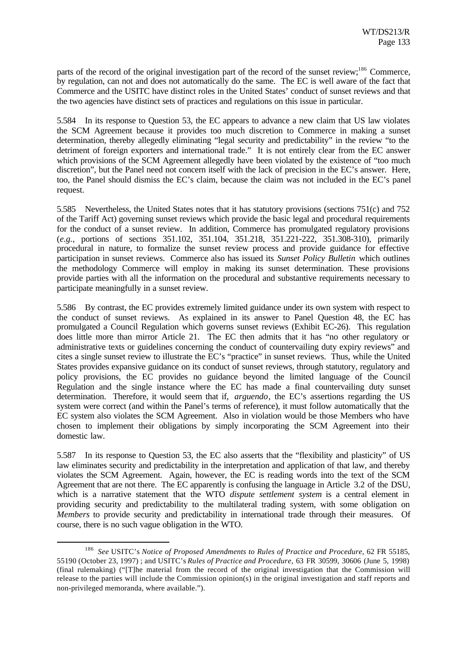parts of the record of the original investigation part of the record of the sunset review;<sup>186</sup> Commerce, by regulation, can not and does not automatically do the same. The EC is well aware of the fact that Commerce and the USITC have distinct roles in the United States' conduct of sunset reviews and that the two agencies have distinct sets of practices and regulations on this issue in particular.

5.584 In its response to Question 53, the EC appears to advance a new claim that US law violates the SCM Agreement because it provides too much discretion to Commerce in making a sunset determination, thereby allegedly eliminating "legal security and predictability" in the review "to the detriment of foreign exporters and international trade." It is not entirely clear from the EC answer which provisions of the SCM Agreement allegedly have been violated by the existence of "too much discretion", but the Panel need not concern itself with the lack of precision in the EC's answer. Here, too, the Panel should dismiss the EC's claim, because the claim was not included in the EC's panel request.

5.585 Nevertheless, the United States notes that it has statutory provisions (sections 751(c) and 752 of the Tariff Act) governing sunset reviews which provide the basic legal and procedural requirements for the conduct of a sunset review. In addition, Commerce has promulgated regulatory provisions (*e.g.*, portions of sections 351.102, 351.104, 351.218, 351.221-222, 351.308-310), primarily procedural in nature, to formalize the sunset review process and provide guidance for effective participation in sunset reviews. Commerce also has issued its *Sunset Policy Bulletin* which outlines the methodology Commerce will employ in making its sunset determination. These provisions provide parties with all the information on the procedural and substantive requirements necessary to participate meaningfully in a sunset review.

5.586 By contrast, the EC provides extremely limited guidance under its own system with respect to the conduct of sunset reviews. As explained in its answer to Panel Question 48, the EC has promulgated a Council Regulation which governs sunset reviews (Exhibit EC-26). This regulation does little more than mirror Article 21. The EC then admits that it has "no other regulatory or administrative texts or guidelines concerning the conduct of countervailing duty expiry reviews" and cites a single sunset review to illustrate the EC's "practice" in sunset reviews. Thus, while the United States provides expansive guidance on its conduct of sunset reviews, through statutory, regulatory and policy provisions, the EC provides no guidance beyond the limited language of the Council Regulation and the single instance where the EC has made a final countervailing duty sunset determination. Therefore, it would seem that if, *arguendo*, the EC's assertions regarding the US system were correct (and within the Panel's terms of reference), it must follow automatically that the EC system also violates the SCM Agreement. Also in violation would be those Members who have chosen to implement their obligations by simply incorporating the SCM Agreement into their domestic law.

5.587 In its response to Question 53, the EC also asserts that the "flexibility and plasticity" of US law eliminates security and predictability in the interpretation and application of that law, and thereby violates the SCM Agreement. Again, however, the EC is reading words into the text of the SCM Agreement that are not there. The EC apparently is confusing the language in Article 3.2 of the DSU, which is a narrative statement that the WTO *dispute settlement system* is a central element in providing security and predictability to the multilateral trading system, with some obligation on *Members* to provide security and predictability in international trade through their measures. Of course, there is no such vague obligation in the WTO.

<sup>186</sup>*See* USITC's *Notice of Proposed Amendments to Rules of Practice and Procedure*, 62 FR 55185, 55190 (October 23, 1997) ; and USITC's *Rules of Practice and Procedure*, 63 FR 30599, 30606 (June 5, 1998) (final rulemaking) ("[T]he material from the record of the original investigation that the Commission will release to the parties will include the Commission opinion(s) in the original investigation and staff reports and non-privileged memoranda, where available.").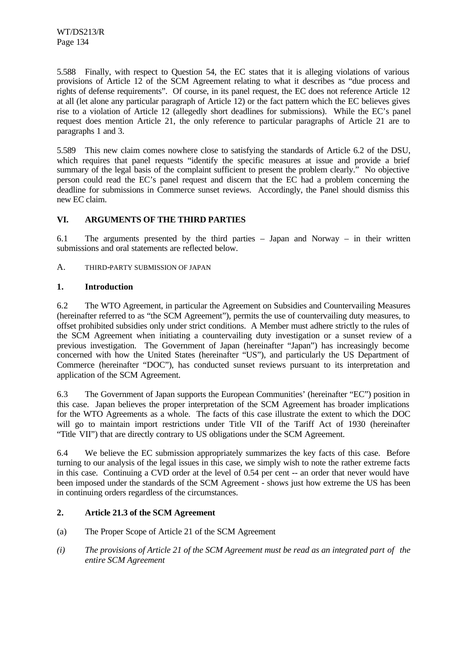5.588 Finally, with respect to Question 54, the EC states that it is alleging violations of various provisions of Article 12 of the SCM Agreement relating to what it describes as "due process and rights of defense requirements". Of course, in its panel request, the EC does not reference Article 12 at all (let alone any particular paragraph of Article 12) or the fact pattern which the EC believes gives rise to a violation of Article 12 (allegedly short deadlines for submissions). While the EC's panel request does mention Article 21, the only reference to particular paragraphs of Article 21 are to paragraphs 1 and 3.

5.589 This new claim comes nowhere close to satisfying the standards of Article 6.2 of the DSU, which requires that panel requests "identify the specific measures at issue and provide a brief summary of the legal basis of the complaint sufficient to present the problem clearly." No objective person could read the EC's panel request and discern that the EC had a problem concerning the deadline for submissions in Commerce sunset reviews. Accordingly, the Panel should dismiss this new EC claim.

# **VI. ARGUMENTS OF THE THIRD PARTIES**

6.1 The arguments presented by the third parties – Japan and Norway – in their written submissions and oral statements are reflected below.

A. THIRD-PARTY SUBMISSION OF JAPAN

# **1. Introduction**

6.2 The WTO Agreement, in particular the Agreement on Subsidies and Countervailing Measures (hereinafter referred to as "the SCM Agreement"), permits the use of countervailing duty measures, to offset prohibited subsidies only under strict conditions. A Member must adhere strictly to the rules of the SCM Agreement when initiating a countervailing duty investigation or a sunset review of a previous investigation. The Government of Japan (hereinafter "Japan") has increasingly become concerned with how the United States (hereinafter "US"), and particularly the US Department of Commerce (hereinafter "DOC"), has conducted sunset reviews pursuant to its interpretation and application of the SCM Agreement.

6.3 The Government of Japan supports the European Communities' (hereinafter "EC") position in this case. Japan believes the proper interpretation of the SCM Agreement has broader implications for the WTO Agreements as a whole. The facts of this case illustrate the extent to which the DOC will go to maintain import restrictions under Title VII of the Tariff Act of 1930 (hereinafter "Title VII") that are directly contrary to US obligations under the SCM Agreement.

6.4 We believe the EC submission appropriately summarizes the key facts of this case. Before turning to our analysis of the legal issues in this case, we simply wish to note the rather extreme facts in this case. Continuing a CVD order at the level of 0.54 per cent -- an order that never would have been imposed under the standards of the SCM Agreement - shows just how extreme the US has been in continuing orders regardless of the circumstances.

# **2. Article 21.3 of the SCM Agreement**

- (a) The Proper Scope of Article 21 of the SCM Agreement
- *(i) The provisions of Article 21 of the SCM Agreement must be read as an integrated part of the entire SCM Agreement*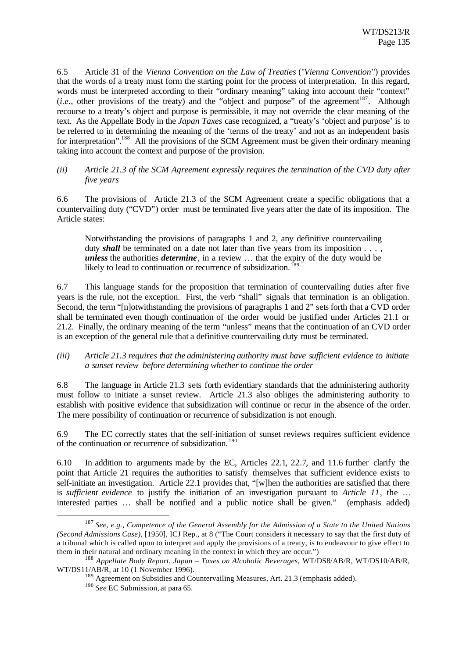6.5 Article 31 of the *Vienna Convention on the Law of Treaties* ("*Vienna Convention*") provides that the words of a treaty must form the starting point for the process of interpretation. In this regard, words must be interpreted according to their "ordinary meaning" taking into account their "context"  $(i.e., other provisions of the treaty)$  and the "object and purpose" of the agreement<sup>187</sup>. Although recourse to a treaty's object and purpose is permissible, it may not override the clear meaning of the text. As the Appellate Body in the *Japan Taxes* case recognized, a "treaty's 'object and purpose' is to be referred to in determining the meaning of the 'terms of the treaty' and not as an independent basis for interpretation".<sup>188</sup> All the provisions of the SCM Agreement must be given their ordinary meaning taking into account the context and purpose of the provision.

### *(ii) Article 21.3 of the SCM Agreement expressly requires the termination of the CVD duty after five years*

6.6 The provisions of Article 21.3 of the SCM Agreement create a specific obligations that a countervailing duty ("CVD") order must be terminated five years after the date of its imposition. The Article states:

Notwithstanding the provisions of paragraphs 1 and 2, any definitive countervailing duty **shall** be terminated on a date not later than five years from its imposition . . . , *unless* the authorities *determine*, in a review … that the expiry of the duty would be likely to lead to continuation or recurrence of subsidization. <sup>[89</sup>]

6.7 This language stands for the proposition that termination of countervailing duties after five years is the rule, not the exception. First, the verb "shall" signals that termination is an obligation. Second, the term "[n]otwithstanding the provisions of paragraphs 1 and 2" sets forth that a CVD order shall be terminated even though continuation of the order would be justified under Articles 21.1 or 21.2. Finally, the ordinary meaning of the term "unless" means that the continuation of an CVD order is an exception of the general rule that a definitive countervailing duty must be terminated.

### *(iii) Article 21.3 requires that the administering authority must have sufficient evidence to initiate a sunset review before determining whether to continue the order*

6.8 The language in Article 21.3 sets forth evidentiary standards that the administering authority must follow to initiate a sunset review. Article 21.3 also obliges the administering authority to establish with positive evidence that subsidization will continue or recur in the absence of the order. The mere possibility of continuation or recurrence of subsidization is not enough.

6.9 The EC correctly states that the self-initiation of sunset reviews requires sufficient evidence of the continuation or recurrence of subsidization. 190

6.10 In addition to arguments made by the EC, Articles 22.1, 22.7, and 11.6 further clarify the point that Article 21 requires the authorities to satisfy themselves that sufficient evidence exists to self-initiate an investigation. Article 22.1 provides that, "[w]hen the authorities are satisfied that there is *sufficient evidence* to justify the initiation of an investigation pursuant to *Article 11*, the … interested parties … shall be notified and a public notice shall be given." (emphasis added)

<sup>187</sup> *See, e.g., Competence of the General Assembly for the Admission of a State to the United Nations (Second Admissions Case)*, [1950], ICJ Rep., at 8 ("The Court considers it necessary to say that the first duty of a tribunal which is called upon to interpret and apply the provisions of a treaty, is to endeavour to give effect to them in their natural and ordinary meaning in the context in which they are occur.")

<sup>188</sup> *Appellate Body Report, Japan – Taxes on Alcoholic Beverages*, WT/DS8/AB/R, WT/DS10/AB/R, WT/DS11/AB/R, at 10 (1 November 1996).

<sup>&</sup>lt;sup>189</sup> Agreement on Subsidies and Countervailing Measures, Art. 21.3 (emphasis added).

<sup>&</sup>lt;sup>190</sup> See EC Submission, at para 65.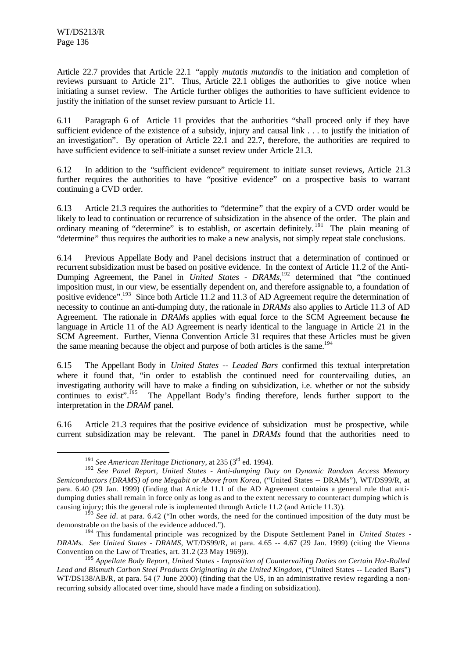l

Article 22.7 provides that Article 22.1 "apply *mutatis mutandis* to the initiation and completion of reviews pursuant to Article 21". Thus, Article 22.1 obliges the authorities to give notice when initiating a sunset review. The Article further obliges the authorities to have sufficient evidence to justify the initiation of the sunset review pursuant to Article 11.

6.11 Paragraph 6 of Article 11 provides that the authorities "shall proceed only if they have sufficient evidence of the existence of a subsidy, injury and causal link . . . to justify the initiation of an investigation". By operation of Article 22.1 and 22.7, therefore, the authorities are required to have sufficient evidence to self-initiate a sunset review under Article 21.3.

6.12 In addition to the "sufficient evidence" requirement to initiate sunset reviews, Article 21.3 further requires the authorities to have "positive evidence" on a prospective basis to warrant continuing a CVD order.

6.13 Article 21.3 requires the authorities to "determine" that the expiry of a CVD order would be likely to lead to continuation or recurrence of subsidization in the absence of the order. The plain and ordinary meaning of "determine" is to establish, or ascertain definitely.<sup>191</sup> The plain meaning of "determine" thus requires the authorities to make a new analysis, not simply repeat stale conclusions.

6.14 Previous Appellate Body and Panel decisions instruct that a determination of continued or recurrent subsidization must be based on positive evidence. In the context of Article 11.2 of the Anti-Dumping Agreement, the Panel in *United States - DRAMs*,<sup>192</sup> determined that "the continued imposition must, in our view, be essentially dependent on, and therefore assignable to, a foundation of positive evidence".<sup>193</sup> Since both Article 11.2 and 11.3 of AD Agreement require the determination of necessity to continue an anti-dumping duty, the rationale in *DRAMs* also applies to Article 11.3 of AD Agreement. The rationale in *DRAMs* applies with equal force to the SCM Agreement because the language in Article 11 of the AD Agreement is nearly identical to the language in Article 21 in the SCM Agreement. Further, Vienna Convention Article 31 requires that these Articles must be given the same meaning because the object and purpose of both articles is the same.<sup>194</sup>

6.15 The Appellant Body in *United States -- Leaded Bars* confirmed this textual interpretation where it found that, "in order to establish the continued need for countervailing duties, an investigating authority will have to make a finding on subsidization, i.e. whether or not the subsidy continues to exist".<sup>195</sup> The Appellant Body's finding therefore, lends further support to the interpretation in the *DRAM* panel.

6.16 Article 21.3 requires that the positive evidence of subsidization must be prospective, while current subsidization may be relevant. The panel in *DRAMs* found that the authorities need to

<sup>191</sup> *See American Heritage Dictionary*, at 235 (3rd ed. 1994).

<sup>192</sup> *See Panel Report, United States - Anti-dumping Duty on Dynamic Random Access Memory Semiconductors (DRAMS) of one Megabit or Above from Korea*, ("United States -- DRAMs"), WT/DS99/R, at para. 6.40 (29 Jan. 1999) (finding that Article 11.1 of the AD Agreement contains a general rule that antidumping duties shall remain in force only as long as and to the extent necessary to counteract dumping which is causing injury; this the general rule is implemented through Article 11.2 (and Article 11.3)).

<sup>193</sup> *See id*. at para. 6.42 ("In other words, the need for the continued imposition of the duty must be demonstrable on the basis of the evidence adduced.").

<sup>194</sup> This fundamental principle was recognized by the Dispute Settlement Panel in *United States - DRAMs. See United States - DRAMS*, WT/DS99/R, at para. 4.65 -- 4.67 (29 Jan. 1999) (citing the Vienna Convention on the Law of Treaties, art. 31.2 (23 May 1969)).

<sup>195</sup> *Appellate Body Report, United States - Imposition of Countervailing Duties on Certain Hot-Rolled Lead and Bismuth Carbon Steel Products Originating in the United Kingdom*, ("United States -- Leaded Bars") WT/DS138/AB/R, at para. 54 (7 June 2000) (finding that the US, in an administrative review regarding a nonrecurring subsidy allocated over time, should have made a finding on subsidization).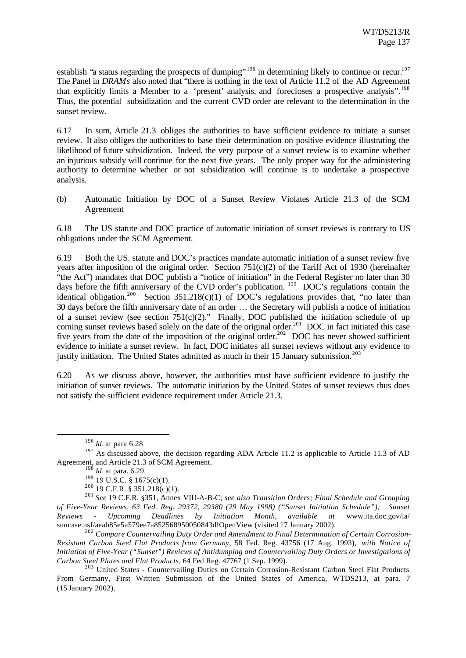establish "a status regarding the prospects of dumping"<sup>196</sup> in determining likely to continue or recur.<sup>197</sup> The Panel in *DRAMs* also noted that "there is nothing in the text of Article 11.2 of the AD Agreement that explicitly limits a Member to a 'present' analysis, and forecloses a prospective analysis".<sup>198</sup> Thus, the potential subsidization and the current CVD order are relevant to the determination in the sunset review.

6.17 In sum, Article 21.3 obliges the authorities to have sufficient evidence to initiate a sunset review. It also obliges the authorities to base their determination on positive evidence illustrating the likelihood of future subsidization. Indeed, the very purpose of a sunset review is to examine whether an injurious subsidy will continue for the next five years. The only proper way for the administering authority to determine whether or not subsidization will continue is to undertake a prospective analysis.

(b) Automatic Initiation by DOC of a Sunset Review Violates Article 21.3 of the SCM Agreement

6.18 The US statute and DOC practice of automatic initiation of sunset reviews is contrary to US obligations under the SCM Agreement.

6.19 Both the US. statute and DOC's practices mandate automatic initiation of a sunset review five years after imposition of the original order. Section 751(c)(2) of the Tariff Act of 1930 (hereinafter "the Act") mandates that DOC publish a "notice of initiation" in the Federal Register no later than 30 days before the fifth anniversary of the CVD order's publication. <sup>199</sup> DOC's regulations contain the identical obligation.<sup>200</sup> Section 351.218(c)(1) of DOC's regulations provides that, "no later than 30 days before the fifth anniversary date of an order … the Secretary will publish a notice of initiation of a sunset review (see section  $751(c)(2)$ ." Finally, DOC published the initiation schedule of up coming sunset reviews based solely on the date of the original order.<sup>201</sup> DOC in fact initiated this case five years from the date of the imposition of the original order.<sup>202</sup> DOC has never showed sufficient evidence to initiate a sunset review. In fact, DOC initiates all sunset reviews without any evidence to justify initiation. The United States admitted as much in their 15 January submission.<sup>203</sup>

6.20 As we discuss above, however, the authorities must have sufficient evidence to justify the initiation of sunset reviews. The automatic initiation by the United States of sunset reviews thus does not satisfy the sufficient evidence requirement under Article 21.3.

<sup>196</sup> *Id*. at para 6.28

<sup>&</sup>lt;sup>197</sup> As discussed above, the decision regarding ADA Article 11.2 is applicable to Article 11.3 of AD Agreement, and Article 21.3 of SCM Agreement.

<sup>198</sup> *Id*. at para. 6.29.

 $199$  19 U.S.C. § 1675(c)(1).

 $200$  19 C.F.R. § 351.218(c)(1).

<sup>201</sup> *See* 19 C.F.R. §351, Annex VIII-A-B-C; *see also Transition Orders; Final Schedule and Grouping of Five-Year Reviews, 63 Fed. Reg. 29372, 29380 (29 May 1998) ("Sunset Initiation Schedule"); Sunset Reviews - Upcoming Deadlines by Initiation Month*, *available at* www.ita.doc.gov/ia/ suncase.nsf/aeab85e5a579ee7a852568950050843d!OpenView (visited 17 January 2002).

<sup>202</sup> *Compare Countervailing Duty Order and Amendment to Final Determination of Certain Corrosion-Resistant Carbon Steel Flat Products from Germany*, 58 Fed. Reg. 43756 (17 Aug. 1993), *with Notice of Initiation of Five-Year ("Sunset") Reviews of Antidumping and Countervailing Duty Orders or Investigations of Carbon Steel Plates and Flat Products*, 64 Fed Reg. 47767 (1 Sep. 1999).

 $^{203}$  United States - Countervailing Duties on Certain Corrosion-Resistant Carbon Steel Flat Products From Germany, First Written Submission of the United States of America, WTDS213, at para. 7 (15 January 2002).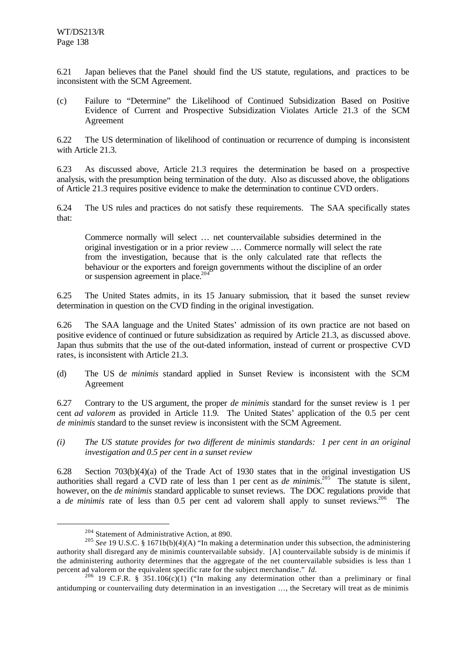6.21 Japan believes that the Panel should find the US statute, regulations, and practices to be inconsistent with the SCM Agreement.

(c) Failure to "Determine" the Likelihood of Continued Subsidization Based on Positive Evidence of Current and Prospective Subsidization Violates Article 21.3 of the SCM Agreement

6.22 The US determination of likelihood of continuation or recurrence of dumping is inconsistent with Article 21.3.

6.23 As discussed above, Article 21.3 requires the determination be based on a prospective analysis, with the presumption being termination of the duty. Also as discussed above, the obligations of Article 21.3 requires positive evidence to make the determination to continue CVD orders.

6.24 The US rules and practices do not satisfy these requirements. The SAA specifically states that:

Commerce normally will select … net countervailable subsidies determined in the original investigation or in a prior review .… Commerce normally will select the rate from the investigation, because that is the only calculated rate that reflects the behaviour or the exporters and foreign governments without the discipline of an order or suspension agreement in place.<sup>204</sup>

6.25 The United States admits, in its 15 January submission, that it based the sunset review determination in question on the CVD finding in the original investigation.

6.26 The SAA language and the United States' admission of its own practice are not based on positive evidence of continued or future subsidization as required by Article 21.3, as discussed above. Japan thus submits that the use of the out-dated information, instead of current or prospective CVD rates, is inconsistent with Article 21.3.

(d) The US d*e minimis* standard applied in Sunset Review is inconsistent with the SCM Agreement

6.27 Contrary to the US argument, the proper *de minimis* standard for the sunset review is 1 per cent *ad valorem* as provided in Article 11.9. The United States' application of the 0.5 per cent *de minimis* standard to the sunset review is inconsistent with the SCM Agreement.

*(i) The US statute provides for two different de minimis standards: 1 per cent in an original investigation and 0.5 per cent in a sunset review*

6.28 Section 703(b)(4)(a) of the Trade Act of 1930 states that in the original investigation US authorities shall regard a CVD rate of less than 1 per cent as *de minimis*. 205 The statute is silent, however, on the *de minimis* standard applicable to sunset reviews. The DOC regulations provide that a *de minimis* rate of less than 0.5 per cent ad valorem shall apply to sunset reviews.<sup>206</sup> The

<sup>204</sup> Statement of Administrative Action, at 890.

<sup>205</sup> *See* 19 U.S.C. § 1671b(b)(4)(A) "In making a determination under this subsection, the administering authority shall disregard any de minimis countervailable subsidy. [A] countervailable subsidy is de minimis if the administering authority determines that the aggregate of the net countervailable subsidies is less than 1 percent ad valorem or the equivalent specific rate for the subject merchandise." *Id.*

<sup>&</sup>lt;sup>206</sup> 19 C.F.R. § 351.106(c)(1) ("In making any determination other than a preliminary or final antidumping or countervailing duty determination in an investigation …, the Secretary will treat as de minimis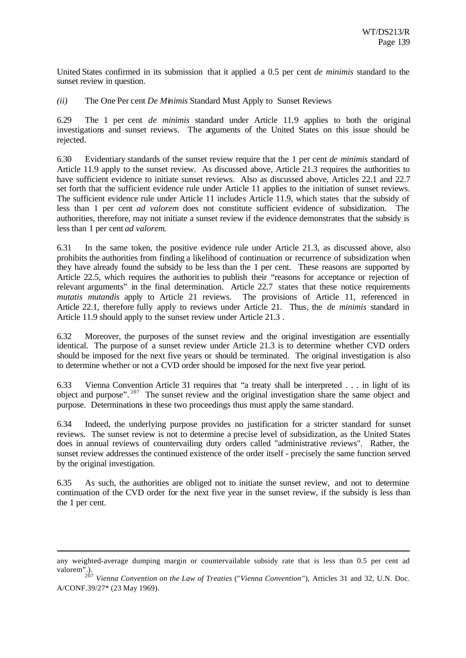United States confirmed in its submission that it applied a 0.5 per cent *de minimis* standard to the sunset review in question.

*(ii)* The One Per cent *De Minimis* Standard Must Apply to Sunset Reviews

6.29 The 1 per cent *de minimis* standard under Article 11.9 applies to both the original investigations and sunset reviews. The arguments of the United States on this issue should be rejected.

6.30 Evidentiary standards of the sunset review require that the 1 per cent *de minimis* standard of Article 11.9 apply to the sunset review. As discussed above, Article 21.3 requires the authorities to have sufficient evidence to initiate sunset reviews. Also as discussed above, Articles 22.1 and 22.7 set forth that the sufficient evidence rule under Article 11 applies to the initiation of sunset reviews. The sufficient evidence rule under Article 11 includes Article 11.9, which states that the subsidy of less than 1 per cent *ad valorem* does not constitute sufficient evidence of subsidization. The authorities, therefore, may not initiate a sunset review if the evidence demonstrates that the subsidy is less than 1 per cent *ad valorem*.

6.31 In the same token, the positive evidence rule under Article 21.3, as discussed above, also prohibits the authorities from finding a likelihood of continuation or recurrence of subsidization when they have already found the subsidy to be less than the 1 per cent. These reasons are supported by Article 22.5, which requires the authorities to publish their "reasons for acceptance or rejection of relevant arguments" in the final determination. Article 22.7 states that these notice requirements *mutatis mutandis* apply to Article 21 reviews. The provisions of Article 11, referenced in Article 22.1, therefore fully apply to reviews under Article 21. Thus, the *de minimis* standard in Article 11.9 should apply to the sunset review under Article 21.3 .

6.32 Moreover, the purposes of the sunset review and the original investigation are essentially identical. The purpose of a sunset review under Article 21.3 is to determine whether CVD orders should be imposed for the next five years or should be terminated. The original investigation is also to determine whether or not a CVD order should be imposed for the next five year period.

6.33 Vienna Convention Article 31 requires that "a treaty shall be interpreted . . . in light of its object and purpose".  $207$  The sunset review and the original investigation share the same object and purpose. Determinations in these two proceedings thus must apply the same standard.

6.34 Indeed, the underlying purpose provides no justification for a stricter standard for sunset reviews. The sunset review is not to determine a precise level of subsidization, as the United States does in annual reviews of countervailing duty orders called "administrative reviews". Rather, the sunset review addresses the continued existence of the order itself - precisely the same function served by the original investigation.

6.35 As such, the authorities are obliged not to initiate the sunset review, and not to determine continuation of the CVD order for the next five year in the sunset review, if the subsidy is less than the 1 per cent.

any weighted-average dumping margin or countervailable subsidy rate that is less than 0.5 per cent ad valorem".).

<sup>207</sup> *Vienna Convention on the Law of Treaties* ("*Vienna Convention*"), Articles 31 and 32, U.N. Doc. A/CONF.39/27\* (23 May 1969).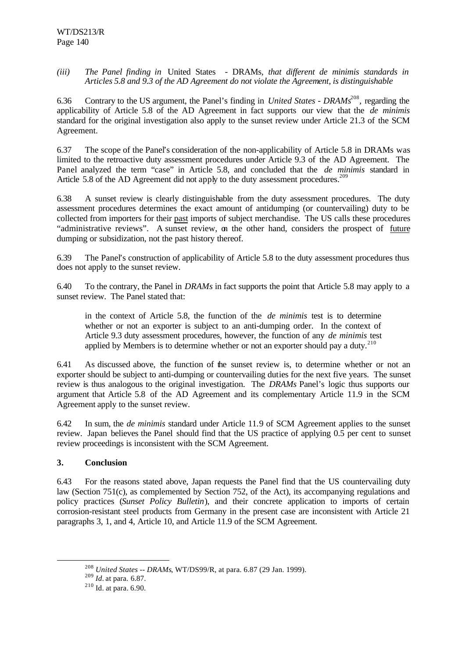*(iii) The Panel finding in* United States - DRAMs*, that different de minimis standards in Articles 5.8 and 9.3 of the AD Agreement do not violate the Agreement, is distinguishable*

6.36 Contrary to the US argument, the Panel's finding in *United States - DRAMs*<sup>208</sup>, regarding the applicability of Article 5.8 of the AD Agreement in fact supports our view that the *de minimis* standard for the original investigation also apply to the sunset review under Article 21.3 of the SCM Agreement.

6.37 The scope of the Panel's consideration of the non-applicability of Article 5.8 in DRAMs was limited to the retroactive duty assessment procedures under Article 9.3 of the AD Agreement. The Panel analyzed the term "case" in Article 5.8, and concluded that the *de minimis* standard in Article 5.8 of the AD Agreement did not apply to the duty assessment procedures.<sup>209</sup>

6.38 A sunset review is clearly distinguishable from the duty assessment procedures. The duty assessment procedures determines the exact amount of antidumping (or countervailing) duty to be collected from importers for their past imports of subject merchandise. The US calls these procedures "administrative reviews". A sunset review, on the other hand, considers the prospect of future dumping or subsidization, not the past history thereof.

6.39 The Panel's construction of applicability of Article 5.8 to the duty assessment procedures thus does not apply to the sunset review.

6.40 To the contrary, the Panel in *DRAMs* in fact supports the point that Article 5.8 may apply to a sunset review. The Panel stated that:

in the context of Article 5.8, the function of the *de minimis* test is to determine whether or not an exporter is subject to an anti-dumping order. In the context of Article 9.3 duty assessment procedures, however, the function of any *de minimis* test applied by Members is to determine whether or not an exporter should pay a duty. $^{210}$ 

6.41 As discussed above, the function of the sunset review is, to determine whether or not an exporter should be subject to anti-dumping or countervailing duties for the next five years. The sunset review is thus analogous to the original investigation. The *DRAMs* Panel's logic thus supports our argument that Article 5.8 of the AD Agreement and its complementary Article 11.9 in the SCM Agreement apply to the sunset review.

6.42 In sum, the *de minimis* standard under Article 11.9 of SCM Agreement applies to the sunset review. Japan believes the Panel should find that the US practice of applying 0.5 per cent to sunset review proceedings is inconsistent with the SCM Agreement.

# **3. Conclusion**

l

6.43 For the reasons stated above, Japan requests the Panel find that the US countervailing duty law (Section 751(c), as complemented by Section 752, of the Act), its accompanying regulations and policy practices (*Sunset Policy Bulletin*), and their concrete application to imports of certain corrosion-resistant steel products from Germany in the present case are inconsistent with Article 21 paragraphs 3, 1, and 4, Article 10, and Article 11.9 of the SCM Agreement.

<sup>208</sup> *United States -- DRAMs*, WT/DS99/R, at para. 6.87 (29 Jan. 1999).

<sup>209</sup> *Id.* at para. 6.87.

 $210$  Id. at para. 6.90.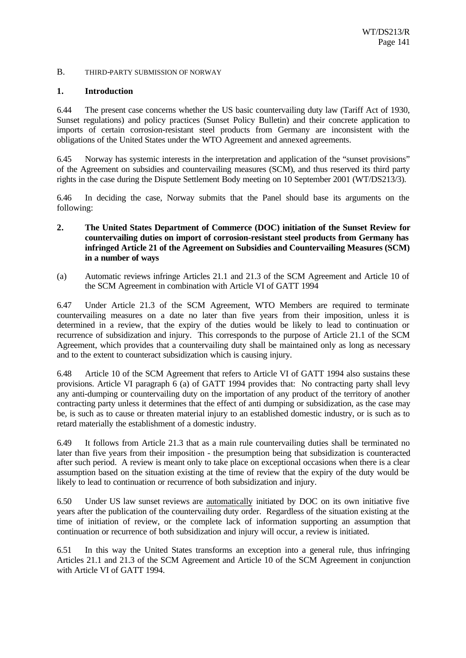#### B. THIRD-PARTY SUBMISSION OF NORWAY

#### **1. Introduction**

6.44 The present case concerns whether the US basic countervailing duty law (Tariff Act of 1930, Sunset regulations) and policy practices (Sunset Policy Bulletin) and their concrete application to imports of certain corrosion-resistant steel products from Germany are inconsistent with the obligations of the United States under the WTO Agreement and annexed agreements.

6.45 Norway has systemic interests in the interpretation and application of the "sunset provisions" of the Agreement on subsidies and countervailing measures (SCM), and thus reserved its third party rights in the case during the Dispute Settlement Body meeting on 10 September 2001 (WT/DS213/3).

6.46 In deciding the case, Norway submits that the Panel should base its arguments on the following:

- **2. The United States Department of Commerce (DOC) initiation of the Sunset Review for countervailing duties on import of corrosion-resistant steel products from Germany has infringed Article 21 of the Agreement on Subsidies and Countervailing Measures (SCM) in a number of ways**
- (a) Automatic reviews infringe Articles 21.1 and 21.3 of the SCM Agreement and Article 10 of the SCM Agreement in combination with Article VI of GATT 1994

6.47 Under Article 21.3 of the SCM Agreement, WTO Members are required to terminate countervailing measures on a date no later than five years from their imposition, unless it is determined in a review, that the expiry of the duties would be likely to lead to continuation or recurrence of subsidization and injury. This corresponds to the purpose of Article 21.1 of the SCM Agreement, which provides that a countervailing duty shall be maintained only as long as necessary and to the extent to counteract subsidization which is causing injury.

6.48 Article 10 of the SCM Agreement that refers to Article VI of GATT 1994 also sustains these provisions. Article VI paragraph 6 (a) of GATT 1994 provides that: No contracting party shall levy any anti-dumping or countervailing duty on the importation of any product of the territory of another contracting party unless it determines that the effect of anti dumping or subsidization, as the case may be, is such as to cause or threaten material injury to an established domestic industry, or is such as to retard materially the establishment of a domestic industry.

6.49 It follows from Article 21.3 that as a main rule countervailing duties shall be terminated no later than five years from their imposition - the presumption being that subsidization is counteracted after such period. A review is meant only to take place on exceptional occasions when there is a clear assumption based on the situation existing at the time of review that the expiry of the duty would be likely to lead to continuation or recurrence of both subsidization and injury.

6.50 Under US law sunset reviews are automatically initiated by DOC on its own initiative five years after the publication of the countervailing duty order. Regardless of the situation existing at the time of initiation of review, or the complete lack of information supporting an assumption that continuation or recurrence of both subsidization and injury will occur, a review is initiated.

6.51 In this way the United States transforms an exception into a general rule, thus infringing Articles 21.1 and 21.3 of the SCM Agreement and Article 10 of the SCM Agreement in conjunction with Article VI of GATT 1994.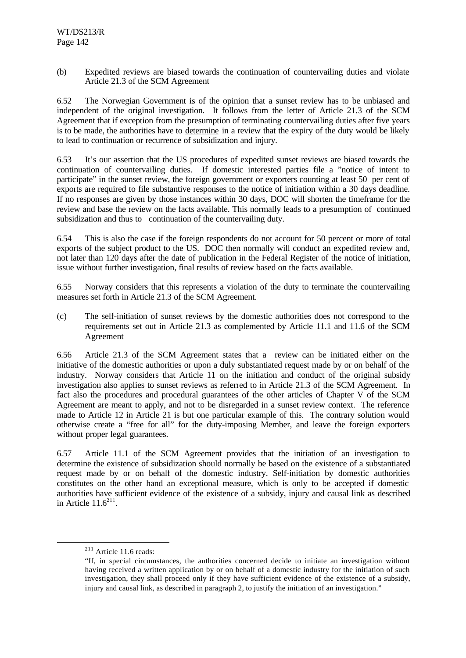(b) Expedited reviews are biased towards the continuation of countervailing duties and violate Article 21.3 of the SCM Agreement

6.52 The Norwegian Government is of the opinion that a sunset review has to be unbiased and independent of the original investigation. It follows from the letter of Article 21.3 of the SCM Agreement that if exception from the presumption of terminating countervailing duties after five years is to be made, the authorities have to determine in a review that the expiry of the duty would be likely to lead to continuation or recurrence of subsidization and injury.

6.53 It's our assertion that the US procedures of expedited sunset reviews are biased towards the continuation of countervailing duties. If domestic interested parties file a "notice of intent to participate" in the sunset review, the foreign government or exporters counting at least 50 per cent of exports are required to file substantive responses to the notice of initiation within a 30 days deadline. If no responses are given by those instances within 30 days, DOC will shorten the timeframe for the review and base the review on the facts available. This normally leads to a presumption of continued subsidization and thus to continuation of the countervailing duty.

6.54 This is also the case if the foreign respondents do not account for 50 percent or more of total exports of the subject product to the US. DOC then normally will conduct an expedited review and, not later than 120 days after the date of publication in the Federal Register of the notice of initiation, issue without further investigation, final results of review based on the facts available.

6.55 Norway considers that this represents a violation of the duty to terminate the countervailing measures set forth in Article 21.3 of the SCM Agreement.

(c) The self-initiation of sunset reviews by the domestic authorities does not correspond to the requirements set out in Article 21.3 as complemented by Article 11.1 and 11.6 of the SCM Agreement

6.56 Article 21.3 of the SCM Agreement states that a review can be initiated either on the initiative of the domestic authorities or upon a duly substantiated request made by or on behalf of the industry. Norway considers that Article 11 on the initiation and conduct of the original subsidy investigation also applies to sunset reviews as referred to in Article 21.3 of the SCM Agreement. In fact also the procedures and procedural guarantees of the other articles of Chapter V of the SCM Agreement are meant to apply, and not to be disregarded in a sunset review context. The reference made to Article 12 in Article 21 is but one particular example of this. The contrary solution would otherwise create a "free for all" for the duty-imposing Member, and leave the foreign exporters without proper legal guarantees.

6.57 Article 11.1 of the SCM Agreement provides that the initiation of an investigation to determine the existence of subsidization should normally be based on the existence of a substantiated request made by or on behalf of the domestic industry. Self-initiation by domestic authorities constitutes on the other hand an exceptional measure, which is only to be accepted if domestic authorities have sufficient evidence of the existence of a subsidy, injury and causal link as described in Article  $11.6^{211}$ .

<sup>211</sup> Article 11.6 reads:

<sup>&</sup>quot;If, in special circumstances, the authorities concerned decide to initiate an investigation without having received a written application by or on behalf of a domestic industry for the initiation of such investigation, they shall proceed only if they have sufficient evidence of the existence of a subsidy, injury and causal link, as described in paragraph 2, to justify the initiation of an investigation."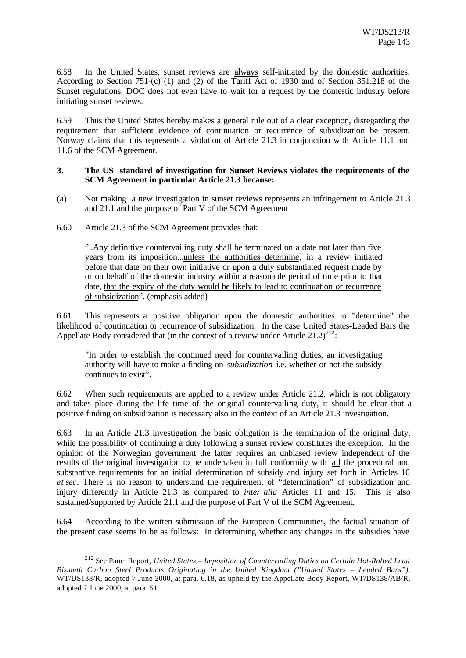6.58 In the United States, sunset reviews are always self-initiated by the domestic authorities. According to Section 751-(c) (1) and (2) of the Tariff Act of 1930 and of Section 351.218 of the Sunset regulations, DOC does not even have to wait for a request by the domestic industry before initiating sunset reviews.

6.59 Thus the United States hereby makes a general rule out of a clear exception, disregarding the requirement that sufficient evidence of continuation or recurrence of subsidization be present. Norway claims that this represents a violation of Article 21.3 in conjunction with Article 11.1 and 11.6 of the SCM Agreement.

#### **3. The US standard of investigation for Sunset Reviews violates the requirements of the SCM Agreement in particular Article 21.3 because:**

- (a) Not making a new investigation in sunset reviews represents an infringement to Article 21.3 and 21.1 and the purpose of Part V of the SCM Agreement
- 6.60 Article 21.3 of the SCM Agreement provides that:

l

"..Any definitive countervailing duty shall be terminated on a date not later than five years from its imposition...unless the authorities determine, in a review initiated before that date on their own initiative or upon a duly substantiated request made by or on behalf of the domestic industry within a reasonable period of time prior to that date, that the expiry of the duty would be likely to lead to continuation or recurrence of subsidization". (emphasis added)

6.61 This represents a positive obligation upon the domestic authorities to "determine" the likelihood of continuation or recurrence of subsidization. In the case United States-Leaded Bars the Appellate Body considered that (in the context of a review under Article  $21.2)^{212}$ :

"In order to establish the continued need for countervailing duties, an investigating authority will have to make a finding on *subsidization* i.e. whether or not the subsidy continues to exist".

6.62 When such requirements are applied to a review under Article 21.2, which is not obligatory and takes place during the life time of the original countervailing duty, it should be clear that a positive finding on subsidization is necessary also in the context of an Article 21.3 investigation.

6.63 In an Article 21.3 investigation the basic obligation is the termination of the original duty, while the possibility of continuing a duty following a sunset review constitutes the exception. In the opinion of the Norwegian government the latter requires an unbiased review independent of the results of the original investigation to be undertaken in full conformity with all the procedural and substantive requirements for an initial determination of subsidy and injury set forth in Articles 10 *et sec*. There is no reason to understand the requirement of "determination" of subsidization and injury differently in Article 21.3 as compared to *inter alia* Articles 11 and 15. This is also sustained/supported by Article 21.1 and the purpose of Part V of the SCM Agreement.

6.64 According to the written submission of the European Communities, the factual situation of the present case seems to be as follows: In determining whether any changes in the subsidies have

<sup>212</sup> See Panel Report, *United States – Imposition of Countervailing Duties on Certain Hot-Rolled Lead Bismuth Carbon Steel Products Originating in the United Kingdom ("United States – Leaded Bars"),* WT/DS138/R, adopted 7 June 2000, at para. 6.18, as upheld by the Appellate Body Report, WT/DS138/AB/R, adopted 7 June 2000, at para. 51.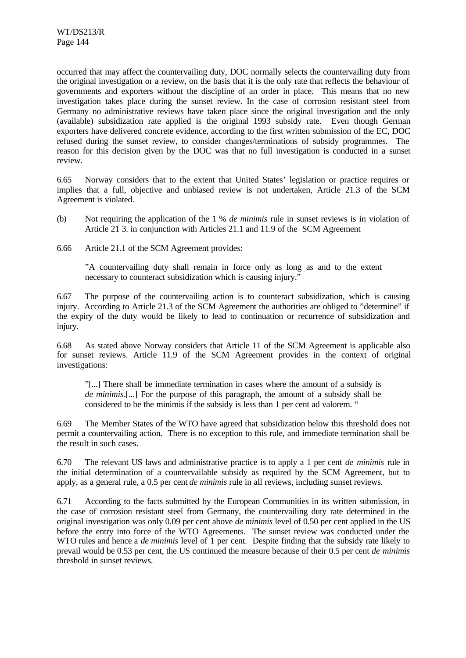occurred that may affect the countervailing duty, DOC normally selects the countervailing duty from the original investigation or a review, on the basis that it is the only rate that reflects the behaviour of governments and exporters without the discipline of an order in place. This means that no new investigation takes place during the sunset review. In the case of corrosion resistant steel from Germany no administrative reviews have taken place since the original investigation and the only (available) subsidization rate applied is the original 1993 subsidy rate. Even though German exporters have delivered concrete evidence, according to the first written submission of the EC, DOC refused during the sunset review, to consider changes/terminations of subsidy programmes. The reason for this decision given by the DOC was that no full investigation is conducted in a sunset review.

6.65 Norway considers that to the extent that United States' legislation or practice requires or implies that a full, objective and unbiased review is not undertaken, Article 21.3 of the SCM Agreement is violated.

- (b) Not requiring the application of the 1 % *de minimis* rule in sunset reviews is in violation of Article 21 3. in conjunction with Articles 21.1 and 11.9 of the SCM Agreement
- 6.66 Article 21.1 of the SCM Agreement provides:

"A countervailing duty shall remain in force only as long as and to the extent necessary to counteract subsidization which is causing injury."

6.67 The purpose of the countervailing action is to counteract subsidization, which is causing injury. According to Article 21.3 of the SCM Agreement the authorities are obliged to "determine" if the expiry of the duty would be likely to lead to continuation or recurrence of subsidization and injury.

6.68 As stated above Norway considers that Article 11 of the SCM Agreement is applicable also for sunset reviews. Article 11.9 of the SCM Agreement provides in the context of original investigations:

"[...] There shall be immediate termination in cases where the amount of a subsidy is *de minimis*.[...] For the purpose of this paragraph, the amount of a subsidy shall be considered to be the minimis if the subsidy is less than 1 per cent ad valorem. "

6.69 The Member States of the WTO have agreed that subsidization below this threshold does not permit a countervailing action. There is no exception to this rule, and immediate termination shall be the result in such cases.

6.70 The relevant US laws and administrative practice is to apply a 1 per cent *de minimis* rule in the initial determination of a countervailable subsidy as required by the SCM Agreement, but to apply, as a general rule, a 0.5 per cent *de minimis* rule in all reviews, including sunset reviews.

6.71 According to the facts submitted by the European Communities in its written submission, in the case of corrosion resistant steel from Germany, the countervailing duty rate determined in the original investigation was only 0.09 per cent above *de minimis* level of 0.50 per cent applied in the US before the entry into force of the WTO Agreements. The sunset review was conducted under the WTO rules and hence a *de minimis* level of 1 per cent. Despite finding that the subsidy rate likely to prevail would be 0.53 per cent, the US continued the measure because of their 0.5 per cent *de minimis* threshold in sunset reviews.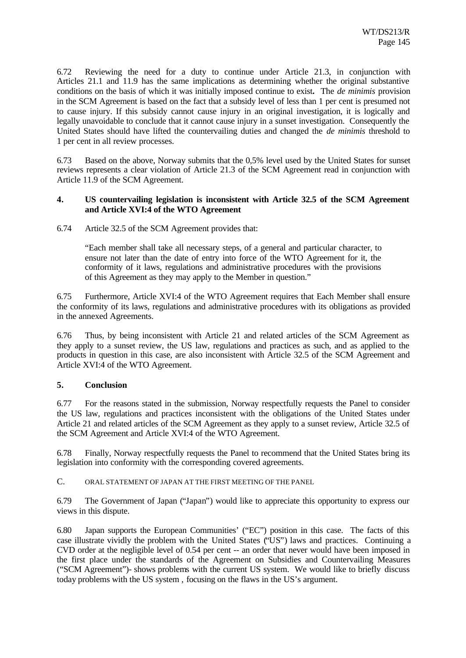6.72 Reviewing the need for a duty to continue under Article 21.3, in conjunction with Articles 21.1 and 11.9 has the same implications as determining whether the original substantive conditions on the basis of which it was initially imposed continue to exist**.** The *de minimis* provision in the SCM Agreement is based on the fact that a subsidy level of less than 1 per cent is presumed not to cause injury. If this subsidy cannot cause injury in an original investigation, it is logically and legally unavoidable to conclude that it cannot cause injury in a sunset investigation. Consequently the United States should have lifted the countervailing duties and changed the *de minimis* threshold to 1 per cent in all review processes.

6.73 Based on the above, Norway submits that the 0,5% level used by the United States for sunset reviews represents a clear violation of Article 21.3 of the SCM Agreement read in conjunction with Article 11.9 of the SCM Agreement.

#### **4. US countervailing legislation is inconsistent with Article 32.5 of the SCM Agreement and Article XVI:4 of the WTO Agreement**

6.74 Article 32.5 of the SCM Agreement provides that:

"Each member shall take all necessary steps, of a general and particular character, to ensure not later than the date of entry into force of the WTO Agreement for it, the conformity of it laws, regulations and administrative procedures with the provisions of this Agreement as they may apply to the Member in question."

6.75 Furthermore, Article XVI:4 of the WTO Agreement requires that Each Member shall ensure the conformity of its laws, regulations and administrative procedures with its obligations as provided in the annexed Agreements.

6.76 Thus, by being inconsistent with Article 21 and related articles of the SCM Agreement as they apply to a sunset review, the US law, regulations and practices as such, and as applied to the products in question in this case, are also inconsistent with Article 32.5 of the SCM Agreement and Article XVI:4 of the WTO Agreement.

### **5. Conclusion**

6.77 For the reasons stated in the submission, Norway respectfully requests the Panel to consider the US law, regulations and practices inconsistent with the obligations of the United States under Article 21 and related articles of the SCM Agreement as they apply to a sunset review, Article 32.5 of the SCM Agreement and Article XVI:4 of the WTO Agreement.

6.78 Finally, Norway respectfully requests the Panel to recommend that the United States bring its legislation into conformity with the corresponding covered agreements.

C. ORAL STATEMENT OF JAPAN AT THE FIRST MEETING OF THE PANEL

6.79 The Government of Japan ("Japan") would like to appreciate this opportunity to express our views in this dispute.

6.80 Japan supports the European Communities' ("EC") position in this case. The facts of this case illustrate vividly the problem with the United States ("US") laws and practices. Continuing a CVD order at the negligible level of 0.54 per cent -- an order that never would have been imposed in the first place under the standards of the Agreement on Subsidies and Countervailing Measures ("SCM Agreement")- shows problems with the current US system. We would like to briefly discuss today problems with the US system , focusing on the flaws in the US's argument.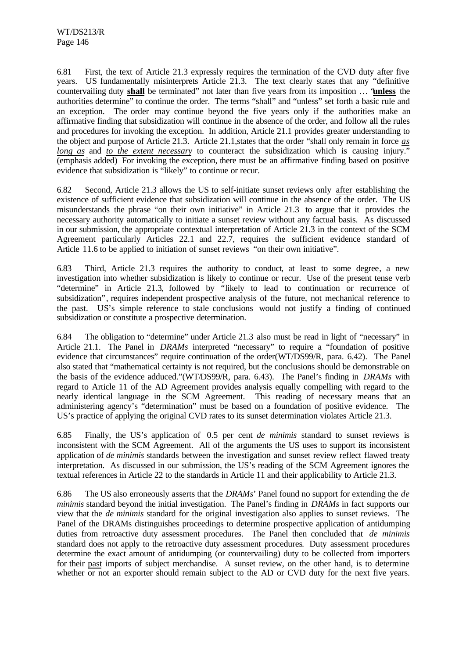6.81 First, the text of Article 21.3 expressly requires the termination of the CVD duty after five years. US fundamentally misinterprets Article 21.3. The text clearly states that any "definitive countervailing duty **shall** be terminated" not later than five years from its imposition … "**unless** the authorities determine" to continue the order. The terms "shall" and "unless" set forth a basic rule and an exception. The order may continue beyond the five years only if the authorities make an affirmative finding that subsidization will continue in the absence of the order, and follow all the rules and procedures for invoking the exception. In addition, Article 21.1 provides greater understanding to the object and purpose of Article 21.3. Article 21.1,states that the order "shall only remain in force *as long as* and *to the extent necessary* to counteract the subsidization which is causing injury." (emphasis added) For invoking the exception, there must be an affirmative finding based on positive evidence that subsidization is "likely" to continue or recur.

6.82 Second, Article 21.3 allows the US to self-initiate sunset reviews only after establishing the existence of sufficient evidence that subsidization will continue in the absence of the order. The US misunderstands the phrase "on their own initiative" in Article 21.3 to argue that it provides the necessary authority automatically to initiate a sunset review without any factual basis. As discussed in our submission, the appropriate contextual interpretation of Article 21.3 in the context of the SCM Agreement particularly Articles 22.1 and 22.7, requires the sufficient evidence standard of Article 11.6 to be applied to initiation of sunset reviews "on their own initiative".

6.83 Third, Article 21.3 requires the authority to conduct, at least to some degree, a new investigation into whether subsidization is likely to continue or recur. Use of the present tense verb "determine" in Article 21.3, followed by "likely to lead to continuation or recurrence of subsidization", requires independent prospective analysis of the future, not mechanical reference to the past. US's simple reference to stale conclusions would not justify a finding of continued subsidization or constitute a prospective determination.

6.84 The obligation to "determine" under Article 21.3 also must be read in light of "necessary" in Article 21.1. The Panel in *DRAMs* interpreted "necessary" to require a "foundation of positive evidence that circumstances" require continuation of the order(WT/DS99/R, para. 6.42). The Panel also stated that "mathematical certainty is not required, but the conclusions should be demonstrable on the basis of the evidence adduced."(WT/DS99/R, para. 6.43). The Panel's finding in *DRAMs* with regard to Article 11 of the AD Agreement provides analysis equally compelling with regard to the nearly identical language in the SCM Agreement. This reading of necessary means that an administering agency's "determination" must be based on a foundation of positive evidence. The US's practice of applying the original CVD rates to its sunset determination violates Article 21.3.

6.85 Finally, the US's application of 0.5 per cent *de minimis* standard to sunset reviews is inconsistent with the SCM Agreement. All of the arguments the US uses to support its inconsistent application of *de minimis* standards between the investigation and sunset review reflect flawed treaty interpretation. As discussed in our submission, the US's reading of the SCM Agreement ignores the textual references in Article 22 to the standards in Article 11 and their applicability to Article 21.3.

6.86 The US also erroneously asserts that the *DRAMs*' Panel found no support for extending the *de minimis* standard beyond the initial investigation. The Panel's finding in *DRAMs* in fact supports our view that the *de minimis* standard for the original investigation also applies to sunset reviews. The Panel of the DRAMs distinguishes proceedings to determine prospective application of antidumping duties from retroactive duty assessment procedures. The Panel then concluded that *de minimis* standard does not apply to the retroactive duty assessment procedures. Duty assessment procedures determine the exact amount of antidumping (or countervailing) duty to be collected from importers for their past imports of subject merchandise. A sunset review, on the other hand, is to determine whether or not an exporter should remain subject to the AD or CVD duty for the next five years.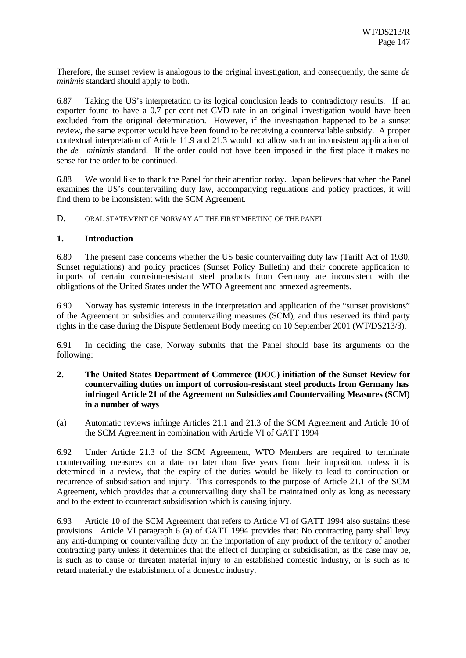Therefore, the sunset review is analogous to the original investigation, and consequently, the same *de minimis* standard should apply to both.

6.87 Taking the US's interpretation to its logical conclusion leads to contradictory results. If an exporter found to have a 0.7 per cent net CVD rate in an original investigation would have been excluded from the original determination. However, if the investigation happened to be a sunset review, the same exporter would have been found to be receiving a countervailable subsidy. A proper contextual interpretation of Article 11.9 and 21.3 would not allow such an inconsistent application of the *de minimis* standard. If the order could not have been imposed in the first place it makes no sense for the order to be continued.

6.88 We would like to thank the Panel for their attention today. Japan believes that when the Panel examines the US's countervailing duty law, accompanying regulations and policy practices, it will find them to be inconsistent with the SCM Agreement.

D. ORAL STATEMENT OF NORWAY AT THE FIRST MEETING OF THE PANEL

#### **1. Introduction**

6.89 The present case concerns whether the US basic countervailing duty law (Tariff Act of 1930, Sunset regulations) and policy practices (Sunset Policy Bulletin) and their concrete application to imports of certain corrosion-resistant steel products from Germany are inconsistent with the obligations of the United States under the WTO Agreement and annexed agreements.

6.90 Norway has systemic interests in the interpretation and application of the "sunset provisions" of the Agreement on subsidies and countervailing measures (SCM), and thus reserved its third party rights in the case during the Dispute Settlement Body meeting on 10 September 2001 (WT/DS213/3).

6.91 In deciding the case, Norway submits that the Panel should base its arguments on the following:

### **2. The United States Department of Commerce (DOC) initiation of the Sunset Review for countervailing duties on import of corrosion-resistant steel products from Germany has infringed Article 21 of the Agreement on Subsidies and Countervailing Measures (SCM) in a number of ways**

(a) Automatic reviews infringe Articles 21.1 and 21.3 of the SCM Agreement and Article 10 of the SCM Agreement in combination with Article VI of GATT 1994

6.92 Under Article 21.3 of the SCM Agreement, WTO Members are required to terminate countervailing measures on a date no later than five years from their imposition, unless it is determined in a review, that the expiry of the duties would be likely to lead to continuation or recurrence of subsidisation and injury. This corresponds to the purpose of Article 21.1 of the SCM Agreement, which provides that a countervailing duty shall be maintained only as long as necessary and to the extent to counteract subsidisation which is causing injury.

6.93 Article 10 of the SCM Agreement that refers to Article VI of GATT 1994 also sustains these provisions. Article VI paragraph 6 (a) of GATT 1994 provides that: No contracting party shall levy any anti-dumping or countervailing duty on the importation of any product of the territory of another contracting party unless it determines that the effect of dumping or subsidisation, as the case may be, is such as to cause or threaten material injury to an established domestic industry, or is such as to retard materially the establishment of a domestic industry.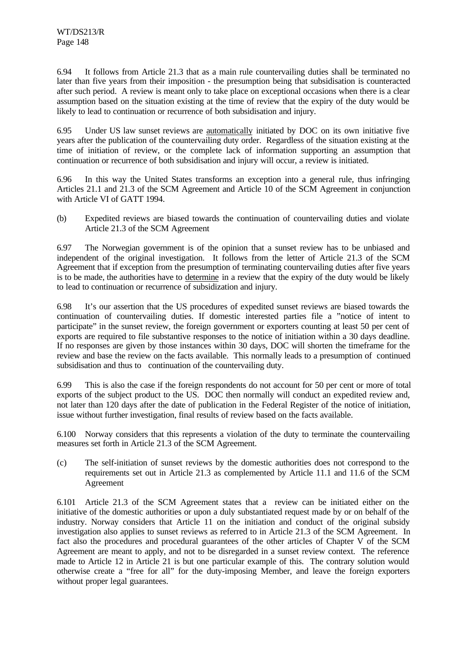6.94 It follows from Article 21.3 that as a main rule countervailing duties shall be terminated no later than five years from their imposition - the presumption being that subsidisation is counteracted after such period. A review is meant only to take place on exceptional occasions when there is a clear assumption based on the situation existing at the time of review that the expiry of the duty would be likely to lead to continuation or recurrence of both subsidisation and injury.

6.95 Under US law sunset reviews are automatically initiated by DOC on its own initiative five years after the publication of the countervailing duty order. Regardless of the situation existing at the time of initiation of review, or the complete lack of information supporting an assumption that continuation or recurrence of both subsidisation and injury will occur, a review is initiated.

6.96 In this way the United States transforms an exception into a general rule, thus infringing Articles 21.1 and 21.3 of the SCM Agreement and Article 10 of the SCM Agreement in conjunction with Article VI of GATT 1994.

(b) Expedited reviews are biased towards the continuation of countervailing duties and violate Article 21.3 of the SCM Agreement

6.97 The Norwegian government is of the opinion that a sunset review has to be unbiased and independent of the original investigation. It follows from the letter of Article 21.3 of the SCM Agreement that if exception from the presumption of terminating countervailing duties after five years is to be made, the authorities have to determine in a review that the expiry of the duty would be likely to lead to continuation or recurrence of subsidization and injury.

6.98 It's our assertion that the US procedures of expedited sunset reviews are biased towards the continuation of countervailing duties. If domestic interested parties file a "notice of intent to participate" in the sunset review, the foreign government or exporters counting at least 50 per cent of exports are required to file substantive responses to the notice of initiation within a 30 days deadline. If no responses are given by those instances within 30 days, DOC will shorten the timeframe for the review and base the review on the facts available. This normally leads to a presumption of continued subsidisation and thus to continuation of the countervailing duty.

6.99 This is also the case if the foreign respondents do not account for 50 per cent or more of total exports of the subject product to the US. DOC then normally will conduct an expedited review and, not later than 120 days after the date of publication in the Federal Register of the notice of initiation, issue without further investigation, final results of review based on the facts available.

6.100 Norway considers that this represents a violation of the duty to terminate the countervailing measures set forth in Article 21.3 of the SCM Agreement.

(c) The self-initiation of sunset reviews by the domestic authorities does not correspond to the requirements set out in Article 21.3 as complemented by Article 11.1 and 11.6 of the SCM Agreement

6.101 Article 21.3 of the SCM Agreement states that a review can be initiated either on the initiative of the domestic authorities or upon a duly substantiated request made by or on behalf of the industry. Norway considers that Article 11 on the initiation and conduct of the original subsidy investigation also applies to sunset reviews as referred to in Article 21.3 of the SCM Agreement. In fact also the procedures and procedural guarantees of the other articles of Chapter V of the SCM Agreement are meant to apply, and not to be disregarded in a sunset review context. The reference made to Article 12 in Article 21 is but one particular example of this. The contrary solution would otherwise create a "free for all" for the duty-imposing Member, and leave the foreign exporters without proper legal guarantees.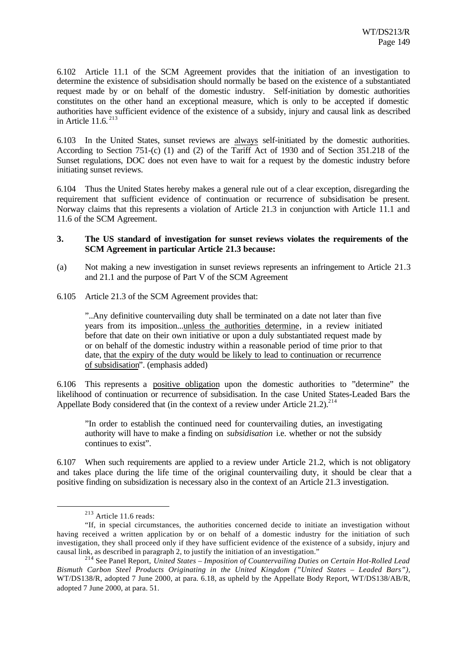6.102 Article 11.1 of the SCM Agreement provides that the initiation of an investigation to determine the existence of subsidisation should normally be based on the existence of a substantiated request made by or on behalf of the domestic industry. Self-initiation by domestic authorities constitutes on the other hand an exceptional measure, which is only to be accepted if domestic authorities have sufficient evidence of the existence of a subsidy, injury and causal link as described in Article 11.6. <sup>213</sup>

6.103 In the United States, sunset reviews are always self-initiated by the domestic authorities. According to Section 751-(c) (1) and (2) of the Tariff Act of 1930 and of Section 351.218 of the Sunset regulations, DOC does not even have to wait for a request by the domestic industry before initiating sunset reviews.

6.104 Thus the United States hereby makes a general rule out of a clear exception, disregarding the requirement that sufficient evidence of continuation or recurrence of subsidisation be present. Norway claims that this represents a violation of Article 21.3 in conjunction with Article 11.1 and 11.6 of the SCM Agreement.

### **3. The US standard of investigation for sunset reviews violates the requirements of the SCM Agreement in particular Article 21.3 because:**

- (a) Not making a new investigation in sunset reviews represents an infringement to Article 21.3 and 21.1 and the purpose of Part V of the SCM Agreement
- 6.105 Article 21.3 of the SCM Agreement provides that:

"..Any definitive countervailing duty shall be terminated on a date not later than five years from its imposition...unless the authorities determine, in a review initiated before that date on their own initiative or upon a duly substantiated request made by or on behalf of the domestic industry within a reasonable period of time prior to that date, that the expiry of the duty would be likely to lead to continuation or recurrence of subsidisation". (emphasis added)

6.106 This represents a positive obligation upon the domestic authorities to "determine" the likelihood of continuation or recurrence of subsidisation. In the case United States-Leaded Bars the Appellate Body considered that (in the context of a review under Article 21.2).<sup>214</sup>

"In order to establish the continued need for countervailing duties, an investigating authority will have to make a finding on *subsidisation* i.e. whether or not the subsidy continues to exist".

6.107 When such requirements are applied to a review under Article 21.2, which is not obligatory and takes place during the life time of the original countervailing duty, it should be clear that a positive finding on subsidization is necessary also in the context of an Article 21.3 investigation.

<sup>213</sup> Article 11.6 reads:

<sup>&</sup>quot;If, in special circumstances, the authorities concerned decide to initiate an investigation without having received a written application by or on behalf of a domestic industry for the initiation of such investigation, they shall proceed only if they have sufficient evidence of the existence of a subsidy, injury and causal link, as described in paragraph 2, to justify the initiation of an investigation."

<sup>214</sup> See Panel Report, *United States – Imposition of Countervailing Duties on Certain Hot-Rolled Lead Bismuth Carbon Steel Products Originating in the United Kingdom ("United States – Leaded Bars"),* WT/DS138/R, adopted 7 June 2000, at para. 6.18, as upheld by the Appellate Body Report, WT/DS138/AB/R, adopted 7 June 2000, at para. 51.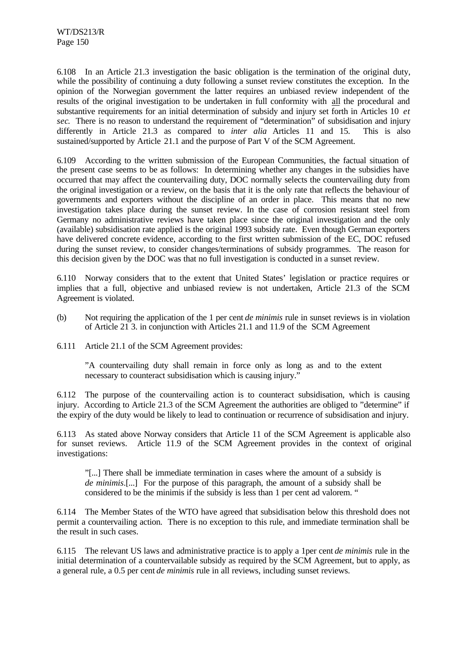6.108 In an Article 21.3 investigation the basic obligation is the termination of the original duty, while the possibility of continuing a duty following a sunset review constitutes the exception. In the opinion of the Norwegian government the latter requires an unbiased review independent of the results of the original investigation to be undertaken in full conformity with all the procedural and substantive requirements for an initial determination of subsidy and injury set forth in Articles 10 *et sec*. There is no reason to understand the requirement of "determination" of subsidisation and injury differently in Article 21.3 as compared to *inter alia* Articles 11 and 15. This is also sustained/supported by Article 21.1 and the purpose of Part V of the SCM Agreement.

6.109 According to the written submission of the European Communities, the factual situation of the present case seems to be as follows: In determining whether any changes in the subsidies have occurred that may affect the countervailing duty, DOC normally selects the countervailing duty from the original investigation or a review, on the basis that it is the only rate that reflects the behaviour of governments and exporters without the discipline of an order in place. This means that no new investigation takes place during the sunset review. In the case of corrosion resistant steel from Germany no administrative reviews have taken place since the original investigation and the only (available) subsidisation rate applied is the original 1993 subsidy rate. Even though German exporters have delivered concrete evidence, according to the first written submission of the EC, DOC refused during the sunset review, to consider changes/terminations of subsidy programmes. The reason for this decision given by the DOC was that no full investigation is conducted in a sunset review.

6.110 Norway considers that to the extent that United States' legislation or practice requires or implies that a full, objective and unbiased review is not undertaken, Article 21.3 of the SCM Agreement is violated.

- (b) Not requiring the application of the 1 per cent *de minimis* rule in sunset reviews is in violation of Article 21 3. in conjunction with Articles 21.1 and 11.9 of the SCM Agreement
- 6.111 Article 21.1 of the SCM Agreement provides:

"A countervailing duty shall remain in force only as long as and to the extent necessary to counteract subsidisation which is causing injury."

6.112 The purpose of the countervailing action is to counteract subsidisation, which is causing injury. According to Article 21.3 of the SCM Agreement the authorities are obliged to "determine" if the expiry of the duty would be likely to lead to continuation or recurrence of subsidisation and injury.

6.113 As stated above Norway considers that Article 11 of the SCM Agreement is applicable also for sunset reviews. Article 11.9 of the SCM Agreement provides in the context of original investigations:

"[...] There shall be immediate termination in cases where the amount of a subsidy is *de minimis*.[...] For the purpose of this paragraph, the amount of a subsidy shall be considered to be the minimis if the subsidy is less than 1 per cent ad valorem. "

6.114 The Member States of the WTO have agreed that subsidisation below this threshold does not permit a countervailing action. There is no exception to this rule, and immediate termination shall be the result in such cases.

6.115 The relevant US laws and administrative practice is to apply a 1per cent *de minimis* rule in the initial determination of a countervailable subsidy as required by the SCM Agreement, but to apply, as a general rule, a 0.5 per cent *de minimis* rule in all reviews, including sunset reviews.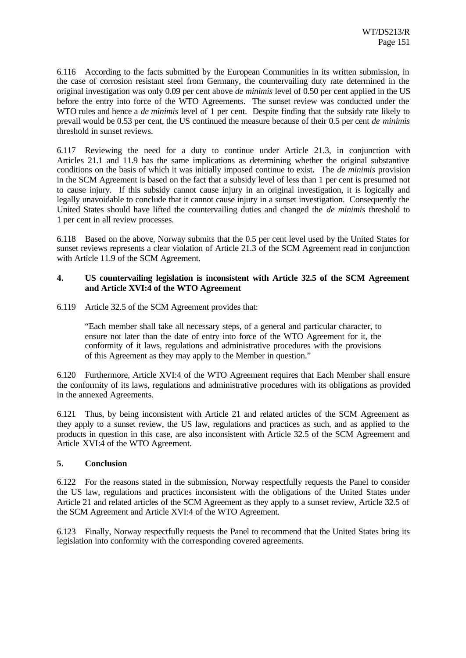6.116 According to the facts submitted by the European Communities in its written submission, in the case of corrosion resistant steel from Germany, the countervailing duty rate determined in the original investigation was only 0.09 per cent above *de minimis* level of 0.50 per cent applied in the US before the entry into force of the WTO Agreements. The sunset review was conducted under the WTO rules and hence a *de minimis* level of 1 per cent. Despite finding that the subsidy rate likely to prevail would be 0.53 per cent, the US continued the measure because of their 0.5 per cent *de minimis* threshold in sunset reviews.

6.117 Reviewing the need for a duty to continue under Article 21.3, in conjunction with Articles 21.1 and 11.9 has the same implications as determining whether the original substantive conditions on the basis of which it was initially imposed continue to exist**.** The *de minimis* provision in the SCM Agreement is based on the fact that a subsidy level of less than 1 per cent is presumed not to cause injury. If this subsidy cannot cause injury in an original investigation, it is logically and legally unavoidable to conclude that it cannot cause injury in a sunset investigation. Consequently the United States should have lifted the countervailing duties and changed the *de minimis* threshold to 1 per cent in all review processes.

6.118 Based on the above, Norway submits that the 0.5 per cent level used by the United States for sunset reviews represents a clear violation of Article 21.3 of the SCM Agreement read in conjunction with Article 11.9 of the SCM Agreement.

### **4. US countervailing legislation is inconsistent with Article 32.5 of the SCM Agreement and Article XVI:4 of the WTO Agreement**

6.119 Article 32.5 of the SCM Agreement provides that:

"Each member shall take all necessary steps, of a general and particular character, to ensure not later than the date of entry into force of the WTO Agreement for it, the conformity of it laws, regulations and administrative procedures with the provisions of this Agreement as they may apply to the Member in question."

6.120 Furthermore, Article XVI:4 of the WTO Agreement requires that Each Member shall ensure the conformity of its laws, regulations and administrative procedures with its obligations as provided in the annexed Agreements.

6.121 Thus, by being inconsistent with Article 21 and related articles of the SCM Agreement as they apply to a sunset review, the US law, regulations and practices as such, and as applied to the products in question in this case, are also inconsistent with Article 32.5 of the SCM Agreement and Article XVI:4 of the WTO Agreement.

#### **5. Conclusion**

6.122 For the reasons stated in the submission, Norway respectfully requests the Panel to consider the US law, regulations and practices inconsistent with the obligations of the United States under Article 21 and related articles of the SCM Agreement as they apply to a sunset review, Article 32.5 of the SCM Agreement and Article XVI:4 of the WTO Agreement.

6.123 Finally, Norway respectfully requests the Panel to recommend that the United States bring its legislation into conformity with the corresponding covered agreements.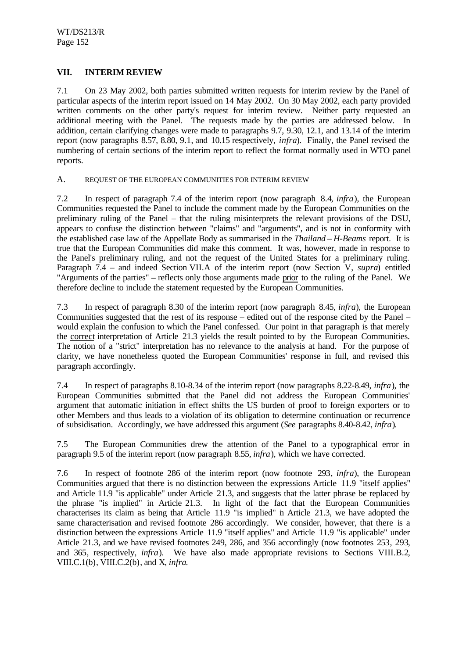# **VII. INTERIM REVIEW**

7.1 On 23 May 2002, both parties submitted written requests for interim review by the Panel of particular aspects of the interim report issued on 14 May 2002. On 30 May 2002, each party provided written comments on the other party's request for interim review. Neither party requested an additional meeting with the Panel. The requests made by the parties are addressed below. In addition, certain clarifying changes were made to paragraphs 9.7, 9.30, 12.1, and 13.14 of the interim report (now paragraphs 8.57, 8.80, 9.1, and 10.15 respectively, *infra*). Finally, the Panel revised the numbering of certain sections of the interim report to reflect the format normally used in WTO panel reports.

### A. REQUEST OF THE EUROPEAN COMMUNITIES FOR INTERIM REVIEW

7.2 In respect of paragraph 7.4 of the interim report (now paragraph 8.4, *infra*), the European Communities requested the Panel to include the comment made by the European Communities on the preliminary ruling of the Panel – that the ruling misinterprets the relevant provisions of the DSU, appears to confuse the distinction between "claims" and "arguments", and is not in conformity with the established case law of the Appellate Body as summarised in the *Thailand – H-Beams* report. It is true that the European Communities did make this comment. It was, however, made in response to the Panel's preliminary ruling, and not the request of the United States for a preliminary ruling. Paragraph 7.4 – and indeed Section VII.A of the interim report (now Section V, *supra*) entitled "Arguments of the parties" – reflects only those arguments made prior to the ruling of the Panel. We therefore decline to include the statement requested by the European Communities.

7.3 In respect of paragraph 8.30 of the interim report (now paragraph 8.45, *infra*), the European Communities suggested that the rest of its response – edited out of the response cited by the Panel – would explain the confusion to which the Panel confessed. Our point in that paragraph is that merely the correct interpretation of Article 21.3 yields the result pointed to by the European Communities. The notion of a "strict" interpretation has no relevance to the analysis at hand. For the purpose of clarity, we have nonetheless quoted the European Communities' response in full, and revised this paragraph accordingly.

7.4 In respect of paragraphs 8.10-8.34 of the interim report (now paragraphs 8.22-8.49, *infra*), the European Communities submitted that the Panel did not address the European Communities' argument that automatic initiation in effect shifts the US burden of proof to foreign exporters or to other Members and thus leads to a violation of its obligation to determine continuation or recurrence of subsidisation. Accordingly, we have addressed this argument (*See* paragraphs 8.40-8.42, *infra*).

7.5 The European Communities drew the attention of the Panel to a typographical error in paragraph 9.5 of the interim report (now paragraph 8.55, *infra*), which we have corrected.

7.6 In respect of footnote 286 of the interim report (now footnote 293, *infra*), the European Communities argued that there is no distinction between the expressions Article 11.9 "itself applies" and Article 11.9 "is applicable" under Article 21.3, and suggests that the latter phrase be replaced by the phrase "is implied" in Article 21.3. In light of the fact that the European Communities characterises its claim as being that Article 11.9 "is implied" in Article 21.3, we have adopted the same characterisation and revised footnote 286 accordingly. We consider, however, that there is a distinction between the expressions Article 11.9 "itself applies" and Article 11.9 "is applicable" under Article 21.3, and we have revised footnotes 249, 286, and 356 accordingly (now footnotes 253, 293, and 365, respectively, *infra*). We have also made appropriate revisions to Sections VIII.B.2, VIII.C.1(b), VIII.C.2(b), and X, *infra*.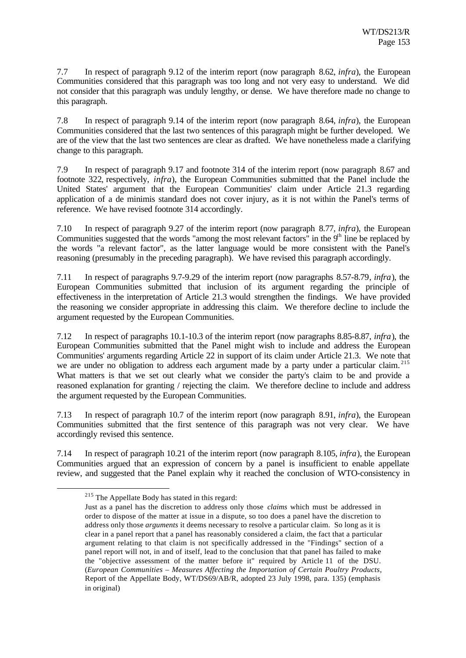7.7 In respect of paragraph 9.12 of the interim report (now paragraph 8.62, *infra*), the European Communities considered that this paragraph was too long and not very easy to understand. We did not consider that this paragraph was unduly lengthy, or dense. We have therefore made no change to this paragraph.

7.8 In respect of paragraph 9.14 of the interim report (now paragraph 8.64, *infra*), the European Communities considered that the last two sentences of this paragraph might be further developed. We are of the view that the last two sentences are clear as drafted. We have nonetheless made a clarifying change to this paragraph.

7.9 In respect of paragraph 9.17 and footnote 314 of the interim report (now paragraph 8.67 and footnote 322, respectively, *infra*), the European Communities submitted that the Panel include the United States' argument that the European Communities' claim under Article 21.3 regarding application of a de minimis standard does not cover injury, as it is not within the Panel's terms of reference. We have revised footnote 314 accordingly.

7.10 In respect of paragraph 9.27 of the interim report (now paragraph 8.77, *infra*), the European Communities suggested that the words "among the most relevant factors" in the 9<sup>th</sup> line be replaced by the words "a relevant factor", as the latter language would be more consistent with the Panel's reasoning (presumably in the preceding paragraph). We have revised this paragraph accordingly.

7.11 In respect of paragraphs 9.7-9.29 of the interim report (now paragraphs 8.57-8.79, *infra*), the European Communities submitted that inclusion of its argument regarding the principle of effectiveness in the interpretation of Article 21.3 would strengthen the findings. We have provided the reasoning we consider appropriate in addressing this claim. We therefore decline to include the argument requested by the European Communities.

7.12 In respect of paragraphs 10.1-10.3 of the interim report (now paragraphs 8.85-8.87, *infra*), the European Communities submitted that the Panel might wish to include and address the European Communities' arguments regarding Article 22 in support of its claim under Article 21.3. We note that we are under no obligation to address each argument made by a party under a particular claim.<sup>215</sup> What matters is that we set out clearly what we consider the party's claim to be and provide a reasoned explanation for granting / rejecting the claim. We therefore decline to include and address the argument requested by the European Communities.

7.13 In respect of paragraph 10.7 of the interim report (now paragraph 8.91, *infra*), the European Communities submitted that the first sentence of this paragraph was not very clear. We have accordingly revised this sentence.

7.14 In respect of paragraph 10.21 of the interim report (now paragraph 8.105, *infra*), the European Communities argued that an expression of concern by a panel is insufficient to enable appellate review, and suggested that the Panel explain why it reached the conclusion of WTO-consistency in

<sup>215</sup> The Appellate Body has stated in this regard:

Just as a panel has the discretion to address only those *claims* which must be addressed in order to dispose of the matter at issue in a dispute, so too does a panel have the discretion to address only those *arguments* it deems necessary to resolve a particular claim. So long as it is clear in a panel report that a panel has reasonably considered a claim, the fact that a particular argument relating to that claim is not specifically addressed in the "Findings" section of a panel report will not, in and of itself, lead to the conclusion that that panel has failed to make the "objective assessment of the matter before it" required by Article 11 of the DSU. (*European Communities – Measures Affecting the Importation of Certain Poultry Products*, Report of the Appellate Body, WT/DS69/AB/R, adopted 23 July 1998, para. 135) (emphasis in original)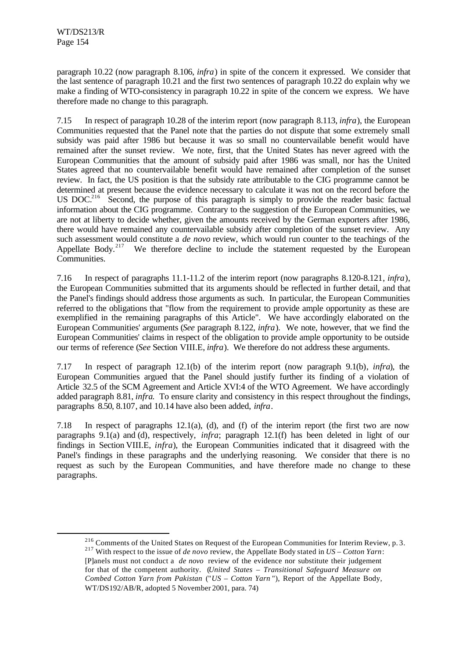l

paragraph 10.22 (now paragraph 8.106, *infra*) in spite of the concern it expressed. We consider that the last sentence of paragraph 10.21 and the first two sentences of paragraph 10.22 do explain why we make a finding of WTO-consistency in paragraph 10.22 in spite of the concern we express. We have therefore made no change to this paragraph.

7.15 In respect of paragraph 10.28 of the interim report (now paragraph 8.113, *infra*), the European Communities requested that the Panel note that the parties do not dispute that some extremely small subsidy was paid after 1986 but because it was so small no countervailable benefit would have remained after the sunset review. We note, first, that the United States has never agreed with the European Communities that the amount of subsidy paid after 1986 was small, nor has the United States agreed that no countervailable benefit would have remained after completion of the sunset review. In fact, the US position is that the subsidy rate attributable to the CIG programme cannot be determined at present because the evidence necessary to calculate it was not on the record before the US DOC.<sup>216</sup> Second, the purpose of this paragraph is simply to provide the reader basic factual information about the CIG programme. Contrary to the suggestion of the European Communities, we are not at liberty to decide whether, given the amounts received by the German exporters after 1986, there would have remained any countervailable subsidy after completion of the sunset review. Any such assessment would constitute a *de novo* review, which would run counter to the teachings of the Appellate Body.<sup>217</sup> We therefore decline to include the statement requested by the European Communities.

7.16 In respect of paragraphs 11.1-11.2 of the interim report (now paragraphs 8.120-8.121, *infra*), the European Communities submitted that its arguments should be reflected in further detail, and that the Panel's findings should address those arguments as such. In particular, the European Communities referred to the obligations that "flow from the requirement to provide ample opportunity as these are exemplified in the remaining paragraphs of this Article". We have accordingly elaborated on the European Communities' arguments (*See* paragraph 8.122, *infra*). We note, however, that we find the European Communities' claims in respect of the obligation to provide ample opportunity to be outside our terms of reference (*See* Section VIII.E, *infra*). We therefore do not address these arguments.

7.17 In respect of paragraph 12.1(b) of the interim report (now paragraph 9.1(b), *infra*), the European Communities argued that the Panel should justify further its finding of a violation of Article 32.5 of the SCM Agreement and Article XVI:4 of the WTO Agreement. We have accordingly added paragraph 8.81, *infra*. To ensure clarity and consistency in this respect throughout the findings, paragraphs 8.50, 8.107, and 10.14 have also been added, *infra*.

7.18 In respect of paragraphs 12.1(a), (d), and (f) of the interim report (the first two are now paragraphs 9.1(a) and (d), respectively, *infra*; paragraph 12.1(f) has been deleted in light of our findings in Section VIII.E, *infra*), the European Communities indicated that it disagreed with the Panel's findings in these paragraphs and the underlying reasoning. We consider that there is no request as such by the European Communities, and have therefore made no change to these paragraphs.

<sup>&</sup>lt;sup>216</sup> Comments of the United States on Request of the European Communities for Interim Review, p. 3.

<sup>217</sup> With respect to the issue of *de novo* review, the Appellate Body stated in *US – Cotton Yarn*: [P]anels must not conduct a *de novo* review of the evidence nor substitute their judgement for that of the competent authority. (*United States – Transitional Safeguard Measure on Combed Cotton Yarn from Pakistan* ("*US – Cotton Yarn* "), Report of the Appellate Body, WT/DS192/AB/R, adopted 5 November 2001, para. 74)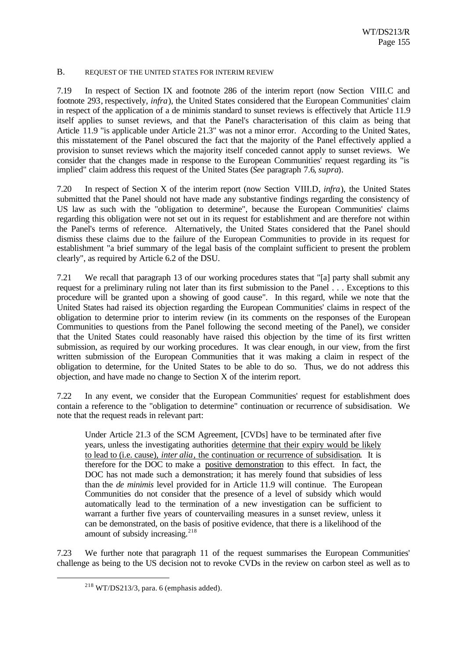#### B. REQUEST OF THE UNITED STATES FOR INTERIM REVIEW

7.19 In respect of Section IX and footnote 286 of the interim report (now Section VIII.C and footnote 293, respectively, *infra*), the United States considered that the European Communities' claim in respect of the application of a de minimis standard to sunset reviews is effectively that Article 11.9 itself applies to sunset reviews, and that the Panel's characterisation of this claim as being that Article 11.9 "is applicable under Article 21.3" was not a minor error. According to the United States, this misstatement of the Panel obscured the fact that the majority of the Panel effectively applied a provision to sunset reviews which the majority itself conceded cannot apply to sunset reviews. We consider that the changes made in response to the European Communities' request regarding its "is implied" claim address this request of the United States (*See* paragraph 7.6, *supra*).

7.20 In respect of Section X of the interim report (now Section VIII.D, *infra*), the United States submitted that the Panel should not have made any substantive findings regarding the consistency of US law as such with the "obligation to determine", because the European Communities' claims regarding this obligation were not set out in its request for establishment and are therefore not within the Panel's terms of reference. Alternatively, the United States considered that the Panel should dismiss these claims due to the failure of the European Communities to provide in its request for establishment "a brief summary of the legal basis of the complaint sufficient to present the problem clearly", as required by Article 6.2 of the DSU.

7.21 We recall that paragraph 13 of our working procedures states that "[a] party shall submit any request for a preliminary ruling not later than its first submission to the Panel . . . Exceptions to this procedure will be granted upon a showing of good cause". In this regard, while we note that the United States had raised its objection regarding the European Communities' claims in respect of the obligation to determine prior to interim review (in its comments on the responses of the European Communities to questions from the Panel following the second meeting of the Panel), we consider that the United States could reasonably have raised this objection by the time of its first written submission, as required by our working procedures. It was clear enough, in our view, from the first written submission of the European Communities that it was making a claim in respect of the obligation to determine, for the United States to be able to do so. Thus, we do not address this objection, and have made no change to Section X of the interim report.

7.22 In any event, we consider that the European Communities' request for establishment does contain a reference to the "obligation to determine" continuation or recurrence of subsidisation. We note that the request reads in relevant part:

Under Article 21.3 of the SCM Agreement, [CVDs] have to be terminated after five years, unless the investigating authorities determine that their expiry would be likely to lead to (i.e. cause), *inter alia*, the continuation or recurrence of subsidisation. It is therefore for the DOC to make a positive demonstration to this effect. In fact, the DOC has not made such a demonstration; it has merely found that subsidies of less than the *de minimis* level provided for in Article 11.9 will continue. The European Communities do not consider that the presence of a level of subsidy which would automatically lead to the termination of a new investigation can be sufficient to warrant a further five years of countervailing measures in a sunset review, unless it can be demonstrated, on the basis of positive evidence, that there is a likelihood of the amount of subsidy increasing. $^{218}$ 

7.23 We further note that paragraph 11 of the request summarises the European Communities' challenge as being to the US decision not to revoke CVDs in the review on carbon steel as well as to

 $218$  WT/DS213/3, para. 6 (emphasis added).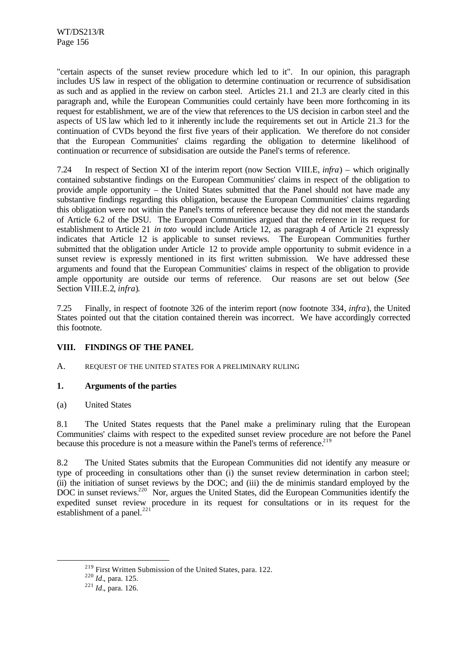"certain aspects of the sunset review procedure which led to it". In our opinion, this paragraph includes US law in respect of the obligation to determine continuation or recurrence of subsidisation as such and as applied in the review on carbon steel. Articles 21.1 and 21.3 are clearly cited in this paragraph and, while the European Communities could certainly have been more forthcoming in its request for establishment, we are of the view that references to the US decision in carbon steel and the aspects of US law which led to it inherently include the requirements set out in Article 21.3 for the continuation of CVDs beyond the first five years of their application. We therefore do not consider that the European Communities' claims regarding the obligation to determine likelihood of continuation or recurrence of subsidisation are outside the Panel's terms of reference.

7.24 In respect of Section XI of the interim report (now Section VIII.E, *infra*) – which originally contained substantive findings on the European Communities' claims in respect of the obligation to provide ample opportunity – the United States submitted that the Panel should not have made any substantive findings regarding this obligation, because the European Communities' claims regarding this obligation were not within the Panel's terms of reference because they did not meet the standards of Article 6.2 of the DSU. The European Communities argued that the reference in its request for establishment to Article 21 *in toto* would include Article 12, as paragraph 4 of Article 21 expressly indicates that Article 12 is applicable to sunset reviews. The European Communities further submitted that the obligation under Article 12 to provide ample opportunity to submit evidence in a sunset review is expressly mentioned in its first written submission. We have addressed these arguments and found that the European Communities' claims in respect of the obligation to provide ample opportunity are outside our terms of reference. Our reasons are set out below (*See* Section VIII.E.2, *infra*).

7.25 Finally, in respect of footnote 326 of the interim report (now footnote 334, *infra*), the United States pointed out that the citation contained therein was incorrect. We have accordingly corrected this footnote.

# **VIII. FINDINGS OF THE PANEL**

A. REQUEST OF THE UNITED STATES FOR A PRELIMINARY RULING

# **1. Arguments of the parties**

(a) United States

8.1 The United States requests that the Panel make a preliminary ruling that the European Communities' claims with respect to the expedited sunset review procedure are not before the Panel because this procedure is not a measure within the Panel's terms of reference.<sup>219</sup>

8.2 The United States submits that the European Communities did not identify any measure or type of proceeding in consultations other than (i) the sunset review determination in carbon steel; (ii) the initiation of sunset reviews by the DOC; and (iii) the de minimis standard employed by the DOC in sunset reviews.<sup>220</sup> Nor, argues the United States, did the European Communities identify the expedited sunset review procedure in its request for consultations or in its request for the establishment of a panel.<sup>221</sup>

<sup>219</sup> First Written Submission of the United States, para. 122.

<sup>220</sup> *Id.*, para. 125.

 $^{221}$  *Id.*, para. 126.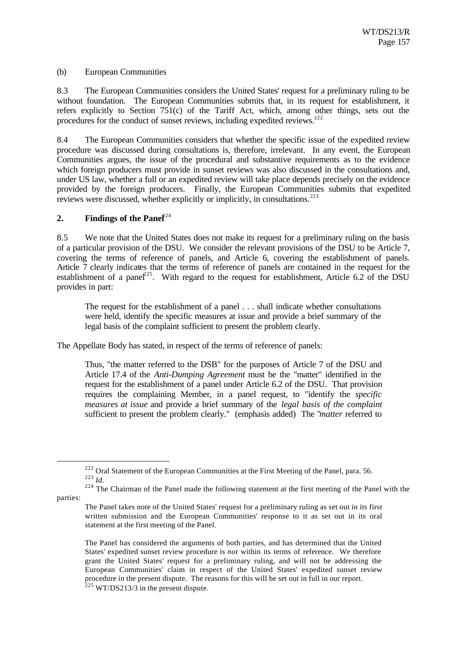### (b) European Communities

8.3 The European Communities considers the United States' request for a preliminary ruling to be without foundation. The European Communities submits that, in its request for establishment, it refers explicitly to Section 751(c) of the Tariff Act, which, among other things, sets out the procedures for the conduct of sunset reviews, including expedited reviews.<sup>222</sup>

8.4 The European Communities considers that whether the specific issue of the expedited review procedure was discussed during consultations is, therefore, irrelevant. In any event, the European Communities argues, the issue of the procedural and substantive requirements as to the evidence which foreign producers must provide in sunset reviews was also discussed in the consultations and, under US law, whether a full or an expedited review will take place depends precisely on the evidence provided by the foreign producers. Finally, the European Communities submits that expedited reviews were discussed, whether explicitly or implicitly, in consultations.<sup>223</sup>

### **2. Findings of the Panel**<sup>224</sup>

8.5 We note that the United States does not make its request for a preliminary ruling on the basis of a particular provision of the DSU. We consider the relevant provisions of the DSU to be Article 7, covering the terms of reference of panels, and Article 6, covering the establishment of panels. Article 7 clearly indicates that the terms of reference of panels are contained in the request for the establishment of a panel<sup>225</sup>. With regard to the request for establishment, Article 6.2 of the DSU provides in part:

The request for the establishment of a panel . . . shall indicate whether consultations were held, identify the specific measures at issue and provide a brief summary of the legal basis of the complaint sufficient to present the problem clearly.

The Appellate Body has stated, in respect of the terms of reference of panels:

Thus, "the matter referred to the DSB" for the purposes of Article 7 of the DSU and Article 17.4 of the *Anti-Dumping Agreement* must be the "matter" identified in the request for the establishment of a panel under Article 6.2 of the DSU. That provision requires the complaining Member, in a panel request, to "identify the *specific measures at issue* and provide a brief summary of the *legal basis of the complaint* sufficient to present the problem clearly." (emphasis added) The "*matter* referred to

parties:

<sup>&</sup>lt;sup>222</sup> Oral Statement of the European Communities at the First Meeting of the Panel, para. 56. <sup>223</sup> *Id.*

<sup>&</sup>lt;sup>224</sup> The Chairman of the Panel made the following statement at the first meeting of the Panel with the

The Panel takes note of the United States' request for a preliminary ruling as set out in its first written submission and the European Communities' response to it as set out in its oral statement at the first meeting of the Panel.

The Panel has considered the arguments of both parties, and has determined that the United States' expedited sunset review procedure is *not* within its terms of reference. We therefore grant the United States' request for a preliminary ruling, and will not be addressing the European Communities' claim in respect of the United States' expedited sunset review procedure in the present dispute. The reasons for this will be set out in full in our report.  $^{225}$  WT/DS213/3 in the present dispute.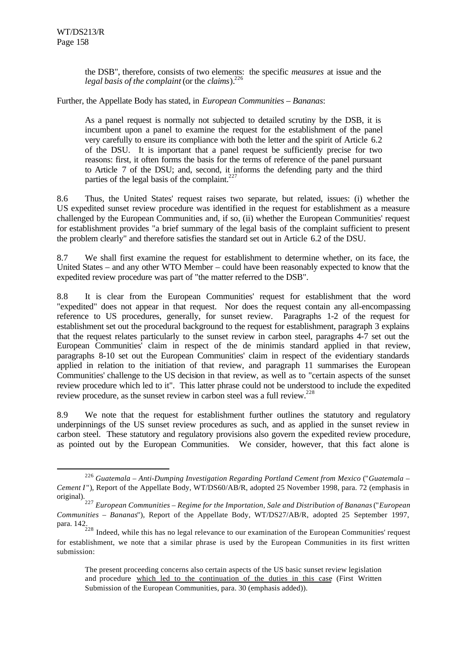l

the DSB", therefore, consists of two elements: the specific *measures* at issue and the *legal basis of the complaint* (or the *claims*).<sup>226</sup>

Further, the Appellate Body has stated, in *European Communities – Bananas*:

As a panel request is normally not subjected to detailed scrutiny by the DSB, it is incumbent upon a panel to examine the request for the establishment of the panel very carefully to ensure its compliance with both the letter and the spirit of Article 6.2 of the DSU. It is important that a panel request be sufficiently precise for two reasons: first, it often forms the basis for the terms of reference of the panel pursuant to Article 7 of the DSU; and, second, it informs the defending party and the third parties of the legal basis of the complaint.<sup>227</sup>

8.6 Thus, the United States' request raises two separate, but related, issues: (i) whether the US expedited sunset review procedure was identified in the request for establishment as a measure challenged by the European Communities and, if so, (ii) whether the European Communities' request for establishment provides "a brief summary of the legal basis of the complaint sufficient to present the problem clearly" and therefore satisfies the standard set out in Article 6.2 of the DSU.

8.7 We shall first examine the request for establishment to determine whether, on its face, the United States – and any other WTO Member – could have been reasonably expected to know that the expedited review procedure was part of "the matter referred to the DSB".

8.8 It is clear from the European Communities' request for establishment that the word "expedited" does not appear in that request. Nor does the request contain any all-encompassing reference to US procedures, generally, for sunset review. Paragraphs 1-2 of the request for establishment set out the procedural background to the request for establishment, paragraph 3 explains that the request relates particularly to the sunset review in carbon steel, paragraphs 4-7 set out the European Communities' claim in respect of the de minimis standard applied in that review, paragraphs 8-10 set out the European Communities' claim in respect of the evidentiary standards applied in relation to the initiation of that review, and paragraph 11 summarises the European Communities' challenge to the US decision in that review, as well as to "certain aspects of the sunset review procedure which led to it". This latter phrase could not be understood to include the expedited review procedure, as the sunset review in carbon steel was a full review.<sup>228</sup>

8.9 We note that the request for establishment further outlines the statutory and regulatory underpinnings of the US sunset review procedures as such, and as applied in the sunset review in carbon steel. These statutory and regulatory provisions also govern the expedited review procedure, as pointed out by the European Communities. We consider, however, that this fact alone is

<sup>226</sup> *Guatemala – Anti-Dumping Investigation Regarding Portland Cement from Mexico* ("*Guatemala – Cement I*"), Report of the Appellate Body, WT/DS60/AB/R, adopted 25 November 1998, para. 72 (emphasis in original).

<sup>227</sup> *European Communities – Regime for the Importation, Sale and Distribution of Bananas* ("*European Communities – Bananas*"), Report of the Appellate Body*,* WT/DS27/AB/R, adopted 25 September 1997, para. 142.

 $228$  Indeed, while this has no legal relevance to our examination of the European Communities' request for establishment, we note that a similar phrase is used by the European Communities in its first written submission:

The present proceeding concerns also certain aspects of the US basic sunset review legislation and procedure which led to the continuation of the duties in this case (First Written Submission of the European Communities, para. 30 (emphasis added)).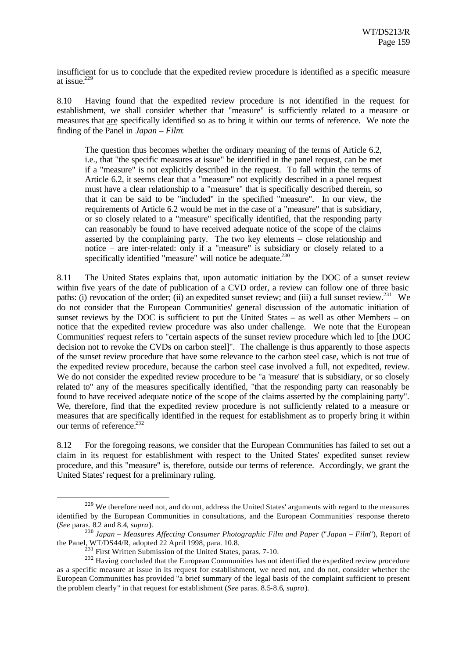insufficient for us to conclude that the expedited review procedure is identified as a specific measure at issue.<sup>229</sup>

8.10 Having found that the expedited review procedure is not identified in the request for establishment, we shall consider whether that "measure" is sufficiently related to a measure or measures that are specifically identified so as to bring it within our terms of reference. We note the finding of the Panel in *Japan – Film*:

The question thus becomes whether the ordinary meaning of the terms of Article 6.2, i.e., that "the specific measures at issue" be identified in the panel request, can be met if a "measure" is not explicitly described in the request. To fall within the terms of Article 6.2, it seems clear that a "measure" not explicitly described in a panel request must have a clear relationship to a "measure" that is specifically described therein, so that it can be said to be "included" in the specified "measure". In our view, the requirements of Article 6.2 would be met in the case of a "measure" that is subsidiary, or so closely related to a "measure" specifically identified, that the responding party can reasonably be found to have received adequate notice of the scope of the claims asserted by the complaining party. The two key elements – close relationship and notice – are inter-related: only if a "measure" is subsidiary or closely related to a specifically identified "measure" will notice be adequate.<sup>230</sup>

8.11 The United States explains that, upon automatic initiation by the DOC of a sunset review within five years of the date of publication of a CVD order, a review can follow one of three basic paths: (i) revocation of the order; (ii) an expedited sunset review; and (iii) a full sunset review.<sup>231</sup> We do not consider that the European Communities' general discussion of the automatic initiation of sunset reviews by the DOC is sufficient to put the United States – as well as other Members – on notice that the expedited review procedure was also under challenge. We note that the European Communities' request refers to "certain aspects of the sunset review procedure which led to [the DOC decision not to revoke the CVDs on carbon steel]". The challenge is thus apparently to those aspects of the sunset review procedure that have some relevance to the carbon steel case, which is not true of the expedited review procedure, because the carbon steel case involved a full, not expedited, review. We do not consider the expedited review procedure to be "a 'measure' that is subsidiary, or so closely related to" any of the measures specifically identified, "that the responding party can reasonably be found to have received adequate notice of the scope of the claims asserted by the complaining party". We, therefore, find that the expedited review procedure is not sufficiently related to a measure or measures that are specifically identified in the request for establishment as to properly bring it within our terms of reference.<sup>232</sup>

8.12 For the foregoing reasons, we consider that the European Communities has failed to set out a claim in its request for establishment with respect to the United States' expedited sunset review procedure, and this "measure" is, therefore, outside our terms of reference. Accordingly, we grant the United States' request for a preliminary ruling.

<sup>&</sup>lt;sup>229</sup> We therefore need not, and do not, address the United States' arguments with regard to the measures identified by the European Communities in consultations, and the European Communities' response thereto (*See* paras. 8.2 and 8.4, *supra*).

<sup>230</sup> *Japan – Measures Affecting Consumer Photographic Film and Paper* ("*Japan – Film*"), Report of the Panel, WT/DS44/R, adopted 22 April 1998, para. 10.8.

 $^{231}$  First Written Submission of the United States, paras. 7-10.

<sup>&</sup>lt;sup>232</sup> Having concluded that the European Communities has not identified the expedited review procedure as a specific measure at issue in its request for establishment, we need not, and do not, consider whether the European Communities has provided "a brief summary of the legal basis of the complaint sufficient to present the problem clearly" in that request for establishment (*See* paras. 8.5-8.6, *supra*).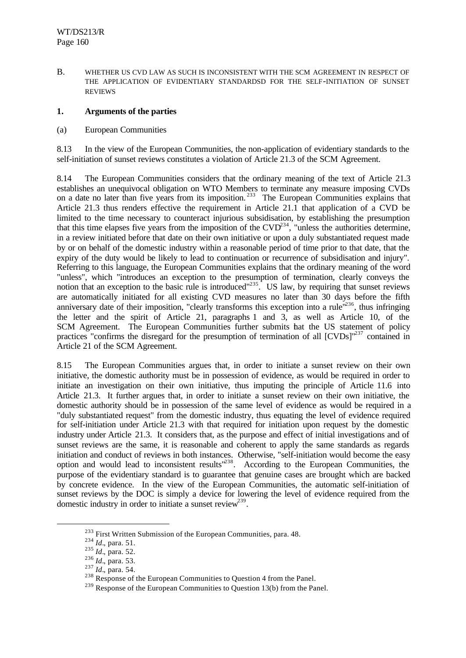B. WHETHER US CVD LAW AS SUCH IS INCONSISTENT WITH THE SCM AGREEMENT IN RESPECT OF THE APPLICATION OF EVIDENTIARY STANDARDSD FOR THE SELF-INITIATION OF SUNSET REVIEWS

### **1. Arguments of the parties**

(a) European Communities

8.13 In the view of the European Communities, the non-application of evidentiary standards to the self-initiation of sunset reviews constitutes a violation of Article 21.3 of the SCM Agreement.

8.14 The European Communities considers that the ordinary meaning of the text of Article 21.3 establishes an unequivocal obligation on WTO Members to terminate any measure imposing CVDs on a date no later than five years from its imposition.<sup>233</sup> The European Communities explains that Article 21.3 thus renders effective the requirement in Article 21.1 that application of a CVD be limited to the time necessary to counteract injurious subsidisation, by establishing the presumption that this time elapses five years from the imposition of the  $CVD^{234}$ , "unless the authorities determine, in a review initiated before that date on their own initiative or upon a duly substantiated request made by or on behalf of the domestic industry within a reasonable period of time prior to that date, that the expiry of the duty would be likely to lead to continuation or recurrence of subsidisation and injury". Referring to this language, the European Communities explains that the ordinary meaning of the word "unless", which "introduces an exception to the presumption of termination, clearly conveys the notion that an exception to the basic rule is introduced<sup>"235</sup>. US law, by requiring that sunset reviews are automatically initiated for all existing CVD measures no later than 30 days before the fifth anniversary date of their imposition, "clearly transforms this exception into a rule $\mathrm{m}^{236}$ , thus infringing the letter and the spirit of Article 21, paragraphs 1 and 3, as well as Article 10, of the SCM Agreement. The European Communities further submits hat the US statement of policy practices "confirms the disregard for the presumption of termination of all [CVDs]"<sup>237</sup> contained in Article 21 of the SCM Agreement.

8.15 The European Communities argues that, in order to initiate a sunset review on their own initiative, the domestic authority must be in possession of evidence, as would be required in order to initiate an investigation on their own initiative, thus imputing the principle of Article 11.6 into Article 21.3. It further argues that, in order to initiate a sunset review on their own initiative, the domestic authority should be in possession of the same level of evidence as would be required in a "duly substantiated request" from the domestic industry, thus equating the level of evidence required for self-initiation under Article 21.3 with that required for initiation upon request by the domestic industry under Article 21.3. It considers that, as the purpose and effect of initial investigations and of sunset reviews are the same, it is reasonable and coherent to apply the same standards as regards initiation and conduct of reviews in both instances. Otherwise, "self-initiation would become the easy option and would lead to inconsistent results<sup>1238</sup>. According to the European Communities, the purpose of the evidentiary standard is to guarantee that genuine cases are brought which are backed by concrete evidence. In the view of the European Communities, the automatic self-initiation of sunset reviews by the DOC is simply a device for lowering the level of evidence required from the domestic industry in order to initiate a sunset review<sup>239</sup>.

<sup>&</sup>lt;sup>233</sup> First Written Submission of the European Communities, para. 48.

<sup>234</sup> *Id.*, para. 51.

<sup>235</sup> *Id.*, para. 52.

<sup>236</sup> *Id.*, para. 53.

<sup>237</sup> *Id.*, para. 54.

<sup>&</sup>lt;sup>238</sup> Response of the European Communities to Question 4 from the Panel.

<sup>&</sup>lt;sup>239</sup> Response of the European Communities to Question 13(b) from the Panel.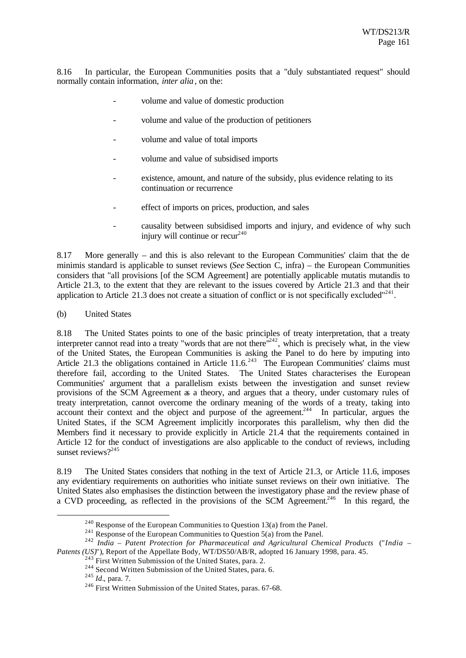8.16 In particular, the European Communities posits that a "duly substantiated request" should normally contain information, *inter alia*, on the:

- volume and value of domestic production
- volume and value of the production of petitioners
- volume and value of total imports
- volume and value of subsidised imports
- existence, amount, and nature of the subsidy, plus evidence relating to its continuation or recurrence
- effect of imports on prices, production, and sales
- causality between subsidised imports and injury, and evidence of why such injury will continue or  $recur<sup>240</sup>$

8.17 More generally – and this is also relevant to the European Communities' claim that the de minimis standard is applicable to sunset reviews (*See* Section C, infra) – the European Communities considers that "all provisions [of the SCM Agreement] are potentially applicable mutatis mutandis to Article 21.3, to the extent that they are relevant to the issues covered by Article 21.3 and that their application to Article 21.3 does not create a situation of conflict or is not specifically excluded" $^{241}$ .

(b) United States

8.18 The United States points to one of the basic principles of treaty interpretation, that a treaty interpreter cannot read into a treaty "words that are not there"<sup>242</sup>, which is precisely what, in the view of the United States, the European Communities is asking the Panel to do here by imputing into Article 21.3 the obligations contained in Article  $11.6$ <sup>243</sup> The European Communities' claims must therefore fail, according to the United States. The United States characterises the European Communities' argument that a parallelism exists between the investigation and sunset review provisions of the SCM Agreement as a theory, and argues that a theory, under customary rules of treaty interpretation, cannot overcome the ordinary meaning of the words of a treaty, taking into account their context and the object and purpose of the agreement.<sup>244</sup> In particular, argues the United States, if the SCM Agreement implicitly incorporates this parallelism, why then did the Members find it necessary to provide explicitly in Article 21.4 that the requirements contained in Article 12 for the conduct of investigations are also applicable to the conduct of reviews, including sunset reviews?<sup>245</sup>

8.19 The United States considers that nothing in the text of Article 21.3, or Article 11.6, imposes any evidentiary requirements on authorities who initiate sunset reviews on their own initiative. The United States also emphasises the distinction between the investigatory phase and the review phase of a CVD proceeding, as reflected in the provisions of the SCM Agreement.<sup>246</sup> In this regard, the

<sup>&</sup>lt;sup>240</sup> Response of the European Communities to Question 13(a) from the Panel.

<sup>&</sup>lt;sup>241</sup> Response of the European Communities to Question 5(a) from the Panel.

<sup>242</sup> *India – Patent Protection for Pharmaceutical and Agricultural Chemical Products* ("*India – Patents (US)*"), Report of the Appellate Body, WT/DS50/AB/R, adopted 16 January 1998, para. 45.

 $243$  First Written Submission of the United States, para. 2.

<sup>&</sup>lt;sup>244</sup> Second Written Submission of the United States, para. 6.

<sup>245</sup> *Id.*, para. 7.

<sup>&</sup>lt;sup>246</sup> First Written Submission of the United States, paras. 67-68.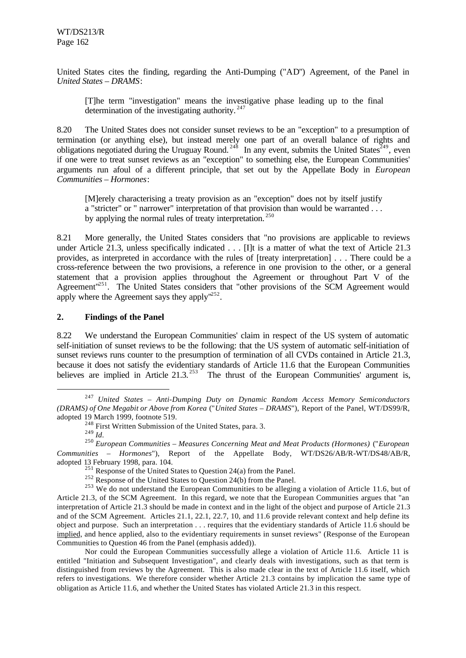United States cites the finding, regarding the Anti-Dumping ("AD") Agreement, of the Panel in *United States – DRAMS*:

[T]he term "investigation" means the investigative phase leading up to the final determination of the investigating authority.  $247$ 

8.20 The United States does not consider sunset reviews to be an "exception" to a presumption of termination (or anything else), but instead merely one part of an overall balance of rights and obligations negotiated during the Uruguay Round.<sup>248</sup> In any event, submits the United States<sup> $249$ </sup>, even if one were to treat sunset reviews as an "exception" to something else, the European Communities' arguments run afoul of a different principle, that set out by the Appellate Body in *European Communities – Hormones*:

[M]erely characterising a treaty provision as an "exception" does not by itself justify a "stricter" or " narrower" interpretation of that provision than would be warranted . . . by applying the normal rules of treaty interpretation.<sup>250</sup>

8.21 More generally, the United States considers that "no provisions are applicable to reviews under Article 21.3, unless specifically indicated . . . [I]t is a matter of what the text of Article 21.3 provides, as interpreted in accordance with the rules of [treaty interpretation] . . . There could be a cross-reference between the two provisions, a reference in one provision to the other, or a general statement that a provision applies throughout the Agreement or throughout Part V of the Agreement<sup>"251</sup>. The United States considers that "other provisions of the SCM Agreement would apply where the Agreement says they apply $1252$ .

### **2. Findings of the Panel**

8.22 We understand the European Communities' claim in respect of the US system of automatic self-initiation of sunset reviews to be the following: that the US system of automatic self-initiation of sunset reviews runs counter to the presumption of termination of all CVDs contained in Article 21.3, because it does not satisfy the evidentiary standards of Article 11.6 that the European Communities believes are implied in Article  $21.3$ <sup>253</sup>. The thrust of the European Communities' argument is,

<sup>247</sup> *United States – Anti-Dumping Duty on Dynamic Random Access Memory Semiconductors (DRAMS) of One Megabit or Above from Korea* ("*United States – DRAMS*"), Report of the Panel, WT/DS99/R, adopted 19 March 1999, footnote 519.

<sup>&</sup>lt;sup>248</sup> First Written Submission of the United States, para. 3.

<sup>249</sup> *Id.*

<sup>250</sup> *European Communities – Measures Concerning Meat and Meat Products (Hormones)* ("*European Communities – Hormones*"), Report of the Appellate Body, WT/DS26/AB/R-WT/DS48/AB/R, adopted 13 February 1998, para. 104.

 $^{251}$  Response of the United States to Question 24(a) from the Panel.

<sup>&</sup>lt;sup>252</sup> Response of the United States to Question 24(b) from the Panel.

<sup>&</sup>lt;sup>253</sup> We do not understand the European Communities to be alleging a violation of Article 11.6, but of Article 21.3, of the SCM Agreement. In this regard, we note that the European Communities argues that "an interpretation of Article 21.3 should be made in context and in the light of the object and purpose of Article 21.3 and of the SCM Agreement. Articles 21.1, 22.1, 22.7, 10, and 11.6 provide relevant context and help define its object and purpose. Such an interpretation . . . requires that the evidentiary standards of Article 11.6 should be implied, and hence applied, also to the evidentiary requirements in sunset reviews" (Response of the European Communities to Question 46 from the Panel (emphasis added)).

Nor could the European Communities successfully allege a violation of Article 11.6. Article 11 is entitled "Initiation and Subsequent Investigation", and clearly deals with investigations, such as that term is distinguished from reviews by the Agreement. This is also made clear in the text of Article 11.6 itself, which refers to investigations. We therefore consider whether Article 21.3 contains by implication the same type of obligation as Article 11.6, and whether the United States has violated Article 21.3 in this respect.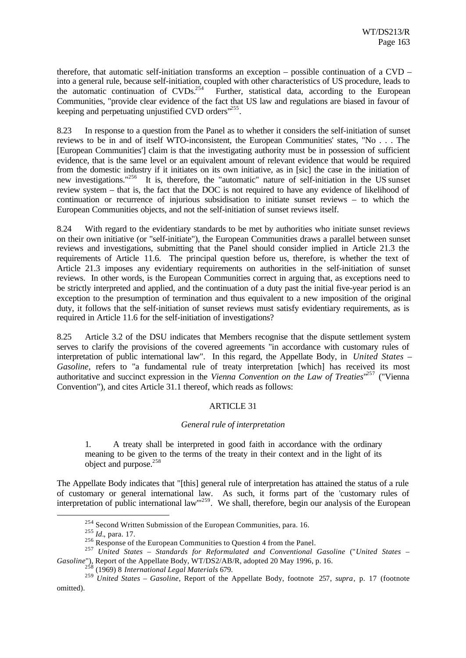therefore, that automatic self-initiation transforms an exception – possible continuation of a CVD – into a general rule, because self-initiation, coupled with other characteristics of US procedure, leads to the automatic continuation of  $CVDs<sup>254</sup>$  Further, statistical data, according to the European Communities, "provide clear evidence of the fact that US law and regulations are biased in favour of keeping and perpetuating unjustified CVD orders<sup>1255</sup>.

8.23 In response to a question from the Panel as to whether it considers the self-initiation of sunset reviews to be in and of itself WTO-inconsistent, the European Communities' states, "No . . . The [European Communities'] claim is that the investigating authority must be in possession of sufficient evidence, that is the same level or an equivalent amount of relevant evidence that would be required from the domestic industry if it initiates on its own initiative, as in [sic] the case in the initiation of new investigations."<sup>256</sup> It is, therefore, the "automatic" nature of self-initiation in the US sunset review system – that is, the fact that the DOC is not required to have any evidence of likelihood of continuation or recurrence of injurious subsidisation to initiate sunset reviews – to which the European Communities objects, and not the self-initiation of sunset reviews itself.

8.24 With regard to the evidentiary standards to be met by authorities who initiate sunset reviews on their own initiative (or "self-initiate"), the European Communities draws a parallel between sunset reviews and investigations, submitting that the Panel should consider implied in Article 21.3 the requirements of Article 11.6. The principal question before us, therefore, is whether the text of Article 21.3 imposes any evidentiary requirements on authorities in the self-initiation of sunset reviews. In other words, is the European Communities correct in arguing that, as exceptions need to be strictly interpreted and applied, and the continuation of a duty past the initial five-year period is an exception to the presumption of termination and thus equivalent to a new imposition of the original duty, it follows that the self-initiation of sunset reviews must satisfy evidentiary requirements, as is required in Article 11.6 for the self-initiation of investigations?

8.25 Article 3.2 of the DSU indicates that Members recognise that the dispute settlement system serves to clarify the provisions of the covered agreements "in accordance with customary rules of interpretation of public international law". In this regard, the Appellate Body, in *United States – Gasoline*, refers to "a fundamental rule of treaty interpretation [which] has received its most authoritative and succinct expression in the *Vienna Convention on the Law of Treaties*<sup>1257</sup> ("Vienna Convention"), and cites Article 31.1 thereof, which reads as follows:

# ARTICLE 31

### *General rule of interpretation*

1. A treaty shall be interpreted in good faith in accordance with the ordinary meaning to be given to the terms of the treaty in their context and in the light of its object and purpose.<sup>258</sup>

The Appellate Body indicates that "[this] general rule of interpretation has attained the status of a rule of customary or general international law. As such, it forms part of the 'customary rules of interpretation of public international law"<sup>259</sup>. We shall, therefore, begin our analysis of the European

<sup>&</sup>lt;sup>254</sup> Second Written Submission of the European Communities, para. 16.

<sup>255</sup> *Id.*, para. 17.

<sup>&</sup>lt;sup>256</sup> Response of the European Communities to Question 4 from the Panel.

<sup>257</sup> *United States – Standards for Reformulated and Conventional Gasoline* ("*United States – Gasoline*"), Report of the Appellate Body, WT/DS2/AB/R, adopted 20 May 1996, p. 16.

<sup>258</sup> (1969) 8 *International Legal Materials* 679.

<sup>259</sup> *United States – Gasoline*, Report of the Appellate Body, footnote 257, *supra*, p. 17 (footnote omitted).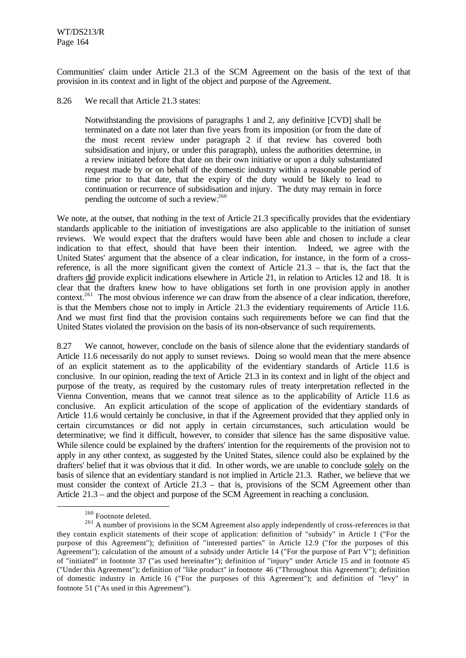Communities' claim under Article 21.3 of the SCM Agreement on the basis of the text of that provision in its context and in light of the object and purpose of the Agreement.

8.26 We recall that Article 21.3 states:

Notwithstanding the provisions of paragraphs 1 and 2, any definitive [CVD] shall be terminated on a date not later than five years from its imposition (or from the date of the most recent review under paragraph 2 if that review has covered both subsidisation and injury, or under this paragraph), unless the authorities determine, in a review initiated before that date on their own initiative or upon a duly substantiated request made by or on behalf of the domestic industry within a reasonable period of time prior to that date, that the expiry of the duty would be likely to lead to continuation or recurrence of subsidisation and injury. The duty may remain in force pending the outcome of such a review.<sup>260</sup>

We note, at the outset, that nothing in the text of Article 21.3 specifically provides that the evidentiary standards applicable to the initiation of investigations are also applicable to the initiation of sunset reviews. We would expect that the drafters would have been able and chosen to include a clear indication to that effect, should that have been their intention. Indeed, we agree with the United States' argument that the absence of a clear indication, for instance, in the form of a crossreference, is all the more significant given the context of Article 21.3 – that is, the fact that the drafters did provide explicit indications elsewhere in Article 21, in relation to Articles 12 and 18. It is clear that the drafters knew how to have obligations set forth in one provision apply in another context.<sup>261</sup> The most obvious inference we can draw from the absence of a clear indication, therefore, is that the Members chose not to imply in Article 21.3 the evidentiary requirements of Article 11.6. And we must first find that the provision contains such requirements before we can find that the United States violated the provision on the basis of its non-observance of such requirements.

8.27 We cannot, however, conclude on the basis of silence alone that the evidentiary standards of Article 11.6 necessarily do not apply to sunset reviews. Doing so would mean that the mere absence of an explicit statement as to the applicability of the evidentiary standards of Article 11.6 is conclusive. In our opinion, reading the text of Article 21.3 in its context and in light of the object and purpose of the treaty, as required by the customary rules of treaty interpretation reflected in the Vienna Convention, means that we cannot treat silence as to the applicability of Article 11.6 as conclusive. An explicit articulation of the scope of application of the evidentiary standards of Article 11.6 would certainly be conclusive, in that if the Agreement provided that they applied only in certain circumstances or did not apply in certain circumstances, such articulation would be determinative; we find it difficult, however, to consider that silence has the same dispositive value. While silence could be explained by the drafters' intention for the requirements of the provision not to apply in any other context, as suggested by the United States, silence could also be explained by the drafters' belief that it was obvious that it did. In other words, we are unable to conclude solely on the basis of silence that an evidentiary standard is not implied in Article 21.3. Rather, we believe that we must consider the context of Article 21.3 – that is, provisions of the SCM Agreement other than Article 21.3 – and the object and purpose of the SCM Agreement in reaching a conclusion.

<sup>260</sup> Footnote deleted.

<sup>&</sup>lt;sup>261</sup> A number of provisions in the SCM Agreement also apply independently of cross-references in that they contain explicit statements of their scope of application: definition of "subsidy" in Article 1 ("For the purpose of this Agreement"); definition of "interested parties" in Article 12.9 ("for the purposes of this Agreement"); calculation of the amount of a subsidy under Article 14 ("For the purpose of Part  $V$ "); definition of "initiated" in footnote 37 ("as used hereinafter"); definition of "injury" under Article 15 and in footnote 45 ("Under this Agreement"); definition of "like product" in footnote 46 ("Throughout this Agreement"); definition of domestic industry in Article 16 ("For the purposes of this Agreement"); and definition of "levy" in footnote 51 ("As used in this Agreement").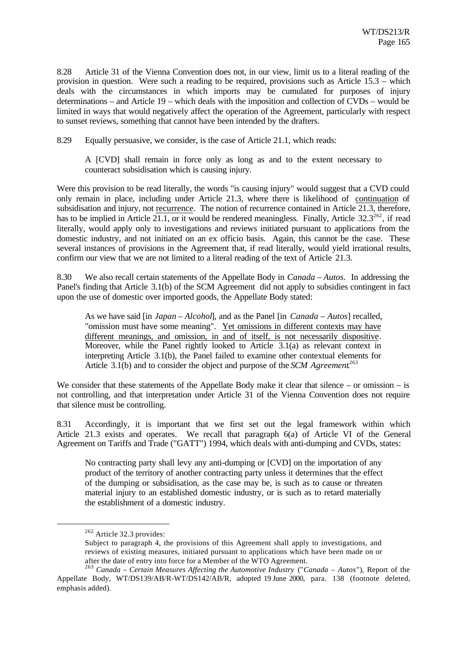8.28 Article 31 of the Vienna Convention does not, in our view, limit us to a literal reading of the provision in question. Were such a reading to be required, provisions such as Article 15.3 – which deals with the circumstances in which imports may be cumulated for purposes of injury determinations – and Article 19 – which deals with the imposition and collection of CVDs – would be limited in ways that would negatively affect the operation of the Agreement, particularly with respect to sunset reviews, something that cannot have been intended by the drafters.

8.29 Equally persuasive, we consider, is the case of Article 21.1, which reads:

A [CVD] shall remain in force only as long as and to the extent necessary to counteract subsidisation which is causing injury.

Were this provision to be read literally, the words "is causing injury" would suggest that a CVD could only remain in place, including under Article 21.3, where there is likelihood of continuation of subsidisation and injury, not recurrence. The notion of recurrence contained in Article 21.3, therefore, has to be implied in Article 21.1, or it would be rendered meaningless. Finally, Article  $32.3^{262}$ , if read literally, would apply only to investigations and reviews initiated pursuant to applications from the domestic industry, and not initiated on an ex officio basis. Again, this cannot be the case. These several instances of provisions in the Agreement that, if read literally, would yield irrational results, confirm our view that we are not limited to a literal reading of the text of Article 21.3.

8.30 We also recall certain statements of the Appellate Body in *Canada – Autos*. In addressing the Panel's finding that Article 3.1(b) of the SCM Agreement did not apply to subsidies contingent in fact upon the use of domestic over imported goods, the Appellate Body stated:

As we have said [in *Japan – Alcohol*], and as the Panel [in *Canada – Autos*] recalled, "omission must have some meaning". Yet omissions in different contexts may have different meanings, and omission, in and of itself, is not necessarily dispositive. Moreover, while the Panel rightly looked to Article 3.1(a) as relevant context in interpreting Article 3.1(b), the Panel failed to examine other contextual elements for Article 3.1(b) and to consider the object and purpose of the *SCM Agreement*. 263

We consider that these statements of the Appellate Body make it clear that silence – or omission – is not controlling, and that interpretation under Article 31 of the Vienna Convention does not require that silence must be controlling.

8.31 Accordingly, it is important that we first set out the legal framework within which Article 21.3 exists and operates. We recall that paragraph 6(a) of Article VI of the General Agreement on Tariffs and Trade ("GATT") 1994, which deals with anti-dumping and CVDs, states:

No contracting party shall levy any anti-dumping or [CVD] on the importation of any product of the territory of another contracting party unless it determines that the effect of the dumping or subsidisation, as the case may be, is such as to cause or threaten material injury to an established domestic industry, or is such as to retard materially the establishment of a domestic industry.

<sup>262</sup> Article 32.3 provides:

Subject to paragraph 4, the provisions of this Agreement shall apply to investigations, and reviews of existing measures, initiated pursuant to applications which have been made on or after the date of entry into force for a Member of the WTO Agreement.

<sup>263</sup> *Canada – Certain Measures Affecting the Automotive Industry* ("*Canada – Autos*"), Report of the Appellate Body, WT/DS139/AB/R-WT/DS142/AB/R, adopted 19 June 2000, para. 138 (footnote deleted, emphasis added).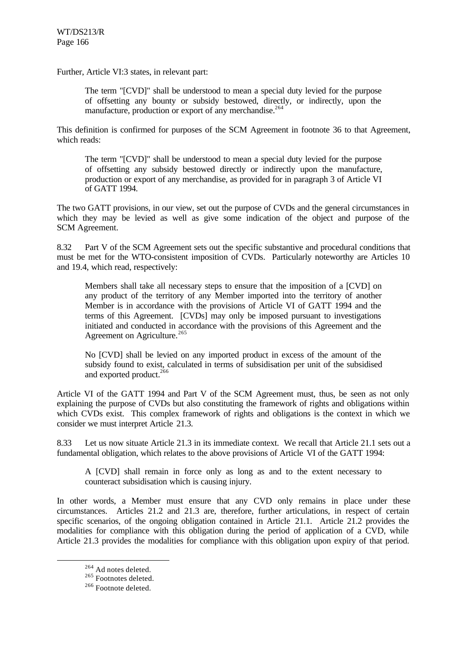Further, Article VI:3 states, in relevant part:

The term "[CVD]" shall be understood to mean a special duty levied for the purpose of offsetting any bounty or subsidy bestowed, directly, or indirectly, upon the manufacture, production or export of any merchandise.<sup>264</sup>

This definition is confirmed for purposes of the SCM Agreement in footnote 36 to that Agreement, which reads:

The term "[CVD]" shall be understood to mean a special duty levied for the purpose of offsetting any subsidy bestowed directly or indirectly upon the manufacture, production or export of any merchandise, as provided for in paragraph 3 of Article VI of GATT 1994.

The two GATT provisions, in our view, set out the purpose of CVDs and the general circumstances in which they may be levied as well as give some indication of the object and purpose of the SCM Agreement.

8.32 Part V of the SCM Agreement sets out the specific substantive and procedural conditions that must be met for the WTO-consistent imposition of CVDs. Particularly noteworthy are Articles 10 and 19.4, which read, respectively:

Members shall take all necessary steps to ensure that the imposition of a [CVD] on any product of the territory of any Member imported into the territory of another Member is in accordance with the provisions of Article VI of GATT 1994 and the terms of this Agreement. [CVDs] may only be imposed pursuant to investigations initiated and conducted in accordance with the provisions of this Agreement and the Agreement on Agriculture.<sup>265</sup>

No [CVD] shall be levied on any imported product in excess of the amount of the subsidy found to exist, calculated in terms of subsidisation per unit of the subsidised and exported product.<sup>266</sup>

Article VI of the GATT 1994 and Part V of the SCM Agreement must, thus, be seen as not only explaining the purpose of CVDs but also constituting the framework of rights and obligations within which CVDs exist. This complex framework of rights and obligations is the context in which we consider we must interpret Article 21.3.

8.33 Let us now situate Article 21.3 in its immediate context. We recall that Article 21.1 sets out a fundamental obligation, which relates to the above provisions of Article VI of the GATT 1994:

A [CVD] shall remain in force only as long as and to the extent necessary to counteract subsidisation which is causing injury.

In other words, a Member must ensure that any CVD only remains in place under these circumstances. Articles 21.2 and 21.3 are, therefore, further articulations, in respect of certain specific scenarios, of the ongoing obligation contained in Article 21.1. Article 21.2 provides the modalities for compliance with this obligation during the period of application of a CVD, while Article 21.3 provides the modalities for compliance with this obligation upon expiry of that period.

<sup>264</sup> Ad notes deleted.

<sup>&</sup>lt;sup>265</sup> Footnotes deleted.

<sup>266</sup> Footnote deleted.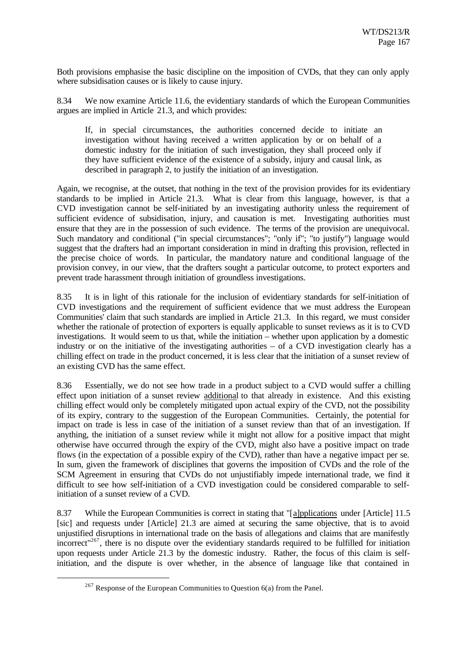Both provisions emphasise the basic discipline on the imposition of CVDs, that they can only apply where subsidisation causes or is likely to cause injury.

8.34 We now examine Article 11.6, the evidentiary standards of which the European Communities argues are implied in Article 21.3, and which provides:

If, in special circumstances, the authorities concerned decide to initiate an investigation without having received a written application by or on behalf of a domestic industry for the initiation of such investigation, they shall proceed only if they have sufficient evidence of the existence of a subsidy, injury and causal link, as described in paragraph 2, to justify the initiation of an investigation.

Again, we recognise, at the outset, that nothing in the text of the provision provides for its evidentiary standards to be implied in Article 21.3. What is clear from this language, however, is that a CVD investigation cannot be self-initiated by an investigating authority unless the requirement of sufficient evidence of subsidisation, injury, and causation is met. Investigating authorities must ensure that they are in the possession of such evidence. The terms of the provision are unequivocal. Such mandatory and conditional ("in special circumstances"; "only if"; "to justify") language would suggest that the drafters had an important consideration in mind in drafting this provision, reflected in the precise choice of words. In particular, the mandatory nature and conditional language of the provision convey, in our view, that the drafters sought a particular outcome, to protect exporters and prevent trade harassment through initiation of groundless investigations.

8.35 It is in light of this rationale for the inclusion of evidentiary standards for self-initiation of CVD investigations and the requirement of sufficient evidence that we must address the European Communities' claim that such standards are implied in Article 21.3. In this regard, we must consider whether the rationale of protection of exporters is equally applicable to sunset reviews as it is to CVD investigations. It would seem to us that, while the initiation – whether upon application by a domestic industry or on the initiative of the investigating authorities – of a CVD investigation clearly has a chilling effect on trade in the product concerned, it is less clear that the initiation of a sunset review of an existing CVD has the same effect.

8.36 Essentially, we do not see how trade in a product subject to a CVD would suffer a chilling effect upon initiation of a sunset review additional to that already in existence. And this existing chilling effect would only be completely mitigated upon actual expiry of the CVD, not the possibility of its expiry, contrary to the suggestion of the European Communities. Certainly, the potential for impact on trade is less in case of the initiation of a sunset review than that of an investigation. If anything, the initiation of a sunset review while it might not allow for a positive impact that might otherwise have occurred through the expiry of the CVD, might also have a positive impact on trade flows (in the expectation of a possible expiry of the CVD), rather than have a negative impact per se. In sum, given the framework of disciplines that governs the imposition of CVDs and the role of the SCM Agreement in ensuring that CVDs do not unjustifiably impede international trade, we find it difficult to see how self-initiation of a CVD investigation could be considered comparable to selfinitiation of a sunset review of a CVD.

8.37 While the European Communities is correct in stating that "[a]pplications under [Article] 11.5 [sic] and requests under [Article] 21.3 are aimed at securing the same objective, that is to avoid unjustified disruptions in international trade on the basis of allegations and claims that are manifestly incorrect"<sup>267</sup>, there is no dispute over the evidentiary standards required to be fulfilled for initiation upon requests under Article 21.3 by the domestic industry. Rather, the focus of this claim is selfinitiation, and the dispute is over whether, in the absence of language like that contained in

<sup>&</sup>lt;sup>267</sup> Response of the European Communities to Question  $6(a)$  from the Panel.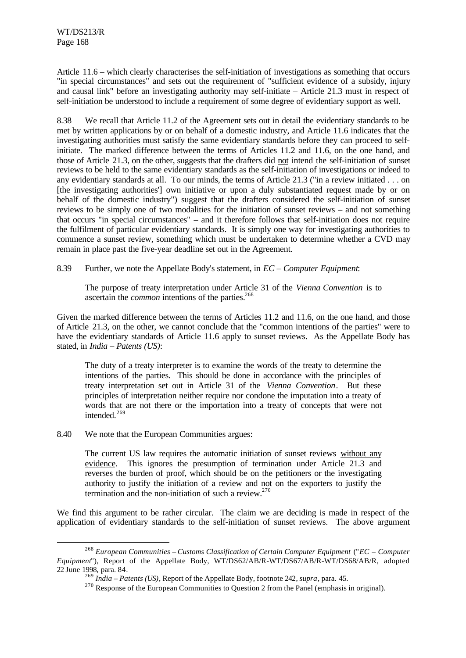Article 11.6 – which clearly characterises the self-initiation of investigations as something that occurs "in special circumstances" and sets out the requirement of "sufficient evidence of a subsidy, injury and causal link" before an investigating authority may self-initiate – Article 21.3 must in respect of self-initiation be understood to include a requirement of some degree of evidentiary support as well.

8.38 We recall that Article 11.2 of the Agreement sets out in detail the evidentiary standards to be met by written applications by or on behalf of a domestic industry, and Article 11.6 indicates that the investigating authorities must satisfy the same evidentiary standards before they can proceed to selfinitiate. The marked difference between the terms of Articles 11.2 and 11.6, on the one hand, and those of Article 21.3, on the other, suggests that the drafters did not intend the self-initiation of sunset reviews to be held to the same evidentiary standards as the self-initiation of investigations or indeed to any evidentiary standards at all. To our minds, the terms of Article 21.3 ("in a review initiated . . . on [the investigating authorities'] own initiative or upon a duly substantiated request made by or on behalf of the domestic industry") suggest that the drafters considered the self-initiation of sunset reviews to be simply one of two modalities for the initiation of sunset reviews – and not something that occurs "in special circumstances" – and it therefore follows that self-initiation does not require the fulfilment of particular evidentiary standards. It is simply one way for investigating authorities to commence a sunset review, something which must be undertaken to determine whether a CVD may remain in place past the five-year deadline set out in the Agreement.

8.39 Further, we note the Appellate Body's statement, in *EC – Computer Equipment*:

The purpose of treaty interpretation under Article 31 of the *Vienna Convention* is to ascertain the *common* intentions of the parties.<sup>268</sup>

Given the marked difference between the terms of Articles 11.2 and 11.6, on the one hand, and those of Article 21.3, on the other, we cannot conclude that the "common intentions of the parties" were to have the evidentiary standards of Article 11.6 apply to sunset reviews. As the Appellate Body has stated, in *India – Patents (US)*:

The duty of a treaty interpreter is to examine the words of the treaty to determine the intentions of the parties. This should be done in accordance with the principles of treaty interpretation set out in Article 31 of the *Vienna Convention*. But these principles of interpretation neither require nor condone the imputation into a treaty of words that are not there or the importation into a treaty of concepts that were not intended.<sup>269</sup>

8.40 We note that the European Communities argues:

l

The current US law requires the automatic initiation of sunset reviews without any evidence. This ignores the presumption of termination under Article 21.3 and reverses the burden of proof, which should be on the petitioners or the investigating authority to justify the initiation of a review and not on the exporters to justify the termination and the non-initiation of such a review. $270$ 

We find this argument to be rather circular. The claim we are deciding is made in respect of the application of evidentiary standards to the self-initiation of sunset reviews. The above argument

<sup>268</sup> *European Communities – Customs Classification of Certain Computer Equipment* ("*EC – Computer Equipment*"), Report of the Appellate Body, WT/DS62/AB/R-WT/DS67/AB/R-WT/DS68/AB/R, adopted 22 June 1998, para. 84.

<sup>269</sup> *India – Patents (US)*, Report of the Appellate Body, footnote 242, *supra*, para. 45.

<sup>&</sup>lt;sup>270</sup> Response of the European Communities to Question 2 from the Panel (emphasis in original).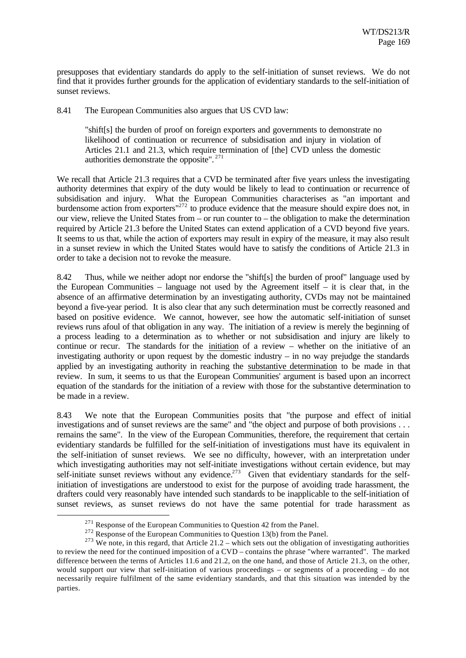presupposes that evidentiary standards do apply to the self-initiation of sunset reviews. We do not find that it provides further grounds for the application of evidentiary standards to the self-initiation of sunset reviews.

8.41 The European Communities also argues that US CVD law:

"shift[s] the burden of proof on foreign exporters and governments to demonstrate no likelihood of continuation or recurrence of subsidisation and injury in violation of Articles 21.1 and 21.3, which require termination of [the] CVD unless the domestic authorities demonstrate the opposite". <sup>271</sup>

We recall that Article 21.3 requires that a CVD be terminated after five years unless the investigating authority determines that expiry of the duty would be likely to lead to continuation or recurrence of subsidisation and injury. What the European Communities characterises as "an important and burdensome action from exporters<sup>"272</sup> to produce evidence that the measure should expire does not, in our view, relieve the United States from – or run counter to – the obligation to make the determination required by Article 21.3 before the United States can extend application of a CVD beyond five years. It seems to us that, while the action of exporters may result in expiry of the measure, it may also result in a sunset review in which the United States would have to satisfy the conditions of Article 21.3 in order to take a decision not to revoke the measure.

8.42 Thus, while we neither adopt nor endorse the "shift[s] the burden of proof" language used by the European Communities – language not used by the Agreement itself – it is clear that, in the absence of an affirmative determination by an investigating authority, CVDs may not be maintained beyond a five-year period. It is also clear that any such determination must be correctly reasoned and based on positive evidence. We cannot, however, see how the automatic self-initiation of sunset reviews runs afoul of that obligation in any way. The initiation of a review is merely the beginning of a process leading to a determination as to whether or not subsidisation and injury are likely to continue or recur. The standards for the initiation of a review – whether on the initiative of an investigating authority or upon request by the domestic industry  $-$  in no way prejudge the standards applied by an investigating authority in reaching the substantive determination to be made in that review. In sum, it seems to us that the European Communities' argument is based upon an incorrect equation of the standards for the initiation of a review with those for the substantive determination to be made in a review.

8.43 We note that the European Communities posits that "the purpose and effect of initial investigations and of sunset reviews are the same" and "the object and purpose of both provisions . . . remains the same". In the view of the European Communities, therefore, the requirement that certain evidentiary standards be fulfilled for the self-initiation of investigations must have its equivalent in the self-initiation of sunset reviews. We see no difficulty, however, with an interpretation under which investigating authorities may not self-initiate investigations without certain evidence, but may self-initiate sunset reviews without any evidence.<sup>273</sup> Given that evidentiary standards for the selfinitiation of investigations are understood to exist for the purpose of avoiding trade harassment, the drafters could very reasonably have intended such standards to be inapplicable to the self-initiation of sunset reviews, as sunset reviews do not have the same potential for trade harassment as

 $271$  Response of the European Communities to Question 42 from the Panel.

 $272$  Response of the European Communities to Question 13(b) from the Panel.

<sup>&</sup>lt;sup>273</sup> We note, in this regard, that Article 21.2 – which sets out the obligation of investigating authorities to review the need for the continued imposition of a CVD – contains the phrase "where warranted". The marked difference between the terms of Articles 11.6 and 21.2, on the one hand, and those of Article 21.3, on the other, would support our view that self-initiation of various proceedings – or segments of a proceeding – do not necessarily require fulfilment of the same evidentiary standards, and that this situation was intended by the parties.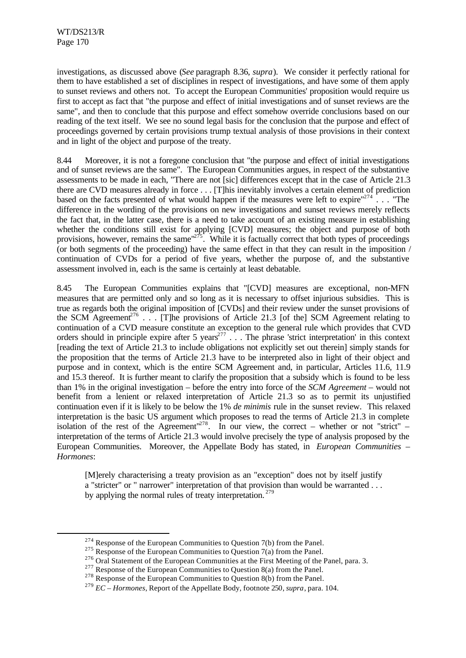l

investigations, as discussed above (*See* paragraph 8.36, *supra*). We consider it perfectly rational for them to have established a set of disciplines in respect of investigations, and have some of them apply to sunset reviews and others not. To accept the European Communities' proposition would require us first to accept as fact that "the purpose and effect of initial investigations and of sunset reviews are the same", and then to conclude that this purpose and effect somehow override conclusions based on our reading of the text itself. We see no sound legal basis for the conclusion that the purpose and effect of proceedings governed by certain provisions trump textual analysis of those provisions in their context and in light of the object and purpose of the treaty.

8.44 Moreover, it is not a foregone conclusion that "the purpose and effect of initial investigations and of sunset reviews are the same". The European Communities argues, in respect of the substantive assessments to be made in each, "There are not [sic] differences except that in the case of Article 21.3 there are CVD measures already in force . . . [T]his inevitably involves a certain element of prediction based on the facts presented of what would happen if the measures were left to expire"<sup>274</sup>... "The difference in the wording of the provisions on new investigations and sunset reviews merely reflects the fact that, in the latter case, there is a need to take account of an existing measure in establishing whether the conditions still exist for applying [CVD] measures; the object and purpose of both provisions, however, remains the same <sup>275</sup>. While it is factually correct that both types of proceedings (or both segments of the proceeding) have the same effect in that they can result in the imposition / continuation of CVDs for a period of five years, whether the purpose of, and the substantive assessment involved in, each is the same is certainly at least debatable.

8.45 The European Communities explains that "[CVD] measures are exceptional, non-MFN measures that are permitted only and so long as it is necessary to offset injurious subsidies. This is true as regards both the original imposition of [CVDs] and their review under the sunset provisions of the SCM Agreement<sup>276</sup> . . . [T]he provisions of Article 21.3 [of the] SCM Agreement relating to continuation of a CVD measure constitute an exception to the general rule which provides that CVD orders should in principle expire after 5 years<sup>277</sup>  $\ldots$ . The phrase 'strict interpretation' in this context [reading the text of Article 21.3 to include obligations not explicitly set out therein] simply stands for the proposition that the terms of Article 21.3 have to be interpreted also in light of their object and purpose and in context, which is the entire SCM Agreement and, in particular, Articles 11.6, 11.9 and 15.3 thereof. It is further meant to clarify the proposition that a subsidy which is found to be less than 1% in the original investigation – before the entry into force of the *SCM Agreement* – would not benefit from a lenient or relaxed interpretation of Article 21.3 so as to permit its unjustified continuation even if it is likely to be below the 1% *de minimis* rule in the sunset review. This relaxed interpretation is the basic US argument which proposes to read the terms of Article 21.3 in complete isolation of the rest of the Agreement<sup> $1278$ </sup>. In our view, the correct – whether or not "strict" – interpretation of the terms of Article 21.3 would involve precisely the type of analysis proposed by the European Communities. Moreover, the Appellate Body has stated, in *European Communities – Hormones*:

[M]erely characterising a treaty provision as an "exception" does not by itself justify a "stricter" or " narrower" interpretation of that provision than would be warranted . . . by applying the normal rules of treaty interpretation.  $279$ 

 $274$  Response of the European Communities to Question 7(b) from the Panel.

<sup>&</sup>lt;sup>275</sup> Response of the European Communities to Question 7(a) from the Panel.

<sup>&</sup>lt;sup>276</sup> Oral Statement of the European Communities at the First Meeting of the Panel, para. 3.

<sup>&</sup>lt;sup>277</sup> Response of the European Communities to Question 8(a) from the Panel.

<sup>&</sup>lt;sup>278</sup> Response of the European Communities to Question 8(b) from the Panel.

<sup>279</sup> *EC – Hormones*, Report of the Appellate Body, footnote 250, *supra*, para. 104.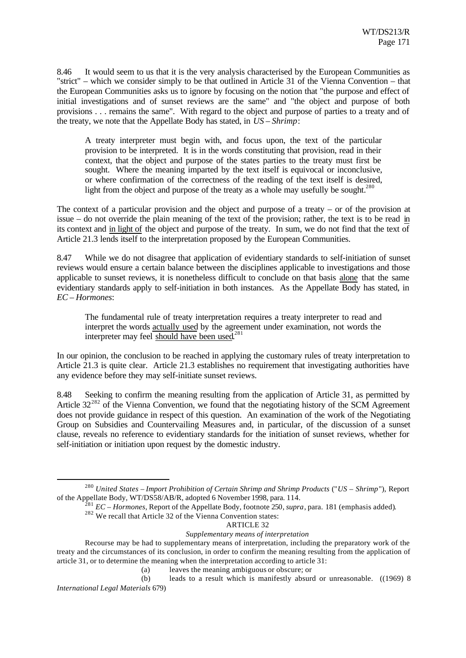8.46 It would seem to us that it is the very analysis characterised by the European Communities as "strict" – which we consider simply to be that outlined in Article 31 of the Vienna Convention – that the European Communities asks us to ignore by focusing on the notion that "the purpose and effect of initial investigations and of sunset reviews are the same" and "the object and purpose of both provisions . . . remains the same". With regard to the object and purpose of parties to a treaty and of the treaty, we note that the Appellate Body has stated, in *US – Shrimp*:

A treaty interpreter must begin with, and focus upon, the text of the particular provision to be interpreted. It is in the words constituting that provision, read in their context, that the object and purpose of the states parties to the treaty must first be sought. Where the meaning imparted by the text itself is equivocal or inconclusive, or where confirmation of the correctness of the reading of the text itself is desired, light from the object and purpose of the treaty as a whole may usefully be sought.<sup>280</sup>

The context of a particular provision and the object and purpose of a treaty – or of the provision at issue – do not override the plain meaning of the text of the provision; rather, the text is to be read in its context and in light of the object and purpose of the treaty. In sum, we do not find that the text of Article 21.3 lends itself to the interpretation proposed by the European Communities.

8.47 While we do not disagree that application of evidentiary standards to self-initiation of sunset reviews would ensure a certain balance between the disciplines applicable to investigations and those applicable to sunset reviews, it is nonetheless difficult to conclude on that basis alone that the same evidentiary standards apply to self-initiation in both instances. As the Appellate Body has stated, in *EC – Hormones*:

The fundamental rule of treaty interpretation requires a treaty interpreter to read and interpret the words actually used by the agreement under examination, not words the interpreter may feel should have been used.<sup>281</sup>

In our opinion, the conclusion to be reached in applying the customary rules of treaty interpretation to Article 21.3 is quite clear. Article 21.3 establishes no requirement that investigating authorities have any evidence before they may self-initiate sunset reviews.

8.48 Seeking to confirm the meaning resulting from the application of Article 31, as permitted by Article  $32^{282}$  of the Vienna Convention, we found that the negotiating history of the SCM Agreement does not provide guidance in respect of this question. An examination of the work of the Negotiating Group on Subsidies and Countervailing Measures and, in particular, of the discussion of a sunset clause, reveals no reference to evidentiary standards for the initiation of sunset reviews, whether for self-initiation or initiation upon request by the domestic industry.

l

(b) leads to a result which is manifestly absurd or unreasonable. ((1969) 8 *International Legal Materials* 679)

<sup>280</sup> *United States – Import Prohibition of Certain Shrimp and Shrimp Products* ("*US – Shrimp*"), Report of the Appellate Body, WT/DS58/AB/R, adopted 6 November 1998, para. 114.

<sup>281</sup> *EC – Hormones*, Report of the Appellate Body, footnote 250, *supra*, para. 181 (emphasis added).

 $282$  We recall that Article 32 of the Vienna Convention states:

ARTICLE 32

*Supplementary means of interpretation*

Recourse may be had to supplementary means of interpretation, including the preparatory work of the treaty and the circumstances of its conclusion, in order to confirm the meaning resulting from the application of article 31, or to determine the meaning when the interpretation according to article 31:

<sup>(</sup>a) leaves the meaning ambiguous or obscure; or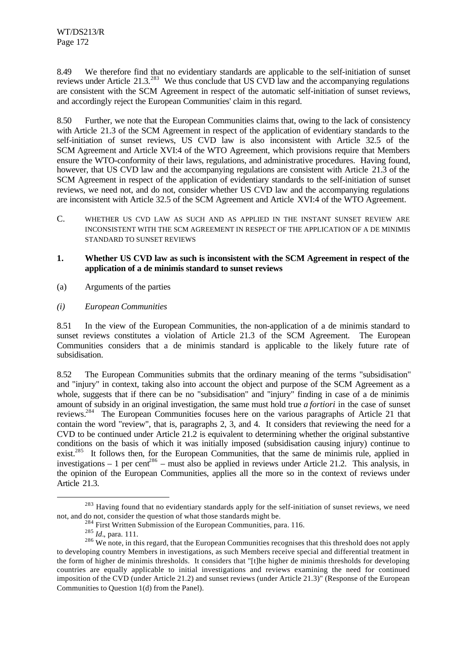8.49 We therefore find that no evidentiary standards are applicable to the self-initiation of sunset reviews under Article 21.3.<sup>283</sup> We thus conclude that US CVD law and the accompanying regulations are consistent with the SCM Agreement in respect of the automatic self-initiation of sunset reviews, and accordingly reject the European Communities' claim in this regard.

8.50 Further, we note that the European Communities claims that, owing to the lack of consistency with Article 21.3 of the SCM Agreement in respect of the application of evidentiary standards to the self-initiation of sunset reviews, US CVD law is also inconsistent with Article 32.5 of the SCM Agreement and Article XVI:4 of the WTO Agreement, which provisions require that Members ensure the WTO-conformity of their laws, regulations, and administrative procedures. Having found, however, that US CVD law and the accompanying regulations are consistent with Article 21.3 of the SCM Agreement in respect of the application of evidentiary standards to the self-initiation of sunset reviews, we need not, and do not, consider whether US CVD law and the accompanying regulations are inconsistent with Article 32.5 of the SCM Agreement and Article XVI:4 of the WTO Agreement.

C. WHETHER US CVD LAW AS SUCH AND AS APPLIED IN THE INSTANT SUNSET REVIEW ARE INCONSISTENT WITH THE SCM AGREEMENT IN RESPECT OF THE APPLICATION OF A DE MINIMIS STANDARD TO SUNSET REVIEWS

## **1. Whether US CVD law as such is inconsistent with the SCM Agreement in respect of the application of a de minimis standard to sunset reviews**

- (a) Arguments of the parties
- *(i) European Communities*

8.51 In the view of the European Communities, the non-application of a de minimis standard to sunset reviews constitutes a violation of Article 21.3 of the SCM Agreement. The European Communities considers that a de minimis standard is applicable to the likely future rate of subsidisation.

8.52 The European Communities submits that the ordinary meaning of the terms "subsidisation" and "injury" in context, taking also into account the object and purpose of the SCM Agreement as a whole, suggests that if there can be no "subsidisation" and "injury" finding in case of a de minimis amount of subsidy in an original investigation, the same must hold true *a fortiori* in the case of sunset reviews.<sup>284</sup> The European Communities focuses here on the various paragraphs of Article 21 that contain the word "review", that is, paragraphs 2, 3, and 4. It considers that reviewing the need for a CVD to be continued under Article  $21.2$  is equivalent to determining whether the original substantive conditions on the basis of which it was initially imposed (subsidisation causing injury) continue to exist.<sup>285</sup> It follows then, for the European Communities, that the same de minimis rule, applied in investigations – 1 per cent<sup>286</sup> – must also be applied in reviews under Article 21.2. This analysis, in the opinion of the European Communities, applies all the more so in the context of reviews under Article 21.3.

<sup>&</sup>lt;sup>283</sup> Having found that no evidentiary standards apply for the self-initiation of sunset reviews, we need not, and do not, consider the question of what those standards might be.

 $^{284}$  First Written Submission of the European Communities, para. 116.

<sup>285</sup> *Id.*, para. 111.

<sup>&</sup>lt;sup>286</sup> We note, in this regard, that the European Communities recognises that this threshold does not apply to developing country Members in investigations, as such Members receive special and differential treatment in the form of higher de minimis thresholds. It considers that "[t]he higher de minimis thresholds for developing countries are equally applicable to initial investigations and reviews examining the need for continued imposition of the CVD (under Article 21.2) and sunset reviews (under Article 21.3)" (Response of the European Communities to Question 1(d) from the Panel).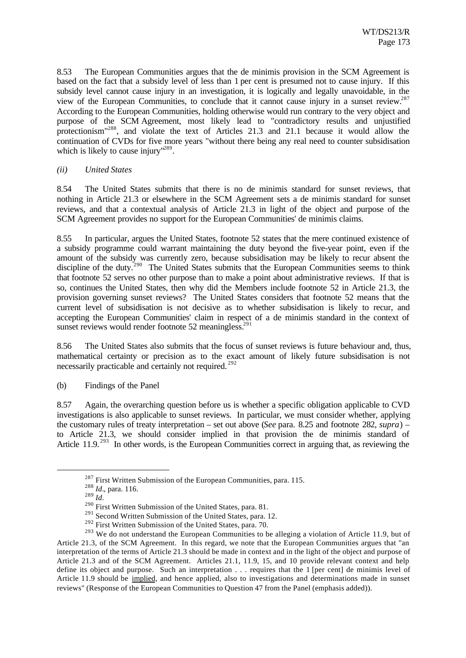8.53 The European Communities argues that the de minimis provision in the SCM Agreement is based on the fact that a subsidy level of less than 1 per cent is presumed not to cause injury. If this subsidy level cannot cause injury in an investigation, it is logically and legally unavoidable, in the view of the European Communities, to conclude that it cannot cause injury in a sunset review.<sup>287</sup> According to the European Communities, holding otherwise would run contrary to the very object and purpose of the SCM Agreement, most likely lead to "contradictory results and unjustified protectionism"<sup>288</sup>, and violate the text of Articles 21.3 and 21.1 because it would allow the continuation of CVDs for five more years "without there being any real need to counter subsidisation which is likely to cause injury"<sup>289</sup>.

#### *(ii) United States*

8.54 The United States submits that there is no de minimis standard for sunset reviews, that nothing in Article 21.3 or elsewhere in the SCM Agreement sets a de minimis standard for sunset reviews, and that a contextual analysis of Article 21.3 in light of the object and purpose of the SCM Agreement provides no support for the European Communities' de minimis claims.

8.55 In particular, argues the United States, footnote 52 states that the mere continued existence of a subsidy programme could warrant maintaining the duty beyond the five-year point, even if the amount of the subsidy was currently zero, because subsidisation may be likely to recur absent the discipline of the duty.<sup>290</sup> The United States submits that the European Communities seems to think that footnote 52 serves no other purpose than to make a point about administrative reviews. If that is so, continues the United States, then why did the Members include footnote 52 in Article 21.3, the provision governing sunset reviews? The United States considers that footnote 52 means that the current level of subsidisation is not decisive as to whether subsidisation is likely to recur, and accepting the European Communities' claim in respect of a de minimis standard in the context of sunset reviews would render footnote 52 meaningless.<sup>291</sup>

8.56 The United States also submits that the focus of sunset reviews is future behaviour and, thus, mathematical certainty or precision as to the exact amount of likely future subsidisation is not necessarily practicable and certainly not required. <sup>292</sup>

(b) Findings of the Panel

8.57 Again, the overarching question before us is whether a specific obligation applicable to CVD investigations is also applicable to sunset reviews. In particular, we must consider whether, applying the customary rules of treaty interpretation – set out above (*See* para. 8.25 and footnote 282, *supra*) – to Article 21.3, we should consider implied in that provision the de minimis standard of Article 11.9.<sup>293</sup> In other words, is the European Communities correct in arguing that, as reviewing the

 $^{287}$  First Written Submission of the European Communities, para. 115.

<sup>288</sup> *Id.*, para. 116.

<sup>289</sup> *Id.*

<sup>&</sup>lt;sup>290</sup> First Written Submission of the United States, para. 81.

<sup>&</sup>lt;sup>291</sup> Second Written Submission of the United States, para. 12.

<sup>&</sup>lt;sup>292</sup> First Written Submission of the United States, para. 70.

<sup>&</sup>lt;sup>293</sup> We do not understand the European Communities to be alleging a violation of Article 11.9, but of Article 21.3, of the SCM Agreement. In this regard, we note that the European Communities argues that "an interpretation of the terms of Article 21.3 should be made in context and in the light of the object and purpose of Article 21.3 and of the SCM Agreement. Articles 21.1, 11.9, 15, and 10 provide relevant context and help define its object and purpose. Such an interpretation . . . requires that the 1 [per cent] de minimis level of Article 11.9 should be implied, and hence applied, also to investigations and determinations made in sunset reviews" (Response of the European Communities to Question 47 from the Panel (emphasis added)).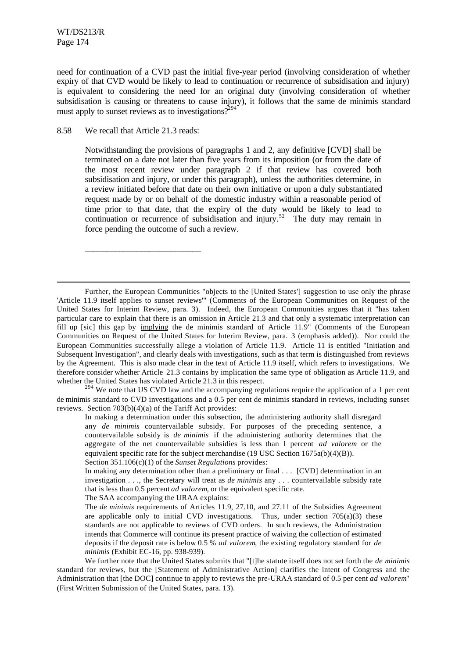l

need for continuation of a CVD past the initial five-year period (involving consideration of whether expiry of that CVD would be likely to lead to continuation or recurrence of subsidisation and injury) is equivalent to considering the need for an original duty (involving consideration of whether subsidisation is causing or threatens to cause injury), it follows that the same de minimis standard must apply to sunset reviews as to investigations? $2^{294}$ 

8.58 We recall that Article 21.3 reads:

\_\_\_\_\_\_\_\_\_\_\_\_\_\_\_\_\_\_\_\_\_\_\_\_\_\_\_

Notwithstanding the provisions of paragraphs 1 and 2, any definitive [CVD] shall be terminated on a date not later than five years from its imposition (or from the date of the most recent review under paragraph 2 if that review has covered both subsidisation and injury, or under this paragraph), unless the authorities determine, in a review initiated before that date on their own initiative or upon a duly substantiated request made by or on behalf of the domestic industry within a reasonable period of time prior to that date, that the expiry of the duty would be likely to lead to continuation or recurrence of subsidisation and injury.<sup>52</sup> The duty may remain in force pending the outcome of such a review.

Further, the European Communities "objects to the [United States'] suggestion to use only the phrase 'Article 11.9 itself applies to sunset reviews'" (Comments of the European Communities on Request of the United States for Interim Review, para. 3). Indeed, the European Communities argues that it "has taken particular care to explain that there is an omission in Article 21.3 and that only a systematic interpretation can fill up [sic] this gap by implying the de minimis standard of Article 11.9" (Comments of the European Communities on Request of the United States for Interim Review, para. 3 (emphasis added)). Nor could the European Communities successfully allege a violation of Article 11.9. Article 11 is entitled "Initiation and Subsequent Investigation", and clearly deals with investigations, such as that term is distinguished from reviews by the Agreement. This is also made clear in the text of Article 11.9 itself, which refers to investigations. We therefore consider whether Article 21.3 contains by implication the same type of obligation as Article 11.9, and whether the United States has violated Article 21.3 in this respect.

<sup>294</sup> We note that US CVD law and the accompanying regulations require the application of a 1 per cent de minimis standard to CVD investigations and a 0.5 per cent de minimis standard in reviews, including sunset reviews. Section 703(b)(4)(a) of the Tariff Act provides:

In making a determination under this subsection, the administering authority shall disregard any *de minimis* countervailable subsidy. For purposes of the preceding sentence, a countervailable subsidy is *de minimis* if the administering authority determines that the aggregate of the net countervailable subsidies is less than 1 percent *ad valorem* or the equivalent specific rate for the subject merchandise (19 USC Section 1675a(b)(4)(B)). Section 351.106(c)(1) of the *Sunset Regulations* provides:

The SAA accompanying the URAA explains:

We further note that the United States submits that "[t]he statute itself does not set forth the *de minimis* standard for reviews, but the [Statement of Administrative Action] clarifies the intent of Congress and the Administration that [the DOC] continue to apply to reviews the pre-URAA standard of 0.5 per cent *ad valorem*" (First Written Submission of the United States, para. 13).

In making any determination other than a preliminary or final . . . [CVD] determination in an investigation . . ., the Secretary will treat as *de minimis* any . . . countervailable subsidy rate that is less than 0.5 percent *ad valorem*, or the equivalent specific rate.

The *de minimis* requirements of Articles 11.9, 27.10, and 27.11 of the Subsidies Agreement are applicable only to initial CVD investigations. Thus, under section  $705(a)(3)$  these standards are not applicable to reviews of CVD orders. In such reviews, the Administration intends that Commerce will continue its present practice of waiving the collection of estimated deposits if the deposit rate is below 0.5 % *ad valorem*, the existing regulatory standard for *de minimis* (Exhibit EC-16, pp. 938-939).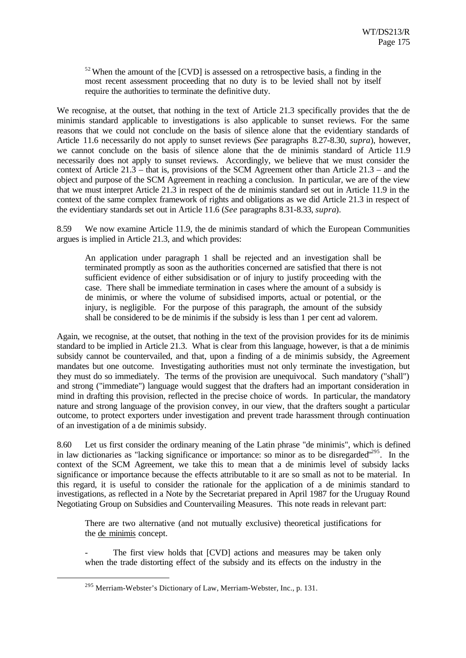$52$  When the amount of the  $[CVD]$  is assessed on a retrospective basis, a finding in the most recent assessment proceeding that no duty is to be levied shall not by itself require the authorities to terminate the definitive duty.

We recognise, at the outset, that nothing in the text of Article 21.3 specifically provides that the de minimis standard applicable to investigations is also applicable to sunset reviews. For the same reasons that we could not conclude on the basis of silence alone that the evidentiary standards of Article 11.6 necessarily do not apply to sunset reviews (*See* paragraphs 8.27-8.30, *supra*), however, we cannot conclude on the basis of silence alone that the de minimis standard of Article 11.9 necessarily does not apply to sunset reviews. Accordingly, we believe that we must consider the context of Article 21.3 – that is, provisions of the SCM Agreement other than Article 21.3 – and the object and purpose of the SCM Agreement in reaching a conclusion. In particular, we are of the view that we must interpret Article 21.3 in respect of the de minimis standard set out in Article 11.9 in the context of the same complex framework of rights and obligations as we did Article 21.3 in respect of the evidentiary standards set out in Article 11.6 (*See* paragraphs 8.31-8.33, *supra*).

8.59 We now examine Article 11.9, the de minimis standard of which the European Communities argues is implied in Article 21.3, and which provides:

An application under paragraph 1 shall be rejected and an investigation shall be terminated promptly as soon as the authorities concerned are satisfied that there is not sufficient evidence of either subsidisation or of injury to justify proceeding with the case. There shall be immediate termination in cases where the amount of a subsidy is de minimis, or where the volume of subsidised imports, actual or potential, or the injury, is negligible. For the purpose of this paragraph, the amount of the subsidy shall be considered to be de minimis if the subsidy is less than 1 per cent ad valorem.

Again, we recognise, at the outset, that nothing in the text of the provision provides for its de minimis standard to be implied in Article 21.3. What is clear from this language, however, is that a de minimis subsidy cannot be countervailed, and that, upon a finding of a de minimis subsidy, the Agreement mandates but one outcome. Investigating authorities must not only terminate the investigation, but they must do so immediately. The terms of the provision are unequivocal. Such mandatory ("shall") and strong ("immediate") language would suggest that the drafters had an important consideration in mind in drafting this provision, reflected in the precise choice of words. In particular, the mandatory nature and strong language of the provision convey, in our view, that the drafters sought a particular outcome, to protect exporters under investigation and prevent trade harassment through continuation of an investigation of a de minimis subsidy.

8.60 Let us first consider the ordinary meaning of the Latin phrase "de minimis", which is defined in law dictionaries as "lacking significance or importance: so minor as to be disregarded"<sup>295</sup>. In the context of the SCM Agreement, we take this to mean that a de minimis level of subsidy lacks significance or importance because the effects attributable to it are so small as not to be material. In this regard, it is useful to consider the rationale for the application of a de minimis standard to investigations, as reflected in a Note by the Secretariat prepared in April 1987 for the Uruguay Round Negotiating Group on Subsidies and Countervailing Measures. This note reads in relevant part:

There are two alternative (and not mutually exclusive) theoretical justifications for the de minimis concept.

The first view holds that [CVD] actions and measures may be taken only when the trade distorting effect of the subsidy and its effects on the industry in the

<sup>295</sup> Merriam-Webster's Dictionary of Law, Merriam-Webster, Inc., p. 131.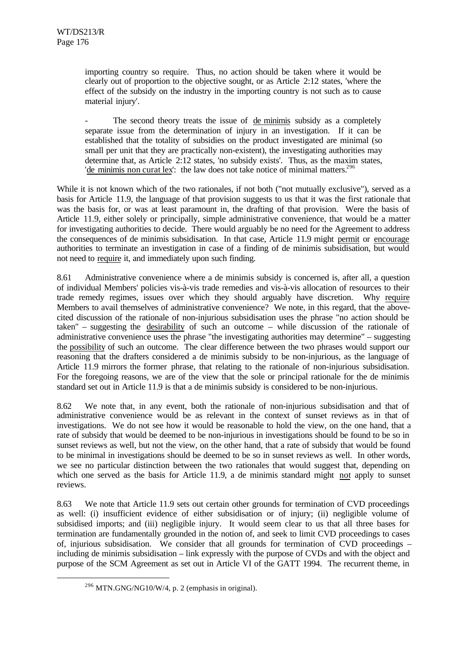importing country so require. Thus, no action should be taken where it would be clearly out of proportion to the objective sought, or as Article 2:12 states, 'where the effect of the subsidy on the industry in the importing country is not such as to cause material injury'.

The second theory treats the issue of de minimis subsidy as a completely separate issue from the determination of injury in an investigation. If it can be established that the totality of subsidies on the product investigated are minimal (so small per unit that they are practically non-existent), the investigating authorities may determine that, as Article 2:12 states, 'no subsidy exists'. Thus, as the maxim states, 'de minimis non curat lex': the law does not take notice of minimal matters.<sup>296</sup>

While it is not known which of the two rationales, if not both ("not mutually exclusive"), served as a basis for Article 11.9, the language of that provision suggests to us that it was the first rationale that was the basis for, or was at least paramount in, the drafting of that provision. Were the basis of Article 11.9, either solely or principally, simple administrative convenience, that would be a matter for investigating authorities to decide. There would arguably be no need for the Agreement to address the consequences of de minimis subsidisation. In that case, Article 11.9 might permit or encourage authorities to terminate an investigation in case of a finding of de minimis subsidisation, but would not need to require it, and immediately upon such finding.

8.61 Administrative convenience where a de minimis subsidy is concerned is, after all, a question of individual Members' policies vis-à-vis trade remedies and vis-à-vis allocation of resources to their trade remedy regimes, issues over which they should arguably have discretion. Why require Members to avail themselves of administrative convenience? We note, in this regard, that the abovecited discussion of the rationale of non-injurious subsidisation uses the phrase "no action should be taken" – suggesting the desirability of such an outcome – while discussion of the rationale of administrative convenience uses the phrase "the investigating authorities may determine" – suggesting the possibility of such an outcome. The clear difference between the two phrases would support our reasoning that the drafters considered a de minimis subsidy to be non-injurious, as the language of Article 11.9 mirrors the former phrase, that relating to the rationale of non-injurious subsidisation. For the foregoing reasons, we are of the view that the sole or principal rationale for the de minimis standard set out in Article 11.9 is that a de minimis subsidy is considered to be non-injurious.

8.62 We note that, in any event, both the rationale of non-injurious subsidisation and that of administrative convenience would be as relevant in the context of sunset reviews as in that of investigations. We do not see how it would be reasonable to hold the view, on the one hand, that a rate of subsidy that would be deemed to be non-injurious in investigations should be found to be so in sunset reviews as well, but not the view, on the other hand, that a rate of subsidy that would be found to be minimal in investigations should be deemed to be so in sunset reviews as well. In other words, we see no particular distinction between the two rationales that would suggest that, depending on which one served as the basis for Article 11.9, a de minimis standard might not apply to sunset reviews.

8.63 We note that Article 11.9 sets out certain other grounds for termination of CVD proceedings as well: (i) insufficient evidence of either subsidisation or of injury; (ii) negligible volume of subsidised imports; and (iii) negligible injury. It would seem clear to us that all three bases for termination are fundamentally grounded in the notion of, and seek to limit CVD proceedings to cases of, injurious subsidisation. We consider that all grounds for termination of CVD proceedings – including de minimis subsidisation – link expressly with the purpose of CVDs and with the object and purpose of the SCM Agreement as set out in Article VI of the GATT 1994. The recurrent theme, in

 $^{296}$  MTN.GNG/NG10/W/4, p. 2 (emphasis in original).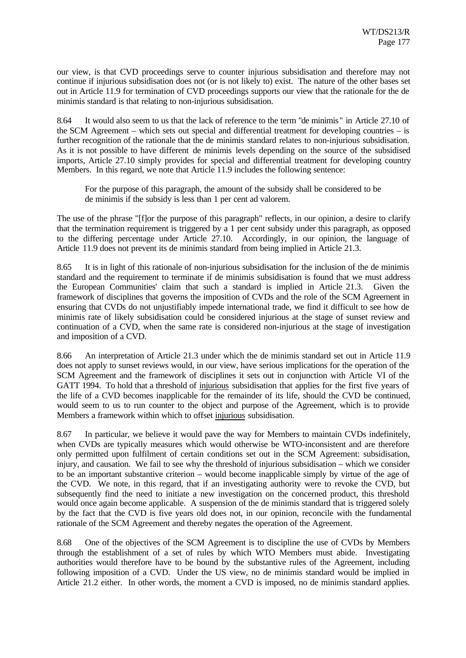our view, is that CVD proceedings serve to counter injurious subsidisation and therefore may not continue if injurious subsidisation does not (or is not likely to) exist. The nature of the other bases set out in Article 11.9 for termination of CVD proceedings supports our view that the rationale for the de minimis standard is that relating to non-injurious subsidisation.

8.64 It would also seem to us that the lack of reference to the term "de minimis" in Article 27.10 of the SCM Agreement – which sets out special and differential treatment for developing countries – is further recognition of the rationale that the de minimis standard relates to non-injurious subsidisation. As it is not possible to have different de minimis levels depending on the source of the subsidised imports, Article 27.10 simply provides for special and differential treatment for developing country Members. In this regard, we note that Article 11.9 includes the following sentence:

For the purpose of this paragraph, the amount of the subsidy shall be considered to be de minimis if the subsidy is less than 1 per cent ad valorem.

The use of the phrase "[f]or the purpose of this paragraph" reflects, in our opinion, a desire to clarify that the termination requirement is triggered by a 1 per cent subsidy under this paragraph, as opposed to the differing percentage under Article 27.10. Accordingly, in our opinion, the language of Article 11.9 does not prevent its de minimis standard from being implied in Article 21.3.

8.65 It is in light of this rationale of non-injurious subsidisation for the inclusion of the de minimis standard and the requirement to terminate if de minimis subsidisation is found that we must address the European Communities' claim that such a standard is implied in Article 21.3. Given the framework of disciplines that governs the imposition of CVDs and the role of the SCM Agreement in ensuring that CVDs do not unjustifiably impede international trade, we find it difficult to see how de minimis rate of likely subsidisation could be considered injurious at the stage of sunset review and continuation of a CVD, when the same rate is considered non-injurious at the stage of investigation and imposition of a CVD.

8.66 An interpretation of Article 21.3 under which the de minimis standard set out in Article 11.9 does not apply to sunset reviews would, in our view, have serious implications for the operation of the SCM Agreement and the framework of disciplines it sets out in conjunction with Article VI of the GATT 1994. To hold that a threshold of injurious subsidisation that applies for the first five years of the life of a CVD becomes inapplicable for the remainder of its life, should the CVD be continued, would seem to us to run counter to the object and purpose of the Agreement, which is to provide Members a framework within which to offset injurious subsidisation.

8.67 In particular, we believe it would pave the way for Members to maintain CVDs indefinitely, when CVDs are typically measures which would otherwise be WTO-inconsistent and are therefore only permitted upon fulfilment of certain conditions set out in the SCM Agreement: subsidisation, injury, and causation. We fail to see why the threshold of injurious subsidisation – which we consider to be an important substantive criterion – would become inapplicable simply by virtue of the age of the CVD. We note, in this regard, that if an investigating authority were to revoke the CVD, but subsequently find the need to initiate a new investigation on the concerned product, this threshold would once again become applicable. A suspension of the de minimis standard that is triggered solely by the fact that the CVD is five years old does not, in our opinion, reconcile with the fundamental rationale of the SCM Agreement and thereby negates the operation of the Agreement.

8.68 One of the objectives of the SCM Agreement is to discipline the use of CVDs by Members through the establishment of a set of rules by which WTO Members must abide. Investigating authorities would therefore have to be bound by the substantive rules of the Agreement, including following imposition of a CVD. Under the US view, no de minimis standard would be implied in Article 21.2 either. In other words, the moment a CVD is imposed, no de minimis standard applies.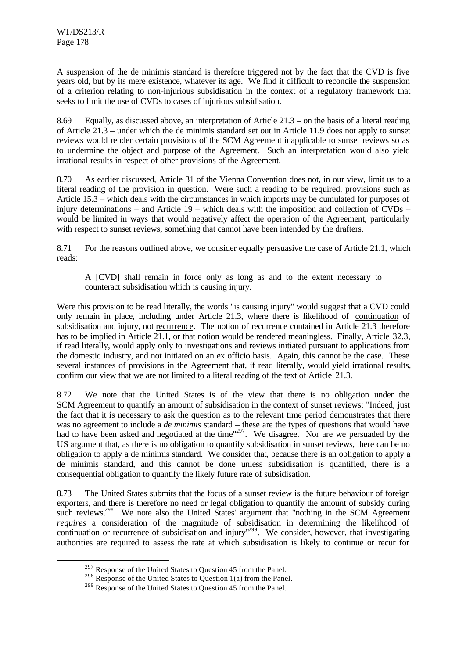l

A suspension of the de minimis standard is therefore triggered not by the fact that the CVD is five years old, but by its mere existence, whatever its age. We find it difficult to reconcile the suspension of a criterion relating to non-injurious subsidisation in the context of a regulatory framework that seeks to limit the use of CVDs to cases of injurious subsidisation.

8.69 Equally, as discussed above, an interpretation of Article 21.3 – on the basis of a literal reading of Article 21.3 – under which the de minimis standard set out in Article 11.9 does not apply to sunset reviews would render certain provisions of the SCM Agreement inapplicable to sunset reviews so as to undermine the object and purpose of the Agreement. Such an interpretation would also yield irrational results in respect of other provisions of the Agreement.

8.70 As earlier discussed, Article 31 of the Vienna Convention does not, in our view, limit us to a literal reading of the provision in question. Were such a reading to be required, provisions such as Article 15.3 – which deals with the circumstances in which imports may be cumulated for purposes of injury determinations – and Article 19 – which deals with the imposition and collection of CVDs – would be limited in ways that would negatively affect the operation of the Agreement, particularly with respect to sunset reviews, something that cannot have been intended by the drafters.

8.71 For the reasons outlined above, we consider equally persuasive the case of Article 21.1, which reads:

A [CVD] shall remain in force only as long as and to the extent necessary to counteract subsidisation which is causing injury.

Were this provision to be read literally, the words "is causing injury" would suggest that a CVD could only remain in place, including under Article 21.3, where there is likelihood of continuation of subsidisation and injury, not recurrence. The notion of recurrence contained in Article 21.3 therefore has to be implied in Article 21.1, or that notion would be rendered meaningless. Finally, Article 32.3, if read literally, would apply only to investigations and reviews initiated pursuant to applications from the domestic industry, and not initiated on an ex officio basis. Again, this cannot be the case. These several instances of provisions in the Agreement that, if read literally, would yield irrational results, confirm our view that we are not limited to a literal reading of the text of Article 21.3.

8.72 We note that the United States is of the view that there is no obligation under the SCM Agreement to quantify an amount of subsidisation in the context of sunset reviews: "Indeed, just the fact that it is necessary to ask the question as to the relevant time period demonstrates that there was no agreement to include a *de minimis* standard – these are the types of questions that would have had to have been asked and negotiated at the time"<sup>297</sup>. We disagree. Nor are we persuaded by the US argument that, as there is no obligation to quantify subsidisation in sunset reviews, there can be no obligation to apply a de minimis standard. We consider that, because there is an obligation to apply a de minimis standard, and this cannot be done unless subsidisation is quantified, there is a consequential obligation to quantify the likely future rate of subsidisation.

8.73 The United States submits that the focus of a sunset review is the future behaviour of foreign exporters, and there is therefore no need or legal obligation to quantify the amount of subsidy during such reviews.<sup>298</sup> We note also the United States' argument that "nothing in the SCM Agreement *requires* a consideration of the magnitude of subsidisation in determining the likelihood of continuation or recurrence of subsidisation and injury<sup>1299</sup>. We consider, however, that investigating authorities are required to assess the rate at which subsidisation is likely to continue or recur for

<sup>&</sup>lt;sup>297</sup> Response of the United States to Question 45 from the Panel.

<sup>&</sup>lt;sup>298</sup> Response of the United States to Question 1(a) from the Panel.

<sup>&</sup>lt;sup>299</sup> Response of the United States to Question 45 from the Panel.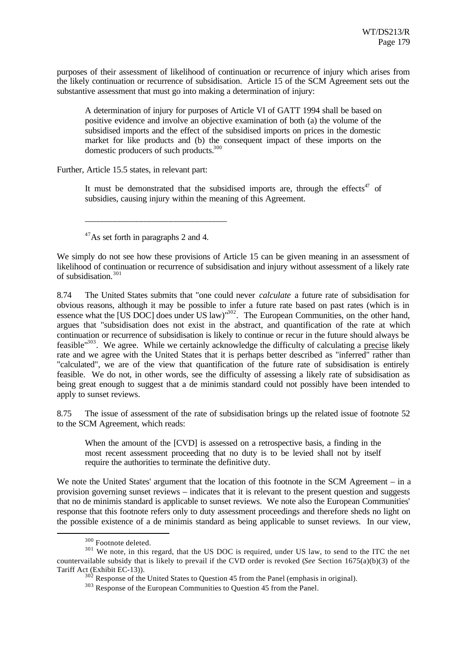purposes of their assessment of likelihood of continuation or recurrence of injury which arises from the likely continuation or recurrence of subsidisation. Article 15 of the SCM Agreement sets out the substantive assessment that must go into making a determination of injury:

A determination of injury for purposes of Article VI of GATT 1994 shall be based on positive evidence and involve an objective examination of both (a) the volume of the subsidised imports and the effect of the subsidised imports on prices in the domestic market for like products and (b) the consequent impact of these imports on the domestic producers of such products.<sup>300</sup>

Further, Article 15.5 states, in relevant part:

It must be demonstrated that the subsidised imports are, through the effects<sup>47</sup> of subsidies, causing injury within the meaning of this Agreement.

 $47\text{As}$  set forth in paragraphs 2 and 4.

\_\_\_\_\_\_\_\_\_\_\_\_\_\_\_\_\_\_\_\_\_\_\_\_\_\_\_\_\_\_\_\_\_

We simply do not see how these provisions of Article 15 can be given meaning in an assessment of likelihood of continuation or recurrence of subsidisation and injury without assessment of a likely rate of subsidisation.<sup>301</sup>

8.74 The United States submits that "one could never *calculate* a future rate of subsidisation for obvious reasons, although it may be possible to infer a future rate based on past rates (which is in essence what the [US DOC] does under US law)<sup>1302</sup>. The European Communities, on the other hand, argues that "subsidisation does not exist in the abstract, and quantification of the rate at which continuation or recurrence of subsidisation is likely to continue or recur in the future should always be feasible"<sup>303</sup>. We agree. While we certainly acknowledge the difficulty of calculating a precise likely rate and we agree with the United States that it is perhaps better described as "inferred" rather than "calculated", we are of the view that quantification of the future rate of subsidisation is entirely feasible. We do not, in other words, see the difficulty of assessing a likely rate of subsidisation as being great enough to suggest that a de minimis standard could not possibly have been intended to apply to sunset reviews.

8.75 The issue of assessment of the rate of subsidisation brings up the related issue of footnote 52 to the SCM Agreement, which reads:

When the amount of the [CVD] is assessed on a retrospective basis, a finding in the most recent assessment proceeding that no duty is to be levied shall not by itself require the authorities to terminate the definitive duty.

We note the United States' argument that the location of this footnote in the SCM Agreement – in a provision governing sunset reviews – indicates that it is relevant to the present question and suggests that no de minimis standard is applicable to sunset reviews. We note also the European Communities' response that this footnote refers only to duty assessment proceedings and therefore sheds no light on the possible existence of a de minimis standard as being applicable to sunset reviews. In our view,

<sup>300</sup> Footnote deleted.

<sup>&</sup>lt;sup>301</sup> We note, in this regard, that the US DOC is required, under US law, to send to the ITC the net countervailable subsidy that is likely to prevail if the CVD order is revoked (*See* Section 1675(a)(b)(3) of the Tariff Act (Exhibit EC-13)).

 $302$  Response of the United States to Question 45 from the Panel (emphasis in original).

<sup>303</sup> Response of the European Communities to Question 45 from the Panel.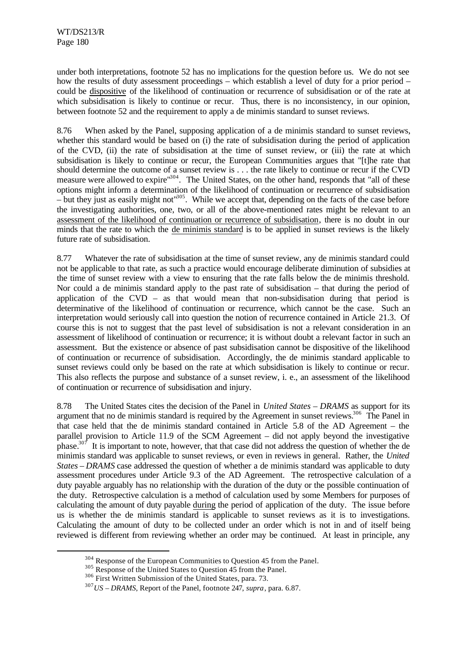under both interpretations, footnote 52 has no implications for the question before us. We do not see how the results of duty assessment proceedings – which establish a level of duty for a prior period – could be dispositive of the likelihood of continuation or recurrence of subsidisation or of the rate at which subsidisation is likely to continue or recur. Thus, there is no inconsistency, in our opinion, between footnote 52 and the requirement to apply a de minimis standard to sunset reviews.

8.76 When asked by the Panel, supposing application of a de minimis standard to sunset reviews, whether this standard would be based on (i) the rate of subsidisation during the period of application of the CVD, (ii) the rate of subsidisation at the time of sunset review, or (iii) the rate at which subsidisation is likely to continue or recur, the European Communities argues that "[t]he rate that should determine the outcome of a sunset review is . . . the rate likely to continue or recur if the CVD measure were allowed to expire"<sup>304</sup>. The United States, on the other hand, responds that "all of these options might inform a determination of the likelihood of continuation or recurrence of subsidisation – but they just as easily might not"<sup>305</sup>. While we accept that, depending on the facts of the case before the investigating authorities, one, two, or all of the above-mentioned rates might be relevant to an assessment of the likelihood of continuation or recurrence of subsidisation, there is no doubt in our minds that the rate to which the de minimis standard is to be applied in sunset reviews is the likely future rate of subsidisation.

8.77 Whatever the rate of subsidisation at the time of sunset review, any de minimis standard could not be applicable to that rate, as such a practice would encourage deliberate diminution of subsidies at the time of sunset review with a view to ensuring that the rate falls below the de minimis threshold. Nor could a de minimis standard apply to the past rate of subsidisation – that during the period of application of the  $CVD -$  as that would mean that non-subsidisation during that period is determinative of the likelihood of continuation or recurrence, which cannot be the case. Such an interpretation would seriously call into question the notion of recurrence contained in Article 21.3. Of course this is not to suggest that the past level of subsidisation is not a relevant consideration in an assessment of likelihood of continuation or recurrence; it is without doubt a relevant factor in such an assessment. But the existence or absence of past subsidisation cannot be dispositive of the likelihood of continuation or recurrence of subsidisation. Accordingly, the de minimis standard applicable to sunset reviews could only be based on the rate at which subsidisation is likely to continue or recur. This also reflects the purpose and substance of a sunset review, i. e., an assessment of the likelihood of continuation or recurrence of subsidisation and injury.

8.78 The United States cites the decision of the Panel in *United States – DRAMS* as support for its argument that no de minimis standard is required by the Agreement in sunset reviews.<sup>306</sup> The Panel in that case held that the de minimis standard contained in Article 5.8 of the AD Agreement – the parallel provision to Article 11.9 of the SCM Agreement – did not apply beyond the investigative phase.<sup>307</sup> It is important to note, however, that that case did not address the question of whether the de minimis standard was applicable to sunset reviews, or even in reviews in general. Rather, the *United States – DRAMS* case addressed the question of whether a de minimis standard was applicable to duty assessment procedures under Article 9.3 of the AD Agreement. The retrospective calculation of a duty payable arguably has no relationship with the duration of the duty or the possible continuation of the duty. Retrospective calculation is a method of calculation used by some Members for purposes of calculating the amount of duty payable during the period of application of the duty. The issue before us is whether the de minimis standard is applicable to sunset reviews as it is to investigations. Calculating the amount of duty to be collected under an order which is not in and of itself being reviewed is different from reviewing whether an order may be continued. At least in principle, any

<sup>304</sup> Response of the European Communities to Question 45 from the Panel.

<sup>&</sup>lt;sup>305</sup> Response of the United States to Question 45 from the Panel.

<sup>306</sup> First Written Submission of the United States, para. 73.

<sup>307</sup>*US – DRAMS*, Report of the Panel, footnote 247, *supra*, para. 6.87.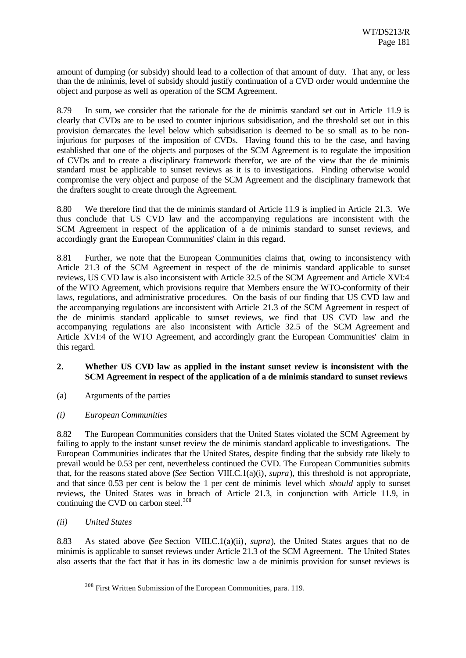amount of dumping (or subsidy) should lead to a collection of that amount of duty. That any, or less than the de minimis, level of subsidy should justify continuation of a CVD order would undermine the object and purpose as well as operation of the SCM Agreement.

8.79 In sum, we consider that the rationale for the de minimis standard set out in Article 11.9 is clearly that CVDs are to be used to counter injurious subsidisation, and the threshold set out in this provision demarcates the level below which subsidisation is deemed to be so small as to be noninjurious for purposes of the imposition of CVDs. Having found this to be the case, and having established that one of the objects and purposes of the SCM Agreement is to regulate the imposition of CVDs and to create a disciplinary framework therefor, we are of the view that the de minimis standard must be applicable to sunset reviews as it is to investigations. Finding otherwise would compromise the very object and purpose of the SCM Agreement and the disciplinary framework that the drafters sought to create through the Agreement.

8.80 We therefore find that the de minimis standard of Article 11.9 is implied in Article 21.3. We thus conclude that US CVD law and the accompanying regulations are inconsistent with the SCM Agreement in respect of the application of a de minimis standard to sunset reviews, and accordingly grant the European Communities' claim in this regard.

8.81 Further, we note that the European Communities claims that, owing to inconsistency with Article 21.3 of the SCM Agreement in respect of the de minimis standard applicable to sunset reviews, US CVD law is also inconsistent with Article 32.5 of the SCM Agreement and Article XVI:4 of the WTO Agreement, which provisions require that Members ensure the WTO-conformity of their laws, regulations, and administrative procedures. On the basis of our finding that US CVD law and the accompanying regulations are inconsistent with Article 21.3 of the SCM Agreement in respect of the de minimis standard applicable to sunset reviews, we find that US CVD law and the accompanying regulations are also inconsistent with Article 32.5 of the SCM Agreement and Article XVI:4 of the WTO Agreement, and accordingly grant the European Communities' claim in this regard.

# **2. Whether US CVD law as applied in the instant sunset review is inconsistent with the SCM Agreement in respect of the application of a de minimis standard to sunset reviews**

- (a) Arguments of the parties
- *(i) European Communities*

8.82 The European Communities considers that the United States violated the SCM Agreement by failing to apply to the instant sunset review the de minimis standard applicable to investigations. The European Communities indicates that the United States, despite finding that the subsidy rate likely to prevail would be 0.53 per cent, nevertheless continued the CVD. The European Communities submits that, for the reasons stated above (*See* Section VIII.C.1(a)(i), *supra*), this threshold is not appropriate, and that since 0.53 per cent is below the 1 per cent de minimis level which *should* apply to sunset reviews, the United States was in breach of Article 21.3, in conjunction with Article 11.9, in continuing the CVD on carbon steel.<sup>308</sup>

*(ii) United States*

l

8.83 As stated above (*See* Section VIII.C.1(a)(ii), *supra*), the United States argues that no de minimis is applicable to sunset reviews under Article 21.3 of the SCM Agreement. The United States also asserts that the fact that it has in its domestic law a de minimis provision for sunset reviews is

<sup>308</sup> First Written Submission of the European Communities, para. 119.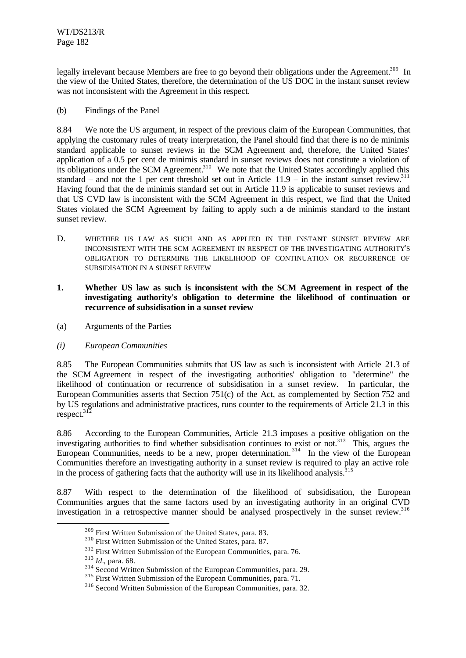legally irrelevant because Members are free to go beyond their obligations under the Agreement.<sup>309</sup> In the view of the United States, therefore, the determination of the US DOC in the instant sunset review was not inconsistent with the Agreement in this respect.

(b) Findings of the Panel

8.84 We note the US argument, in respect of the previous claim of the European Communities, that applying the customary rules of treaty interpretation, the Panel should find that there is no de minimis standard applicable to sunset reviews in the SCM Agreement and, therefore, the United States' application of a 0.5 per cent de minimis standard in sunset reviews does not constitute a violation of its obligations under the SCM Agreement.<sup>310</sup> We note that the United States accordingly applied this standard – and not the 1 per cent threshold set out in Article  $11.9 -$  in the instant sunset review.<sup>311</sup> Having found that the de minimis standard set out in Article 11.9 is applicable to sunset reviews and that US CVD law is inconsistent with the SCM Agreement in this respect, we find that the United States violated the SCM Agreement by failing to apply such a de minimis standard to the instant sunset review.

- D. WHETHER US LAW AS SUCH AND AS APPLIED IN THE INSTANT SUNSET REVIEW ARE INCONSISTENT WITH THE SCM AGREEMENT IN RESPECT OF THE INVESTIGATING AUTHORITY'S OBLIGATION TO DETERMINE THE LIKELIHOOD OF CONTINUATION OR RECURRENCE OF SUBSIDISATION IN A SUNSET REVIEW
- **1. Whether US law as such is inconsistent with the SCM Agreement in respect of the investigating authority's obligation to determine the likelihood of continuation or recurrence of subsidisation in a sunset review**
- (a) Arguments of the Parties
- *(i) European Communities*

8.85 The European Communities submits that US law as such is inconsistent with Article 21.3 of the SCM Agreement in respect of the investigating authorities' obligation to "determine" the likelihood of continuation or recurrence of subsidisation in a sunset review. In particular, the European Communities asserts that Section 751(c) of the Act, as complemented by Section 752 and by US regulations and administrative practices, runs counter to the requirements of Article 21.3 in this respect. $31\overline{2}$ 

8.86 According to the European Communities, Article 21.3 imposes a positive obligation on the investigating authorities to find whether subsidisation continues to exist or not.<sup>313</sup> This, argues the European Communities, needs to be a new, proper determination.<sup>314</sup> In the view of the European Communities therefore an investigating authority in a sunset review is required to play an active role in the process of gathering facts that the authority will use in its likelihood analysis.<sup>315</sup>

8.87 With respect to the determination of the likelihood of subsidisation, the European Communities argues that the same factors used by an investigating authority in an original CVD investigation in a retrospective manner should be analysed prospectively in the sunset review.<sup>316</sup>

<sup>309</sup> First Written Submission of the United States, para. 83.

<sup>310</sup> First Written Submission of the United States, para. 87.

<sup>312</sup> First Written Submission of the European Communities, para. 76.

<sup>313</sup> *Id.*, para. 68.

<sup>&</sup>lt;sup>314</sup> Second Written Submission of the European Communities, para. 29.

<sup>&</sup>lt;sup>315</sup> First Written Submission of the European Communities, para. 71.

<sup>316</sup> Second Written Submission of the European Communities, para. 32.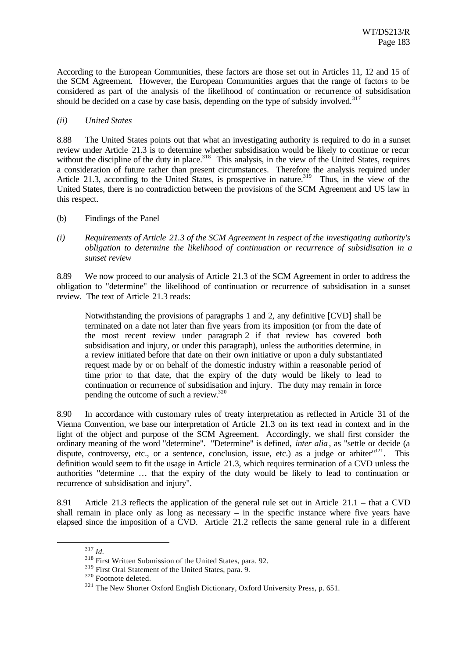According to the European Communities, these factors are those set out in Articles 11, 12 and 15 of the SCM Agreement. However, the European Communities argues that the range of factors to be considered as part of the analysis of the likelihood of continuation or recurrence of subsidisation should be decided on a case by case basis, depending on the type of subsidy involved.<sup>317</sup>

## *(ii) United States*

8.88 The United States points out that what an investigating authority is required to do in a sunset review under Article 21.3 is to determine whether subsidisation would be likely to continue or recur without the discipline of the duty in place.<sup>318</sup> This analysis, in the view of the United States, requires a consideration of future rather than present circumstances. Therefore the analysis required under Article 21.3, according to the United States, is prospective in nature.<sup>319</sup> Thus, in the view of the United States, there is no contradiction between the provisions of the SCM Agreement and US law in this respect.

- (b) Findings of the Panel
- *(i) Requirements of Article 21.3 of the SCM Agreement in respect of the investigating authority's obligation to determine the likelihood of continuation or recurrence of subsidisation in a sunset review*

8.89 We now proceed to our analysis of Article 21.3 of the SCM Agreement in order to address the obligation to "determine" the likelihood of continuation or recurrence of subsidisation in a sunset review. The text of Article 21.3 reads:

Notwithstanding the provisions of paragraphs 1 and 2, any definitive [CVD] shall be terminated on a date not later than five years from its imposition (or from the date of the most recent review under paragraph 2 if that review has covered both subsidisation and injury, or under this paragraph), unless the authorities determine, in a review initiated before that date on their own initiative or upon a duly substantiated request made by or on behalf of the domestic industry within a reasonable period of time prior to that date, that the expiry of the duty would be likely to lead to continuation or recurrence of subsidisation and injury. The duty may remain in force pending the outcome of such a review.<sup>320</sup>

8.90 In accordance with customary rules of treaty interpretation as reflected in Article 31 of the Vienna Convention, we base our interpretation of Article 21.3 on its text read in context and in the light of the object and purpose of the SCM Agreement. Accordingly, we shall first consider the ordinary meaning of the word "determine". "Determine" is defined, *inter alia*, as "settle or decide (a dispute, controversy, etc., or a sentence, conclusion, issue, etc.) as a judge or arbiter $^{321}$ . This definition would seem to fit the usage in Article 21.3, which requires termination of a CVD unless the authorities "determine … that the expiry of the duty would be likely to lead to continuation or recurrence of subsidisation and injury".

8.91 Article 21.3 reflects the application of the general rule set out in Article 21.1 – that a CVD shall remain in place only as long as necessary – in the specific instance where five years have elapsed since the imposition of a CVD. Article 21.2 reflects the same general rule in a different

<sup>317</sup> *Id.*

<sup>318</sup> First Written Submission of the United States, para. 92.

<sup>319</sup> First Oral Statement of the United States, para. 9.

<sup>320</sup> Footnote deleted.

<sup>&</sup>lt;sup>321</sup> The New Shorter Oxford English Dictionary, Oxford University Press, p. 651.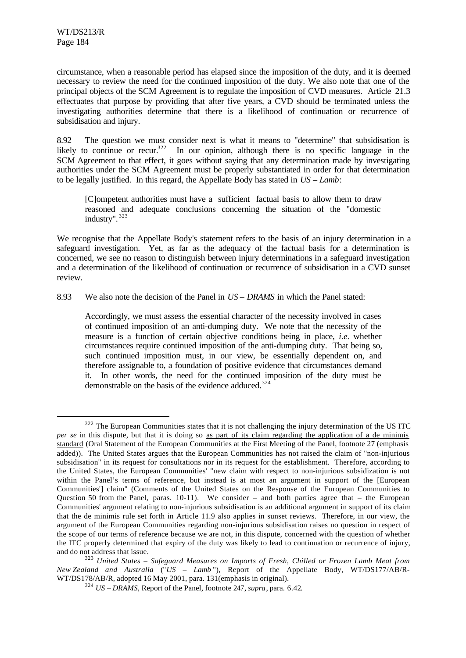l

circumstance, when a reasonable period has elapsed since the imposition of the duty, and it is deemed necessary to review the need for the continued imposition of the duty. We also note that one of the principal objects of the SCM Agreement is to regulate the imposition of CVD measures. Article 21.3 effectuates that purpose by providing that after five years, a CVD should be terminated unless the investigating authorities determine that there is a likelihood of continuation or recurrence of subsidisation and injury.

8.92 The question we must consider next is what it means to "determine" that subsidisation is likely to continue or recur.<sup>322</sup> In our opinion, although there is no specific language in the In our opinion, although there is no specific language in the SCM Agreement to that effect, it goes without saying that any determination made by investigating authorities under the SCM Agreement must be properly substantiated in order for that determination to be legally justified. In this regard, the Appellate Body has stated in *US – Lamb*:

[C]ompetent authorities must have a sufficient factual basis to allow them to draw reasoned and adequate conclusions concerning the situation of the "domestic industry". <sup>323</sup>

We recognise that the Appellate Body's statement refers to the basis of an injury determination in a safeguard investigation. Yet, as far as the adequacy of the factual basis for a determination is concerned, we see no reason to distinguish between injury determinations in a safeguard investigation and a determination of the likelihood of continuation or recurrence of subsidisation in a CVD sunset review.

8.93 We also note the decision of the Panel in *US – DRAMS* in which the Panel stated:

Accordingly, we must assess the essential character of the necessity involved in cases of continued imposition of an anti-dumping duty. We note that the necessity of the measure is a function of certain objective conditions being in place, *i.e*. whether circumstances require continued imposition of the anti-dumping duty. That being so, such continued imposition must, in our view, be essentially dependent on, and therefore assignable to, a foundation of positive evidence that circumstances demand it. In other words, the need for the continued imposition of the duty must be demonstrable on the basis of the evidence adduced.<sup>324</sup>

<sup>&</sup>lt;sup>322</sup> The European Communities states that it is not challenging the injury determination of the US ITC *per se* in this dispute, but that it is doing so as part of its claim regarding the application of a de minimis standard (Oral Statement of the European Communities at the First Meeting of the Panel, footnote 27 (emphasis added)). The United States argues that the European Communities has not raised the claim of "non-injurious subsidisation" in its request for consultations nor in its request for the establishment. Therefore, according to the United States, the European Communities' "new claim with respect to non-injurious subsidization is not within the Panel's terms of reference, but instead is at most an argument in support of the [European Communities'] claim" (Comments of the United States on the Response of the European Communities to Question 50 from the Panel, paras.  $10-11$ ). We consider – and both parties agree that – the European Communities' argument relating to non-injurious subsidisation is an additional argument in support of its claim that the de minimis rule set forth in Article 11.9 also applies in sunset reviews. Therefore, in our view, the argument of the European Communities regarding non-injurious subsidisation raises no question in respect of the scope of our terms of reference because we are not, in this dispute, concerned with the question of whether the ITC properly determined that expiry of the duty was likely to lead to continuation or recurrence of injury, and do not address that issue.

<sup>323</sup> *United States – Safeguard Measures on Imports of Fresh, Chilled or Frozen Lamb Meat from New Zealand and Australia* ("*US – Lamb* "), Report of the Appellate Body, WT/DS177/AB/R-WT/DS178/AB/R, adopted 16 May 2001, para. 131(emphasis in original).

<sup>324</sup> *US – DRAMS*, Report of the Panel, footnote 247, *supra*, para. 6.42.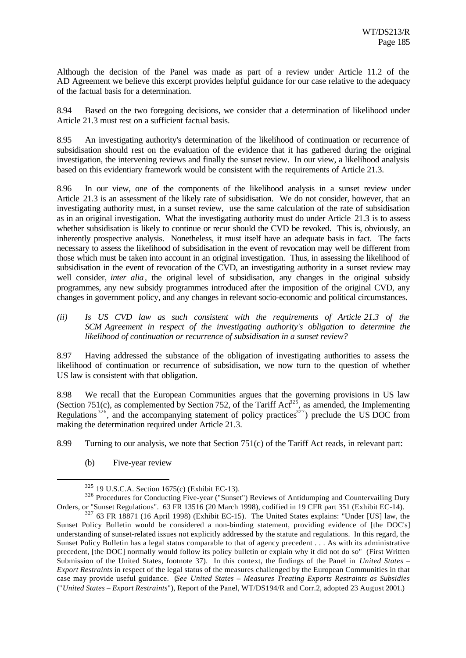Although the decision of the Panel was made as part of a review under Article 11.2 of the AD Agreement we believe this excerpt provides helpful guidance for our case relative to the adequacy of the factual basis for a determination.

8.94 Based on the two foregoing decisions, we consider that a determination of likelihood under Article 21.3 must rest on a sufficient factual basis.

8.95 An investigating authority's determination of the likelihood of continuation or recurrence of subsidisation should rest on the evaluation of the evidence that it has gathered during the original investigation, the intervening reviews and finally the sunset review. In our view, a likelihood analysis based on this evidentiary framework would be consistent with the requirements of Article 21.3.

8.96 In our view, one of the components of the likelihood analysis in a sunset review under Article 21.3 is an assessment of the likely rate of subsidisation. We do not consider, however, that an investigating authority must, in a sunset review, use the same calculation of the rate of subsidisation as in an original investigation. What the investigating authority must do under Article 21.3 is to assess whether subsidisation is likely to continue or recur should the CVD be revoked. This is, obviously, an inherently prospective analysis. Nonetheless, it must itself have an adequate basis in fact. The facts necessary to assess the likelihood of subsidisation in the event of revocation may well be different from those which must be taken into account in an original investigation. Thus, in assessing the likelihood of subsidisation in the event of revocation of the CVD, an investigating authority in a sunset review may well consider, *inter alia*, the original level of subsidisation, any changes in the original subsidy programmes, any new subsidy programmes introduced after the imposition of the original CVD, any changes in government policy, and any changes in relevant socio-economic and political circumstances.

*(ii) Is US CVD law as such consistent with the requirements of Article 21.3 of the SCM Agreement in respect of the investigating authority's obligation to determine the likelihood of continuation or recurrence of subsidisation in a sunset review?*

8.97 Having addressed the substance of the obligation of investigating authorities to assess the likelihood of continuation or recurrence of subsidisation, we now turn to the question of whether US law is consistent with that obligation.

8.98 We recall that the European Communities argues that the governing provisions in US law (Section 751(c), as complemented by Section 752, of the Tariff Act<sup>325</sup>, as amended, the Implementing Regulations  $326$ , and the accompanying statement of policy practices  $327$ ) preclude the US DOC from making the determination required under Article 21.3.

8.99 Turning to our analysis, we note that Section 751(c) of the Tariff Act reads, in relevant part:

(b) Five-year review

<sup>325</sup> 19 U.S.C.A. Section 1675(c) (Exhibit EC-13).

<sup>&</sup>lt;sup>326</sup> Procedures for Conducting Five-year ("Sunset") Reviews of Antidumping and Countervailing Duty Orders, or "Sunset Regulations". 63 FR 13516 (20 March 1998), codified in 19 CFR part 351 (Exhibit EC-14).

<sup>&</sup>lt;sup>327</sup> 63 FR 18871 (16 April 1998) (Exhibit EC-15). The United States explains: "Under [US] law, the Sunset Policy Bulletin would be considered a non-binding statement, providing evidence of [the DOC's] understanding of sunset-related issues not explicitly addressed by the statute and regulations. In this regard, the Sunset Policy Bulletin has a legal status comparable to that of agency precedent . . . As with its administrative precedent, [the DOC] normally would follow its policy bulletin or explain why it did not do so" (First Written Submission of the United States, footnote 37). In this context, the findings of the Panel in *United States – Export Restraints* in respect of the legal status of the measures challenged by the European Communities in that case may provide useful guidance. (*See United States – Measures Treating Exports Restraints as Subsidies* ("*United States – Export Restraints*"), Report of the Panel, WT/DS194/R and Corr.2, adopted 23 August 2001.)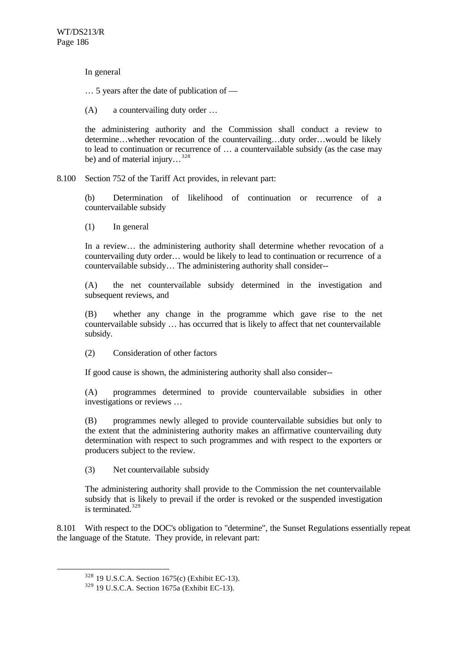In general

… 5 years after the date of publication of —

(A) a countervailing duty order …

the administering authority and the Commission shall conduct a review to determine…whether revocation of the countervailing…duty order…would be likely to lead to continuation or recurrence of … a countervailable subsidy (as the case may be) and of material injury…<sup>328</sup>

8.100 Section 752 of the Tariff Act provides, in relevant part:

(b) Determination of likelihood of continuation or recurrence of a countervailable subsidy

(1) In general

In a review… the administering authority shall determine whether revocation of a countervailing duty order… would be likely to lead to continuation or recurrence of a countervailable subsidy… The administering authority shall consider--

(A) the net countervailable subsidy determined in the investigation and subsequent reviews, and

(B) whether any change in the programme which gave rise to the net countervailable subsidy … has occurred that is likely to affect that net countervailable subsidy.

(2) Consideration of other factors

If good cause is shown, the administering authority shall also consider--

(A) programmes determined to provide countervailable subsidies in other investigations or reviews …

(B) programmes newly alleged to provide countervailable subsidies but only to the extent that the administering authority makes an affirmative countervailing duty determination with respect to such programmes and with respect to the exporters or producers subject to the review.

(3) Net countervailable subsidy

The administering authority shall provide to the Commission the net countervailable subsidy that is likely to prevail if the order is revoked or the suspended investigation is terminated. $329$ 

8.101 With respect to the DOC's obligation to "determine", the Sunset Regulations essentially repeat the language of the Statute. They provide, in relevant part:

<sup>328</sup> 19 U.S.C.A. Section 1675(c) (Exhibit EC-13).

<sup>329</sup> 19 U.S.C.A. Section 1675a (Exhibit EC-13).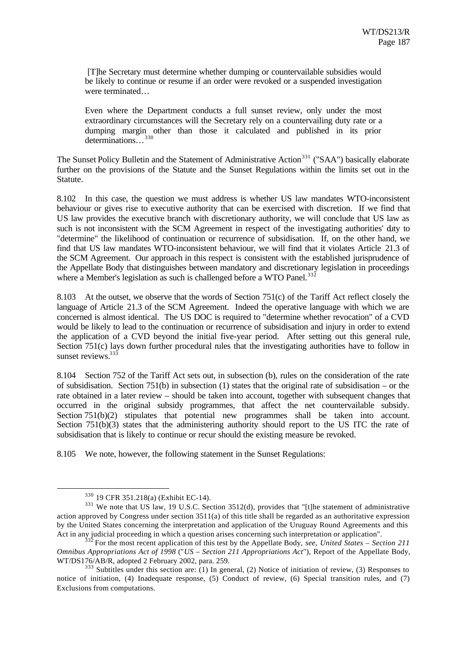[T]he Secretary must determine whether dumping or countervailable subsidies would be likely to continue or resume if an order were revoked or a suspended investigation were terminated…

Even where the Department conducts a full sunset review, only under the most extraordinary circumstances will the Secretary rely on a countervailing duty rate or a dumping margin other than those it calculated and published in its prior determinations...<sup>330</sup>

The Sunset Policy Bulletin and the Statement of Administrative Action<sup>331</sup> ("SAA") basically elaborate further on the provisions of the Statute and the Sunset Regulations within the limits set out in the Statute.

8.102 In this case, the question we must address is whether US law mandates WTO-inconsistent behaviour or gives rise to executive authority that can be exercised with discretion. If we find that US law provides the executive branch with discretionary authority, we will conclude that US law as such is not inconsistent with the SCM Agreement in respect of the investigating authorities' duty to "determine" the likelihood of continuation or recurrence of subsidisation. If, on the other hand, we find that US law mandates WTO-inconsistent behaviour, we will find that it violates Article 21.3 of the SCM Agreement. Our approach in this respect is consistent with the established jurisprudence of the Appellate Body that distinguishes between mandatory and discretionary legislation in proceedings where a Member's legislation as such is challenged before a WTO Panel.<sup>33</sup>

8.103 At the outset, we observe that the words of Section 751(c) of the Tariff Act reflect closely the language of Article 21.3 of the SCM Agreement. Indeed the operative language with which we are concerned is almost identical. The US DOC is required to "determine whether revocation" of a CVD would be likely to lead to the continuation or recurrence of subsidisation and injury in order to extend the application of a CVD beyond the initial five-year period. After setting out this general rule, Section 751(c) lays down further procedural rules that the investigating authorities have to follow in sunset reviews. $33\frac{3}{3}$ 

8.104 Section 752 of the Tariff Act sets out, in subsection (b), rules on the consideration of the rate of subsidisation. Section 751(b) in subsection (1) states that the original rate of subsidisation – or the rate obtained in a later review – should be taken into account, together with subsequent changes that occurred in the original subsidy programmes, that affect the net countervailable subsidy. Section 751(b)(2) stipulates that potential new programmes shall be taken into account. Section 751(b)(3) states that the administering authority should report to the US ITC the rate of subsidisation that is likely to continue or recur should the existing measure be revoked.

8.105 We note, however, the following statement in the Sunset Regulations:

<sup>330</sup> 19 CFR 351.218(a) (Exhibit EC-14).

<sup>&</sup>lt;sup>331</sup> We note that US law, 19 U.S.C. Section 3512(d), provides that "[t]he statement of administrative action approved by Congress under section 3511(a) of this title shall be regarded as an authoritative expression by the United States concerning the interpretation and application of the Uruguay Round Agreements and this Act in any judicial proceeding in which a question arises concerning such interpretation or application".

<sup>332</sup> For the most recent application of this test by the Appellate Body, *see*, *United States – Section 211 Omnibus Appropriations Act of 1998* ("*US – Section 211 Appropriations Act*"), Report of the Appellate Body, WT/DS176/AB/R, adopted 2 February 2002, para. 259.

 $333$  Subtitles under this section are: (1) In general, (2) Notice of initiation of review, (3) Responses to notice of initiation, (4) Inadequate response, (5) Conduct of review, (6) Special transition rules, and (7) Exclusions from computations.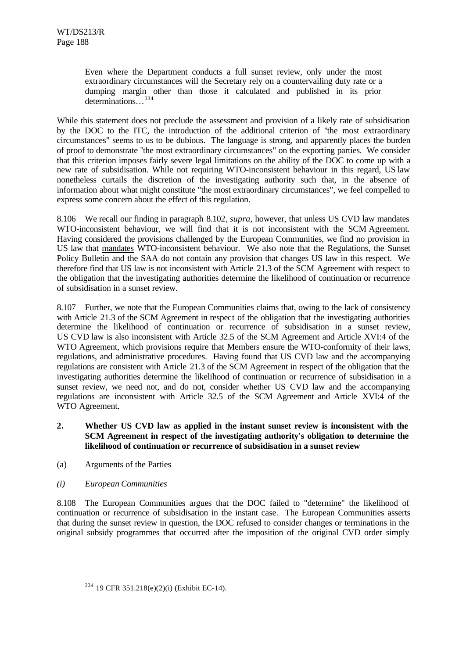Even where the Department conducts a full sunset review, only under the most extraordinary circumstances will the Secretary rely on a countervailing duty rate or a dumping margin other than those it calculated and published in its prior determinations…<sup>334</sup>

While this statement does not preclude the assessment and provision of a likely rate of subsidisation by the DOC to the ITC, the introduction of the additional criterion of "the most extraordinary circumstances" seems to us to be dubious. The language is strong, and apparently places the burden of proof to demonstrate "the most extraordinary circumstances" on the exporting parties. We consider that this criterion imposes fairly severe legal limitations on the ability of the DOC to come up with a new rate of subsidisation. While not requiring WTO-inconsistent behaviour in this regard, US law nonetheless curtails the discretion of the investigating authority such that, in the absence of information about what might constitute "the most extraordinary circumstances", we feel compelled to express some concern about the effect of this regulation.

8.106 We recall our finding in paragraph 8.102, *supra*, however, that unless US CVD law mandates WTO-inconsistent behaviour, we will find that it is not inconsistent with the SCM Agreement. Having considered the provisions challenged by the European Communities, we find no provision in US law that mandates WTO-inconsistent behaviour. We also note that the Regulations, the Sunset Policy Bulletin and the SAA do not contain any provision that changes US law in this respect. We therefore find that US law is not inconsistent with Article 21.3 of the SCM Agreement with respect to the obligation that the investigating authorities determine the likelihood of continuation or recurrence of subsidisation in a sunset review.

8.107 Further, we note that the European Communities claims that, owing to the lack of consistency with Article 21.3 of the SCM Agreement in respect of the obligation that the investigating authorities determine the likelihood of continuation or recurrence of subsidisation in a sunset review, US CVD law is also inconsistent with Article 32.5 of the SCM Agreement and Article XVI:4 of the WTO Agreement, which provisions require that Members ensure the WTO-conformity of their laws, regulations, and administrative procedures. Having found that US CVD law and the accompanying regulations are consistent with Article 21.3 of the SCM Agreement in respect of the obligation that the investigating authorities determine the likelihood of continuation or recurrence of subsidisation in a sunset review, we need not, and do not, consider whether US CVD law and the accompanying regulations are inconsistent with Article 32.5 of the SCM Agreement and Article XVI:4 of the WTO Agreement.

- **2. Whether US CVD law as applied in the instant sunset review is inconsistent with the SCM Agreement in respect of the investigating authority's obligation to determine the likelihood of continuation or recurrence of subsidisation in a sunset review**
- (a) Arguments of the Parties
- *(i) European Communities*

l

8.108 The European Communities argues that the DOC failed to "determine" the likelihood of continuation or recurrence of subsidisation in the instant case. The European Communities asserts that during the sunset review in question, the DOC refused to consider changes or terminations in the original subsidy programmes that occurred after the imposition of the original CVD order simply

<sup>334</sup> 19 CFR 351.218(e)(2)(i) (Exhibit EC-14).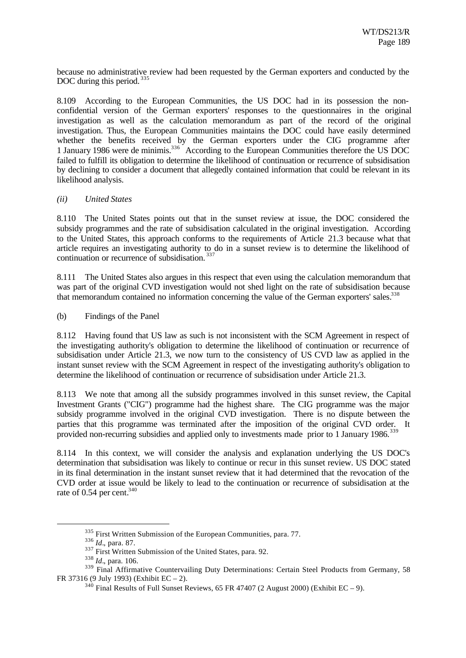because no administrative review had been requested by the German exporters and conducted by the DOC during this period.<sup>335</sup>

8.109 According to the European Communities, the US DOC had in its possession the nonconfidential version of the German exporters' responses to the questionnaires in the original investigation as well as the calculation memorandum as part of the record of the original investigation. Thus, the European Communities maintains the DOC could have easily determined whether the benefits received by the German exporters under the CIG programme after 1 January 1986 were de minimis.<sup>336</sup> According to the European Communities therefore the US DOC failed to fulfill its obligation to determine the likelihood of continuation or recurrence of subsidisation by declining to consider a document that allegedly contained information that could be relevant in its likelihood analysis.

#### *(ii) United States*

8.110 The United States points out that in the sunset review at issue, the DOC considered the subsidy programmes and the rate of subsidisation calculated in the original investigation. According to the United States, this approach conforms to the requirements of Article 21.3 because what that article requires an investigating authority to do in a sunset review is to determine the likelihood of continuation or recurrence of subsidisation. <sup>337</sup>

8.111 The United States also argues in this respect that even using the calculation memorandum that was part of the original CVD investigation would not shed light on the rate of subsidisation because that memorandum contained no information concerning the value of the German exporters' sales.<sup>338</sup>

(b) Findings of the Panel

8.112 Having found that US law as such is not inconsistent with the SCM Agreement in respect of the investigating authority's obligation to determine the likelihood of continuation or recurrence of subsidisation under Article 21.3, we now turn to the consistency of US CVD law as applied in the instant sunset review with the SCM Agreement in respect of the investigating authority's obligation to determine the likelihood of continuation or recurrence of subsidisation under Article 21.3.

8.113 We note that among all the subsidy programmes involved in this sunset review, the Capital Investment Grants ("CIG") programme had the highest share. The CIG programme was the major subsidy programme involved in the original CVD investigation. There is no dispute between the parties that this programme was terminated after the imposition of the original CVD order. It provided non-recurring subsidies and applied only to investments made prior to 1 January 1986.<sup>339</sup>

8.114 In this context, we will consider the analysis and explanation underlying the US DOC's determination that subsidisation was likely to continue or recur in this sunset review. US DOC stated in its final determination in the instant sunset review that it had determined that the revocation of the CVD order at issue would be likely to lead to the continuation or recurrence of subsidisation at the rate of  $0.54$  per cent.<sup>340</sup>

<sup>&</sup>lt;sup>335</sup> First Written Submission of the European Communities, para. 77.

<sup>336</sup> *Id.*, para. 87.

<sup>&</sup>lt;sup>337</sup> First Written Submission of the United States, para. 92.

<sup>338</sup> *Id.*, para. 106.

<sup>&</sup>lt;sup>339</sup> Final Affirmative Countervailing Duty Determinations: Certain Steel Products from Germany, 58 FR 37316 (9 July 1993) (Exhibit EC – 2).

 $340$  Final Results of Full Sunset Reviews, 65 FR 47407 (2 August 2000) (Exhibit EC – 9).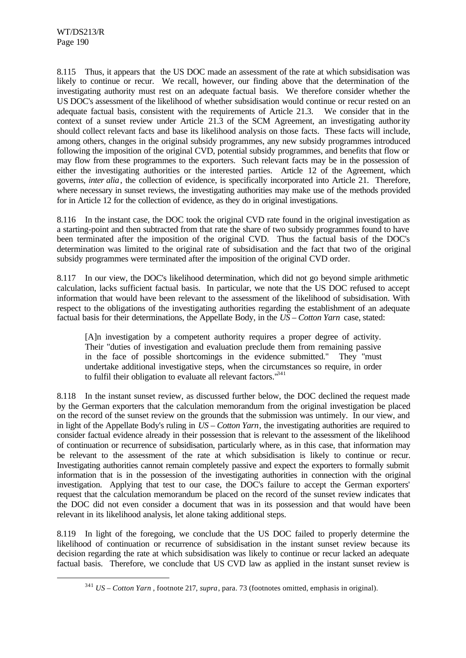l

8.115 Thus, it appears that the US DOC made an assessment of the rate at which subsidisation was likely to continue or recur. We recall, however, our finding above that the determination of the investigating authority must rest on an adequate factual basis. We therefore consider whether the US DOC's assessment of the likelihood of whether subsidisation would continue or recur rested on an adequate factual basis, consistent with the requirements of Article 21.3. We consider that in the context of a sunset review under Article 21.3 of the SCM Agreement, an investigating authority should collect relevant facts and base its likelihood analysis on those facts. These facts will include, among others, changes in the original subsidy programmes, any new subsidy programmes introduced following the imposition of the original CVD, potential subsidy programmes, and benefits that flow or may flow from these programmes to the exporters. Such relevant facts may be in the possession of either the investigating authorities or the interested parties. Article 12 of the Agreement, which governs, *inter alia*, the collection of evidence, is specifically incorporated into Article 21. Therefore, where necessary in sunset reviews, the investigating authorities may make use of the methods provided for in Article 12 for the collection of evidence, as they do in original investigations.

8.116 In the instant case, the DOC took the original CVD rate found in the original investigation as a starting-point and then subtracted from that rate the share of two subsidy programmes found to have been terminated after the imposition of the original CVD. Thus the factual basis of the DOC's determination was limited to the original rate of subsidisation and the fact that two of the original subsidy programmes were terminated after the imposition of the original CVD order.

8.117 In our view, the DOC's likelihood determination, which did not go beyond simple arithmetic calculation, lacks sufficient factual basis. In particular, we note that the US DOC refused to accept information that would have been relevant to the assessment of the likelihood of subsidisation. With respect to the obligations of the investigating authorities regarding the establishment of an adequate factual basis for their determinations, the Appellate Body, in the *US – Cotton Yarn* case, stated:

[A]n investigation by a competent authority requires a proper degree of activity. Their "duties of investigation and evaluation preclude them from remaining passive in the face of possible shortcomings in the evidence submitted." They "must undertake additional investigative steps, when the circumstances so require, in order to fulfil their obligation to evaluate all relevant factors.<sup>1341</sup>

8.118 In the instant sunset review, as discussed further below, the DOC declined the request made by the German exporters that the calculation memorandum from the original investigation be placed on the record of the sunset review on the grounds that the submission was untimely. In our view, and in light of the Appellate Body's ruling in *US – Cotton Yarn*, the investigating authorities are required to consider factual evidence already in their possession that is relevant to the assessment of the likelihood of continuation or recurrence of subsidisation, particularly where, as in this case, that information may be relevant to the assessment of the rate at which subsidisation is likely to continue or recur. Investigating authorities cannot remain completely passive and expect the exporters to formally submit information that is in the possession of the investigating authorities in connection with the original investigation. Applying that test to our case, the DOC's failure to accept the German exporters' request that the calculation memorandum be placed on the record of the sunset review indicates that the DOC did not even consider a document that was in its possession and that would have been relevant in its likelihood analysis, let alone taking additional steps.

8.119 In light of the foregoing, we conclude that the US DOC failed to properly determine the likelihood of continuation or recurrence of subsidisation in the instant sunset review because its decision regarding the rate at which subsidisation was likely to continue or recur lacked an adequate factual basis. Therefore, we conclude that US CVD law as applied in the instant sunset review is

<sup>341</sup> *US – Cotton Yarn* , footnote 217, *supra*, para. 73 (footnotes omitted, emphasis in original).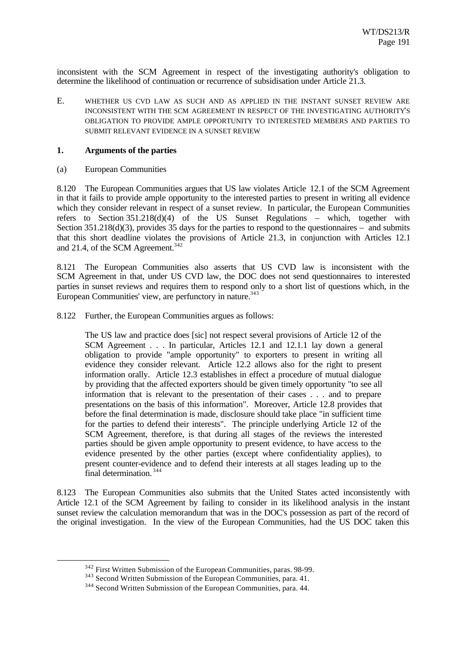inconsistent with the SCM Agreement in respect of the investigating authority's obligation to determine the likelihood of continuation or recurrence of subsidisation under Article 21.3.

E. WHETHER US CVD LAW AS SUCH AND AS APPLIED IN THE INSTANT SUNSET REVIEW ARE INCONSISTENT WITH THE SCM AGREEMENT IN RESPECT OF THE INVESTIGATING AUTHORITY'S OBLIGATION TO PROVIDE AMPLE OPPORTUNITY TO INTERESTED MEMBERS AND PARTIES TO SUBMIT RELEVANT EVIDENCE IN A SUNSET REVIEW

#### **1. Arguments of the parties**

(a) European Communities

l

8.120 The European Communities argues that US law violates Article 12.1 of the SCM Agreement in that it fails to provide ample opportunity to the interested parties to present in writing all evidence which they consider relevant in respect of a sunset review. In particular, the European Communities refers to Section 351.218(d)(4) of the US Sunset Regulations – which, together with Section 351.218(d)(3), provides 35 days for the parties to respond to the questionnaires – and submits that this short deadline violates the provisions of Article 21.3, in conjunction with Articles 12.1 and 21.4, of the SCM Agreement.<sup>342</sup>

8.121 The European Communities also asserts that US CVD law is inconsistent with the SCM Agreement in that, under US CVD law, the DOC does not send questionnaires to interested parties in sunset reviews and requires them to respond only to a short list of questions which, in the European Communities' view, are perfunctory in nature.<sup>343</sup>

8.122 Further, the European Communities argues as follows:

The US law and practice does [sic] not respect several provisions of Article 12 of the SCM Agreement . . . In particular, Articles 12.1 and 12.1.1 lay down a general obligation to provide "ample opportunity" to exporters to present in writing all evidence they consider relevant. Article 12.2 allows also for the right to present information orally. Article 12.3 establishes in effect a procedure of mutual dialogue by providing that the affected exporters should be given timely opportunity "to see all information that is relevant to the presentation of their cases . . . and to prepare presentations on the basis of this information". Moreover, Article 12.8 provides that before the final determination is made, disclosure should take place "in sufficient time for the parties to defend their interests". The principle underlying Article 12 of the SCM Agreement, therefore, is that during all stages of the reviews the interested parties should be given ample opportunity to present evidence, to have access to the evidence presented by the other parties (except where confidentiality applies), to present counter-evidence and to defend their interests at all stages leading up to the final determination. <sup>344</sup>

8.123 The European Communities also submits that the United States acted inconsistently with Article 12.1 of the SCM Agreement by failing to consider in its likelihood analysis in the instant sunset review the calculation memorandum that was in the DOC's possession as part of the record of the original investigation. In the view of the European Communities, had the US DOC taken this

<sup>342</sup> First Written Submission of the European Communities, paras. 98-99.

<sup>&</sup>lt;sup>343</sup> Second Written Submission of the European Communities, para. 41.

<sup>344</sup> Second Written Submission of the European Communities, para. 44.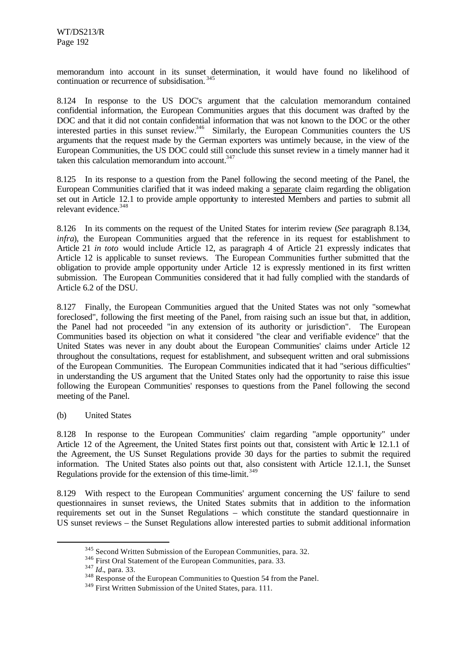memorandum into account in its sunset determination, it would have found no likelihood of continuation or recurrence of subsidisation.<sup>345</sup>

8.124 In response to the US DOC's argument that the calculation memorandum contained confidential information, the European Communities argues that this document was drafted by the DOC and that it did not contain confidential information that was not known to the DOC or the other interested parties in this sunset review.<sup>346</sup> Similarly, the European Communities counters the US arguments that the request made by the German exporters was untimely because, in the view of the European Communities, the US DOC could still conclude this sunset review in a timely manner had it taken this calculation memorandum into account. $347$ 

8.125 In its response to a question from the Panel following the second meeting of the Panel, the European Communities clarified that it was indeed making a separate claim regarding the obligation set out in Article 12.1 to provide ample opportunity to interested Members and parties to submit all relevant evidence.<sup>348</sup>

8.126 In its comments on the request of the United States for interim review (*See* paragraph 8.134, *infra*), the European Communities argued that the reference in its request for establishment to Article 21 *in toto* would include Article 12, as paragraph 4 of Article 21 expressly indicates that Article 12 is applicable to sunset reviews. The European Communities further submitted that the obligation to provide ample opportunity under Article 12 is expressly mentioned in its first written submission. The European Communities considered that it had fully complied with the standards of Article 6.2 of the DSU.

8.127 Finally, the European Communities argued that the United States was not only "somewhat foreclosed", following the first meeting of the Panel, from raising such an issue but that, in addition, the Panel had not proceeded "in any extension of its authority or jurisdiction". The European Communities based its objection on what it considered "the clear and verifiable evidence" that the United States was never in any doubt about the European Communities' claims under Article 12 throughout the consultations, request for establishment, and subsequent written and oral submissions of the European Communities. The European Communities indicated that it had "serious difficulties" in understanding the US argument that the United States only had the opportunity to raise this issue following the European Communities' responses to questions from the Panel following the second meeting of the Panel.

(b) United States

8.128 In response to the European Communities' claim regarding "ample opportunity" under Article 12 of the Agreement, the United States first points out that, consistent with Artic le 12.1.1 of the Agreement, the US Sunset Regulations provide 30 days for the parties to submit the required information. The United States also points out that, also consistent with Article 12.1.1, the Sunset Regulations provide for the extension of this time-limit.<sup>349</sup>

8.129 With respect to the European Communities' argument concerning the US' failure to send questionnaires in sunset reviews, the United States submits that in addition to the information requirements set out in the Sunset Regulations – which constitute the standard questionnaire in US sunset reviews – the Sunset Regulations allow interested parties to submit additional information

<sup>&</sup>lt;sup>345</sup> Second Written Submission of the European Communities, para. 32.

<sup>346</sup> First Oral Statement of the European Communities, para. 33.

<sup>347</sup> *Id.*, para. 33.

<sup>&</sup>lt;sup>348</sup> Response of the European Communities to Question 54 from the Panel.

<sup>&</sup>lt;sup>349</sup> First Written Submission of the United States, para. 111.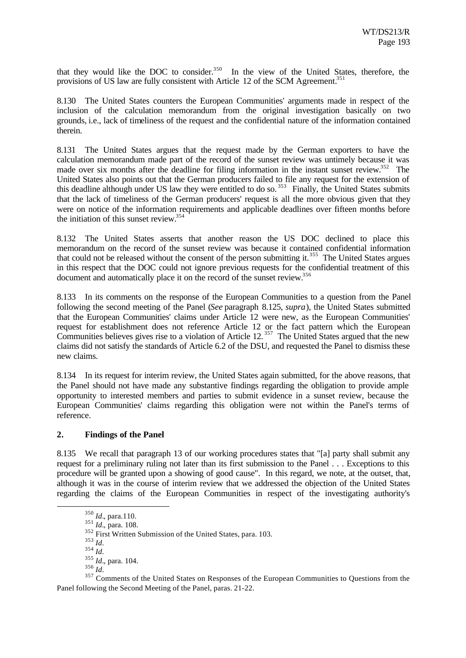that they would like the DOC to consider. $350$  In the view of the United States, therefore, the provisions of US law are fully consistent with Article 12 of the SCM Agreement.<sup>351</sup>

8.130 The United States counters the European Communities' arguments made in respect of the inclusion of the calculation memorandum from the original investigation basically on two grounds, i.e., lack of timeliness of the request and the confidential nature of the information contained therein.

8.131 The United States argues that the request made by the German exporters to have the calculation memorandum made part of the record of the sunset review was untimely because it was made over six months after the deadline for filing information in the instant sunset review.<sup>352</sup> The United States also points out that the German producers failed to file any request for the extension of this deadline although under US law they were entitled to do so.<sup>353</sup> Finally, the United States submits that the lack of timeliness of the German producers' request is all the more obvious given that they were on notice of the information requirements and applicable deadlines over fifteen months before the initiation of this sunset review.<sup>354</sup>

8.132 The United States asserts that another reason the US DOC declined to place this memorandum on the record of the sunset review was because it contained confidential information that could not be released without the consent of the person submitting it.<sup>355</sup> The United States argues in this respect that the DOC could not ignore previous requests for the confidential treatment of this document and automatically place it on the record of the sunset review.<sup>356</sup>

8.133 In its comments on the response of the European Communities to a question from the Panel following the second meeting of the Panel (*See* paragraph 8.125, *supra*), the United States submitted that the European Communities' claims under Article 12 were new, as the European Communities' request for establishment does not reference Article 12 or the fact pattern which the European Communities believes gives rise to a violation of Article  $12.^{357}$  The United States argued that the new claims did not satisfy the standards of Article 6.2 of the DSU, and requested the Panel to dismiss these new claims.

8.134 In its request for interim review, the United States again submitted, for the above reasons, that the Panel should not have made any substantive findings regarding the obligation to provide ample opportunity to interested members and parties to submit evidence in a sunset review, because the European Communities' claims regarding this obligation were not within the Panel's terms of reference.

## **2. Findings of the Panel**

8.135 We recall that paragraph 13 of our working procedures states that "[a] party shall submit any request for a preliminary ruling not later than its first submission to the Panel . . . Exceptions to this procedure will be granted upon a showing of good cause". In this regard, we note, at the outset, that, although it was in the course of interim review that we addressed the objection of the United States regarding the claims of the European Communities in respect of the investigating authority's

<sup>353</sup> *Id.*

l

<sup>356</sup> *Id.*

<sup>350</sup> *Id.*, para.110.

<sup>351</sup> *Id.*, para. 108.

<sup>&</sup>lt;sup>352</sup> First Written Submission of the United States, para. 103.

<sup>354</sup> *Id.*

<sup>355</sup> *Id.*, para. 104.

<sup>&</sup>lt;sup>357</sup> Comments of the United States on Responses of the European Communities to Questions from the Panel following the Second Meeting of the Panel, paras. 21-22.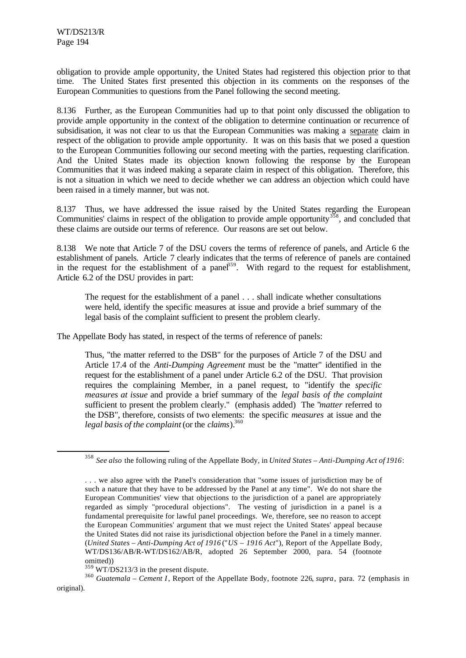l

obligation to provide ample opportunity, the United States had registered this objection prior to that time. The United States first presented this objection in its comments on the responses of the European Communities to questions from the Panel following the second meeting.

8.136 Further, as the European Communities had up to that point only discussed the obligation to provide ample opportunity in the context of the obligation to determine continuation or recurrence of subsidisation, it was not clear to us that the European Communities was making a separate claim in respect of the obligation to provide ample opportunity. It was on this basis that we posed a question to the European Communities following our second meeting with the parties, requesting clarification. And the United States made its objection known following the response by the European Communities that it was indeed making a separate claim in respect of this obligation. Therefore, this is not a situation in which we need to decide whether we can address an objection which could have been raised in a timely manner, but was not.

8.137 Thus, we have addressed the issue raised by the United States regarding the European Communities' claims in respect of the obligation to provide ample opportunity $358$ , and concluded that these claims are outside our terms of reference. Our reasons are set out below.

8.138 We note that Article 7 of the DSU covers the terms of reference of panels, and Article 6 the establishment of panels. Article 7 clearly indicates that the terms of reference of panels are contained in the request for the establishment of a panel<sup>359</sup>. With regard to the request for establishment, Article 6.2 of the DSU provides in part:

The request for the establishment of a panel . . . shall indicate whether consultations were held, identify the specific measures at issue and provide a brief summary of the legal basis of the complaint sufficient to present the problem clearly.

The Appellate Body has stated, in respect of the terms of reference of panels:

Thus, "the matter referred to the DSB" for the purposes of Article 7 of the DSU and Article 17.4 of the *Anti-Dumping Agreement* must be the "matter" identified in the request for the establishment of a panel under Article 6.2 of the DSU. That provision requires the complaining Member, in a panel request, to "identify the *specific measures at issue* and provide a brief summary of the *legal basis of the complaint* sufficient to present the problem clearly." (emphasis added) The "*matter* referred to the DSB", therefore, consists of two elements: the specific *measures* at issue and the *legal basis of the complaint* (or the *claims*).<sup>360</sup>

<sup>358</sup> *See also* the following ruling of the Appellate Body, in *United States – Anti-Dumping Act of 1916*:

<sup>. . .</sup> we also agree with the Panel's consideration that "some issues of jurisdiction may be of such a nature that they have to be addressed by the Panel at any time". We do not share the European Communities' view that objections to the jurisdiction of a panel are appropriately regarded as simply "procedural objections". The vesting of jurisdiction in a panel is a fundamental prerequisite for lawful panel proceedings. We, therefore, see no reason to accept the European Communities' argument that we must reject the United States' appeal because the United States did not raise its jurisdictional objection before the Panel in a timely manner. (*United States – Anti-Dumping Act of 1916* ("*US – 1916 Act*"), Report of the Appellate Body, WT/DS136/AB/R-WT/DS162/AB/R, adopted 26 September 2000, para. 54 (footnote omitted))

<sup>359</sup> WT/DS213/3 in the present dispute.

<sup>360</sup> *Guatemala – Cement I*, Report of the Appellate Body, footnote 226, *supra*, para. 72 (emphasis in original).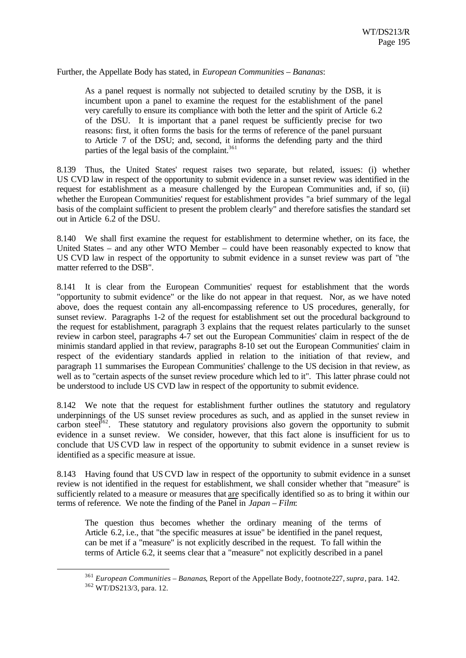Further, the Appellate Body has stated, in *European Communities – Bananas*:

As a panel request is normally not subjected to detailed scrutiny by the DSB, it is incumbent upon a panel to examine the request for the establishment of the panel very carefully to ensure its compliance with both the letter and the spirit of Article 6.2 of the DSU. It is important that a panel request be sufficiently precise for two reasons: first, it often forms the basis for the terms of reference of the panel pursuant to Article 7 of the DSU; and, second, it informs the defending party and the third parties of the legal basis of the complaint.<sup>361</sup>

8.139 Thus, the United States' request raises two separate, but related, issues: (i) whether US CVD law in respect of the opportunity to submit evidence in a sunset review was identified in the request for establishment as a measure challenged by the European Communities and, if so, (ii) whether the European Communities' request for establishment provides "a brief summary of the legal basis of the complaint sufficient to present the problem clearly" and therefore satisfies the standard set out in Article 6.2 of the DSU.

8.140 We shall first examine the request for establishment to determine whether, on its face, the United States – and any other WTO Member – could have been reasonably expected to know that US CVD law in respect of the opportunity to submit evidence in a sunset review was part of "the matter referred to the DSB".

8.141 It is clear from the European Communities' request for establishment that the words "opportunity to submit evidence" or the like do not appear in that request. Nor, as we have noted above, does the request contain any all-encompassing reference to US procedures, generally, for sunset review. Paragraphs 1-2 of the request for establishment set out the procedural background to the request for establishment, paragraph 3 explains that the request relates particularly to the sunset review in carbon steel, paragraphs 4-7 set out the European Communities' claim in respect of the de minimis standard applied in that review, paragraphs 8-10 set out the European Communities' claim in respect of the evidentiary standards applied in relation to the initiation of that review, and paragraph 11 summarises the European Communities' challenge to the US decision in that review, as well as to "certain aspects of the sunset review procedure which led to it". This latter phrase could not be understood to include US CVD law in respect of the opportunity to submit evidence.

8.142 We note that the request for establishment further outlines the statutory and regulatory underpinnings of the US sunset review procedures as such, and as applied in the sunset review in carbon steel<sup>662</sup>. These statutory and regulatory provisions also govern the opportunity to submit evidence in a sunset review. We consider, however, that this fact alone is insufficient for us to conclude that US CVD law in respect of the opportunity to submit evidence in a sunset review is identified as a specific measure at issue.

8.143 Having found that US CVD law in respect of the opportunity to submit evidence in a sunset review is not identified in the request for establishment, we shall consider whether that "measure" is sufficiently related to a measure or measures that are specifically identified so as to bring it within our terms of reference. We note the finding of the Panel in *Japan – Film*:

The question thus becomes whether the ordinary meaning of the terms of Article 6.2, i.e., that "the specific measures at issue" be identified in the panel request, can be met if a "measure" is not explicitly described in the request. To fall within the terms of Article 6.2, it seems clear that a "measure" not explicitly described in a panel

<sup>361</sup> *European Communities – Bananas*, Report of the Appellate Body*,* footnote227, *supra*, para. 142.

<sup>362</sup> WT/DS213/3, para. 12.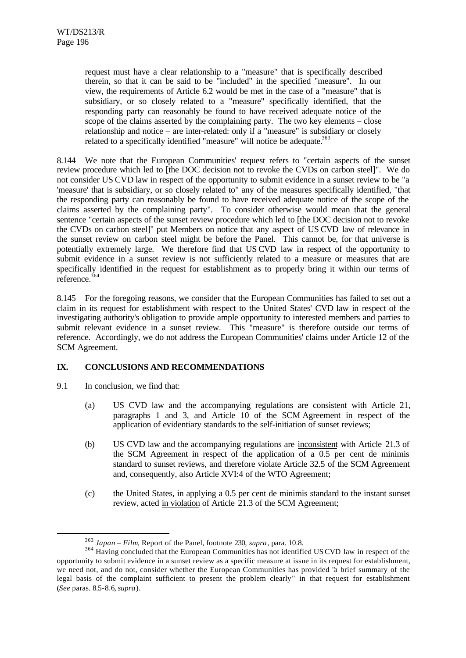request must have a clear relationship to a "measure" that is specifically described therein, so that it can be said to be "included" in the specified "measure". In our view, the requirements of Article 6.2 would be met in the case of a "measure" that is subsidiary, or so closely related to a "measure" specifically identified, that the responding party can reasonably be found to have received adequate notice of the scope of the claims asserted by the complaining party. The two key elements – close relationship and notice – are inter-related: only if a "measure" is subsidiary or closely related to a specifically identified "measure" will notice be adequate.<sup>363</sup>

8.144 We note that the European Communities' request refers to "certain aspects of the sunset review procedure which led to [the DOC decision not to revoke the CVDs on carbon steel]". We do not consider US CVD law in respect of the opportunity to submit evidence in a sunset review to be "a 'measure' that is subsidiary, or so closely related to" any of the measures specifically identified, "that the responding party can reasonably be found to have received adequate notice of the scope of the claims asserted by the complaining party". To consider otherwise would mean that the general sentence "certain aspects of the sunset review procedure which led to [the DOC decision not to revoke the CVDs on carbon steel]" put Members on notice that any aspect of US CVD law of relevance in the sunset review on carbon steel might be before the Panel. This cannot be, for that universe is potentially extremely large. We therefore find that US CVD law in respect of the opportunity to submit evidence in a sunset review is not sufficiently related to a measure or measures that are specifically identified in the request for establishment as to properly bring it within our terms of  $r$ eference.<sup>364</sup>

8.145 For the foregoing reasons, we consider that the European Communities has failed to set out a claim in its request for establishment with respect to the United States' CVD law in respect of the investigating authority's obligation to provide ample opportunity to interested members and parties to submit relevant evidence in a sunset review. This "measure" is therefore outside our terms of reference. Accordingly, we do not address the European Communities' claims under Article 12 of the SCM Agreement.

# **IX. CONCLUSIONS AND RECOMMENDATIONS**

9.1 In conclusion, we find that:

- (a) US CVD law and the accompanying regulations are consistent with Article 21, paragraphs 1 and 3, and Article 10 of the SCM Agreement in respect of the application of evidentiary standards to the self-initiation of sunset reviews;
- (b) US CVD law and the accompanying regulations are inconsistent with Article 21.3 of the SCM Agreement in respect of the application of a 0.5 per cent de minimis standard to sunset reviews, and therefore violate Article 32.5 of the SCM Agreement and, consequently, also Article XVI:4 of the WTO Agreement;
- (c) the United States, in applying a 0.5 per cent de minimis standard to the instant sunset review, acted in violation of Article 21.3 of the SCM Agreement;

<sup>363</sup> *Japan – Film*, Report of the Panel, footnote 230, *supra*, para. 10.8.

<sup>&</sup>lt;sup>364</sup> Having concluded that the European Communities has not identified US CVD law in respect of the opportunity to submit evidence in a sunset review as a specific measure at issue in its request for establishment, we need not, and do not, consider whether the European Communities has provided "a brief summary of the legal basis of the complaint sufficient to present the problem clearly" in that request for establishment (*See* paras. 8.5-8.6, *supra*).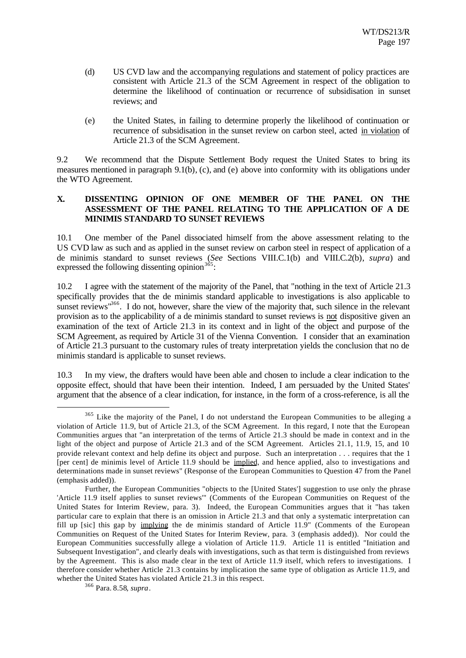- (d) US CVD law and the accompanying regulations and statement of policy practices are consistent with Article 21.3 of the SCM Agreement in respect of the obligation to determine the likelihood of continuation or recurrence of subsidisation in sunset reviews; and
- (e) the United States, in failing to determine properly the likelihood of continuation or recurrence of subsidisation in the sunset review on carbon steel, acted in violation of Article 21.3 of the SCM Agreement.

9.2 We recommend that the Dispute Settlement Body request the United States to bring its measures mentioned in paragraph 9.1(b), (c), and (e) above into conformity with its obligations under the WTO Agreement.

# **X. DISSENTING OPINION OF ONE MEMBER OF THE PANEL ON THE ASSESSMENT OF THE PANEL RELATING TO THE APPLICATION OF A DE MINIMIS STANDARD TO SUNSET REVIEWS**

10.1 One member of the Panel dissociated himself from the above assessment relating to the US CVD law as such and as applied in the sunset review on carbon steel in respect of application of a de minimis standard to sunset reviews (*See* Sections VIII.C.1(b) and VIII.C.2(b), *supra*) and expressed the following dissenting opinion  $3^{65}$ :

10.2 I agree with the statement of the majority of the Panel, that "nothing in the text of Article 21.3 specifically provides that the de minimis standard applicable to investigations is also applicable to sunset reviews<sup>1366</sup>. I do not, however, share the view of the majority that, such silence in the relevant provision as to the applicability of a de minimis standard to sunset reviews is not dispositive given an examination of the text of Article 21.3 in its context and in light of the object and purpose of the SCM Agreement, as required by Article 31 of the Vienna Convention. I consider that an examination of Article 21.3 pursuant to the customary rules of treaty interpretation yields the conclusion that no de minimis standard is applicable to sunset reviews.

10.3 In my view, the drafters would have been able and chosen to include a clear indication to the opposite effect, should that have been their intention. Indeed, I am persuaded by the United States' argument that the absence of a clear indication, for instance, in the form of a cross-reference, is all the

<sup>&</sup>lt;sup>365</sup> Like the majority of the Panel, I do not understand the European Communities to be alleging a violation of Article 11.9, but of Article 21.3, of the SCM Agreement. In this regard, I note that the European Communities argues that "an interpretation of the terms of Article 21.3 should be made in context and in the light of the object and purpose of Article 21.3 and of the SCM Agreement. Articles 21.1, 11.9, 15, and 10 provide relevant context and help define its object and purpose. Such an interpretation . . . requires that the 1 [per cent] de minimis level of Article 11.9 should be implied, and hence applied, also to investigations and determinations made in sunset reviews" (Response of the European Communities to Question 47 from the Panel (emphasis added)).

Further, the European Communities "objects to the [United States'] suggestion to use only the phrase 'Article 11.9 itself applies to sunset reviews'" (Comments of the European Communities on Request of the United States for Interim Review, para. 3). Indeed, the European Communities argues that it "has taken particular care to explain that there is an omission in Article 21.3 and that only a systematic interpretation can fill up [sic] this gap by implying the de minimis standard of Article 11.9" (Comments of the European Communities on Request of the United States for Interim Review, para. 3 (emphasis added)). Nor could the European Communities successfully allege a violation of Article 11.9. Article 11 is entitled "Initiation and Subsequent Investigation", and clearly deals with investigations, such as that term is distinguished from reviews by the Agreement. This is also made clear in the text of Article 11.9 itself, which refers to investigations. I therefore consider whether Article 21.3 contains by implication the same type of obligation as Article 11.9, and whether the United States has violated Article 21.3 in this respect.

<sup>366</sup> Para. 8.58, *supra*.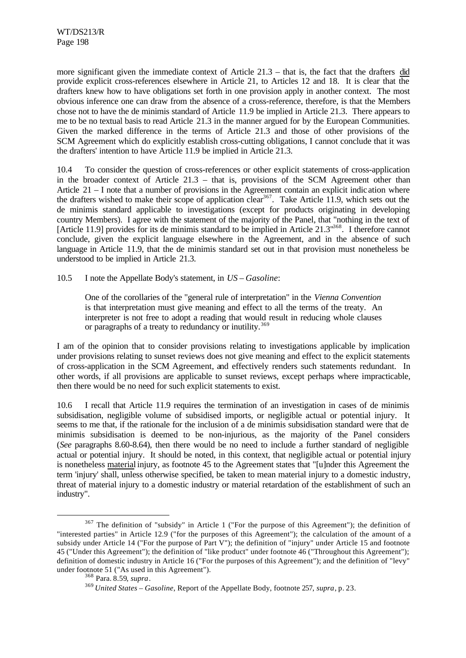more significant given the immediate context of Article 21.3 – that is, the fact that the drafters did provide explicit cross-references elsewhere in Article 21, to Articles 12 and 18. It is clear that the drafters knew how to have obligations set forth in one provision apply in another context. The most obvious inference one can draw from the absence of a cross-reference, therefore, is that the Members chose not to have the de minimis standard of Article 11.9 be implied in Article 21.3. There appears to me to be no textual basis to read Article 21.3 in the manner argued for by the European Communities. Given the marked difference in the terms of Article 21.3 and those of other provisions of the SCM Agreement which do explicitly establish cross-cutting obligations, I cannot conclude that it was the drafters' intention to have Article 11.9 be implied in Article 21.3.

10.4 To consider the question of cross-references or other explicit statements of cross-application in the broader context of Article 21.3 – that is, provisions of the SCM Agreement other than Article 21 – I note that a number of provisions in the Agreement contain an explicit indic ation where the drafters wished to make their scope of application clear<sup>367</sup>. Take Article 11.9, which sets out the de minimis standard applicable to investigations (except for products originating in developing country Members). I agree with the statement of the majority of the Panel, that "nothing in the text of [Article 11.9] provides for its de minimis standard to be implied in Article 21.3<sup>"368</sup>. I therefore cannot conclude, given the explicit language elsewhere in the Agreement, and in the absence of such language in Article 11.9, that the de minimis standard set out in that provision must nonetheless be understood to be implied in Article 21.3.

10.5 I note the Appellate Body's statement, in *US – Gasoline*:

One of the corollaries of the "general rule of interpretation" in the *Vienna Convention* is that interpretation must give meaning and effect to all the terms of the treaty. An interpreter is not free to adopt a reading that would result in reducing whole clauses or paragraphs of a treaty to redundancy or inutility.<sup>369</sup>

I am of the opinion that to consider provisions relating to investigations applicable by implication under provisions relating to sunset reviews does not give meaning and effect to the explicit statements of cross-application in the SCM Agreement, and effectively renders such statements redundant. In other words, if all provisions are applicable to sunset reviews, except perhaps where impracticable, then there would be no need for such explicit statements to exist.

10.6 I recall that Article 11.9 requires the termination of an investigation in cases of de minimis subsidisation, negligible volume of subsidised imports, or negligible actual or potential injury. It seems to me that, if the rationale for the inclusion of a de minimis subsidisation standard were that de minimis subsidisation is deemed to be non-injurious, as the majority of the Panel considers (*See* paragraphs 8.60-8.64), then there would be no need to include a further standard of negligible actual or potential injury. It should be noted, in this context, that negligible actual or potential injury is nonetheless material injury, as footnote 45 to the Agreement states that "[u]nder this Agreement the term 'injury' shall, unless otherwise specified, be taken to mean material injury to a domestic industry, threat of material injury to a domestic industry or material retardation of the establishment of such an industry".

<sup>&</sup>lt;sup>367</sup> The definition of "subsidy" in Article 1 ("For the purpose of this Agreement"); the definition of "interested parties" in Article 12.9 ("for the purposes of this Agreement"); the calculation of the amount of a subsidy under Article 14 ("For the purpose of Part V"); the definition of "injury" under Article 15 and footnote 45 ("Under this Agreement"); the definition of "like product" under footnote 46 ("Throughout this Agreement"); definition of domestic industry in Article 16 ("For the purposes of this Agreement"); and the definition of "levy" under footnote 51 ("As used in this Agreement").

<sup>368</sup> Para. 8.59, *supra*.

<sup>369</sup> *United States – Gasoline*, Report of the Appellate Body, footnote 257, *supra*, p. 23.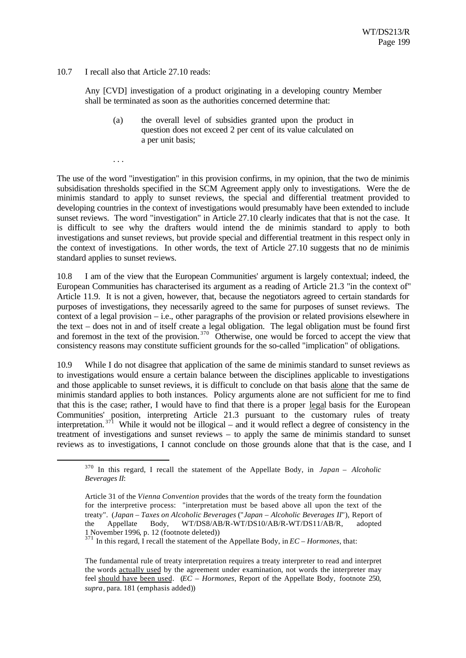10.7 I recall also that Article 27.10 reads:

Any [CVD] investigation of a product originating in a developing country Member shall be terminated as soon as the authorities concerned determine that:

(a) the overall level of subsidies granted upon the product in question does not exceed 2 per cent of its value calculated on a per unit basis;

. . .

l

The use of the word "investigation" in this provision confirms, in my opinion, that the two de minimis subsidisation thresholds specified in the SCM Agreement apply only to investigations. Were the de minimis standard to apply to sunset reviews, the special and differential treatment provided to developing countries in the context of investigations would presumably have been extended to include sunset reviews. The word "investigation" in Article 27.10 clearly indicates that that is not the case. It is difficult to see why the drafters would intend the de minimis standard to apply to both investigations and sunset reviews, but provide special and differential treatment in this respect only in the context of investigations. In other words, the text of Article 27.10 suggests that no de minimis standard applies to sunset reviews.

10.8 I am of the view that the European Communities' argument is largely contextual; indeed, the European Communities has characterised its argument as a reading of Article 21.3 "in the context of" Article 11.9. It is not a given, however, that, because the negotiators agreed to certain standards for purposes of investigations, they necessarily agreed to the same for purposes of sunset reviews. The context of a legal provision – i.e., other paragraphs of the provision or related provisions elsewhere in the text – does not in and of itself create a legal obligation. The legal obligation must be found first and foremost in the text of the provision.<sup>370</sup> Otherwise, one would be forced to accept the view that consistency reasons may constitute sufficient grounds for the so-called "implication" of obligations.

10.9 While I do not disagree that application of the same de minimis standard to sunset reviews as to investigations would ensure a certain balance between the disciplines applicable to investigations and those applicable to sunset reviews, it is difficult to conclude on that basis alone that the same de minimis standard applies to both instances. Policy arguments alone are not sufficient for me to find that this is the case; rather, I would have to find that there is a proper legal basis for the European Communities' position, interpreting Article 21.3 pursuant to the customary rules of treaty interpretation.<sup>371</sup> While it would not be illogical – and it would reflect a degree of consistency in the treatment of investigations and sunset reviews – to apply the same de minimis standard to sunset reviews as to investigations, I cannot conclude on those grounds alone that that is the case, and I

<sup>370</sup> In this regard, I recall the statement of the Appellate Body, in *Japan – Alcoholic Beverages II*:

Article 31 of the *Vienna Convention* provides that the words of the treaty form the foundation for the interpretive process: "interpretation must be based above all upon the text of the treaty". (*Japan – Taxes on Alcoholic Beverages* ("*Japan – Alcoholic Beverages II*"), Report of the Appellate Body, WT/DS8/AB/R-WT/DS10/AB/R-WT/DS11/AB/R, adopted 1 November 1996, p. 12 (footnote deleted))

 $371$  In this regard, I recall the statement of the Appellate Body, in  $EC-Hormones$ , that:

The fundamental rule of treaty interpretation requires a treaty interpreter to read and interpret the words actually used by the agreement under examination, not words the interpreter may feel should have been used. (*EC – Hormones*, Report of the Appellate Body, footnote 250, *supra*, para. 181 (emphasis added))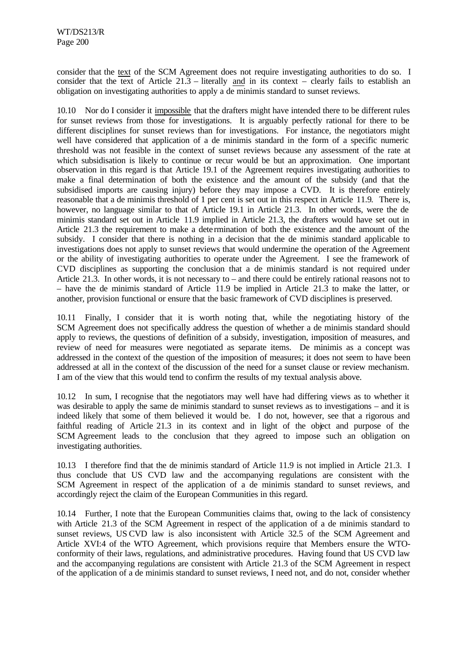consider that the text of the SCM Agreement does not require investigating authorities to do so. I consider that the text of Article 21.3 – literally and in its context – clearly fails to establish an obligation on investigating authorities to apply a de minimis standard to sunset reviews.

10.10 Nor do I consider it impossible that the drafters might have intended there to be different rules for sunset reviews from those for investigations. It is arguably perfectly rational for there to be different disciplines for sunset reviews than for investigations. For instance, the negotiators might well have considered that application of a de minimis standard in the form of a specific numeric threshold was not feasible in the context of sunset reviews because any assessment of the rate at which subsidisation is likely to continue or recur would be but an approximation. One important observation in this regard is that Article 19.1 of the Agreement requires investigating authorities to make a final determination of both the existence and the amount of the subsidy (and that the subsidised imports are causing injury) before they may impose a CVD. It is therefore entirely reasonable that a de minimis threshold of 1 per cent is set out in this respect in Article 11.9. There is, however, no language similar to that of Article 19.1 in Article 21.3. In other words, were the de minimis standard set out in Article 11.9 implied in Article 21.3, the drafters would have set out in Article 21.3 the requirement to make a dete rmination of both the existence and the amount of the subsidy. I consider that there is nothing in a decision that the de minimis standard applicable to investigations does not apply to sunset reviews that would undermine the operation of the Agreement or the ability of investigating authorities to operate under the Agreement. I see the framework of CVD disciplines as supporting the conclusion that a de minimis standard is not required under Article 21.3. In other words, it is not necessary to – and there could be entirely rational reasons not to – have the de minimis standard of Article 11.9 be implied in Article 21.3 to make the latter, or another, provision functional or ensure that the basic framework of CVD disciplines is preserved.

10.11 Finally, I consider that it is worth noting that, while the negotiating history of the SCM Agreement does not specifically address the question of whether a de minimis standard should apply to reviews, the questions of definition of a subsidy, investigation, imposition of measures, and review of need for measures were negotiated as separate items. De minimis as a concept was addressed in the context of the question of the imposition of measures; it does not seem to have been addressed at all in the context of the discussion of the need for a sunset clause or review mechanism. I am of the view that this would tend to confirm the results of my textual analysis above.

10.12 In sum, I recognise that the negotiators may well have had differing views as to whether it was desirable to apply the same de minimis standard to sunset reviews as to investigations – and it is indeed likely that some of them believed it would be. I do not, however, see that a rigorous and faithful reading of Article 21.3 in its context and in light of the object and purpose of the SCM Agreement leads to the conclusion that they agreed to impose such an obligation on investigating authorities.

10.13 I therefore find that the de minimis standard of Article 11.9 is not implied in Article 21.3. I thus conclude that US CVD law and the accompanying regulations are consistent with the SCM Agreement in respect of the application of a de minimis standard to sunset reviews, and accordingly reject the claim of the European Communities in this regard.

10.14 Further, I note that the European Communities claims that, owing to the lack of consistency with Article 21.3 of the SCM Agreement in respect of the application of a de minimis standard to sunset reviews, US CVD law is also inconsistent with Article 32.5 of the SCM Agreement and Article XVI:4 of the WTO Agreement, which provisions require that Members ensure the WTOconformity of their laws, regulations, and administrative procedures. Having found that US CVD law and the accompanying regulations are consistent with Article 21.3 of the SCM Agreement in respect of the application of a de minimis standard to sunset reviews, I need not, and do not, consider whether